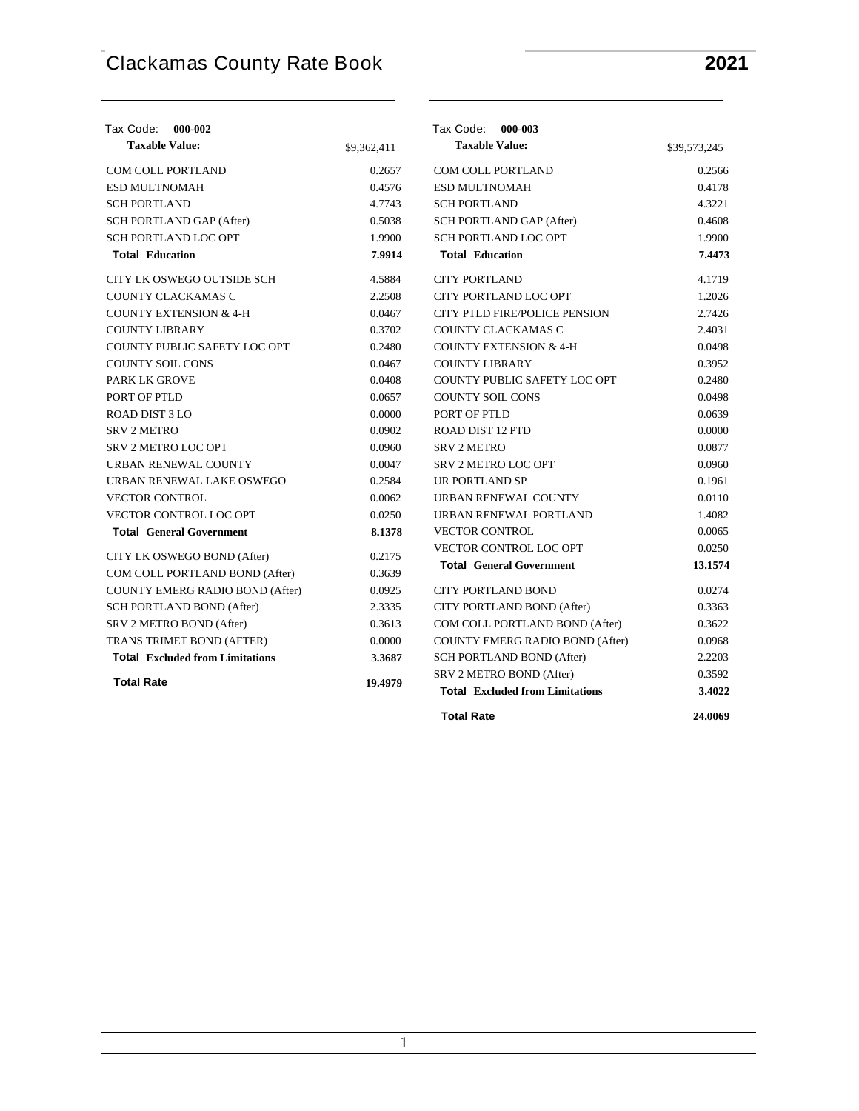| Tax Code: 000-002                      |             | Tax Code: 000-003                      |              |
|----------------------------------------|-------------|----------------------------------------|--------------|
| <b>Taxable Value:</b>                  | \$9,362,411 | <b>Taxable Value:</b>                  | \$39,573,245 |
| <b>COM COLL PORTLAND</b>               | 0.2657      | <b>COM COLL PORTLAND</b>               | 0.2566       |
| <b>ESD MULTNOMAH</b>                   | 0.4576      | <b>ESD MULTNOMAH</b>                   | 0.4178       |
| <b>SCH PORTLAND</b>                    | 4.7743      | <b>SCH PORTLAND</b>                    | 4.3221       |
| SCH PORTLAND GAP (After)               | 0.5038      | SCH PORTLAND GAP (After)               | 0.4608       |
| SCH PORTLAND LOC OPT                   | 1.9900      | <b>SCH PORTLAND LOC OPT</b>            | 1.9900       |
| <b>Total Education</b>                 | 7.9914      | <b>Total Education</b>                 | 7.4473       |
| CITY LK OSWEGO OUTSIDE SCH             | 4.5884      | <b>CITY PORTLAND</b>                   | 4.1719       |
| COUNTY CLACKAMAS C                     | 2.2508      | CITY PORTLAND LOC OPT                  | 1.2026       |
| <b>COUNTY EXTENSION &amp; 4-H</b>      | 0.0467      | <b>CITY PTLD FIRE/POLICE PENSION</b>   | 2.7426       |
| <b>COUNTY LIBRARY</b>                  | 0.3702      | COUNTY CLACKAMAS C                     | 2.4031       |
| COUNTY PUBLIC SAFETY LOC OPT           | 0.2480      | <b>COUNTY EXTENSION &amp; 4-H</b>      | 0.0498       |
| <b>COUNTY SOIL CONS</b>                | 0.0467      | <b>COUNTY LIBRARY</b>                  | 0.3952       |
| <b>PARK LK GROVE</b>                   | 0.0408      | COUNTY PUBLIC SAFETY LOC OPT           | 0.2480       |
| PORT OF PTLD                           | 0.0657      | <b>COUNTY SOIL CONS</b>                | 0.0498       |
| ROAD DIST 3 LO                         | 0.0000      | PORT OF PTLD                           | 0.0639       |
| <b>SRV 2 METRO</b>                     | 0.0902      | <b>ROAD DIST 12 PTD</b>                | 0.0000       |
| SRV 2 METRO LOC OPT                    | 0.0960      | <b>SRV 2 METRO</b>                     | 0.0877       |
| URBAN RENEWAL COUNTY                   | 0.0047      | <b>SRV 2 METRO LOC OPT</b>             | 0.0960       |
| URBAN RENEWAL LAKE OSWEGO              | 0.2584      | UR PORTLAND SP                         | 0.1961       |
| <b>VECTOR CONTROL</b>                  | 0.0062      | URBAN RENEWAL COUNTY                   | 0.0110       |
| <b>VECTOR CONTROL LOC OPT</b>          | 0.0250      | URBAN RENEWAL PORTLAND                 | 1.4082       |
| <b>Total General Government</b>        | 8.1378      | <b>VECTOR CONTROL</b>                  | 0.0065       |
| CITY LK OSWEGO BOND (After)            | 0.2175      | <b>VECTOR CONTROL LOC OPT</b>          | 0.0250       |
| COM COLL PORTLAND BOND (After)         | 0.3639      | <b>Total General Government</b>        | 13.1574      |
| COUNTY EMERG RADIO BOND (After)        | 0.0925      | <b>CITY PORTLAND BOND</b>              | 0.0274       |
| <b>SCH PORTLAND BOND (After)</b>       | 2.3335      | CITY PORTLAND BOND (After)             | 0.3363       |
| SRV 2 METRO BOND (After)               | 0.3613      | COM COLL PORTLAND BOND (After)         | 0.3622       |
| TRANS TRIMET BOND (AFTER)              | 0.0000      | <b>COUNTY EMERG RADIO BOND (After)</b> | 0.0968       |
| <b>Total Excluded from Limitations</b> | 3.3687      | SCH PORTLAND BOND (After)              | 2.2203       |
|                                        |             | SRV 2 METRO BOND (After)               | 0.3592       |
| <b>Total Rate</b>                      | 19.4979     | <b>Total Excluded from Limitations</b> | 3.4022       |
|                                        |             | <b>Total Rate</b>                      | 24.0069      |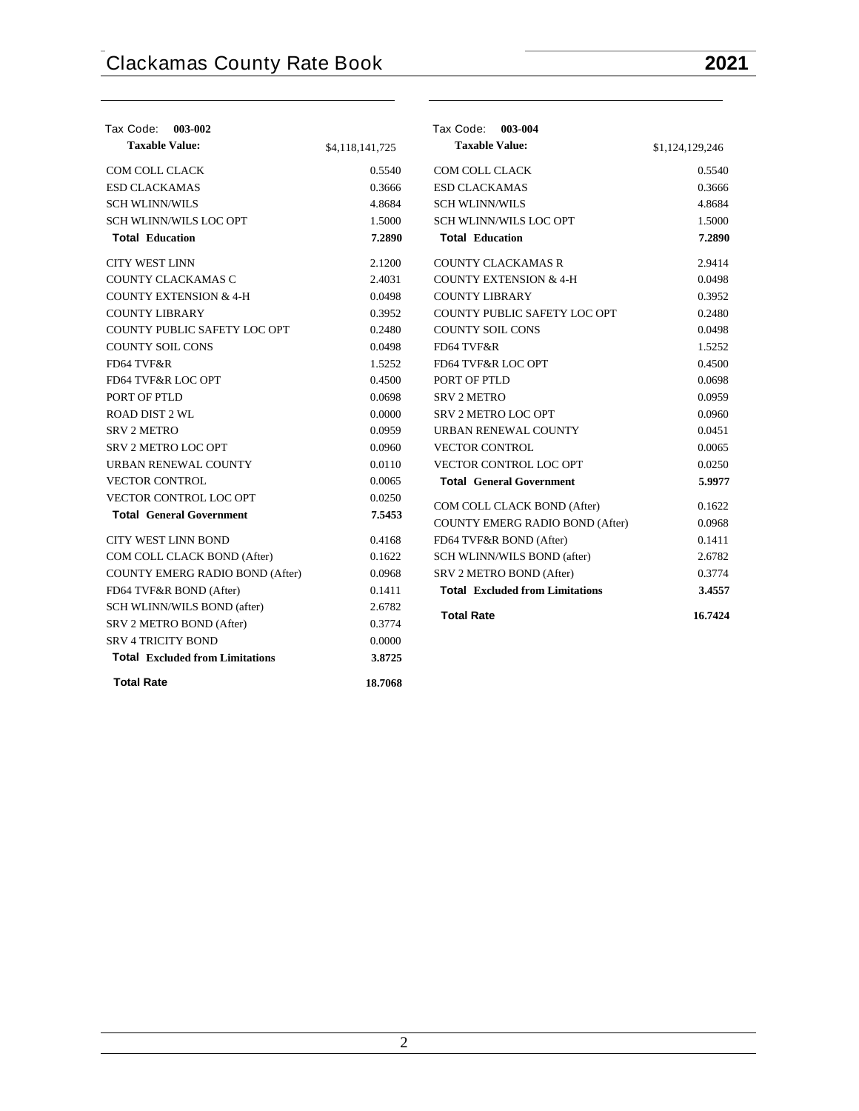| Tax Code: 003-002                      |                 | Tax Code: 003-004                      |                 |
|----------------------------------------|-----------------|----------------------------------------|-----------------|
| <b>Taxable Value:</b>                  | \$4,118,141,725 | <b>Taxable Value:</b>                  | \$1,124,129,246 |
| <b>COM COLL CLACK</b>                  | 0.5540          | <b>COM COLL CLACK</b>                  | 0.5540          |
| <b>ESD CLACKAMAS</b>                   | 0.3666          | <b>ESD CLACKAMAS</b>                   | 0.3666          |
| <b>SCH WLINN/WILS</b>                  | 4.8684          | <b>SCH WLINN/WILS</b>                  | 4.8684          |
| SCH WLINN/WILS LOC OPT                 | 1.5000          | SCH WLINN/WILS LOC OPT                 | 1.5000          |
| <b>Total Education</b>                 | 7.2890          | <b>Total Education</b>                 | 7.2890          |
| <b>CITY WEST LINN</b>                  | 2.1200          | <b>COUNTY CLACKAMAS R</b>              | 2.9414          |
| COUNTY CLACKAMAS C                     | 2.4031          | <b>COUNTY EXTENSION &amp; 4-H</b>      | 0.0498          |
| <b>COUNTY EXTENSION &amp; 4-H</b>      | 0.0498          | <b>COUNTY LIBRARY</b>                  | 0.3952          |
| <b>COUNTY LIBRARY</b>                  | 0.3952          | COUNTY PUBLIC SAFETY LOC OPT           | 0.2480          |
| COUNTY PUBLIC SAFETY LOC OPT           | 0.2480          | <b>COUNTY SOIL CONS</b>                | 0.0498          |
| <b>COUNTY SOIL CONS</b>                | 0.0498          | FD64 TVF&R                             | 1.5252          |
| FD64 TVF&R                             | 1.5252          | FD64 TVF&R LOC OPT                     | 0.4500          |
| FD64 TVF&R LOC OPT                     | 0.4500          | PORT OF PTLD                           | 0.0698          |
| PORT OF PTLD                           | 0.0698          | <b>SRV 2 METRO</b>                     | 0.0959          |
| <b>ROAD DIST 2 WL</b>                  | 0.0000          | SRV 2 METRO LOC OPT                    | 0.0960          |
| <b>SRV 2 METRO</b>                     | 0.0959          | URBAN RENEWAL COUNTY                   | 0.0451          |
| <b>SRV 2 METRO LOC OPT</b>             | 0.0960          | <b>VECTOR CONTROL</b>                  | 0.0065          |
| URBAN RENEWAL COUNTY                   | 0.0110          | VECTOR CONTROL LOC OPT                 | 0.0250          |
| <b>VECTOR CONTROL</b>                  | 0.0065          | <b>Total General Government</b>        | 5.9977          |
| VECTOR CONTROL LOC OPT                 | 0.0250          | COM COLL CLACK BOND (After)            | 0.1622          |
| <b>Total General Government</b>        | 7.5453          | COUNTY EMERG RADIO BOND (After)        | 0.0968          |
| <b>CITY WEST LINN BOND</b>             | 0.4168          | FD64 TVF&R BOND (After)                | 0.1411          |
| COM COLL CLACK BOND (After)            | 0.1622          | SCH WLINN/WILS BOND (after)            | 2.6782          |
| COUNTY EMERG RADIO BOND (After)        | 0.0968          | SRV 2 METRO BOND (After)               | 0.3774          |
| FD64 TVF&R BOND (After)                | 0.1411          | <b>Total Excluded from Limitations</b> | 3.4557          |
| SCH WLINN/WILS BOND (after)            | 2.6782          |                                        |                 |
| SRV 2 METRO BOND (After)               | 0.3774          | <b>Total Rate</b>                      | 16.7424         |
| <b>SRV 4 TRICITY BOND</b>              | 0.0000          |                                        |                 |
| <b>Total Excluded from Limitations</b> | 3.8725          |                                        |                 |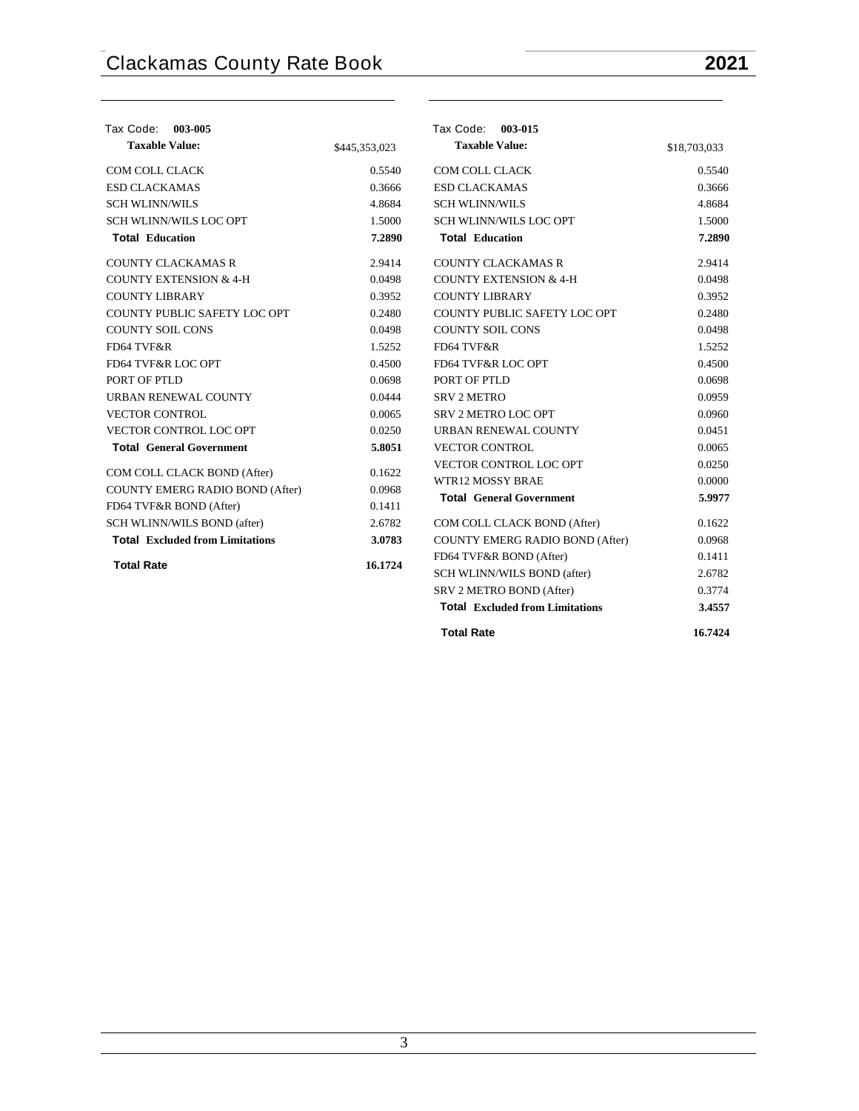| Tax Code: 003-005                      |               | Tax Code: 003-015                      |              |
|----------------------------------------|---------------|----------------------------------------|--------------|
| <b>Taxable Value:</b>                  | \$445,353,023 | <b>Taxable Value:</b>                  | \$18,703,033 |
| COM COLL CLACK                         | 0.5540        | COM COLL CLACK                         | 0.5540       |
| <b>ESD CLACKAMAS</b>                   | 0.3666        | <b>ESD CLACKAMAS</b>                   | 0.3666       |
| <b>SCH WLINN/WILS</b>                  | 4.8684        | <b>SCH WLINN/WILS</b>                  | 4.8684       |
| <b>SCH WLINN/WILS LOC OPT</b>          | 1.5000        | <b>SCH WLINN/WILS LOC OPT</b>          | 1.5000       |
| <b>Total Education</b>                 | 7.2890        | <b>Total Education</b>                 | 7.2890       |
| <b>COUNTY CLACKAMAS R</b>              | 2.9414        | <b>COUNTY CLACKAMAS R</b>              | 2.9414       |
| <b>COUNTY EXTENSION &amp; 4-H</b>      | 0.0498        | <b>COUNTY EXTENSION &amp; 4-H</b>      | 0.0498       |
| <b>COUNTY LIBRARY</b>                  | 0.3952        | <b>COUNTY LIBRARY</b>                  | 0.3952       |
| COUNTY PUBLIC SAFETY LOC OPT           | 0.2480        | COUNTY PUBLIC SAFETY LOC OPT           | 0.2480       |
| <b>COUNTY SOIL CONS</b>                | 0.0498        | <b>COUNTY SOIL CONS</b>                | 0.0498       |
| FD64 TVF&R                             | 1.5252        | FD64 TVF&R                             | 1.5252       |
| FD64 TVF&R LOC OPT                     | 0.4500        | FD64 TVF&R LOC OPT                     | 0.4500       |
| PORT OF PTLD                           | 0.0698        | PORT OF PTLD                           | 0.0698       |
| URBAN RENEWAL COUNTY                   | 0.0444        | <b>SRV 2 METRO</b>                     | 0.0959       |
| <b>VECTOR CONTROL</b>                  | 0.0065        | SRV 2 METRO LOC OPT                    | 0.0960       |
| <b>VECTOR CONTROL LOC OPT</b>          | 0.0250        | URBAN RENEWAL COUNTY                   | 0.0451       |
| <b>Total General Government</b>        | 5.8051        | <b>VECTOR CONTROL</b>                  | 0.0065       |
| COM COLL CLACK BOND (After)            | 0.1622        | VECTOR CONTROL LOC OPT                 | 0.0250       |
| COUNTY EMERG RADIO BOND (After)        | 0.0968        | <b>WTR12 MOSSY BRAE</b>                | 0.0000       |
| FD64 TVF&R BOND (After)                | 0.1411        | <b>Total General Government</b>        | 5.9977       |
|                                        | 2.6782        |                                        | 0.1622       |
| SCH WLINN/WILS BOND (after)            |               | COM COLL CLACK BOND (After)            |              |
| <b>Total</b> Excluded from Limitations | 3.0783        | <b>COUNTY EMERG RADIO BOND (After)</b> | 0.0968       |
| <b>Total Rate</b>                      | 16.1724       | FD64 TVF&R BOND (After)                | 0.1411       |
|                                        |               | SCH WLINN/WILS BOND (after)            | 2.6782       |
|                                        |               | SRV 2 METRO BOND (After)               | 0.3774       |
|                                        |               | <b>Total</b> Excluded from Limitations | 3.4557       |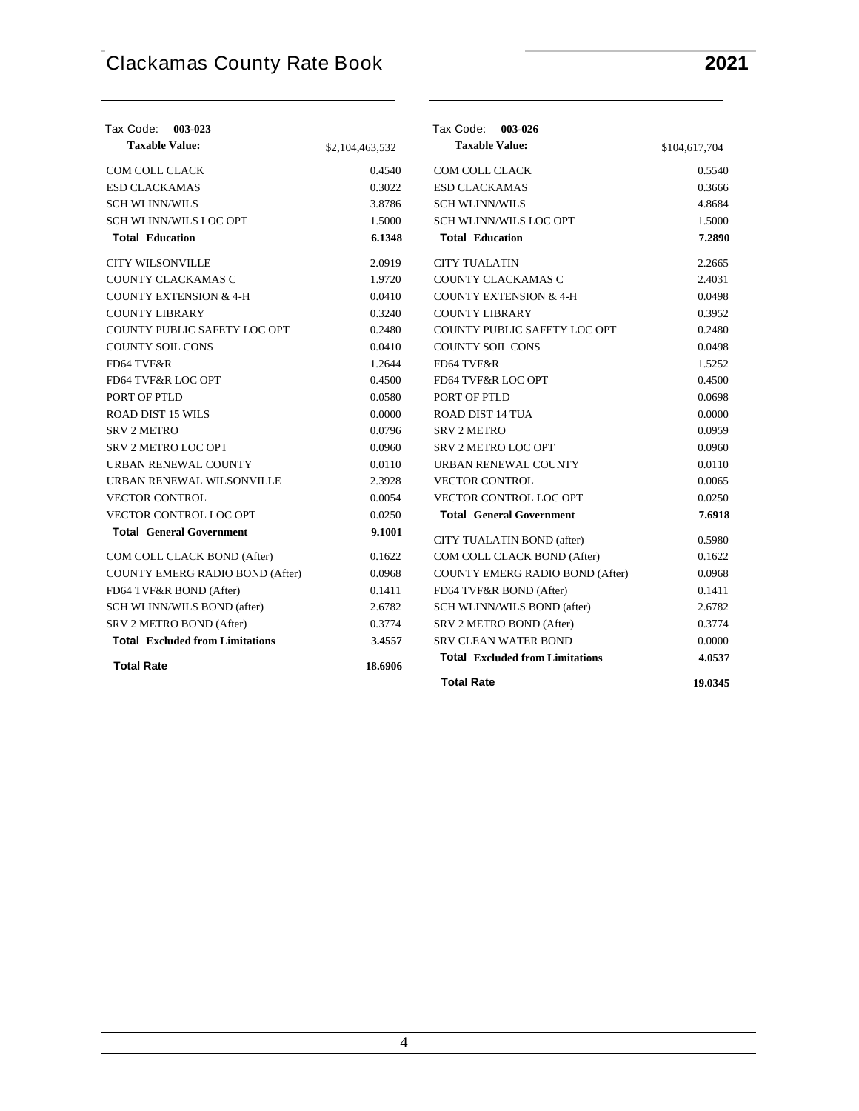| <b>Tax Code:</b><br>003-023            |                 | Tax Code: 003-026                      |               |
|----------------------------------------|-----------------|----------------------------------------|---------------|
| <b>Taxable Value:</b>                  | \$2,104,463,532 | <b>Taxable Value:</b>                  | \$104,617,704 |
| <b>COM COLL CLACK</b>                  | 0.4540          | <b>COM COLL CLACK</b>                  | 0.5540        |
| <b>ESD CLACKAMAS</b>                   | 0.3022          | <b>ESD CLACKAMAS</b>                   | 0.3666        |
| <b>SCH WLINN/WILS</b>                  | 3.8786          | <b>SCH WLINN/WILS</b>                  | 4.8684        |
| SCH WLINN/WILS LOC OPT                 | 1.5000          | <b>SCH WLINN/WILS LOC OPT</b>          | 1.5000        |
| <b>Total Education</b>                 | 6.1348          | <b>Total Education</b>                 | 7.2890        |
| <b>CITY WILSONVILLE</b>                | 2.0919          | <b>CITY TUALATIN</b>                   | 2.2665        |
| COUNTY CLACKAMAS C                     | 1.9720          | COUNTY CLACKAMAS C                     | 2.4031        |
| <b>COUNTY EXTENSION &amp; 4-H</b>      | 0.0410          | <b>COUNTY EXTENSION &amp; 4-H</b>      | 0.0498        |
| <b>COUNTY LIBRARY</b>                  | 0.3240          | <b>COUNTY LIBRARY</b>                  | 0.3952        |
| COUNTY PUBLIC SAFETY LOC OPT           | 0.2480          | COUNTY PUBLIC SAFETY LOC OPT           | 0.2480        |
| <b>COUNTY SOIL CONS</b>                | 0.0410          | <b>COUNTY SOIL CONS</b>                | 0.0498        |
| FD64 TVF&R                             | 1.2644          | FD64 TVF&R                             | 1.5252        |
| <b>FD64 TVF&amp;R LOC OPT</b>          | 0.4500          | FD64 TVF&R LOC OPT                     | 0.4500        |
| PORT OF PTLD                           | 0.0580          | PORT OF PTLD                           | 0.0698        |
| <b>ROAD DIST 15 WILS</b>               | 0.0000          | <b>ROAD DIST 14 TUA</b>                | 0.0000        |
| <b>SRV 2 METRO</b>                     | 0.0796          | <b>SRV 2 METRO</b>                     | 0.0959        |
| <b>SRV 2 METRO LOC OPT</b>             | 0.0960          | SRV 2 METRO LOC OPT                    | 0.0960        |
| URBAN RENEWAL COUNTY                   | 0.0110          | URBAN RENEWAL COUNTY                   | 0.0110        |
| URBAN RENEWAL WILSONVILLE              | 2.3928          | <b>VECTOR CONTROL</b>                  | 0.0065        |
| <b>VECTOR CONTROL</b>                  | 0.0054          | VECTOR CONTROL LOC OPT                 | 0.0250        |
| <b>VECTOR CONTROL LOC OPT</b>          | 0.0250          | <b>Total General Government</b>        | 7.6918        |
| <b>Total General Government</b>        | 9.1001          | CITY TUALATIN BOND (after)             | 0.5980        |
| COM COLL CLACK BOND (After)            | 0.1622          | COM COLL CLACK BOND (After)            | 0.1622        |
| COUNTY EMERG RADIO BOND (After)        | 0.0968          | COUNTY EMERG RADIO BOND (After)        | 0.0968        |
| FD64 TVF&R BOND (After)                | 0.1411          | FD64 TVF&R BOND (After)                | 0.1411        |
| SCH WLINN/WILS BOND (after)            | 2.6782          | SCH WLINN/WILS BOND (after)            | 2.6782        |
| SRV 2 METRO BOND (After)               | 0.3774          | SRV 2 METRO BOND (After)               | 0.3774        |
| <b>Total Excluded from Limitations</b> | 3.4557          | <b>SRV CLEAN WATER BOND</b>            | 0.0000        |
| <b>Total Rate</b>                      | 18.6906         | <b>Total Excluded from Limitations</b> | 4.0537        |
|                                        |                 | <b>Total Rate</b>                      | 19.0345       |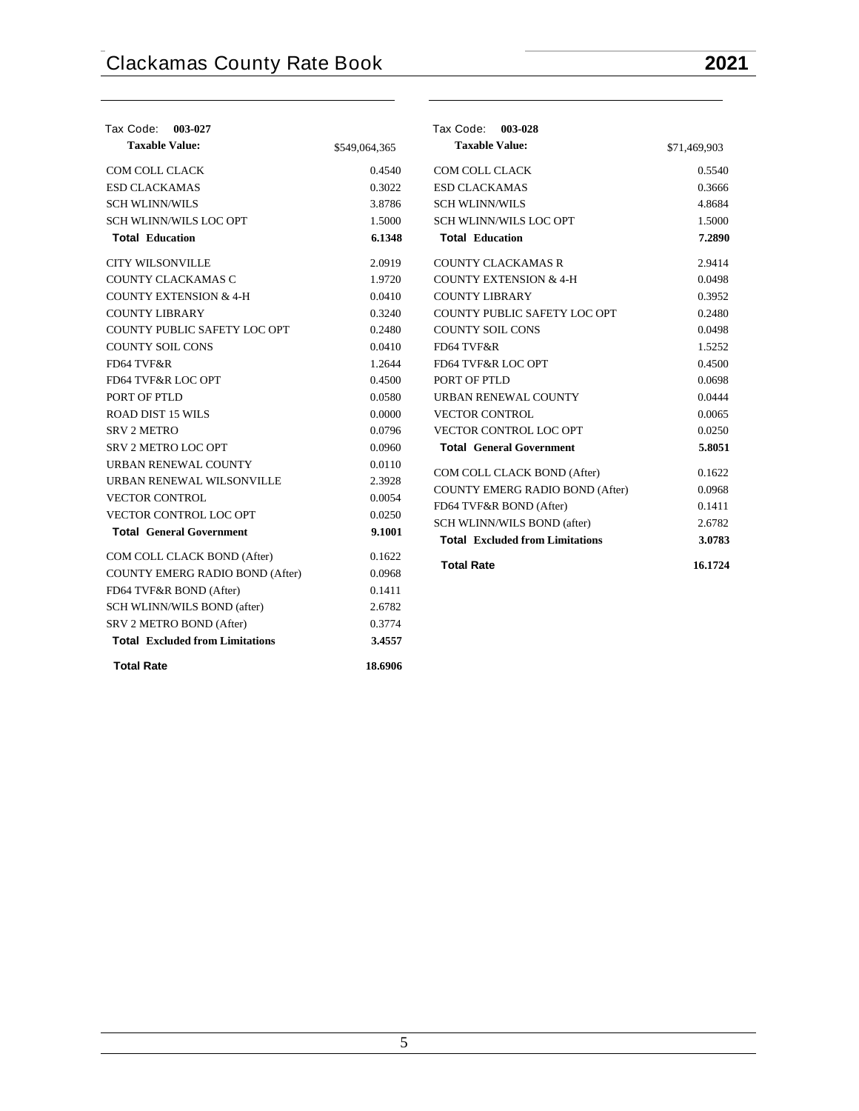| Tax Code: 003-027                      |               | Tax Code: 003-028                      |              |
|----------------------------------------|---------------|----------------------------------------|--------------|
| <b>Taxable Value:</b>                  | \$549,064,365 | <b>Taxable Value:</b>                  | \$71,469,903 |
| COM COLL CLACK                         | 0.4540        | COM COLL CLACK                         | 0.5540       |
| <b>ESD CLACKAMAS</b>                   | 0.3022        | <b>ESD CLACKAMAS</b>                   | 0.3666       |
| <b>SCH WLINN/WILS</b>                  | 3.8786        | <b>SCH WLINN/WILS</b>                  | 4.8684       |
| <b>SCH WLINN/WILS LOC OPT</b>          | 1.5000        | <b>SCH WLINN/WILS LOC OPT</b>          | 1.5000       |
| <b>Total Education</b>                 | 6.1348        | <b>Total Education</b>                 | 7.2890       |
| <b>CITY WILSONVILLE</b>                | 2.0919        | <b>COUNTY CLACKAMAS R</b>              | 2.9414       |
| COUNTY CLACKAMAS C                     | 1.9720        | <b>COUNTY EXTENSION &amp; 4-H</b>      | 0.0498       |
| <b>COUNTY EXTENSION &amp; 4-H</b>      | 0.0410        | <b>COUNTY LIBRARY</b>                  | 0.3952       |
| <b>COUNTY LIBRARY</b>                  | 0.3240        | COUNTY PUBLIC SAFETY LOC OPT           | 0.2480       |
| COUNTY PUBLIC SAFETY LOC OPT           | 0.2480        | <b>COUNTY SOIL CONS</b>                | 0.0498       |
| <b>COUNTY SOIL CONS</b>                | 0.0410        | FD64 TVF&R                             | 1.5252       |
| FD64 TVF&R                             | 1.2644        | FD64 TVF&R LOC OPT                     | 0.4500       |
| FD64 TVF&R LOC OPT                     | 0.4500        | PORT OF PTLD                           | 0.0698       |
| PORT OF PTLD                           | 0.0580        | URBAN RENEWAL COUNTY                   | 0.0444       |
| <b>ROAD DIST 15 WILS</b>               | 0.0000        | <b>VECTOR CONTROL</b>                  | 0.0065       |
| <b>SRV 2 METRO</b>                     | 0.0796        | VECTOR CONTROL LOC OPT                 | 0.0250       |
| SRV 2 METRO LOC OPT                    | 0.0960        | <b>Total General Government</b>        | 5.8051       |
| URBAN RENEWAL COUNTY                   | 0.0110        | COM COLL CLACK BOND (After)            | 0.1622       |
| URBAN RENEWAL WILSONVILLE              | 2.3928        | <b>COUNTY EMERG RADIO BOND (After)</b> | 0.0968       |
| <b>VECTOR CONTROL</b>                  | 0.0054        | FD64 TVF&R BOND (After)                | 0.1411       |
| VECTOR CONTROL LOC OPT                 | 0.0250        | SCH WLINN/WILS BOND (after)            | 2.6782       |
| <b>Total General Government</b>        | 9.1001        | <b>Total Excluded from Limitations</b> | 3.0783       |
| COM COLL CLACK BOND (After)            | 0.1622        |                                        |              |
| COUNTY EMERG RADIO BOND (After)        | 0.0968        | <b>Total Rate</b>                      | 16.1724      |
| FD64 TVF&R BOND (After)                | 0.1411        |                                        |              |
| SCH WLINN/WILS BOND (after)            | 2.6782        |                                        |              |
| SRV 2 METRO BOND (After)               | 0.3774        |                                        |              |
| <b>Total Excluded from Limitations</b> | 3.4557        |                                        |              |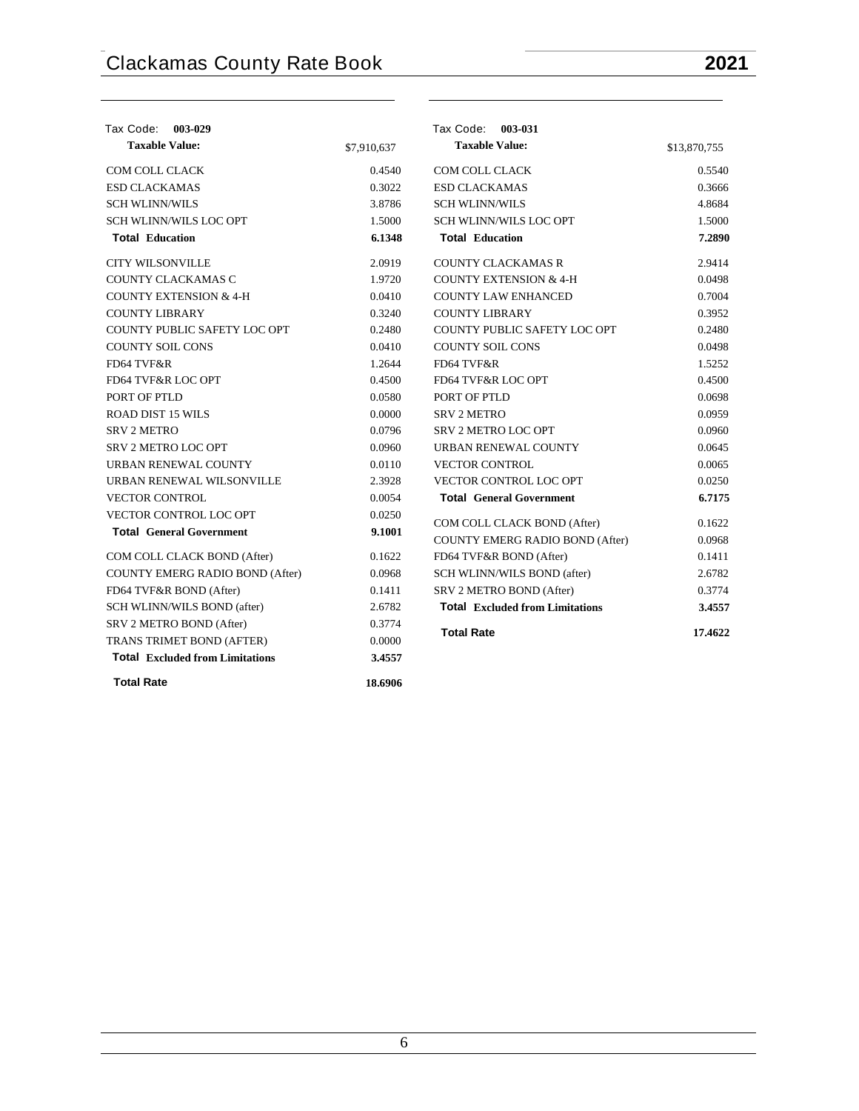| Tax Code:<br>003-029                   |             | Tax Code: 003-031                      |              |
|----------------------------------------|-------------|----------------------------------------|--------------|
| <b>Taxable Value:</b>                  | \$7,910,637 | <b>Taxable Value:</b>                  | \$13,870,755 |
| <b>COM COLL CLACK</b>                  | 0.4540      | <b>COM COLL CLACK</b>                  | 0.5540       |
| <b>ESD CLACKAMAS</b>                   | 0.3022      | <b>ESD CLACKAMAS</b>                   | 0.3666       |
| <b>SCH WLINN/WILS</b>                  | 3.8786      | <b>SCH WLINN/WILS</b>                  | 4.8684       |
| SCH WLINN/WILS LOC OPT                 | 1.5000      | SCH WLINN/WILS LOC OPT                 | 1.5000       |
| <b>Total Education</b>                 | 6.1348      | <b>Total Education</b>                 | 7.2890       |
| <b>CITY WILSONVILLE</b>                | 2.0919      | <b>COUNTY CLACKAMAS R</b>              | 2.9414       |
| COUNTY CLACKAMAS C                     | 1.9720      | <b>COUNTY EXTENSION &amp; 4-H</b>      | 0.0498       |
| <b>COUNTY EXTENSION &amp; 4-H</b>      | 0.0410      | <b>COUNTY LAW ENHANCED</b>             | 0.7004       |
| <b>COUNTY LIBRARY</b>                  | 0.3240      | <b>COUNTY LIBRARY</b>                  | 0.3952       |
| COUNTY PUBLIC SAFETY LOC OPT           | 0.2480      | COUNTY PUBLIC SAFETY LOC OPT           | 0.2480       |
| <b>COUNTY SOIL CONS</b>                | 0.0410      | <b>COUNTY SOIL CONS</b>                | 0.0498       |
| FD64 TVF&R                             | 1.2644      | FD64 TVF&R                             | 1.5252       |
| FD64 TVF&R LOC OPT                     | 0.4500      | FD64 TVF&R LOC OPT                     | 0.4500       |
| PORT OF PTLD                           | 0.0580      | PORT OF PTLD                           | 0.0698       |
| <b>ROAD DIST 15 WILS</b>               | 0.0000      | <b>SRV 2 METRO</b>                     | 0.0959       |
| <b>SRV 2 METRO</b>                     | 0.0796      | <b>SRV 2 METRO LOC OPT</b>             | 0.0960       |
| <b>SRV 2 METRO LOC OPT</b>             | 0.0960      | URBAN RENEWAL COUNTY                   | 0.0645       |
| URBAN RENEWAL COUNTY                   | 0.0110      | <b>VECTOR CONTROL</b>                  | 0.0065       |
| URBAN RENEWAL WILSONVILLE              | 2.3928      | VECTOR CONTROL LOC OPT                 | 0.0250       |
| <b>VECTOR CONTROL</b>                  | 0.0054      | <b>Total General Government</b>        | 6.7175       |
| <b>VECTOR CONTROL LOC OPT</b>          | 0.0250      | COM COLL CLACK BOND (After)            | 0.1622       |
| <b>Total General Government</b>        | 9.1001      | COUNTY EMERG RADIO BOND (After)        | 0.0968       |
| COM COLL CLACK BOND (After)            | 0.1622      | FD64 TVF&R BOND (After)                | 0.1411       |
| COUNTY EMERG RADIO BOND (After)        | 0.0968      | SCH WLINN/WILS BOND (after)            | 2.6782       |
| FD64 TVF&R BOND (After)                | 0.1411      | SRV 2 METRO BOND (After)               | 0.3774       |
| SCH WLINN/WILS BOND (after)            | 2.6782      | <b>Total Excluded from Limitations</b> | 3.4557       |
| SRV 2 METRO BOND (After)               | 0.3774      |                                        |              |
| TRANS TRIMET BOND (AFTER)              | 0.0000      | <b>Total Rate</b>                      | 17.4622      |
| <b>Total Excluded from Limitations</b> | 3.4557      |                                        |              |
| <b>Total Rate</b>                      | 18.6906     |                                        |              |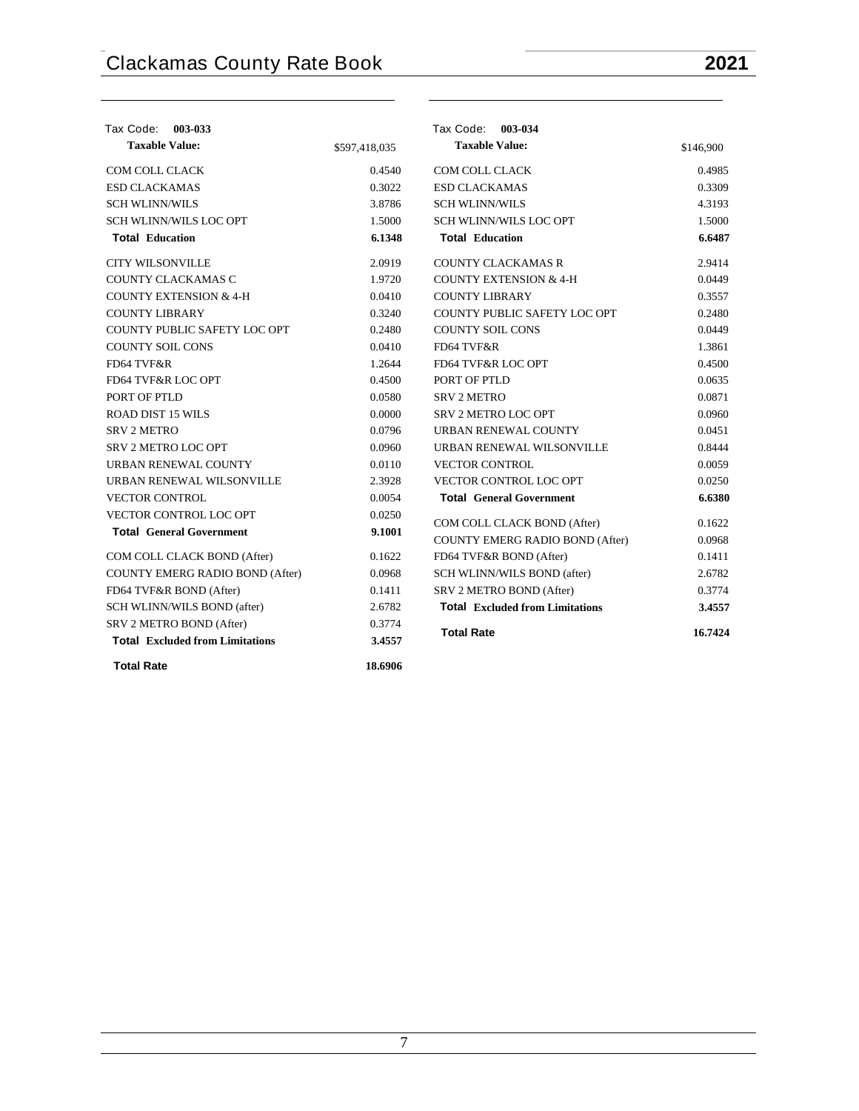| Tax Code: 003-033                      |               | Tax Code: 003-034                      |           |
|----------------------------------------|---------------|----------------------------------------|-----------|
| <b>Taxable Value:</b>                  | \$597,418,035 | <b>Taxable Value:</b>                  | \$146,900 |
| COM COLL CLACK                         | 0.4540        | COM COLL CLACK                         | 0.4985    |
| <b>ESD CLACKAMAS</b>                   | 0.3022        | <b>ESD CLACKAMAS</b>                   | 0.3309    |
| <b>SCH WLINN/WILS</b>                  | 3.8786        | <b>SCH WLINN/WILS</b>                  | 4.3193    |
| <b>SCH WLINN/WILS LOC OPT</b>          | 1.5000        | <b>SCH WLINN/WILS LOC OPT</b>          | 1.5000    |
| <b>Total Education</b>                 | 6.1348        | <b>Total Education</b>                 | 6.6487    |
| <b>CITY WILSONVILLE</b>                | 2.0919        | <b>COUNTY CLACKAMAS R</b>              | 2.9414    |
| COUNTY CLACKAMAS C                     | 1.9720        | <b>COUNTY EXTENSION &amp; 4-H</b>      | 0.0449    |
| <b>COUNTY EXTENSION &amp; 4-H</b>      | 0.0410        | <b>COUNTY LIBRARY</b>                  | 0.3557    |
| <b>COUNTY LIBRARY</b>                  | 0.3240        | COUNTY PUBLIC SAFETY LOC OPT           | 0.2480    |
| COUNTY PUBLIC SAFETY LOC OPT           | 0.2480        | <b>COUNTY SOIL CONS</b>                | 0.0449    |
| <b>COUNTY SOIL CONS</b>                | 0.0410        | FD64 TVF&R                             | 1.3861    |
| FD64 TVF&R                             | 1.2644        | FD64 TVF&R LOC OPT                     | 0.4500    |
| FD64 TVF&R LOC OPT                     | 0.4500        | PORT OF PTLD                           | 0.0635    |
| PORT OF PTLD                           | 0.0580        | <b>SRV 2 METRO</b>                     | 0.0871    |
| <b>ROAD DIST 15 WILS</b>               | 0.0000        | SRV 2 METRO LOC OPT                    | 0.0960    |
| <b>SRV 2 METRO</b>                     | 0.0796        | URBAN RENEWAL COUNTY                   | 0.0451    |
| SRV 2 METRO LOC OPT                    | 0.0960        | URBAN RENEWAL WILSONVILLE              | 0.8444    |
| URBAN RENEWAL COUNTY                   | 0.0110        | <b>VECTOR CONTROL</b>                  | 0.0059    |
| URBAN RENEWAL WILSONVILLE              | 2.3928        | VECTOR CONTROL LOC OPT                 | 0.0250    |
| <b>VECTOR CONTROL</b>                  | 0.0054        | <b>Total General Government</b>        | 6.6380    |
| VECTOR CONTROL LOC OPT                 | 0.0250        | COM COLL CLACK BOND (After)            | 0.1622    |
| <b>Total General Government</b>        | 9.1001        | COUNTY EMERG RADIO BOND (After)        | 0.0968    |
| COM COLL CLACK BOND (After)            | 0.1622        | FD64 TVF&R BOND (After)                | 0.1411    |
| COUNTY EMERG RADIO BOND (After)        | 0.0968        | SCH WLINN/WILS BOND (after)            | 2.6782    |
| FD64 TVF&R BOND (After)                | 0.1411        | SRV 2 METRO BOND (After)               | 0.3774    |
| SCH WLINN/WILS BOND (after)            | 2.6782        | <b>Total Excluded from Limitations</b> | 3.4557    |
| SRV 2 METRO BOND (After)               | 0.3774        |                                        |           |
| <b>Total Excluded from Limitations</b> | 3.4557        | <b>Total Rate</b>                      | 16.7424   |
| <b>Total Rate</b>                      | 18.6906       |                                        |           |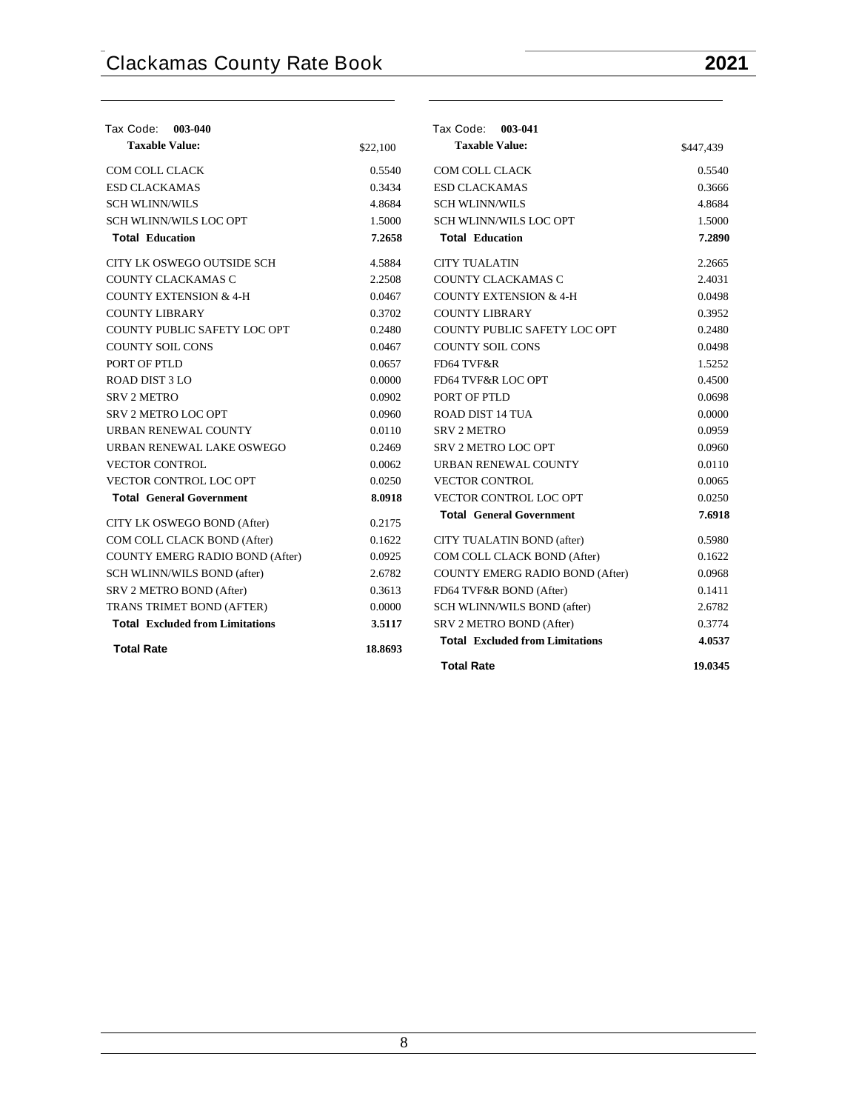| Tax Code: 003-040                      |          | Tax Code: 003-041                      |           |
|----------------------------------------|----------|----------------------------------------|-----------|
| <b>Taxable Value:</b>                  | \$22,100 | <b>Taxable Value:</b>                  | \$447,439 |
| <b>COM COLL CLACK</b>                  | 0.5540   | <b>COM COLL CLACK</b>                  | 0.5540    |
| <b>ESD CLACKAMAS</b>                   | 0.3434   | <b>ESD CLACKAMAS</b>                   | 0.3666    |
| <b>SCH WLINN/WILS</b>                  | 4.8684   | <b>SCH WLINN/WILS</b>                  | 4.8684    |
| SCH WLINN/WILS LOC OPT                 | 1.5000   | <b>SCH WLINN/WILS LOC OPT</b>          | 1.5000    |
| <b>Total Education</b>                 | 7.2658   | <b>Total Education</b>                 | 7.2890    |
| CITY LK OSWEGO OUTSIDE SCH             | 4.5884   | <b>CITY TUALATIN</b>                   | 2.2665    |
| COUNTY CLACKAMAS C                     | 2.2508   | COUNTY CLACKAMAS C                     | 2.4031    |
| <b>COUNTY EXTENSION &amp; 4-H</b>      | 0.0467   | <b>COUNTY EXTENSION &amp; 4-H</b>      | 0.0498    |
| <b>COUNTY LIBRARY</b>                  | 0.3702   | <b>COUNTY LIBRARY</b>                  | 0.3952    |
| COUNTY PUBLIC SAFETY LOC OPT           | 0.2480   | COUNTY PUBLIC SAFETY LOC OPT           | 0.2480    |
| <b>COUNTY SOIL CONS</b>                | 0.0467   | <b>COUNTY SOIL CONS</b>                | 0.0498    |
| PORT OF PTLD                           | 0.0657   | FD64 TVF&R                             | 1.5252    |
| ROAD DIST 3 LO                         | 0.0000   | FD64 TVF&R LOC OPT                     | 0.4500    |
| <b>SRV 2 METRO</b>                     | 0.0902   | PORT OF PTLD                           | 0.0698    |
| SRV 2 METRO LOC OPT                    | 0.0960   | <b>ROAD DIST 14 TUA</b>                | 0.0000    |
| URBAN RENEWAL COUNTY                   | 0.0110   | <b>SRV 2 METRO</b>                     | 0.0959    |
| URBAN RENEWAL LAKE OSWEGO              | 0.2469   | SRV 2 METRO LOC OPT                    | 0.0960    |
| <b>VECTOR CONTROL</b>                  | 0.0062   | URBAN RENEWAL COUNTY                   | 0.0110    |
| <b>VECTOR CONTROL LOC OPT</b>          | 0.0250   | <b>VECTOR CONTROL</b>                  | 0.0065    |
| <b>Total General Government</b>        | 8.0918   | VECTOR CONTROL LOC OPT                 | 0.0250    |
| CITY LK OSWEGO BOND (After)            | 0.2175   | <b>Total General Government</b>        | 7.6918    |
| COM COLL CLACK BOND (After)            | 0.1622   | CITY TUALATIN BOND (after)             | 0.5980    |
| COUNTY EMERG RADIO BOND (After)        | 0.0925   | COM COLL CLACK BOND (After)            | 0.1622    |
| SCH WLINN/WILS BOND (after)            | 2.6782   | COUNTY EMERG RADIO BOND (After)        | 0.0968    |
| SRV 2 METRO BOND (After)               | 0.3613   | FD64 TVF&R BOND (After)                | 0.1411    |
| <b>TRANS TRIMET BOND (AFTER)</b>       | 0.0000   | SCH WLINN/WILS BOND (after)            | 2.6782    |
| <b>Total Excluded from Limitations</b> | 3.5117   | SRV 2 METRO BOND (After)               | 0.3774    |
| <b>Total Rate</b>                      | 18.8693  | <b>Total Excluded from Limitations</b> | 4.0537    |
|                                        |          | <b>Total Rate</b>                      | 19.0345   |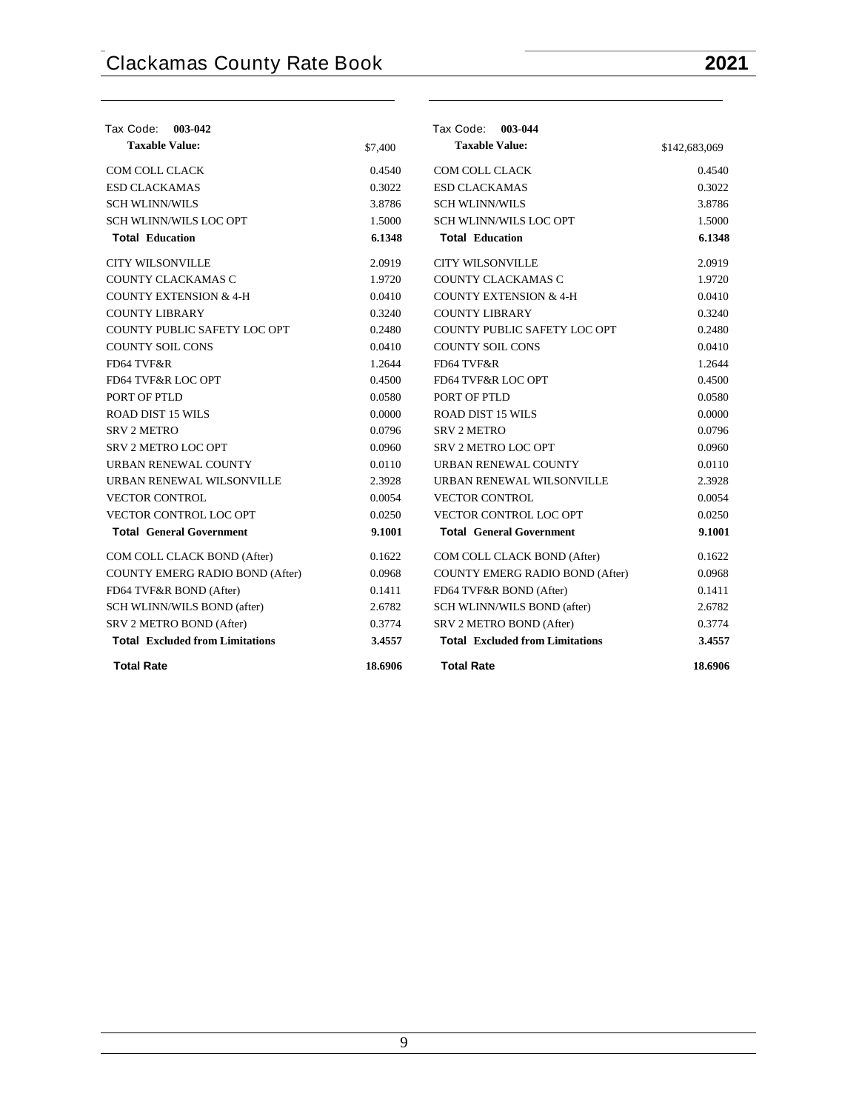| Tax Code: 003-042                      |         | Tax Code: 003-044                      |               |
|----------------------------------------|---------|----------------------------------------|---------------|
| <b>Taxable Value:</b>                  | \$7,400 | <b>Taxable Value:</b>                  | \$142,683,069 |
| <b>COM COLL CLACK</b>                  | 0.4540  | COM COLL CLACK                         | 0.4540        |
| <b>ESD CLACKAMAS</b>                   | 0.3022  | <b>ESD CLACKAMAS</b>                   | 0.3022        |
| <b>SCH WLINN/WILS</b>                  | 3.8786  | <b>SCH WLINN/WILS</b>                  | 3.8786        |
| <b>SCH WLINN/WILS LOC OPT</b>          | 1.5000  | <b>SCH WLINN/WILS LOC OPT</b>          | 1.5000        |
| <b>Total Education</b>                 | 6.1348  | <b>Total Education</b>                 | 6.1348        |
| <b>CITY WILSONVILLE</b>                | 2.0919  | <b>CITY WILSONVILLE</b>                | 2.0919        |
| COUNTY CLACKAMAS C                     | 1.9720  | COUNTY CLACKAMAS C                     | 1.9720        |
| <b>COUNTY EXTENSION &amp; 4-H</b>      | 0.0410  | <b>COUNTY EXTENSION &amp; 4-H</b>      | 0.0410        |
| <b>COUNTY LIBRARY</b>                  | 0.3240  | <b>COUNTY LIBRARY</b>                  | 0.3240        |
| COUNTY PUBLIC SAFETY LOC OPT           | 0.2480  | COUNTY PUBLIC SAFETY LOC OPT           | 0.2480        |
| <b>COUNTY SOIL CONS</b>                | 0.0410  | <b>COUNTY SOIL CONS</b>                | 0.0410        |
| FD64 TVF&R                             | 1.2644  | FD64 TVF&R                             | 1.2644        |
| FD64 TVF&R LOC OPT                     | 0.4500  | FD64 TVF&R LOC OPT                     | 0.4500        |
| PORT OF PTLD                           | 0.0580  | PORT OF PTLD                           | 0.0580        |
| <b>ROAD DIST 15 WILS</b>               | 0.0000  | <b>ROAD DIST 15 WILS</b>               | 0.0000        |
| <b>SRV 2 METRO</b>                     | 0.0796  | <b>SRV 2 METRO</b>                     | 0.0796        |
| <b>SRV 2 METRO LOC OPT</b>             | 0.0960  | SRV 2 METRO LOC OPT                    | 0.0960        |
| URBAN RENEWAL COUNTY                   | 0.0110  | URBAN RENEWAL COUNTY                   | 0.0110        |
| URBAN RENEWAL WILSONVILLE              | 2.3928  | URBAN RENEWAL WILSONVILLE              | 2.3928        |
| <b>VECTOR CONTROL</b>                  | 0.0054  | <b>VECTOR CONTROL</b>                  | 0.0054        |
| VECTOR CONTROL LOC OPT                 | 0.0250  | VECTOR CONTROL LOC OPT                 | 0.0250        |
| <b>Total General Government</b>        | 9.1001  | <b>Total General Government</b>        | 9.1001        |
| COM COLL CLACK BOND (After)            | 0.1622  | COM COLL CLACK BOND (After)            | 0.1622        |
| COUNTY EMERG RADIO BOND (After)        | 0.0968  | COUNTY EMERG RADIO BOND (After)        | 0.0968        |
| FD64 TVF&R BOND (After)                | 0.1411  | FD64 TVF&R BOND (After)                | 0.1411        |
| SCH WLINN/WILS BOND (after)            | 2.6782  | SCH WLINN/WILS BOND (after)            | 2.6782        |
| SRV 2 METRO BOND (After)               | 0.3774  | SRV 2 METRO BOND (After)               | 0.3774        |
| <b>Total Excluded from Limitations</b> | 3.4557  | <b>Total Excluded from Limitations</b> | 3.4557        |
| <b>Total Rate</b>                      | 18.6906 | <b>Total Rate</b>                      | 18.6906       |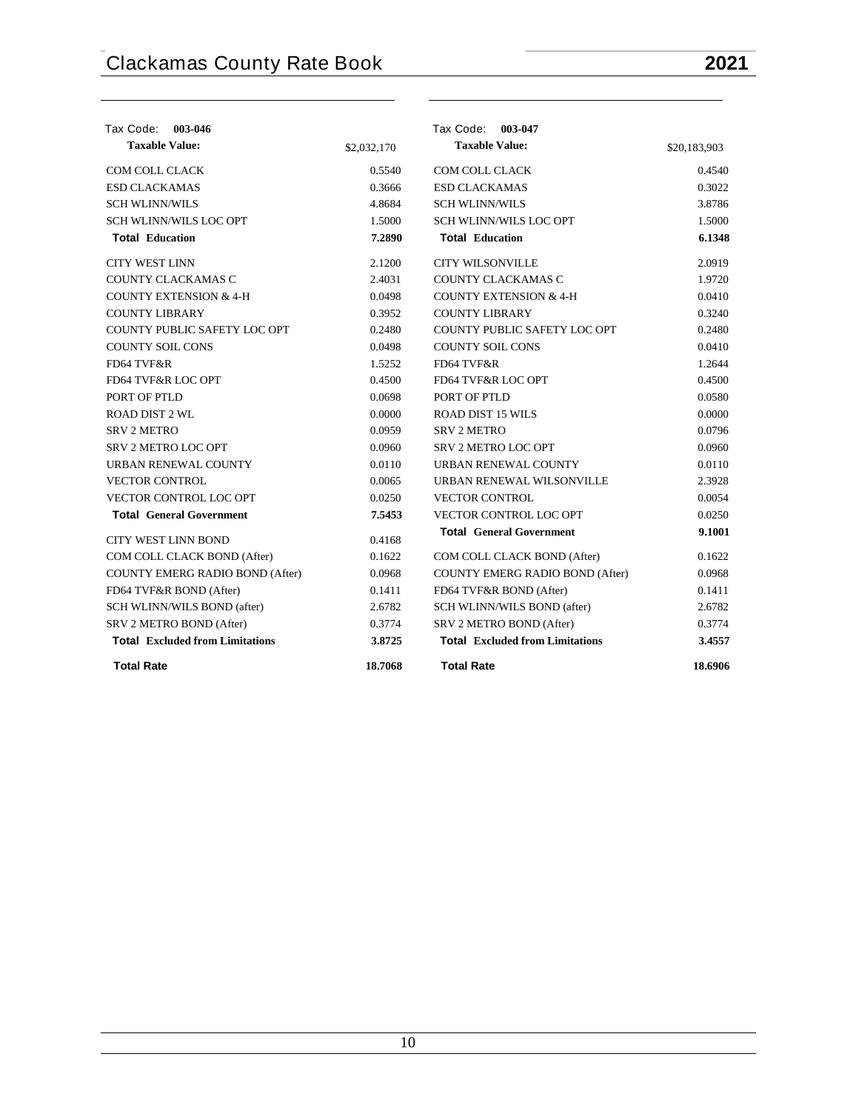| Tax Code: 003-046                      |             | Tax Code: 003-047                      |              |
|----------------------------------------|-------------|----------------------------------------|--------------|
| <b>Taxable Value:</b>                  | \$2,032,170 | <b>Taxable Value:</b>                  | \$20,183,903 |
| COM COLL CLACK                         | 0.5540      | COM COLL CLACK                         | 0.4540       |
| <b>ESD CLACKAMAS</b>                   | 0.3666      | <b>ESD CLACKAMAS</b>                   | 0.3022       |
| <b>SCH WLINN/WILS</b>                  | 4.8684      | <b>SCH WLINN/WILS</b>                  | 3.8786       |
| <b>SCH WLINN/WILS LOC OPT</b>          | 1.5000      | <b>SCH WLINN/WILS LOC OPT</b>          | 1.5000       |
| <b>Total Education</b>                 | 7.2890      | <b>Total Education</b>                 | 6.1348       |
| <b>CITY WEST LINN</b>                  | 2.1200      | <b>CITY WILSONVILLE</b>                | 2.0919       |
| COUNTY CLACKAMAS C                     | 2.4031      | COUNTY CLACKAMAS C                     | 1.9720       |
| <b>COUNTY EXTENSION &amp; 4-H</b>      | 0.0498      | <b>COUNTY EXTENSION &amp; 4-H</b>      | 0.0410       |
| <b>COUNTY LIBRARY</b>                  | 0.3952      | <b>COUNTY LIBRARY</b>                  | 0.3240       |
| COUNTY PUBLIC SAFETY LOC OPT           | 0.2480      | COUNTY PUBLIC SAFETY LOC OPT           | 0.2480       |
| <b>COUNTY SOIL CONS</b>                | 0.0498      | <b>COUNTY SOIL CONS</b>                | 0.0410       |
| FD64 TVF&R                             | 1.5252      | FD64 TVF&R                             | 1.2644       |
| <b>FD64 TVF&amp;R LOC OPT</b>          | 0.4500      | FD64 TVF&R LOC OPT                     | 0.4500       |
| PORT OF PTLD                           | 0.0698      | PORT OF PTLD                           | 0.0580       |
| <b>ROAD DIST 2 WL</b>                  | 0.0000      | <b>ROAD DIST 15 WILS</b>               | 0.0000       |
| <b>SRV 2 METRO</b>                     | 0.0959      | <b>SRV 2 METRO</b>                     | 0.0796       |
| SRV 2 METRO LOC OPT                    | 0.0960      | SRV 2 METRO LOC OPT                    | 0.0960       |
| URBAN RENEWAL COUNTY                   | 0.0110      | URBAN RENEWAL COUNTY                   | 0.0110       |
| <b>VECTOR CONTROL</b>                  | 0.0065      | URBAN RENEWAL WILSONVILLE              | 2.3928       |
| VECTOR CONTROL LOC OPT                 | 0.0250      | <b>VECTOR CONTROL</b>                  | 0.0054       |
| <b>Total General Government</b>        | 7.5453      | VECTOR CONTROL LOC OPT                 | 0.0250       |
| <b>CITY WEST LINN BOND</b>             | 0.4168      | <b>Total General Government</b>        | 9.1001       |
| COM COLL CLACK BOND (After)            | 0.1622      | COM COLL CLACK BOND (After)            | 0.1622       |
| COUNTY EMERG RADIO BOND (After)        | 0.0968      | COUNTY EMERG RADIO BOND (After)        | 0.0968       |
| FD64 TVF&R BOND (After)                | 0.1411      | FD64 TVF&R BOND (After)                | 0.1411       |
| SCH WLINN/WILS BOND (after)            | 2.6782      | SCH WLINN/WILS BOND (after)            | 2.6782       |
| SRV 2 METRO BOND (After)               | 0.3774      | SRV 2 METRO BOND (After)               | 0.3774       |
| <b>Total Excluded from Limitations</b> | 3.8725      | <b>Total Excluded from Limitations</b> | 3.4557       |
| <b>Total Rate</b>                      | 18.7068     | <b>Total Rate</b>                      | 18.6906      |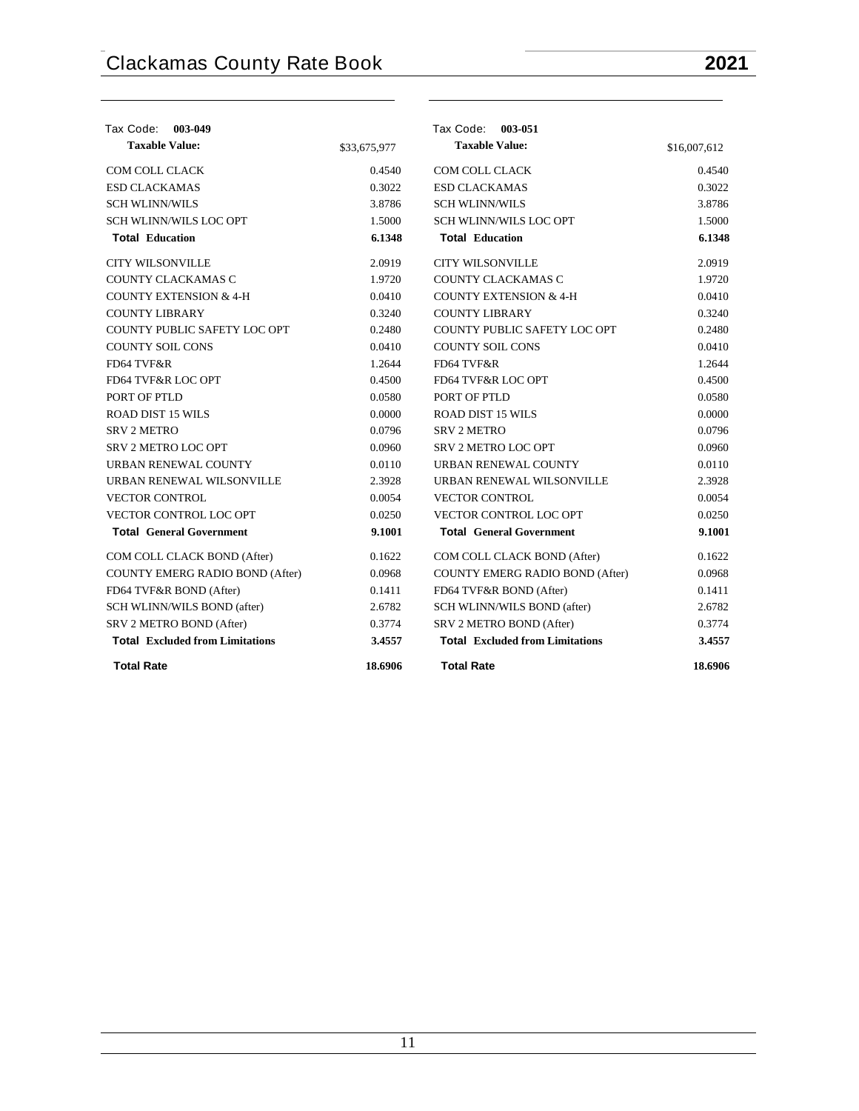| Tax Code: 003-049                      |              | Tax Code: 003-051                      |              |
|----------------------------------------|--------------|----------------------------------------|--------------|
| <b>Taxable Value:</b>                  | \$33,675,977 | <b>Taxable Value:</b>                  | \$16,007,612 |
| COM COLL CLACK                         | 0.4540       | COM COLL CLACK                         | 0.4540       |
| <b>ESD CLACKAMAS</b>                   | 0.3022       | <b>ESD CLACKAMAS</b>                   | 0.3022       |
| <b>SCH WLINN/WILS</b>                  | 3.8786       | <b>SCH WLINN/WILS</b>                  | 3.8786       |
| <b>SCH WLINN/WILS LOC OPT</b>          | 1.5000       | SCH WLINN/WILS LOC OPT                 | 1.5000       |
| <b>Total Education</b>                 | 6.1348       | <b>Total Education</b>                 | 6.1348       |
| <b>CITY WILSONVILLE</b>                | 2.0919       | <b>CITY WILSONVILLE</b>                | 2.0919       |
| COUNTY CLACKAMAS C                     | 1.9720       | COUNTY CLACKAMAS C                     | 1.9720       |
| <b>COUNTY EXTENSION &amp; 4-H</b>      | 0.0410       | <b>COUNTY EXTENSION &amp; 4-H</b>      | 0.0410       |
| <b>COUNTY LIBRARY</b>                  | 0.3240       | <b>COUNTY LIBRARY</b>                  | 0.3240       |
| COUNTY PUBLIC SAFETY LOC OPT           | 0.2480       | COUNTY PUBLIC SAFETY LOC OPT           | 0.2480       |
| <b>COUNTY SOIL CONS</b>                | 0.0410       | <b>COUNTY SOIL CONS</b>                | 0.0410       |
| FD64 TVF&R                             | 1.2644       | FD64 TVF&R                             | 1.2644       |
| FD64 TVF&R LOC OPT                     | 0.4500       | FD64 TVF&R LOC OPT                     | 0.4500       |
| PORT OF PTLD                           | 0.0580       | PORT OF PTLD                           | 0.0580       |
| <b>ROAD DIST 15 WILS</b>               | 0.0000       | <b>ROAD DIST 15 WILS</b>               | 0.0000       |
| <b>SRV 2 METRO</b>                     | 0.0796       | <b>SRV 2 METRO</b>                     | 0.0796       |
| SRV 2 METRO LOC OPT                    | 0.0960       | SRV 2 METRO LOC OPT                    | 0.0960       |
| URBAN RENEWAL COUNTY                   | 0.0110       | URBAN RENEWAL COUNTY                   | 0.0110       |
| URBAN RENEWAL WILSONVILLE              | 2.3928       | URBAN RENEWAL WILSONVILLE              | 2.3928       |
| <b>VECTOR CONTROL</b>                  | 0.0054       | <b>VECTOR CONTROL</b>                  | 0.0054       |
| VECTOR CONTROL LOC OPT                 | 0.0250       | VECTOR CONTROL LOC OPT                 | 0.0250       |
| <b>Total General Government</b>        | 9.1001       | <b>Total General Government</b>        | 9.1001       |
| COM COLL CLACK BOND (After)            | 0.1622       | COM COLL CLACK BOND (After)            | 0.1622       |
| <b>COUNTY EMERG RADIO BOND (After)</b> | 0.0968       | COUNTY EMERG RADIO BOND (After)        | 0.0968       |
| FD64 TVF&R BOND (After)                | 0.1411       | FD64 TVF&R BOND (After)                | 0.1411       |
| SCH WLINN/WILS BOND (after)            | 2.6782       | SCH WLINN/WILS BOND (after)            | 2.6782       |
| SRV 2 METRO BOND (After)               | 0.3774       | SRV 2 METRO BOND (After)               | 0.3774       |
| <b>Total Excluded from Limitations</b> | 3.4557       | <b>Total Excluded from Limitations</b> | 3.4557       |
| <b>Total Rate</b>                      | 18.6906      | <b>Total Rate</b>                      | 18.6906      |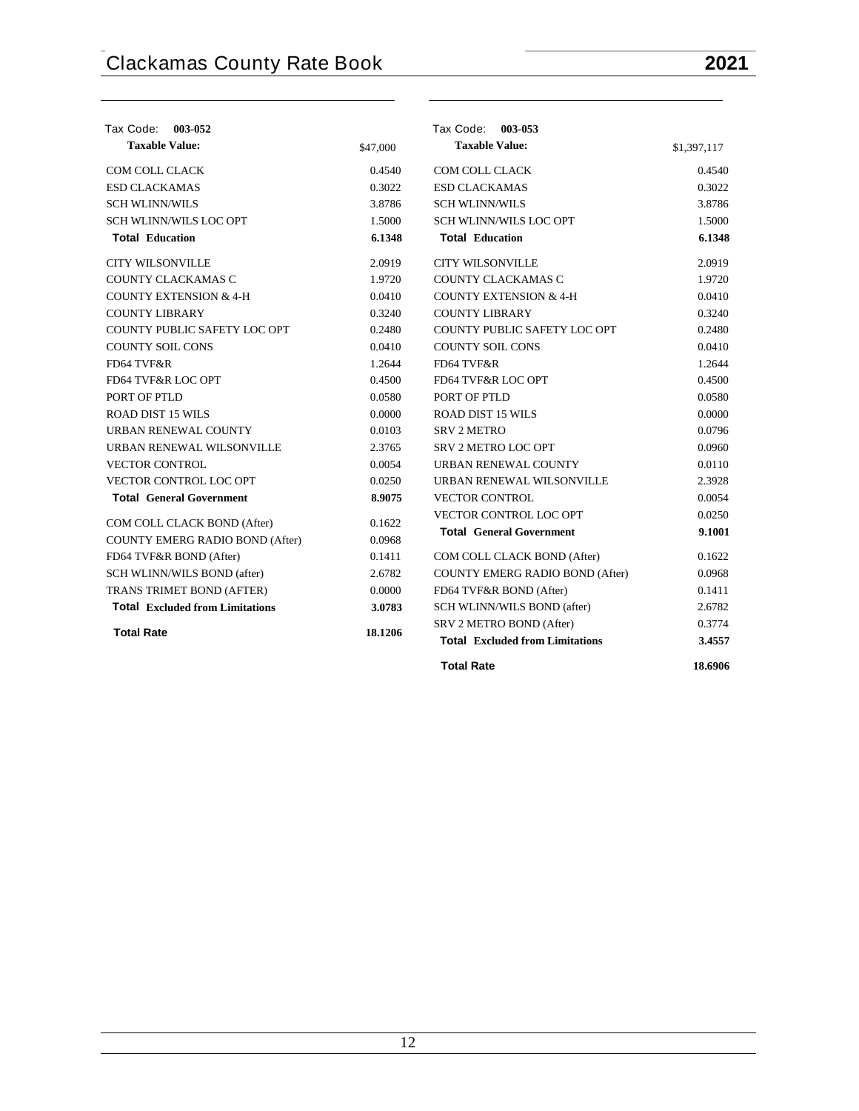| Tax Code:<br>003-052                   |          | Tax Code: 003-053                      |             |
|----------------------------------------|----------|----------------------------------------|-------------|
| <b>Taxable Value:</b>                  | \$47,000 | <b>Taxable Value:</b>                  | \$1,397,117 |
| COM COLL CLACK                         | 0.4540   | COM COLL CLACK                         | 0.4540      |
| <b>ESD CLACKAMAS</b>                   | 0.3022   | <b>ESD CLACKAMAS</b>                   | 0.3022      |
| <b>SCH WLINN/WILS</b>                  | 3.8786   | <b>SCH WLINN/WILS</b>                  | 3.8786      |
| <b>SCH WLINN/WILS LOC OPT</b>          | 1.5000   | <b>SCH WLINN/WILS LOC OPT</b>          | 1.5000      |
| <b>Total Education</b>                 | 6.1348   | <b>Total Education</b>                 | 6.1348      |
| <b>CITY WILSONVILLE</b>                | 2.0919   | <b>CITY WILSONVILLE</b>                | 2.0919      |
| COUNTY CLACKAMAS C                     | 1.9720   | COUNTY CLACKAMAS C                     | 1.9720      |
| <b>COUNTY EXTENSION &amp; 4-H</b>      | 0.0410   | <b>COUNTY EXTENSION &amp; 4-H</b>      | 0.0410      |
| <b>COUNTY LIBRARY</b>                  | 0.3240   | <b>COUNTY LIBRARY</b>                  | 0.3240      |
| COUNTY PUBLIC SAFETY LOC OPT           | 0.2480   | COUNTY PUBLIC SAFETY LOC OPT           | 0.2480      |
| <b>COUNTY SOIL CONS</b>                | 0.0410   | <b>COUNTY SOIL CONS</b>                | 0.0410      |
| FD64 TVF&R                             | 1.2644   | FD64 TVF&R                             | 1.2644      |
| <b>FD64 TVF&amp;R LOC OPT</b>          | 0.4500   | FD64 TVF&R LOC OPT                     | 0.4500      |
| PORT OF PTLD                           | 0.0580   | PORT OF PTLD                           | 0.0580      |
| <b>ROAD DIST 15 WILS</b>               | 0.0000   | <b>ROAD DIST 15 WILS</b>               | 0.0000      |
| URBAN RENEWAL COUNTY                   | 0.0103   | <b>SRV 2 METRO</b>                     | 0.0796      |
| URBAN RENEWAL WILSONVILLE              | 2.3765   | <b>SRV 2 METRO LOC OPT</b>             | 0.0960      |
| <b>VECTOR CONTROL</b>                  | 0.0054   | URBAN RENEWAL COUNTY                   | 0.0110      |
| <b>VECTOR CONTROL LOC OPT</b>          | 0.0250   | URBAN RENEWAL WILSONVILLE              | 2.3928      |
| <b>Total General Government</b>        | 8.9075   | <b>VECTOR CONTROL</b>                  | 0.0054      |
| COM COLL CLACK BOND (After)            | 0.1622   | VECTOR CONTROL LOC OPT                 | 0.0250      |
| COUNTY EMERG RADIO BOND (After)        | 0.0968   | <b>Total General Government</b>        | 9.1001      |
| FD64 TVF&R BOND (After)                | 0.1411   | COM COLL CLACK BOND (After)            | 0.1622      |
| SCH WLINN/WILS BOND (after)            | 2.6782   | COUNTY EMERG RADIO BOND (After)        | 0.0968      |
| <b>TRANS TRIMET BOND (AFTER)</b>       | 0.0000   | FD64 TVF&R BOND (After)                | 0.1411      |
| <b>Total Excluded from Limitations</b> | 3.0783   | SCH WLINN/WILS BOND (after)            | 2.6782      |
|                                        |          | SRV 2 METRO BOND (After)               | 0.3774      |
| <b>Total Rate</b>                      | 18.1206  | <b>Total Excluded from Limitations</b> | 3.4557      |
|                                        |          | <b>Total Rate</b>                      | 18.6906     |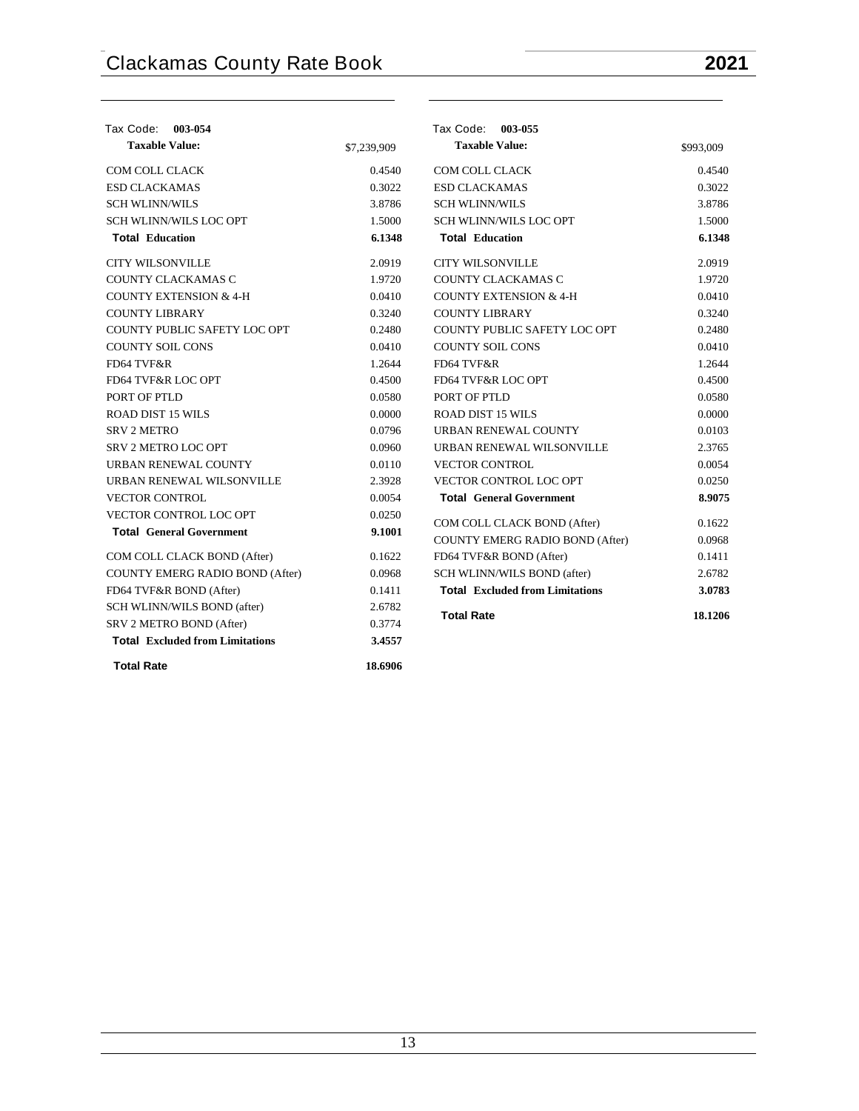| Tax Code: 003-054                      |             | Tax Code: 003-055                      |           |
|----------------------------------------|-------------|----------------------------------------|-----------|
| <b>Taxable Value:</b>                  | \$7,239,909 | <b>Taxable Value:</b>                  | \$993,009 |
| <b>COM COLL CLACK</b>                  | 0.4540      | COM COLL CLACK                         | 0.4540    |
| <b>ESD CLACKAMAS</b>                   | 0.3022      | <b>ESD CLACKAMAS</b>                   | 0.3022    |
| <b>SCH WLINN/WILS</b>                  | 3.8786      | <b>SCH WLINN/WILS</b>                  | 3.8786    |
| <b>SCH WLINN/WILS LOC OPT</b>          | 1.5000      | <b>SCH WLINN/WILS LOC OPT</b>          | 1.5000    |
| <b>Total Education</b>                 | 6.1348      | <b>Total Education</b>                 | 6.1348    |
| <b>CITY WILSONVILLE</b>                | 2.0919      | <b>CITY WILSONVILLE</b>                | 2.0919    |
| COUNTY CLACKAMAS C                     | 1.9720      | COUNTY CLACKAMAS C                     | 1.9720    |
| <b>COUNTY EXTENSION &amp; 4-H</b>      | 0.0410      | <b>COUNTY EXTENSION &amp; 4-H</b>      | 0.0410    |
| <b>COUNTY LIBRARY</b>                  | 0.3240      | <b>COUNTY LIBRARY</b>                  | 0.3240    |
| COUNTY PUBLIC SAFETY LOC OPT           | 0.2480      | COUNTY PUBLIC SAFETY LOC OPT           | 0.2480    |
| <b>COUNTY SOIL CONS</b>                | 0.0410      | <b>COUNTY SOIL CONS</b>                | 0.0410    |
| FD64 TVF&R                             | 1.2644      | FD64 TVF&R                             | 1.2644    |
| FD64 TVF&R LOC OPT                     | 0.4500      | FD64 TVF&R LOC OPT                     | 0.4500    |
| PORT OF PTLD                           | 0.0580      | PORT OF PTLD                           | 0.0580    |
| ROAD DIST 15 WILS                      | 0.0000      | <b>ROAD DIST 15 WILS</b>               | 0.0000    |
| <b>SRV 2 METRO</b>                     | 0.0796      | URBAN RENEWAL COUNTY                   | 0.0103    |
| SRV 2 METRO LOC OPT                    | 0.0960      | URBAN RENEWAL WILSONVILLE              | 2.3765    |
| URBAN RENEWAL COUNTY                   | 0.0110      | <b>VECTOR CONTROL</b>                  | 0.0054    |
| URBAN RENEWAL WILSONVILLE              | 2.3928      | VECTOR CONTROL LOC OPT                 | 0.0250    |
| <b>VECTOR CONTROL</b>                  | 0.0054      | <b>Total General Government</b>        | 8.9075    |
| VECTOR CONTROL LOC OPT                 | 0.0250      | COM COLL CLACK BOND (After)            | 0.1622    |
| <b>Total General Government</b>        | 9.1001      | COUNTY EMERG RADIO BOND (After)        | 0.0968    |
| COM COLL CLACK BOND (After)            | 0.1622      | FD64 TVF&R BOND (After)                | 0.1411    |
| COUNTY EMERG RADIO BOND (After)        | 0.0968      | SCH WLINN/WILS BOND (after)            | 2.6782    |
| FD64 TVF&R BOND (After)                | 0.1411      | <b>Total</b> Excluded from Limitations | 3.0783    |
| SCH WLINN/WILS BOND (after)            | 2.6782      |                                        |           |
| SRV 2 METRO BOND (After)               | 0.3774      | <b>Total Rate</b>                      | 18.1206   |
| <b>Total Excluded from Limitations</b> | 3.4557      |                                        |           |
| <b>Total Rate</b>                      | 18.6906     |                                        |           |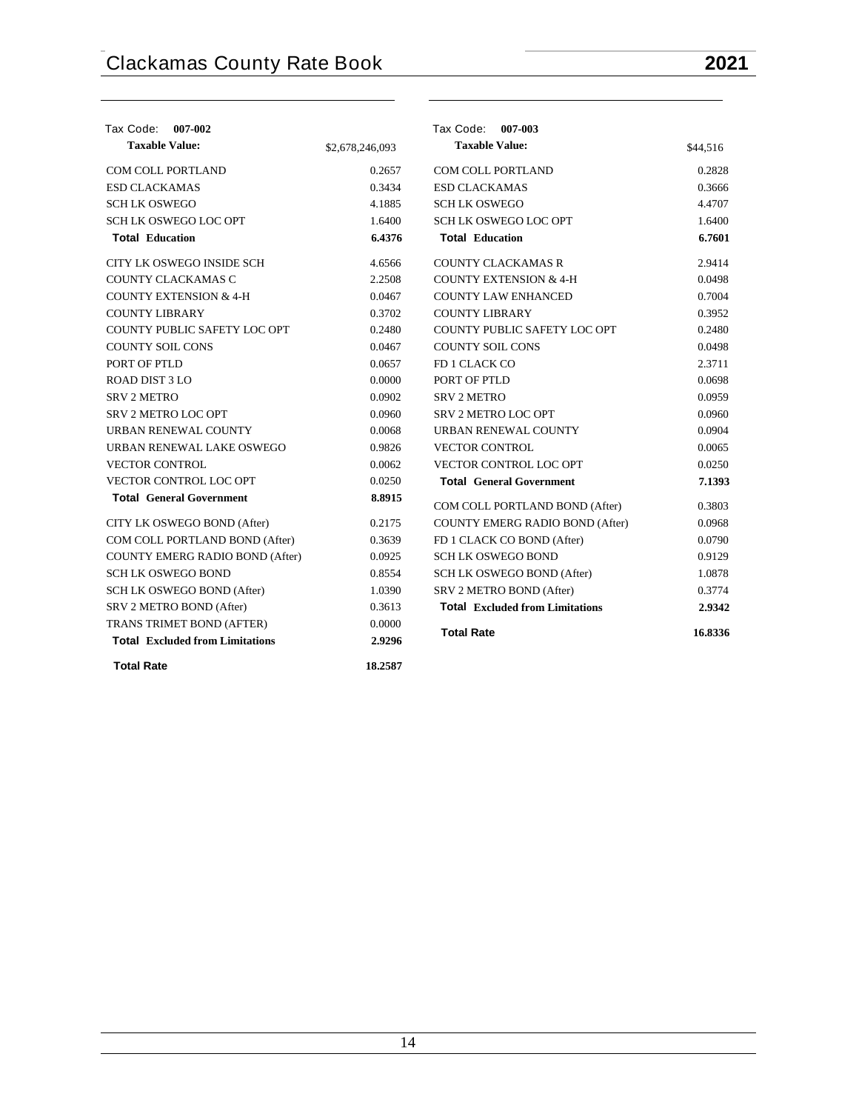| Tax Code: 007-002                      |                 | Tax Code: 007-003                      |          |
|----------------------------------------|-----------------|----------------------------------------|----------|
| <b>Taxable Value:</b>                  | \$2,678,246,093 | <b>Taxable Value:</b>                  | \$44,516 |
| <b>COM COLL PORTLAND</b>               | 0.2657          | <b>COM COLL PORTLAND</b>               | 0.2828   |
| <b>ESD CLACKAMAS</b>                   | 0.3434          | <b>ESD CLACKAMAS</b>                   | 0.3666   |
| <b>SCHLK OSWEGO</b>                    | 4.1885          | <b>SCHLK OSWEGO</b>                    | 4.4707   |
| <b>SCH LK OSWEGO LOC OPT</b>           | 1.6400          | <b>SCH LK OSWEGO LOC OPT</b>           | 1.6400   |
| <b>Total Education</b>                 | 6.4376          | <b>Total Education</b>                 | 6.7601   |
| CITY LK OSWEGO INSIDE SCH              | 4.6566          | <b>COUNTY CLACKAMAS R</b>              | 2.9414   |
| COUNTY CLACKAMAS C                     | 2.2508          | <b>COUNTY EXTENSION &amp; 4-H</b>      | 0.0498   |
| <b>COUNTY EXTENSION &amp; 4-H</b>      | 0.0467          | <b>COUNTY LAW ENHANCED</b>             | 0.7004   |
| <b>COUNTY LIBRARY</b>                  | 0.3702          | <b>COUNTY LIBRARY</b>                  | 0.3952   |
| COUNTY PUBLIC SAFETY LOC OPT           | 0.2480          | COUNTY PUBLIC SAFETY LOC OPT           | 0.2480   |
| <b>COUNTY SOIL CONS</b>                | 0.0467          | <b>COUNTY SOIL CONS</b>                | 0.0498   |
| PORT OF PTLD                           | 0.0657          | FD 1 CLACK CO                          | 2.3711   |
| <b>ROAD DIST 3 LO</b>                  | 0.0000          | PORT OF PTLD                           | 0.0698   |
| <b>SRV 2 METRO</b>                     | 0.0902          | <b>SRV 2 METRO</b>                     | 0.0959   |
| <b>SRV 2 METRO LOC OPT</b>             | 0.0960          | SRV 2 METRO LOC OPT                    | 0.0960   |
| URBAN RENEWAL COUNTY                   | 0.0068          | URBAN RENEWAL COUNTY                   | 0.0904   |
| URBAN RENEWAL LAKE OSWEGO              | 0.9826          | <b>VECTOR CONTROL</b>                  | 0.0065   |
| <b>VECTOR CONTROL</b>                  | 0.0062          | VECTOR CONTROL LOC OPT                 | 0.0250   |
| VECTOR CONTROL LOC OPT                 | 0.0250          | <b>Total General Government</b>        | 7.1393   |
| <b>Total General Government</b>        | 8.8915          | COM COLL PORTLAND BOND (After)         | 0.3803   |
| CITY LK OSWEGO BOND (After)            | 0.2175          | COUNTY EMERG RADIO BOND (After)        | 0.0968   |
| COM COLL PORTLAND BOND (After)         | 0.3639          | FD 1 CLACK CO BOND (After)             | 0.0790   |
| <b>COUNTY EMERG RADIO BOND (After)</b> | 0.0925          | <b>SCHLK OSWEGO BOND</b>               | 0.9129   |
| <b>SCH LK OSWEGO BOND</b>              | 0.8554          | SCH LK OSWEGO BOND (After)             | 1.0878   |
| SCH LK OSWEGO BOND (After)             | 1.0390          | SRV 2 METRO BOND (After)               | 0.3774   |
| SRV 2 METRO BOND (After)               | 0.3613          | <b>Total Excluded from Limitations</b> | 2.9342   |
| TRANS TRIMET BOND (AFTER)              | 0.0000          |                                        |          |
| <b>Total Excluded from Limitations</b> | 2.9296          | <b>Total Rate</b>                      | 16.8336  |
| <b>Total Rate</b>                      | 18.2587         |                                        |          |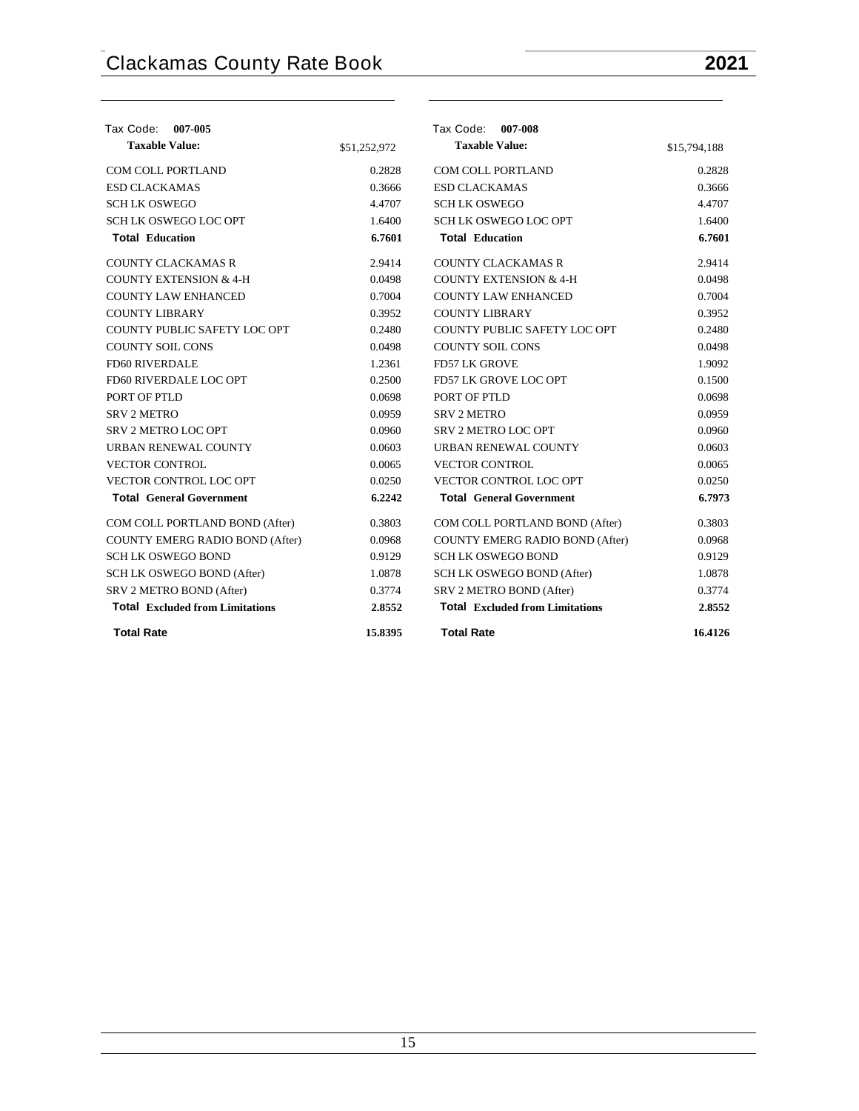| Tax Code:<br>007-005                   |              | Tax Code: 007-008                      |              |
|----------------------------------------|--------------|----------------------------------------|--------------|
| <b>Taxable Value:</b>                  | \$51,252,972 | <b>Taxable Value:</b>                  | \$15,794,188 |
| <b>COM COLL PORTLAND</b>               | 0.2828       | <b>COM COLL PORTLAND</b>               | 0.2828       |
| <b>ESD CLACKAMAS</b>                   | 0.3666       | <b>ESD CLACKAMAS</b>                   | 0.3666       |
| <b>SCHLK OSWEGO</b>                    | 4.4707       | <b>SCHLK OSWEGO</b>                    | 4.4707       |
| <b>SCH LK OSWEGO LOC OPT</b>           | 1.6400       | <b>SCH LK OSWEGO LOC OPT</b>           | 1.6400       |
| <b>Total Education</b>                 | 6.7601       | <b>Total Education</b>                 | 6.7601       |
| <b>COUNTY CLACKAMAS R</b>              | 2.9414       | <b>COUNTY CLACKAMAS R</b>              | 2.9414       |
| <b>COUNTY EXTENSION &amp; 4-H</b>      | 0.0498       | <b>COUNTY EXTENSION &amp; 4-H</b>      | 0.0498       |
| <b>COUNTY LAW ENHANCED</b>             | 0.7004       | <b>COUNTY LAW ENHANCED</b>             | 0.7004       |
| <b>COUNTY LIBRARY</b>                  | 0.3952       | <b>COUNTY LIBRARY</b>                  | 0.3952       |
| COUNTY PUBLIC SAFETY LOC OPT           | 0.2480       | COUNTY PUBLIC SAFETY LOC OPT           | 0.2480       |
| <b>COUNTY SOIL CONS</b>                | 0.0498       | <b>COUNTY SOIL CONS</b>                | 0.0498       |
| <b>FD60 RIVERDALE</b>                  | 1.2361       | <b>FD57 LK GROVE</b>                   | 1.9092       |
| FD60 RIVERDALE LOC OPT                 | 0.2500       | FD57 LK GROVE LOC OPT                  | 0.1500       |
| PORT OF PTLD                           | 0.0698       | PORT OF PTLD                           | 0.0698       |
| <b>SRV 2 METRO</b>                     | 0.0959       | <b>SRV 2 METRO</b>                     | 0.0959       |
| SRV 2 METRO LOC OPT                    | 0.0960       | <b>SRV 2 METRO LOC OPT</b>             | 0.0960       |
| URBAN RENEWAL COUNTY                   | 0.0603       | URBAN RENEWAL COUNTY                   | 0.0603       |
| <b>VECTOR CONTROL</b>                  | 0.0065       | <b>VECTOR CONTROL</b>                  | 0.0065       |
| VECTOR CONTROL LOC OPT                 | 0.0250       | VECTOR CONTROL LOC OPT                 | 0.0250       |
| <b>Total General Government</b>        | 6.2242       | <b>Total General Government</b>        | 6.7973       |
| COM COLL PORTLAND BOND (After)         | 0.3803       | COM COLL PORTLAND BOND (After)         | 0.3803       |
| COUNTY EMERG RADIO BOND (After)        | 0.0968       | COUNTY EMERG RADIO BOND (After)        | 0.0968       |
| <b>SCH LK OSWEGO BOND</b>              | 0.9129       | <b>SCH LK OSWEGO BOND</b>              | 0.9129       |
| SCH LK OSWEGO BOND (After)             | 1.0878       | SCH LK OSWEGO BOND (After)             | 1.0878       |
| SRV 2 METRO BOND (After)               | 0.3774       | SRV 2 METRO BOND (After)               | 0.3774       |
| <b>Total Excluded from Limitations</b> | 2.8552       | <b>Total Excluded from Limitations</b> | 2.8552       |
| <b>Total Rate</b>                      | 15.8395      | <b>Total Rate</b>                      | 16.4126      |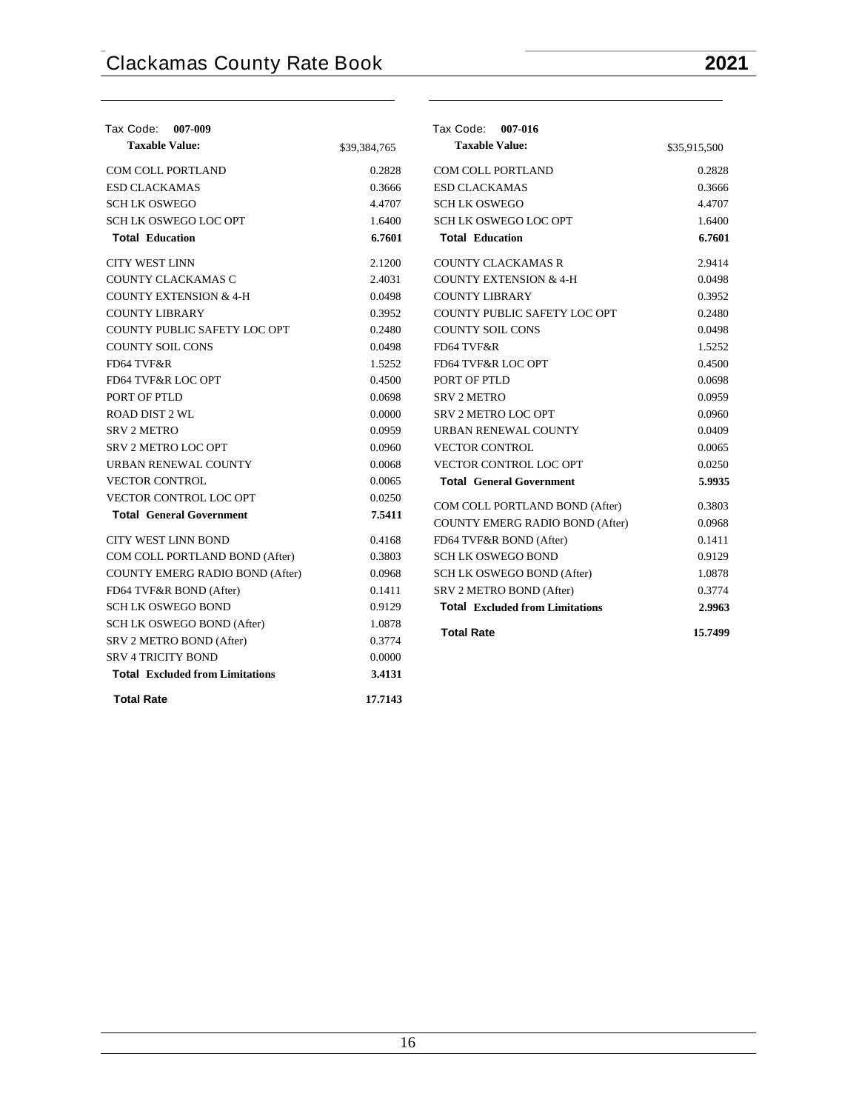| Tax Code: 007-009                      |              | Tax Code: 007-016                      |              |
|----------------------------------------|--------------|----------------------------------------|--------------|
| <b>Taxable Value:</b>                  | \$39,384,765 | <b>Taxable Value:</b>                  | \$35,915,500 |
| <b>COM COLL PORTLAND</b>               | 0.2828       | COM COLL PORTLAND                      | 0.2828       |
| <b>ESD CLACKAMAS</b>                   | 0.3666       | <b>ESD CLACKAMAS</b>                   | 0.3666       |
| <b>SCHLK OSWEGO</b>                    | 4.4707       | <b>SCHLK OSWEGO</b>                    | 4.4707       |
| <b>SCH LK OSWEGO LOC OPT</b>           | 1.6400       | <b>SCH LK OSWEGO LOC OPT</b>           | 1.6400       |
| <b>Total Education</b>                 | 6.7601       | <b>Total Education</b>                 | 6.7601       |
| <b>CITY WEST LINN</b>                  | 2.1200       | <b>COUNTY CLACKAMAS R</b>              | 2.9414       |
| COUNTY CLACKAMAS C                     | 2.4031       | <b>COUNTY EXTENSION &amp; 4-H</b>      | 0.0498       |
| <b>COUNTY EXTENSION &amp; 4-H</b>      | 0.0498       | <b>COUNTY LIBRARY</b>                  | 0.3952       |
| <b>COUNTY LIBRARY</b>                  | 0.3952       | COUNTY PUBLIC SAFETY LOC OPT           | 0.2480       |
| COUNTY PUBLIC SAFETY LOC OPT           | 0.2480       | <b>COUNTY SOIL CONS</b>                | 0.0498       |
| <b>COUNTY SOIL CONS</b>                | 0.0498       | FD64 TVF&R                             | 1.5252       |
| FD64 TVF&R                             | 1.5252       | FD64 TVF&R LOC OPT                     | 0.4500       |
| FD64 TVF&R LOC OPT                     | 0.4500       | PORT OF PTLD                           | 0.0698       |
| PORT OF PTLD                           | 0.0698       | <b>SRV 2 METRO</b>                     | 0.0959       |
| <b>ROAD DIST 2 WL</b>                  | 0.0000       | SRV 2 METRO LOC OPT                    | 0.0960       |
| <b>SRV 2 METRO</b>                     | 0.0959       | URBAN RENEWAL COUNTY                   | 0.0409       |
| SRV 2 METRO LOC OPT                    | 0.0960       | <b>VECTOR CONTROL</b>                  | 0.0065       |
| URBAN RENEWAL COUNTY                   | 0.0068       | <b>VECTOR CONTROL LOC OPT</b>          | 0.0250       |
| <b>VECTOR CONTROL</b>                  | 0.0065       | <b>Total General Government</b>        | 5.9935       |
| <b>VECTOR CONTROL LOC OPT</b>          | 0.0250       | COM COLL PORTLAND BOND (After)         | 0.3803       |
| <b>Total General Government</b>        | 7.5411       | <b>COUNTY EMERG RADIO BOND (After)</b> | 0.0968       |
| <b>CITY WEST LINN BOND</b>             | 0.4168       | FD64 TVF&R BOND (After)                | 0.1411       |
| COM COLL PORTLAND BOND (After)         | 0.3803       | <b>SCH LK OSWEGO BOND</b>              | 0.9129       |
| COUNTY EMERG RADIO BOND (After)        | 0.0968       | SCH LK OSWEGO BOND (After)             | 1.0878       |
| FD64 TVF&R BOND (After)                | 0.1411       | SRV 2 METRO BOND (After)               | 0.3774       |
| <b>SCH LK OSWEGO BOND</b>              | 0.9129       | <b>Total Excluded from Limitations</b> | 2.9963       |
| SCH LK OSWEGO BOND (After)             | 1.0878       |                                        |              |
| SRV 2 METRO BOND (After)               | 0.3774       | <b>Total Rate</b>                      | 15.7499      |
| <b>SRV 4 TRICITY BOND</b>              | 0.0000       |                                        |              |
| <b>Total Excluded from Limitations</b> | 3.4131       |                                        |              |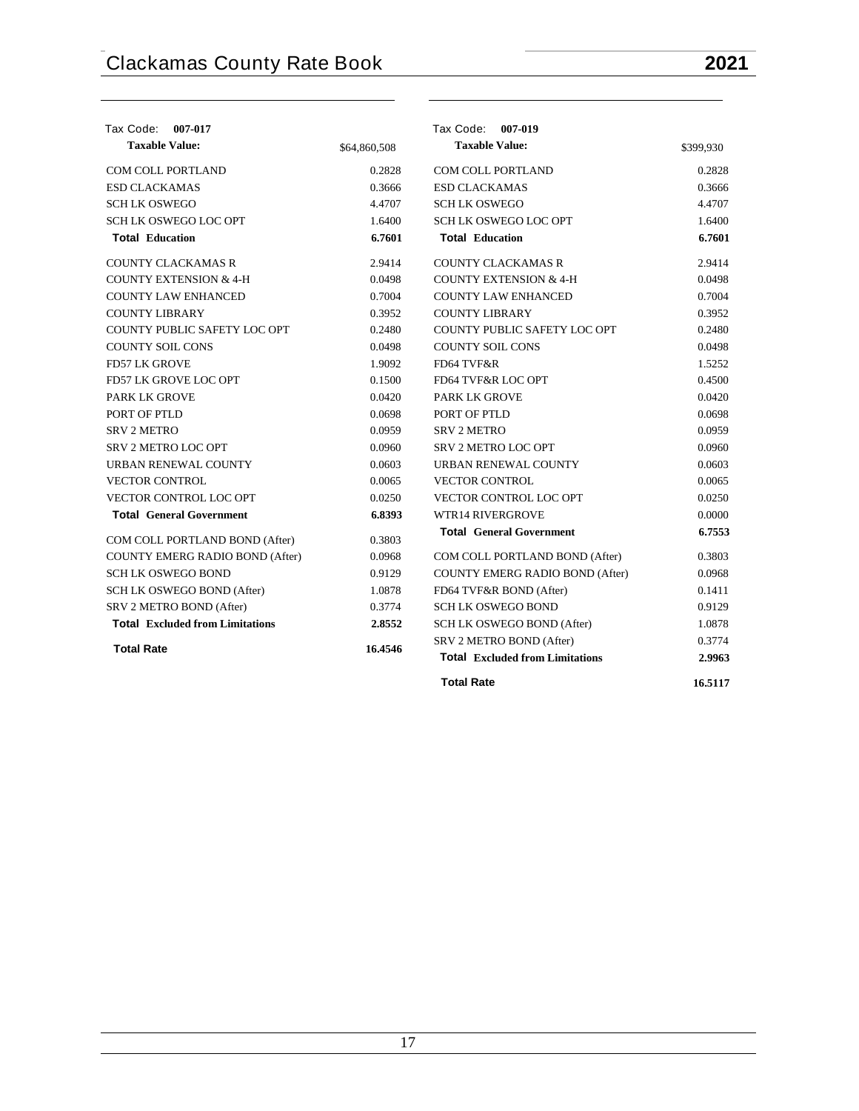| Tax Code: 007-017                      |              | Tax Code: 007-019                      |           |
|----------------------------------------|--------------|----------------------------------------|-----------|
| <b>Taxable Value:</b>                  | \$64,860,508 | <b>Taxable Value:</b>                  | \$399,930 |
| <b>COM COLL PORTLAND</b>               | 0.2828       | <b>COM COLL PORTLAND</b>               | 0.2828    |
| <b>ESD CLACKAMAS</b>                   | 0.3666       | <b>ESD CLACKAMAS</b>                   | 0.3666    |
| <b>SCHLK OSWEGO</b>                    | 4.4707       | <b>SCHLK OSWEGO</b>                    | 4.4707    |
| <b>SCH LK OSWEGO LOC OPT</b>           | 1.6400       | <b>SCH LK OSWEGO LOC OPT</b>           | 1.6400    |
| <b>Total Education</b>                 | 6.7601       | <b>Total Education</b>                 | 6.7601    |
| COUNTY CLACKAMAS R                     | 2.9414       | COUNTY CLACKAMAS R                     | 2.9414    |
| <b>COUNTY EXTENSION &amp; 4-H</b>      | 0.0498       | <b>COUNTY EXTENSION &amp; 4-H</b>      | 0.0498    |
| <b>COUNTY LAW ENHANCED</b>             | 0.7004       | <b>COUNTY LAW ENHANCED</b>             | 0.7004    |
| <b>COUNTY LIBRARY</b>                  | 0.3952       | COUNTY LIBRARY                         | 0.3952    |
| COUNTY PUBLIC SAFETY LOC OPT           | 0.2480       | COUNTY PUBLIC SAFETY LOC OPT           | 0.2480    |
| <b>COUNTY SOIL CONS</b>                | 0.0498       | <b>COUNTY SOIL CONS</b>                | 0.0498    |
| <b>FD57 LK GROVE</b>                   | 1.9092       | FD64 TVF&R                             | 1.5252    |
| FD57 LK GROVE LOC OPT                  | 0.1500       | FD64 TVF&R LOC OPT                     | 0.4500    |
| PARK LK GROVE                          | 0.0420       | <b>PARK LK GROVE</b>                   | 0.0420    |
| PORT OF PTLD                           | 0.0698       | PORT OF PTLD                           | 0.0698    |
| <b>SRV 2 METRO</b>                     | 0.0959       | <b>SRV 2 METRO</b>                     | 0.0959    |
| <b>SRV 2 METRO LOC OPT</b>             | 0.0960       | <b>SRV 2 METRO LOC OPT</b>             | 0.0960    |
| URBAN RENEWAL COUNTY                   | 0.0603       | URBAN RENEWAL COUNTY                   | 0.0603    |
| <b>VECTOR CONTROL</b>                  | 0.0065       | <b>VECTOR CONTROL</b>                  | 0.0065    |
| VECTOR CONTROL LOC OPT                 | 0.0250       | <b>VECTOR CONTROL LOC OPT</b>          | 0.0250    |
| <b>Total General Government</b>        | 6.8393       | <b>WTR14 RIVERGROVE</b>                | 0.0000    |
| COM COLL PORTLAND BOND (After)         | 0.3803       | <b>Total General Government</b>        | 6.7553    |
| COUNTY EMERG RADIO BOND (After)        | 0.0968       | COM COLL PORTLAND BOND (After)         | 0.3803    |
| <b>SCH LK OSWEGO BOND</b>              | 0.9129       | COUNTY EMERG RADIO BOND (After)        | 0.0968    |
| SCH LK OSWEGO BOND (After)             | 1.0878       | FD64 TVF&R BOND (After)                | 0.1411    |
| SRV 2 METRO BOND (After)               | 0.3774       | <b>SCH LK OSWEGO BOND</b>              | 0.9129    |
| <b>Total Excluded from Limitations</b> | 2.8552       | SCH LK OSWEGO BOND (After)             | 1.0878    |
|                                        |              | SRV 2 METRO BOND (After)               | 0.3774    |
| <b>Total Rate</b>                      | 16.4546      | <b>Total Excluded from Limitations</b> | 2.9963    |
|                                        |              | <b>Total Rate</b>                      | 16.5117   |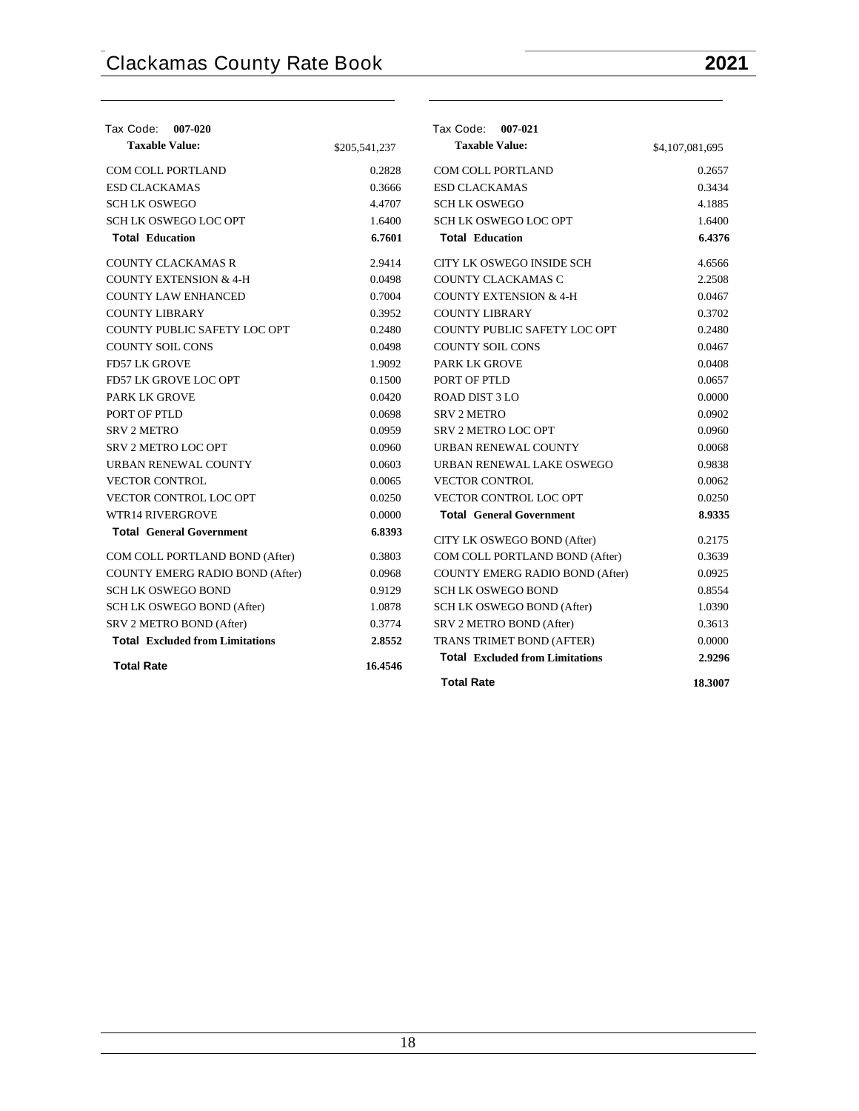| Tax Code: 007-020                      |               | Tax Code: 007-021                      |                 |
|----------------------------------------|---------------|----------------------------------------|-----------------|
| <b>Taxable Value:</b>                  | \$205,541,237 | <b>Taxable Value:</b>                  | \$4,107,081,695 |
| COM COLL PORTLAND                      | 0.2828        | COM COLL PORTLAND                      | 0.2657          |
| <b>ESD CLACKAMAS</b>                   | 0.3666        | <b>ESD CLACKAMAS</b>                   | 0.3434          |
| <b>SCHLK OSWEGO</b>                    | 4.4707        | <b>SCHLK OSWEGO</b>                    | 4.1885          |
| <b>SCH LK OSWEGO LOC OPT</b>           | 1.6400        | <b>SCH LK OSWEGO LOC OPT</b>           | 1.6400          |
| <b>Total Education</b>                 | 6.7601        | <b>Total Education</b>                 | 6.4376          |
| <b>COUNTY CLACKAMAS R</b>              | 2.9414        | CITY LK OSWEGO INSIDE SCH              | 4.6566          |
| <b>COUNTY EXTENSION &amp; 4-H</b>      | 0.0498        | COUNTY CLACKAMAS C                     | 2.2508          |
| <b>COUNTY LAW ENHANCED</b>             | 0.7004        | <b>COUNTY EXTENSION &amp; 4-H</b>      | 0.0467          |
| <b>COUNTY LIBRARY</b>                  | 0.3952        | <b>COUNTY LIBRARY</b>                  | 0.3702          |
| COUNTY PUBLIC SAFETY LOC OPT           | 0.2480        | COUNTY PUBLIC SAFETY LOC OPT           | 0.2480          |
| <b>COUNTY SOIL CONS</b>                | 0.0498        | <b>COUNTY SOIL CONS</b>                | 0.0467          |
| <b>FD57 LK GROVE</b>                   | 1.9092        | <b>PARK LK GROVE</b>                   | 0.0408          |
| FD57 LK GROVE LOC OPT                  | 0.1500        | PORT OF PTLD                           | 0.0657          |
| <b>PARK LK GROVE</b>                   | 0.0420        | <b>ROAD DIST 3 LO</b>                  | 0.0000          |
| PORT OF PTLD                           | 0.0698        | <b>SRV 2 METRO</b>                     | 0.0902          |
| <b>SRV 2 METRO</b>                     | 0.0959        | SRV 2 METRO LOC OPT                    | 0.0960          |
| <b>SRV 2 METRO LOC OPT</b>             | 0.0960        | URBAN RENEWAL COUNTY                   | 0.0068          |
| URBAN RENEWAL COUNTY                   | 0.0603        | URBAN RENEWAL LAKE OSWEGO              | 0.9838          |
| <b>VECTOR CONTROL</b>                  | 0.0065        | <b>VECTOR CONTROL</b>                  | 0.0062          |
| VECTOR CONTROL LOC OPT                 | 0.0250        | VECTOR CONTROL LOC OPT                 | 0.0250          |
| <b>WTR14 RIVERGROVE</b>                | 0.0000        | <b>Total General Government</b>        | 8.9335          |
| <b>Total General Government</b>        | 6.8393        | CITY LK OSWEGO BOND (After)            | 0.2175          |
| COM COLL PORTLAND BOND (After)         | 0.3803        | COM COLL PORTLAND BOND (After)         | 0.3639          |
| COUNTY EMERG RADIO BOND (After)        | 0.0968        | COUNTY EMERG RADIO BOND (After)        | 0.0925          |
| <b>SCH LK OSWEGO BOND</b>              | 0.9129        | <b>SCH LK OSWEGO BOND</b>              | 0.8554          |
| SCH LK OSWEGO BOND (After)             | 1.0878        | SCH LK OSWEGO BOND (After)             | 1.0390          |
| SRV 2 METRO BOND (After)               | 0.3774        | SRV 2 METRO BOND (After)               | 0.3613          |
| <b>Total Excluded from Limitations</b> | 2.8552        | TRANS TRIMET BOND (AFTER)              | 0.0000          |
| <b>Total Rate</b>                      | 16.4546       | <b>Total Excluded from Limitations</b> | 2.9296          |
|                                        |               | <b>Total Rate</b>                      | 18.3007         |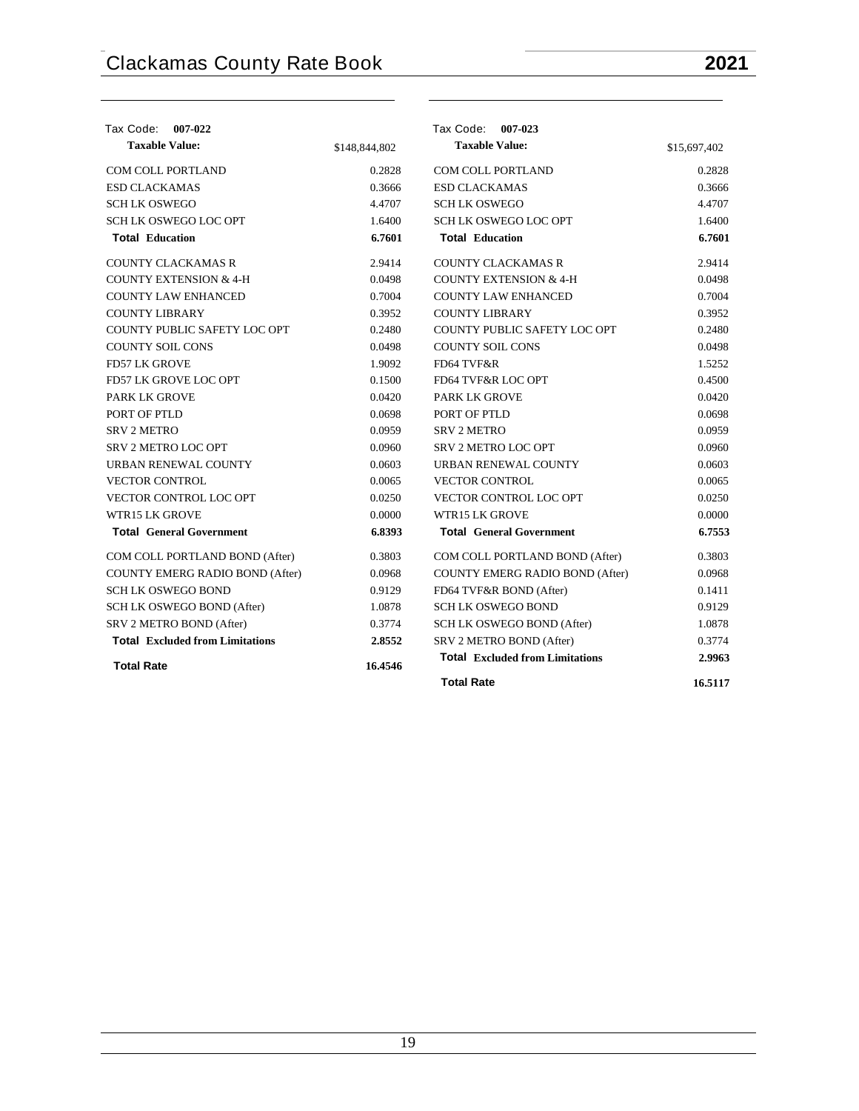| Tax Code: 007-022                      |               | Tax Code: 007-023                      |              |
|----------------------------------------|---------------|----------------------------------------|--------------|
| <b>Taxable Value:</b>                  | \$148,844,802 | <b>Taxable Value:</b>                  | \$15,697,402 |
| COM COLL PORTLAND                      | 0.2828        | COM COLL PORTLAND                      | 0.2828       |
| <b>ESD CLACKAMAS</b>                   | 0.3666        | <b>ESD CLACKAMAS</b>                   | 0.3666       |
| <b>SCHLK OSWEGO</b>                    | 4.4707        | <b>SCHLK OSWEGO</b>                    | 4.4707       |
| <b>SCH LK OSWEGO LOC OPT</b>           | 1.6400        | <b>SCH LK OSWEGO LOC OPT</b>           | 1.6400       |
| <b>Total Education</b>                 | 6.7601        | <b>Total Education</b>                 | 6.7601       |
| <b>COUNTY CLACKAMAS R</b>              | 2.9414        | <b>COUNTY CLACKAMAS R</b>              | 2.9414       |
| <b>COUNTY EXTENSION &amp; 4-H</b>      | 0.0498        | <b>COUNTY EXTENSION &amp; 4-H</b>      | 0.0498       |
| <b>COUNTY LAW ENHANCED</b>             | 0.7004        | <b>COUNTY LAW ENHANCED</b>             | 0.7004       |
| <b>COUNTY LIBRARY</b>                  | 0.3952        | <b>COUNTY LIBRARY</b>                  | 0.3952       |
| COUNTY PUBLIC SAFETY LOC OPT           | 0.2480        | COUNTY PUBLIC SAFETY LOC OPT           | 0.2480       |
| <b>COUNTY SOIL CONS</b>                | 0.0498        | <b>COUNTY SOIL CONS</b>                | 0.0498       |
| <b>FD57 LK GROVE</b>                   | 1.9092        | FD64 TVF&R                             | 1.5252       |
| FD57 LK GROVE LOC OPT                  | 0.1500        | FD64 TVF&R LOC OPT                     | 0.4500       |
| PARK LK GROVE                          | 0.0420        | <b>PARK LK GROVE</b>                   | 0.0420       |
| PORT OF PTLD                           | 0.0698        | PORT OF PTLD                           | 0.0698       |
| <b>SRV 2 METRO</b>                     | 0.0959        | <b>SRV 2 METRO</b>                     | 0.0959       |
| <b>SRV 2 METRO LOC OPT</b>             | 0.0960        | <b>SRV 2 METRO LOC OPT</b>             | 0.0960       |
| URBAN RENEWAL COUNTY                   | 0.0603        | URBAN RENEWAL COUNTY                   | 0.0603       |
| <b>VECTOR CONTROL</b>                  | 0.0065        | <b>VECTOR CONTROL</b>                  | 0.0065       |
| VECTOR CONTROL LOC OPT                 | 0.0250        | VECTOR CONTROL LOC OPT                 | 0.0250       |
| <b>WTR15 LK GROVE</b>                  | 0.0000        | WTR15 LK GROVE                         | 0.0000       |
| <b>Total General Government</b>        | 6.8393        | <b>Total General Government</b>        | 6.7553       |
| COM COLL PORTLAND BOND (After)         | 0.3803        | COM COLL PORTLAND BOND (After)         | 0.3803       |
| COUNTY EMERG RADIO BOND (After)        | 0.0968        | COUNTY EMERG RADIO BOND (After)        | 0.0968       |
| <b>SCH LK OSWEGO BOND</b>              | 0.9129        | FD64 TVF&R BOND (After)                | 0.1411       |
| SCH LK OSWEGO BOND (After)             | 1.0878        | <b>SCH LK OSWEGO BOND</b>              | 0.9129       |
| SRV 2 METRO BOND (After)               | 0.3774        | SCH LK OSWEGO BOND (After)             | 1.0878       |
| <b>Total Excluded from Limitations</b> | 2.8552        | SRV 2 METRO BOND (After)               | 0.3774       |
| <b>Total Rate</b>                      | 16.4546       | <b>Total Excluded from Limitations</b> | 2.9963       |
|                                        |               | <b>Total Rate</b>                      | 16.5117      |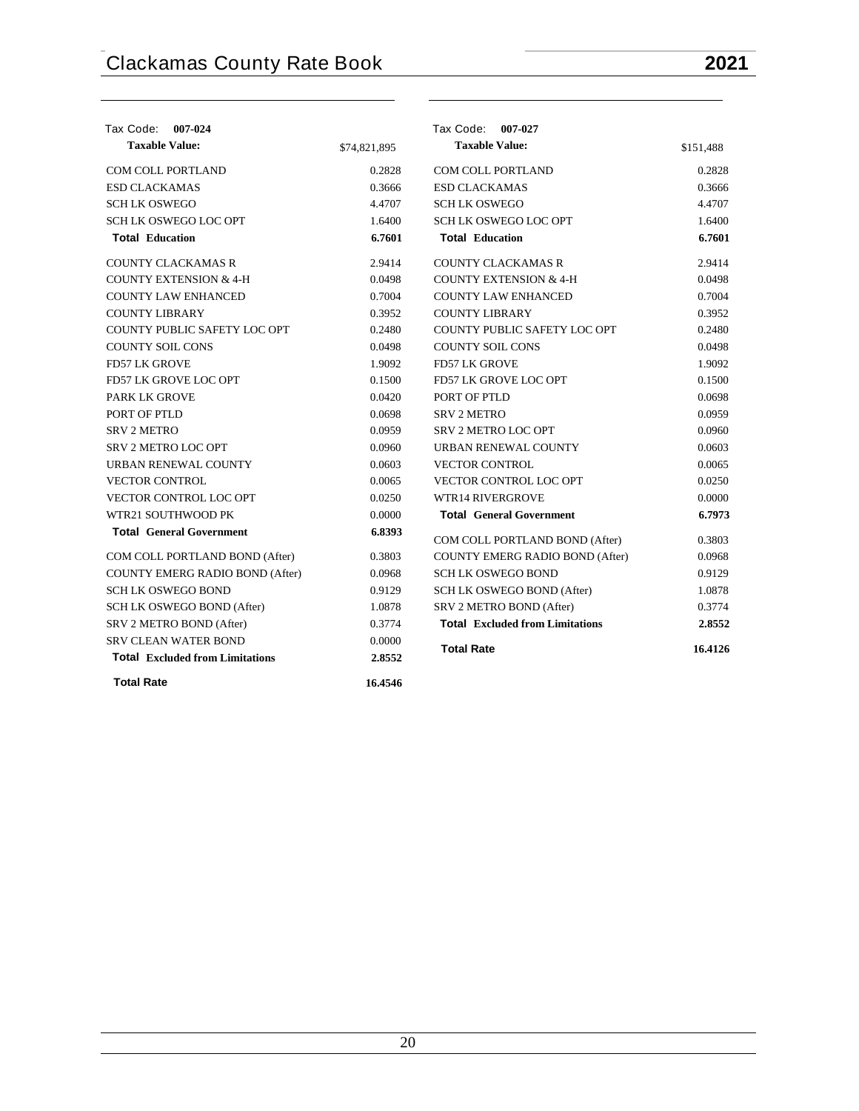| Tax Code: 007-024                      |              | Tax Code: 007-027                      |           |
|----------------------------------------|--------------|----------------------------------------|-----------|
| <b>Taxable Value:</b>                  | \$74,821,895 | <b>Taxable Value:</b>                  | \$151,488 |
| <b>COM COLL PORTLAND</b>               | 0.2828       | <b>COM COLL PORTLAND</b>               | 0.2828    |
| <b>ESD CLACKAMAS</b>                   | 0.3666       | <b>ESD CLACKAMAS</b>                   | 0.3666    |
| SCH LK OSWEGO                          | 4.4707       | <b>SCHLK OSWEGO</b>                    | 4.4707    |
| SCH LK OSWEGO LOC OPT                  | 1.6400       | <b>SCH LK OSWEGO LOC OPT</b>           | 1.6400    |
| <b>Total Education</b>                 | 6.7601       | <b>Total Education</b>                 | 6.7601    |
| <b>COUNTY CLACKAMAS R</b>              | 2.9414       | <b>COUNTY CLACKAMAS R</b>              | 2.9414    |
| <b>COUNTY EXTENSION &amp; 4-H</b>      | 0.0498       | <b>COUNTY EXTENSION &amp; 4-H</b>      | 0.0498    |
| <b>COUNTY LAW ENHANCED</b>             | 0.7004       | <b>COUNTY LAW ENHANCED</b>             | 0.7004    |
| <b>COUNTY LIBRARY</b>                  | 0.3952       | <b>COUNTY LIBRARY</b>                  | 0.3952    |
| <b>COUNTY PUBLIC SAFETY LOC OPT</b>    | 0.2480       | COUNTY PUBLIC SAFETY LOC OPT           | 0.2480    |
| <b>COUNTY SOIL CONS</b>                | 0.0498       | <b>COUNTY SOIL CONS</b>                | 0.0498    |
| <b>FD57 LK GROVE</b>                   | 1.9092       | <b>FD57 LK GROVE</b>                   | 1.9092    |
| FD57 LK GROVE LOC OPT                  | 0.1500       | FD57 LK GROVE LOC OPT                  | 0.1500    |
| <b>PARK LK GROVE</b>                   | 0.0420       | PORT OF PTLD                           | 0.0698    |
| PORT OF PTLD                           | 0.0698       | <b>SRV 2 METRO</b>                     | 0.0959    |
| <b>SRV 2 METRO</b>                     | 0.0959       | SRV 2 METRO LOC OPT                    | 0.0960    |
| SRV 2 METRO LOC OPT                    | 0.0960       | URBAN RENEWAL COUNTY                   | 0.0603    |
| URBAN RENEWAL COUNTY                   | 0.0603       | <b>VECTOR CONTROL</b>                  | 0.0065    |
| <b>VECTOR CONTROL</b>                  | 0.0065       | VECTOR CONTROL LOC OPT                 | 0.0250    |
| VECTOR CONTROL LOC OPT                 | 0.0250       | <b>WTR14 RIVERGROVE</b>                | 0.0000    |
| WTR21 SOUTHWOOD PK                     | 0.0000       | <b>Total General Government</b>        | 6.7973    |
| <b>Total General Government</b>        | 6.8393       | COM COLL PORTLAND BOND (After)         | 0.3803    |
| COM COLL PORTLAND BOND (After)         | 0.3803       | COUNTY EMERG RADIO BOND (After)        | 0.0968    |
| COUNTY EMERG RADIO BOND (After)        | 0.0968       | <b>SCH LK OSWEGO BOND</b>              | 0.9129    |
| SCH LK OSWEGO BOND                     | 0.9129       | SCH LK OSWEGO BOND (After)             | 1.0878    |
| SCH LK OSWEGO BOND (After)             | 1.0878       | SRV 2 METRO BOND (After)               | 0.3774    |
| SRV 2 METRO BOND (After)               | 0.3774       | <b>Total Excluded from Limitations</b> | 2.8552    |
| <b>SRV CLEAN WATER BOND</b>            | 0.0000       | <b>Total Rate</b>                      | 16.4126   |
| <b>Total Excluded from Limitations</b> | 2.8552       |                                        |           |
| <b>Total Rate</b>                      | 16.4546      |                                        |           |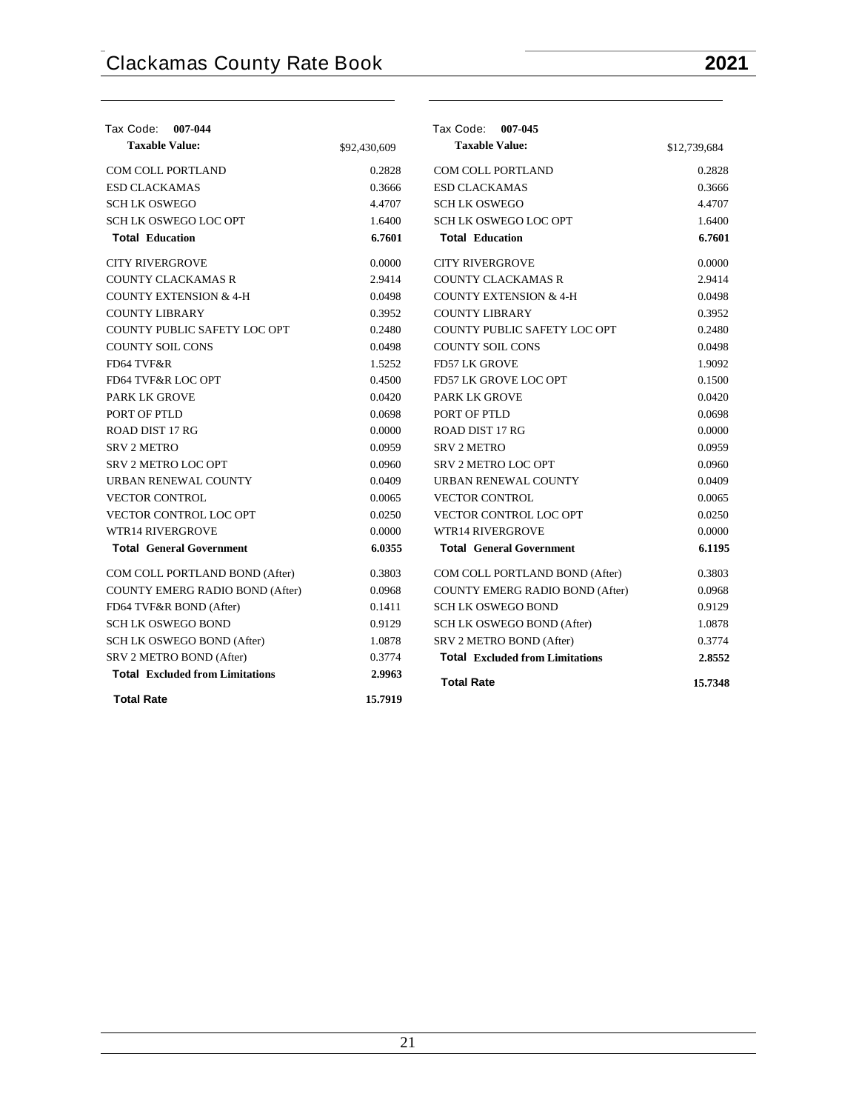| Tax Code: 007-044                      |              | Tax Code: 007-045                      |              |
|----------------------------------------|--------------|----------------------------------------|--------------|
| <b>Taxable Value:</b>                  | \$92,430,609 | <b>Taxable Value:</b>                  | \$12,739,684 |
| <b>COM COLL PORTLAND</b>               | 0.2828       | <b>COM COLL PORTLAND</b>               | 0.2828       |
| <b>ESD CLACKAMAS</b>                   | 0.3666       | <b>ESD CLACKAMAS</b>                   | 0.3666       |
| <b>SCHLK OSWEGO</b>                    | 4.4707       | <b>SCHLK OSWEGO</b>                    | 4.4707       |
| <b>SCH LK OSWEGO LOC OPT</b>           | 1.6400       | <b>SCH LK OSWEGO LOC OPT</b>           | 1.6400       |
| <b>Total Education</b>                 | 6.7601       | <b>Total Education</b>                 | 6.7601       |
| <b>CITY RIVERGROVE</b>                 | 0.0000       | <b>CITY RIVERGROVE</b>                 | 0.0000       |
| <b>COUNTY CLACKAMAS R</b>              | 2.9414       | <b>COUNTY CLACKAMAS R</b>              | 2.9414       |
| <b>COUNTY EXTENSION &amp; 4-H</b>      | 0.0498       | <b>COUNTY EXTENSION &amp; 4-H</b>      | 0.0498       |
| <b>COUNTY LIBRARY</b>                  | 0.3952       | <b>COUNTY LIBRARY</b>                  | 0.3952       |
| <b>COUNTY PUBLIC SAFETY LOC OPT</b>    | 0.2480       | <b>COUNTY PUBLIC SAFETY LOC OPT</b>    | 0.2480       |
| <b>COUNTY SOIL CONS</b>                | 0.0498       | <b>COUNTY SOIL CONS</b>                | 0.0498       |
| FD64 TVF&R                             | 1.5252       | <b>FD57 LK GROVE</b>                   | 1.9092       |
| FD64 TVF&R LOC OPT                     | 0.4500       | <b>FD57 LK GROVE LOC OPT</b>           | 0.1500       |
| <b>PARK LK GROVE</b>                   | 0.0420       | <b>PARK LK GROVE</b>                   | 0.0420       |
| PORT OF PTLD                           | 0.0698       | PORT OF PTLD                           | 0.0698       |
| <b>ROAD DIST 17 RG</b>                 | 0.0000       | ROAD DIST 17 RG                        | 0.0000       |
| <b>SRV 2 METRO</b>                     | 0.0959       | <b>SRV 2 METRO</b>                     | 0.0959       |
| <b>SRV 2 METRO LOC OPT</b>             | 0.0960       | <b>SRV 2 METRO LOC OPT</b>             | 0.0960       |
| URBAN RENEWAL COUNTY                   | 0.0409       | URBAN RENEWAL COUNTY                   | 0.0409       |
| <b>VECTOR CONTROL</b>                  | 0.0065       | <b>VECTOR CONTROL</b>                  | 0.0065       |
| <b>VECTOR CONTROL LOC OPT</b>          | 0.0250       | <b>VECTOR CONTROL LOC OPT</b>          | 0.0250       |
| <b>WTR14 RIVERGROVE</b>                | 0.0000       | <b>WTR14 RIVERGROVE</b>                | 0.0000       |
| <b>Total General Government</b>        | 6.0355       | <b>Total General Government</b>        | 6.1195       |
| COM COLL PORTLAND BOND (After)         | 0.3803       | COM COLL PORTLAND BOND (After)         | 0.3803       |
| COUNTY EMERG RADIO BOND (After)        | 0.0968       | <b>COUNTY EMERG RADIO BOND (After)</b> | 0.0968       |
| FD64 TVF&R BOND (After)                | 0.1411       | <b>SCH LK OSWEGO BOND</b>              | 0.9129       |
| <b>SCH LK OSWEGO BOND</b>              | 0.9129       | SCH LK OSWEGO BOND (After)             | 1.0878       |
| SCH LK OSWEGO BOND (After)             | 1.0878       | SRV 2 METRO BOND (After)               | 0.3774       |
| SRV 2 METRO BOND (After)               | 0.3774       | <b>Total Excluded from Limitations</b> | 2.8552       |
| <b>Total Excluded from Limitations</b> | 2.9963       | <b>Total Rate</b>                      | 15.7348      |
| <b>Total Rate</b>                      | 15.7919      |                                        |              |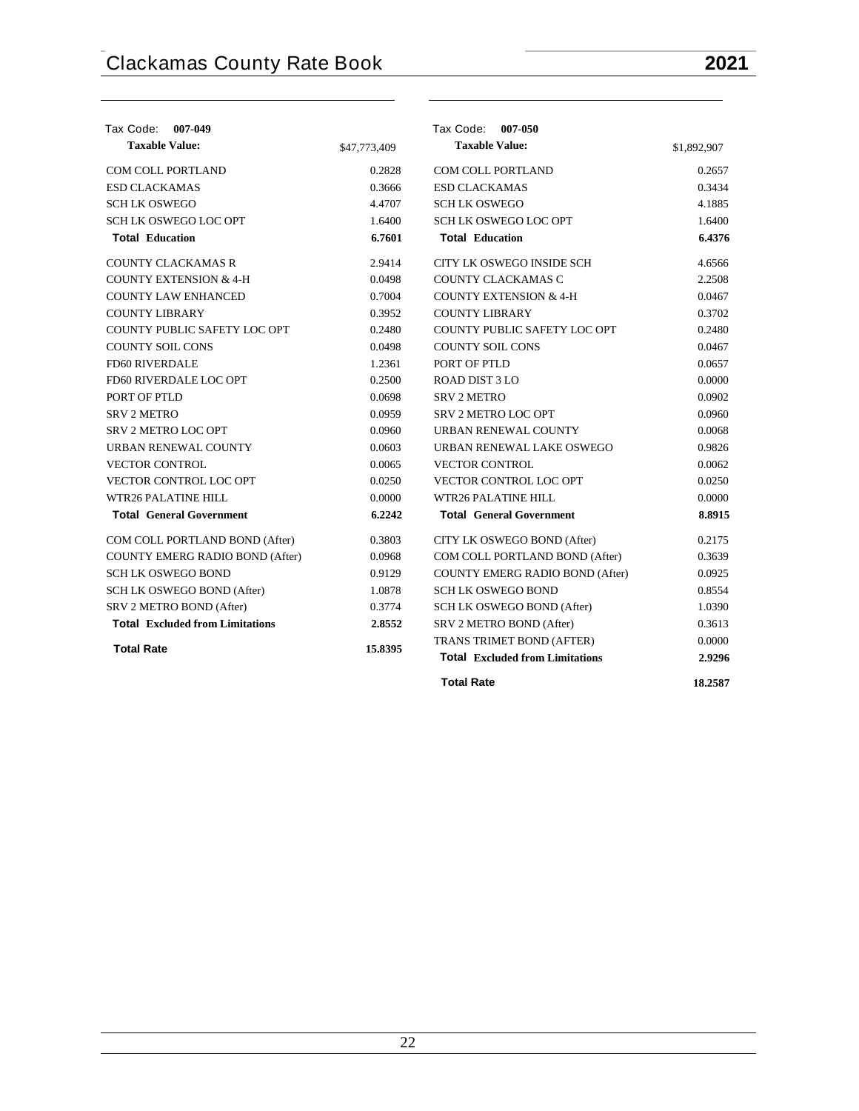| Tax Code: 007-049                      |              | Tax Code: 007-050                      |             |
|----------------------------------------|--------------|----------------------------------------|-------------|
| <b>Taxable Value:</b>                  | \$47,773,409 | <b>Taxable Value:</b>                  | \$1,892,907 |
| <b>COM COLL PORTLAND</b>               | 0.2828       | <b>COM COLL PORTLAND</b>               | 0.2657      |
| <b>ESD CLACKAMAS</b>                   | 0.3666       | <b>ESD CLACKAMAS</b>                   | 0.3434      |
| <b>SCH LK OSWEGO</b>                   | 4.4707       | <b>SCH LK OSWEGO</b>                   | 4.1885      |
| <b>SCH LK OSWEGO LOC OPT</b>           | 1.6400       | <b>SCH LK OSWEGO LOC OPT</b>           | 1.6400      |
| <b>Total Education</b>                 | 6.7601       | <b>Total Education</b>                 | 6.4376      |
| <b>COUNTY CLACKAMAS R</b>              | 2.9414       | CITY LK OSWEGO INSIDE SCH              | 4.6566      |
| <b>COUNTY EXTENSION &amp; 4-H</b>      | 0.0498       | COUNTY CLACKAMAS C                     | 2.2508      |
| <b>COUNTY LAW ENHANCED</b>             | 0.7004       | <b>COUNTY EXTENSION &amp; 4-H</b>      | 0.0467      |
| <b>COUNTY LIBRARY</b>                  | 0.3952       | <b>COUNTY LIBRARY</b>                  | 0.3702      |
| COUNTY PUBLIC SAFETY LOC OPT           | 0.2480       | COUNTY PUBLIC SAFETY LOC OPT           | 0.2480      |
| <b>COUNTY SOIL CONS</b>                | 0.0498       | <b>COUNTY SOIL CONS</b>                | 0.0467      |
| <b>FD60 RIVERDALE</b>                  | 1.2361       | PORT OF PTLD                           | 0.0657      |
| FD60 RIVERDALE LOC OPT                 | 0.2500       | <b>ROAD DIST 3 LO</b>                  | 0.0000      |
| PORT OF PTLD                           | 0.0698       | <b>SRV 2 METRO</b>                     | 0.0902      |
| <b>SRV 2 METRO</b>                     | 0.0959       | <b>SRV 2 METRO LOC OPT</b>             | 0.0960      |
| <b>SRV 2 METRO LOC OPT</b>             | 0.0960       | URBAN RENEWAL COUNTY                   | 0.0068      |
| URBAN RENEWAL COUNTY                   | 0.0603       | URBAN RENEWAL LAKE OSWEGO              | 0.9826      |
| <b>VECTOR CONTROL</b>                  | 0.0065       | <b>VECTOR CONTROL</b>                  | 0.0062      |
| <b>VECTOR CONTROL LOC OPT</b>          | 0.0250       | <b>VECTOR CONTROL LOC OPT</b>          | 0.0250      |
| <b>WTR26 PALATINE HILL</b>             | 0.0000       | <b>WTR26 PALATINE HILL</b>             | 0.0000      |
| <b>Total General Government</b>        | 6.2242       | <b>Total General Government</b>        | 8.8915      |
| COM COLL PORTLAND BOND (After)         | 0.3803       | CITY LK OSWEGO BOND (After)            | 0.2175      |
| COUNTY EMERG RADIO BOND (After)        | 0.0968       | COM COLL PORTLAND BOND (After)         | 0.3639      |
| <b>SCH LK OSWEGO BOND</b>              | 0.9129       | <b>COUNTY EMERG RADIO BOND (After)</b> | 0.0925      |
| SCH LK OSWEGO BOND (After)             | 1.0878       | <b>SCH LK OSWEGO BOND</b>              | 0.8554      |
| SRV 2 METRO BOND (After)               | 0.3774       | SCH LK OSWEGO BOND (After)             | 1.0390      |
| <b>Total Excluded from Limitations</b> | 2.8552       | SRV 2 METRO BOND (After)               | 0.3613      |
|                                        |              | TRANS TRIMET BOND (AFTER)              | 0.0000      |
| <b>Total Rate</b>                      | 15.8395      | <b>Total Excluded from Limitations</b> | 2.9296      |
|                                        |              | <b>Total Rate</b>                      | 18.2587     |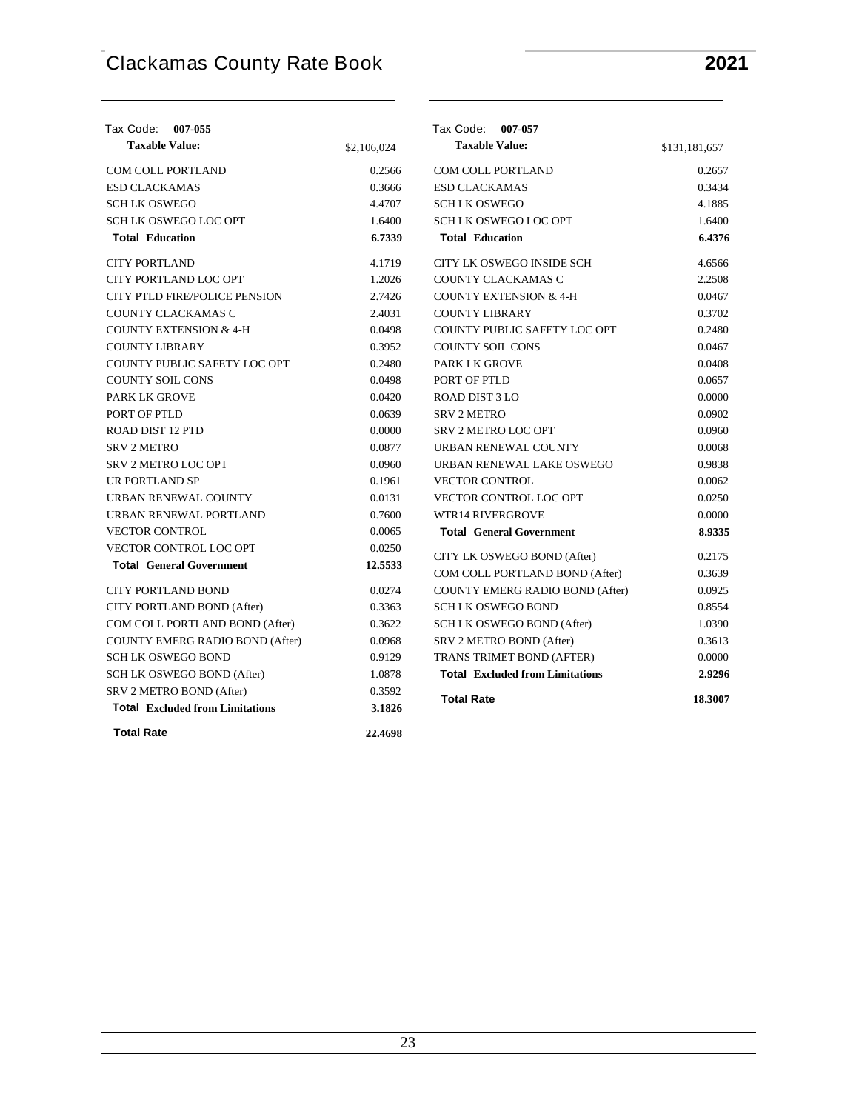| Tax Code:<br>007-055                   |             | Tax Code: 007-057                      |               |
|----------------------------------------|-------------|----------------------------------------|---------------|
| <b>Taxable Value:</b>                  | \$2,106,024 | <b>Taxable Value:</b>                  | \$131,181,657 |
| COM COLL PORTLAND                      | 0.2566      | COM COLL PORTLAND                      | 0.2657        |
| <b>ESD CLACKAMAS</b>                   | 0.3666      | <b>ESD CLACKAMAS</b>                   | 0.3434        |
| <b>SCHLK OSWEGO</b>                    | 4.4707      | <b>SCHLK OSWEGO</b>                    | 4.1885        |
| <b>SCH LK OSWEGO LOC OPT</b>           | 1.6400      | SCH LK OSWEGO LOC OPT                  | 1.6400        |
| <b>Total Education</b>                 | 6.7339      | <b>Total Education</b>                 | 6.4376        |
| <b>CITY PORTLAND</b>                   | 4.1719      | CITY LK OSWEGO INSIDE SCH              | 4.6566        |
| CITY PORTLAND LOC OPT                  | 1.2026      | COUNTY CLACKAMAS C                     | 2.2508        |
| CITY PTLD FIRE/POLICE PENSION          | 2.7426      | <b>COUNTY EXTENSION &amp; 4-H</b>      | 0.0467        |
| COUNTY CLACKAMAS C                     | 2.4031      | <b>COUNTY LIBRARY</b>                  | 0.3702        |
| <b>COUNTY EXTENSION &amp; 4-H</b>      | 0.0498      | COUNTY PUBLIC SAFETY LOC OPT           | 0.2480        |
| <b>COUNTY LIBRARY</b>                  | 0.3952      | <b>COUNTY SOIL CONS</b>                | 0.0467        |
| COUNTY PUBLIC SAFETY LOC OPT           | 0.2480      | <b>PARK LK GROVE</b>                   | 0.0408        |
| <b>COUNTY SOIL CONS</b>                | 0.0498      | PORT OF PTLD                           | 0.0657        |
| <b>PARK LK GROVE</b>                   | 0.0420      | <b>ROAD DIST 3 LO</b>                  | 0.0000        |
| PORT OF PTLD                           | 0.0639      | <b>SRV 2 METRO</b>                     | 0.0902        |
| ROAD DIST 12 PTD                       | 0.0000      | <b>SRV 2 METRO LOC OPT</b>             | 0.0960        |
| <b>SRV 2 METRO</b>                     | 0.0877      | URBAN RENEWAL COUNTY                   | 0.0068        |
| <b>SRV 2 METRO LOC OPT</b>             | 0.0960      | URBAN RENEWAL LAKE OSWEGO              | 0.9838        |
| <b>UR PORTLAND SP</b>                  | 0.1961      | <b>VECTOR CONTROL</b>                  | 0.0062        |
| URBAN RENEWAL COUNTY                   | 0.0131      | VECTOR CONTROL LOC OPT                 | 0.0250        |
| URBAN RENEWAL PORTLAND                 | 0.7600      | <b>WTR14 RIVERGROVE</b>                | 0.0000        |
| <b>VECTOR CONTROL</b>                  | 0.0065      | <b>Total General Government</b>        | 8.9335        |
| VECTOR CONTROL LOC OPT                 | 0.0250      | CITY LK OSWEGO BOND (After)            | 0.2175        |
| <b>Total General Government</b>        | 12.5533     | COM COLL PORTLAND BOND (After)         | 0.3639        |
| <b>CITY PORTLAND BOND</b>              | 0.0274      | <b>COUNTY EMERG RADIO BOND (After)</b> | 0.0925        |
| CITY PORTLAND BOND (After)             | 0.3363      | <b>SCH LK OSWEGO BOND</b>              | 0.8554        |
| COM COLL PORTLAND BOND (After)         | 0.3622      | SCH LK OSWEGO BOND (After)             | 1.0390        |
| COUNTY EMERG RADIO BOND (After)        | 0.0968      | SRV 2 METRO BOND (After)               | 0.3613        |
| <b>SCH LK OSWEGO BOND</b>              | 0.9129      | TRANS TRIMET BOND (AFTER)              | 0.0000        |
| SCH LK OSWEGO BOND (After)             | 1.0878      | <b>Total Excluded from Limitations</b> | 2.9296        |
| SRV 2 METRO BOND (After)               | 0.3592      |                                        |               |
| <b>Total Excluded from Limitations</b> | 3.1826      | <b>Total Rate</b>                      | 18.3007       |
| <b>Total Rate</b>                      | 22.4698     |                                        |               |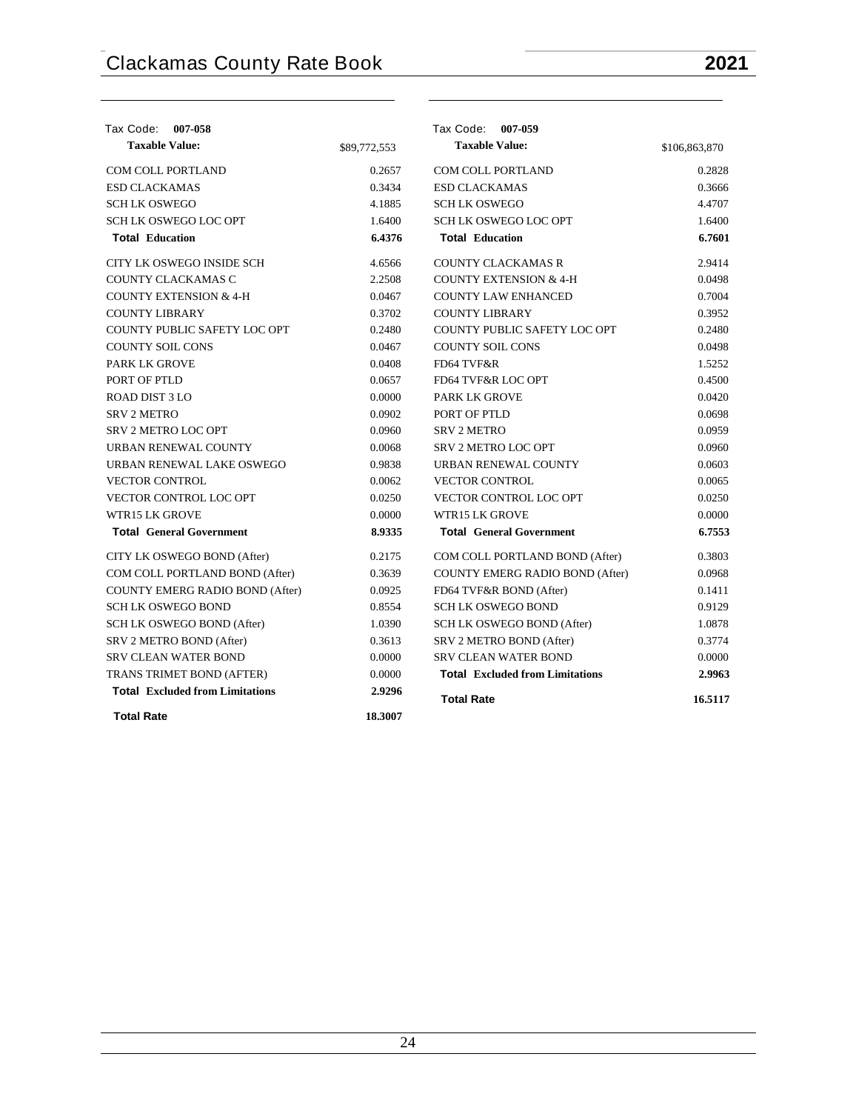| Tax Code: 007-058                      |              | Tax Code: 007-059                      |               |
|----------------------------------------|--------------|----------------------------------------|---------------|
| <b>Taxable Value:</b>                  | \$89,772,553 | <b>Taxable Value:</b>                  | \$106,863,870 |
| <b>COM COLL PORTLAND</b>               | 0.2657       | <b>COM COLL PORTLAND</b>               | 0.2828        |
| <b>ESD CLACKAMAS</b>                   | 0.3434       | <b>ESD CLACKAMAS</b>                   | 0.3666        |
| <b>SCHLK OSWEGO</b>                    | 4.1885       | <b>SCHLK OSWEGO</b>                    | 4.4707        |
| SCH LK OSWEGO LOC OPT                  | 1.6400       | SCH LK OSWEGO LOC OPT                  | 1.6400        |
| <b>Total Education</b>                 | 6.4376       | <b>Total Education</b>                 | 6.7601        |
| CITY LK OSWEGO INSIDE SCH              | 4.6566       | <b>COUNTY CLACKAMAS R</b>              | 2.9414        |
| COUNTY CLACKAMAS C                     | 2.2508       | <b>COUNTY EXTENSION &amp; 4-H</b>      | 0.0498        |
| <b>COUNTY EXTENSION &amp; 4-H</b>      | 0.0467       | <b>COUNTY LAW ENHANCED</b>             | 0.7004        |
| <b>COUNTY LIBRARY</b>                  | 0.3702       | <b>COUNTY LIBRARY</b>                  | 0.3952        |
| COUNTY PUBLIC SAFETY LOC OPT           | 0.2480       | COUNTY PUBLIC SAFETY LOC OPT           | 0.2480        |
| <b>COUNTY SOIL CONS</b>                | 0.0467       | <b>COUNTY SOIL CONS</b>                | 0.0498        |
| <b>PARK LK GROVE</b>                   | 0.0408       | FD64 TVF&R                             | 1.5252        |
| PORT OF PTLD                           | 0.0657       | FD64 TVF&R LOC OPT                     | 0.4500        |
| <b>ROAD DIST 3 LO</b>                  | 0.0000       | <b>PARK LK GROVE</b>                   | 0.0420        |
| <b>SRV 2 METRO</b>                     | 0.0902       | PORT OF PTLD                           | 0.0698        |
| <b>SRV 2 METRO LOC OPT</b>             | 0.0960       | <b>SRV 2 METRO</b>                     | 0.0959        |
| URBAN RENEWAL COUNTY                   | 0.0068       | <b>SRV 2 METRO LOC OPT</b>             | 0.0960        |
| URBAN RENEWAL LAKE OSWEGO              | 0.9838       | URBAN RENEWAL COUNTY                   | 0.0603        |
| <b>VECTOR CONTROL</b>                  | 0.0062       | <b>VECTOR CONTROL</b>                  | 0.0065        |
| <b>VECTOR CONTROL LOC OPT</b>          | 0.0250       | <b>VECTOR CONTROL LOC OPT</b>          | 0.0250        |
| <b>WTR15 LK GROVE</b>                  | 0.0000       | <b>WTR15 LK GROVE</b>                  | 0.0000        |
| <b>Total General Government</b>        | 8.9335       | <b>Total General Government</b>        | 6.7553        |
| CITY LK OSWEGO BOND (After)            | 0.2175       | COM COLL PORTLAND BOND (After)         | 0.3803        |
| COM COLL PORTLAND BOND (After)         | 0.3639       | <b>COUNTY EMERG RADIO BOND (After)</b> | 0.0968        |
| COUNTY EMERG RADIO BOND (After)        | 0.0925       | FD64 TVF&R BOND (After)                | 0.1411        |
| <b>SCH LK OSWEGO BOND</b>              | 0.8554       | <b>SCH LK OSWEGO BOND</b>              | 0.9129        |
| SCH LK OSWEGO BOND (After)             | 1.0390       | SCH LK OSWEGO BOND (After)             | 1.0878        |
| SRV 2 METRO BOND (After)               | 0.3613       | SRV 2 METRO BOND (After)               | 0.3774        |
| <b>SRV CLEAN WATER BOND</b>            | 0.0000       | <b>SRV CLEAN WATER BOND</b>            | 0.0000        |
| TRANS TRIMET BOND (AFTER)              | 0.0000       | <b>Total Excluded from Limitations</b> | 2.9963        |
| <b>Total Excluded from Limitations</b> | 2.9296       | <b>Total Rate</b>                      | 16.5117       |
| <b>Total Rate</b>                      | 18.3007      |                                        |               |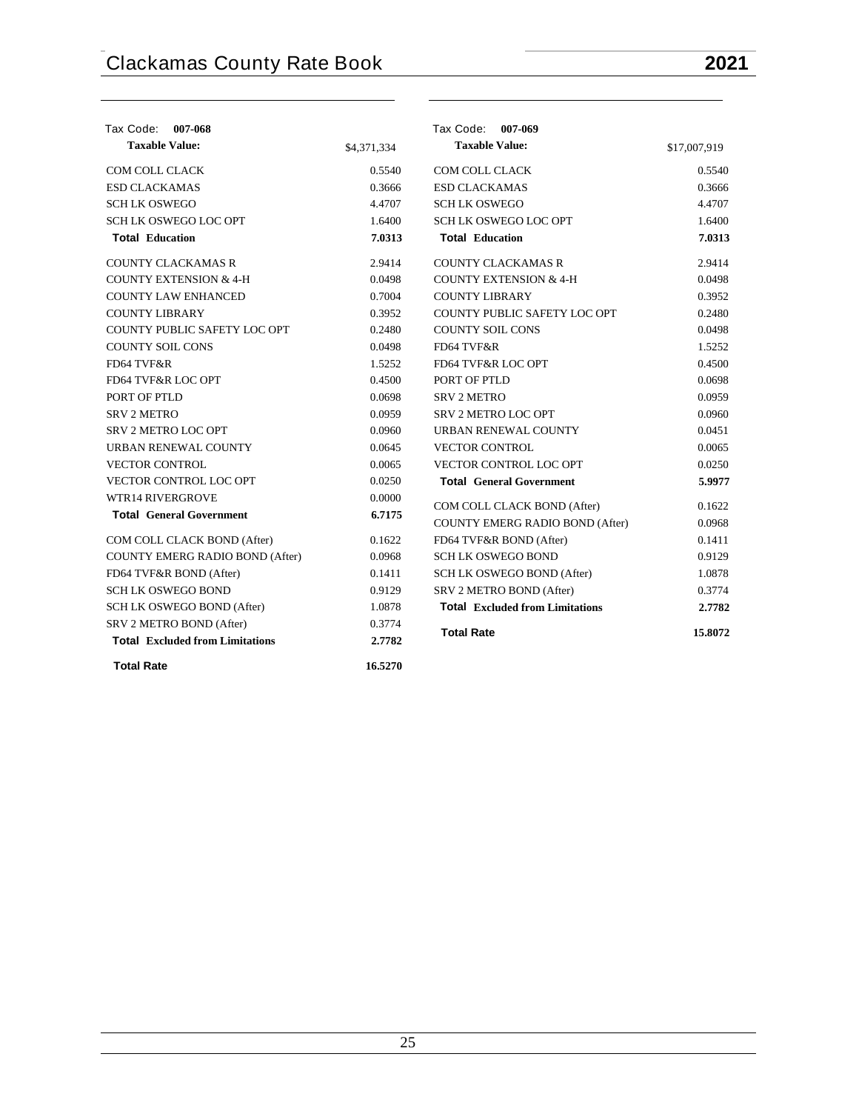| Tax Code: 007-068                      |             | Tax Code: 007-069                      |              |
|----------------------------------------|-------------|----------------------------------------|--------------|
| <b>Taxable Value:</b>                  | \$4,371,334 | <b>Taxable Value:</b>                  | \$17,007,919 |
| <b>COM COLL CLACK</b>                  | 0.5540      | COM COLL CLACK                         | 0.5540       |
| <b>ESD CLACKAMAS</b>                   | 0.3666      | <b>ESD CLACKAMAS</b>                   | 0.3666       |
| <b>SCHLK OSWEGO</b>                    | 4.4707      | <b>SCHLK OSWEGO</b>                    | 4.4707       |
| <b>SCH LK OSWEGO LOC OPT</b>           | 1.6400      | <b>SCH LK OSWEGO LOC OPT</b>           | 1.6400       |
| <b>Total Education</b>                 | 7.0313      | <b>Total Education</b>                 | 7.0313       |
| <b>COUNTY CLACKAMAS R</b>              | 2.9414      | <b>COUNTY CLACKAMAS R</b>              | 2.9414       |
| <b>COUNTY EXTENSION &amp; 4-H</b>      | 0.0498      | <b>COUNTY EXTENSION &amp; 4-H</b>      | 0.0498       |
| <b>COUNTY LAW ENHANCED</b>             | 0.7004      | <b>COUNTY LIBRARY</b>                  | 0.3952       |
| <b>COUNTY LIBRARY</b>                  | 0.3952      | COUNTY PUBLIC SAFETY LOC OPT           | 0.2480       |
| COUNTY PUBLIC SAFETY LOC OPT           | 0.2480      | <b>COUNTY SOIL CONS</b>                | 0.0498       |
| <b>COUNTY SOIL CONS</b>                | 0.0498      | FD64 TVF&R                             | 1.5252       |
| FD64 TVF&R                             | 1.5252      | FD64 TVF&R LOC OPT                     | 0.4500       |
| FD64 TVF&R LOC OPT                     | 0.4500      | PORT OF PTLD                           | 0.0698       |
| PORT OF PTLD                           | 0.0698      | <b>SRV 2 METRO</b>                     | 0.0959       |
| <b>SRV 2 METRO</b>                     | 0.0959      | <b>SRV 2 METRO LOC OPT</b>             | 0.0960       |
| SRV 2 METRO LOC OPT                    | 0.0960      | URBAN RENEWAL COUNTY                   | 0.0451       |
| URBAN RENEWAL COUNTY                   | 0.0645      | <b>VECTOR CONTROL</b>                  | 0.0065       |
| <b>VECTOR CONTROL</b>                  | 0.0065      | VECTOR CONTROL LOC OPT                 | 0.0250       |
| VECTOR CONTROL LOC OPT                 | 0.0250      | <b>Total General Government</b>        | 5.9977       |
| <b>WTR14 RIVERGROVE</b>                | 0.0000      | COM COLL CLACK BOND (After)            | 0.1622       |
| <b>Total General Government</b>        | 6.7175      | COUNTY EMERG RADIO BOND (After)        | 0.0968       |
| COM COLL CLACK BOND (After)            | 0.1622      | FD64 TVF&R BOND (After)                | 0.1411       |
| <b>COUNTY EMERG RADIO BOND (After)</b> | 0.0968      | <b>SCHLK OSWEGO BOND</b>               | 0.9129       |
| FD64 TVF&R BOND (After)                | 0.1411      | SCH LK OSWEGO BOND (After)             | 1.0878       |
| <b>SCH LK OSWEGO BOND</b>              | 0.9129      | SRV 2 METRO BOND (After)               | 0.3774       |
| SCH LK OSWEGO BOND (After)             | 1.0878      | <b>Total Excluded from Limitations</b> | 2.7782       |
| SRV 2 METRO BOND (After)               | 0.3774      |                                        |              |
| <b>Total Excluded from Limitations</b> | 2.7782      | <b>Total Rate</b>                      | 15.8072      |
| <b>Total Rate</b>                      | 16.5270     |                                        |              |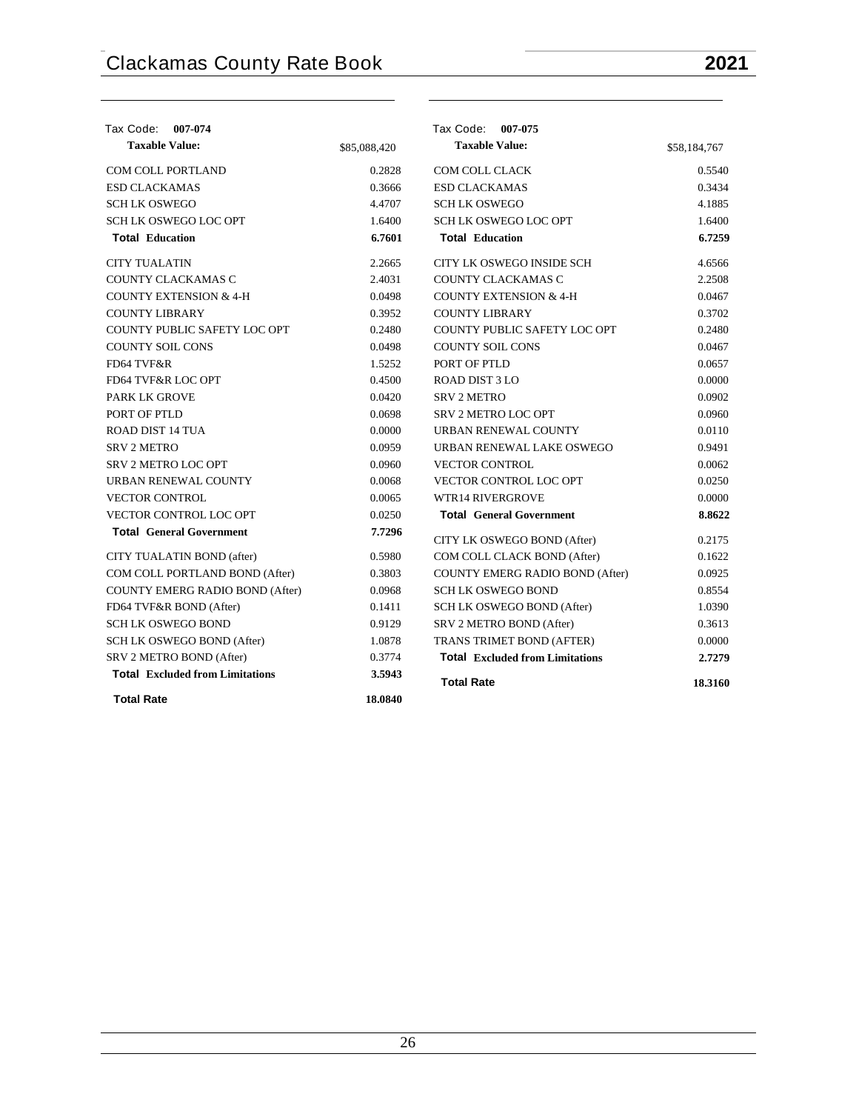| Tax Code: 007-074                      |              | Tax Code: 007-075                      |              |
|----------------------------------------|--------------|----------------------------------------|--------------|
| <b>Taxable Value:</b>                  | \$85,088,420 | <b>Taxable Value:</b>                  | \$58,184,767 |
| <b>COM COLL PORTLAND</b>               | 0.2828       | COM COLL CLACK                         | 0.5540       |
| <b>ESD CLACKAMAS</b>                   | 0.3666       | <b>ESD CLACKAMAS</b>                   | 0.3434       |
| <b>SCHLK OSWEGO</b>                    | 4.4707       | <b>SCHLK OSWEGO</b>                    | 4.1885       |
| SCH LK OSWEGO LOC OPT                  | 1.6400       | <b>SCH LK OSWEGO LOC OPT</b>           | 1.6400       |
| <b>Total Education</b>                 | 6.7601       | <b>Total Education</b>                 | 6.7259       |
| <b>CITY TUALATIN</b>                   | 2.2665       | CITY LK OSWEGO INSIDE SCH              | 4.6566       |
| COUNTY CLACKAMAS C                     | 2.4031       | COUNTY CLACKAMAS C                     | 2.2508       |
| <b>COUNTY EXTENSION &amp; 4-H</b>      | 0.0498       | <b>COUNTY EXTENSION &amp; 4-H</b>      | 0.0467       |
| <b>COUNTY LIBRARY</b>                  | 0.3952       | <b>COUNTY LIBRARY</b>                  | 0.3702       |
| COUNTY PUBLIC SAFETY LOC OPT           | 0.2480       | COUNTY PUBLIC SAFETY LOC OPT           | 0.2480       |
| <b>COUNTY SOIL CONS</b>                | 0.0498       | <b>COUNTY SOIL CONS</b>                | 0.0467       |
| FD64 TVF&R                             | 1.5252       | PORT OF PTLD                           | 0.0657       |
| FD64 TVF&R LOC OPT                     | 0.4500       | <b>ROAD DIST 3 LO</b>                  | 0.0000       |
| <b>PARK LK GROVE</b>                   | 0.0420       | <b>SRV 2 METRO</b>                     | 0.0902       |
| PORT OF PTLD                           | 0.0698       | <b>SRV 2 METRO LOC OPT</b>             | 0.0960       |
| ROAD DIST 14 TUA                       | 0.0000       | URBAN RENEWAL COUNTY                   | 0.0110       |
| <b>SRV 2 METRO</b>                     | 0.0959       | URBAN RENEWAL LAKE OSWEGO              | 0.9491       |
| <b>SRV 2 METRO LOC OPT</b>             | 0.0960       | <b>VECTOR CONTROL</b>                  | 0.0062       |
| URBAN RENEWAL COUNTY                   | 0.0068       | VECTOR CONTROL LOC OPT                 | 0.0250       |
| <b>VECTOR CONTROL</b>                  | 0.0065       | <b>WTR14 RIVERGROVE</b>                | 0.0000       |
| VECTOR CONTROL LOC OPT                 | 0.0250       | <b>Total General Government</b>        | 8.8622       |
| <b>Total General Government</b>        | 7.7296       | CITY LK OSWEGO BOND (After)            | 0.2175       |
| CITY TUALATIN BOND (after)             | 0.5980       | COM COLL CLACK BOND (After)            | 0.1622       |
| COM COLL PORTLAND BOND (After)         | 0.3803       | COUNTY EMERG RADIO BOND (After)        | 0.0925       |
| <b>COUNTY EMERG RADIO BOND (After)</b> | 0.0968       | <b>SCH LK OSWEGO BOND</b>              | 0.8554       |
| FD64 TVF&R BOND (After)                | 0.1411       | SCH LK OSWEGO BOND (After)             | 1.0390       |
| <b>SCH LK OSWEGO BOND</b>              | 0.9129       | SRV 2 METRO BOND (After)               | 0.3613       |
| SCH LK OSWEGO BOND (After)             | 1.0878       | TRANS TRIMET BOND (AFTER)              | 0.0000       |
| SRV 2 METRO BOND (After)               | 0.3774       | <b>Total Excluded from Limitations</b> | 2.7279       |
| <b>Total Excluded from Limitations</b> | 3.5943       | <b>Total Rate</b>                      | 18.3160      |
| <b>Total Rate</b>                      | 18.0840      |                                        |              |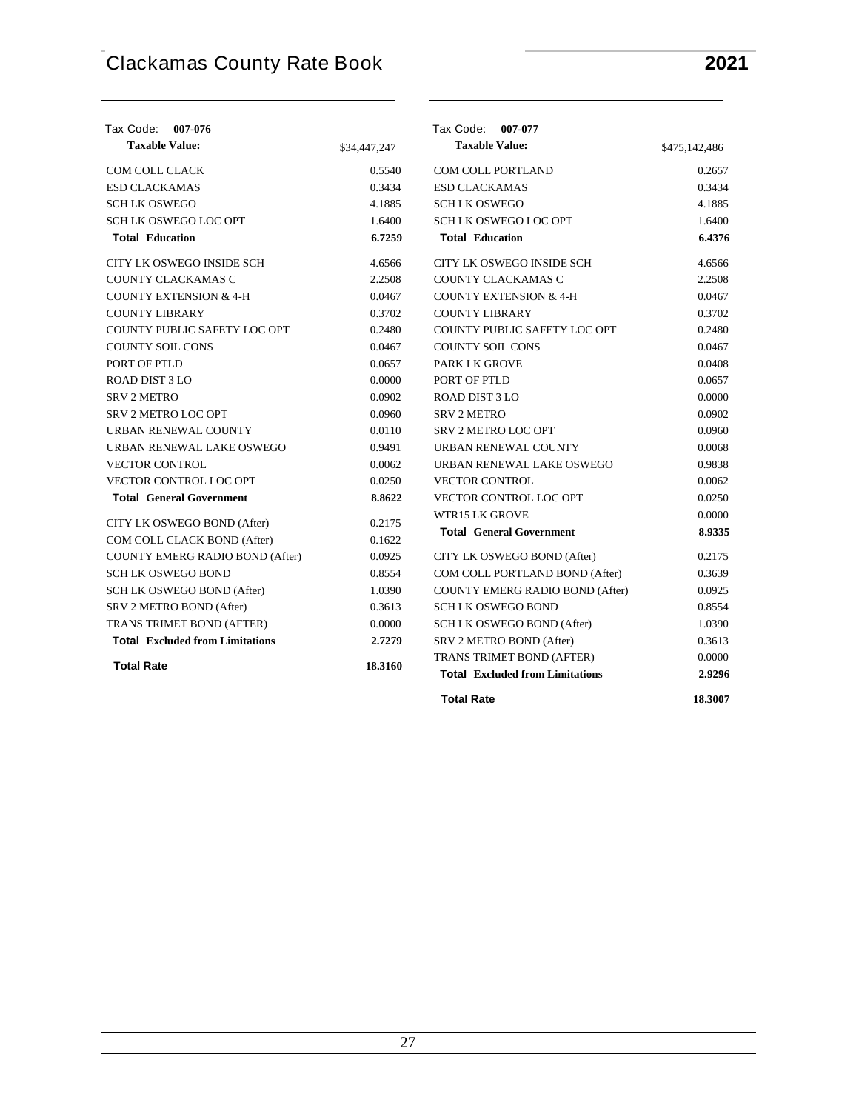| Tax Code: 007-076                      |              | Tax Code: 007-077                      |               |
|----------------------------------------|--------------|----------------------------------------|---------------|
| <b>Taxable Value:</b>                  | \$34,447,247 | <b>Taxable Value:</b>                  | \$475,142,486 |
| <b>COM COLL CLACK</b>                  | 0.5540       | <b>COM COLL PORTLAND</b>               | 0.2657        |
| <b>ESD CLACKAMAS</b>                   | 0.3434       | <b>ESD CLACKAMAS</b>                   | 0.3434        |
| <b>SCHLK OSWEGO</b>                    | 4.1885       | <b>SCHLK OSWEGO</b>                    | 4.1885        |
| <b>SCH LK OSWEGO LOC OPT</b>           | 1.6400       | <b>SCH LK OSWEGO LOC OPT</b>           | 1.6400        |
| <b>Total Education</b>                 | 6.7259       | <b>Total Education</b>                 | 6.4376        |
| CITY LK OSWEGO INSIDE SCH              | 4.6566       | CITY LK OSWEGO INSIDE SCH              | 4.6566        |
| COUNTY CLACKAMAS C                     | 2.2508       | COUNTY CLACKAMAS C                     | 2.2508        |
| <b>COUNTY EXTENSION &amp; 4-H</b>      | 0.0467       | <b>COUNTY EXTENSION &amp; 4-H</b>      | 0.0467        |
| <b>COUNTY LIBRARY</b>                  | 0.3702       | <b>COUNTY LIBRARY</b>                  | 0.3702        |
| COUNTY PUBLIC SAFETY LOC OPT           | 0.2480       | COUNTY PUBLIC SAFETY LOC OPT           | 0.2480        |
| <b>COUNTY SOIL CONS</b>                | 0.0467       | <b>COUNTY SOIL CONS</b>                | 0.0467        |
| PORT OF PTLD                           | 0.0657       | <b>PARK LK GROVE</b>                   | 0.0408        |
| ROAD DIST 3 LO                         | 0.0000       | PORT OF PTLD                           | 0.0657        |
| <b>SRV 2 METRO</b>                     | 0.0902       | <b>ROAD DIST 3 LO</b>                  | 0.0000        |
| <b>SRV 2 METRO LOC OPT</b>             | 0.0960       | <b>SRV 2 METRO</b>                     | 0.0902        |
| URBAN RENEWAL COUNTY                   | 0.0110       | <b>SRV 2 METRO LOC OPT</b>             | 0.0960        |
| URBAN RENEWAL LAKE OSWEGO              | 0.9491       | URBAN RENEWAL COUNTY                   | 0.0068        |
| <b>VECTOR CONTROL</b>                  | 0.0062       | URBAN RENEWAL LAKE OSWEGO              | 0.9838        |
| <b>VECTOR CONTROL LOC OPT</b>          | 0.0250       | <b>VECTOR CONTROL</b>                  | 0.0062        |
| <b>Total General Government</b>        | 8.8622       | <b>VECTOR CONTROL LOC OPT</b>          | 0.0250        |
| CITY LK OSWEGO BOND (After)            | 0.2175       | <b>WTR15 LK GROVE</b>                  | 0.0000        |
| COM COLL CLACK BOND (After)            | 0.1622       | <b>Total General Government</b>        | 8.9335        |
| <b>COUNTY EMERG RADIO BOND (After)</b> | 0.0925       | CITY LK OSWEGO BOND (After)            | 0.2175        |
| <b>SCH LK OSWEGO BOND</b>              | 0.8554       | COM COLL PORTLAND BOND (After)         | 0.3639        |
| SCH LK OSWEGO BOND (After)             | 1.0390       | COUNTY EMERG RADIO BOND (After)        | 0.0925        |
| SRV 2 METRO BOND (After)               | 0.3613       | <b>SCH LK OSWEGO BOND</b>              | 0.8554        |
| TRANS TRIMET BOND (AFTER)              | 0.0000       | SCH LK OSWEGO BOND (After)             | 1.0390        |
| <b>Total Excluded from Limitations</b> | 2.7279       | SRV 2 METRO BOND (After)               | 0.3613        |
|                                        |              | TRANS TRIMET BOND (AFTER)              | 0.0000        |
| <b>Total Rate</b>                      | 18.3160      | <b>Total Excluded from Limitations</b> | 2.9296        |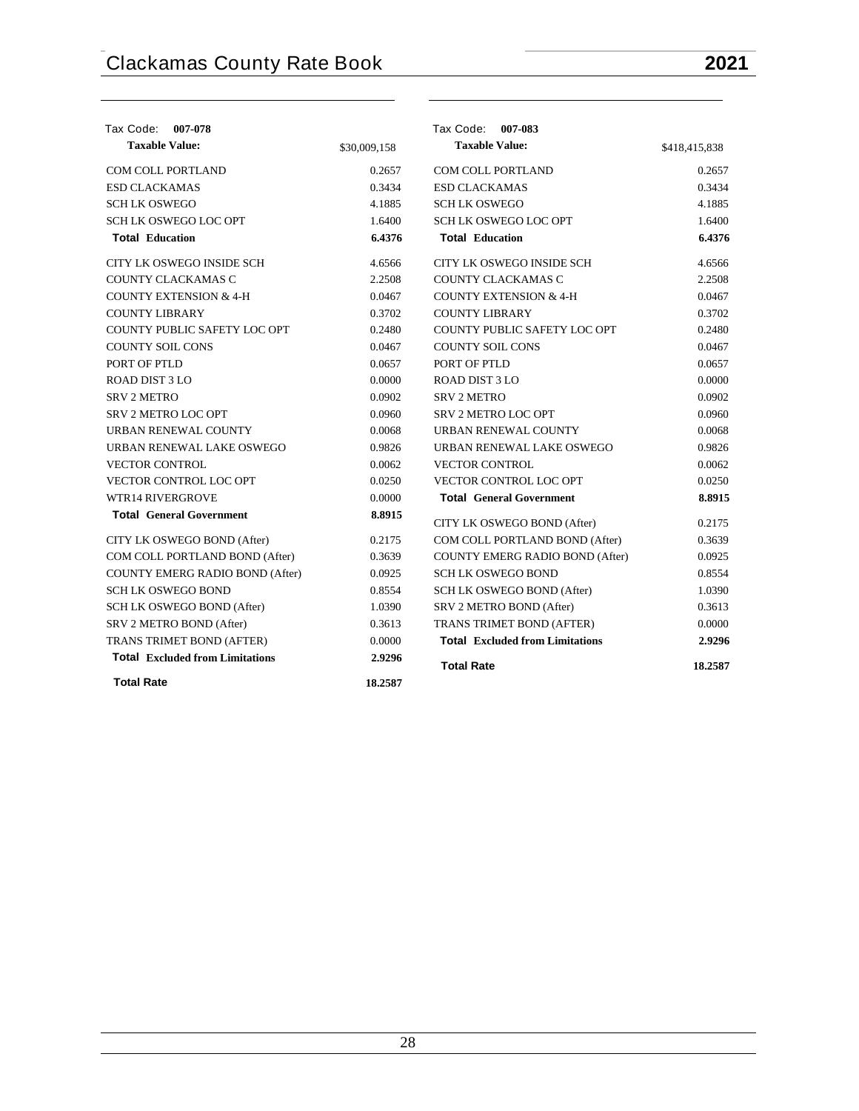| Tax Code: 007-078                      |              | Tax Code: 007-083                      |               |
|----------------------------------------|--------------|----------------------------------------|---------------|
| <b>Taxable Value:</b>                  | \$30,009,158 | <b>Taxable Value:</b>                  | \$418,415,838 |
| COM COLL PORTLAND                      | 0.2657       | COM COLL PORTLAND                      | 0.2657        |
| <b>ESD CLACKAMAS</b>                   | 0.3434       | <b>ESD CLACKAMAS</b>                   | 0.3434        |
| <b>SCHLK OSWEGO</b>                    | 4.1885       | <b>SCHLK OSWEGO</b>                    | 4.1885        |
| <b>SCH LK OSWEGO LOC OPT</b>           | 1.6400       | <b>SCH LK OSWEGO LOC OPT</b>           | 1.6400        |
| <b>Total Education</b>                 | 6.4376       | <b>Total Education</b>                 | 6.4376        |
| CITY LK OSWEGO INSIDE SCH              | 4.6566       | CITY LK OSWEGO INSIDE SCH              | 4.6566        |
| COUNTY CLACKAMAS C                     | 2.2508       | COUNTY CLACKAMAS C                     | 2.2508        |
| <b>COUNTY EXTENSION &amp; 4-H</b>      | 0.0467       | <b>COUNTY EXTENSION &amp; 4-H</b>      | 0.0467        |
| <b>COUNTY LIBRARY</b>                  | 0.3702       | <b>COUNTY LIBRARY</b>                  | 0.3702        |
| COUNTY PUBLIC SAFETY LOC OPT           | 0.2480       | COUNTY PUBLIC SAFETY LOC OPT           | 0.2480        |
| <b>COUNTY SOIL CONS</b>                | 0.0467       | <b>COUNTY SOIL CONS</b>                | 0.0467        |
| PORT OF PTLD                           | 0.0657       | PORT OF PTLD                           | 0.0657        |
| ROAD DIST 3 LO                         | 0.0000       | <b>ROAD DIST 3 LO</b>                  | 0.0000        |
| <b>SRV 2 METRO</b>                     | 0.0902       | <b>SRV 2 METRO</b>                     | 0.0902        |
| <b>SRV 2 METRO LOC OPT</b>             | 0.0960       | <b>SRV 2 METRO LOC OPT</b>             | 0.0960        |
| URBAN RENEWAL COUNTY                   | 0.0068       | URBAN RENEWAL COUNTY                   | 0.0068        |
| URBAN RENEWAL LAKE OSWEGO              | 0.9826       | URBAN RENEWAL LAKE OSWEGO              | 0.9826        |
| <b>VECTOR CONTROL</b>                  | 0.0062       | <b>VECTOR CONTROL</b>                  | 0.0062        |
| VECTOR CONTROL LOC OPT                 | 0.0250       | VECTOR CONTROL LOC OPT                 | 0.0250        |
| <b>WTR14 RIVERGROVE</b>                | 0.0000       | <b>Total General Government</b>        | 8.8915        |
| <b>Total General Government</b>        | 8.8915       | CITY LK OSWEGO BOND (After)            | 0.2175        |
| CITY LK OSWEGO BOND (After)            | 0.2175       | COM COLL PORTLAND BOND (After)         | 0.3639        |
| COM COLL PORTLAND BOND (After)         | 0.3639       | COUNTY EMERG RADIO BOND (After)        | 0.0925        |
| COUNTY EMERG RADIO BOND (After)        | 0.0925       | <b>SCH LK OSWEGO BOND</b>              | 0.8554        |
| <b>SCH LK OSWEGO BOND</b>              | 0.8554       | SCH LK OSWEGO BOND (After)             | 1.0390        |
| SCH LK OSWEGO BOND (After)             | 1.0390       | SRV 2 METRO BOND (After)               | 0.3613        |
| SRV 2 METRO BOND (After)               | 0.3613       | TRANS TRIMET BOND (AFTER)              | 0.0000        |
| TRANS TRIMET BOND (AFTER)              | 0.0000       | <b>Total Excluded from Limitations</b> | 2.9296        |
| <b>Total Excluded from Limitations</b> | 2.9296       | <b>Total Rate</b>                      | 18.2587       |
| <b>Total Rate</b>                      | 18.2587      |                                        |               |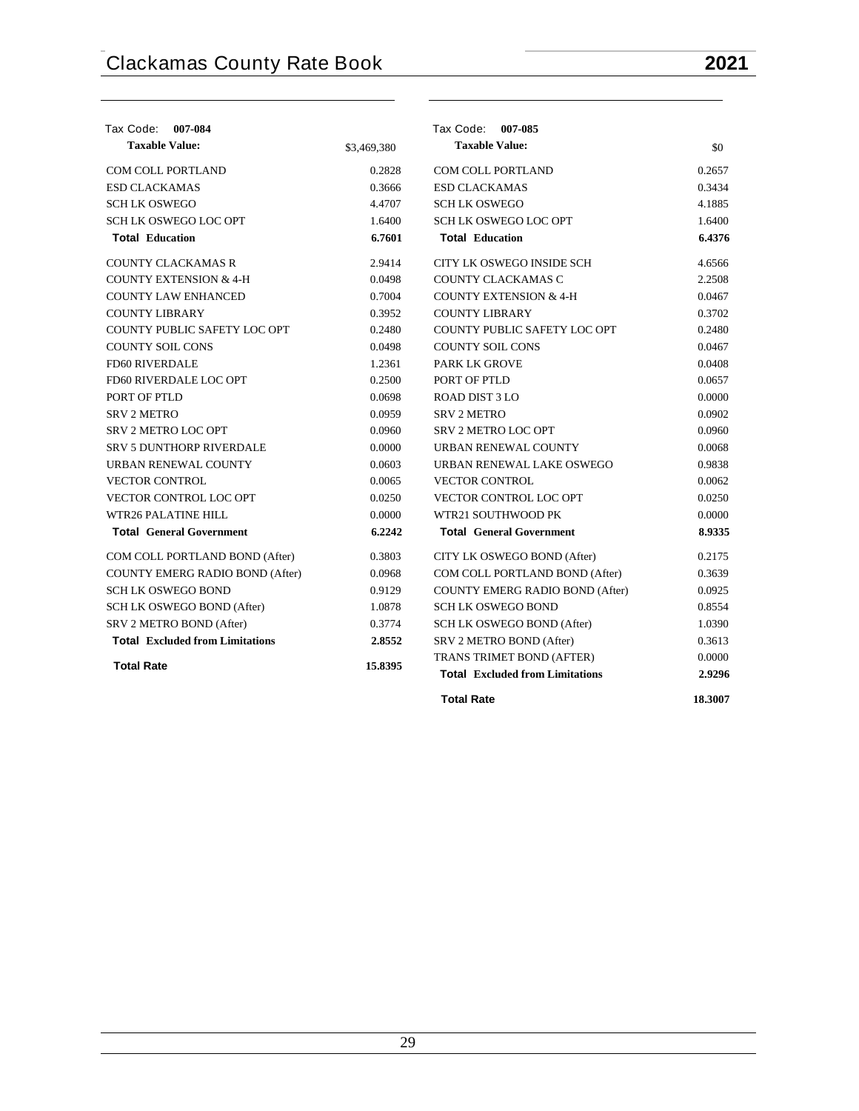| Tax Code: 007-084                      |             | Tax Code: 007-085                      |        |
|----------------------------------------|-------------|----------------------------------------|--------|
| <b>Taxable Value:</b>                  | \$3,469,380 | <b>Taxable Value:</b>                  | \$0    |
| <b>COM COLL PORTLAND</b>               | 0.2828      | <b>COM COLL PORTLAND</b>               | 0.2657 |
| <b>ESD CLACKAMAS</b>                   | 0.3666      | <b>ESD CLACKAMAS</b>                   | 0.3434 |
| <b>SCH LK OSWEGO</b>                   | 4.4707      | <b>SCH LK OSWEGO</b>                   | 4.1885 |
| <b>SCH LK OSWEGO LOC OPT</b>           | 1.6400      | <b>SCH LK OSWEGO LOC OPT</b>           | 1.6400 |
| <b>Total Education</b>                 | 6.7601      | <b>Total Education</b>                 | 6.4376 |
| <b>COUNTY CLACKAMAS R</b>              | 2.9414      | CITY LK OSWEGO INSIDE SCH              | 4.6566 |
| <b>COUNTY EXTENSION &amp; 4-H</b>      | 0.0498      | COUNTY CLACKAMAS C                     | 2.2508 |
| <b>COUNTY LAW ENHANCED</b>             | 0.7004      | <b>COUNTY EXTENSION &amp; 4-H</b>      | 0.0467 |
| <b>COUNTY LIBRARY</b>                  | 0.3952      | <b>COUNTY LIBRARY</b>                  | 0.3702 |
| COUNTY PUBLIC SAFETY LOC OPT           | 0.2480      | COUNTY PUBLIC SAFETY LOC OPT           | 0.2480 |
| <b>COUNTY SOIL CONS</b>                | 0.0498      | <b>COUNTY SOIL CONS</b>                | 0.0467 |
| <b>FD60 RIVERDALE</b>                  | 1.2361      | PARK LK GROVE                          | 0.0408 |
| FD60 RIVERDALE LOC OPT                 | 0.2500      | PORT OF PTLD                           | 0.0657 |
| PORT OF PTLD                           | 0.0698      | ROAD DIST 3 LO                         | 0.0000 |
| <b>SRV 2 METRO</b>                     | 0.0959      | <b>SRV 2 METRO</b>                     | 0.0902 |
| <b>SRV 2 METRO LOC OPT</b>             | 0.0960      | <b>SRV 2 METRO LOC OPT</b>             | 0.0960 |
| <b>SRV 5 DUNTHORP RIVERDALE</b>        | 0.0000      | URBAN RENEWAL COUNTY                   | 0.0068 |
| URBAN RENEWAL COUNTY                   | 0.0603      | URBAN RENEWAL LAKE OSWEGO              | 0.9838 |
| <b>VECTOR CONTROL</b>                  | 0.0065      | <b>VECTOR CONTROL</b>                  | 0.0062 |
| <b>VECTOR CONTROL LOC OPT</b>          | 0.0250      | <b>VECTOR CONTROL LOC OPT</b>          | 0.0250 |
| WTR26 PALATINE HILL                    | 0.0000      | WTR21 SOUTHWOOD PK                     | 0.0000 |
| <b>Total General Government</b>        | 6.2242      | <b>Total General Government</b>        | 8.9335 |
| COM COLL PORTLAND BOND (After)         | 0.3803      | CITY LK OSWEGO BOND (After)            | 0.2175 |
| COUNTY EMERG RADIO BOND (After)        | 0.0968      | COM COLL PORTLAND BOND (After)         | 0.3639 |
| <b>SCH LK OSWEGO BOND</b>              | 0.9129      | COUNTY EMERG RADIO BOND (After)        | 0.0925 |
| SCH LK OSWEGO BOND (After)             | 1.0878      | <b>SCH LK OSWEGO BOND</b>              | 0.8554 |
| SRV 2 METRO BOND (After)               | 0.3774      | SCH LK OSWEGO BOND (After)             | 1.0390 |
| <b>Total Excluded from Limitations</b> | 2.8552      | SRV 2 METRO BOND (After)               | 0.3613 |
| <b>Total Rate</b>                      | 15.8395     | TRANS TRIMET BOND (AFTER)              | 0.0000 |
|                                        |             | <b>Total Excluded from Limitations</b> | 2.9296 |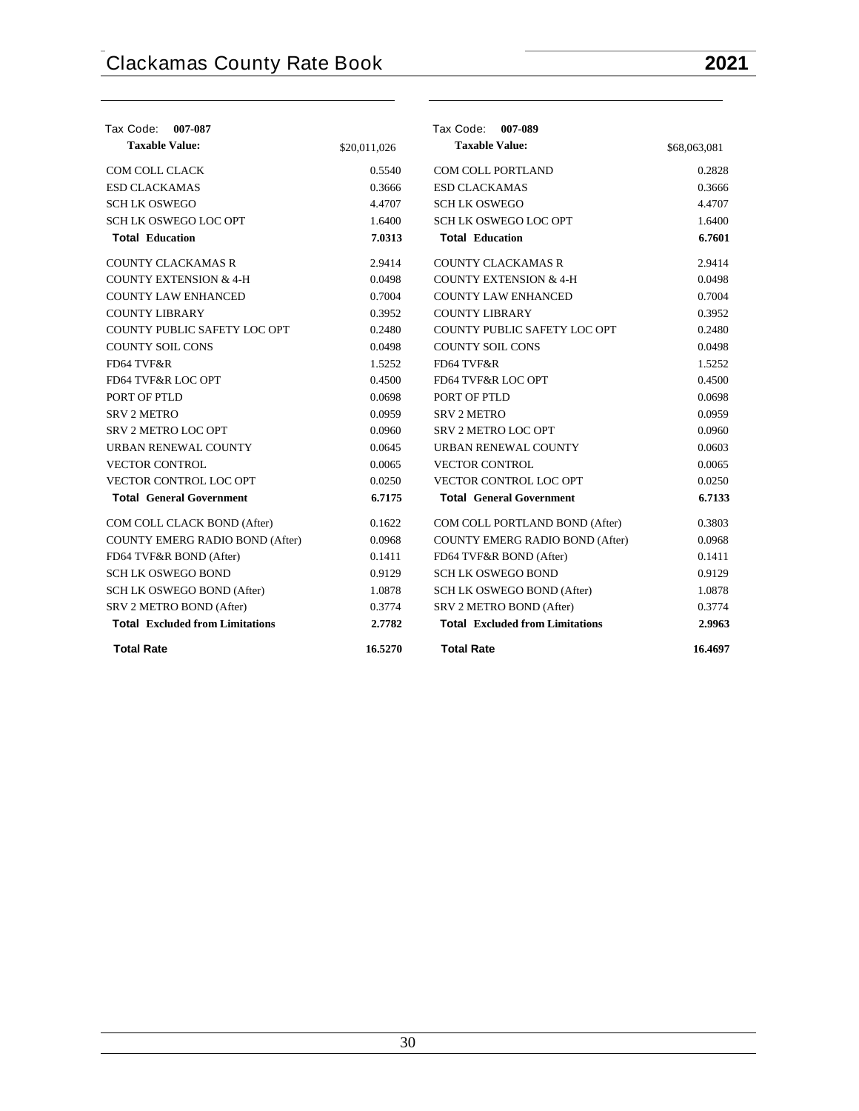| Tax Code:<br>007-087                   |              | Tax Code: 007-089                      |              |
|----------------------------------------|--------------|----------------------------------------|--------------|
| <b>Taxable Value:</b>                  | \$20,011,026 | <b>Taxable Value:</b>                  | \$68,063,081 |
| COM COLL CLACK                         | 0.5540       | <b>COM COLL PORTLAND</b>               | 0.2828       |
| <b>ESD CLACKAMAS</b>                   | 0.3666       | <b>ESD CLACKAMAS</b>                   | 0.3666       |
| <b>SCHLK OSWEGO</b>                    | 4.4707       | <b>SCHLK OSWEGO</b>                    | 4.4707       |
| <b>SCH LK OSWEGO LOC OPT</b>           | 1.6400       | <b>SCH LK OSWEGO LOC OPT</b>           | 1.6400       |
| <b>Total Education</b>                 | 7.0313       | <b>Total Education</b>                 | 6.7601       |
| <b>COUNTY CLACKAMAS R</b>              | 2.9414       | <b>COUNTY CLACKAMAS R</b>              | 2.9414       |
| <b>COUNTY EXTENSION &amp; 4-H</b>      | 0.0498       | <b>COUNTY EXTENSION &amp; 4-H</b>      | 0.0498       |
| <b>COUNTY LAW ENHANCED</b>             | 0.7004       | <b>COUNTY LAW ENHANCED</b>             | 0.7004       |
| <b>COUNTY LIBRARY</b>                  | 0.3952       | <b>COUNTY LIBRARY</b>                  | 0.3952       |
| COUNTY PUBLIC SAFETY LOC OPT           | 0.2480       | COUNTY PUBLIC SAFETY LOC OPT           | 0.2480       |
| <b>COUNTY SOIL CONS</b>                | 0.0498       | <b>COUNTY SOIL CONS</b>                | 0.0498       |
| FD64 TVF&R                             | 1.5252       | FD64 TVF&R                             | 1.5252       |
| FD64 TVF&R LOC OPT                     | 0.4500       | FD64 TVF&R LOC OPT                     | 0.4500       |
| PORT OF PTLD                           | 0.0698       | PORT OF PTLD                           | 0.0698       |
| <b>SRV 2 METRO</b>                     | 0.0959       | <b>SRV 2 METRO</b>                     | 0.0959       |
| <b>SRV 2 METRO LOC OPT</b>             | 0.0960       | SRV 2 METRO LOC OPT                    | 0.0960       |
| URBAN RENEWAL COUNTY                   | 0.0645       | URBAN RENEWAL COUNTY                   | 0.0603       |
| <b>VECTOR CONTROL</b>                  | 0.0065       | <b>VECTOR CONTROL</b>                  | 0.0065       |
| <b>VECTOR CONTROL LOC OPT</b>          | 0.0250       | VECTOR CONTROL LOC OPT                 | 0.0250       |
| <b>Total General Government</b>        | 6.7175       | <b>Total General Government</b>        | 6.7133       |
| COM COLL CLACK BOND (After)            | 0.1622       | COM COLL PORTLAND BOND (After)         | 0.3803       |
| COUNTY EMERG RADIO BOND (After)        | 0.0968       | COUNTY EMERG RADIO BOND (After)        | 0.0968       |
| FD64 TVF&R BOND (After)                | 0.1411       | FD64 TVF&R BOND (After)                | 0.1411       |
| <b>SCH LK OSWEGO BOND</b>              | 0.9129       | <b>SCH LK OSWEGO BOND</b>              | 0.9129       |
| SCH LK OSWEGO BOND (After)             | 1.0878       | SCH LK OSWEGO BOND (After)             | 1.0878       |
| SRV 2 METRO BOND (After)               | 0.3774       | SRV 2 METRO BOND (After)               | 0.3774       |
| <b>Total Excluded from Limitations</b> | 2.7782       | <b>Total Excluded from Limitations</b> | 2.9963       |
| <b>Total Rate</b>                      | 16.5270      | <b>Total Rate</b>                      | 16.4697      |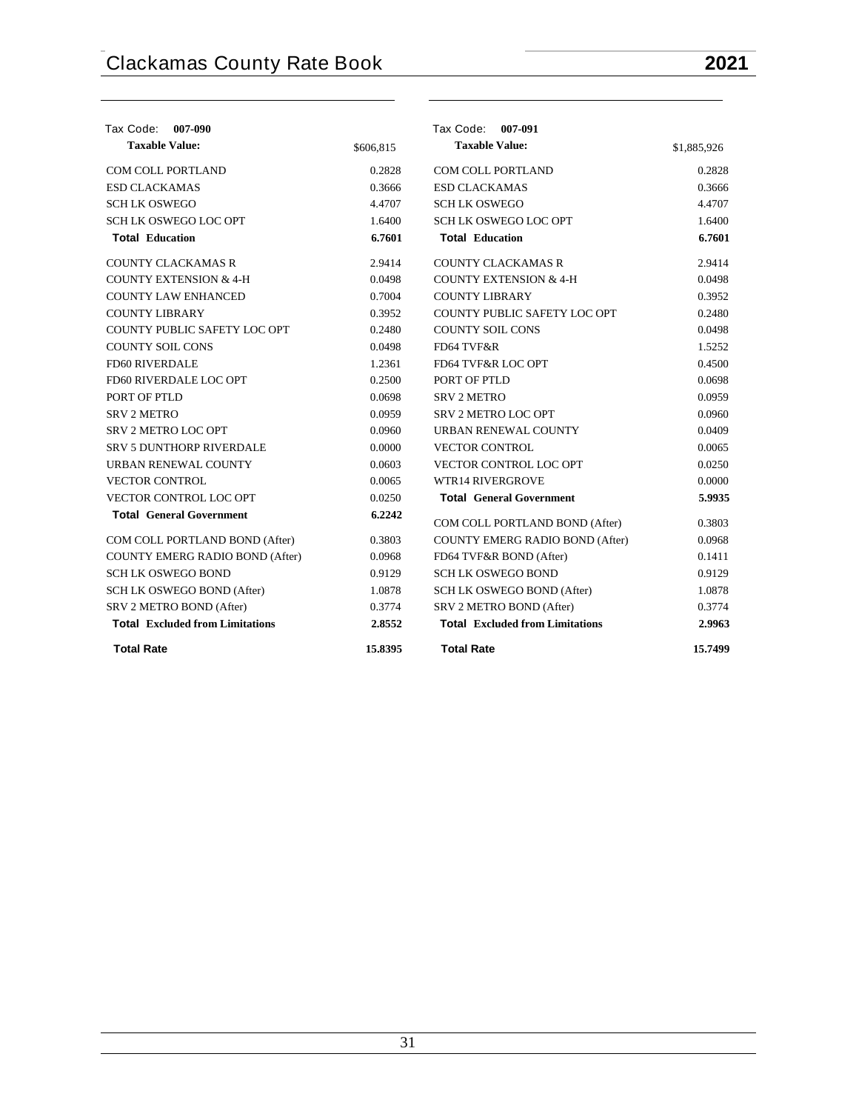| Tax Code: 007-090                      |           | Tax Code: 007-091                      |             |
|----------------------------------------|-----------|----------------------------------------|-------------|
| <b>Taxable Value:</b>                  | \$606,815 | <b>Taxable Value:</b>                  | \$1,885,926 |
| COM COLL PORTLAND                      | 0.2828    | <b>COM COLL PORTLAND</b>               | 0.2828      |
| <b>ESD CLACKAMAS</b>                   | 0.3666    | <b>ESD CLACKAMAS</b>                   | 0.3666      |
| <b>SCHLK OSWEGO</b>                    | 4.4707    | <b>SCHLK OSWEGO</b>                    | 4.4707      |
| <b>SCH LK OSWEGO LOC OPT</b>           | 1.6400    | <b>SCH LK OSWEGO LOC OPT</b>           | 1.6400      |
| <b>Total Education</b>                 | 6.7601    | <b>Total Education</b>                 | 6.7601      |
| <b>COUNTY CLACKAMAS R</b>              | 2.9414    | <b>COUNTY CLACKAMAS R</b>              | 2.9414      |
| <b>COUNTY EXTENSION &amp; 4-H</b>      | 0.0498    | <b>COUNTY EXTENSION &amp; 4-H</b>      | 0.0498      |
| <b>COUNTY LAW ENHANCED</b>             | 0.7004    | <b>COUNTY LIBRARY</b>                  | 0.3952      |
| <b>COUNTY LIBRARY</b>                  | 0.3952    | COUNTY PUBLIC SAFETY LOC OPT           | 0.2480      |
| COUNTY PUBLIC SAFETY LOC OPT           | 0.2480    | <b>COUNTY SOIL CONS</b>                | 0.0498      |
| <b>COUNTY SOIL CONS</b>                | 0.0498    | FD64 TVF&R                             | 1.5252      |
| FD60 RIVERDALE                         | 1.2361    | FD64 TVF&R LOC OPT                     | 0.4500      |
| FD60 RIVERDALE LOC OPT                 | 0.2500    | PORT OF PTLD                           | 0.0698      |
| PORT OF PTLD                           | 0.0698    | <b>SRV 2 METRO</b>                     | 0.0959      |
| <b>SRV 2 METRO</b>                     | 0.0959    | SRV 2 METRO LOC OPT                    | 0.0960      |
| SRV 2 METRO LOC OPT                    | 0.0960    | URBAN RENEWAL COUNTY                   | 0.0409      |
| <b>SRV 5 DUNTHORP RIVERDALE</b>        | 0.0000    | <b>VECTOR CONTROL</b>                  | 0.0065      |
| URBAN RENEWAL COUNTY                   | 0.0603    | VECTOR CONTROL LOC OPT                 | 0.0250      |
| <b>VECTOR CONTROL</b>                  | 0.0065    | <b>WTR14 RIVERGROVE</b>                | 0.0000      |
| VECTOR CONTROL LOC OPT                 | 0.0250    | <b>Total General Government</b>        | 5.9935      |
| <b>Total General Government</b>        | 6.2242    | COM COLL PORTLAND BOND (After)         | 0.3803      |
| COM COLL PORTLAND BOND (After)         | 0.3803    | <b>COUNTY EMERG RADIO BOND (After)</b> | 0.0968      |
| COUNTY EMERG RADIO BOND (After)        | 0.0968    | FD64 TVF&R BOND (After)                | 0.1411      |
| <b>SCH LK OSWEGO BOND</b>              | 0.9129    | <b>SCH LK OSWEGO BOND</b>              | 0.9129      |
| SCH LK OSWEGO BOND (After)             | 1.0878    | SCH LK OSWEGO BOND (After)             | 1.0878      |
| SRV 2 METRO BOND (After)               | 0.3774    | SRV 2 METRO BOND (After)               | 0.3774      |
| <b>Total Excluded from Limitations</b> | 2.8552    | <b>Total Excluded from Limitations</b> | 2.9963      |
| <b>Total Rate</b>                      | 15.8395   | <b>Total Rate</b>                      | 15.7499     |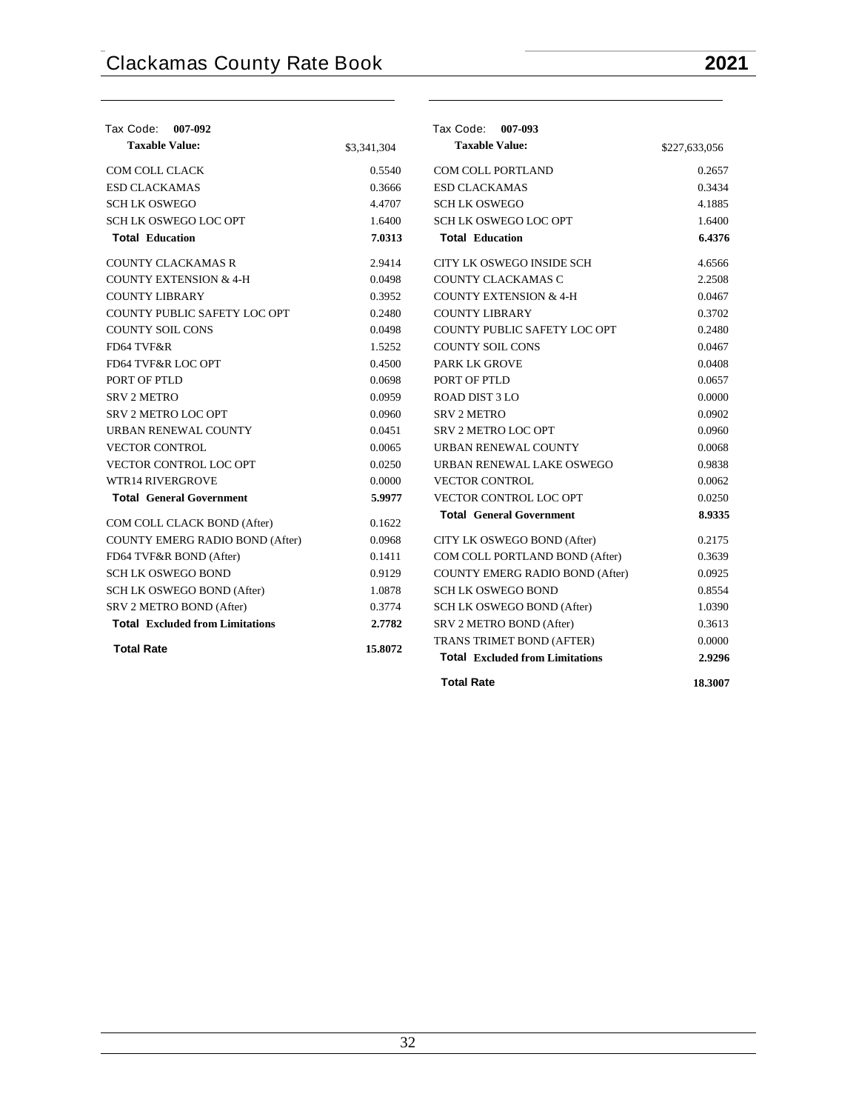| Tax Code: 007-092                      |             | Tax Code: 007-093                      |               |
|----------------------------------------|-------------|----------------------------------------|---------------|
| <b>Taxable Value:</b>                  | \$3,341,304 | <b>Taxable Value:</b>                  | \$227,633,056 |
| <b>COM COLL CLACK</b>                  | 0.5540      | <b>COM COLL PORTLAND</b>               | 0.2657        |
| <b>ESD CLACKAMAS</b>                   | 0.3666      | <b>ESD CLACKAMAS</b>                   | 0.3434        |
| <b>SCH LK OSWEGO</b>                   | 4.4707      | <b>SCH LK OSWEGO</b>                   | 4.1885        |
| <b>SCH LK OSWEGO LOC OPT</b>           | 1.6400      | <b>SCH LK OSWEGO LOC OPT</b>           | 1.6400        |
| <b>Total Education</b>                 | 7.0313      | <b>Total Education</b>                 | 6.4376        |
| <b>COUNTY CLACKAMAS R</b>              | 2.9414      | CITY LK OSWEGO INSIDE SCH              | 4.6566        |
| <b>COUNTY EXTENSION &amp; 4-H</b>      | 0.0498      | COUNTY CLACKAMAS C                     | 2.2508        |
| <b>COUNTY LIBRARY</b>                  | 0.3952      | <b>COUNTY EXTENSION &amp; 4-H</b>      | 0.0467        |
| COUNTY PUBLIC SAFETY LOC OPT           | 0.2480      | <b>COUNTY LIBRARY</b>                  | 0.3702        |
| <b>COUNTY SOIL CONS</b>                | 0.0498      | COUNTY PUBLIC SAFETY LOC OPT           | 0.2480        |
| FD64 TVF&R                             | 1.5252      | <b>COUNTY SOIL CONS</b>                | 0.0467        |
| FD64 TVF&R LOC OPT                     | 0.4500      | <b>PARK LK GROVE</b>                   | 0.0408        |
| PORT OF PTLD                           | 0.0698      | PORT OF PTLD                           | 0.0657        |
| <b>SRV 2 METRO</b>                     | 0.0959      | ROAD DIST 3 LO                         | 0.0000        |
| <b>SRV 2 METRO LOC OPT</b>             | 0.0960      | <b>SRV 2 METRO</b>                     | 0.0902        |
| URBAN RENEWAL COUNTY                   | 0.0451      | <b>SRV 2 METRO LOC OPT</b>             | 0.0960        |
| <b>VECTOR CONTROL</b>                  | 0.0065      | URBAN RENEWAL COUNTY                   | 0.0068        |
| VECTOR CONTROL LOC OPT                 | 0.0250      | URBAN RENEWAL LAKE OSWEGO              | 0.9838        |
| <b>WTR14 RIVERGROVE</b>                | 0.0000      | <b>VECTOR CONTROL</b>                  | 0.0062        |
| <b>Total General Government</b>        | 5.9977      | VECTOR CONTROL LOC OPT                 | 0.0250        |
| COM COLL CLACK BOND (After)            | 0.1622      | <b>Total General Government</b>        | 8.9335        |
| COUNTY EMERG RADIO BOND (After)        | 0.0968      | CITY LK OSWEGO BOND (After)            | 0.2175        |
| FD64 TVF&R BOND (After)                | 0.1411      | COM COLL PORTLAND BOND (After)         | 0.3639        |
| <b>SCH LK OSWEGO BOND</b>              | 0.9129      | COUNTY EMERG RADIO BOND (After)        | 0.0925        |
| SCH LK OSWEGO BOND (After)             | 1.0878      | <b>SCH LK OSWEGO BOND</b>              | 0.8554        |
| SRV 2 METRO BOND (After)               | 0.3774      | SCH LK OSWEGO BOND (After)             | 1.0390        |
| <b>Total Excluded from Limitations</b> | 2.7782      | SRV 2 METRO BOND (After)               | 0.3613        |
|                                        |             | TRANS TRIMET BOND (AFTER)              | 0.0000        |
| <b>Total Rate</b>                      | 15.8072     | <b>Total Excluded from Limitations</b> | 2.9296        |
|                                        |             | <b>Total Rate</b>                      | 18.3007       |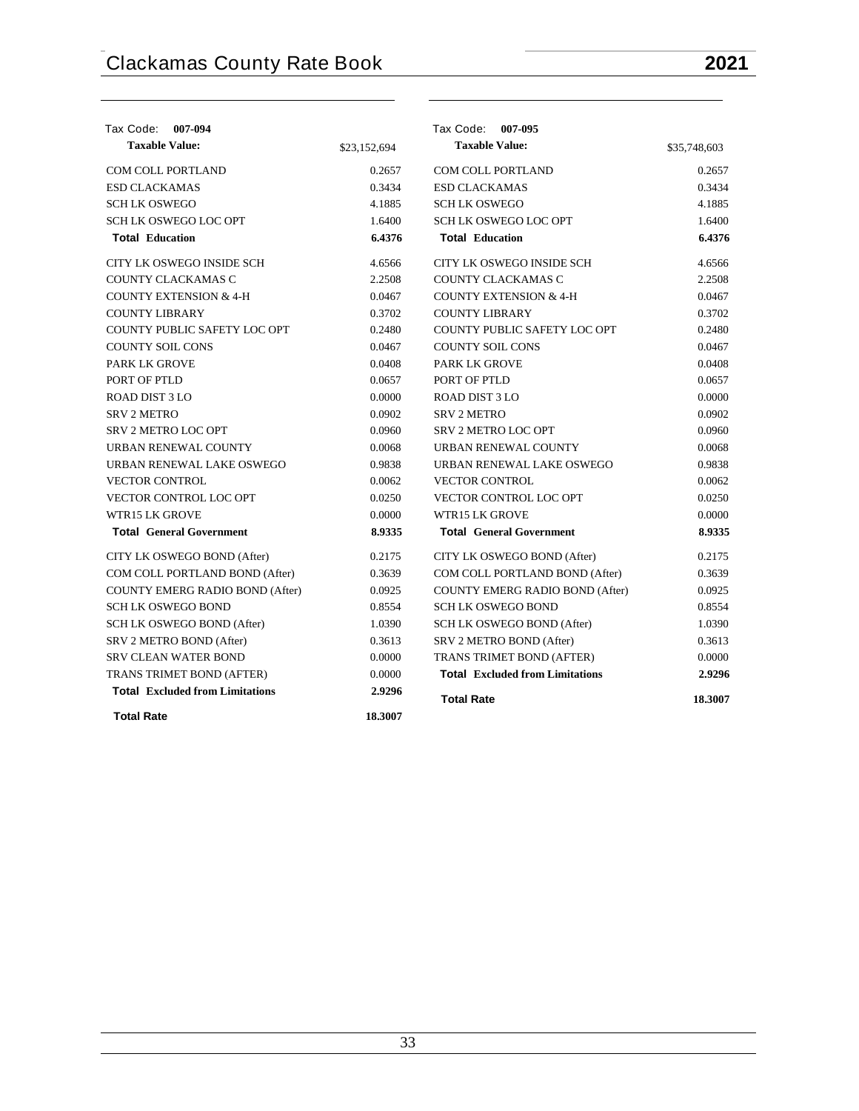| Tax Code:<br>007-094                   |              | Tax Code: 007-095                      |              |
|----------------------------------------|--------------|----------------------------------------|--------------|
| <b>Taxable Value:</b>                  | \$23,152,694 | <b>Taxable Value:</b>                  | \$35,748,603 |
| <b>COM COLL PORTLAND</b>               | 0.2657       | <b>COM COLL PORTLAND</b>               | 0.2657       |
| <b>ESD CLACKAMAS</b>                   | 0.3434       | <b>ESD CLACKAMAS</b>                   | 0.3434       |
| <b>SCHLK OSWEGO</b>                    | 4.1885       | <b>SCHLK OSWEGO</b>                    | 4.1885       |
| SCH LK OSWEGO LOC OPT                  | 1.6400       | SCH LK OSWEGO LOC OPT                  | 1.6400       |
| <b>Total Education</b>                 | 6.4376       | <b>Total Education</b>                 | 6.4376       |
| CITY LK OSWEGO INSIDE SCH              | 4.6566       | CITY LK OSWEGO INSIDE SCH              | 4.6566       |
| COUNTY CLACKAMAS C                     | 2.2508       | COUNTY CLACKAMAS C                     | 2.2508       |
| <b>COUNTY EXTENSION &amp; 4-H</b>      | 0.0467       | <b>COUNTY EXTENSION &amp; 4-H</b>      | 0.0467       |
| <b>COUNTY LIBRARY</b>                  | 0.3702       | <b>COUNTY LIBRARY</b>                  | 0.3702       |
| COUNTY PUBLIC SAFETY LOC OPT           | 0.2480       | COUNTY PUBLIC SAFETY LOC OPT           | 0.2480       |
| <b>COUNTY SOIL CONS</b>                | 0.0467       | <b>COUNTY SOIL CONS</b>                | 0.0467       |
| <b>PARK LK GROVE</b>                   | 0.0408       | <b>PARK LK GROVE</b>                   | 0.0408       |
| PORT OF PTLD                           | 0.0657       | PORT OF PTLD                           | 0.0657       |
| ROAD DIST 3 LO                         | 0.0000       | <b>ROAD DIST 3 LO</b>                  | 0.0000       |
| <b>SRV 2 METRO</b>                     | 0.0902       | <b>SRV 2 METRO</b>                     | 0.0902       |
| <b>SRV 2 METRO LOC OPT</b>             | 0.0960       | <b>SRV 2 METRO LOC OPT</b>             | 0.0960       |
| URBAN RENEWAL COUNTY                   | 0.0068       | URBAN RENEWAL COUNTY                   | 0.0068       |
| URBAN RENEWAL LAKE OSWEGO              | 0.9838       | URBAN RENEWAL LAKE OSWEGO              | 0.9838       |
| <b>VECTOR CONTROL</b>                  | 0.0062       | <b>VECTOR CONTROL</b>                  | 0.0062       |
| VECTOR CONTROL LOC OPT                 | 0.0250       | VECTOR CONTROL LOC OPT                 | 0.0250       |
| WTR15 LK GROVE                         | 0.0000       | WTR15 LK GROVE                         | 0.0000       |
| <b>Total General Government</b>        | 8.9335       | <b>Total General Government</b>        | 8.9335       |
| CITY LK OSWEGO BOND (After)            | 0.2175       | CITY LK OSWEGO BOND (After)            | 0.2175       |
| COM COLL PORTLAND BOND (After)         | 0.3639       | COM COLL PORTLAND BOND (After)         | 0.3639       |
| COUNTY EMERG RADIO BOND (After)        | 0.0925       | <b>COUNTY EMERG RADIO BOND (After)</b> | 0.0925       |
| <b>SCH LK OSWEGO BOND</b>              | 0.8554       | <b>SCH LK OSWEGO BOND</b>              | 0.8554       |
| SCH LK OSWEGO BOND (After)             | 1.0390       | SCH LK OSWEGO BOND (After)             | 1.0390       |
| SRV 2 METRO BOND (After)               | 0.3613       | SRV 2 METRO BOND (After)               | 0.3613       |
| <b>SRV CLEAN WATER BOND</b>            | 0.0000       | TRANS TRIMET BOND (AFTER)              | 0.0000       |
| TRANS TRIMET BOND (AFTER)              | 0.0000       | <b>Total Excluded from Limitations</b> | 2.9296       |
| <b>Total Excluded from Limitations</b> | 2.9296       | <b>Total Rate</b>                      | 18.3007      |
| <b>Total Rate</b>                      | 18.3007      |                                        |              |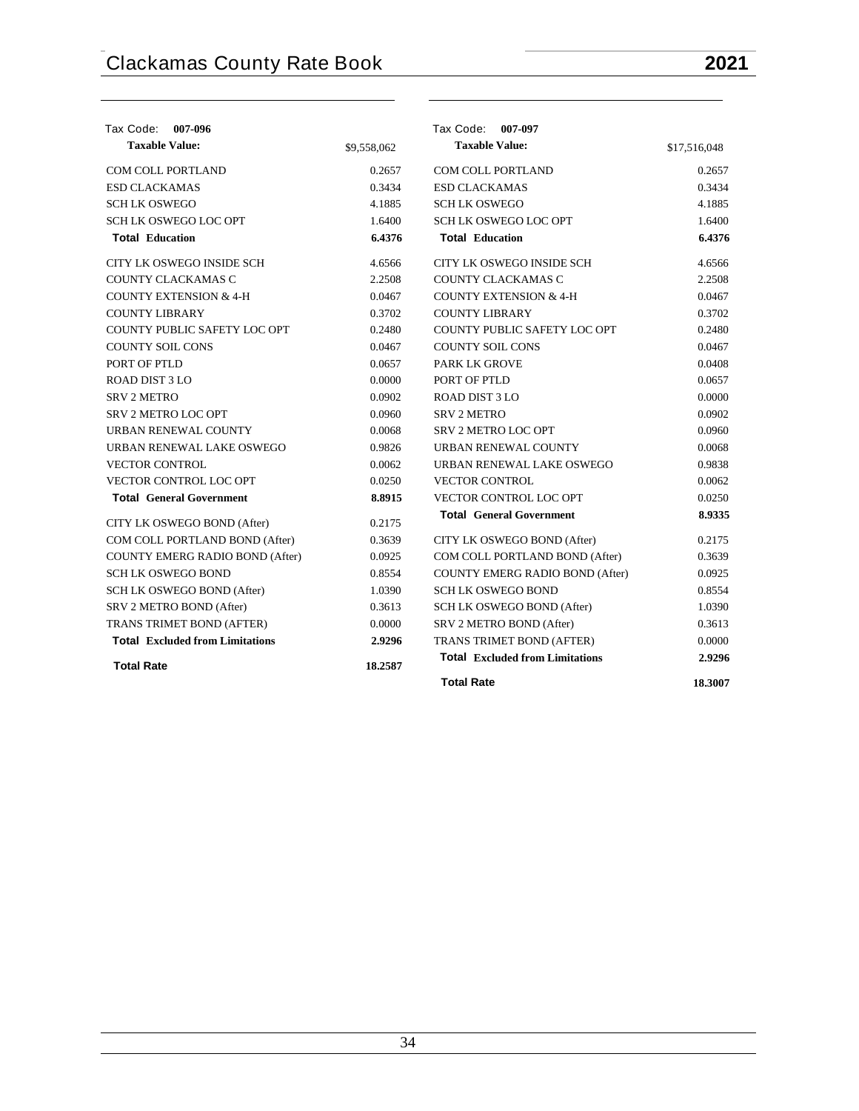| Tax Code: 007-096                      |             | Tax Code: 007-097                      |              |
|----------------------------------------|-------------|----------------------------------------|--------------|
| <b>Taxable Value:</b>                  | \$9,558,062 | <b>Taxable Value:</b>                  | \$17,516,048 |
| COM COLL PORTLAND                      | 0.2657      | COM COLL PORTLAND                      | 0.2657       |
| <b>ESD CLACKAMAS</b>                   | 0.3434      | <b>ESD CLACKAMAS</b>                   | 0.3434       |
| <b>SCHLK OSWEGO</b>                    | 4.1885      | <b>SCHLK OSWEGO</b>                    | 4.1885       |
| <b>SCH LK OSWEGO LOC OPT</b>           | 1.6400      | <b>SCH LK OSWEGO LOC OPT</b>           | 1.6400       |
| <b>Total Education</b>                 | 6.4376      | <b>Total Education</b>                 | 6.4376       |
| CITY LK OSWEGO INSIDE SCH              | 4.6566      | CITY LK OSWEGO INSIDE SCH              | 4.6566       |
| COUNTY CLACKAMAS C                     | 2.2508      | COUNTY CLACKAMAS C                     | 2.2508       |
| <b>COUNTY EXTENSION &amp; 4-H</b>      | 0.0467      | <b>COUNTY EXTENSION &amp; 4-H</b>      | 0.0467       |
| <b>COUNTY LIBRARY</b>                  | 0.3702      | <b>COUNTY LIBRARY</b>                  | 0.3702       |
| COUNTY PUBLIC SAFETY LOC OPT           | 0.2480      | COUNTY PUBLIC SAFETY LOC OPT           | 0.2480       |
| <b>COUNTY SOIL CONS</b>                | 0.0467      | <b>COUNTY SOIL CONS</b>                | 0.0467       |
| PORT OF PTLD                           | 0.0657      | <b>PARK LK GROVE</b>                   | 0.0408       |
| ROAD DIST 3 LO                         | 0.0000      | PORT OF PTLD                           | 0.0657       |
| <b>SRV 2 METRO</b>                     | 0.0902      | <b>ROAD DIST 3 LO</b>                  | 0.0000       |
| <b>SRV 2 METRO LOC OPT</b>             | 0.0960      | <b>SRV 2 METRO</b>                     | 0.0902       |
| URBAN RENEWAL COUNTY                   | 0.0068      | SRV 2 METRO LOC OPT                    | 0.0960       |
| URBAN RENEWAL LAKE OSWEGO              | 0.9826      | URBAN RENEWAL COUNTY                   | 0.0068       |
| <b>VECTOR CONTROL</b>                  | 0.0062      | URBAN RENEWAL LAKE OSWEGO              | 0.9838       |
| <b>VECTOR CONTROL LOC OPT</b>          | 0.0250      | <b>VECTOR CONTROL</b>                  | 0.0062       |
| <b>Total General Government</b>        | 8.8915      | VECTOR CONTROL LOC OPT                 | 0.0250       |
| CITY LK OSWEGO BOND (After)            | 0.2175      | <b>Total General Government</b>        | 8.9335       |
| COM COLL PORTLAND BOND (After)         | 0.3639      | CITY LK OSWEGO BOND (After)            | 0.2175       |
| COUNTY EMERG RADIO BOND (After)        | 0.0925      | COM COLL PORTLAND BOND (After)         | 0.3639       |
| <b>SCH LK OSWEGO BOND</b>              | 0.8554      | COUNTY EMERG RADIO BOND (After)        | 0.0925       |
| SCH LK OSWEGO BOND (After)             | 1.0390      | <b>SCH LK OSWEGO BOND</b>              | 0.8554       |
| SRV 2 METRO BOND (After)               | 0.3613      | SCH LK OSWEGO BOND (After)             | 1.0390       |
| TRANS TRIMET BOND (AFTER)              | 0.0000      | SRV 2 METRO BOND (After)               | 0.3613       |
| <b>Total Excluded from Limitations</b> | 2.9296      | TRANS TRIMET BOND (AFTER)              | 0.0000       |
| <b>Total Rate</b>                      | 18.2587     | <b>Total Excluded from Limitations</b> | 2.9296       |
|                                        |             | <b>Total Rate</b>                      | 18.3007      |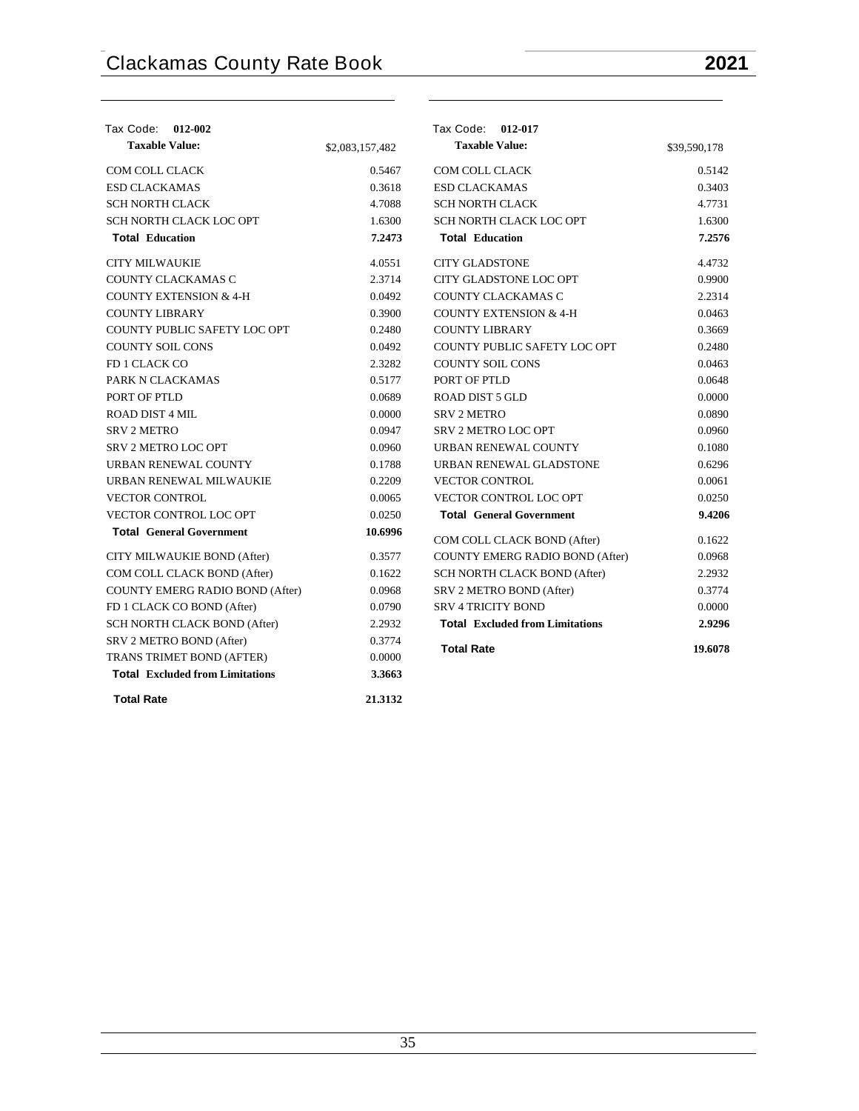| Tax Code: 012-002                      |                 | Tax Code: 012-017                      |              |
|----------------------------------------|-----------------|----------------------------------------|--------------|
| <b>Taxable Value:</b>                  | \$2,083,157,482 | <b>Taxable Value:</b>                  | \$39,590,178 |
| COM COLL CLACK                         | 0.5467          | COM COLL CLACK                         | 0.5142       |
| <b>ESD CLACKAMAS</b>                   | 0.3618          | <b>ESD CLACKAMAS</b>                   | 0.3403       |
| <b>SCH NORTH CLACK</b>                 | 4.7088          | <b>SCH NORTH CLACK</b>                 | 4.7731       |
| SCH NORTH CLACK LOC OPT                | 1.6300          | SCH NORTH CLACK LOC OPT                | 1.6300       |
| <b>Total Education</b>                 | 7.2473          | <b>Total Education</b>                 | 7.2576       |
| <b>CITY MILWAUKIE</b>                  | 4.0551          | <b>CITY GLADSTONE</b>                  | 4.4732       |
| COUNTY CLACKAMAS C                     | 2.3714          | CITY GLADSTONE LOC OPT                 | 0.9900       |
| <b>COUNTY EXTENSION &amp; 4-H</b>      | 0.0492          | COUNTY CLACKAMAS C                     | 2.2314       |
| <b>COUNTY LIBRARY</b>                  | 0.3900          | <b>COUNTY EXTENSION &amp; 4-H</b>      | 0.0463       |
| COUNTY PUBLIC SAFETY LOC OPT           | 0.2480          | <b>COUNTY LIBRARY</b>                  | 0.3669       |
| <b>COUNTY SOIL CONS</b>                | 0.0492          | COUNTY PUBLIC SAFETY LOC OPT           | 0.2480       |
| FD 1 CLACK CO                          | 2.3282          | <b>COUNTY SOIL CONS</b>                | 0.0463       |
| PARK N CLACKAMAS                       | 0.5177          | PORT OF PTLD                           | 0.0648       |
| PORT OF PTLD                           | 0.0689          | <b>ROAD DIST 5 GLD</b>                 | 0.0000       |
| ROAD DIST 4 MIL                        | 0.0000          | <b>SRV 2 METRO</b>                     | 0.0890       |
| <b>SRV 2 METRO</b>                     | 0.0947          | <b>SRV 2 METRO LOC OPT</b>             | 0.0960       |
| <b>SRV 2 METRO LOC OPT</b>             | 0.0960          | URBAN RENEWAL COUNTY                   | 0.1080       |
| URBAN RENEWAL COUNTY                   | 0.1788          | URBAN RENEWAL GLADSTONE                | 0.6296       |
| URBAN RENEWAL MILWAUKIE                | 0.2209          | <b>VECTOR CONTROL</b>                  | 0.0061       |
| <b>VECTOR CONTROL</b>                  | 0.0065          | VECTOR CONTROL LOC OPT                 | 0.0250       |
| <b>VECTOR CONTROL LOC OPT</b>          | 0.0250          | <b>Total General Government</b>        | 9.4206       |
| <b>Total General Government</b>        | 10.6996         | COM COLL CLACK BOND (After)            | 0.1622       |
| CITY MILWAUKIE BOND (After)            | 0.3577          | <b>COUNTY EMERG RADIO BOND (After)</b> | 0.0968       |
| COM COLL CLACK BOND (After)            | 0.1622          | SCH NORTH CLACK BOND (After)           | 2.2932       |
| <b>COUNTY EMERG RADIO BOND (After)</b> | 0.0968          | SRV 2 METRO BOND (After)               | 0.3774       |
| FD 1 CLACK CO BOND (After)             | 0.0790          | <b>SRV 4 TRICITY BOND</b>              | 0.0000       |
| SCH NORTH CLACK BOND (After)           | 2.2932          | <b>Total Excluded from Limitations</b> | 2.9296       |
| SRV 2 METRO BOND (After)               | 0.3774          |                                        |              |
| TRANS TRIMET BOND (AFTER)              | 0.0000          | <b>Total Rate</b>                      | 19.6078      |
| <b>Total Excluded from Limitations</b> | 3.3663          |                                        |              |
| <b>Total Rate</b>                      | 21.3132         |                                        |              |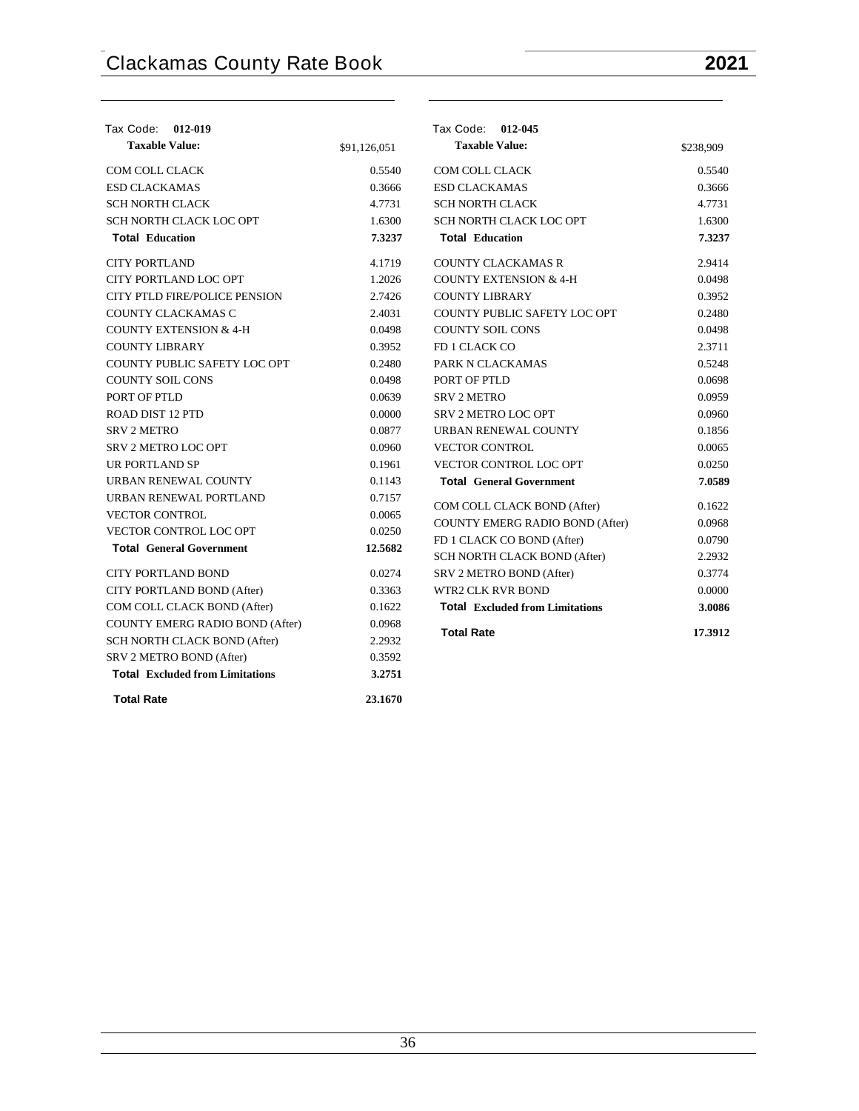**Total Rate 23.1670**

| Tax Code: 012-019                      |              | Tax Code: 012-045                      |           |
|----------------------------------------|--------------|----------------------------------------|-----------|
| <b>Taxable Value:</b>                  | \$91,126,051 | <b>Taxable Value:</b>                  | \$238,909 |
| COM COLL CLACK                         | 0.5540       | <b>COM COLL CLACK</b>                  | 0.5540    |
| <b>ESD CLACKAMAS</b>                   | 0.3666       | <b>ESD CLACKAMAS</b>                   | 0.3666    |
| <b>SCH NORTH CLACK</b>                 | 4.7731       | <b>SCH NORTH CLACK</b>                 | 4.7731    |
| SCH NORTH CLACK LOC OPT                | 1.6300       | SCH NORTH CLACK LOC OPT                | 1.6300    |
| <b>Total Education</b>                 | 7.3237       | <b>Total Education</b>                 | 7.3237    |
| <b>CITY PORTLAND</b>                   | 4.1719       | <b>COUNTY CLACKAMAS R</b>              | 2.9414    |
| CITY PORTLAND LOC OPT                  | 1.2026       | <b>COUNTY EXTENSION &amp; 4-H</b>      | 0.0498    |
| CITY PTLD FIRE/POLICE PENSION          | 2.7426       | <b>COUNTY LIBRARY</b>                  | 0.3952    |
| COUNTY CLACKAMAS C                     | 2.4031       | COUNTY PUBLIC SAFETY LOC OPT           | 0.2480    |
| <b>COUNTY EXTENSION &amp; 4-H</b>      | 0.0498       | <b>COUNTY SOIL CONS</b>                | 0.0498    |
| <b>COUNTY LIBRARY</b>                  | 0.3952       | FD 1 CLACK CO                          | 2.3711    |
| COUNTY PUBLIC SAFETY LOC OPT           | 0.2480       | PARK N CLACKAMAS                       | 0.5248    |
| <b>COUNTY SOIL CONS</b>                | 0.0498       | PORT OF PTLD                           | 0.0698    |
| PORT OF PTLD                           | 0.0639       | <b>SRV 2 METRO</b>                     | 0.0959    |
| <b>ROAD DIST 12 PTD</b>                | 0.0000       | SRV 2 METRO LOC OPT                    | 0.0960    |
| <b>SRV 2 METRO</b>                     | 0.0877       | URBAN RENEWAL COUNTY                   | 0.1856    |
| <b>SRV 2 METRO LOC OPT</b>             | 0.0960       | <b>VECTOR CONTROL</b>                  | 0.0065    |
| <b>UR PORTLAND SP</b>                  | 0.1961       | <b>VECTOR CONTROL LOC OPT</b>          | 0.0250    |
| URBAN RENEWAL COUNTY                   | 0.1143       | <b>Total General Government</b>        | 7.0589    |
| URBAN RENEWAL PORTLAND                 | 0.7157       | COM COLL CLACK BOND (After)            | 0.1622    |
| <b>VECTOR CONTROL</b>                  | 0.0065       | <b>COUNTY EMERG RADIO BOND (After)</b> | 0.0968    |
| VECTOR CONTROL LOC OPT                 | 0.0250       | FD 1 CLACK CO BOND (After)             | 0.0790    |
| <b>Total General Government</b>        | 12.5682      | SCH NORTH CLACK BOND (After)           | 2.2932    |
| <b>CITY PORTLAND BOND</b>              | 0.0274       | SRV 2 METRO BOND (After)               | 0.3774    |
| CITY PORTLAND BOND (After)             | 0.3363       | <b>WTR2 CLK RVR BOND</b>               | 0.0000    |
| COM COLL CLACK BOND (After)            | 0.1622       | <b>Total Excluded from Limitations</b> | 3.0086    |
| <b>COUNTY EMERG RADIO BOND (After)</b> | 0.0968       |                                        |           |
| SCH NORTH CLACK BOND (After)           | 2.2932       | <b>Total Rate</b>                      | 17.3912   |
| SRV 2 METRO BOND (After)               | 0.3592       |                                        |           |
| <b>Total Excluded from Limitations</b> | 3.2751       |                                        |           |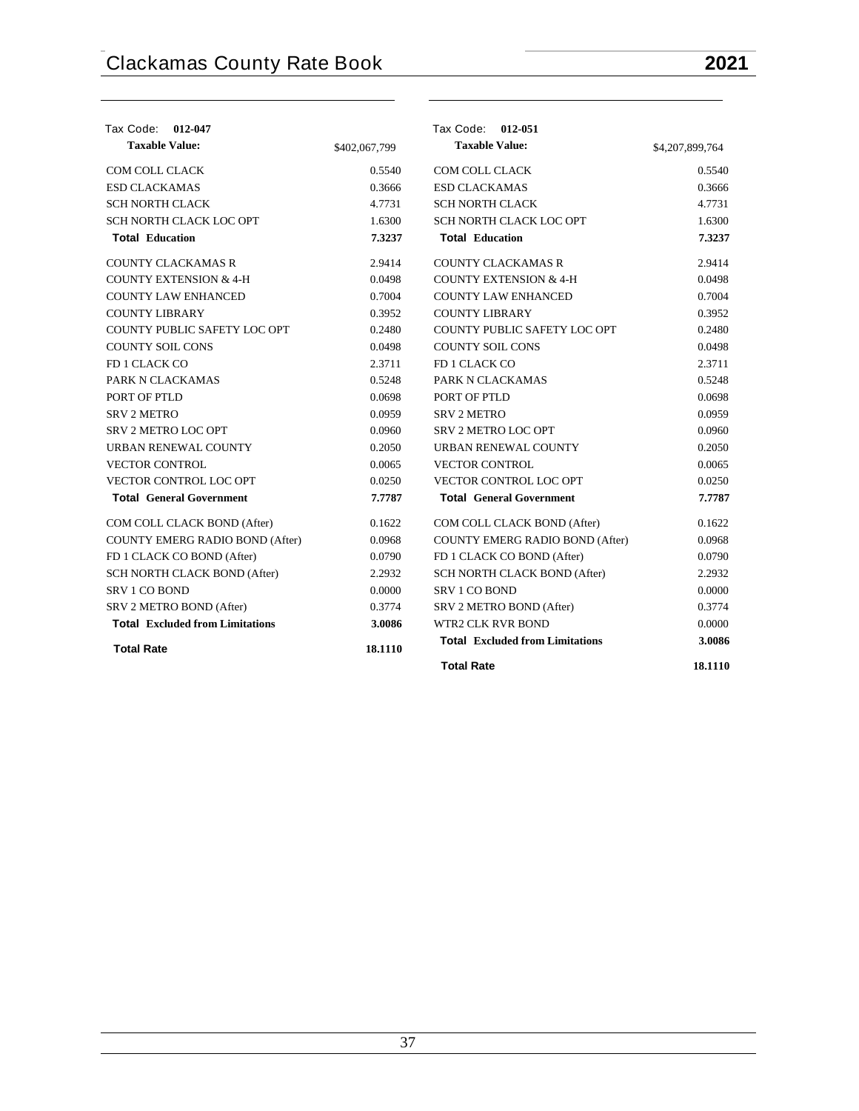| Tax Code: 012-047                      |               | Tax Code: 012-051                      |                 |
|----------------------------------------|---------------|----------------------------------------|-----------------|
| <b>Taxable Value:</b>                  | \$402,067,799 | <b>Taxable Value:</b>                  | \$4,207,899,764 |
| <b>COM COLL CLACK</b>                  | 0.5540        | COM COLL CLACK                         | 0.5540          |
| <b>ESD CLACKAMAS</b>                   | 0.3666        | <b>ESD CLACKAMAS</b>                   | 0.3666          |
| <b>SCH NORTH CLACK</b>                 | 4.7731        | <b>SCH NORTH CLACK</b>                 | 4.7731          |
| SCH NORTH CLACK LOC OPT                | 1.6300        | SCH NORTH CLACK LOC OPT                | 1.6300          |
| <b>Total Education</b>                 | 7.3237        | <b>Total Education</b>                 | 7.3237          |
| <b>COUNTY CLACKAMAS R</b>              | 2.9414        | <b>COUNTY CLACKAMAS R</b>              | 2.9414          |
| <b>COUNTY EXTENSION &amp; 4-H</b>      | 0.0498        | <b>COUNTY EXTENSION &amp; 4-H</b>      | 0.0498          |
| <b>COUNTY LAW ENHANCED</b>             | 0.7004        | <b>COUNTY LAW ENHANCED</b>             | 0.7004          |
| <b>COUNTY LIBRARY</b>                  | 0.3952        | <b>COUNTY LIBRARY</b>                  | 0.3952          |
| COUNTY PUBLIC SAFETY LOC OPT           | 0.2480        | COUNTY PUBLIC SAFETY LOC OPT           | 0.2480          |
| <b>COUNTY SOIL CONS</b>                | 0.0498        | <b>COUNTY SOIL CONS</b>                | 0.0498          |
| FD 1 CLACK CO                          | 2.3711        | FD 1 CLACK CO                          | 2.3711          |
| PARK N CLACKAMAS                       | 0.5248        | PARK N CLACKAMAS                       | 0.5248          |
| PORT OF PTLD                           | 0.0698        | PORT OF PTLD                           | 0.0698          |
| <b>SRV 2 METRO</b>                     | 0.0959        | <b>SRV 2 METRO</b>                     | 0.0959          |
| SRV 2 METRO LOC OPT                    | 0.0960        | <b>SRV 2 METRO LOC OPT</b>             | 0.0960          |
| URBAN RENEWAL COUNTY                   | 0.2050        | URBAN RENEWAL COUNTY                   | 0.2050          |
| <b>VECTOR CONTROL</b>                  | 0.0065        | <b>VECTOR CONTROL</b>                  | 0.0065          |
| <b>VECTOR CONTROL LOC OPT</b>          | 0.0250        | VECTOR CONTROL LOC OPT                 | 0.0250          |
| <b>Total General Government</b>        | 7.7787        | <b>Total General Government</b>        | 7.7787          |
| COM COLL CLACK BOND (After)            | 0.1622        | COM COLL CLACK BOND (After)            | 0.1622          |
| <b>COUNTY EMERG RADIO BOND (After)</b> | 0.0968        | COUNTY EMERG RADIO BOND (After)        | 0.0968          |
| FD 1 CLACK CO BOND (After)             | 0.0790        | FD 1 CLACK CO BOND (After)             | 0.0790          |
| SCH NORTH CLACK BOND (After)           | 2.2932        | SCH NORTH CLACK BOND (After)           | 2.2932          |
| SRV 1 CO BOND                          | 0.0000        | SRV 1 CO BOND                          | 0.0000          |
| SRV 2 METRO BOND (After)               | 0.3774        | SRV 2 METRO BOND (After)               | 0.3774          |
| <b>Total Excluded from Limitations</b> | 3.0086        | <b>WTR2 CLK RVR BOND</b>               | 0.0000          |
| <b>Total Rate</b>                      | 18.1110       | <b>Total Excluded from Limitations</b> | 3.0086          |
|                                        |               | <b>Total Rate</b>                      | 18.1110         |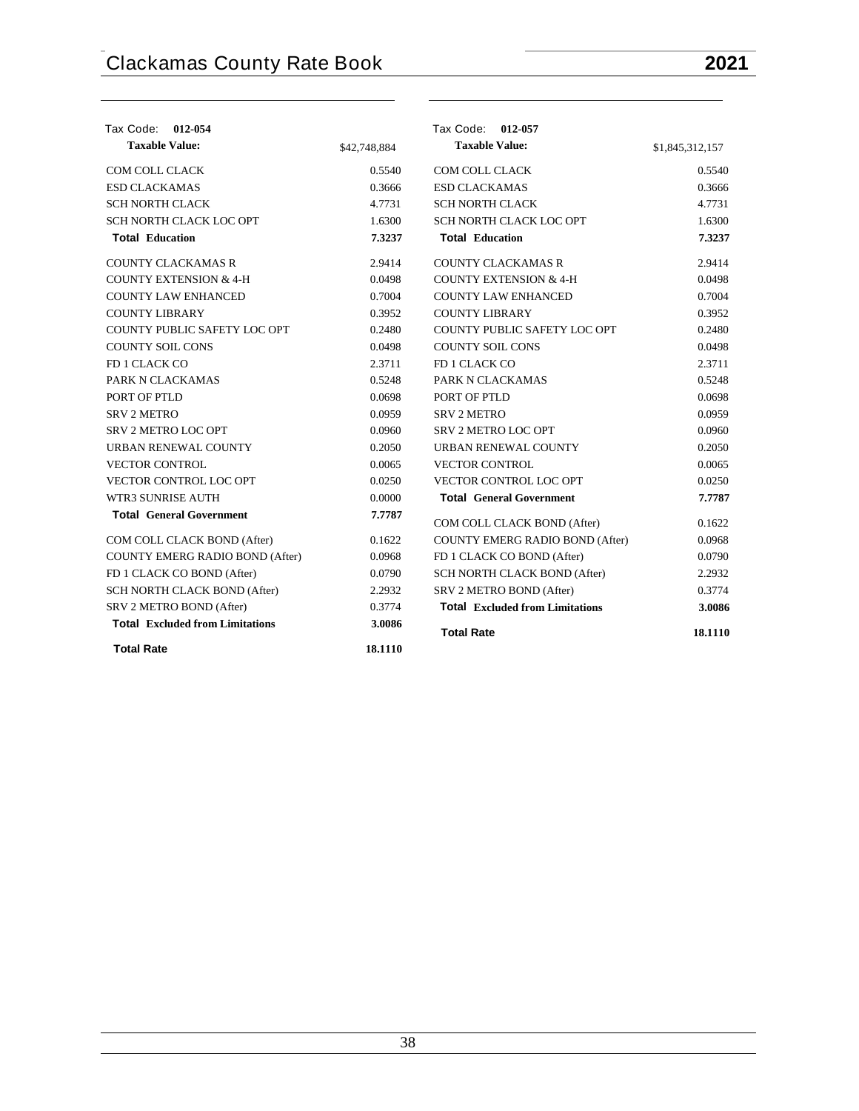| Tax Code: 012-054                      |              | Tax Code: 012-057                      |                 |
|----------------------------------------|--------------|----------------------------------------|-----------------|
| <b>Taxable Value:</b>                  | \$42,748,884 | <b>Taxable Value:</b>                  | \$1,845,312,157 |
| COM COLL CLACK                         | 0.5540       | COM COLL CLACK                         | 0.5540          |
| <b>ESD CLACKAMAS</b>                   | 0.3666       | <b>ESD CLACKAMAS</b>                   | 0.3666          |
| <b>SCH NORTH CLACK</b>                 | 4.7731       | <b>SCH NORTH CLACK</b>                 | 4.7731          |
| SCH NORTH CLACK LOC OPT                | 1.6300       | SCH NORTH CLACK LOC OPT                | 1.6300          |
| <b>Total Education</b>                 | 7.3237       | <b>Total Education</b>                 | 7.3237          |
| <b>COUNTY CLACKAMAS R</b>              | 2.9414       | <b>COUNTY CLACKAMAS R</b>              | 2.9414          |
| <b>COUNTY EXTENSION &amp; 4-H</b>      | 0.0498       | <b>COUNTY EXTENSION &amp; 4-H</b>      | 0.0498          |
| <b>COUNTY LAW ENHANCED</b>             | 0.7004       | <b>COUNTY LAW ENHANCED</b>             | 0.7004          |
| <b>COUNTY LIBRARY</b>                  | 0.3952       | <b>COUNTY LIBRARY</b>                  | 0.3952          |
| COUNTY PUBLIC SAFETY LOC OPT           | 0.2480       | COUNTY PUBLIC SAFETY LOC OPT           | 0.2480          |
| <b>COUNTY SOIL CONS</b>                | 0.0498       | <b>COUNTY SOIL CONS</b>                | 0.0498          |
| FD 1 CLACK CO                          | 2.3711       | FD 1 CLACK CO                          | 2.3711          |
| PARK N CLACKAMAS                       | 0.5248       | PARK N CLACKAMAS                       | 0.5248          |
| PORT OF PTLD                           | 0.0698       | PORT OF PTLD                           | 0.0698          |
| <b>SRV 2 METRO</b>                     | 0.0959       | <b>SRV 2 METRO</b>                     | 0.0959          |
| SRV 2 METRO LOC OPT                    | 0.0960       | SRV 2 METRO LOC OPT                    | 0.0960          |
| URBAN RENEWAL COUNTY                   | 0.2050       | URBAN RENEWAL COUNTY                   | 0.2050          |
| <b>VECTOR CONTROL</b>                  | 0.0065       | <b>VECTOR CONTROL</b>                  | 0.0065          |
| VECTOR CONTROL LOC OPT                 | 0.0250       | VECTOR CONTROL LOC OPT                 | 0.0250          |
| WTR3 SUNRISE AUTH                      | 0.0000       | <b>Total General Government</b>        | 7.7787          |
| <b>Total General Government</b>        | 7.7787       | COM COLL CLACK BOND (After)            | 0.1622          |
| COM COLL CLACK BOND (After)            | 0.1622       | COUNTY EMERG RADIO BOND (After)        | 0.0968          |
| <b>COUNTY EMERG RADIO BOND (After)</b> | 0.0968       | FD 1 CLACK CO BOND (After)             | 0.0790          |
| FD 1 CLACK CO BOND (After)             | 0.0790       | SCH NORTH CLACK BOND (After)           | 2.2932          |
| SCH NORTH CLACK BOND (After)           | 2.2932       | SRV 2 METRO BOND (After)               | 0.3774          |
| SRV 2 METRO BOND (After)               | 0.3774       | <b>Total Excluded from Limitations</b> | 3.0086          |
| <b>Total Excluded from Limitations</b> | 3.0086       | <b>Total Rate</b>                      | 18.1110         |
| <b>Total Rate</b>                      | 18.1110      |                                        |                 |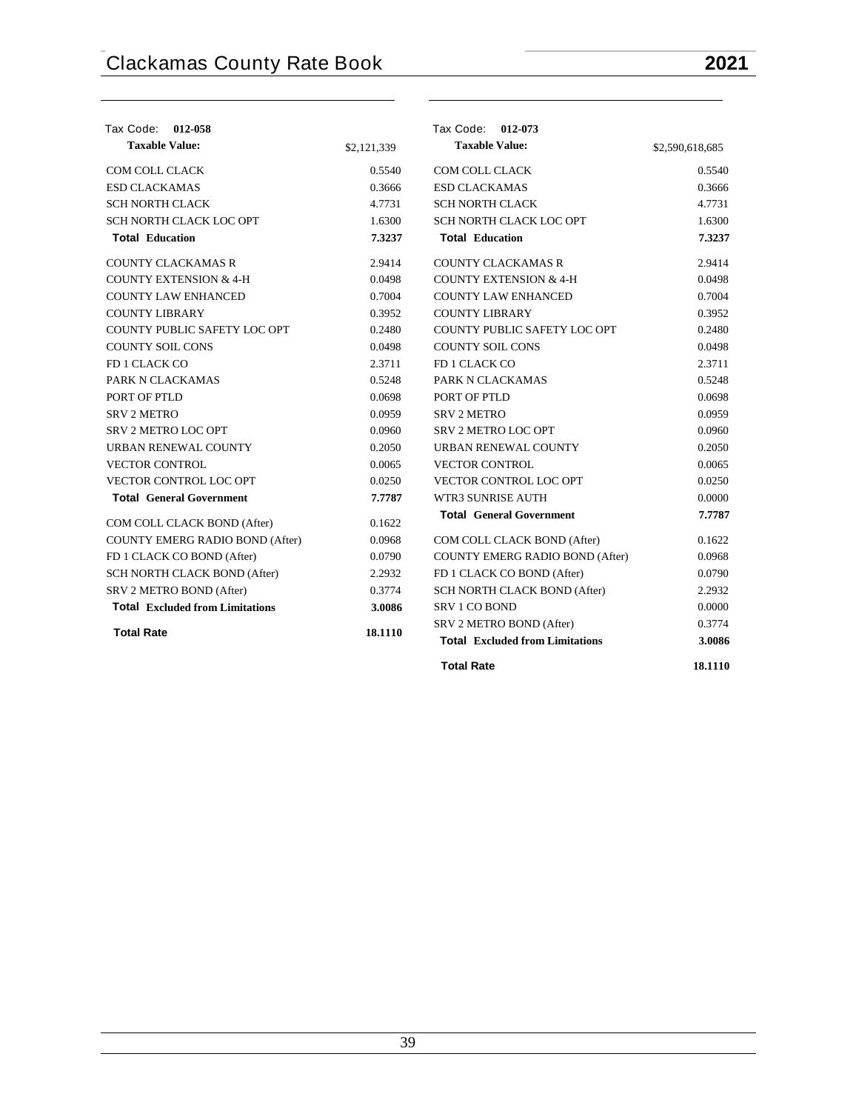| Tax Code: 012-058                      |             | Tax Code: 012-073                      |                 |
|----------------------------------------|-------------|----------------------------------------|-----------------|
| <b>Taxable Value:</b>                  | \$2,121,339 | <b>Taxable Value:</b>                  | \$2,590,618,685 |
| COM COLL CLACK                         | 0.5540      | COM COLL CLACK                         | 0.5540          |
| <b>ESD CLACKAMAS</b>                   | 0.3666      | <b>ESD CLACKAMAS</b>                   | 0.3666          |
| <b>SCH NORTH CLACK</b>                 | 4.7731      | <b>SCH NORTH CLACK</b>                 | 4.7731          |
| SCH NORTH CLACK LOC OPT                | 1.6300      | SCH NORTH CLACK LOC OPT                | 1.6300          |
| <b>Total Education</b>                 | 7.3237      | <b>Total Education</b>                 | 7.3237          |
| <b>COUNTY CLACKAMAS R</b>              | 2.9414      | <b>COUNTY CLACKAMAS R</b>              | 2.9414          |
| <b>COUNTY EXTENSION &amp; 4-H</b>      | 0.0498      | <b>COUNTY EXTENSION &amp; 4-H</b>      | 0.0498          |
| <b>COUNTY LAW ENHANCED</b>             | 0.7004      | <b>COUNTY LAW ENHANCED</b>             | 0.7004          |
| <b>COUNTY LIBRARY</b>                  | 0.3952      | <b>COUNTY LIBRARY</b>                  | 0.3952          |
| COUNTY PUBLIC SAFETY LOC OPT           | 0.2480      | COUNTY PUBLIC SAFETY LOC OPT           | 0.2480          |
| <b>COUNTY SOIL CONS</b>                | 0.0498      | <b>COUNTY SOIL CONS</b>                | 0.0498          |
| FD 1 CLACK CO                          | 2.3711      | FD 1 CLACK CO                          | 2.3711          |
| PARK N CLACKAMAS                       | 0.5248      | PARK N CLACKAMAS                       | 0.5248          |
| PORT OF PTLD                           | 0.0698      | PORT OF PTLD                           | 0.0698          |
| <b>SRV 2 METRO</b>                     | 0.0959      | <b>SRV 2 METRO</b>                     | 0.0959          |
| <b>SRV 2 METRO LOC OPT</b>             | 0.0960      | SRV 2 METRO LOC OPT                    | 0.0960          |
| URBAN RENEWAL COUNTY                   | 0.2050      | URBAN RENEWAL COUNTY                   | 0.2050          |
| <b>VECTOR CONTROL</b>                  | 0.0065      | <b>VECTOR CONTROL</b>                  | 0.0065          |
| VECTOR CONTROL LOC OPT                 | 0.0250      | VECTOR CONTROL LOC OPT                 | 0.0250          |
| <b>Total General Government</b>        | 7.7787      | WTR3 SUNRISE AUTH                      | 0.0000          |
| COM COLL CLACK BOND (After)            | 0.1622      | <b>Total General Government</b>        | 7.7787          |
| COUNTY EMERG RADIO BOND (After)        | 0.0968      | COM COLL CLACK BOND (After)            | 0.1622          |
| FD 1 CLACK CO BOND (After)             | 0.0790      | COUNTY EMERG RADIO BOND (After)        | 0.0968          |
| SCH NORTH CLACK BOND (After)           | 2.2932      | FD 1 CLACK CO BOND (After)             | 0.0790          |
| SRV 2 METRO BOND (After)               | 0.3774      | SCH NORTH CLACK BOND (After)           | 2.2932          |
| <b>Total Excluded from Limitations</b> | 3.0086      | <b>SRV 1 CO BOND</b>                   | 0.0000          |
|                                        |             | SRV 2 METRO BOND (After)               | 0.3774          |
| <b>Total Rate</b>                      | 18.1110     | <b>Total Excluded from Limitations</b> | 3.0086          |
|                                        |             | <b>Total Rate</b>                      | 18.1110         |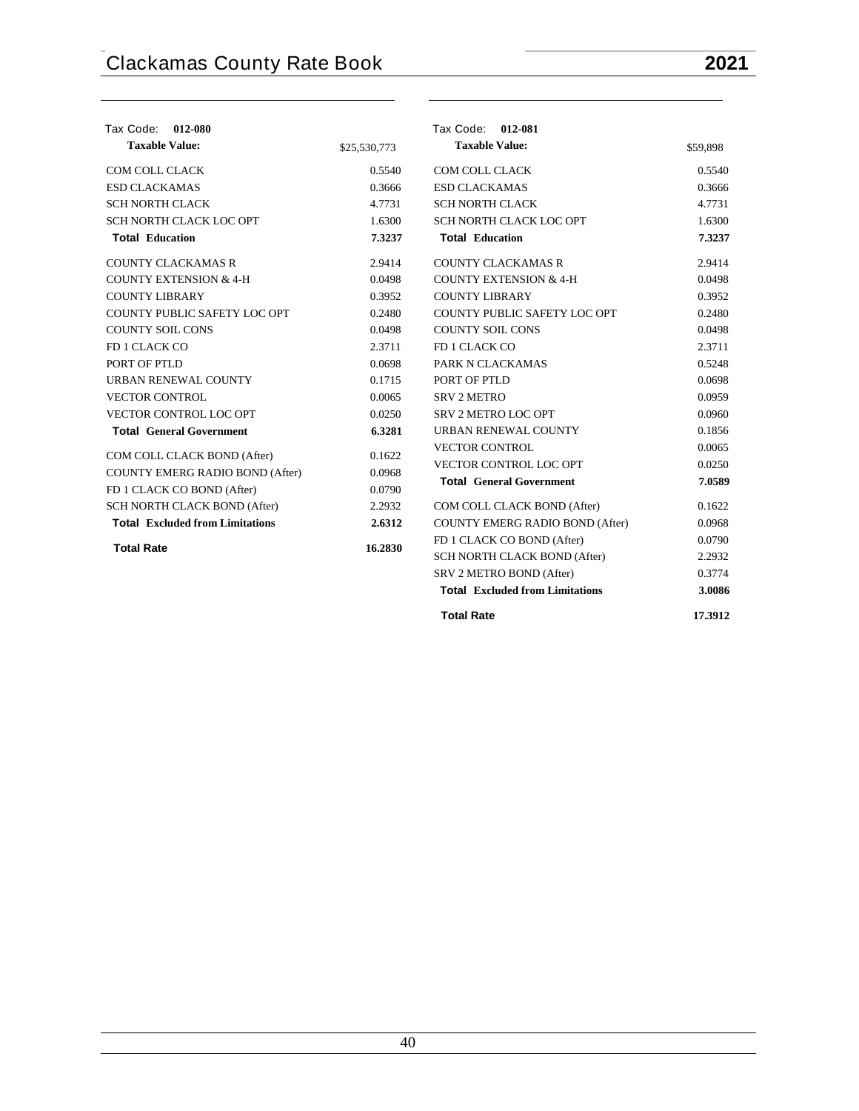| Tax Code: 012-080                      |              | Tax Code: 012-081                      |          |
|----------------------------------------|--------------|----------------------------------------|----------|
| <b>Taxable Value:</b>                  | \$25,530,773 | <b>Taxable Value:</b>                  | \$59,898 |
| COM COLL CLACK                         | 0.5540       | COM COLL CLACK                         | 0.5540   |
| <b>ESD CLACKAMAS</b>                   | 0.3666       | <b>ESD CLACKAMAS</b>                   | 0.3666   |
| <b>SCH NORTH CLACK</b>                 | 4.7731       | <b>SCH NORTH CLACK</b>                 | 4.7731   |
| SCH NORTH CLACK LOC OPT                | 1.6300       | SCH NORTH CLACK LOC OPT                | 1.6300   |
| <b>Total Education</b>                 | 7.3237       | <b>Total Education</b>                 | 7.3237   |
| <b>COUNTY CLACKAMAS R</b>              | 2.9414       | <b>COUNTY CLACKAMAS R</b>              | 2.9414   |
| <b>COUNTY EXTENSION &amp; 4-H</b>      | 0.0498       | <b>COUNTY EXTENSION &amp; 4-H</b>      | 0.0498   |
| <b>COUNTY LIBRARY</b>                  | 0.3952       | <b>COUNTY LIBRARY</b>                  | 0.3952   |
| COUNTY PUBLIC SAFETY LOC OPT           | 0.2480       | COUNTY PUBLIC SAFETY LOC OPT           | 0.2480   |
| <b>COUNTY SOIL CONS</b>                | 0.0498       | <b>COUNTY SOIL CONS</b>                | 0.0498   |
| FD 1 CLACK CO                          | 2.3711       | FD 1 CLACK CO                          | 2.3711   |
| PORT OF PTLD                           | 0.0698       | PARK N CLACKAMAS                       | 0.5248   |
| URBAN RENEWAL COUNTY                   | 0.1715       | PORT OF PTLD                           | 0.0698   |
| <b>VECTOR CONTROL</b>                  | 0.0065       | <b>SRV 2 METRO</b>                     | 0.0959   |
| VECTOR CONTROL LOC OPT                 | 0.0250       | <b>SRV 2 METRO LOC OPT</b>             | 0.0960   |
| <b>Total General Government</b>        | 6.3281       | URBAN RENEWAL COUNTY                   | 0.1856   |
| COM COLL CLACK BOND (After)            | 0.1622       | <b>VECTOR CONTROL</b>                  | 0.0065   |
| COUNTY EMERG RADIO BOND (After)        | 0.0968       | VECTOR CONTROL LOC OPT                 | 0.0250   |
| FD 1 CLACK CO BOND (After)             | 0.0790       | <b>Total General Government</b>        | 7.0589   |
| SCH NORTH CLACK BOND (After)           | 2.2932       | COM COLL CLACK BOND (After)            | 0.1622   |
| <b>Total Excluded from Limitations</b> | 2.6312       | <b>COUNTY EMERG RADIO BOND (After)</b> | 0.0968   |
|                                        |              | FD 1 CLACK CO BOND (After)             | 0.0790   |
| <b>Total Rate</b>                      | 16.2830      | SCH NORTH CLACK BOND (After)           | 2.2932   |
|                                        |              | SRV 2 METRO BOND (After)               | 0.3774   |
|                                        |              | <b>Total Excluded from Limitations</b> | 3.0086   |
|                                        |              | <b>Total Rate</b>                      | 17.3912  |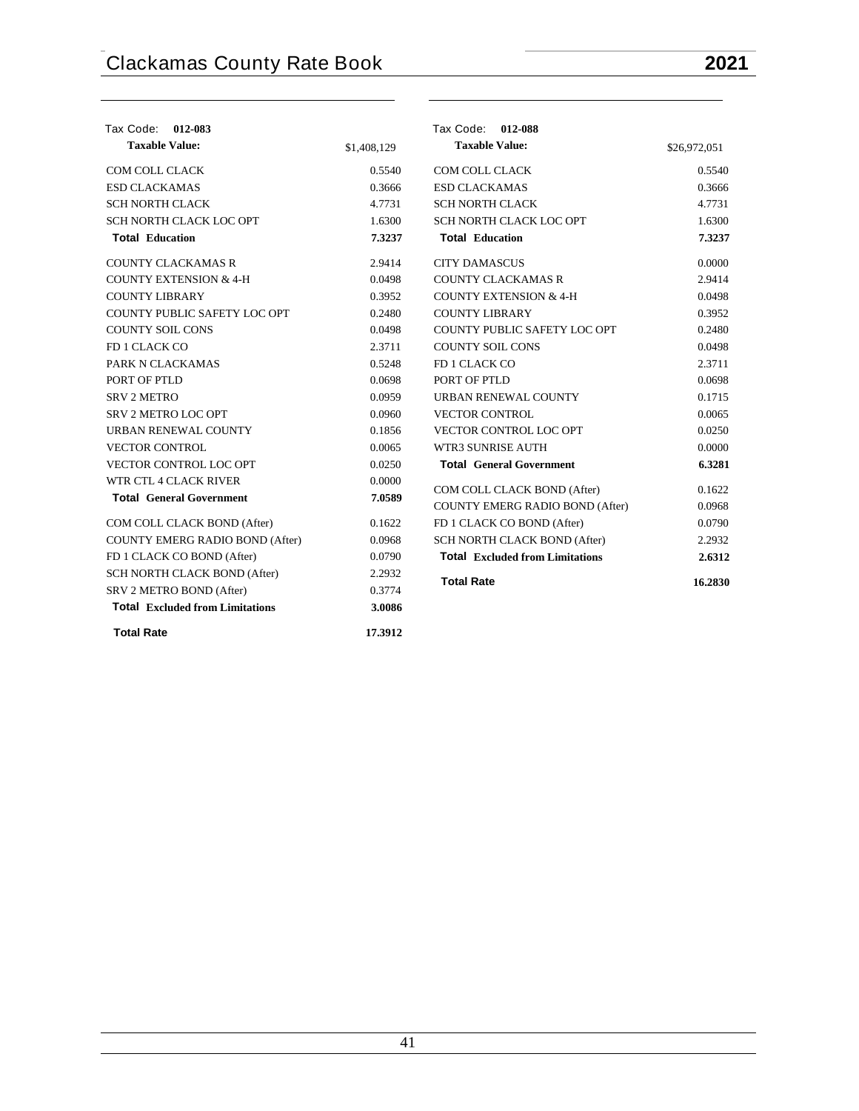| Tax Code: 012-083                      |             | Tax Code: 012-088                      |              |
|----------------------------------------|-------------|----------------------------------------|--------------|
| <b>Taxable Value:</b>                  | \$1,408,129 | <b>Taxable Value:</b>                  | \$26,972,051 |
| COM COLL CLACK                         | 0.5540      | COM COLL CLACK                         | 0.5540       |
| <b>ESD CLACKAMAS</b>                   | 0.3666      | <b>ESD CLACKAMAS</b>                   | 0.3666       |
| <b>SCH NORTH CLACK</b>                 | 4.7731      | <b>SCH NORTH CLACK</b>                 | 4.7731       |
| SCH NORTH CLACK LOC OPT                | 1.6300      | SCH NORTH CLACK LOC OPT                | 1.6300       |
| <b>Total Education</b>                 | 7.3237      | <b>Total Education</b>                 | 7.3237       |
| <b>COUNTY CLACKAMAS R</b>              | 2.9414      | <b>CITY DAMASCUS</b>                   | 0.0000       |
| <b>COUNTY EXTENSION &amp; 4-H</b>      | 0.0498      | <b>COUNTY CLACKAMAS R</b>              | 2.9414       |
| <b>COUNTY LIBRARY</b>                  | 0.3952      | <b>COUNTY EXTENSION &amp; 4-H</b>      | 0.0498       |
| COUNTY PUBLIC SAFETY LOC OPT           | 0.2480      | <b>COUNTY LIBRARY</b>                  | 0.3952       |
| <b>COUNTY SOIL CONS</b>                | 0.0498      | COUNTY PUBLIC SAFETY LOC OPT           | 0.2480       |
| FD 1 CLACK CO                          | 2.3711      | <b>COUNTY SOIL CONS</b>                | 0.0498       |
| PARK N CLACKAMAS                       | 0.5248      | FD 1 CLACK CO                          | 2.3711       |
| PORT OF PTLD                           | 0.0698      | PORT OF PTLD                           | 0.0698       |
| <b>SRV 2 METRO</b>                     | 0.0959      | URBAN RENEWAL COUNTY                   | 0.1715       |
| SRV 2 METRO LOC OPT                    | 0.0960      | <b>VECTOR CONTROL</b>                  | 0.0065       |
| URBAN RENEWAL COUNTY                   | 0.1856      | VECTOR CONTROL LOC OPT                 | 0.0250       |
| <b>VECTOR CONTROL</b>                  | 0.0065      | <b>WTR3 SUNRISE AUTH</b>               | 0.0000       |
| <b>VECTOR CONTROL LOC OPT</b>          | 0.0250      | <b>Total General Government</b>        | 6.3281       |
| WTR CTL 4 CLACK RIVER                  | 0.0000      | COM COLL CLACK BOND (After)            | 0.1622       |
| <b>Total General Government</b>        | 7.0589      | COUNTY EMERG RADIO BOND (After)        | 0.0968       |
| COM COLL CLACK BOND (After)            | 0.1622      | FD 1 CLACK CO BOND (After)             | 0.0790       |
| COUNTY EMERG RADIO BOND (After)        | 0.0968      | SCH NORTH CLACK BOND (After)           | 2.2932       |
| FD 1 CLACK CO BOND (After)             | 0.0790      | <b>Total</b> Excluded from Limitations | 2.6312       |
| <b>SCH NORTH CLACK BOND (After)</b>    | 2.2932      |                                        |              |
| SRV 2 METRO BOND (After)               | 0.3774      | <b>Total Rate</b>                      | 16.2830      |
| <b>Total Excluded from Limitations</b> | 3.0086      |                                        |              |
| <b>Total Rate</b>                      | 17.3912     |                                        |              |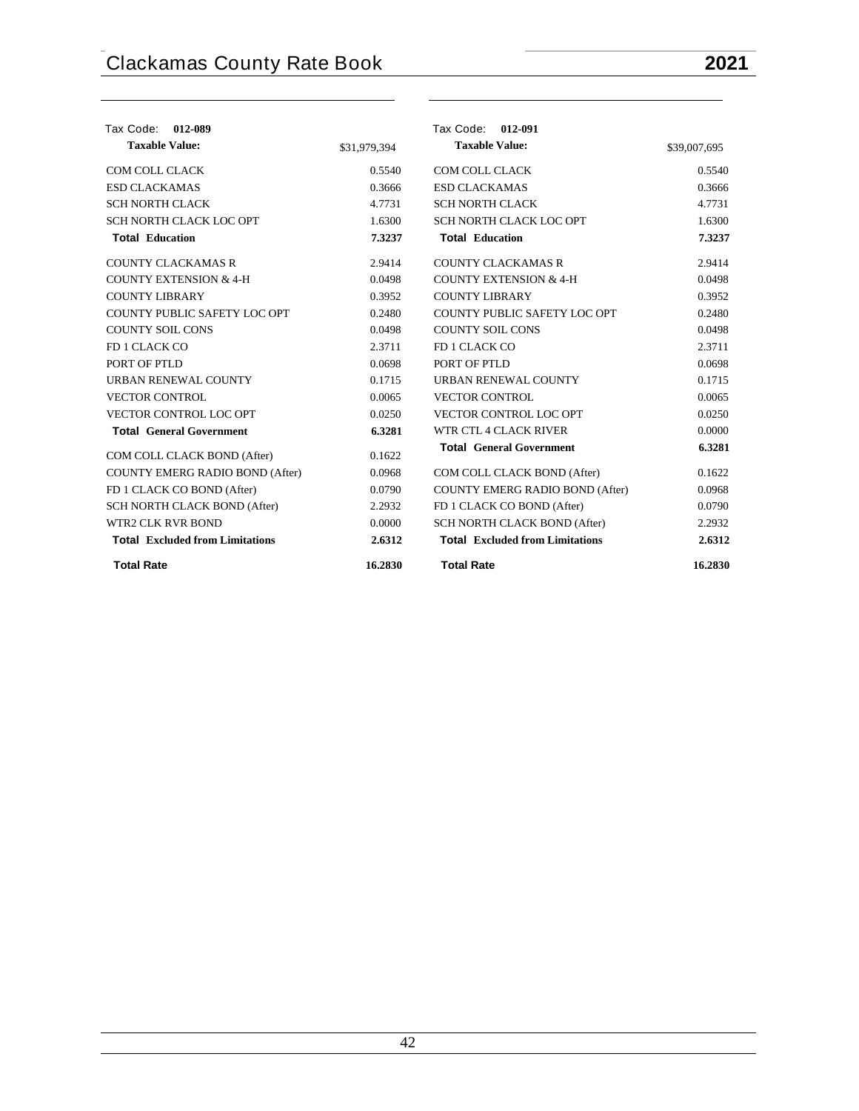| Tax Code:<br>012-089                   |              | Tax Code: 012-091                      |              |
|----------------------------------------|--------------|----------------------------------------|--------------|
| <b>Taxable Value:</b>                  | \$31,979,394 | <b>Taxable Value:</b>                  | \$39,007,695 |
| COM COLL CLACK                         | 0.5540       | COM COLL CLACK                         | 0.5540       |
| <b>ESD CLACKAMAS</b>                   | 0.3666       | <b>ESD CLACKAMAS</b>                   | 0.3666       |
| <b>SCH NORTH CLACK</b>                 | 4.7731       | <b>SCH NORTH CLACK</b>                 | 4.7731       |
| SCH NORTH CLACK LOC OPT                | 1.6300       | SCH NORTH CLACK LOC OPT                | 1.6300       |
| <b>Total Education</b>                 | 7.3237       | <b>Total Education</b>                 | 7.3237       |
| <b>COUNTY CLACKAMAS R</b>              | 2.9414       | <b>COUNTY CLACKAMAS R</b>              | 2.9414       |
| <b>COUNTY EXTENSION &amp; 4-H</b>      | 0.0498       | <b>COUNTY EXTENSION &amp; 4-H</b>      | 0.0498       |
| <b>COUNTY LIBRARY</b>                  | 0.3952       | <b>COUNTY LIBRARY</b>                  | 0.3952       |
| COUNTY PUBLIC SAFETY LOC OPT           | 0.2480       | COUNTY PUBLIC SAFETY LOC OPT           | 0.2480       |
| <b>COUNTY SOIL CONS</b>                | 0.0498       | <b>COUNTY SOIL CONS</b>                | 0.0498       |
| FD 1 CLACK CO                          | 2.3711       | FD 1 CLACK CO                          | 2.3711       |
| PORT OF PTLD                           | 0.0698       | PORT OF PTLD                           | 0.0698       |
| <b>URBAN RENEWAL COUNTY</b>            | 0.1715       | URBAN RENEWAL COUNTY                   | 0.1715       |
| <b>VECTOR CONTROL</b>                  | 0.0065       | <b>VECTOR CONTROL</b>                  | 0.0065       |
| VECTOR CONTROL LOC OPT                 | 0.0250       | VECTOR CONTROL LOC OPT                 | 0.0250       |
| <b>Total General Government</b>        | 6.3281       | WTR CTL 4 CLACK RIVER                  | 0.0000       |
| COM COLL CLACK BOND (After)            | 0.1622       | <b>Total General Government</b>        | 6.3281       |
| COUNTY EMERG RADIO BOND (After)        | 0.0968       | COM COLL CLACK BOND (After)            | 0.1622       |
| FD 1 CLACK CO BOND (After)             | 0.0790       | COUNTY EMERG RADIO BOND (After)        | 0.0968       |
| SCH NORTH CLACK BOND (After)           | 2.2932       | FD 1 CLACK CO BOND (After)             | 0.0790       |
| WTR2 CLK RVR BOND                      | 0.0000       | SCH NORTH CLACK BOND (After)           | 2.2932       |
| <b>Total</b> Excluded from Limitations | 2.6312       | <b>Total Excluded from Limitations</b> | 2.6312       |
| <b>Total Rate</b>                      | 16.2830      | <b>Total Rate</b>                      | 16.2830      |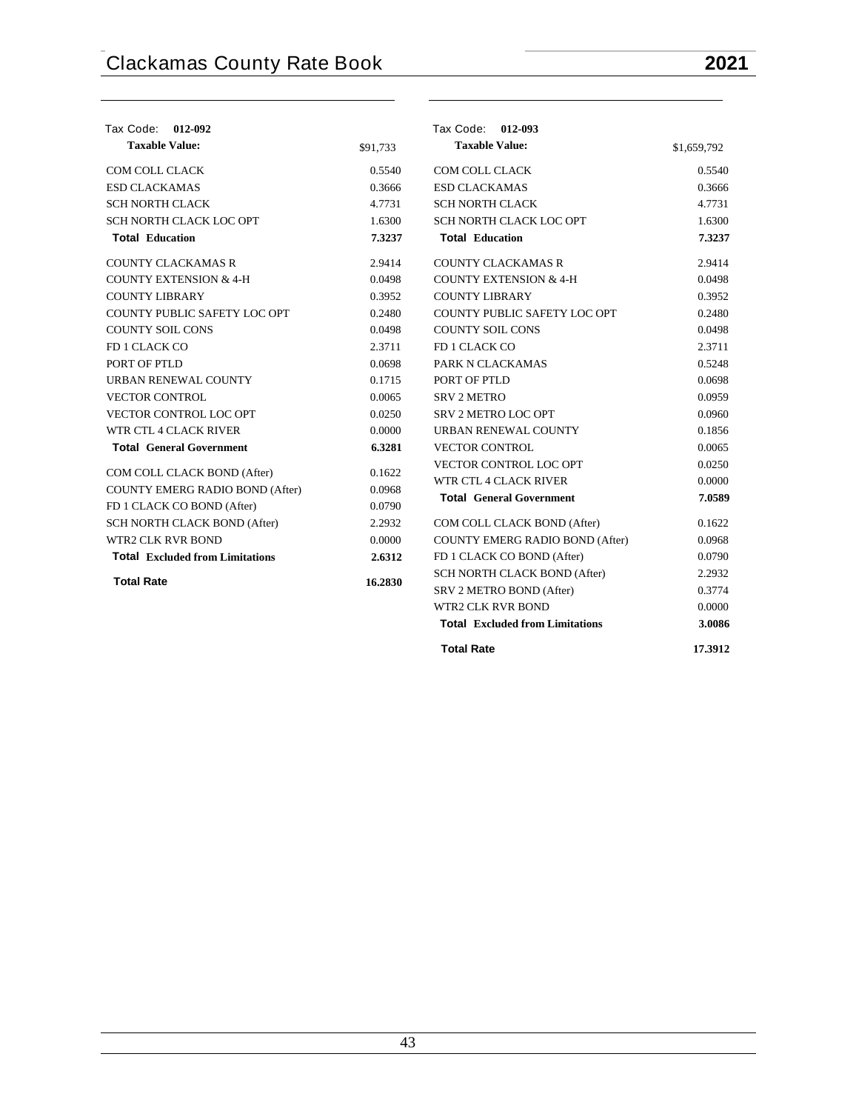| Tax Code:<br>012-092                   |          | Tax Code: 012-093                      |             |
|----------------------------------------|----------|----------------------------------------|-------------|
| <b>Taxable Value:</b>                  | \$91,733 | <b>Taxable Value:</b>                  | \$1,659,792 |
| COM COLL CLACK                         | 0.5540   | COM COLL CLACK                         | 0.5540      |
| <b>ESD CLACKAMAS</b>                   | 0.3666   | <b>ESD CLACKAMAS</b>                   | 0.3666      |
| <b>SCH NORTH CLACK</b>                 | 4.7731   | <b>SCH NORTH CLACK</b>                 | 4.7731      |
| SCH NORTH CLACK LOC OPT                | 1.6300   | SCH NORTH CLACK LOC OPT                | 1.6300      |
| <b>Total Education</b>                 | 7.3237   | <b>Total Education</b>                 | 7.3237      |
| <b>COUNTY CLACKAMAS R</b>              | 2.9414   | <b>COUNTY CLACKAMAS R</b>              | 2.9414      |
| <b>COUNTY EXTENSION &amp; 4-H</b>      | 0.0498   | <b>COUNTY EXTENSION &amp; 4-H</b>      | 0.0498      |
| <b>COUNTY LIBRARY</b>                  | 0.3952   | <b>COUNTY LIBRARY</b>                  | 0.3952      |
| COUNTY PUBLIC SAFETY LOC OPT           | 0.2480   | COUNTY PUBLIC SAFETY LOC OPT           | 0.2480      |
| <b>COUNTY SOIL CONS</b>                | 0.0498   | <b>COUNTY SOIL CONS</b>                | 0.0498      |
| FD 1 CLACK CO                          | 2.3711   | FD 1 CLACK CO                          | 2.3711      |
| PORT OF PTLD                           | 0.0698   | PARK N CLACKAMAS                       | 0.5248      |
| URBAN RENEWAL COUNTY                   | 0.1715   | PORT OF PTLD                           | 0.0698      |
| <b>VECTOR CONTROL</b>                  | 0.0065   | <b>SRV 2 METRO</b>                     | 0.0959      |
| VECTOR CONTROL LOC OPT                 | 0.0250   | SRV 2 METRO LOC OPT                    | 0.0960      |
| WTR CTL 4 CLACK RIVER                  | 0.0000   | URBAN RENEWAL COUNTY                   | 0.1856      |
| <b>Total General Government</b>        | 6.3281   | <b>VECTOR CONTROL</b>                  | 0.0065      |
|                                        | 0.1622   | VECTOR CONTROL LOC OPT                 | 0.0250      |
| COM COLL CLACK BOND (After)            |          | WTR CTL 4 CLACK RIVER                  | 0.0000      |
| COUNTY EMERG RADIO BOND (After)        | 0.0968   | <b>Total General Government</b>        | 7.0589      |
| FD 1 CLACK CO BOND (After)             | 0.0790   |                                        |             |
| SCH NORTH CLACK BOND (After)           | 2.2932   | COM COLL CLACK BOND (After)            | 0.1622      |
| WTR2 CLK RVR BOND                      | 0.0000   | COUNTY EMERG RADIO BOND (After)        | 0.0968      |
| <b>Total Excluded from Limitations</b> | 2.6312   | FD 1 CLACK CO BOND (After)             | 0.0790      |
| <b>Total Rate</b>                      | 16.2830  | SCH NORTH CLACK BOND (After)           | 2.2932      |
|                                        |          | SRV 2 METRO BOND (After)               | 0.3774      |
|                                        |          | <b>WTR2 CLK RVR BOND</b>               | 0.0000      |
|                                        |          | <b>Total Excluded from Limitations</b> | 3.0086      |

| <b>Total Rate</b> | 17.3912 |
|-------------------|---------|
|                   |         |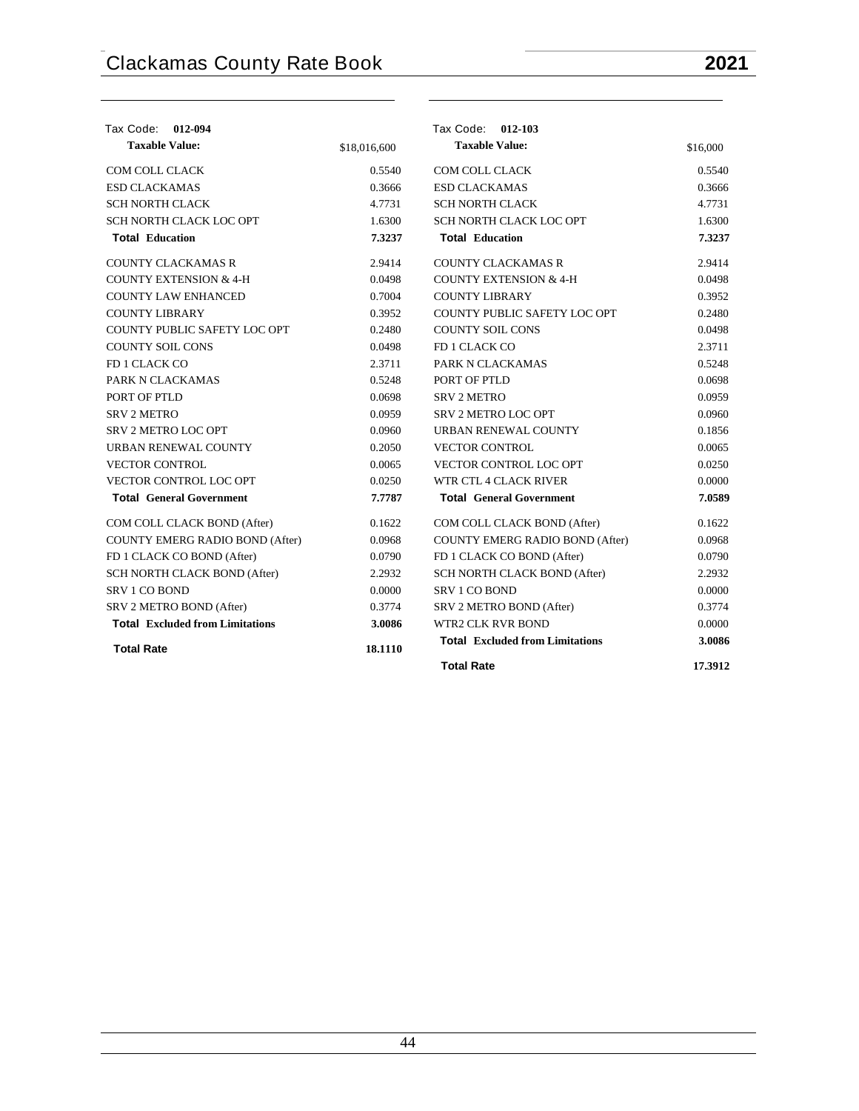| Tax Code: 012-094                      |              | Tax Code: 012-103                      |          |
|----------------------------------------|--------------|----------------------------------------|----------|
| <b>Taxable Value:</b>                  | \$18,016,600 | <b>Taxable Value:</b>                  | \$16,000 |
| COM COLL CLACK                         | 0.5540       | <b>COM COLL CLACK</b>                  | 0.5540   |
| <b>ESD CLACKAMAS</b>                   | 0.3666       | <b>ESD CLACKAMAS</b>                   | 0.3666   |
| <b>SCH NORTH CLACK</b>                 | 4.7731       | <b>SCH NORTH CLACK</b>                 | 4.7731   |
| <b>SCH NORTH CLACK LOC OPT</b>         | 1.6300       | SCH NORTH CLACK LOC OPT                | 1.6300   |
| <b>Total Education</b>                 | 7.3237       | <b>Total Education</b>                 | 7.3237   |
| <b>COUNTY CLACKAMAS R</b>              | 2.9414       | <b>COUNTY CLACKAMAS R</b>              | 2.9414   |
| <b>COUNTY EXTENSION &amp; 4-H</b>      | 0.0498       | <b>COUNTY EXTENSION &amp; 4-H</b>      | 0.0498   |
| <b>COUNTY LAW ENHANCED</b>             | 0.7004       | <b>COUNTY LIBRARY</b>                  | 0.3952   |
| <b>COUNTY LIBRARY</b>                  | 0.3952       | COUNTY PUBLIC SAFETY LOC OPT           | 0.2480   |
| COUNTY PUBLIC SAFETY LOC OPT           | 0.2480       | <b>COUNTY SOIL CONS</b>                | 0.0498   |
| <b>COUNTY SOIL CONS</b>                | 0.0498       | FD 1 CLACK CO                          | 2.3711   |
| FD 1 CLACK CO                          | 2.3711       | PARK N CLACKAMAS                       | 0.5248   |
| PARK N CLACKAMAS                       | 0.5248       | PORT OF PTLD                           | 0.0698   |
| PORT OF PTLD                           | 0.0698       | <b>SRV 2 METRO</b>                     | 0.0959   |
| <b>SRV 2 METRO</b>                     | 0.0959       | <b>SRV 2 METRO LOC OPT</b>             | 0.0960   |
| SRV 2 METRO LOC OPT                    | 0.0960       | URBAN RENEWAL COUNTY                   | 0.1856   |
| URBAN RENEWAL COUNTY                   | 0.2050       | <b>VECTOR CONTROL</b>                  | 0.0065   |
| <b>VECTOR CONTROL</b>                  | 0.0065       | VECTOR CONTROL LOC OPT                 | 0.0250   |
| VECTOR CONTROL LOC OPT                 | 0.0250       | WTR CTL 4 CLACK RIVER                  | 0.0000   |
| <b>Total General Government</b>        | 7.7787       | <b>Total General Government</b>        | 7.0589   |
| COM COLL CLACK BOND (After)            | 0.1622       | COM COLL CLACK BOND (After)            | 0.1622   |
| COUNTY EMERG RADIO BOND (After)        | 0.0968       | COUNTY EMERG RADIO BOND (After)        | 0.0968   |
| FD 1 CLACK CO BOND (After)             | 0.0790       | FD 1 CLACK CO BOND (After)             | 0.0790   |
| SCH NORTH CLACK BOND (After)           | 2.2932       | SCH NORTH CLACK BOND (After)           | 2.2932   |
| <b>SRV 1 CO BOND</b>                   | 0.0000       | <b>SRV 1 CO BOND</b>                   | 0.0000   |
| SRV 2 METRO BOND (After)               | 0.3774       | SRV 2 METRO BOND (After)               | 0.3774   |
| <b>Total Excluded from Limitations</b> | 3.0086       | <b>WTR2 CLK RVR BOND</b>               | 0.0000   |
| <b>Total Rate</b>                      | 18.1110      | <b>Total Excluded from Limitations</b> | 3.0086   |
|                                        |              | <b>Total Rate</b>                      | 17.3912  |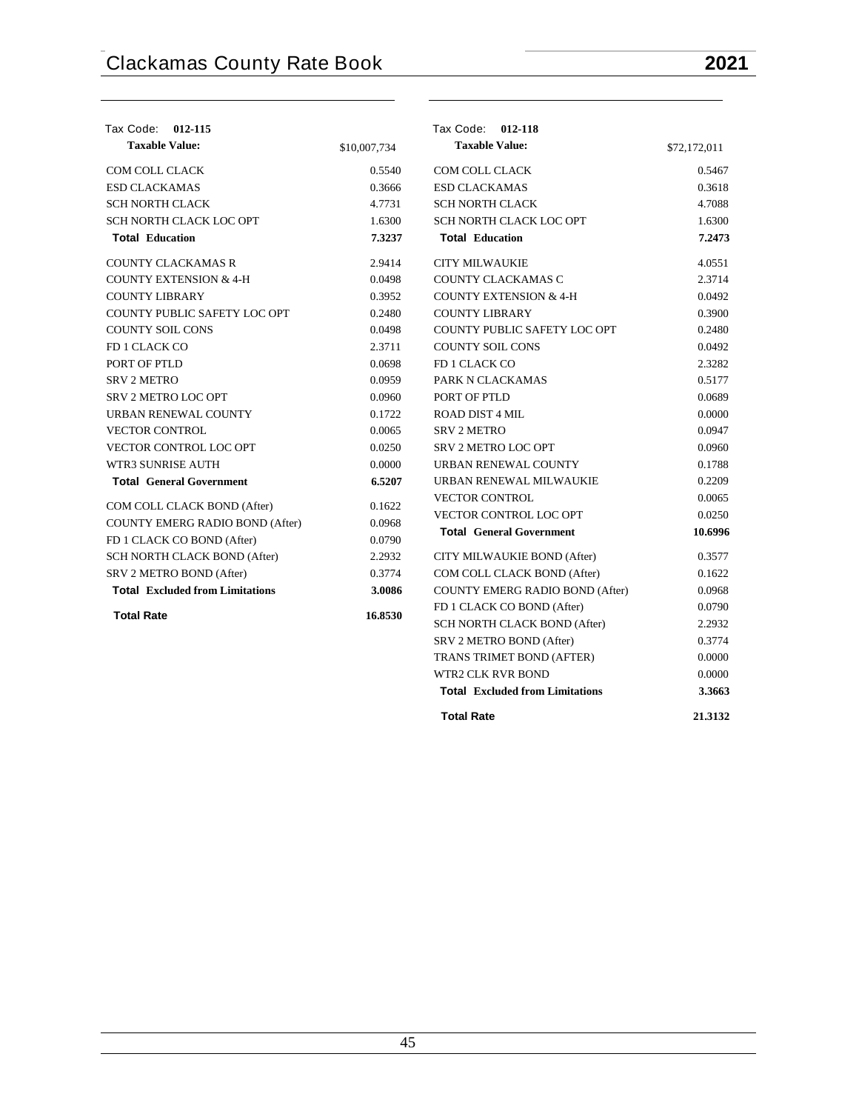| Tax Code: 012-115                      |              | Tax Code: 012-118                      |              |
|----------------------------------------|--------------|----------------------------------------|--------------|
| <b>Taxable Value:</b>                  | \$10,007,734 | <b>Taxable Value:</b>                  | \$72,172,011 |
| <b>COM COLL CLACK</b>                  | 0.5540       | <b>COM COLL CLACK</b>                  | 0.5467       |
| <b>ESD CLACKAMAS</b>                   | 0.3666       | <b>ESD CLACKAMAS</b>                   | 0.3618       |
| <b>SCH NORTH CLACK</b>                 | 4.7731       | <b>SCH NORTH CLACK</b>                 | 4.7088       |
| SCH NORTH CLACK LOC OPT                | 1.6300       | SCH NORTH CLACK LOC OPT                | 1.6300       |
| <b>Total Education</b>                 | 7.3237       | <b>Total Education</b>                 | 7.2473       |
| <b>COUNTY CLACKAMAS R</b>              | 2.9414       | <b>CITY MILWAUKIE</b>                  | 4.0551       |
| <b>COUNTY EXTENSION &amp; 4-H</b>      | 0.0498       | COUNTY CLACKAMAS C                     | 2.3714       |
| <b>COUNTY LIBRARY</b>                  | 0.3952       | <b>COUNTY EXTENSION &amp; 4-H</b>      | 0.0492       |
| COUNTY PUBLIC SAFETY LOC OPT           | 0.2480       | <b>COUNTY LIBRARY</b>                  | 0.3900       |
| <b>COUNTY SOIL CONS</b>                | 0.0498       | COUNTY PUBLIC SAFETY LOC OPT           | 0.2480       |
| FD 1 CLACK CO                          | 2.3711       | <b>COUNTY SOIL CONS</b>                | 0.0492       |
| PORT OF PTLD                           | 0.0698       | FD 1 CLACK CO                          | 2.3282       |
| <b>SRV 2 METRO</b>                     | 0.0959       | PARK N CLACKAMAS                       | 0.5177       |
| <b>SRV 2 METRO LOC OPT</b>             | 0.0960       | PORT OF PTLD                           | 0.0689       |
| URBAN RENEWAL COUNTY                   | 0.1722       | <b>ROAD DIST 4 MIL</b>                 | 0.0000       |
| <b>VECTOR CONTROL</b>                  | 0.0065       | <b>SRV 2 METRO</b>                     | 0.0947       |
| <b>VECTOR CONTROL LOC OPT</b>          | 0.0250       | <b>SRV 2 METRO LOC OPT</b>             | 0.0960       |
| WTR3 SUNRISE AUTH                      | 0.0000       | URBAN RENEWAL COUNTY                   | 0.1788       |
| <b>Total General Government</b>        | 6.5207       | URBAN RENEWAL MILWAUKIE                | 0.2209       |
| COM COLL CLACK BOND (After)            | 0.1622       | <b>VECTOR CONTROL</b>                  | 0.0065       |
| COUNTY EMERG RADIO BOND (After)        | 0.0968       | <b>VECTOR CONTROL LOC OPT</b>          | 0.0250       |
| FD 1 CLACK CO BOND (After)             | 0.0790       | <b>Total General Government</b>        | 10.6996      |
| SCH NORTH CLACK BOND (After)           | 2.2932       | CITY MILWAUKIE BOND (After)            | 0.3577       |
| SRV 2 METRO BOND (After)               | 0.3774       | COM COLL CLACK BOND (After)            | 0.1622       |
| <b>Total Excluded from Limitations</b> | 3.0086       | COUNTY EMERG RADIO BOND (After)        | 0.0968       |
|                                        |              | FD 1 CLACK CO BOND (After)             | 0.0790       |
| <b>Total Rate</b>                      | 16.8530      | SCH NORTH CLACK BOND (After)           | 2.2932       |
|                                        |              | SRV 2 METRO BOND (After)               | 0.3774       |
|                                        |              | TRANS TRIMET BOND (AFTER)              | 0.0000       |
|                                        |              | <b>WTR2 CLK RVR BOND</b>               | 0.0000       |
|                                        |              | <b>Total Excluded from Limitations</b> | 3.3663       |
|                                        |              | <b>Total Rate</b>                      | 21.3132      |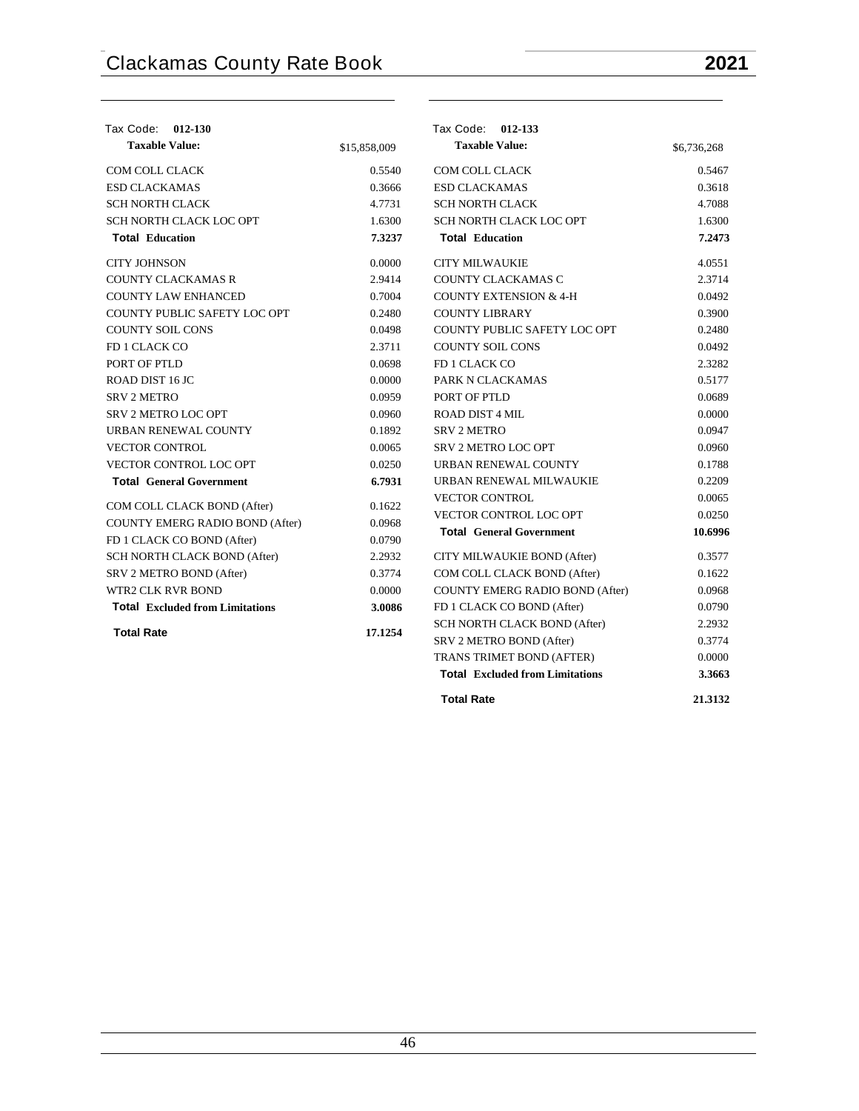| <b>Tax Code:</b><br>012-130            |              | Tax Code: 012-133                      |             |
|----------------------------------------|--------------|----------------------------------------|-------------|
| <b>Taxable Value:</b>                  | \$15,858,009 | <b>Taxable Value:</b>                  | \$6,736,268 |
| COM COLL CLACK                         | 0.5540       | COM COLL CLACK                         | 0.5467      |
| <b>ESD CLACKAMAS</b>                   | 0.3666       | <b>ESD CLACKAMAS</b>                   | 0.3618      |
| <b>SCH NORTH CLACK</b>                 | 4.7731       | <b>SCH NORTH CLACK</b>                 | 4.7088      |
| SCH NORTH CLACK LOC OPT                | 1.6300       | SCH NORTH CLACK LOC OPT                | 1.6300      |
| <b>Total Education</b>                 | 7.3237       | <b>Total Education</b>                 | 7.2473      |
| <b>CITY JOHNSON</b>                    | 0.0000       | <b>CITY MILWAUKIE</b>                  | 4.0551      |
| <b>COUNTY CLACKAMAS R</b>              | 2.9414       | COUNTY CLACKAMAS C                     | 2.3714      |
| <b>COUNTY LAW ENHANCED</b>             | 0.7004       | <b>COUNTY EXTENSION &amp; 4-H</b>      | 0.0492      |
| COUNTY PUBLIC SAFETY LOC OPT           | 0.2480       | <b>COUNTY LIBRARY</b>                  | 0.3900      |
| <b>COUNTY SOIL CONS</b>                | 0.0498       | COUNTY PUBLIC SAFETY LOC OPT           | 0.2480      |
| FD 1 CLACK CO                          | 2.3711       | <b>COUNTY SOIL CONS</b>                | 0.0492      |
| PORT OF PTLD                           | 0.0698       | FD 1 CLACK CO                          | 2.3282      |
| ROAD DIST 16 JC                        | 0.0000       | PARK N CLACKAMAS                       | 0.5177      |
| <b>SRV 2 METRO</b>                     | 0.0959       | PORT OF PTLD                           | 0.0689      |
| SRV 2 METRO LOC OPT                    | 0.0960       | <b>ROAD DIST 4 MIL</b>                 | 0.0000      |
| URBAN RENEWAL COUNTY                   | 0.1892       | <b>SRV 2 METRO</b>                     | 0.0947      |
| <b>VECTOR CONTROL</b>                  | 0.0065       | SRV 2 METRO LOC OPT                    | 0.0960      |
| <b>VECTOR CONTROL LOC OPT</b>          | 0.0250       | URBAN RENEWAL COUNTY                   | 0.1788      |
| <b>Total General Government</b>        | 6.7931       | URBAN RENEWAL MILWAUKIE                | 0.2209      |
| COM COLL CLACK BOND (After)            | 0.1622       | <b>VECTOR CONTROL</b>                  | 0.0065      |
| <b>COUNTY EMERG RADIO BOND (After)</b> | 0.0968       | VECTOR CONTROL LOC OPT                 | 0.0250      |
| FD 1 CLACK CO BOND (After)             | 0.0790       | <b>Total General Government</b>        | 10.6996     |
| SCH NORTH CLACK BOND (After)           | 2.2932       | CITY MILWAUKIE BOND (After)            | 0.3577      |
| SRV 2 METRO BOND (After)               | 0.3774       | COM COLL CLACK BOND (After)            | 0.1622      |
| <b>WTR2 CLK RVR BOND</b>               | 0.0000       | COUNTY EMERG RADIO BOND (After)        | 0.0968      |
| <b>Total Excluded from Limitations</b> | 3.0086       | FD 1 CLACK CO BOND (After)             | 0.0790      |
|                                        |              | SCH NORTH CLACK BOND (After)           | 2.2932      |
| <b>Total Rate</b>                      | 17.1254      | SRV 2 METRO BOND (After)               | 0.3774      |
|                                        |              | TRANS TRIMET BOND (AFTER)              | 0.0000      |
|                                        |              | <b>Total Excluded from Limitations</b> | 3.3663      |
|                                        |              |                                        |             |

**Total Rate 21.3132**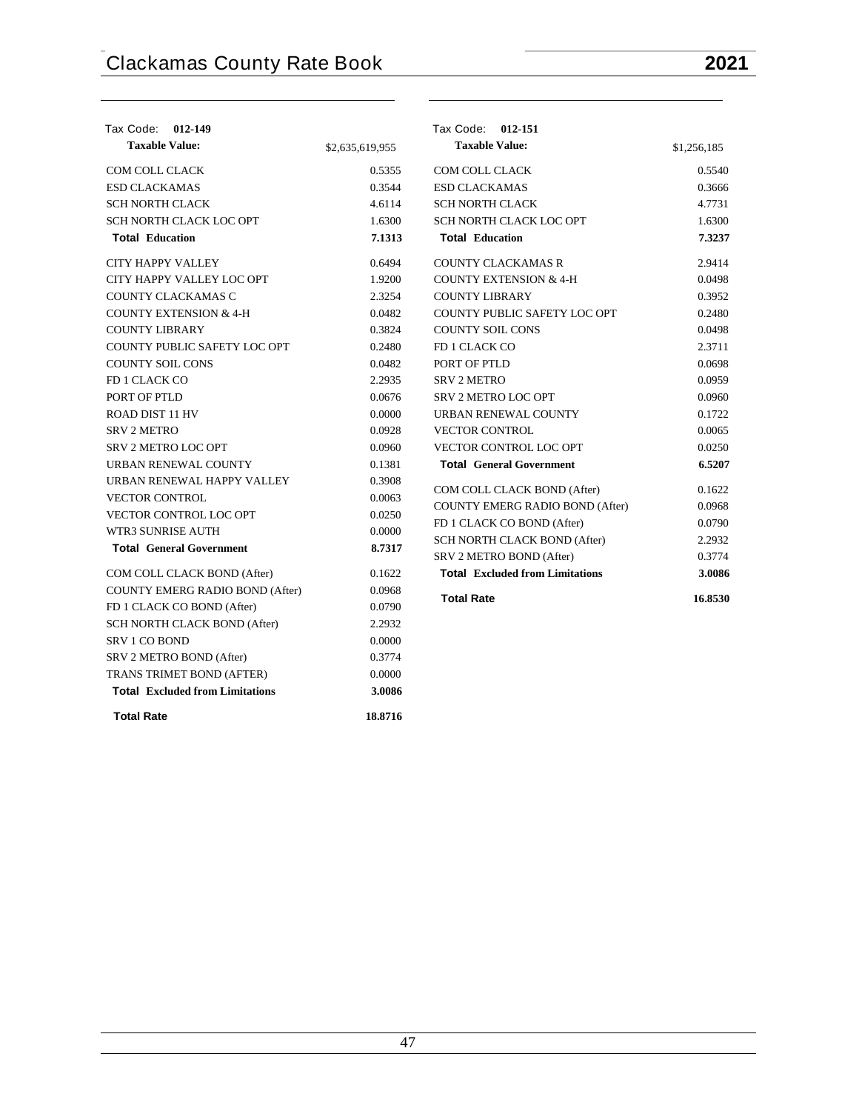| Tax Code:<br>012-149                   |                 | Tax Code:<br>012-151                                     |             |
|----------------------------------------|-----------------|----------------------------------------------------------|-------------|
| <b>Taxable Value:</b>                  | \$2,635,619,955 | <b>Taxable Value:</b>                                    | \$1,256,185 |
| COM COLL CLACK                         | 0.5355          | <b>COM COLL CLACK</b>                                    | 0.5540      |
| <b>ESD CLACKAMAS</b>                   | 0.3544          | <b>ESD CLACKAMAS</b>                                     | 0.3666      |
| <b>SCH NORTH CLACK</b>                 | 4.6114          | <b>SCH NORTH CLACK</b>                                   | 4.7731      |
| SCH NORTH CLACK LOC OPT                | 1.6300          | SCH NORTH CLACK LOC OPT                                  | 1.6300      |
| <b>Total Education</b>                 | 7.1313          | <b>Total Education</b>                                   | 7.3237      |
| CITY HAPPY VALLEY                      | 0.6494          | <b>COUNTY CLACKAMAS R</b>                                | 2.9414      |
| CITY HAPPY VALLEY LOC OPT              | 1.9200          | <b>COUNTY EXTENSION &amp; 4-H</b>                        | 0.0498      |
| COUNTY CLACKAMAS C                     | 2.3254          | <b>COUNTY LIBRARY</b>                                    | 0.3952      |
| <b>COUNTY EXTENSION &amp; 4-H</b>      | 0.0482          | COUNTY PUBLIC SAFETY LOC OPT                             | 0.2480      |
| <b>COUNTY LIBRARY</b>                  | 0.3824          | <b>COUNTY SOIL CONS</b>                                  | 0.0498      |
| COUNTY PUBLIC SAFETY LOC OPT           | 0.2480          | FD 1 CLACK CO                                            | 2.3711      |
| <b>COUNTY SOIL CONS</b>                | 0.0482          | PORT OF PTLD                                             | 0.0698      |
| FD 1 CLACK CO                          | 2.2935          | <b>SRV 2 METRO</b>                                       | 0.0959      |
| PORT OF PTLD                           | 0.0676          | <b>SRV 2 METRO LOC OPT</b>                               | 0.0960      |
| ROAD DIST 11 HV                        | 0.0000          | URBAN RENEWAL COUNTY                                     | 0.1722      |
| <b>SRV 2 METRO</b>                     | 0.0928          | <b>VECTOR CONTROL</b>                                    | 0.0065      |
| SRV 2 METRO LOC OPT                    | 0.0960          | VECTOR CONTROL LOC OPT                                   | 0.0250      |
| URBAN RENEWAL COUNTY                   | 0.1381          | <b>Total General Government</b>                          | 6.5207      |
| URBAN RENEWAL HAPPY VALLEY             | 0.3908          | COM COLL CLACK BOND (After)                              | 0.1622      |
| <b>VECTOR CONTROL</b>                  | 0.0063          | COUNTY EMERG RADIO BOND (After)                          | 0.0968      |
| VECTOR CONTROL LOC OPT                 | 0.0250          |                                                          | 0.0790      |
| WTR3 SUNRISE AUTH                      | 0.0000          | FD 1 CLACK CO BOND (After)                               | 2.2932      |
| <b>Total General Government</b>        | 8.7317          | SCH NORTH CLACK BOND (After)<br>SRV 2 METRO BOND (After) | 0.3774      |
| COM COLL CLACK BOND (After)            | 0.1622          | <b>Total Excluded from Limitations</b>                   | 3.0086      |
| COUNTY EMERG RADIO BOND (After)        | 0.0968          |                                                          |             |
| FD 1 CLACK CO BOND (After)             | 0.0790          | <b>Total Rate</b>                                        | 16.8530     |
| SCH NORTH CLACK BOND (After)           | 2.2932          |                                                          |             |
| <b>SRV 1 CO BOND</b>                   | 0.0000          |                                                          |             |
| SRV 2 METRO BOND (After)               | 0.3774          |                                                          |             |
| TRANS TRIMET BOND (AFTER)              | 0.0000          |                                                          |             |
| <b>Total Excluded from Limitations</b> | 3.0086          |                                                          |             |

**Total Rate 18.8716**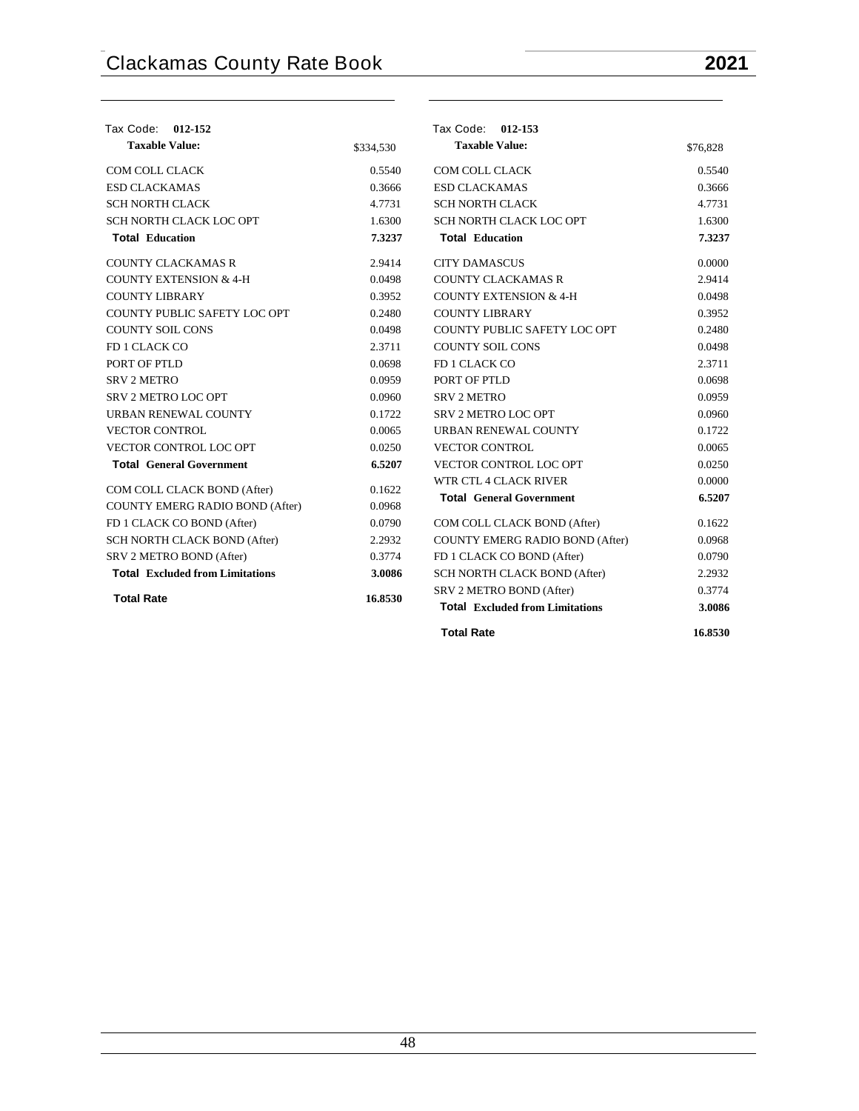| <b>Tax Code:</b><br>012-152            |           | Tax Code: 012-153                      |          |
|----------------------------------------|-----------|----------------------------------------|----------|
| <b>Taxable Value:</b>                  | \$334,530 | <b>Taxable Value:</b>                  | \$76,828 |
| COM COLL CLACK                         | 0.5540    | COM COLL CLACK                         | 0.5540   |
| <b>ESD CLACKAMAS</b>                   | 0.3666    | <b>ESD CLACKAMAS</b>                   | 0.3666   |
| <b>SCH NORTH CLACK</b>                 | 4.7731    | <b>SCH NORTH CLACK</b>                 | 4.7731   |
| SCH NORTH CLACK LOC OPT                | 1.6300    | SCH NORTH CLACK LOC OPT                | 1.6300   |
| <b>Total Education</b>                 | 7.3237    | <b>Total Education</b>                 | 7.3237   |
| <b>COUNTY CLACKAMAS R</b>              | 2.9414    | <b>CITY DAMASCUS</b>                   | 0.0000   |
| <b>COUNTY EXTENSION &amp; 4-H</b>      | 0.0498    | <b>COUNTY CLACKAMAS R</b>              | 2.9414   |
| <b>COUNTY LIBRARY</b>                  | 0.3952    | <b>COUNTY EXTENSION &amp; 4-H</b>      | 0.0498   |
| COUNTY PUBLIC SAFETY LOC OPT           | 0.2480    | <b>COUNTY LIBRARY</b>                  | 0.3952   |
| <b>COUNTY SOIL CONS</b>                | 0.0498    | COUNTY PUBLIC SAFETY LOC OPT           | 0.2480   |
| FD 1 CLACK CO                          | 2.3711    | <b>COUNTY SOIL CONS</b>                | 0.0498   |
| PORT OF PTLD                           | 0.0698    | FD 1 CLACK CO                          | 2.3711   |
| <b>SRV 2 METRO</b>                     | 0.0959    | PORT OF PTLD                           | 0.0698   |
| SRV 2 METRO LOC OPT                    | 0.0960    | <b>SRV 2 METRO</b>                     | 0.0959   |
| URBAN RENEWAL COUNTY                   | 0.1722    | <b>SRV 2 METRO LOC OPT</b>             | 0.0960   |
| <b>VECTOR CONTROL</b>                  | 0.0065    | URBAN RENEWAL COUNTY                   | 0.1722   |
| VECTOR CONTROL LOC OPT                 | 0.0250    | <b>VECTOR CONTROL</b>                  | 0.0065   |
| <b>Total General Government</b>        | 6.5207    | VECTOR CONTROL LOC OPT                 | 0.0250   |
| COM COLL CLACK BOND (After)            | 0.1622    | WTR CTL 4 CLACK RIVER                  | 0.0000   |
| COUNTY EMERG RADIO BOND (After)        | 0.0968    | <b>Total General Government</b>        | 6.5207   |
| FD 1 CLACK CO BOND (After)             | 0.0790    | COM COLL CLACK BOND (After)            | 0.1622   |
| SCH NORTH CLACK BOND (After)           | 2.2932    | COUNTY EMERG RADIO BOND (After)        | 0.0968   |
| SRV 2 METRO BOND (After)               | 0.3774    | FD 1 CLACK CO BOND (After)             | 0.0790   |
| <b>Total Excluded from Limitations</b> | 3.0086    | SCH NORTH CLACK BOND (After)           | 2.2932   |
|                                        |           | SRV 2 METRO BOND (After)               | 0.3774   |
| <b>Total Rate</b>                      | 16.8530   | <b>Total Excluded from Limitations</b> | 3.0086   |
|                                        |           |                                        |          |
|                                        |           | <b>Total Rate</b>                      | 16.8530  |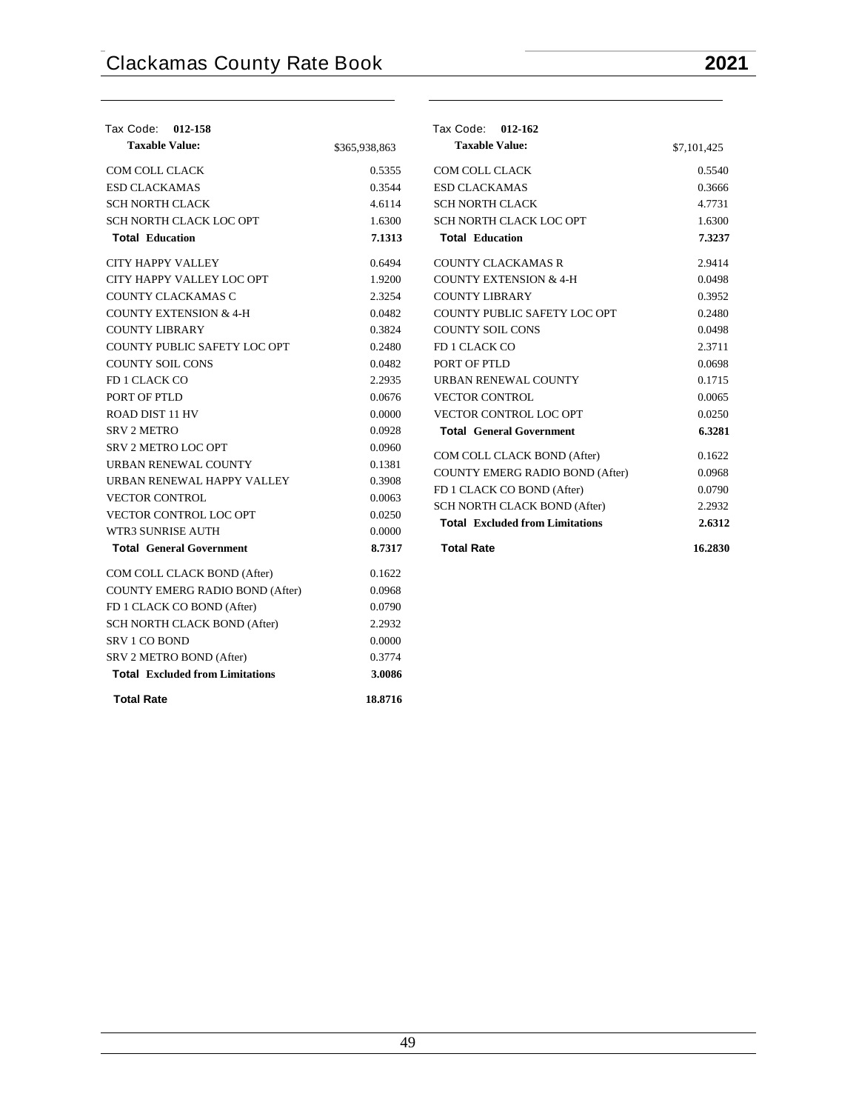| Tax Code: 012-158                      |               | Tax Code: 012-162                      |             |
|----------------------------------------|---------------|----------------------------------------|-------------|
| <b>Taxable Value:</b>                  | \$365,938,863 | <b>Taxable Value:</b>                  | \$7,101,425 |
| COM COLL CLACK                         | 0.5355        | COM COLL CLACK                         | 0.5540      |
| <b>ESD CLACKAMAS</b>                   | 0.3544        | <b>ESD CLACKAMAS</b>                   | 0.3666      |
| <b>SCH NORTH CLACK</b>                 | 4.6114        | <b>SCH NORTH CLACK</b>                 | 4.7731      |
| SCH NORTH CLACK LOC OPT                | 1.6300        | SCH NORTH CLACK LOC OPT                | 1.6300      |
| <b>Total Education</b>                 | 7.1313        | <b>Total Education</b>                 | 7.3237      |
| <b>CITY HAPPY VALLEY</b>               | 0.6494        | <b>COUNTY CLACKAMAS R</b>              | 2.9414      |
| CITY HAPPY VALLEY LOC OPT              | 1.9200        | <b>COUNTY EXTENSION &amp; 4-H</b>      | 0.0498      |
| COUNTY CLACKAMAS C                     | 2.3254        | <b>COUNTY LIBRARY</b>                  | 0.3952      |
| <b>COUNTY EXTENSION &amp; 4-H</b>      | 0.0482        | COUNTY PUBLIC SAFETY LOC OPT           | 0.2480      |
| <b>COUNTY LIBRARY</b>                  | 0.3824        | <b>COUNTY SOIL CONS</b>                | 0.0498      |
| COUNTY PUBLIC SAFETY LOC OPT           | 0.2480        | FD 1 CLACK CO                          | 2.3711      |
| <b>COUNTY SOIL CONS</b>                | 0.0482        | PORT OF PTLD                           | 0.0698      |
| FD 1 CLACK CO                          | 2.2935        | URBAN RENEWAL COUNTY                   | 0.1715      |
| PORT OF PTLD                           | 0.0676        | <b>VECTOR CONTROL</b>                  | 0.0065      |
| ROAD DIST 11 HV                        | 0.0000        | <b>VECTOR CONTROL LOC OPT</b>          | 0.0250      |
| <b>SRV 2 METRO</b>                     | 0.0928        | <b>Total General Government</b>        | 6.3281      |
| <b>SRV 2 METRO LOC OPT</b>             | 0.0960        |                                        |             |
| URBAN RENEWAL COUNTY                   | 0.1381        | COM COLL CLACK BOND (After)            | 0.1622      |
| URBAN RENEWAL HAPPY VALLEY             | 0.3908        | COUNTY EMERG RADIO BOND (After)        | 0.0968      |
| <b>VECTOR CONTROL</b>                  | 0.0063        | FD 1 CLACK CO BOND (After)             | 0.0790      |
| <b>VECTOR CONTROL LOC OPT</b>          | 0.0250        | SCH NORTH CLACK BOND (After)           | 2.2932      |
| WTR3 SUNRISE AUTH                      | 0.0000        | <b>Total Excluded from Limitations</b> | 2.6312      |
| <b>Total General Government</b>        | 8.7317        | <b>Total Rate</b>                      | 16.2830     |
| COM COLL CLACK BOND (After)            | 0.1622        |                                        |             |
| COUNTY EMERG RADIO BOND (After)        | 0.0968        |                                        |             |
| FD 1 CLACK CO BOND (After)             | 0.0790        |                                        |             |
| SCH NORTH CLACK BOND (After)           | 2.2932        |                                        |             |
| SRV 1 CO BOND                          | 0.0000        |                                        |             |
| SRV 2 METRO BOND (After)               | 0.3774        |                                        |             |
| <b>Total Excluded from Limitations</b> | 3.0086        |                                        |             |
| <b>Total Rate</b>                      | 18.8716       |                                        |             |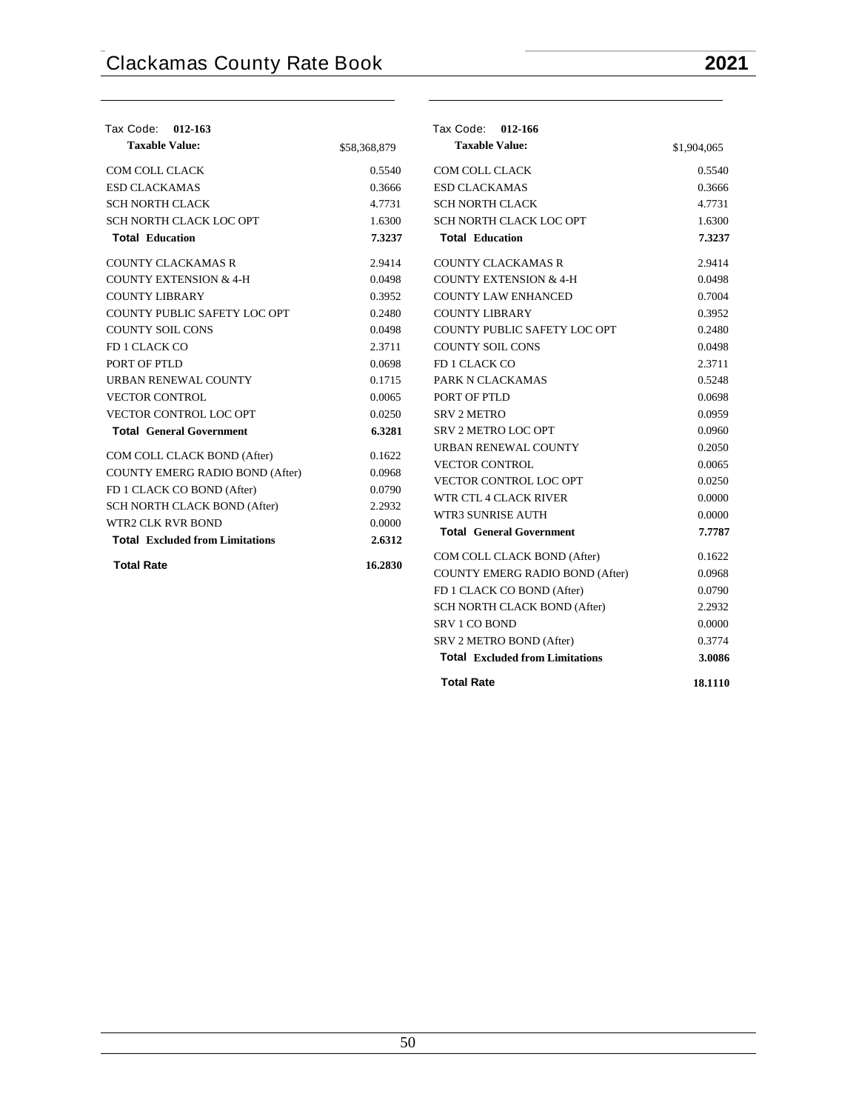| Tax Code: 012-163                      |              | Tax Code: 012-166                      |             |
|----------------------------------------|--------------|----------------------------------------|-------------|
| <b>Taxable Value:</b>                  | \$58,368,879 | <b>Taxable Value:</b>                  | \$1,904,065 |
| COM COLL CLACK                         | 0.5540       | COM COLL CLACK                         | 0.5540      |
| <b>ESD CLACKAMAS</b>                   | 0.3666       | <b>ESD CLACKAMAS</b>                   | 0.3666      |
| <b>SCH NORTH CLACK</b>                 | 4.7731       | <b>SCH NORTH CLACK</b>                 | 4.7731      |
| SCH NORTH CLACK LOC OPT                | 1.6300       | SCH NORTH CLACK LOC OPT                | 1.6300      |
| <b>Total Education</b>                 | 7.3237       | <b>Total Education</b>                 | 7.3237      |
| <b>COUNTY CLACKAMAS R</b>              | 2.9414       | <b>COUNTY CLACKAMAS R</b>              | 2.9414      |
| <b>COUNTY EXTENSION &amp; 4-H</b>      | 0.0498       | <b>COUNTY EXTENSION &amp; 4-H</b>      | 0.0498      |
| <b>COUNTY LIBRARY</b>                  | 0.3952       | <b>COUNTY LAW ENHANCED</b>             | 0.7004      |
| COUNTY PUBLIC SAFETY LOC OPT           | 0.2480       | <b>COUNTY LIBRARY</b>                  | 0.3952      |
| <b>COUNTY SOIL CONS</b>                | 0.0498       | COUNTY PUBLIC SAFETY LOC OPT           | 0.2480      |
| FD 1 CLACK CO                          | 2.3711       | <b>COUNTY SOIL CONS</b>                | 0.0498      |
| PORT OF PTLD                           | 0.0698       | FD 1 CLACK CO                          | 2.3711      |
| URBAN RENEWAL COUNTY                   | 0.1715       | PARK N CLACKAMAS                       | 0.5248      |
| <b>VECTOR CONTROL</b>                  | 0.0065       | PORT OF PTLD                           | 0.0698      |
| <b>VECTOR CONTROL LOC OPT</b>          | 0.0250       | <b>SRV 2 METRO</b>                     | 0.0959      |
| <b>Total General Government</b>        | 6.3281       | <b>SRV 2 METRO LOC OPT</b>             | 0.0960      |
| COM COLL CLACK BOND (After)            | 0.1622       | URBAN RENEWAL COUNTY                   | 0.2050      |
| COUNTY EMERG RADIO BOND (After)        | 0.0968       | <b>VECTOR CONTROL</b>                  | 0.0065      |
| FD 1 CLACK CO BOND (After)             | 0.0790       | <b>VECTOR CONTROL LOC OPT</b>          | 0.0250      |
| SCH NORTH CLACK BOND (After)           | 2.2932       | WTR CTL 4 CLACK RIVER                  | 0.0000      |
| <b>WTR2 CLK RVR BOND</b>               | 0.0000       | <b>WTR3 SUNRISE AUTH</b>               | 0.0000      |
| <b>Total Excluded from Limitations</b> | 2.6312       | <b>Total General Government</b>        | 7.7787      |
| <b>Total Rate</b>                      | 16.2830      | COM COLL CLACK BOND (After)            | 0.1622      |
|                                        |              | COUNTY EMERG RADIO BOND (After)        | 0.0968      |
|                                        |              | FD 1 CLACK CO BOND (After)             | 0.0790      |
|                                        |              | SCH NORTH CLACK BOND (After)           | 2.2932      |
|                                        |              | SRV 1 CO BOND                          | 0.0000      |
|                                        |              | SRV 2 METRO BOND (After)               | 0.3774      |
|                                        |              | <b>Total Excluded from Limitations</b> | 3.0086      |
|                                        |              | <b>Total Rate</b>                      | 18.1110     |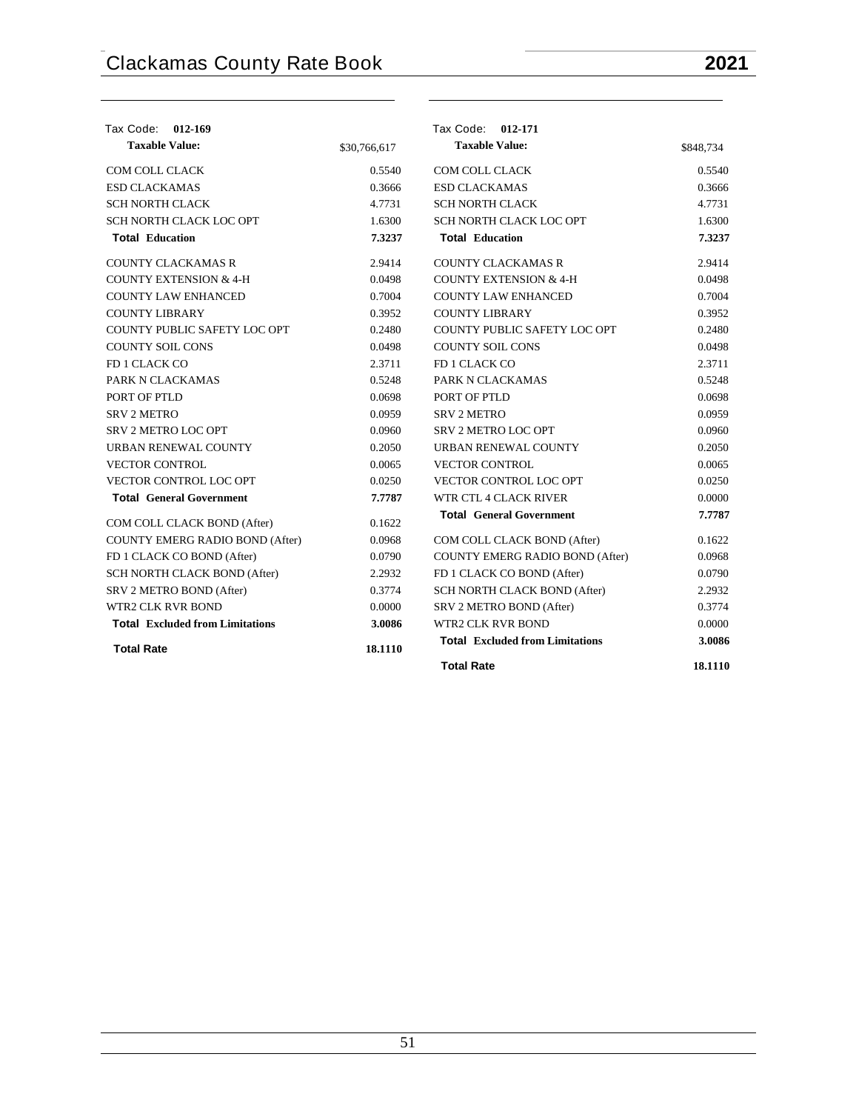| Tax Code: 012-169                      |              | Tax Code: 012-171                      |           |
|----------------------------------------|--------------|----------------------------------------|-----------|
| <b>Taxable Value:</b>                  | \$30,766,617 | <b>Taxable Value:</b>                  | \$848,734 |
| COM COLL CLACK                         | 0.5540       | <b>COM COLL CLACK</b>                  | 0.5540    |
| <b>ESD CLACKAMAS</b>                   | 0.3666       | <b>ESD CLACKAMAS</b>                   | 0.3666    |
| SCH NORTH CLACK                        | 4.7731       | <b>SCH NORTH CLACK</b>                 | 4.7731    |
| SCH NORTH CLACK LOC OPT                | 1.6300       | SCH NORTH CLACK LOC OPT                | 1.6300    |
| <b>Total Education</b>                 | 7.3237       | <b>Total Education</b>                 | 7.3237    |
| <b>COUNTY CLACKAMAS R</b>              | 2.9414       | <b>COUNTY CLACKAMAS R</b>              | 2.9414    |
| <b>COUNTY EXTENSION &amp; 4-H</b>      | 0.0498       | <b>COUNTY EXTENSION &amp; 4-H</b>      | 0.0498    |
| <b>COUNTY LAW ENHANCED</b>             | 0.7004       | <b>COUNTY LAW ENHANCED</b>             | 0.7004    |
| <b>COUNTY LIBRARY</b>                  | 0.3952       | <b>COUNTY LIBRARY</b>                  | 0.3952    |
| COUNTY PUBLIC SAFETY LOC OPT           | 0.2480       | COUNTY PUBLIC SAFETY LOC OPT           | 0.2480    |
| <b>COUNTY SOIL CONS</b>                | 0.0498       | <b>COUNTY SOIL CONS</b>                | 0.0498    |
| FD 1 CLACK CO                          | 2.3711       | FD 1 CLACK CO                          | 2.3711    |
| PARK N CLACKAMAS                       | 0.5248       | PARK N CLACKAMAS                       | 0.5248    |
| PORT OF PTLD                           | 0.0698       | PORT OF PTLD                           | 0.0698    |
| <b>SRV 2 METRO</b>                     | 0.0959       | <b>SRV 2 METRO</b>                     | 0.0959    |
| <b>SRV 2 METRO LOC OPT</b>             | 0.0960       | SRV 2 METRO LOC OPT                    | 0.0960    |
| URBAN RENEWAL COUNTY                   | 0.2050       | URBAN RENEWAL COUNTY                   | 0.2050    |
| <b>VECTOR CONTROL</b>                  | 0.0065       | <b>VECTOR CONTROL</b>                  | 0.0065    |
| VECTOR CONTROL LOC OPT                 | 0.0250       | VECTOR CONTROL LOC OPT                 | 0.0250    |
| <b>Total General Government</b>        | 7.7787       | WTR CTL 4 CLACK RIVER                  | 0.0000    |
| COM COLL CLACK BOND (After)            | 0.1622       | <b>Total General Government</b>        | 7.7787    |
| COUNTY EMERG RADIO BOND (After)        | 0.0968       | COM COLL CLACK BOND (After)            | 0.1622    |
| FD 1 CLACK CO BOND (After)             | 0.0790       | COUNTY EMERG RADIO BOND (After)        | 0.0968    |
| SCH NORTH CLACK BOND (After)           | 2.2932       | FD 1 CLACK CO BOND (After)             | 0.0790    |
| SRV 2 METRO BOND (After)               | 0.3774       | SCH NORTH CLACK BOND (After)           | 2.2932    |
| <b>WTR2 CLK RVR BOND</b>               | 0.0000       | SRV 2 METRO BOND (After)               | 0.3774    |
| <b>Total Excluded from Limitations</b> | 3.0086       | <b>WTR2 CLK RVR BOND</b>               | 0.0000    |
| <b>Total Rate</b>                      | 18.1110      | <b>Total Excluded from Limitations</b> | 3.0086    |
|                                        |              | <b>Total Rate</b>                      | 18.1110   |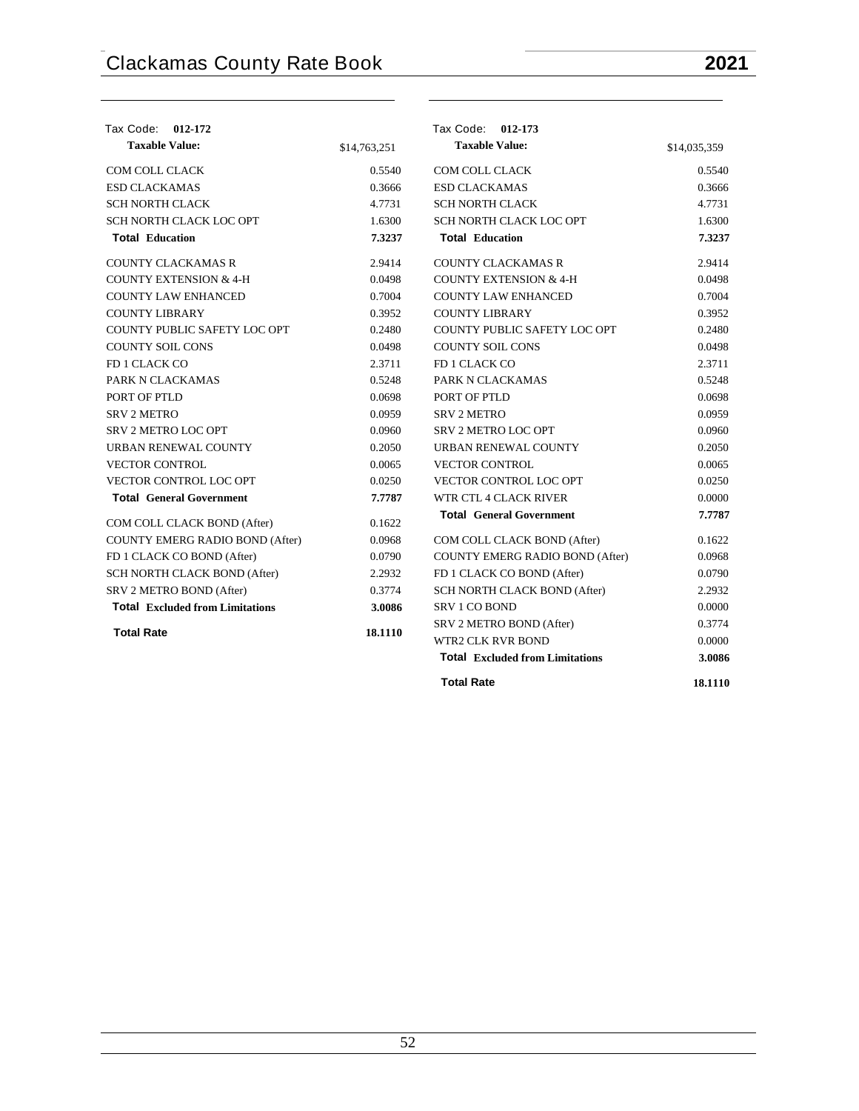| Tax Code: 012-172                      |              | Tax Code: 012-173                      |              |
|----------------------------------------|--------------|----------------------------------------|--------------|
| <b>Taxable Value:</b>                  | \$14,763,251 | <b>Taxable Value:</b>                  | \$14,035,359 |
| COM COLL CLACK                         | 0.5540       | COM COLL CLACK                         | 0.5540       |
| <b>ESD CLACKAMAS</b>                   | 0.3666       | <b>ESD CLACKAMAS</b>                   | 0.3666       |
| <b>SCH NORTH CLACK</b>                 | 4.7731       | <b>SCH NORTH CLACK</b>                 | 4.7731       |
| SCH NORTH CLACK LOC OPT                | 1.6300       | SCH NORTH CLACK LOC OPT                | 1.6300       |
| <b>Total Education</b>                 | 7.3237       | <b>Total Education</b>                 | 7.3237       |
| <b>COUNTY CLACKAMAS R</b>              | 2.9414       | COUNTY CLACKAMAS R                     | 2.9414       |
| <b>COUNTY EXTENSION &amp; 4-H</b>      | 0.0498       | <b>COUNTY EXTENSION &amp; 4-H</b>      | 0.0498       |
| <b>COUNTY LAW ENHANCED</b>             | 0.7004       | <b>COUNTY LAW ENHANCED</b>             | 0.7004       |
| <b>COUNTY LIBRARY</b>                  | 0.3952       | <b>COUNTY LIBRARY</b>                  | 0.3952       |
| COUNTY PUBLIC SAFETY LOC OPT           | 0.2480       | COUNTY PUBLIC SAFETY LOC OPT           | 0.2480       |
| <b>COUNTY SOIL CONS</b>                | 0.0498       | <b>COUNTY SOIL CONS</b>                | 0.0498       |
| FD 1 CLACK CO                          | 2.3711       | FD 1 CLACK CO                          | 2.3711       |
| PARK N CLACKAMAS                       | 0.5248       | PARK N CLACKAMAS                       | 0.5248       |
| PORT OF PTLD                           | 0.0698       | PORT OF PTLD                           | 0.0698       |
| <b>SRV 2 METRO</b>                     | 0.0959       | <b>SRV 2 METRO</b>                     | 0.0959       |
| SRV 2 METRO LOC OPT                    | 0.0960       | SRV 2 METRO LOC OPT                    | 0.0960       |
| URBAN RENEWAL COUNTY                   | 0.2050       | URBAN RENEWAL COUNTY                   | 0.2050       |
| <b>VECTOR CONTROL</b>                  | 0.0065       | <b>VECTOR CONTROL</b>                  | 0.0065       |
| VECTOR CONTROL LOC OPT                 | 0.0250       | VECTOR CONTROL LOC OPT                 | 0.0250       |
| <b>Total General Government</b>        | 7.7787       | WTR CTL 4 CLACK RIVER                  | 0.0000       |
| COM COLL CLACK BOND (After)            | 0.1622       | <b>Total General Government</b>        | 7.7787       |
| COUNTY EMERG RADIO BOND (After)        | 0.0968       | COM COLL CLACK BOND (After)            | 0.1622       |
| FD 1 CLACK CO BOND (After)             | 0.0790       | COUNTY EMERG RADIO BOND (After)        | 0.0968       |
| SCH NORTH CLACK BOND (After)           | 2.2932       | FD 1 CLACK CO BOND (After)             | 0.0790       |
| SRV 2 METRO BOND (After)               | 0.3774       | SCH NORTH CLACK BOND (After)           | 2.2932       |
| <b>Total Excluded from Limitations</b> | 3.0086       | <b>SRV 1 CO BOND</b>                   | 0.0000       |
|                                        |              | SRV 2 METRO BOND (After)               | 0.3774       |
| <b>Total Rate</b>                      | 18.1110      | WTR2 CLK RVR BOND                      | 0.0000       |
|                                        |              | <b>Total Excluded from Limitations</b> | 3.0086       |
|                                        |              | <b>Total Rate</b>                      | 18.1110      |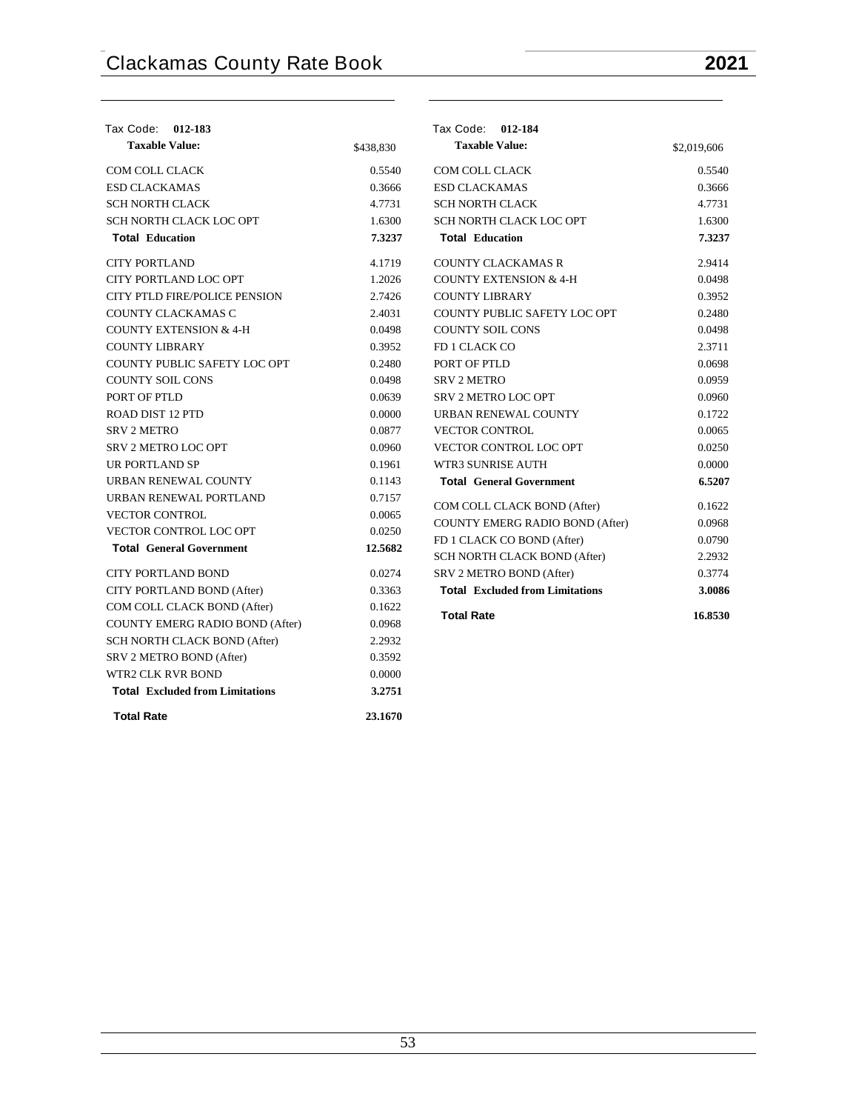| Tax Code: 012-183                      |           | Tax Code: 012-184                      |             |
|----------------------------------------|-----------|----------------------------------------|-------------|
| <b>Taxable Value:</b>                  | \$438,830 | <b>Taxable Value:</b>                  | \$2,019,606 |
| COM COLL CLACK                         | 0.5540    | COM COLL CLACK                         | 0.5540      |
| <b>ESD CLACKAMAS</b>                   | 0.3666    | <b>ESD CLACKAMAS</b>                   | 0.3666      |
| <b>SCH NORTH CLACK</b>                 | 4.7731    | <b>SCH NORTH CLACK</b>                 | 4.7731      |
| SCH NORTH CLACK LOC OPT                | 1.6300    | SCH NORTH CLACK LOC OPT                | 1.6300      |
| <b>Total Education</b>                 | 7.3237    | <b>Total Education</b>                 | 7.3237      |
| <b>CITY PORTLAND</b>                   | 4.1719    | <b>COUNTY CLACKAMAS R</b>              | 2.9414      |
| CITY PORTLAND LOC OPT                  | 1.2026    | <b>COUNTY EXTENSION &amp; 4-H</b>      | 0.0498      |
| CITY PTLD FIRE/POLICE PENSION          | 2.7426    | <b>COUNTY LIBRARY</b>                  | 0.3952      |
| COUNTY CLACKAMAS C                     | 2.4031    | COUNTY PUBLIC SAFETY LOC OPT           | 0.2480      |
| <b>COUNTY EXTENSION &amp; 4-H</b>      | 0.0498    | <b>COUNTY SOIL CONS</b>                | 0.0498      |
| <b>COUNTY LIBRARY</b>                  | 0.3952    | FD 1 CLACK CO                          | 2.3711      |
| COUNTY PUBLIC SAFETY LOC OPT           | 0.2480    | PORT OF PTLD                           | 0.0698      |
| <b>COUNTY SOIL CONS</b>                | 0.0498    | <b>SRV 2 METRO</b>                     | 0.0959      |
| PORT OF PTLD                           | 0.0639    | <b>SRV 2 METRO LOC OPT</b>             | 0.0960      |
| <b>ROAD DIST 12 PTD</b>                | 0.0000    | URBAN RENEWAL COUNTY                   | 0.1722      |
| <b>SRV 2 METRO</b>                     | 0.0877    | <b>VECTOR CONTROL</b>                  | 0.0065      |
| <b>SRV 2 METRO LOC OPT</b>             | 0.0960    | VECTOR CONTROL LOC OPT                 | 0.0250      |
| <b>UR PORTLAND SP</b>                  | 0.1961    | WTR3 SUNRISE AUTH                      | 0.0000      |
| URBAN RENEWAL COUNTY                   | 0.1143    | <b>Total General Government</b>        | 6.5207      |
| URBAN RENEWAL PORTLAND                 | 0.7157    | COM COLL CLACK BOND (After)            | 0.1622      |
| <b>VECTOR CONTROL</b>                  | 0.0065    | <b>COUNTY EMERG RADIO BOND (After)</b> | 0.0968      |
| <b>VECTOR CONTROL LOC OPT</b>          | 0.0250    | FD 1 CLACK CO BOND (After)             | 0.0790      |
| <b>Total General Government</b>        | 12.5682   | SCH NORTH CLACK BOND (After)           | 2.2932      |
| <b>CITY PORTLAND BOND</b>              | 0.0274    | SRV 2 METRO BOND (After)               | 0.3774      |
| CITY PORTLAND BOND (After)             | 0.3363    | <b>Total Excluded from Limitations</b> | 3.0086      |
| COM COLL CLACK BOND (After)            | 0.1622    |                                        |             |
| COUNTY EMERG RADIO BOND (After)        | 0.0968    | <b>Total Rate</b>                      | 16.8530     |
| SCH NORTH CLACK BOND (After)           | 2.2932    |                                        |             |
| SRV 2 METRO BOND (After)               | 0.3592    |                                        |             |
| <b>WTR2 CLK RVR BOND</b>               | 0.0000    |                                        |             |
| <b>Total</b> Excluded from Limitations | 3.2751    |                                        |             |

**Total Rate 23.1670**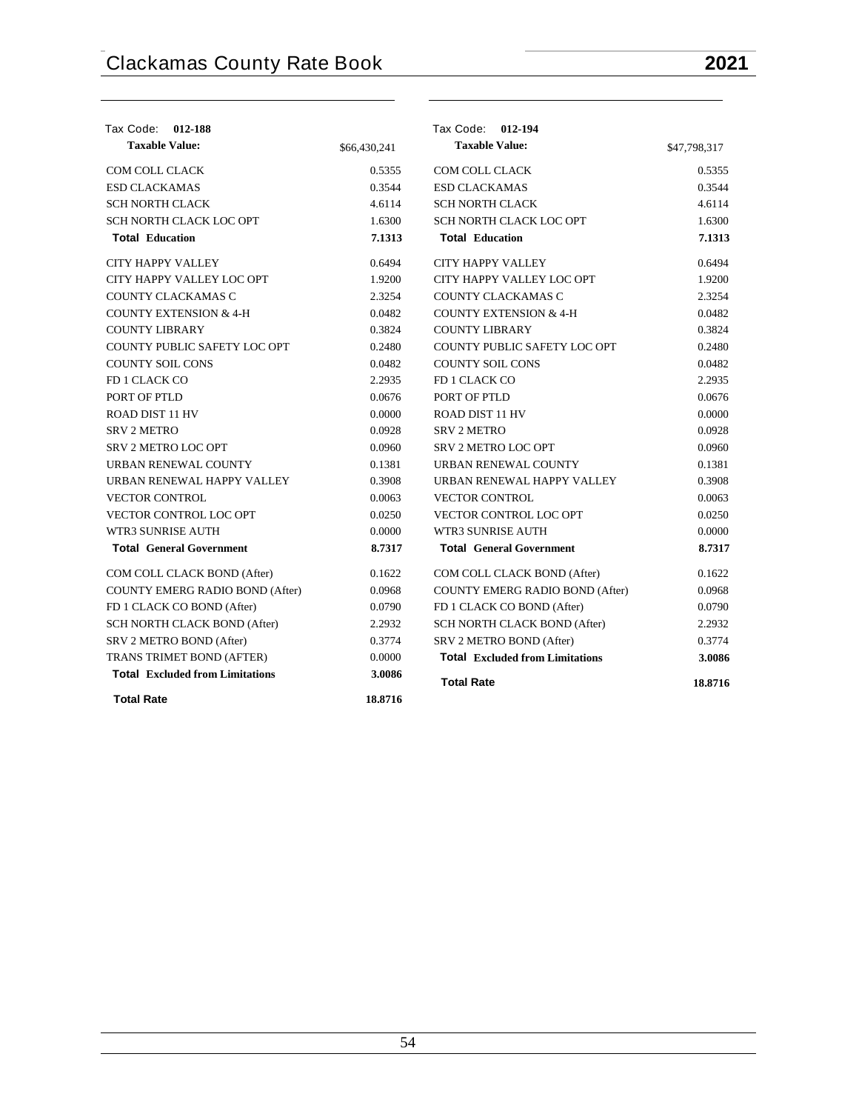| Tax Code: 012-188                      |              | Tax Code: 012-194                      |              |
|----------------------------------------|--------------|----------------------------------------|--------------|
| <b>Taxable Value:</b>                  | \$66,430,241 | <b>Taxable Value:</b>                  | \$47,798,317 |
| COM COLL CLACK                         | 0.5355       | COM COLL CLACK                         | 0.5355       |
| <b>ESD CLACKAMAS</b>                   | 0.3544       | <b>ESD CLACKAMAS</b>                   | 0.3544       |
| <b>SCH NORTH CLACK</b>                 | 4.6114       | <b>SCH NORTH CLACK</b>                 | 4.6114       |
| SCH NORTH CLACK LOC OPT                | 1.6300       | SCH NORTH CLACK LOC OPT                | 1.6300       |
| <b>Total Education</b>                 | 7.1313       | <b>Total Education</b>                 | 7.1313       |
| <b>CITY HAPPY VALLEY</b>               | 0.6494       | <b>CITY HAPPY VALLEY</b>               | 0.6494       |
| CITY HAPPY VALLEY LOC OPT              | 1.9200       | CITY HAPPY VALLEY LOC OPT              | 1.9200       |
| COUNTY CLACKAMAS C                     | 2.3254       | COUNTY CLACKAMAS C                     | 2.3254       |
| <b>COUNTY EXTENSION &amp; 4-H</b>      | 0.0482       | <b>COUNTY EXTENSION &amp; 4-H</b>      | 0.0482       |
| <b>COUNTY LIBRARY</b>                  | 0.3824       | <b>COUNTY LIBRARY</b>                  | 0.3824       |
| COUNTY PUBLIC SAFETY LOC OPT           | 0.2480       | COUNTY PUBLIC SAFETY LOC OPT           | 0.2480       |
| <b>COUNTY SOIL CONS</b>                | 0.0482       | <b>COUNTY SOIL CONS</b>                | 0.0482       |
| FD 1 CLACK CO                          | 2.2935       | FD 1 CLACK CO                          | 2.2935       |
| PORT OF PTLD                           | 0.0676       | PORT OF PTLD                           | 0.0676       |
| <b>ROAD DIST 11 HV</b>                 | 0.0000       | <b>ROAD DIST 11 HV</b>                 | 0.0000       |
| <b>SRV 2 METRO</b>                     | 0.0928       | <b>SRV 2 METRO</b>                     | 0.0928       |
| <b>SRV 2 METRO LOC OPT</b>             | 0.0960       | <b>SRV 2 METRO LOC OPT</b>             | 0.0960       |
| URBAN RENEWAL COUNTY                   | 0.1381       | URBAN RENEWAL COUNTY                   | 0.1381       |
| URBAN RENEWAL HAPPY VALLEY             | 0.3908       | URBAN RENEWAL HAPPY VALLEY             | 0.3908       |
| <b>VECTOR CONTROL</b>                  | 0.0063       | <b>VECTOR CONTROL</b>                  | 0.0063       |
| <b>VECTOR CONTROL LOC OPT</b>          | 0.0250       | <b>VECTOR CONTROL LOC OPT</b>          | 0.0250       |
| WTR3 SUNRISE AUTH                      | 0.0000       | WTR3 SUNRISE AUTH                      | 0.0000       |
| <b>Total General Government</b>        | 8.7317       | <b>Total</b> General Government        | 8.7317       |
| COM COLL CLACK BOND (After)            | 0.1622       | COM COLL CLACK BOND (After)            | 0.1622       |
| <b>COUNTY EMERG RADIO BOND (After)</b> | 0.0968       | <b>COUNTY EMERG RADIO BOND (After)</b> | 0.0968       |
| FD 1 CLACK CO BOND (After)             | 0.0790       | FD 1 CLACK CO BOND (After)             | 0.0790       |
| SCH NORTH CLACK BOND (After)           | 2.2932       | SCH NORTH CLACK BOND (After)           | 2.2932       |
| SRV 2 METRO BOND (After)               | 0.3774       | SRV 2 METRO BOND (After)               | 0.3774       |
| TRANS TRIMET BOND (AFTER)              | 0.0000       | <b>Total Excluded from Limitations</b> | 3.0086       |
| <b>Total Excluded from Limitations</b> | 3.0086       | <b>Total Rate</b>                      | 18.8716      |
| <b>Total Rate</b>                      | 18.8716      |                                        |              |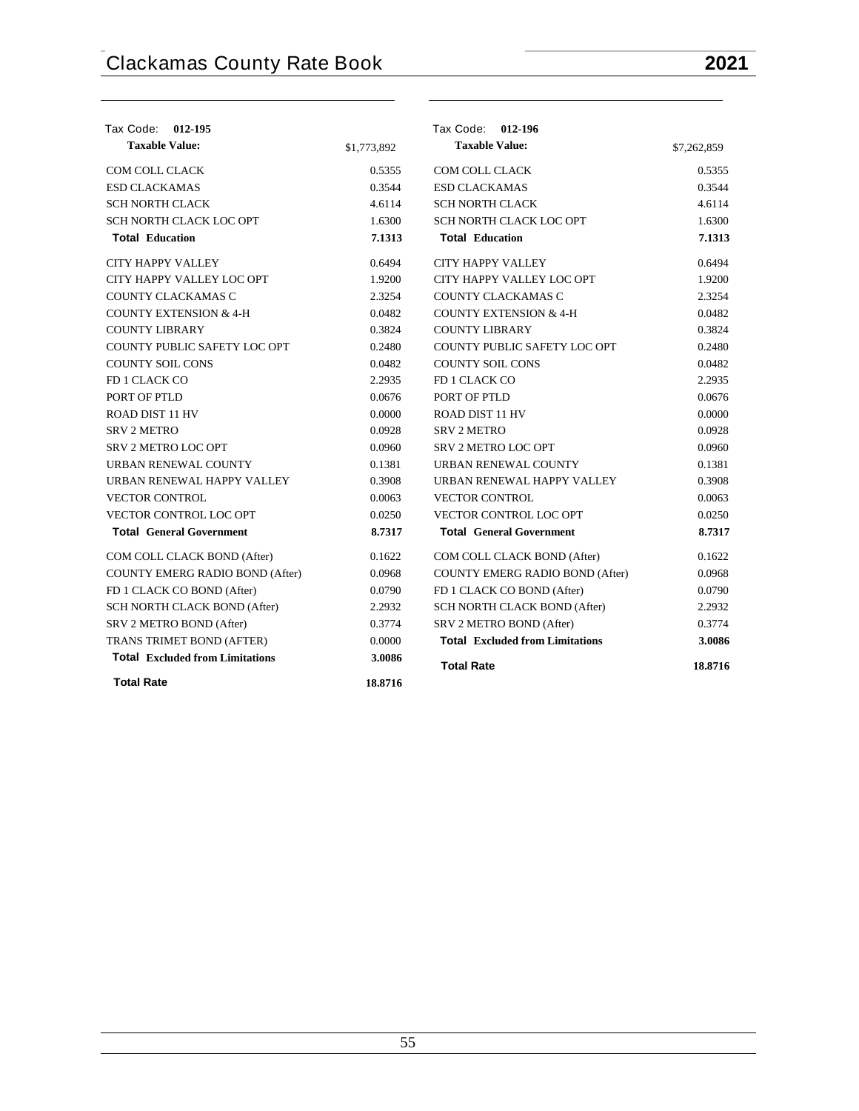| Tax Code: 012-195                      |             | Tax Code: 012-196                      |             |
|----------------------------------------|-------------|----------------------------------------|-------------|
| <b>Taxable Value:</b>                  | \$1,773,892 | <b>Taxable Value:</b>                  | \$7,262,859 |
| COM COLL CLACK                         | 0.5355      | COM COLL CLACK                         | 0.5355      |
| <b>ESD CLACKAMAS</b>                   | 0.3544      | <b>ESD CLACKAMAS</b>                   | 0.3544      |
| <b>SCH NORTH CLACK</b>                 | 4.6114      | <b>SCH NORTH CLACK</b>                 | 4.6114      |
| SCH NORTH CLACK LOC OPT                | 1.6300      | SCH NORTH CLACK LOC OPT                | 1.6300      |
| <b>Total Education</b>                 | 7.1313      | <b>Total Education</b>                 | 7.1313      |
| <b>CITY HAPPY VALLEY</b>               | 0.6494      | <b>CITY HAPPY VALLEY</b>               | 0.6494      |
| CITY HAPPY VALLEY LOC OPT              | 1.9200      | CITY HAPPY VALLEY LOC OPT              | 1.9200      |
| COUNTY CLACKAMAS C                     | 2.3254      | COUNTY CLACKAMAS C                     | 2.3254      |
| <b>COUNTY EXTENSION &amp; 4-H</b>      | 0.0482      | <b>COUNTY EXTENSION &amp; 4-H</b>      | 0.0482      |
| <b>COUNTY LIBRARY</b>                  | 0.3824      | <b>COUNTY LIBRARY</b>                  | 0.3824      |
| COUNTY PUBLIC SAFETY LOC OPT           | 0.2480      | COUNTY PUBLIC SAFETY LOC OPT           | 0.2480      |
| <b>COUNTY SOIL CONS</b>                | 0.0482      | <b>COUNTY SOIL CONS</b>                | 0.0482      |
| FD 1 CLACK CO                          | 2.2935      | FD 1 CLACK CO                          | 2.2935      |
| PORT OF PTLD                           | 0.0676      | PORT OF PTLD                           | 0.0676      |
| <b>ROAD DIST 11 HV</b>                 | 0.0000      | <b>ROAD DIST 11 HV</b>                 | 0.0000      |
| <b>SRV 2 METRO</b>                     | 0.0928      | <b>SRV 2 METRO</b>                     | 0.0928      |
| SRV 2 METRO LOC OPT                    | 0.0960      | <b>SRV 2 METRO LOC OPT</b>             | 0.0960      |
| URBAN RENEWAL COUNTY                   | 0.1381      | URBAN RENEWAL COUNTY                   | 0.1381      |
| URBAN RENEWAL HAPPY VALLEY             | 0.3908      | URBAN RENEWAL HAPPY VALLEY             | 0.3908      |
| <b>VECTOR CONTROL</b>                  | 0.0063      | <b>VECTOR CONTROL</b>                  | 0.0063      |
| <b>VECTOR CONTROL LOC OPT</b>          | 0.0250      | VECTOR CONTROL LOC OPT                 | 0.0250      |
| <b>Total General Government</b>        | 8.7317      | <b>Total General Government</b>        | 8.7317      |
| COM COLL CLACK BOND (After)            | 0.1622      | COM COLL CLACK BOND (After)            | 0.1622      |
| COUNTY EMERG RADIO BOND (After)        | 0.0968      | COUNTY EMERG RADIO BOND (After)        | 0.0968      |
| FD 1 CLACK CO BOND (After)             | 0.0790      | FD 1 CLACK CO BOND (After)             | 0.0790      |
| SCH NORTH CLACK BOND (After)           | 2.2932      | SCH NORTH CLACK BOND (After)           | 2.2932      |
| SRV 2 METRO BOND (After)               | 0.3774      | SRV 2 METRO BOND (After)               | 0.3774      |
| TRANS TRIMET BOND (AFTER)              | 0.0000      | <b>Total Excluded from Limitations</b> | 3.0086      |
| <b>Total Excluded from Limitations</b> | 3.0086      | <b>Total Rate</b>                      | 18.8716     |
| <b>Total Rate</b>                      | 18.8716     |                                        |             |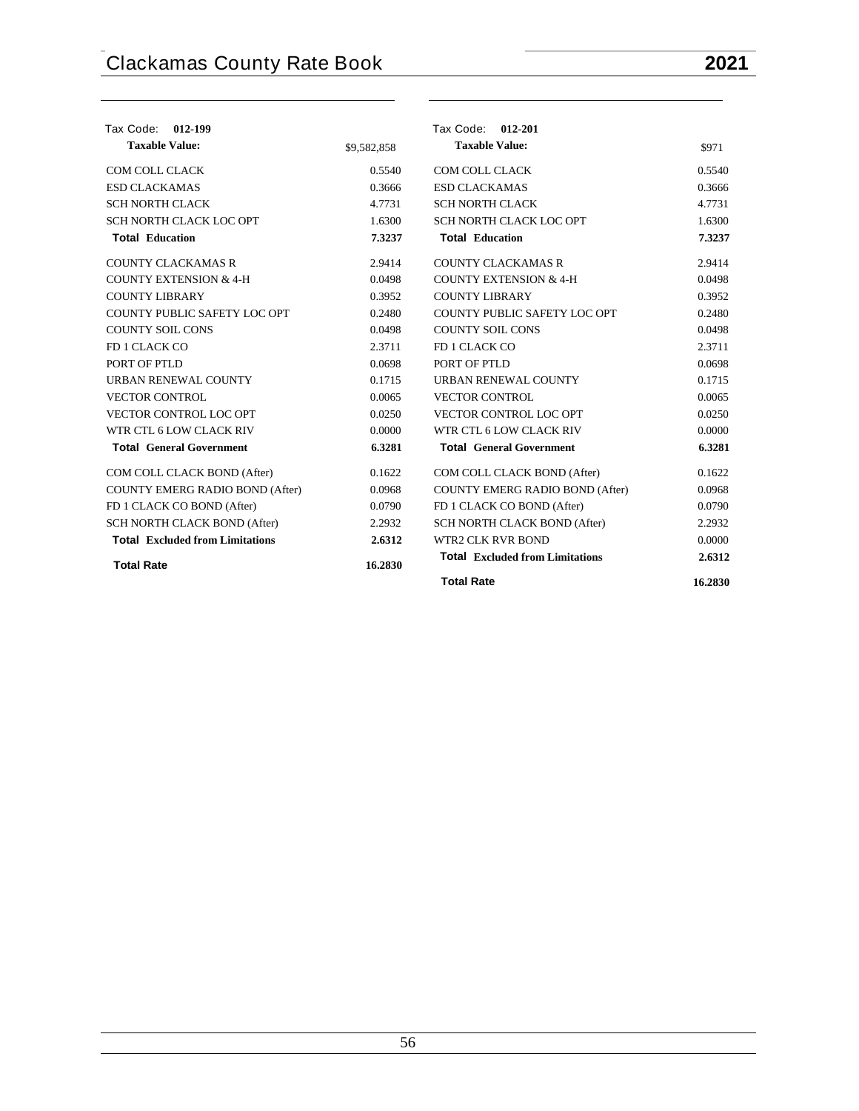| Tax Code:<br>012-199                   |             | Tax Code: 012-201                      |         |
|----------------------------------------|-------------|----------------------------------------|---------|
| <b>Taxable Value:</b>                  | \$9,582,858 | <b>Taxable Value:</b>                  | \$971   |
| COM COLL CLACK                         | 0.5540      | COM COLL CLACK                         | 0.5540  |
| <b>ESD CLACKAMAS</b>                   | 0.3666      | <b>ESD CLACKAMAS</b>                   | 0.3666  |
| <b>SCH NORTH CLACK</b>                 | 4.7731      | <b>SCH NORTH CLACK</b>                 | 4.7731  |
| SCH NORTH CLACK LOC OPT                | 1.6300      | SCH NORTH CLACK LOC OPT                | 1.6300  |
| <b>Total Education</b>                 | 7.3237      | <b>Total Education</b>                 | 7.3237  |
| <b>COUNTY CLACKAMAS R</b>              | 2.9414      | <b>COUNTY CLACKAMAS R</b>              | 2.9414  |
| <b>COUNTY EXTENSION &amp; 4-H</b>      | 0.0498      | <b>COUNTY EXTENSION &amp; 4-H</b>      | 0.0498  |
| <b>COUNTY LIBRARY</b>                  | 0.3952      | <b>COUNTY LIBRARY</b>                  | 0.3952  |
| COUNTY PUBLIC SAFETY LOC OPT           | 0.2480      | COUNTY PUBLIC SAFETY LOC OPT           | 0.2480  |
| <b>COUNTY SOIL CONS</b>                | 0.0498      | <b>COUNTY SOIL CONS</b>                | 0.0498  |
| FD 1 CLACK CO                          | 2.3711      | FD 1 CLACK CO                          | 2.3711  |
| PORT OF PTLD                           | 0.0698      | PORT OF PTLD                           | 0.0698  |
| URBAN RENEWAL COUNTY                   | 0.1715      | URBAN RENEWAL COUNTY                   | 0.1715  |
| <b>VECTOR CONTROL</b>                  | 0.0065      | <b>VECTOR CONTROL</b>                  | 0.0065  |
| <b>VECTOR CONTROL LOC OPT</b>          | 0.0250      | VECTOR CONTROL LOC OPT                 | 0.0250  |
| WTR CTL 6 LOW CLACK RIV                | 0.0000      | WTR CTL 6 LOW CLACK RIV                | 0.0000  |
| <b>Total General Government</b>        | 6.3281      | <b>Total General Government</b>        | 6.3281  |
| COM COLL CLACK BOND (After)            | 0.1622      | COM COLL CLACK BOND (After)            | 0.1622  |
| COUNTY EMERG RADIO BOND (After)        | 0.0968      | COUNTY EMERG RADIO BOND (After)        | 0.0968  |
| FD 1 CLACK CO BOND (After)             | 0.0790      | FD 1 CLACK CO BOND (After)             | 0.0790  |
| <b>SCH NORTH CLACK BOND (After)</b>    | 2.2932      | SCH NORTH CLACK BOND (After)           | 2.2932  |
| <b>Total</b> Excluded from Limitations | 2.6312      | <b>WTR2 CLK RVR BOND</b>               | 0.0000  |
| <b>Total Rate</b>                      | 16.2830     | <b>Total Excluded from Limitations</b> | 2.6312  |
|                                        |             | <b>Total Rate</b>                      | 16.2830 |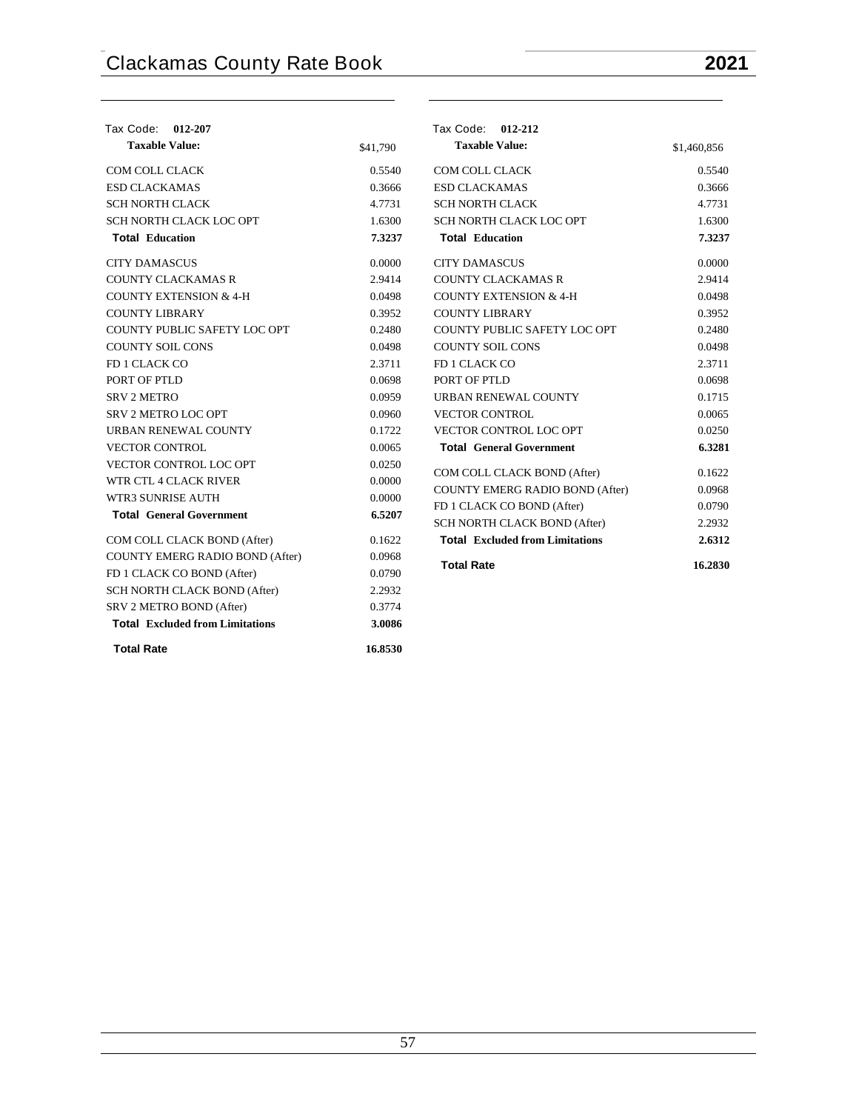| Tax Code: 012-207                      |          | Tax Code: 012-212                      |             |
|----------------------------------------|----------|----------------------------------------|-------------|
| <b>Taxable Value:</b>                  | \$41,790 | <b>Taxable Value:</b>                  | \$1,460,856 |
| COM COLL CLACK                         | 0.5540   | COM COLL CLACK                         | 0.5540      |
| <b>ESD CLACKAMAS</b>                   | 0.3666   | <b>ESD CLACKAMAS</b>                   | 0.3666      |
| <b>SCH NORTH CLACK</b>                 | 4.7731   | <b>SCH NORTH CLACK</b>                 | 4.7731      |
| SCH NORTH CLACK LOC OPT                | 1.6300   | SCH NORTH CLACK LOC OPT                | 1.6300      |
| <b>Total Education</b>                 | 7.3237   | <b>Total Education</b>                 | 7.3237      |
| <b>CITY DAMASCUS</b>                   | 0.0000   | <b>CITY DAMASCUS</b>                   | 0.0000      |
| <b>COUNTY CLACKAMAS R</b>              | 2.9414   | <b>COUNTY CLACKAMAS R</b>              | 2.9414      |
| <b>COUNTY EXTENSION &amp; 4-H</b>      | 0.0498   | <b>COUNTY EXTENSION &amp; 4-H</b>      | 0.0498      |
| <b>COUNTY LIBRARY</b>                  | 0.3952   | <b>COUNTY LIBRARY</b>                  | 0.3952      |
| COUNTY PUBLIC SAFETY LOC OPT           | 0.2480   | COUNTY PUBLIC SAFETY LOC OPT           | 0.2480      |
| <b>COUNTY SOIL CONS</b>                | 0.0498   | <b>COUNTY SOIL CONS</b>                | 0.0498      |
| FD 1 CLACK CO                          | 2.3711   | FD 1 CLACK CO                          | 2.3711      |
| PORT OF PTLD                           | 0.0698   | PORT OF PTLD                           | 0.0698      |
| <b>SRV 2 METRO</b>                     | 0.0959   | URBAN RENEWAL COUNTY                   | 0.1715      |
| <b>SRV 2 METRO LOC OPT</b>             | 0.0960   | <b>VECTOR CONTROL</b>                  | 0.0065      |
| URBAN RENEWAL COUNTY                   | 0.1722   | VECTOR CONTROL LOC OPT                 | 0.0250      |
| <b>VECTOR CONTROL</b>                  | 0.0065   | <b>Total General Government</b>        | 6.3281      |
| <b>VECTOR CONTROL LOC OPT</b>          | 0.0250   | COM COLL CLACK BOND (After)            | 0.1622      |
| WTR CTL 4 CLACK RIVER                  | 0.0000   | <b>COUNTY EMERG RADIO BOND (After)</b> | 0.0968      |
| <b>WTR3 SUNRISE AUTH</b>               | 0.0000   | FD 1 CLACK CO BOND (After)             | 0.0790      |
| <b>Total General Government</b>        | 6.5207   | SCH NORTH CLACK BOND (After)           | 2.2932      |
| COM COLL CLACK BOND (After)            | 0.1622   | <b>Total</b> Excluded from Limitations | 2.6312      |
| COUNTY EMERG RADIO BOND (After)        | 0.0968   |                                        |             |
| FD 1 CLACK CO BOND (After)             | 0.0790   | <b>Total Rate</b>                      | 16.2830     |
| <b>SCH NORTH CLACK BOND (After)</b>    | 2.2932   |                                        |             |
| SRV 2 METRO BOND (After)               | 0.3774   |                                        |             |
| <b>Total Excluded from Limitations</b> | 3.0086   |                                        |             |

**Total Rate 16.8530**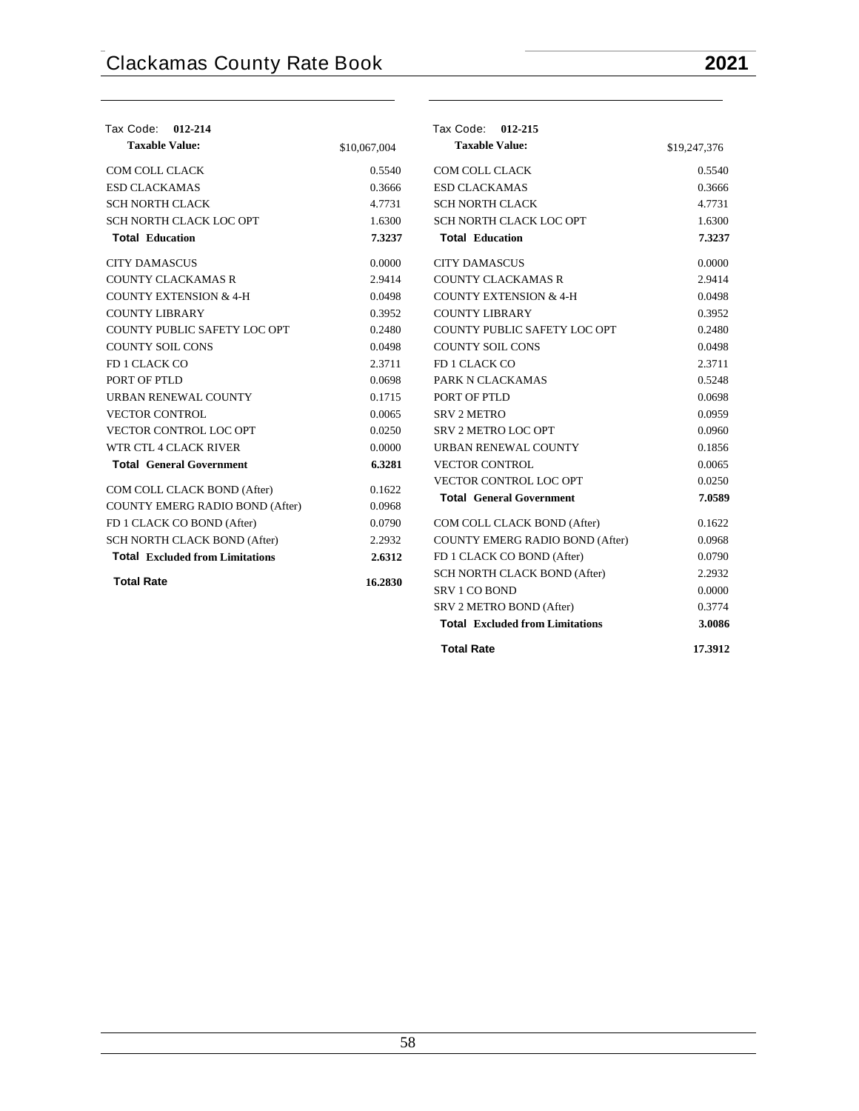| Tax Code: 012-214                      |              | Tax Code: 012-215                      |              |
|----------------------------------------|--------------|----------------------------------------|--------------|
| <b>Taxable Value:</b>                  | \$10,067,004 | <b>Taxable Value:</b>                  | \$19,247,376 |
| <b>COM COLL CLACK</b>                  | 0.5540       | <b>COM COLL CLACK</b>                  | 0.5540       |
| <b>ESD CLACKAMAS</b>                   | 0.3666       | <b>ESD CLACKAMAS</b>                   | 0.3666       |
| <b>SCH NORTH CLACK</b>                 | 4.7731       | <b>SCH NORTH CLACK</b>                 | 4.7731       |
| SCH NORTH CLACK LOC OPT                | 1.6300       | SCH NORTH CLACK LOC OPT                | 1.6300       |
| <b>Total Education</b>                 | 7.3237       | <b>Total Education</b>                 | 7.3237       |
| <b>CITY DAMASCUS</b>                   | 0.0000       | <b>CITY DAMASCUS</b>                   | 0.0000       |
| <b>COUNTY CLACKAMAS R</b>              | 2.9414       | <b>COUNTY CLACKAMAS R</b>              | 2.9414       |
| <b>COUNTY EXTENSION &amp; 4-H</b>      | 0.0498       | <b>COUNTY EXTENSION &amp; 4-H</b>      | 0.0498       |
| <b>COUNTY LIBRARY</b>                  | 0.3952       | <b>COUNTY LIBRARY</b>                  | 0.3952       |
| COUNTY PUBLIC SAFETY LOC OPT           | 0.2480       | COUNTY PUBLIC SAFETY LOC OPT           | 0.2480       |
| <b>COUNTY SOIL CONS</b>                | 0.0498       | <b>COUNTY SOIL CONS</b>                | 0.0498       |
| FD 1 CLACK CO                          | 2.3711       | FD 1 CLACK CO                          | 2.3711       |
| PORT OF PTLD                           | 0.0698       | PARK N CLACKAMAS                       | 0.5248       |
| URBAN RENEWAL COUNTY                   | 0.1715       | PORT OF PTLD                           | 0.0698       |
| <b>VECTOR CONTROL</b>                  | 0.0065       | <b>SRV 2 METRO</b>                     | 0.0959       |
| <b>VECTOR CONTROL LOC OPT</b>          | 0.0250       | <b>SRV 2 METRO LOC OPT</b>             | 0.0960       |
| WTR CTL 4 CLACK RIVER                  | 0.0000       | URBAN RENEWAL COUNTY                   | 0.1856       |
| <b>Total General Government</b>        | 6.3281       | <b>VECTOR CONTROL</b>                  | 0.0065       |
| COM COLL CLACK BOND (After)            | 0.1622       | VECTOR CONTROL LOC OPT                 | 0.0250       |
| <b>COUNTY EMERG RADIO BOND (After)</b> | 0.0968       | <b>Total General Government</b>        | 7.0589       |
| FD 1 CLACK CO BOND (After)             | 0.0790       | COM COLL CLACK BOND (After)            | 0.1622       |
| SCH NORTH CLACK BOND (After)           | 2.2932       | COUNTY EMERG RADIO BOND (After)        | 0.0968       |
| <b>Total Excluded from Limitations</b> | 2.6312       | FD 1 CLACK CO BOND (After)             | 0.0790       |
|                                        |              | SCH NORTH CLACK BOND (After)           | 2.2932       |
| <b>Total Rate</b>                      | 16.2830      | SRV 1 CO BOND                          | 0.0000       |
|                                        |              | SRV 2 METRO BOND (After)               | 0.3774       |
|                                        |              | <b>Total Excluded from Limitations</b> | 3.0086       |
|                                        |              | <b>Total Rate</b>                      | 17.3912      |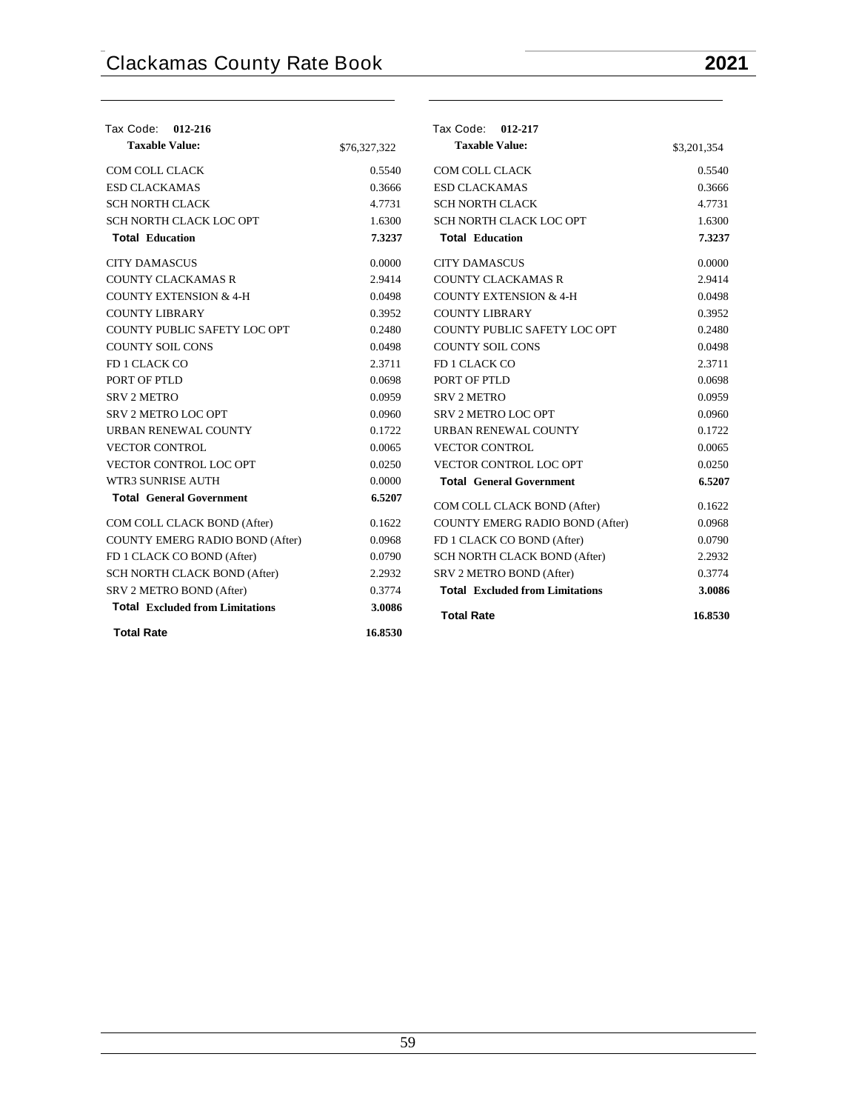| Tax Code: 012-216                      |              | Tax Code: 012-217                      |             |
|----------------------------------------|--------------|----------------------------------------|-------------|
| <b>Taxable Value:</b>                  | \$76,327,322 | <b>Taxable Value:</b>                  | \$3,201,354 |
| COM COLL CLACK                         | 0.5540       | <b>COM COLL CLACK</b>                  | 0.5540      |
| <b>ESD CLACKAMAS</b>                   | 0.3666       | <b>ESD CLACKAMAS</b>                   | 0.3666      |
| <b>SCH NORTH CLACK</b>                 | 4.7731       | <b>SCH NORTH CLACK</b>                 | 4.7731      |
| SCH NORTH CLACK LOC OPT                | 1.6300       | SCH NORTH CLACK LOC OPT                | 1.6300      |
| <b>Total Education</b>                 | 7.3237       | <b>Total Education</b>                 | 7.3237      |
| <b>CITY DAMASCUS</b>                   | 0.0000       | <b>CITY DAMASCUS</b>                   | 0.0000      |
| <b>COUNTY CLACKAMAS R</b>              | 2.9414       | <b>COUNTY CLACKAMAS R</b>              | 2.9414      |
| <b>COUNTY EXTENSION &amp; 4-H</b>      | 0.0498       | <b>COUNTY EXTENSION &amp; 4-H</b>      | 0.0498      |
| <b>COUNTY LIBRARY</b>                  | 0.3952       | <b>COUNTY LIBRARY</b>                  | 0.3952      |
| COUNTY PUBLIC SAFETY LOC OPT           | 0.2480       | COUNTY PUBLIC SAFETY LOC OPT           | 0.2480      |
| <b>COUNTY SOIL CONS</b>                | 0.0498       | <b>COUNTY SOIL CONS</b>                | 0.0498      |
| FD 1 CLACK CO                          | 2.3711       | FD 1 CLACK CO                          | 2.3711      |
| PORT OF PTLD                           | 0.0698       | PORT OF PTLD                           | 0.0698      |
| <b>SRV 2 METRO</b>                     | 0.0959       | <b>SRV 2 METRO</b>                     | 0.0959      |
| SRV 2 METRO LOC OPT                    | 0.0960       | <b>SRV 2 METRO LOC OPT</b>             | 0.0960      |
| URBAN RENEWAL COUNTY                   | 0.1722       | URBAN RENEWAL COUNTY                   | 0.1722      |
| <b>VECTOR CONTROL</b>                  | 0.0065       | <b>VECTOR CONTROL</b>                  | 0.0065      |
| VECTOR CONTROL LOC OPT                 | 0.0250       | VECTOR CONTROL LOC OPT                 | 0.0250      |
| WTR3 SUNRISE AUTH                      | 0.0000       | <b>Total General Government</b>        | 6.5207      |
| <b>Total General Government</b>        | 6.5207       | COM COLL CLACK BOND (After)            | 0.1622      |
| COM COLL CLACK BOND (After)            | 0.1622       | <b>COUNTY EMERG RADIO BOND (After)</b> | 0.0968      |
| <b>COUNTY EMERG RADIO BOND (After)</b> | 0.0968       | FD 1 CLACK CO BOND (After)             | 0.0790      |
| FD 1 CLACK CO BOND (After)             | 0.0790       | SCH NORTH CLACK BOND (After)           | 2.2932      |
| SCH NORTH CLACK BOND (After)           | 2.2932       | SRV 2 METRO BOND (After)               | 0.3774      |
| SRV 2 METRO BOND (After)               | 0.3774       | <b>Total</b> Excluded from Limitations | 3.0086      |
| <b>Total Excluded from Limitations</b> | 3.0086       | <b>Total Rate</b>                      | 16.8530     |
| <b>Total Rate</b>                      | 16.8530      |                                        |             |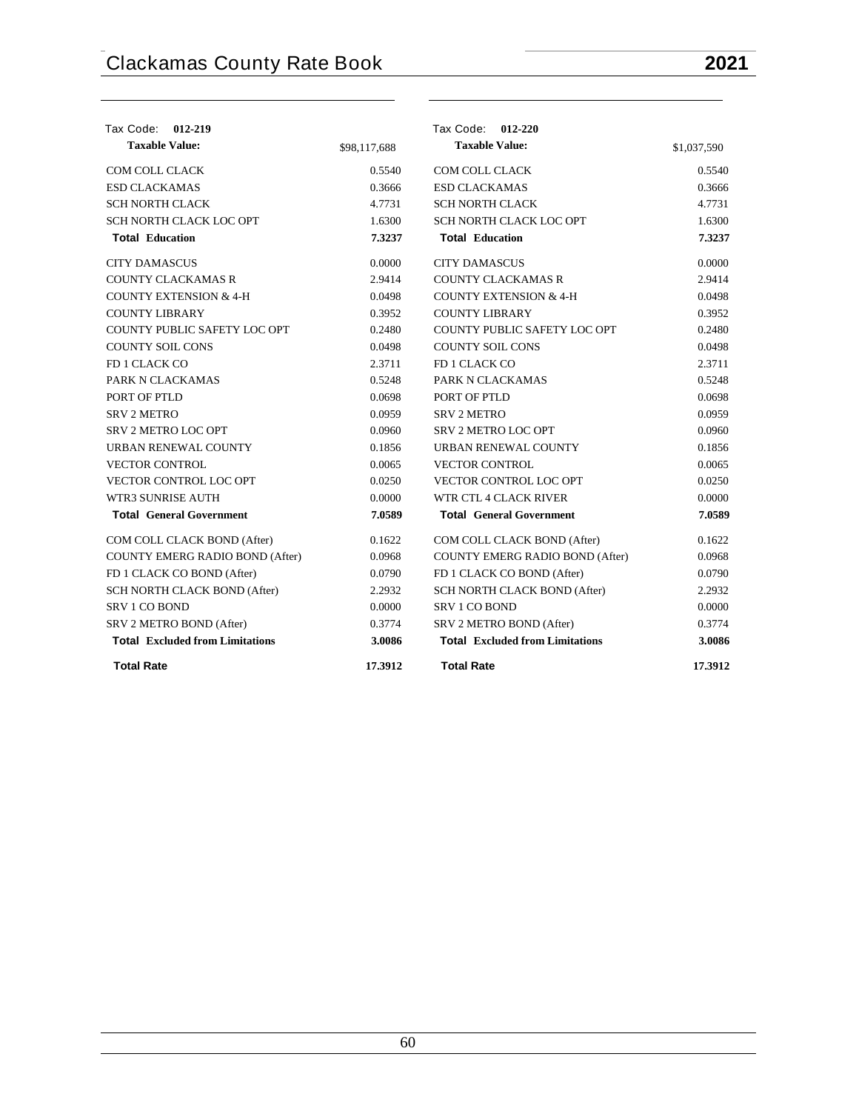| Tax Code: 012-219                      |              | Tax Code: 012-220                      |             |
|----------------------------------------|--------------|----------------------------------------|-------------|
| <b>Taxable Value:</b>                  | \$98,117,688 | <b>Taxable Value:</b>                  | \$1,037,590 |
| <b>COM COLL CLACK</b>                  | 0.5540       | <b>COM COLL CLACK</b>                  | 0.5540      |
| <b>ESD CLACKAMAS</b>                   | 0.3666       | <b>ESD CLACKAMAS</b>                   | 0.3666      |
| <b>SCH NORTH CLACK</b>                 | 4.7731       | <b>SCH NORTH CLACK</b>                 | 4.7731      |
| SCH NORTH CLACK LOC OPT                | 1.6300       | SCH NORTH CLACK LOC OPT                | 1.6300      |
| <b>Total Education</b>                 | 7.3237       | <b>Total Education</b>                 | 7.3237      |
| <b>CITY DAMASCUS</b>                   | 0.0000       | <b>CITY DAMASCUS</b>                   | 0.0000      |
| <b>COUNTY CLACKAMAS R</b>              | 2.9414       | <b>COUNTY CLACKAMAS R</b>              | 2.9414      |
| <b>COUNTY EXTENSION &amp; 4-H</b>      | 0.0498       | <b>COUNTY EXTENSION &amp; 4-H</b>      | 0.0498      |
| <b>COUNTY LIBRARY</b>                  | 0.3952       | COUNTY LIBRARY                         | 0.3952      |
| COUNTY PUBLIC SAFETY LOC OPT           | 0.2480       | COUNTY PUBLIC SAFETY LOC OPT           | 0.2480      |
| <b>COUNTY SOIL CONS</b>                | 0.0498       | <b>COUNTY SOIL CONS</b>                | 0.0498      |
| FD 1 CLACK CO                          | 2.3711       | FD 1 CLACK CO                          | 2.3711      |
| PARK N CLACKAMAS                       | 0.5248       | PARK N CLACKAMAS                       | 0.5248      |
| PORT OF PTLD                           | 0.0698       | PORT OF PTLD                           | 0.0698      |
| <b>SRV 2 METRO</b>                     | 0.0959       | <b>SRV 2 METRO</b>                     | 0.0959      |
| SRV 2 METRO LOC OPT                    | 0.0960       | <b>SRV 2 METRO LOC OPT</b>             | 0.0960      |
| URBAN RENEWAL COUNTY                   | 0.1856       | URBAN RENEWAL COUNTY                   | 0.1856      |
| <b>VECTOR CONTROL</b>                  | 0.0065       | <b>VECTOR CONTROL</b>                  | 0.0065      |
| <b>VECTOR CONTROL LOC OPT</b>          | 0.0250       | VECTOR CONTROL LOC OPT                 | 0.0250      |
| <b>WTR3 SUNRISE AUTH</b>               | 0.0000       | WTR CTL 4 CLACK RIVER                  | 0.0000      |
| <b>Total General Government</b>        | 7.0589       | <b>Total General Government</b>        | 7.0589      |
| COM COLL CLACK BOND (After)            | 0.1622       | COM COLL CLACK BOND (After)            | 0.1622      |
| <b>COUNTY EMERG RADIO BOND (After)</b> | 0.0968       | <b>COUNTY EMERG RADIO BOND (After)</b> | 0.0968      |
| FD 1 CLACK CO BOND (After)             | 0.0790       | FD 1 CLACK CO BOND (After)             | 0.0790      |
| <b>SCH NORTH CLACK BOND (After)</b>    | 2.2932       | SCH NORTH CLACK BOND (After)           | 2.2932      |
| <b>SRV 1 CO BOND</b>                   | 0.0000       | <b>SRV 1 CO BOND</b>                   | 0.0000      |
| SRV 2 METRO BOND (After)               | 0.3774       | SRV 2 METRO BOND (After)               | 0.3774      |
| <b>Total Excluded from Limitations</b> | 3.0086       | <b>Total Excluded from Limitations</b> | 3.0086      |
| <b>Total Rate</b>                      | 17.3912      | <b>Total Rate</b>                      | 17.3912     |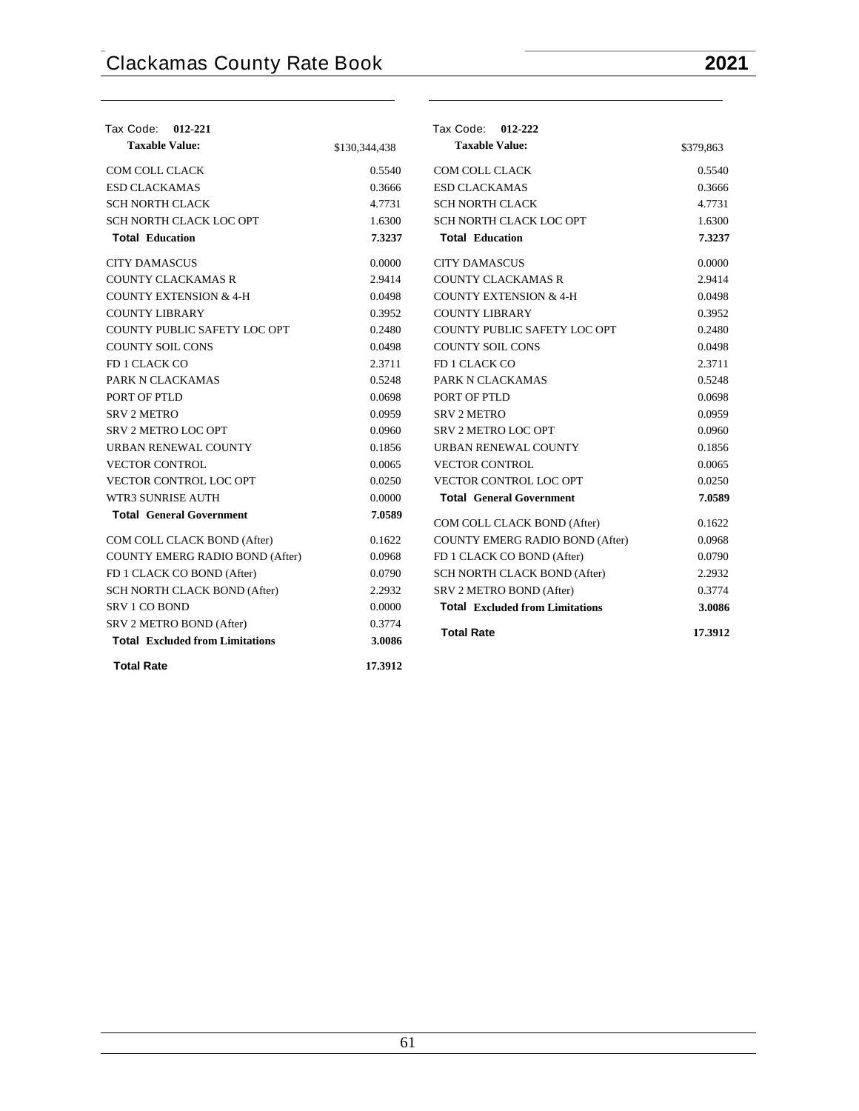| Tax Code: 012-221                      |               | Tax Code: 012-222                      |           |
|----------------------------------------|---------------|----------------------------------------|-----------|
| <b>Taxable Value:</b>                  | \$130,344,438 | <b>Taxable Value:</b>                  | \$379,863 |
| <b>COM COLL CLACK</b>                  | 0.5540        | <b>COM COLL CLACK</b>                  | 0.5540    |
| <b>ESD CLACKAMAS</b>                   | 0.3666        | <b>ESD CLACKAMAS</b>                   | 0.3666    |
| <b>SCH NORTH CLACK</b>                 | 4.7731        | <b>SCH NORTH CLACK</b>                 | 4.7731    |
| SCH NORTH CLACK LOC OPT                | 1.6300        | SCH NORTH CLACK LOC OPT                | 1.6300    |
| <b>Total Education</b>                 | 7.3237        | <b>Total Education</b>                 | 7.3237    |
| <b>CITY DAMASCUS</b>                   | 0.0000        | <b>CITY DAMASCUS</b>                   | 0.0000    |
| <b>COUNTY CLACKAMAS R</b>              | 2.9414        | <b>COUNTY CLACKAMAS R</b>              | 2.9414    |
| <b>COUNTY EXTENSION &amp; 4-H</b>      | 0.0498        | <b>COUNTY EXTENSION &amp; 4-H</b>      | 0.0498    |
| <b>COUNTY LIBRARY</b>                  | 0.3952        | <b>COUNTY LIBRARY</b>                  | 0.3952    |
| COUNTY PUBLIC SAFETY LOC OPT           | 0.2480        | COUNTY PUBLIC SAFETY LOC OPT           | 0.2480    |
| <b>COUNTY SOIL CONS</b>                | 0.0498        | <b>COUNTY SOIL CONS</b>                | 0.0498    |
| FD 1 CLACK CO                          | 2.3711        | FD 1 CLACK CO                          | 2.3711    |
| PARK N CLACKAMAS                       | 0.5248        | PARK N CLACKAMAS                       | 0.5248    |
| PORT OF PTLD                           | 0.0698        | PORT OF PTLD                           | 0.0698    |
| <b>SRV 2 METRO</b>                     | 0.0959        | <b>SRV 2 METRO</b>                     | 0.0959    |
| SRV 2 METRO LOC OPT                    | 0.0960        | <b>SRV 2 METRO LOC OPT</b>             | 0.0960    |
| URBAN RENEWAL COUNTY                   | 0.1856        | URBAN RENEWAL COUNTY                   | 0.1856    |
| <b>VECTOR CONTROL</b>                  | 0.0065        | <b>VECTOR CONTROL</b>                  | 0.0065    |
| VECTOR CONTROL LOC OPT                 | 0.0250        | <b>VECTOR CONTROL LOC OPT</b>          | 0.0250    |
| WTR3 SUNRISE AUTH                      | 0.0000        | <b>Total General Government</b>        | 7.0589    |
| <b>Total General Government</b>        | 7.0589        | COM COLL CLACK BOND (After)            | 0.1622    |
| COM COLL CLACK BOND (After)            | 0.1622        | COUNTY EMERG RADIO BOND (After)        | 0.0968    |
| COUNTY EMERG RADIO BOND (After)        | 0.0968        | FD 1 CLACK CO BOND (After)             | 0.0790    |
| FD 1 CLACK CO BOND (After)             | 0.0790        | SCH NORTH CLACK BOND (After)           | 2.2932    |
| SCH NORTH CLACK BOND (After)           | 2.2932        | SRV 2 METRO BOND (After)               | 0.3774    |
| <b>SRV 1 CO BOND</b>                   | 0.0000        | <b>Total Excluded from Limitations</b> | 3.0086    |
| SRV 2 METRO BOND (After)               | 0.3774        |                                        |           |
| <b>Total Excluded from Limitations</b> | 3.0086        | <b>Total Rate</b>                      | 17.3912   |
| <b>Total Rate</b>                      | 17.3912       |                                        |           |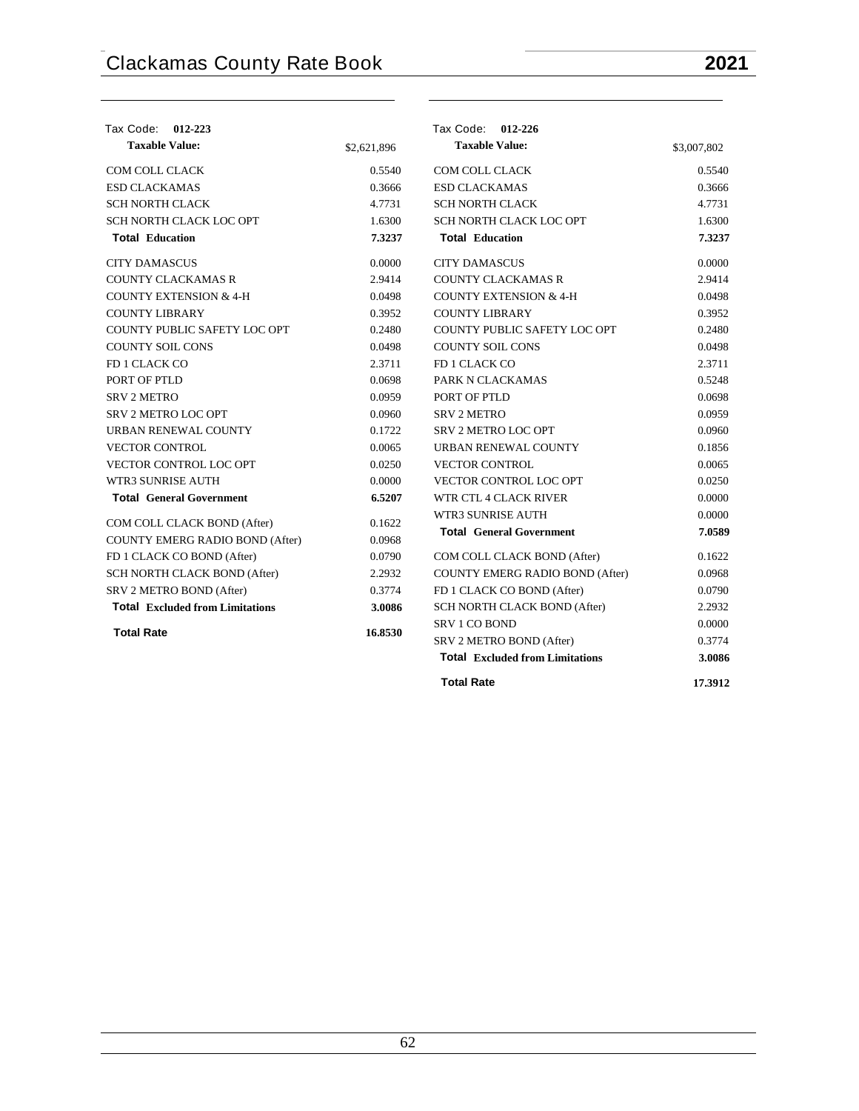| Tax Code: 012-223                      |             | Tax Code: 012-226                      |             |
|----------------------------------------|-------------|----------------------------------------|-------------|
| <b>Taxable Value:</b>                  | \$2,621,896 | <b>Taxable Value:</b>                  | \$3,007,802 |
| <b>COM COLL CLACK</b>                  | 0.5540      | <b>COM COLL CLACK</b>                  | 0.5540      |
| <b>ESD CLACKAMAS</b>                   | 0.3666      | <b>ESD CLACKAMAS</b>                   | 0.3666      |
| <b>SCH NORTH CLACK</b>                 | 4.7731      | <b>SCH NORTH CLACK</b>                 | 4.7731      |
| SCH NORTH CLACK LOC OPT                | 1.6300      | SCH NORTH CLACK LOC OPT                | 1.6300      |
| <b>Total Education</b>                 | 7.3237      | <b>Total Education</b>                 | 7.3237      |
| <b>CITY DAMASCUS</b>                   | 0.0000      | <b>CITY DAMASCUS</b>                   | 0.0000      |
| <b>COUNTY CLACKAMAS R</b>              | 2.9414      | <b>COUNTY CLACKAMAS R</b>              | 2.9414      |
| <b>COUNTY EXTENSION &amp; 4-H</b>      | 0.0498      | <b>COUNTY EXTENSION &amp; 4-H</b>      | 0.0498      |
| <b>COUNTY LIBRARY</b>                  | 0.3952      | <b>COUNTY LIBRARY</b>                  | 0.3952      |
| COUNTY PUBLIC SAFETY LOC OPT           | 0.2480      | COUNTY PUBLIC SAFETY LOC OPT           | 0.2480      |
| <b>COUNTY SOIL CONS</b>                | 0.0498      | <b>COUNTY SOIL CONS</b>                | 0.0498      |
| FD 1 CLACK CO                          | 2.3711      | FD 1 CLACK CO                          | 2.3711      |
| PORT OF PTLD                           | 0.0698      | PARK N CLACKAMAS                       | 0.5248      |
| <b>SRV 2 METRO</b>                     | 0.0959      | PORT OF PTLD                           | 0.0698      |
| <b>SRV 2 METRO LOC OPT</b>             | 0.0960      | <b>SRV 2 METRO</b>                     | 0.0959      |
| URBAN RENEWAL COUNTY                   | 0.1722      | SRV 2 METRO LOC OPT                    | 0.0960      |
| <b>VECTOR CONTROL</b>                  | 0.0065      | URBAN RENEWAL COUNTY                   | 0.1856      |
| VECTOR CONTROL LOC OPT                 | 0.0250      | <b>VECTOR CONTROL</b>                  | 0.0065      |
| <b>WTR3 SUNRISE AUTH</b>               | 0.0000      | VECTOR CONTROL LOC OPT                 | 0.0250      |
| <b>Total General Government</b>        | 6.5207      | WTR CTL 4 CLACK RIVER                  | 0.0000      |
| COM COLL CLACK BOND (After)            | 0.1622      | <b>WTR3 SUNRISE AUTH</b>               | 0.0000      |
| COUNTY EMERG RADIO BOND (After)        | 0.0968      | <b>Total General Government</b>        | 7.0589      |
| FD 1 CLACK CO BOND (After)             | 0.0790      | COM COLL CLACK BOND (After)            | 0.1622      |
| SCH NORTH CLACK BOND (After)           | 2.2932      | COUNTY EMERG RADIO BOND (After)        | 0.0968      |
| SRV 2 METRO BOND (After)               | 0.3774      | FD 1 CLACK CO BOND (After)             | 0.0790      |
| <b>Total Excluded from Limitations</b> | 3.0086      | SCH NORTH CLACK BOND (After)           | 2.2932      |
|                                        |             | <b>SRV 1 CO BOND</b>                   | 0.0000      |
| <b>Total Rate</b>                      | 16.8530     | SRV 2 METRO BOND (After)               | 0.3774      |
|                                        |             | <b>Total Excluded from Limitations</b> | 3.0086      |

**Total Rate 17.3912**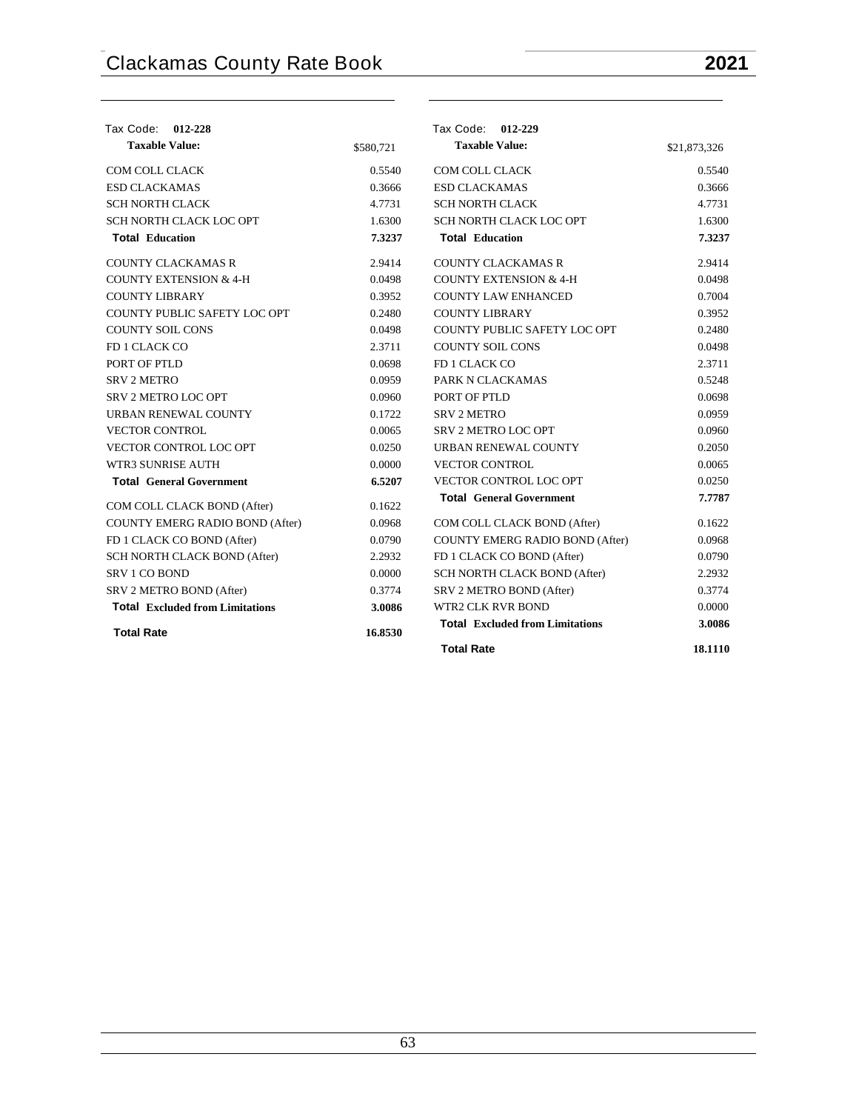| Tax Code: 012-228                      |           | Tax Code: 012-229                      |              |
|----------------------------------------|-----------|----------------------------------------|--------------|
| <b>Taxable Value:</b>                  | \$580,721 | <b>Taxable Value:</b>                  | \$21,873,326 |
| COM COLL CLACK                         | 0.5540    | COM COLL CLACK                         | 0.5540       |
| <b>ESD CLACKAMAS</b>                   | 0.3666    | <b>ESD CLACKAMAS</b>                   | 0.3666       |
| <b>SCH NORTH CLACK</b>                 | 4.7731    | <b>SCH NORTH CLACK</b>                 | 4.7731       |
| SCH NORTH CLACK LOC OPT                | 1.6300    | SCH NORTH CLACK LOC OPT                | 1.6300       |
| <b>Total Education</b>                 | 7.3237    | <b>Total Education</b>                 | 7.3237       |
| <b>COUNTY CLACKAMAS R</b>              | 2.9414    | <b>COUNTY CLACKAMAS R</b>              | 2.9414       |
| <b>COUNTY EXTENSION &amp; 4-H</b>      | 0.0498    | <b>COUNTY EXTENSION &amp; 4-H</b>      | 0.0498       |
| <b>COUNTY LIBRARY</b>                  | 0.3952    | <b>COUNTY LAW ENHANCED</b>             | 0.7004       |
| COUNTY PUBLIC SAFETY LOC OPT           | 0.2480    | <b>COUNTY LIBRARY</b>                  | 0.3952       |
| <b>COUNTY SOIL CONS</b>                | 0.0498    | COUNTY PUBLIC SAFETY LOC OPT           | 0.2480       |
| FD 1 CLACK CO                          | 2.3711    | <b>COUNTY SOIL CONS</b>                | 0.0498       |
| PORT OF PTLD                           | 0.0698    | FD 1 CLACK CO                          | 2.3711       |
| <b>SRV 2 METRO</b>                     | 0.0959    | PARK N CLACKAMAS                       | 0.5248       |
| <b>SRV 2 METRO LOC OPT</b>             | 0.0960    | PORT OF PTLD                           | 0.0698       |
| URBAN RENEWAL COUNTY                   | 0.1722    | <b>SRV 2 METRO</b>                     | 0.0959       |
| <b>VECTOR CONTROL</b>                  | 0.0065    | SRV 2 METRO LOC OPT                    | 0.0960       |
| <b>VECTOR CONTROL LOC OPT</b>          | 0.0250    | URBAN RENEWAL COUNTY                   | 0.2050       |
| WTR3 SUNRISE AUTH                      | 0.0000    | <b>VECTOR CONTROL</b>                  | 0.0065       |
| <b>Total General Government</b>        | 6.5207    | VECTOR CONTROL LOC OPT                 | 0.0250       |
| COM COLL CLACK BOND (After)            | 0.1622    | <b>Total General Government</b>        | 7.7787       |
| COUNTY EMERG RADIO BOND (After)        | 0.0968    | COM COLL CLACK BOND (After)            | 0.1622       |
| FD 1 CLACK CO BOND (After)             | 0.0790    | COUNTY EMERG RADIO BOND (After)        | 0.0968       |
| SCH NORTH CLACK BOND (After)           | 2.2932    | FD 1 CLACK CO BOND (After)             | 0.0790       |
| SRV 1 CO BOND                          | 0.0000    | SCH NORTH CLACK BOND (After)           | 2.2932       |
| SRV 2 METRO BOND (After)               | 0.3774    | SRV 2 METRO BOND (After)               | 0.3774       |
| <b>Total Excluded from Limitations</b> | 3.0086    | <b>WTR2 CLK RVR BOND</b>               | 0.0000       |
| <b>Total Rate</b>                      | 16.8530   | <b>Total Excluded from Limitations</b> | 3.0086       |
|                                        |           | <b>Total Rate</b>                      | 18.1110      |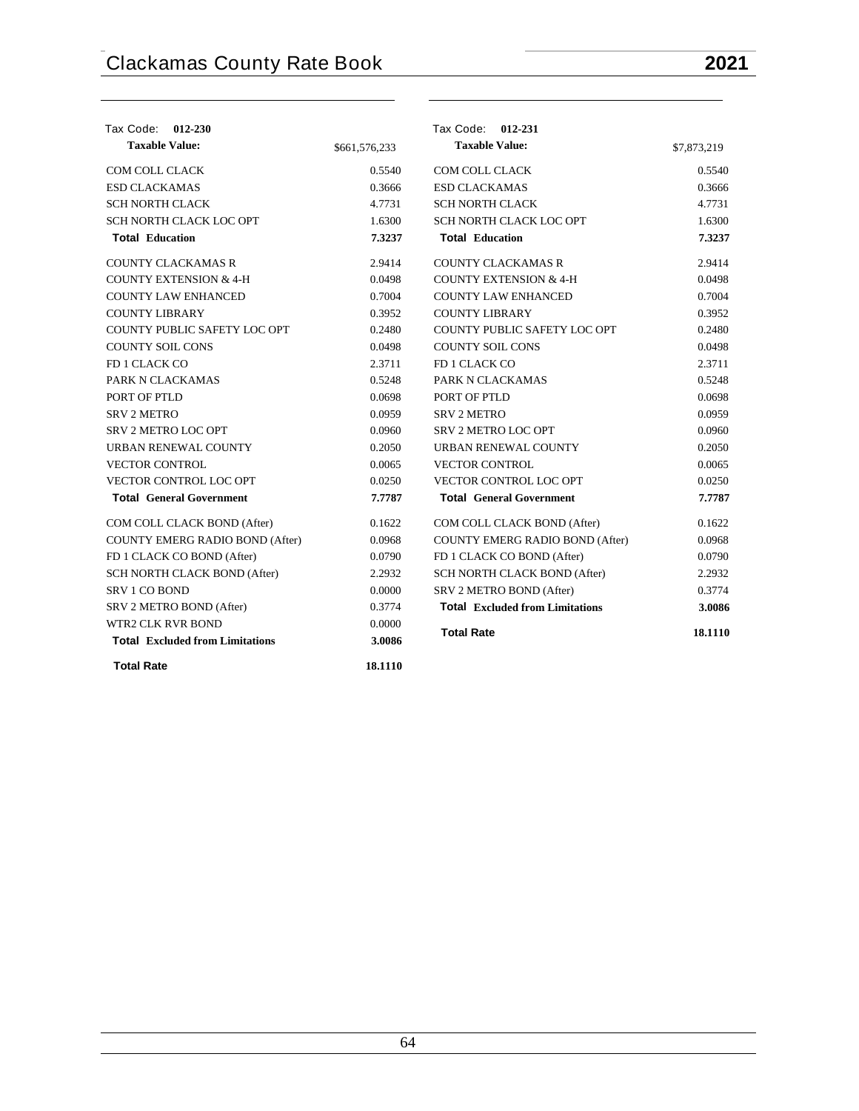| Tax Code: 012-230                      |               | Tax Code: 012-231                      |             |
|----------------------------------------|---------------|----------------------------------------|-------------|
| <b>Taxable Value:</b>                  | \$661,576,233 | <b>Taxable Value:</b>                  | \$7,873,219 |
| COM COLL CLACK                         | 0.5540        | <b>COM COLL CLACK</b>                  | 0.5540      |
| <b>ESD CLACKAMAS</b>                   | 0.3666        | <b>ESD CLACKAMAS</b>                   | 0.3666      |
| <b>SCH NORTH CLACK</b>                 | 4.7731        | <b>SCH NORTH CLACK</b>                 | 4.7731      |
| SCH NORTH CLACK LOC OPT                | 1.6300        | SCH NORTH CLACK LOC OPT                | 1.6300      |
| <b>Total Education</b>                 | 7.3237        | <b>Total Education</b>                 | 7.3237      |
| <b>COUNTY CLACKAMAS R</b>              | 2.9414        | <b>COUNTY CLACKAMAS R</b>              | 2.9414      |
| <b>COUNTY EXTENSION &amp; 4-H</b>      | 0.0498        | <b>COUNTY EXTENSION &amp; 4-H</b>      | 0.0498      |
| <b>COUNTY LAW ENHANCED</b>             | 0.7004        | <b>COUNTY LAW ENHANCED</b>             | 0.7004      |
| <b>COUNTY LIBRARY</b>                  | 0.3952        | <b>COUNTY LIBRARY</b>                  | 0.3952      |
| COUNTY PUBLIC SAFETY LOC OPT           | 0.2480        | COUNTY PUBLIC SAFETY LOC OPT           | 0.2480      |
| <b>COUNTY SOIL CONS</b>                | 0.0498        | <b>COUNTY SOIL CONS</b>                | 0.0498      |
| FD 1 CLACK CO                          | 2.3711        | FD 1 CLACK CO                          | 2.3711      |
| PARK N CLACKAMAS                       | 0.5248        | PARK N CLACKAMAS                       | 0.5248      |
| PORT OF PTLD                           | 0.0698        | PORT OF PTLD                           | 0.0698      |
| <b>SRV 2 METRO</b>                     | 0.0959        | <b>SRV 2 METRO</b>                     | 0.0959      |
| SRV 2 METRO LOC OPT                    | 0.0960        | SRV 2 METRO LOC OPT                    | 0.0960      |
| URBAN RENEWAL COUNTY                   | 0.2050        | URBAN RENEWAL COUNTY                   | 0.2050      |
| <b>VECTOR CONTROL</b>                  | 0.0065        | <b>VECTOR CONTROL</b>                  | 0.0065      |
| VECTOR CONTROL LOC OPT                 | 0.0250        | VECTOR CONTROL LOC OPT                 | 0.0250      |
| <b>Total General Government</b>        | 7.7787        | <b>Total General Government</b>        | 7.7787      |
| COM COLL CLACK BOND (After)            | 0.1622        | COM COLL CLACK BOND (After)            | 0.1622      |
| COUNTY EMERG RADIO BOND (After)        | 0.0968        | COUNTY EMERG RADIO BOND (After)        | 0.0968      |
| FD 1 CLACK CO BOND (After)             | 0.0790        | FD 1 CLACK CO BOND (After)             | 0.0790      |
| SCH NORTH CLACK BOND (After)           | 2.2932        | SCH NORTH CLACK BOND (After)           | 2.2932      |
| SRV 1 CO BOND                          | 0.0000        | SRV 2 METRO BOND (After)               | 0.3774      |
| SRV 2 METRO BOND (After)               | 0.3774        | <b>Total Excluded from Limitations</b> | 3.0086      |
| <b>WTR2 CLK RVR BOND</b>               | 0.0000        | <b>Total Rate</b>                      | 18.1110     |
| <b>Total Excluded from Limitations</b> | 3.0086        |                                        |             |
| <b>Total Rate</b>                      | 18.1110       |                                        |             |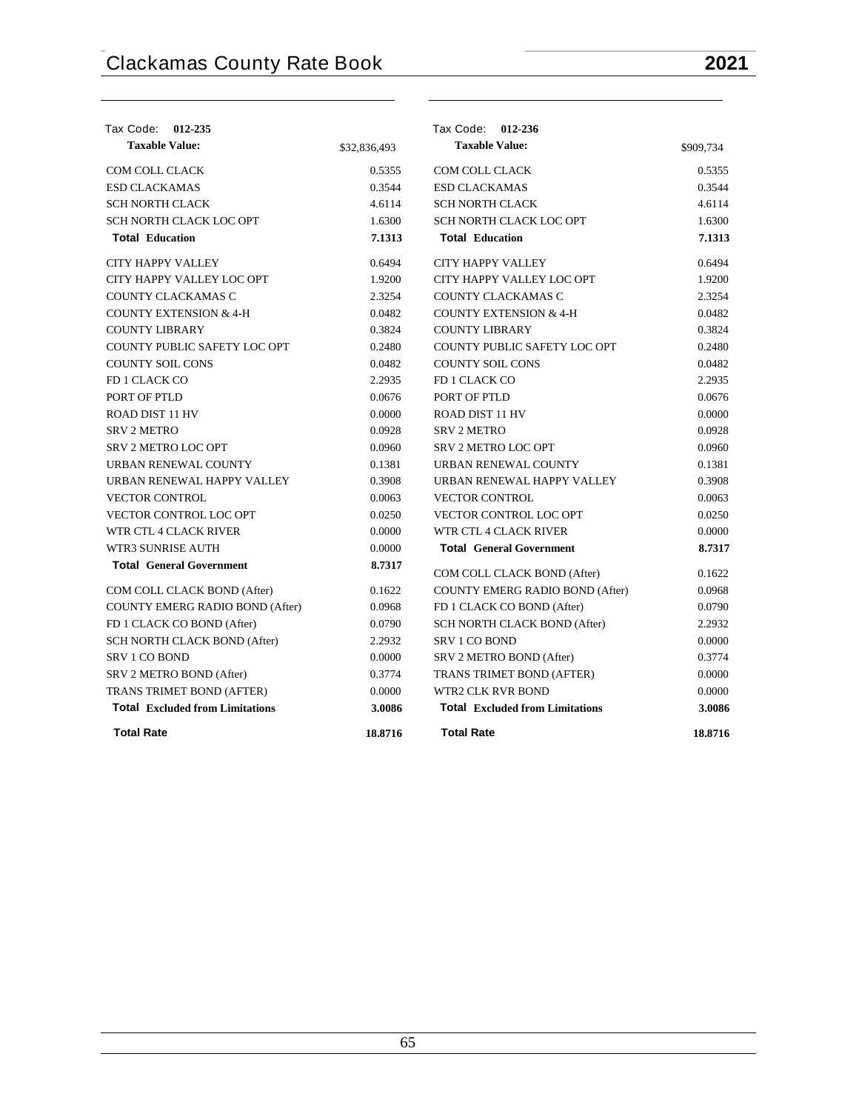| Tax Code:<br>012-235                   |              | Tax Code: 012-236                      |           |
|----------------------------------------|--------------|----------------------------------------|-----------|
| <b>Taxable Value:</b>                  | \$32,836,493 | <b>Taxable Value:</b>                  | \$909,734 |
| COM COLL CLACK                         | 0.5355       | <b>COM COLL CLACK</b>                  | 0.5355    |
| <b>ESD CLACKAMAS</b>                   | 0.3544       | <b>ESD CLACKAMAS</b>                   | 0.3544    |
| <b>SCH NORTH CLACK</b>                 | 4.6114       | <b>SCH NORTH CLACK</b>                 | 4.6114    |
| SCH NORTH CLACK LOC OPT                | 1.6300       | SCH NORTH CLACK LOC OPT                | 1.6300    |
| <b>Total Education</b>                 | 7.1313       | <b>Total Education</b>                 | 7.1313    |
| <b>CITY HAPPY VALLEY</b>               | 0.6494       | <b>CITY HAPPY VALLEY</b>               | 0.6494    |
| CITY HAPPY VALLEY LOC OPT              | 1.9200       | CITY HAPPY VALLEY LOC OPT              | 1.9200    |
| COUNTY CLACKAMAS C                     | 2.3254       | COUNTY CLACKAMAS C                     | 2.3254    |
| <b>COUNTY EXTENSION &amp; 4-H</b>      | 0.0482       | <b>COUNTY EXTENSION &amp; 4-H</b>      | 0.0482    |
| <b>COUNTY LIBRARY</b>                  | 0.3824       | <b>COUNTY LIBRARY</b>                  | 0.3824    |
| COUNTY PUBLIC SAFETY LOC OPT           | 0.2480       | COUNTY PUBLIC SAFETY LOC OPT           | 0.2480    |
| <b>COUNTY SOIL CONS</b>                | 0.0482       | <b>COUNTY SOIL CONS</b>                | 0.0482    |
| FD 1 CLACK CO                          | 2.2935       | FD 1 CLACK CO                          | 2.2935    |
| PORT OF PTLD                           | 0.0676       | PORT OF PTLD                           | 0.0676    |
| ROAD DIST 11 HV                        | 0.0000       | <b>ROAD DIST 11 HV</b>                 | 0.0000    |
| <b>SRV 2 METRO</b>                     | 0.0928       | <b>SRV 2 METRO</b>                     | 0.0928    |
| <b>SRV 2 METRO LOC OPT</b>             | 0.0960       | <b>SRV 2 METRO LOC OPT</b>             | 0.0960    |
| URBAN RENEWAL COUNTY                   | 0.1381       | URBAN RENEWAL COUNTY                   | 0.1381    |
| URBAN RENEWAL HAPPY VALLEY             | 0.3908       | URBAN RENEWAL HAPPY VALLEY             | 0.3908    |
| <b>VECTOR CONTROL</b>                  | 0.0063       | <b>VECTOR CONTROL</b>                  | 0.0063    |
| VECTOR CONTROL LOC OPT                 | 0.0250       | <b>VECTOR CONTROL LOC OPT</b>          | 0.0250    |
| WTR CTL 4 CLACK RIVER                  | 0.0000       | WTR CTL 4 CLACK RIVER                  | 0.0000    |
| <b>WTR3 SUNRISE AUTH</b>               | 0.0000       | <b>Total General Government</b>        | 8.7317    |
| <b>Total General Government</b>        | 8.7317       | COM COLL CLACK BOND (After)            | 0.1622    |
| COM COLL CLACK BOND (After)            | 0.1622       | COUNTY EMERG RADIO BOND (After)        | 0.0968    |
| <b>COUNTY EMERG RADIO BOND (After)</b> | 0.0968       | FD 1 CLACK CO BOND (After)             | 0.0790    |
| FD 1 CLACK CO BOND (After)             | 0.0790       | SCH NORTH CLACK BOND (After)           | 2.2932    |
| SCH NORTH CLACK BOND (After)           | 2.2932       | <b>SRV 1 CO BOND</b>                   | 0.0000    |
| <b>SRV 1 CO BOND</b>                   | 0.0000       | SRV 2 METRO BOND (After)               | 0.3774    |
| SRV 2 METRO BOND (After)               | 0.3774       | TRANS TRIMET BOND (AFTER)              | 0.0000    |
| TRANS TRIMET BOND (AFTER)              | 0.0000       | WTR2 CLK RVR BOND                      | 0.0000    |
| <b>Total</b> Excluded from Limitations | 3.0086       | <b>Total Excluded from Limitations</b> | 3.0086    |
| <b>Total Rate</b>                      | 18.8716      | <b>Total Rate</b>                      | 18.8716   |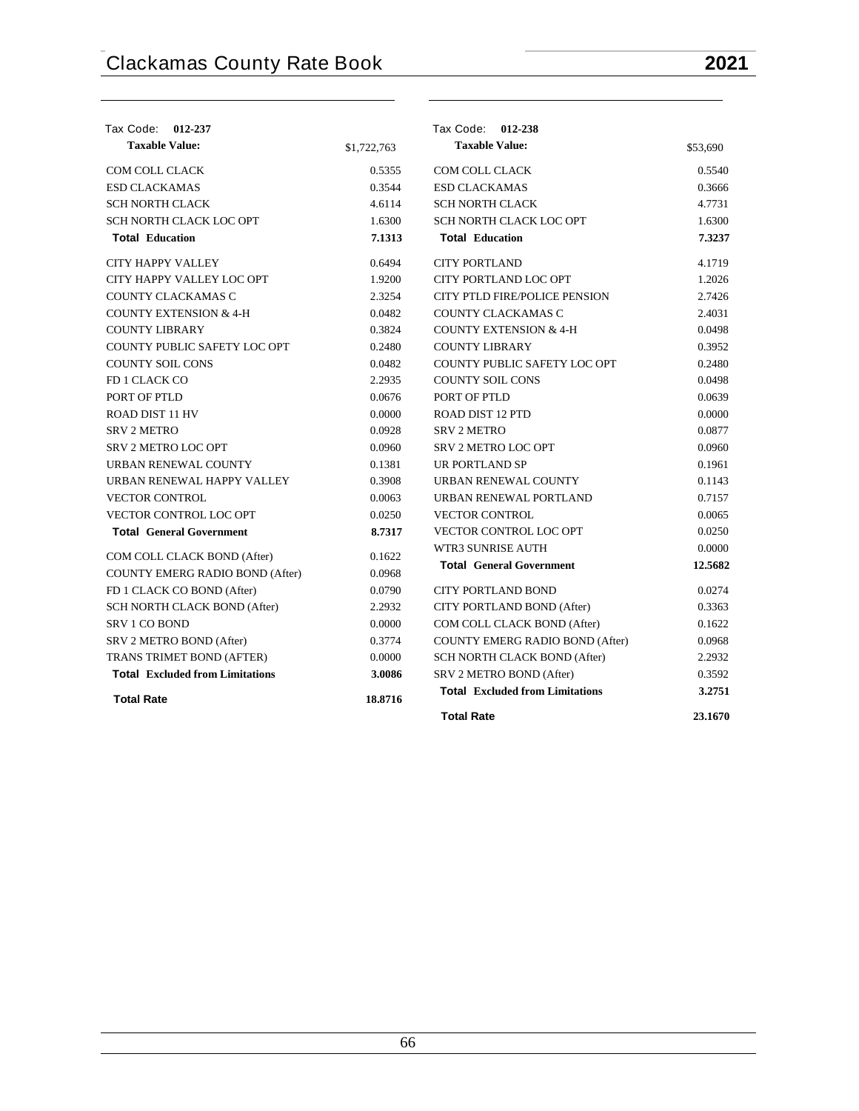| Tax Code: 012-237                      |             | Tax Code: 012-238                      |          |
|----------------------------------------|-------------|----------------------------------------|----------|
| <b>Taxable Value:</b>                  | \$1,722,763 | <b>Taxable Value:</b>                  | \$53,690 |
| <b>COM COLL CLACK</b>                  | 0.5355      | <b>COM COLL CLACK</b>                  | 0.5540   |
| <b>ESD CLACKAMAS</b>                   | 0.3544      | <b>ESD CLACKAMAS</b>                   | 0.3666   |
| <b>SCH NORTH CLACK</b>                 | 4.6114      | <b>SCH NORTH CLACK</b>                 | 4.7731   |
| SCH NORTH CLACK LOC OPT                | 1.6300      | SCH NORTH CLACK LOC OPT                | 1.6300   |
| <b>Total Education</b>                 | 7.1313      | <b>Total Education</b>                 | 7.3237   |
| CITY HAPPY VALLEY                      | 0.6494      | <b>CITY PORTLAND</b>                   | 4.1719   |
| CITY HAPPY VALLEY LOC OPT              | 1.9200      | CITY PORTLAND LOC OPT                  | 1.2026   |
| COUNTY CLACKAMAS C                     | 2.3254      | <b>CITY PTLD FIRE/POLICE PENSION</b>   | 2.7426   |
| <b>COUNTY EXTENSION &amp; 4-H</b>      | 0.0482      | COUNTY CLACKAMAS C                     | 2.4031   |
| <b>COUNTY LIBRARY</b>                  | 0.3824      | <b>COUNTY EXTENSION &amp; 4-H</b>      | 0.0498   |
| COUNTY PUBLIC SAFETY LOC OPT           | 0.2480      | <b>COUNTY LIBRARY</b>                  | 0.3952   |
| <b>COUNTY SOIL CONS</b>                | 0.0482      | COUNTY PUBLIC SAFETY LOC OPT           | 0.2480   |
| FD 1 CLACK CO                          | 2.2935      | <b>COUNTY SOIL CONS</b>                | 0.0498   |
| PORT OF PTLD                           | 0.0676      | PORT OF PTLD                           | 0.0639   |
| ROAD DIST 11 HV                        | 0.0000      | ROAD DIST 12 PTD                       | 0.0000   |
| <b>SRV 2 METRO</b>                     | 0.0928      | <b>SRV 2 METRO</b>                     | 0.0877   |
| <b>SRV 2 METRO LOC OPT</b>             | 0.0960      | <b>SRV 2 METRO LOC OPT</b>             | 0.0960   |
| URBAN RENEWAL COUNTY                   | 0.1381      | UR PORTLAND SP                         | 0.1961   |
| URBAN RENEWAL HAPPY VALLEY             | 0.3908      | URBAN RENEWAL COUNTY                   | 0.1143   |
| <b>VECTOR CONTROL</b>                  | 0.0063      | URBAN RENEWAL PORTLAND                 | 0.7157   |
| VECTOR CONTROL LOC OPT                 | 0.0250      | <b>VECTOR CONTROL</b>                  | 0.0065   |
| <b>Total General Government</b>        | 8.7317      | VECTOR CONTROL LOC OPT                 | 0.0250   |
| COM COLL CLACK BOND (After)            | 0.1622      | WTR3 SUNRISE AUTH                      | 0.0000   |
| COUNTY EMERG RADIO BOND (After)        | 0.0968      | <b>Total General Government</b>        | 12.5682  |
| FD 1 CLACK CO BOND (After)             | 0.0790      | <b>CITY PORTLAND BOND</b>              | 0.0274   |
| SCH NORTH CLACK BOND (After)           | 2.2932      | CITY PORTLAND BOND (After)             | 0.3363   |
| <b>SRV 1 CO BOND</b>                   | 0.0000      | COM COLL CLACK BOND (After)            | 0.1622   |
| SRV 2 METRO BOND (After)               | 0.3774      | COUNTY EMERG RADIO BOND (After)        | 0.0968   |
| TRANS TRIMET BOND (AFTER)              | 0.0000      | SCH NORTH CLACK BOND (After)           | 2.2932   |
| <b>Total Excluded from Limitations</b> | 3.0086      | SRV 2 METRO BOND (After)               | 0.3592   |
| <b>Total Rate</b>                      | 18.8716     | <b>Total Excluded from Limitations</b> | 3.2751   |
|                                        |             | <b>Total Rate</b>                      | 23.1670  |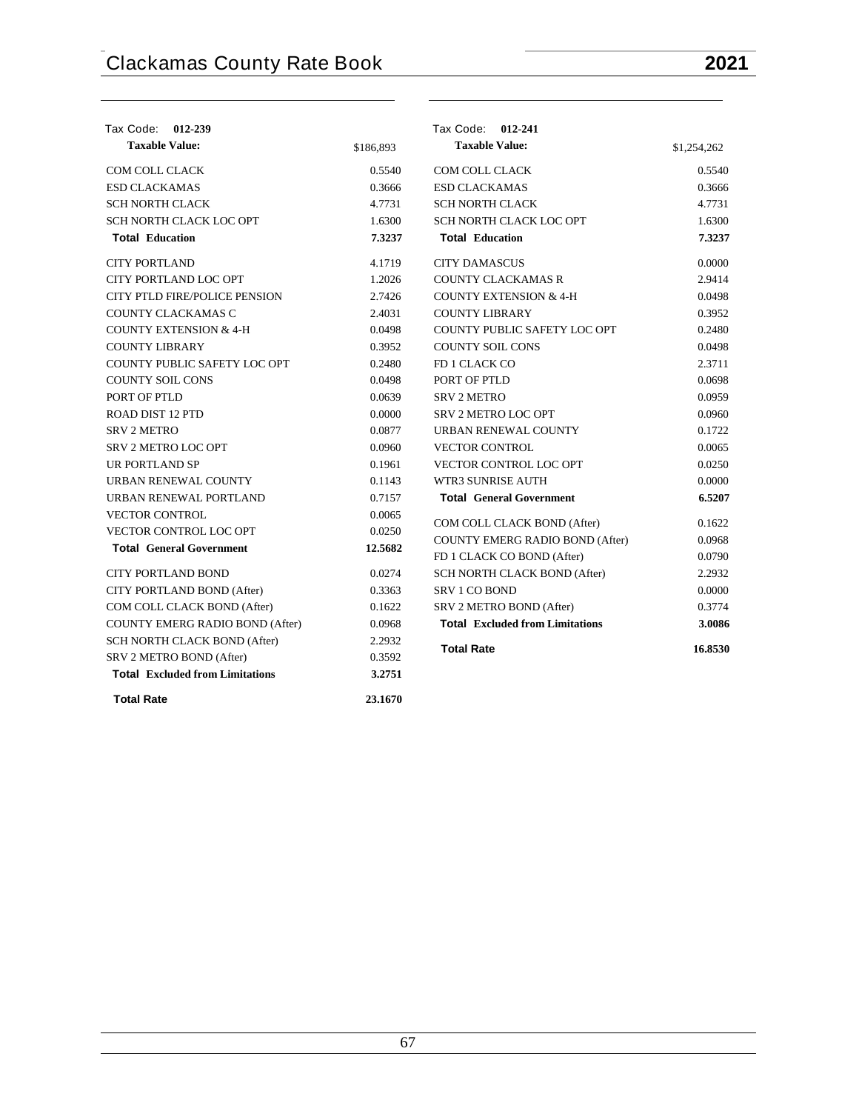| Tax Code: 012-239                      |           | Tax Code: 012-241                      |             |
|----------------------------------------|-----------|----------------------------------------|-------------|
| <b>Taxable Value:</b>                  | \$186,893 | <b>Taxable Value:</b>                  | \$1,254,262 |
| COM COLL CLACK                         | 0.5540    | COM COLL CLACK                         | 0.5540      |
| <b>ESD CLACKAMAS</b>                   | 0.3666    | <b>ESD CLACKAMAS</b>                   | 0.3666      |
| <b>SCH NORTH CLACK</b>                 | 4.7731    | <b>SCH NORTH CLACK</b>                 | 4.7731      |
| SCH NORTH CLACK LOC OPT                | 1.6300    | SCH NORTH CLACK LOC OPT                | 1.6300      |
| <b>Total Education</b>                 | 7.3237    | <b>Total Education</b>                 | 7.3237      |
| <b>CITY PORTLAND</b>                   | 4.1719    | <b>CITY DAMASCUS</b>                   | 0.0000      |
| CITY PORTLAND LOC OPT                  | 1.2026    | COUNTY CLACKAMAS R                     | 2.9414      |
| <b>CITY PTLD FIRE/POLICE PENSION</b>   | 2.7426    | <b>COUNTY EXTENSION &amp; 4-H</b>      | 0.0498      |
| COUNTY CLACKAMAS C                     | 2.4031    | <b>COUNTY LIBRARY</b>                  | 0.3952      |
| <b>COUNTY EXTENSION &amp; 4-H</b>      | 0.0498    | COUNTY PUBLIC SAFETY LOC OPT           | 0.2480      |
| <b>COUNTY LIBRARY</b>                  | 0.3952    | <b>COUNTY SOIL CONS</b>                | 0.0498      |
| COUNTY PUBLIC SAFETY LOC OPT           | 0.2480    | FD 1 CLACK CO                          | 2.3711      |
| <b>COUNTY SOIL CONS</b>                | 0.0498    | PORT OF PTLD                           | 0.0698      |
| PORT OF PTLD                           | 0.0639    | <b>SRV 2 METRO</b>                     | 0.0959      |
| <b>ROAD DIST 12 PTD</b>                | 0.0000    | <b>SRV 2 METRO LOC OPT</b>             | 0.0960      |
| <b>SRV 2 METRO</b>                     | 0.0877    | URBAN RENEWAL COUNTY                   | 0.1722      |
| <b>SRV 2 METRO LOC OPT</b>             | 0.0960    | <b>VECTOR CONTROL</b>                  | 0.0065      |
| UR PORTLAND SP                         | 0.1961    | <b>VECTOR CONTROL LOC OPT</b>          | 0.0250      |
| URBAN RENEWAL COUNTY                   | 0.1143    | <b>WTR3 SUNRISE AUTH</b>               | 0.0000      |
| URBAN RENEWAL PORTLAND                 | 0.7157    | <b>Total General Government</b>        | 6.5207      |
| <b>VECTOR CONTROL</b>                  | 0.0065    | COM COLL CLACK BOND (After)            | 0.1622      |
| <b>VECTOR CONTROL LOC OPT</b>          | 0.0250    | COUNTY EMERG RADIO BOND (After)        | 0.0968      |
| <b>Total General Government</b>        | 12.5682   | FD 1 CLACK CO BOND (After)             | 0.0790      |
| <b>CITY PORTLAND BOND</b>              | 0.0274    | SCH NORTH CLACK BOND (After)           | 2.2932      |
| CITY PORTLAND BOND (After)             | 0.3363    | <b>SRV 1 CO BOND</b>                   | 0.0000      |
| COM COLL CLACK BOND (After)            | 0.1622    | SRV 2 METRO BOND (After)               | 0.3774      |
| COUNTY EMERG RADIO BOND (After)        | 0.0968    | <b>Total Excluded from Limitations</b> | 3.0086      |
| SCH NORTH CLACK BOND (After)           | 2.2932    |                                        |             |
| SRV 2 METRO BOND (After)               | 0.3592    | <b>Total Rate</b>                      | 16.8530     |
| <b>Total Excluded from Limitations</b> | 3.2751    |                                        |             |
| <b>Total Rate</b>                      | 23.1670   |                                        |             |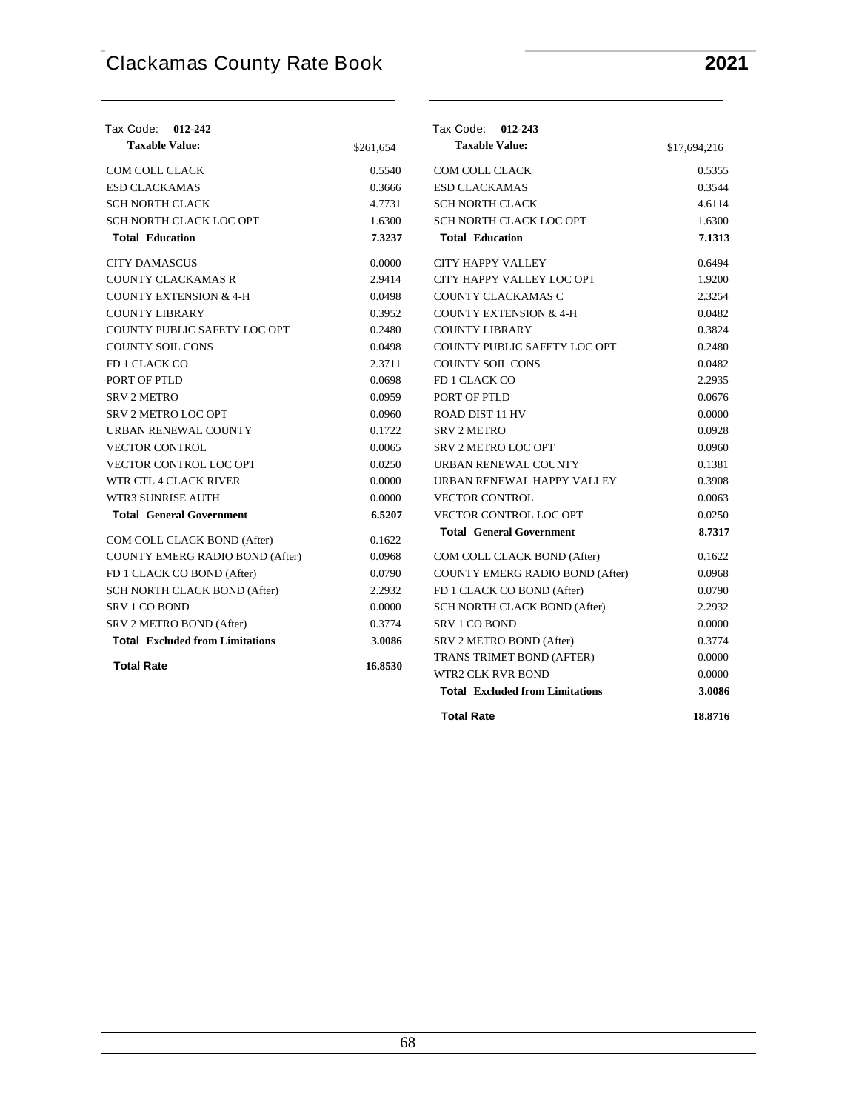| Tax Code: 012-242                      |           | Tax Code: 012-243                      |              |
|----------------------------------------|-----------|----------------------------------------|--------------|
| <b>Taxable Value:</b>                  | \$261,654 | <b>Taxable Value:</b>                  | \$17,694,216 |
| <b>COM COLL CLACK</b>                  | 0.5540    | <b>COM COLL CLACK</b>                  | 0.5355       |
| <b>ESD CLACKAMAS</b>                   | 0.3666    | <b>ESD CLACKAMAS</b>                   | 0.3544       |
| <b>SCH NORTH CLACK</b>                 | 4.7731    | <b>SCH NORTH CLACK</b>                 | 4.6114       |
| SCH NORTH CLACK LOC OPT                | 1.6300    | SCH NORTH CLACK LOC OPT                | 1.6300       |
| <b>Total Education</b>                 | 7.3237    | <b>Total Education</b>                 | 7.1313       |
| <b>CITY DAMASCUS</b>                   | 0.0000    | <b>CITY HAPPY VALLEY</b>               | 0.6494       |
| <b>COUNTY CLACKAMAS R</b>              | 2.9414    | CITY HAPPY VALLEY LOC OPT              | 1.9200       |
| <b>COUNTY EXTENSION &amp; 4-H</b>      | 0.0498    | COUNTY CLACKAMAS C                     | 2.3254       |
| <b>COUNTY LIBRARY</b>                  | 0.3952    | <b>COUNTY EXTENSION &amp; 4-H</b>      | 0.0482       |
| COUNTY PUBLIC SAFETY LOC OPT           | 0.2480    | <b>COUNTY LIBRARY</b>                  | 0.3824       |
| <b>COUNTY SOIL CONS</b>                | 0.0498    | COUNTY PUBLIC SAFETY LOC OPT           | 0.2480       |
| FD 1 CLACK CO                          | 2.3711    | <b>COUNTY SOIL CONS</b>                | 0.0482       |
| PORT OF PTLD                           | 0.0698    | FD 1 CLACK CO                          | 2.2935       |
| <b>SRV 2 METRO</b>                     | 0.0959    | PORT OF PTLD                           | 0.0676       |
| SRV 2 METRO LOC OPT                    | 0.0960    | ROAD DIST 11 HV                        | 0.0000       |
| URBAN RENEWAL COUNTY                   | 0.1722    | <b>SRV 2 METRO</b>                     | 0.0928       |
| <b>VECTOR CONTROL</b>                  | 0.0065    | <b>SRV 2 METRO LOC OPT</b>             | 0.0960       |
| <b>VECTOR CONTROL LOC OPT</b>          | 0.0250    | URBAN RENEWAL COUNTY                   | 0.1381       |
| WTR CTL 4 CLACK RIVER                  | 0.0000    | URBAN RENEWAL HAPPY VALLEY             | 0.3908       |
| WTR3 SUNRISE AUTH                      | 0.0000    | <b>VECTOR CONTROL</b>                  | 0.0063       |
| <b>Total General Government</b>        | 6.5207    | VECTOR CONTROL LOC OPT                 | 0.0250       |
| COM COLL CLACK BOND (After)            | 0.1622    | <b>Total General Government</b>        | 8.7317       |
| COUNTY EMERG RADIO BOND (After)        | 0.0968    | COM COLL CLACK BOND (After)            | 0.1622       |
| FD 1 CLACK CO BOND (After)             | 0.0790    | COUNTY EMERG RADIO BOND (After)        | 0.0968       |
| SCH NORTH CLACK BOND (After)           | 2.2932    | FD 1 CLACK CO BOND (After)             | 0.0790       |
| <b>SRV 1 CO BOND</b>                   | 0.0000    | SCH NORTH CLACK BOND (After)           | 2.2932       |
| SRV 2 METRO BOND (After)               | 0.3774    | SRV 1 CO BOND                          | 0.0000       |
| <b>Total Excluded from Limitations</b> | 3.0086    | SRV 2 METRO BOND (After)               | 0.3774       |
| <b>Total Rate</b>                      |           | TRANS TRIMET BOND (AFTER)              | 0.0000       |
|                                        | 16.8530   | <b>WTR2 CLK RVR BOND</b>               | 0.0000       |
|                                        |           | <b>Total Excluded from Limitations</b> | 3.0086       |
|                                        |           | <b>Total Rate</b>                      | 18.8716      |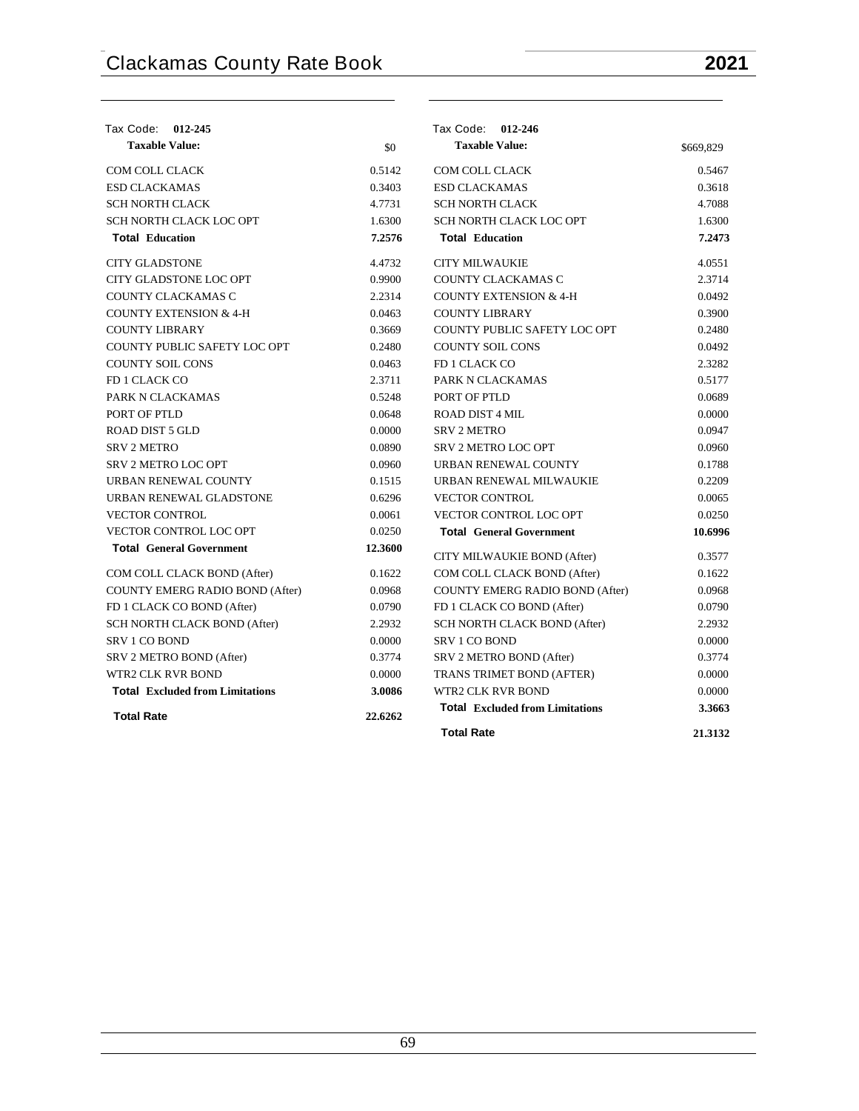| Tax Code: 012-245                      |         | Tax Code: 012-246                      |           |
|----------------------------------------|---------|----------------------------------------|-----------|
| <b>Taxable Value:</b>                  | \$0     | <b>Taxable Value:</b>                  | \$669,829 |
| COM COLL CLACK                         | 0.5142  | COM COLL CLACK                         | 0.5467    |
| <b>ESD CLACKAMAS</b>                   | 0.3403  | <b>ESD CLACKAMAS</b>                   | 0.3618    |
| <b>SCH NORTH CLACK</b>                 | 4.7731  | <b>SCH NORTH CLACK</b>                 | 4.7088    |
| SCH NORTH CLACK LOC OPT                | 1.6300  | SCH NORTH CLACK LOC OPT                | 1.6300    |
| <b>Total Education</b>                 | 7.2576  | <b>Total Education</b>                 | 7.2473    |
| <b>CITY GLADSTONE</b>                  | 4.4732  | <b>CITY MILWAUKIE</b>                  | 4.0551    |
| CITY GLADSTONE LOC OPT                 | 0.9900  | COUNTY CLACKAMAS C                     | 2.3714    |
| COUNTY CLACKAMAS C                     | 2.2314  | <b>COUNTY EXTENSION &amp; 4-H</b>      | 0.0492    |
| <b>COUNTY EXTENSION &amp; 4-H</b>      | 0.0463  | <b>COUNTY LIBRARY</b>                  | 0.3900    |
| <b>COUNTY LIBRARY</b>                  | 0.3669  | COUNTY PUBLIC SAFETY LOC OPT           | 0.2480    |
| COUNTY PUBLIC SAFETY LOC OPT           | 0.2480  | <b>COUNTY SOIL CONS</b>                | 0.0492    |
| <b>COUNTY SOIL CONS</b>                | 0.0463  | FD 1 CLACK CO                          | 2.3282    |
| FD 1 CLACK CO                          | 2.3711  | PARK N CLACKAMAS                       | 0.5177    |
| PARK N CLACKAMAS                       | 0.5248  | PORT OF PTLD                           | 0.0689    |
| PORT OF PTLD                           | 0.0648  | <b>ROAD DIST 4 MIL</b>                 | 0.0000    |
| <b>ROAD DIST 5 GLD</b>                 | 0.0000  | <b>SRV 2 METRO</b>                     | 0.0947    |
| <b>SRV 2 METRO</b>                     | 0.0890  | <b>SRV 2 METRO LOC OPT</b>             | 0.0960    |
| <b>SRV 2 METRO LOC OPT</b>             | 0.0960  | URBAN RENEWAL COUNTY                   | 0.1788    |
| URBAN RENEWAL COUNTY                   | 0.1515  | URBAN RENEWAL MILWAUKIE                | 0.2209    |
| URBAN RENEWAL GLADSTONE                | 0.6296  | <b>VECTOR CONTROL</b>                  | 0.0065    |
| <b>VECTOR CONTROL</b>                  | 0.0061  | VECTOR CONTROL LOC OPT                 | 0.0250    |
| VECTOR CONTROL LOC OPT                 | 0.0250  | <b>Total General Government</b>        | 10.6996   |
| <b>Total General Government</b>        | 12.3600 | CITY MILWAUKIE BOND (After)            | 0.3577    |
| COM COLL CLACK BOND (After)            | 0.1622  | COM COLL CLACK BOND (After)            | 0.1622    |
| COUNTY EMERG RADIO BOND (After)        | 0.0968  | <b>COUNTY EMERG RADIO BOND (After)</b> | 0.0968    |
| FD 1 CLACK CO BOND (After)             | 0.0790  | FD 1 CLACK CO BOND (After)             | 0.0790    |
| SCH NORTH CLACK BOND (After)           | 2.2932  | SCH NORTH CLACK BOND (After)           | 2.2932    |
| <b>SRV 1 CO BOND</b>                   | 0.0000  | <b>SRV 1 CO BOND</b>                   | 0.0000    |
| SRV 2 METRO BOND (After)               | 0.3774  | SRV 2 METRO BOND (After)               | 0.3774    |
| <b>WTR2 CLK RVR BOND</b>               | 0.0000  | TRANS TRIMET BOND (AFTER)              | 0.0000    |
| <b>Total Excluded from Limitations</b> | 3.0086  | WTR2 CLK RVR BOND                      | 0.0000    |
| <b>Total Rate</b>                      | 22.6262 | <b>Total Excluded from Limitations</b> | 3.3663    |
|                                        |         | <b>Total Rate</b>                      | 21.3132   |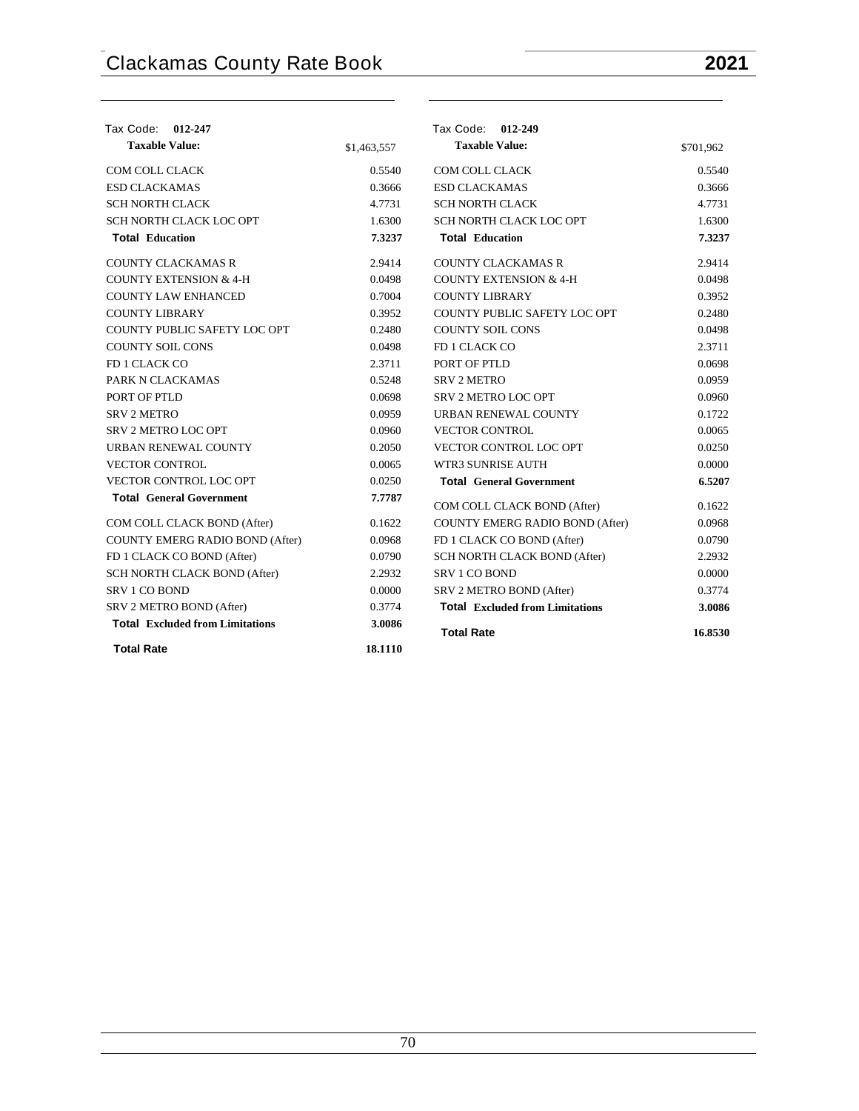| Tax Code: 012-247                      |             | Tax Code: 012-249                      |           |
|----------------------------------------|-------------|----------------------------------------|-----------|
| <b>Taxable Value:</b>                  | \$1,463,557 | <b>Taxable Value:</b>                  | \$701,962 |
| COM COLL CLACK                         | 0.5540      | COM COLL CLACK                         | 0.5540    |
| <b>ESD CLACKAMAS</b>                   | 0.3666      | <b>ESD CLACKAMAS</b>                   | 0.3666    |
| <b>SCH NORTH CLACK</b>                 | 4.7731      | <b>SCH NORTH CLACK</b>                 | 4.7731    |
| SCH NORTH CLACK LOC OPT                | 1.6300      | SCH NORTH CLACK LOC OPT                | 1.6300    |
| <b>Total Education</b>                 | 7.3237      | <b>Total Education</b>                 | 7.3237    |
| <b>COUNTY CLACKAMAS R</b>              | 2.9414      | <b>COUNTY CLACKAMAS R</b>              | 2.9414    |
| COUNTY EXTENSION & 4-H                 | 0.0498      | COUNTY EXTENSION & 4-H                 | 0.0498    |
| <b>COUNTY LAW ENHANCED</b>             | 0.7004      | <b>COUNTY LIBRARY</b>                  | 0.3952    |
| <b>COUNTY LIBRARY</b>                  | 0.3952      | COUNTY PUBLIC SAFETY LOC OPT           | 0.2480    |
| COUNTY PUBLIC SAFETY LOC OPT           | 0.2480      | <b>COUNTY SOIL CONS</b>                | 0.0498    |
| <b>COUNTY SOIL CONS</b>                | 0.0498      | FD 1 CLACK CO                          | 2.3711    |
| FD 1 CLACK CO                          | 2.3711      | PORT OF PTLD                           | 0.0698    |
| PARK N CLACKAMAS                       | 0.5248      | <b>SRV 2 METRO</b>                     | 0.0959    |
| PORT OF PTLD                           | 0.0698      | <b>SRV 2 METRO LOC OPT</b>             | 0.0960    |
| <b>SRV 2 METRO</b>                     | 0.0959      | URBAN RENEWAL COUNTY                   | 0.1722    |
| SRV 2 METRO LOC OPT                    | 0.0960      | <b>VECTOR CONTROL</b>                  | 0.0065    |
| URBAN RENEWAL COUNTY                   | 0.2050      | <b>VECTOR CONTROL LOC OPT</b>          | 0.0250    |
| <b>VECTOR CONTROL</b>                  | 0.0065      | WTR3 SUNRISE AUTH                      | 0.0000    |
| VECTOR CONTROL LOC OPT                 | 0.0250      | <b>Total General Government</b>        | 6.5207    |
| <b>Total General Government</b>        | 7.7787      | COM COLL CLACK BOND (After)            | 0.1622    |
| COM COLL CLACK BOND (After)            | 0.1622      | COUNTY EMERG RADIO BOND (After)        | 0.0968    |
| COUNTY EMERG RADIO BOND (After)        | 0.0968      | FD 1 CLACK CO BOND (After)             | 0.0790    |
| FD 1 CLACK CO BOND (After)             | 0.0790      | SCH NORTH CLACK BOND (After)           | 2.2932    |
| SCH NORTH CLACK BOND (After)           | 2.2932      | SRV 1 CO BOND                          | 0.0000    |
| <b>SRV 1 CO BOND</b>                   | 0.0000      | SRV 2 METRO BOND (After)               | 0.3774    |
| SRV 2 METRO BOND (After)               | 0.3774      | <b>Total Excluded from Limitations</b> | 3.0086    |
| <b>Total Excluded from Limitations</b> | 3.0086      | <b>Total Rate</b>                      | 16.8530   |
| <b>Total Rate</b>                      | 18.1110     |                                        |           |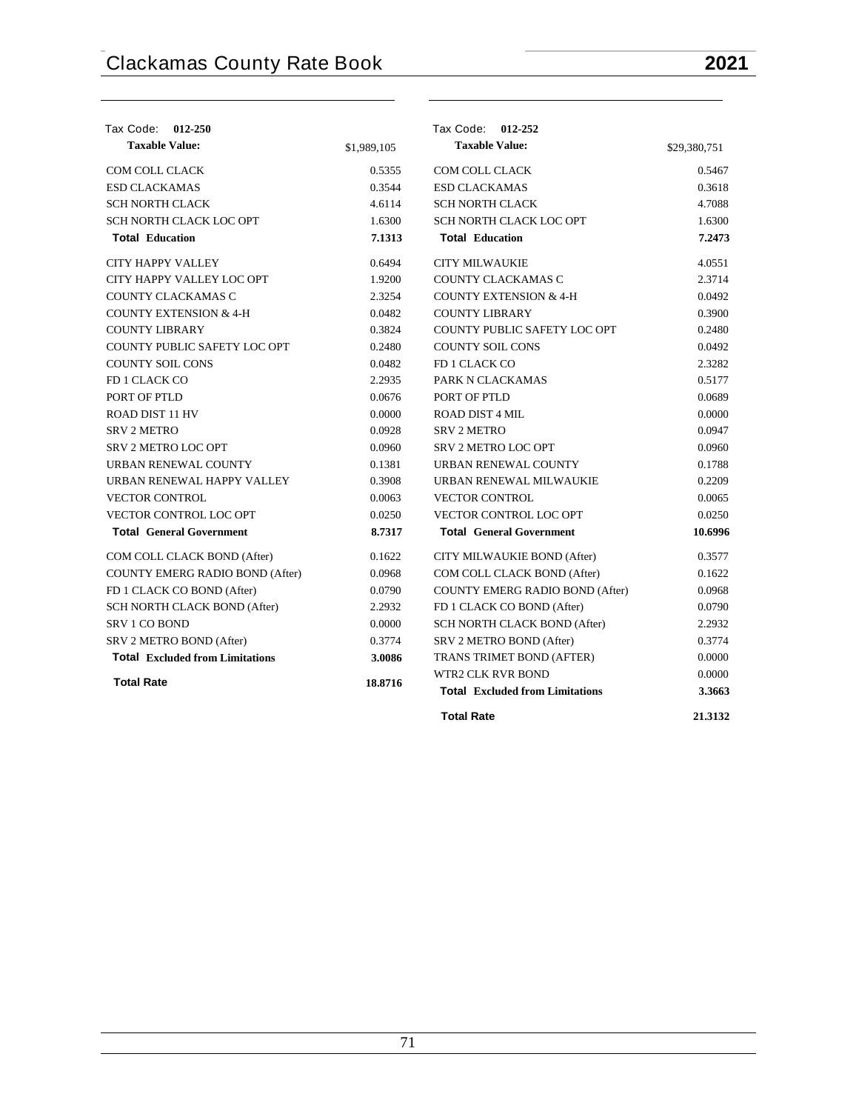| Tax Code: 012-250                      |                                                   | Tax Code: 012-252                      |              |
|----------------------------------------|---------------------------------------------------|----------------------------------------|--------------|
| <b>Taxable Value:</b>                  | \$1,989,105                                       | <b>Taxable Value:</b>                  | \$29,380,751 |
| <b>COM COLL CLACK</b>                  | 0.5355                                            | <b>COM COLL CLACK</b>                  | 0.5467       |
| <b>ESD CLACKAMAS</b>                   | 0.3544                                            | <b>ESD CLACKAMAS</b>                   | 0.3618       |
| <b>SCH NORTH CLACK</b>                 | 4.6114                                            | <b>SCH NORTH CLACK</b>                 | 4.7088       |
| SCH NORTH CLACK LOC OPT                | 1.6300                                            | SCH NORTH CLACK LOC OPT                | 1.6300       |
| <b>Total Education</b>                 | 7.1313                                            | <b>Total Education</b>                 | 7.2473       |
| <b>CITY HAPPY VALLEY</b>               | 0.6494                                            | <b>CITY MILWAUKIE</b>                  | 4.0551       |
| CITY HAPPY VALLEY LOC OPT              | 1.9200                                            | COUNTY CLACKAMAS C                     | 2.3714       |
| COUNTY CLACKAMAS C                     | 2.3254                                            | <b>COUNTY EXTENSION &amp; 4-H</b>      | 0.0492       |
| <b>COUNTY EXTENSION &amp; 4-H</b>      | 0.0482                                            | <b>COUNTY LIBRARY</b>                  | 0.3900       |
| <b>COUNTY LIBRARY</b>                  | 0.3824                                            | COUNTY PUBLIC SAFETY LOC OPT           | 0.2480       |
| COUNTY PUBLIC SAFETY LOC OPT           | 0.2480                                            | <b>COUNTY SOIL CONS</b>                | 0.0492       |
| <b>COUNTY SOIL CONS</b>                | 0.0482                                            | FD 1 CLACK CO                          | 2.3282       |
| FD 1 CLACK CO                          | 2.2935                                            | PARK N CLACKAMAS                       | 0.5177       |
| PORT OF PTLD                           | 0.0676                                            | PORT OF PTLD                           | 0.0689       |
| <b>ROAD DIST 11 HV</b>                 | 0.0000                                            | <b>ROAD DIST 4 MIL</b>                 | 0.0000       |
| <b>SRV 2 METRO</b>                     | 0.0928                                            | <b>SRV 2 METRO</b>                     | 0.0947       |
| <b>SRV 2 METRO LOC OPT</b>             | 0.0960                                            | <b>SRV 2 METRO LOC OPT</b>             | 0.0960       |
| URBAN RENEWAL COUNTY                   | 0.1381                                            | URBAN RENEWAL COUNTY                   | 0.1788       |
| URBAN RENEWAL HAPPY VALLEY             | 0.3908                                            | URBAN RENEWAL MILWAUKIE                | 0.2209       |
| <b>VECTOR CONTROL</b>                  | 0.0063                                            | <b>VECTOR CONTROL</b>                  | 0.0065       |
| VECTOR CONTROL LOC OPT                 | 0.0250                                            | <b>VECTOR CONTROL LOC OPT</b>          | 0.0250       |
| <b>Total General Government</b>        | 8.7317                                            | <b>Total General Government</b>        | 10.6996      |
| COM COLL CLACK BOND (After)            | 0.1622                                            | CITY MILWAUKIE BOND (After)            | 0.3577       |
| <b>COUNTY EMERG RADIO BOND (After)</b> | 0.0968                                            | COM COLL CLACK BOND (After)            | 0.1622       |
| FD 1 CLACK CO BOND (After)             | 0.0790                                            | <b>COUNTY EMERG RADIO BOND (After)</b> | 0.0968       |
| SCH NORTH CLACK BOND (After)           | 2.2932                                            | FD 1 CLACK CO BOND (After)             | 0.0790       |
| <b>SRV 1 CO BOND</b>                   | 0.0000                                            | SCH NORTH CLACK BOND (After)           | 2.2932       |
| SRV 2 METRO BOND (After)               | 0.3774                                            | SRV 2 METRO BOND (After)               | 0.3774       |
| <b>Total Excluded from Limitations</b> | 3.0086                                            | TRANS TRIMET BOND (AFTER)              | 0.0000       |
|                                        |                                                   | <b>WTR2 CLK RVR BOND</b>               | 0.0000       |
| <b>Total Rate</b>                      | 18.8716<br><b>Total Excluded from Limitations</b> |                                        |              |
|                                        |                                                   | <b>Total Rate</b>                      | 21.3132      |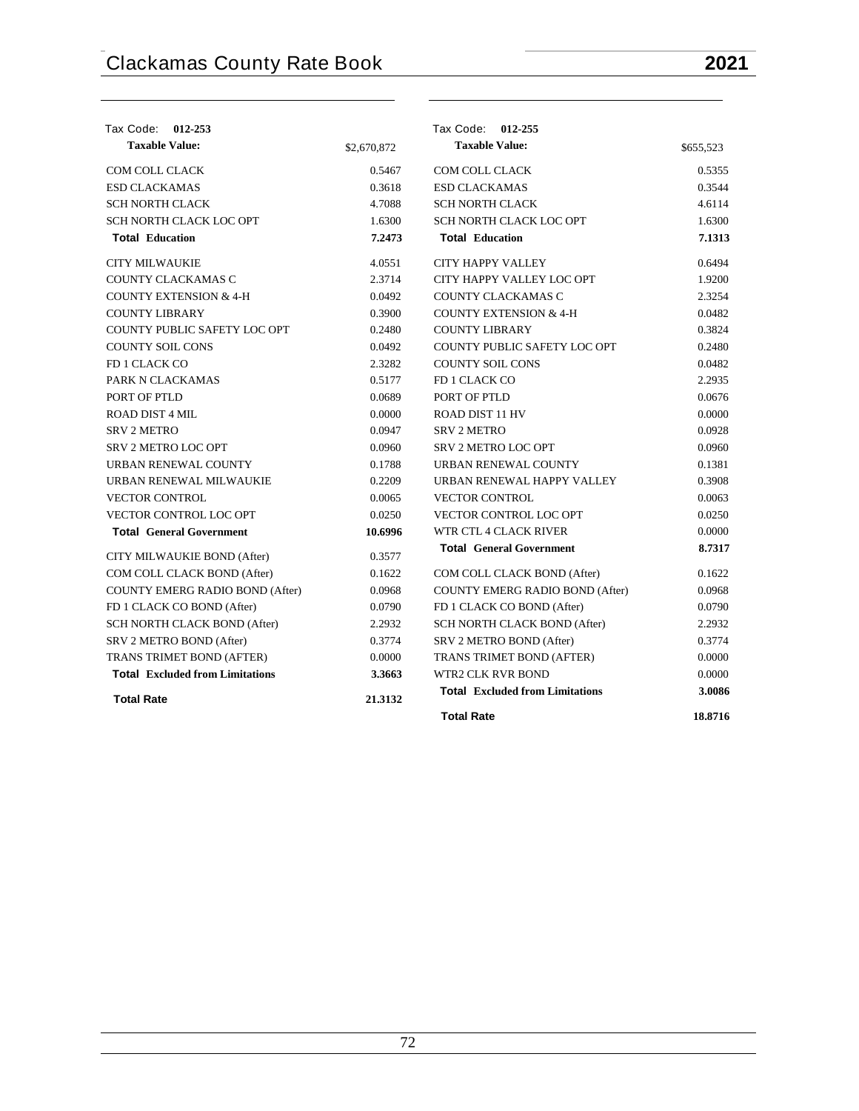| Tax Code: 012-253                      |                   | Tax Code: 012-255                      |           |
|----------------------------------------|-------------------|----------------------------------------|-----------|
| <b>Taxable Value:</b>                  | \$2,670,872       | <b>Taxable Value:</b>                  | \$655,523 |
| COM COLL CLACK                         | 0.5467            | <b>COM COLL CLACK</b>                  | 0.5355    |
| <b>ESD CLACKAMAS</b>                   | 0.3618            | <b>ESD CLACKAMAS</b>                   | 0.3544    |
| <b>SCH NORTH CLACK</b>                 | 4.7088            | <b>SCH NORTH CLACK</b>                 | 4.6114    |
| SCH NORTH CLACK LOC OPT                | 1.6300            | SCH NORTH CLACK LOC OPT                | 1.6300    |
| <b>Total Education</b>                 | 7.2473            | <b>Total Education</b>                 | 7.1313    |
| <b>CITY MILWAUKIE</b>                  | 4.0551            | <b>CITY HAPPY VALLEY</b>               | 0.6494    |
| COUNTY CLACKAMAS C                     | 2.3714            | CITY HAPPY VALLEY LOC OPT              | 1.9200    |
| <b>COUNTY EXTENSION &amp; 4-H</b>      | 0.0492            | COUNTY CLACKAMAS C                     | 2.3254    |
| <b>COUNTY LIBRARY</b>                  | 0.3900            | <b>COUNTY EXTENSION &amp; 4-H</b>      | 0.0482    |
| COUNTY PUBLIC SAFETY LOC OPT           | 0.2480            | <b>COUNTY LIBRARY</b>                  | 0.3824    |
| <b>COUNTY SOIL CONS</b>                | 0.0492            | COUNTY PUBLIC SAFETY LOC OPT           | 0.2480    |
| FD 1 CLACK CO                          | 2.3282            | <b>COUNTY SOIL CONS</b>                | 0.0482    |
| PARK N CLACKAMAS                       | 0.5177            | FD 1 CLACK CO                          | 2.2935    |
| PORT OF PTLD                           | 0.0689            | PORT OF PTLD                           | 0.0676    |
| ROAD DIST 4 MIL                        | 0.0000            | <b>ROAD DIST 11 HV</b>                 | 0.0000    |
| <b>SRV 2 METRO</b>                     | 0.0947            | <b>SRV 2 METRO</b>                     | 0.0928    |
| <b>SRV 2 METRO LOC OPT</b>             | 0.0960            | <b>SRV 2 METRO LOC OPT</b>             | 0.0960    |
| URBAN RENEWAL COUNTY                   | 0.1788            | URBAN RENEWAL COUNTY                   | 0.1381    |
| URBAN RENEWAL MILWAUKIE                | 0.2209            | URBAN RENEWAL HAPPY VALLEY             | 0.3908    |
| <b>VECTOR CONTROL</b>                  | 0.0065            | <b>VECTOR CONTROL</b>                  | 0.0063    |
| <b>VECTOR CONTROL LOC OPT</b>          | 0.0250            | <b>VECTOR CONTROL LOC OPT</b>          | 0.0250    |
| <b>Total General Government</b>        | 10.6996           | WTR CTL 4 CLACK RIVER                  | 0.0000    |
| CITY MILWAUKIE BOND (After)            | 0.3577            | <b>Total General Government</b>        | 8.7317    |
| COM COLL CLACK BOND (After)            | 0.1622            | COM COLL CLACK BOND (After)            | 0.1622    |
| <b>COUNTY EMERG RADIO BOND (After)</b> | 0.0968            | <b>COUNTY EMERG RADIO BOND (After)</b> | 0.0968    |
| FD 1 CLACK CO BOND (After)             | 0.0790            | FD 1 CLACK CO BOND (After)             | 0.0790    |
| SCH NORTH CLACK BOND (After)           | 2.2932            | SCH NORTH CLACK BOND (After)           | 2.2932    |
| SRV 2 METRO BOND (After)               | 0.3774            | SRV 2 METRO BOND (After)               | 0.3774    |
| TRANS TRIMET BOND (AFTER)              | 0.0000            | TRANS TRIMET BOND (AFTER)              | 0.0000    |
| <b>Total Excluded from Limitations</b> | 3.3663            | <b>WTR2 CLK RVR BOND</b>               | 0.0000    |
| <b>Total Rate</b>                      | 21.3132           | <b>Total Excluded from Limitations</b> | 3.0086    |
|                                        | <b>Total Rate</b> |                                        | 18.8716   |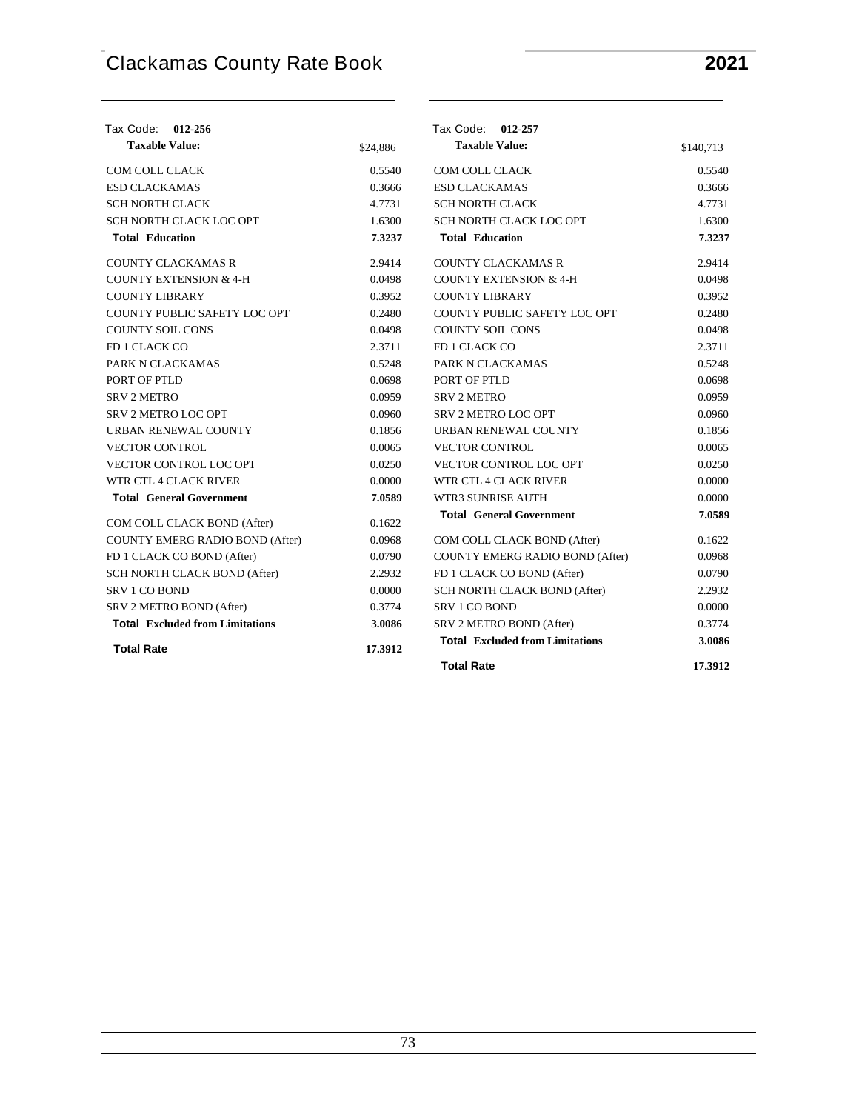| Tax Code: 012-256                      |          | Tax Code: 012-257                      |           |
|----------------------------------------|----------|----------------------------------------|-----------|
| <b>Taxable Value:</b>                  | \$24,886 | <b>Taxable Value:</b>                  | \$140,713 |
| <b>COM COLL CLACK</b>                  | 0.5540   | COM COLL CLACK                         | 0.5540    |
| <b>ESD CLACKAMAS</b>                   | 0.3666   | <b>ESD CLACKAMAS</b>                   | 0.3666    |
| <b>SCH NORTH CLACK</b>                 | 4.7731   | <b>SCH NORTH CLACK</b>                 | 4.7731    |
| SCH NORTH CLACK LOC OPT                | 1.6300   | SCH NORTH CLACK LOC OPT                | 1.6300    |
| <b>Total Education</b>                 | 7.3237   | <b>Total Education</b>                 | 7.3237    |
| <b>COUNTY CLACKAMAS R</b>              | 2.9414   | <b>COUNTY CLACKAMAS R</b>              | 2.9414    |
| <b>COUNTY EXTENSION &amp; 4-H</b>      | 0.0498   | <b>COUNTY EXTENSION &amp; 4-H</b>      | 0.0498    |
| <b>COUNTY LIBRARY</b>                  | 0.3952   | <b>COUNTY LIBRARY</b>                  | 0.3952    |
| COUNTY PUBLIC SAFETY LOC OPT           | 0.2480   | COUNTY PUBLIC SAFETY LOC OPT           | 0.2480    |
| <b>COUNTY SOIL CONS</b>                | 0.0498   | <b>COUNTY SOIL CONS</b>                | 0.0498    |
| FD 1 CLACK CO                          | 2.3711   | FD 1 CLACK CO                          | 2.3711    |
| PARK N CLACKAMAS                       | 0.5248   | PARK N CLACKAMAS                       | 0.5248    |
| PORT OF PTLD                           | 0.0698   | PORT OF PTLD                           | 0.0698    |
| <b>SRV 2 METRO</b>                     | 0.0959   | <b>SRV 2 METRO</b>                     | 0.0959    |
| SRV 2 METRO LOC OPT                    | 0.0960   | <b>SRV 2 METRO LOC OPT</b>             | 0.0960    |
| URBAN RENEWAL COUNTY                   | 0.1856   | URBAN RENEWAL COUNTY                   | 0.1856    |
| <b>VECTOR CONTROL</b>                  | 0.0065   | <b>VECTOR CONTROL</b>                  | 0.0065    |
| <b>VECTOR CONTROL LOC OPT</b>          | 0.0250   | VECTOR CONTROL LOC OPT                 | 0.0250    |
| WTR CTL 4 CLACK RIVER                  | 0.0000   | WTR CTL 4 CLACK RIVER                  | 0.0000    |
| <b>Total General Government</b>        | 7.0589   | <b>WTR3 SUNRISE AUTH</b>               | 0.0000    |
| COM COLL CLACK BOND (After)            | 0.1622   | <b>Total General Government</b>        | 7.0589    |
| <b>COUNTY EMERG RADIO BOND (After)</b> | 0.0968   | COM COLL CLACK BOND (After)            | 0.1622    |
| FD 1 CLACK CO BOND (After)             | 0.0790   | COUNTY EMERG RADIO BOND (After)        | 0.0968    |
| SCH NORTH CLACK BOND (After)           | 2.2932   | FD 1 CLACK CO BOND (After)             | 0.0790    |
| <b>SRV 1 CO BOND</b>                   | 0.0000   | SCH NORTH CLACK BOND (After)           | 2.2932    |
| SRV 2 METRO BOND (After)               | 0.3774   | <b>SRV 1 CO BOND</b>                   | 0.0000    |
| <b>Total Excluded from Limitations</b> | 3.0086   | SRV 2 METRO BOND (After)               | 0.3774    |
| <b>Total Rate</b>                      | 17.3912  | <b>Total Excluded from Limitations</b> | 3.0086    |
|                                        |          | <b>Total Rate</b>                      | 17.3912   |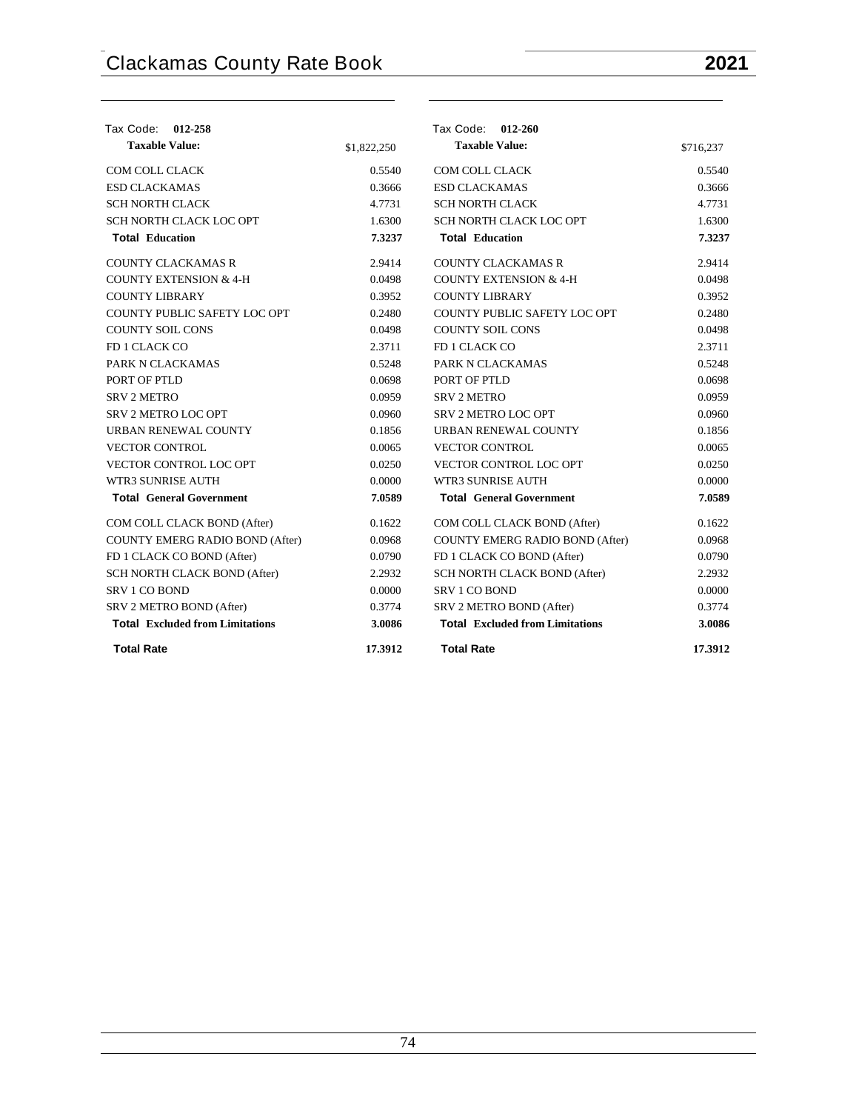| Tax Code: 012-258                      |             | Tax Code: 012-260                      |           |
|----------------------------------------|-------------|----------------------------------------|-----------|
| <b>Taxable Value:</b>                  | \$1,822,250 | <b>Taxable Value:</b>                  | \$716,237 |
| COM COLL CLACK                         | 0.5540      | COM COLL CLACK                         | 0.5540    |
| <b>ESD CLACKAMAS</b>                   | 0.3666      | <b>ESD CLACKAMAS</b>                   | 0.3666    |
| <b>SCH NORTH CLACK</b>                 | 4.7731      | <b>SCH NORTH CLACK</b>                 | 4.7731    |
| SCH NORTH CLACK LOC OPT                | 1.6300      | SCH NORTH CLACK LOC OPT                | 1.6300    |
| <b>Total Education</b>                 | 7.3237      | <b>Total Education</b>                 | 7.3237    |
| <b>COUNTY CLACKAMAS R</b>              | 2.9414      | <b>COUNTY CLACKAMAS R</b>              | 2.9414    |
| <b>COUNTY EXTENSION &amp; 4-H</b>      | 0.0498      | <b>COUNTY EXTENSION &amp; 4-H</b>      | 0.0498    |
| <b>COUNTY LIBRARY</b>                  | 0.3952      | <b>COUNTY LIBRARY</b>                  | 0.3952    |
| COUNTY PUBLIC SAFETY LOC OPT           | 0.2480      | COUNTY PUBLIC SAFETY LOC OPT           | 0.2480    |
| COUNTY SOIL CONS                       | 0.0498      | COUNTY SOIL CONS                       | 0.0498    |
| FD 1 CLACK CO                          | 2.3711      | FD 1 CLACK CO                          | 2.3711    |
| PARK N CLACKAMAS                       | 0.5248      | PARK N CLACKAMAS                       | 0.5248    |
| PORT OF PTLD                           | 0.0698      | PORT OF PTLD                           | 0.0698    |
| <b>SRV 2 METRO</b>                     | 0.0959      | <b>SRV 2 METRO</b>                     | 0.0959    |
| <b>SRV 2 METRO LOC OPT</b>             | 0.0960      | <b>SRV 2 METRO LOC OPT</b>             | 0.0960    |
| URBAN RENEWAL COUNTY                   | 0.1856      | URBAN RENEWAL COUNTY                   | 0.1856    |
| <b>VECTOR CONTROL</b>                  | 0.0065      | <b>VECTOR CONTROL</b>                  | 0.0065    |
| <b>VECTOR CONTROL LOC OPT</b>          | 0.0250      | VECTOR CONTROL LOC OPT                 | 0.0250    |
| <b>WTR3 SUNRISE AUTH</b>               | 0.0000      | <b>WTR3 SUNRISE AUTH</b>               | 0.0000    |
| <b>Total General Government</b>        | 7.0589      | <b>Total</b> General Government        | 7.0589    |
| COM COLL CLACK BOND (After)            | 0.1622      | COM COLL CLACK BOND (After)            | 0.1622    |
| COUNTY EMERG RADIO BOND (After)        | 0.0968      | COUNTY EMERG RADIO BOND (After)        | 0.0968    |
| FD 1 CLACK CO BOND (After)             | 0.0790      | FD 1 CLACK CO BOND (After)             | 0.0790    |
| SCH NORTH CLACK BOND (After)           | 2.2932      | SCH NORTH CLACK BOND (After)           | 2.2932    |
| <b>SRV 1 CO BOND</b>                   | 0.0000      | <b>SRV 1 CO BOND</b>                   | 0.0000    |
| SRV 2 METRO BOND (After)               | 0.3774      | SRV 2 METRO BOND (After)               | 0.3774    |
| <b>Total Excluded from Limitations</b> | 3.0086      | <b>Total Excluded from Limitations</b> | 3.0086    |
| <b>Total Rate</b>                      | 17.3912     | <b>Total Rate</b>                      | 17.3912   |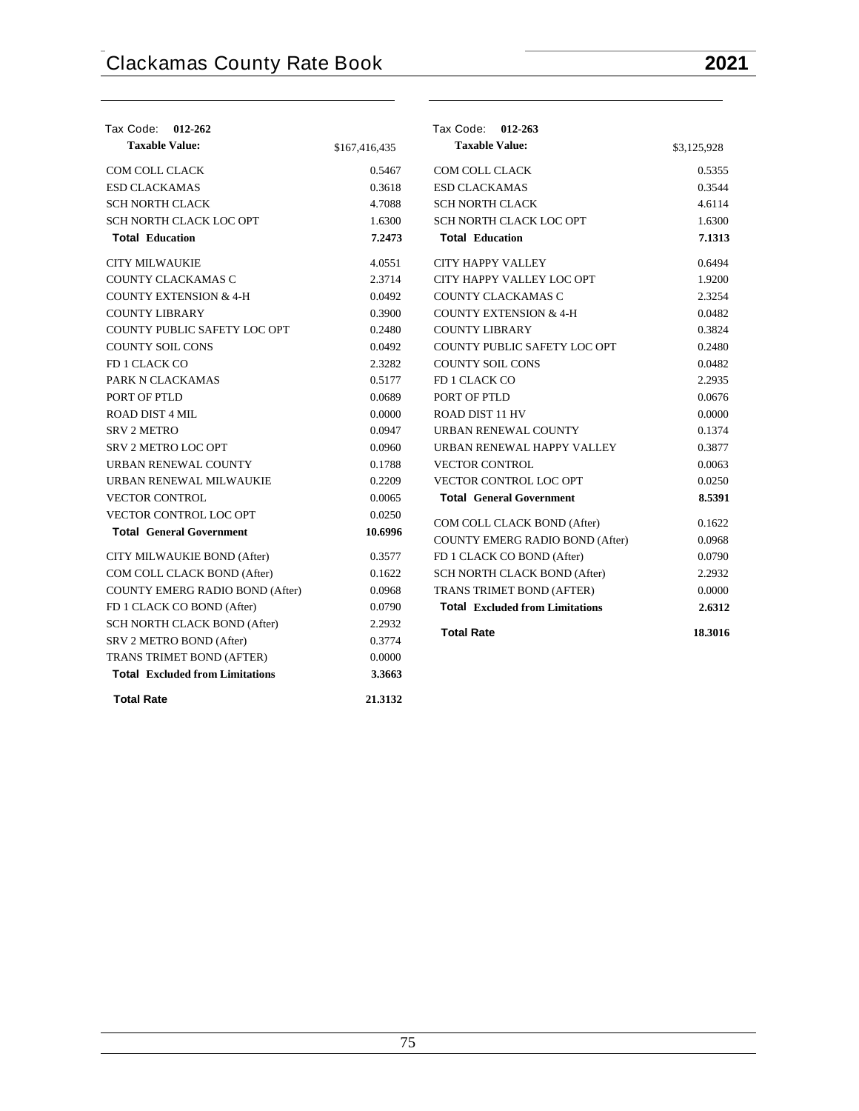| Tax Code: 012-262                      |               | Tax Code: 012-263                      |             |
|----------------------------------------|---------------|----------------------------------------|-------------|
| <b>Taxable Value:</b>                  | \$167,416,435 | <b>Taxable Value:</b>                  | \$3,125,928 |
| COM COLL CLACK                         | 0.5467        | COM COLL CLACK                         | 0.5355      |
| <b>ESD CLACKAMAS</b>                   | 0.3618        | <b>ESD CLACKAMAS</b>                   | 0.3544      |
| <b>SCH NORTH CLACK</b>                 | 4.7088        | <b>SCH NORTH CLACK</b>                 | 4.6114      |
| SCH NORTH CLACK LOC OPT                | 1.6300        | SCH NORTH CLACK LOC OPT                | 1.6300      |
| <b>Total Education</b>                 | 7.2473        | <b>Total Education</b>                 | 7.1313      |
| <b>CITY MILWAUKIE</b>                  | 4.0551        | <b>CITY HAPPY VALLEY</b>               | 0.6494      |
| COUNTY CLACKAMAS C                     | 2.3714        | CITY HAPPY VALLEY LOC OPT              | 1.9200      |
| <b>COUNTY EXTENSION &amp; 4-H</b>      | 0.0492        | COUNTY CLACKAMAS C                     | 2.3254      |
| <b>COUNTY LIBRARY</b>                  | 0.3900        | <b>COUNTY EXTENSION &amp; 4-H</b>      | 0.0482      |
| COUNTY PUBLIC SAFETY LOC OPT           | 0.2480        | <b>COUNTY LIBRARY</b>                  | 0.3824      |
| <b>COUNTY SOIL CONS</b>                | 0.0492        | COUNTY PUBLIC SAFETY LOC OPT           | 0.2480      |
| FD 1 CLACK CO                          | 2.3282        | <b>COUNTY SOIL CONS</b>                | 0.0482      |
| PARK N CLACKAMAS                       | 0.5177        | FD 1 CLACK CO                          | 2.2935      |
| PORT OF PTLD                           | 0.0689        | PORT OF PTLD                           | 0.0676      |
| ROAD DIST 4 MIL                        | 0.0000        | <b>ROAD DIST 11 HV</b>                 | 0.0000      |
| <b>SRV 2 METRO</b>                     | 0.0947        | URBAN RENEWAL COUNTY                   | 0.1374      |
| <b>SRV 2 METRO LOC OPT</b>             | 0.0960        | URBAN RENEWAL HAPPY VALLEY             | 0.3877      |
| URBAN RENEWAL COUNTY                   | 0.1788        | <b>VECTOR CONTROL</b>                  | 0.0063      |
| URBAN RENEWAL MILWAUKIE                | 0.2209        | <b>VECTOR CONTROL LOC OPT</b>          | 0.0250      |
| <b>VECTOR CONTROL</b>                  | 0.0065        | <b>Total General Government</b>        | 8.5391      |
| <b>VECTOR CONTROL LOC OPT</b>          | 0.0250        | COM COLL CLACK BOND (After)            | 0.1622      |
| <b>Total General Government</b>        | 10.6996       | <b>COUNTY EMERG RADIO BOND (After)</b> | 0.0968      |
| CITY MILWAUKIE BOND (After)            | 0.3577        | FD 1 CLACK CO BOND (After)             | 0.0790      |
| COM COLL CLACK BOND (After)            | 0.1622        | SCH NORTH CLACK BOND (After)           | 2.2932      |
| COUNTY EMERG RADIO BOND (After)        | 0.0968        | TRANS TRIMET BOND (AFTER)              | 0.0000      |
| FD 1 CLACK CO BOND (After)             | 0.0790        | <b>Total Excluded from Limitations</b> | 2.6312      |
| <b>SCH NORTH CLACK BOND (After)</b>    | 2.2932        |                                        |             |
| SRV 2 METRO BOND (After)               | 0.3774        | <b>Total Rate</b>                      | 18.3016     |
| TRANS TRIMET BOND (AFTER)              | 0.0000        |                                        |             |
| <b>Total Excluded from Limitations</b> | 3.3663        |                                        |             |
| <b>Total Rate</b>                      | 21.3132       |                                        |             |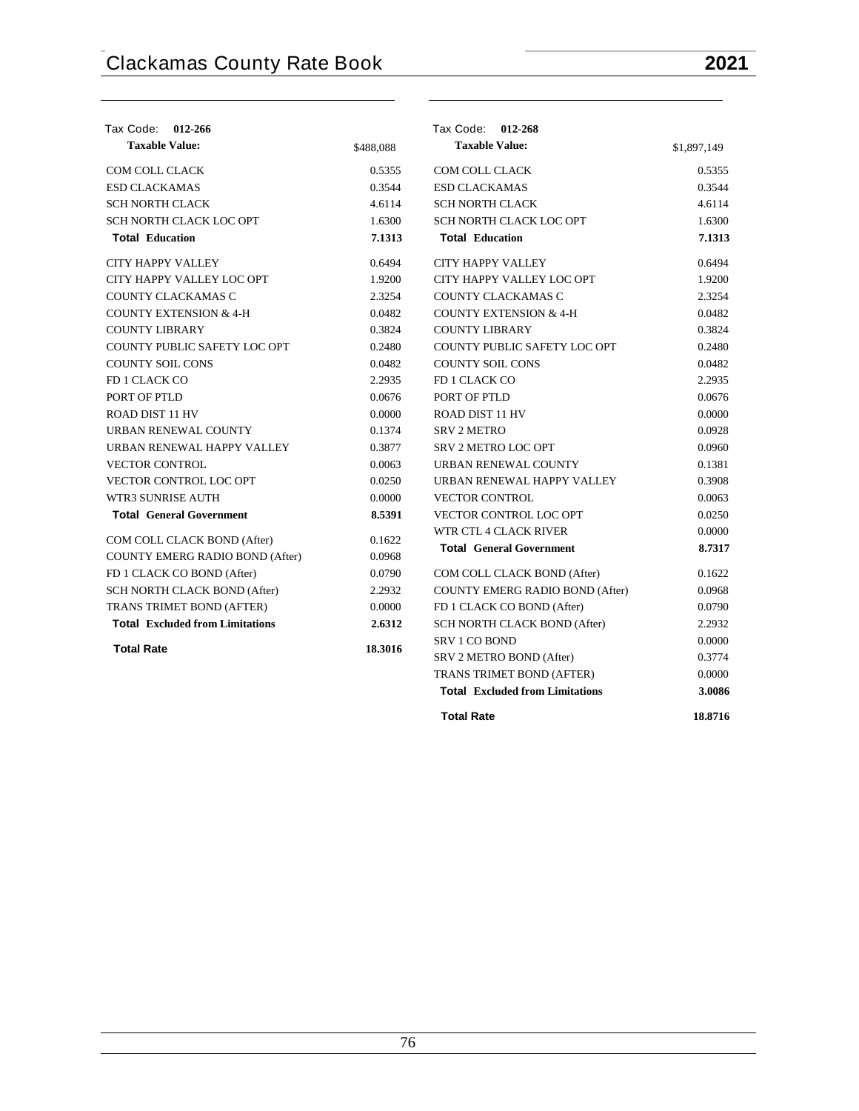| Tax Code:<br>012-266                   |           | Tax Code: 012-268                      |             |
|----------------------------------------|-----------|----------------------------------------|-------------|
| <b>Taxable Value:</b>                  | \$488,088 | <b>Taxable Value:</b>                  | \$1,897,149 |
| COM COLL CLACK                         | 0.5355    | COM COLL CLACK                         | 0.5355      |
| <b>ESD CLACKAMAS</b>                   | 0.3544    | <b>ESD CLACKAMAS</b>                   | 0.3544      |
| <b>SCH NORTH CLACK</b>                 | 4.6114    | <b>SCH NORTH CLACK</b>                 | 4.6114      |
| SCH NORTH CLACK LOC OPT                | 1.6300    | SCH NORTH CLACK LOC OPT                | 1.6300      |
| <b>Total Education</b>                 | 7.1313    | <b>Total Education</b>                 | 7.1313      |
| CITY HAPPY VALLEY                      | 0.6494    | <b>CITY HAPPY VALLEY</b>               | 0.6494      |
| CITY HAPPY VALLEY LOC OPT              | 1.9200    | CITY HAPPY VALLEY LOC OPT              | 1.9200      |
| COUNTY CLACKAMAS C                     | 2.3254    | COUNTY CLACKAMAS C                     | 2.3254      |
| <b>COUNTY EXTENSION &amp; 4-H</b>      | 0.0482    | <b>COUNTY EXTENSION &amp; 4-H</b>      | 0.0482      |
| <b>COUNTY LIBRARY</b>                  | 0.3824    | <b>COUNTY LIBRARY</b>                  | 0.3824      |
| COUNTY PUBLIC SAFETY LOC OPT           | 0.2480    | COUNTY PUBLIC SAFETY LOC OPT           | 0.2480      |
| <b>COUNTY SOIL CONS</b>                | 0.0482    | <b>COUNTY SOIL CONS</b>                | 0.0482      |
| FD 1 CLACK CO                          | 2.2935    | FD 1 CLACK CO                          | 2.2935      |
| PORT OF PTLD                           | 0.0676    | PORT OF PTLD                           | 0.0676      |
| ROAD DIST 11 HV                        | 0.0000    | ROAD DIST 11 HV                        | 0.0000      |
| URBAN RENEWAL COUNTY                   | 0.1374    | <b>SRV 2 METRO</b>                     | 0.0928      |
| URBAN RENEWAL HAPPY VALLEY             | 0.3877    | <b>SRV 2 METRO LOC OPT</b>             | 0.0960      |
| <b>VECTOR CONTROL</b>                  | 0.0063    | URBAN RENEWAL COUNTY                   | 0.1381      |
| VECTOR CONTROL LOC OPT                 | 0.0250    | URBAN RENEWAL HAPPY VALLEY             | 0.3908      |
| WTR3 SUNRISE AUTH                      | 0.0000    | <b>VECTOR CONTROL</b>                  | 0.0063      |
| <b>Total General Government</b>        | 8.5391    | <b>VECTOR CONTROL LOC OPT</b>          | 0.0250      |
|                                        |           | WTR CTL 4 CLACK RIVER                  | 0.0000      |
| COM COLL CLACK BOND (After)            | 0.1622    | <b>Total General Government</b>        | 8.7317      |
| COUNTY EMERG RADIO BOND (After)        | 0.0968    |                                        |             |
| FD 1 CLACK CO BOND (After)             | 0.0790    | COM COLL CLACK BOND (After)            | 0.1622      |
| SCH NORTH CLACK BOND (After)           | 2.2932    | <b>COUNTY EMERG RADIO BOND (After)</b> | 0.0968      |
| TRANS TRIMET BOND (AFTER)              | 0.0000    | FD 1 CLACK CO BOND (After)             | 0.0790      |
| <b>Total Excluded from Limitations</b> | 2.6312    | SCH NORTH CLACK BOND (After)           | 2.2932      |
| <b>Total Rate</b>                      | 18.3016   | <b>SRV 1 CO BOND</b>                   | 0.0000      |
|                                        |           | SRV 2 METRO BOND (After)               | 0.3774      |
|                                        |           | TRANS TRIMET BOND (AFTER)              | 0.0000      |
|                                        |           | <b>Total Excluded from Limitations</b> | 3.0086      |
|                                        |           | <b>Total Rate</b>                      | 18.8716     |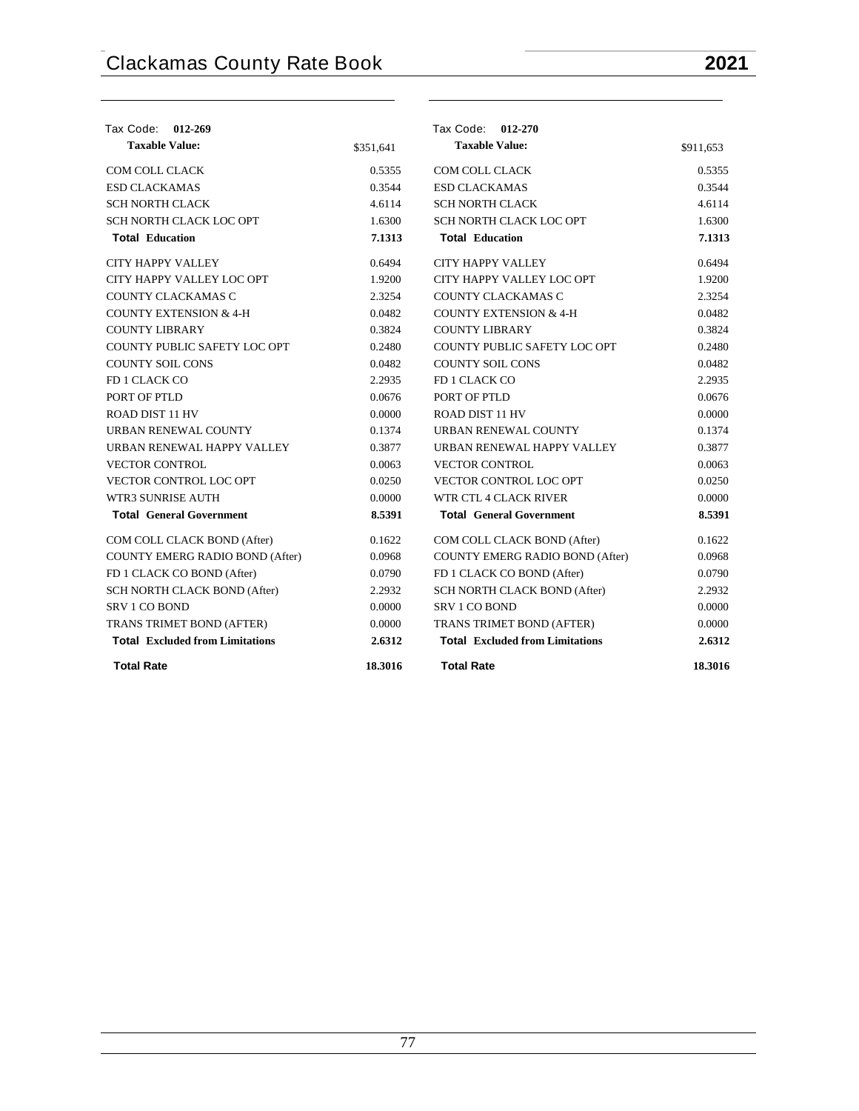| Tax Code: 012-269                      |           | Tax Code: 012-270                      |           |
|----------------------------------------|-----------|----------------------------------------|-----------|
| <b>Taxable Value:</b>                  | \$351,641 | <b>Taxable Value:</b>                  | \$911,653 |
| <b>COM COLL CLACK</b>                  | 0.5355    | <b>COM COLL CLACK</b>                  | 0.5355    |
| <b>ESD CLACKAMAS</b>                   | 0.3544    | <b>ESD CLACKAMAS</b>                   | 0.3544    |
| <b>SCH NORTH CLACK</b>                 | 4.6114    | <b>SCH NORTH CLACK</b>                 | 4.6114    |
| SCH NORTH CLACK LOC OPT                | 1.6300    | SCH NORTH CLACK LOC OPT                | 1.6300    |
| <b>Total Education</b>                 | 7.1313    | <b>Total Education</b>                 | 7.1313    |
| <b>CITY HAPPY VALLEY</b>               | 0.6494    | <b>CITY HAPPY VALLEY</b>               | 0.6494    |
| CITY HAPPY VALLEY LOC OPT              | 1.9200    | CITY HAPPY VALLEY LOC OPT              | 1.9200    |
| <b>COUNTY CLACKAMAS C</b>              | 2.3254    | COUNTY CLACKAMAS C                     | 2.3254    |
| <b>COUNTY EXTENSION &amp; 4-H</b>      | 0.0482    | <b>COUNTY EXTENSION &amp; 4-H</b>      | 0.0482    |
| <b>COUNTY LIBRARY</b>                  | 0.3824    | <b>COUNTY LIBRARY</b>                  | 0.3824    |
| COUNTY PUBLIC SAFETY LOC OPT           | 0.2480    | COUNTY PUBLIC SAFETY LOC OPT           | 0.2480    |
| <b>COUNTY SOIL CONS</b>                | 0.0482    | <b>COUNTY SOIL CONS</b>                | 0.0482    |
| FD 1 CLACK CO                          | 2.2935    | FD 1 CLACK CO                          | 2.2935    |
| PORT OF PTLD                           | 0.0676    | PORT OF PTLD                           | 0.0676    |
| <b>ROAD DIST 11 HV</b>                 | 0.0000    | <b>ROAD DIST 11 HV</b>                 | 0.0000    |
| <b>URBAN RENEWAL COUNTY</b>            | 0.1374    | <b>URBAN RENEWAL COUNTY</b>            | 0.1374    |
| URBAN RENEWAL HAPPY VALLEY             | 0.3877    | URBAN RENEWAL HAPPY VALLEY             | 0.3877    |
| <b>VECTOR CONTROL</b>                  | 0.0063    | <b>VECTOR CONTROL</b>                  | 0.0063    |
| <b>VECTOR CONTROL LOC OPT</b>          | 0.0250    | <b>VECTOR CONTROL LOC OPT</b>          | 0.0250    |
| <b>WTR3 SUNRISE AUTH</b>               | 0.0000    | WTR CTL 4 CLACK RIVER                  | 0.0000    |
| <b>Total General Government</b>        | 8.5391    | <b>Total General Government</b>        | 8.5391    |
| COM COLL CLACK BOND (After)            | 0.1622    | COM COLL CLACK BOND (After)            | 0.1622    |
| <b>COUNTY EMERG RADIO BOND (After)</b> | 0.0968    | COUNTY EMERG RADIO BOND (After)        | 0.0968    |
| FD 1 CLACK CO BOND (After)             | 0.0790    | FD 1 CLACK CO BOND (After)             | 0.0790    |
| SCH NORTH CLACK BOND (After)           | 2.2932    | SCH NORTH CLACK BOND (After)           | 2.2932    |
| <b>SRV 1 CO BOND</b>                   | 0.0000    | <b>SRV 1 CO BOND</b>                   | 0.0000    |
| TRANS TRIMET BOND (AFTER)              | 0.0000    | TRANS TRIMET BOND (AFTER)              | 0.0000    |
| <b>Total Excluded from Limitations</b> | 2.6312    | <b>Total Excluded from Limitations</b> | 2.6312    |
| <b>Total Rate</b>                      | 18.3016   | <b>Total Rate</b>                      | 18.3016   |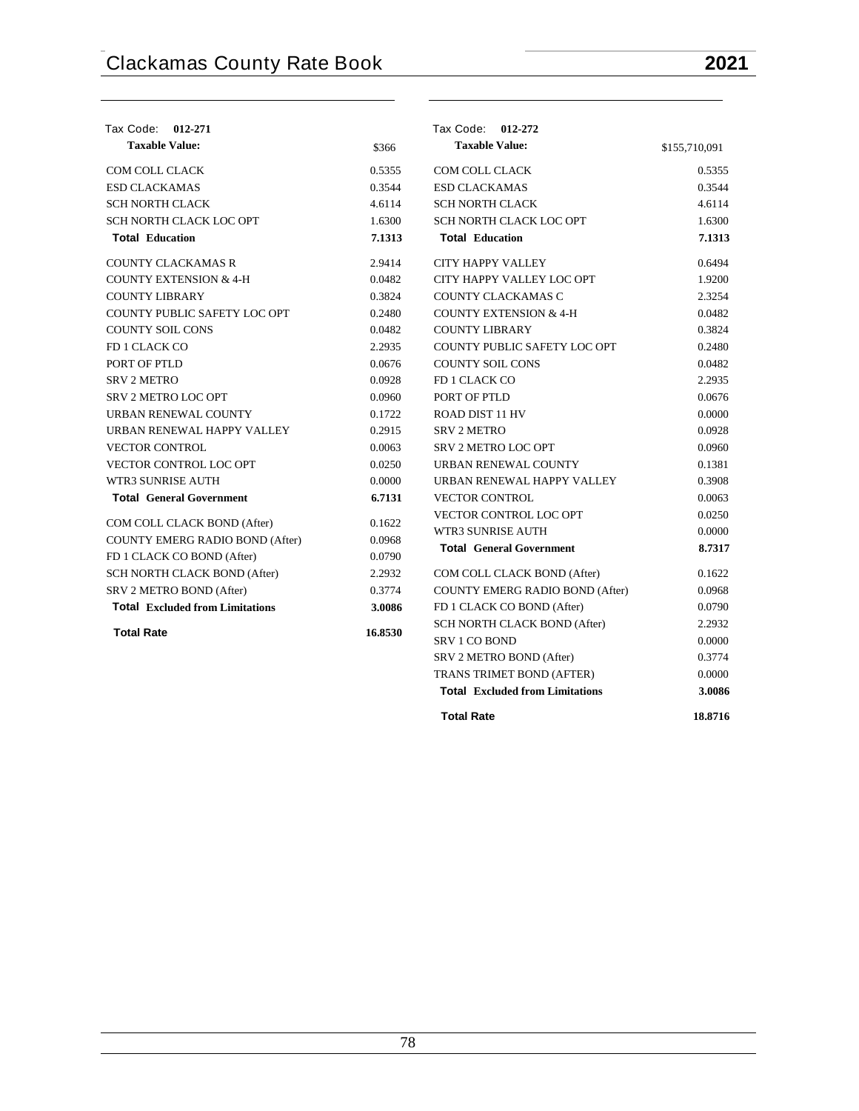| Tax Code: 012-271                      |         | Tax Code: 012-272                      |               |
|----------------------------------------|---------|----------------------------------------|---------------|
| <b>Taxable Value:</b>                  | \$366   | <b>Taxable Value:</b>                  | \$155,710,091 |
| <b>COM COLL CLACK</b>                  | 0.5355  | <b>COM COLL CLACK</b>                  | 0.5355        |
| <b>ESD CLACKAMAS</b>                   | 0.3544  | <b>ESD CLACKAMAS</b>                   | 0.3544        |
| <b>SCH NORTH CLACK</b>                 | 4.6114  | <b>SCH NORTH CLACK</b>                 | 4.6114        |
| SCH NORTH CLACK LOC OPT                | 1.6300  | SCH NORTH CLACK LOC OPT                | 1.6300        |
| <b>Total Education</b>                 | 7.1313  | <b>Total Education</b>                 | 7.1313        |
| <b>COUNTY CLACKAMAS R</b>              | 2.9414  | <b>CITY HAPPY VALLEY</b>               | 0.6494        |
| <b>COUNTY EXTENSION &amp; 4-H</b>      | 0.0482  | CITY HAPPY VALLEY LOC OPT              | 1.9200        |
| <b>COUNTY LIBRARY</b>                  | 0.3824  | COUNTY CLACKAMAS C                     | 2.3254        |
| COUNTY PUBLIC SAFETY LOC OPT           | 0.2480  | <b>COUNTY EXTENSION &amp; 4-H</b>      | 0.0482        |
| <b>COUNTY SOIL CONS</b>                | 0.0482  | <b>COUNTY LIBRARY</b>                  | 0.3824        |
| FD 1 CLACK CO                          | 2.2935  | COUNTY PUBLIC SAFETY LOC OPT           | 0.2480        |
| PORT OF PTLD                           | 0.0676  | <b>COUNTY SOIL CONS</b>                | 0.0482        |
| <b>SRV 2 METRO</b>                     | 0.0928  | FD 1 CLACK CO                          | 2.2935        |
| <b>SRV 2 METRO LOC OPT</b>             | 0.0960  | PORT OF PTLD                           | 0.0676        |
| URBAN RENEWAL COUNTY                   | 0.1722  | <b>ROAD DIST 11 HV</b>                 | 0.0000        |
| URBAN RENEWAL HAPPY VALLEY             | 0.2915  | <b>SRV 2 METRO</b>                     | 0.0928        |
| <b>VECTOR CONTROL</b>                  | 0.0063  | <b>SRV 2 METRO LOC OPT</b>             | 0.0960        |
| VECTOR CONTROL LOC OPT                 | 0.0250  | URBAN RENEWAL COUNTY                   | 0.1381        |
| WTR3 SUNRISE AUTH                      | 0.0000  | URBAN RENEWAL HAPPY VALLEY             | 0.3908        |
| <b>Total General Government</b>        | 6.7131  | <b>VECTOR CONTROL</b>                  | 0.0063        |
| COM COLL CLACK BOND (After)            | 0.1622  | <b>VECTOR CONTROL LOC OPT</b>          | 0.0250        |
| <b>COUNTY EMERG RADIO BOND (After)</b> | 0.0968  | <b>WTR3 SUNRISE AUTH</b>               | 0.0000        |
| FD 1 CLACK CO BOND (After)             | 0.0790  | <b>Total General Government</b>        | 8.7317        |
| SCH NORTH CLACK BOND (After)           | 2.2932  | COM COLL CLACK BOND (After)            | 0.1622        |
| SRV 2 METRO BOND (After)               | 0.3774  | COUNTY EMERG RADIO BOND (After)        | 0.0968        |
| <b>Total Excluded from Limitations</b> | 3.0086  | FD 1 CLACK CO BOND (After)             | 0.0790        |
|                                        |         | SCH NORTH CLACK BOND (After)           | 2.2932        |
| <b>Total Rate</b>                      | 16.8530 | <b>SRV 1 CO BOND</b>                   | 0.0000        |
|                                        |         | SRV 2 METRO BOND (After)               | 0.3774        |
|                                        |         | TRANS TRIMET BOND (AFTER)              | 0.0000        |
|                                        |         | <b>Total Excluded from Limitations</b> | 3.0086        |
|                                        |         | <b>Total Rate</b>                      | 18.8716       |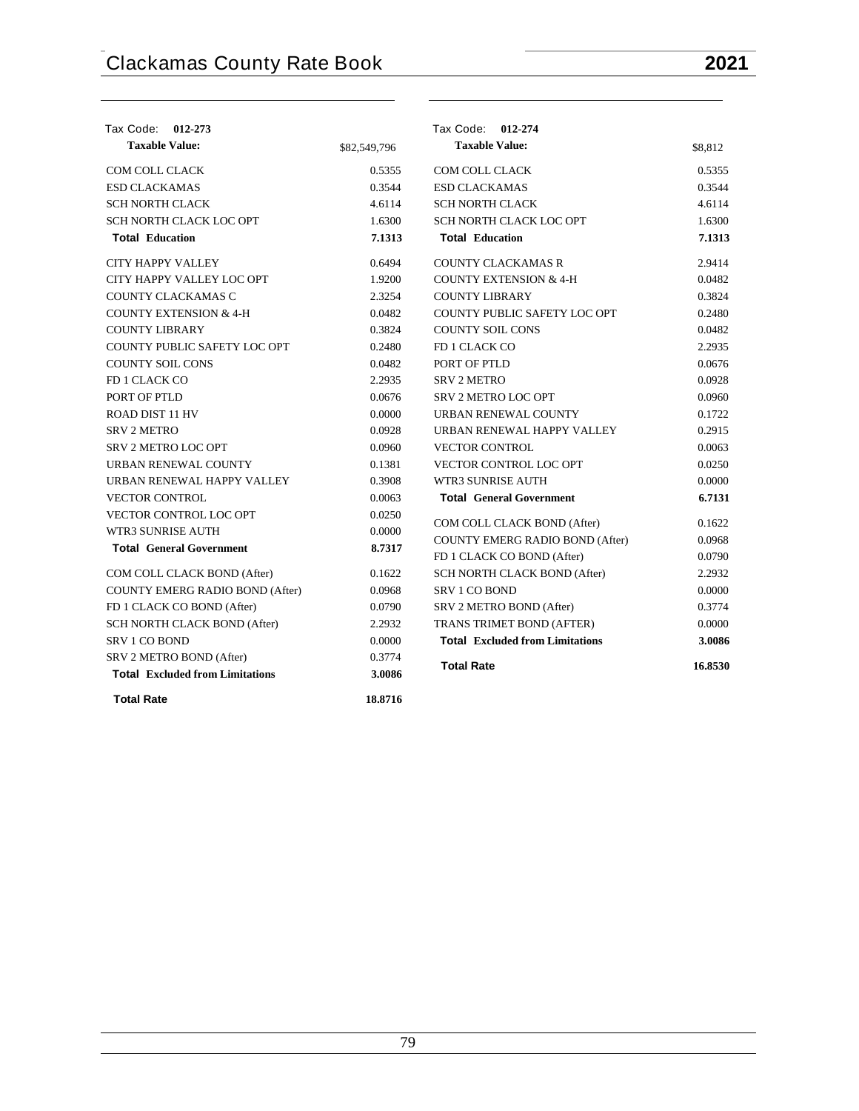| Tax Code: 012-273                                              |              | Tax Code: 012-274                                    |                  |
|----------------------------------------------------------------|--------------|------------------------------------------------------|------------------|
| <b>Taxable Value:</b>                                          | \$82,549,796 | <b>Taxable Value:</b>                                | \$8,812          |
| COM COLL CLACK                                                 | 0.5355       | COM COLL CLACK                                       | 0.5355           |
| <b>ESD CLACKAMAS</b>                                           | 0.3544       | <b>ESD CLACKAMAS</b>                                 | 0.3544           |
| <b>SCH NORTH CLACK</b>                                         | 4.6114       | <b>SCH NORTH CLACK</b>                               | 4.6114           |
| SCH NORTH CLACK LOC OPT                                        | 1.6300       | SCH NORTH CLACK LOC OPT                              | 1.6300           |
| <b>Total Education</b>                                         | 7.1313       | <b>Total Education</b>                               | 7.1313           |
| CITY HAPPY VALLEY                                              | 0.6494       | <b>COUNTY CLACKAMAS R</b>                            | 2.9414           |
| CITY HAPPY VALLEY LOC OPT                                      | 1.9200       | <b>COUNTY EXTENSION &amp; 4-H</b>                    | 0.0482           |
| COUNTY CLACKAMAS C                                             | 2.3254       | <b>COUNTY LIBRARY</b>                                | 0.3824           |
| <b>COUNTY EXTENSION &amp; 4-H</b>                              | 0.0482       | COUNTY PUBLIC SAFETY LOC OPT                         | 0.2480           |
| <b>COUNTY LIBRARY</b>                                          | 0.3824       | <b>COUNTY SOIL CONS</b>                              | 0.0482           |
| COUNTY PUBLIC SAFETY LOC OPT                                   | 0.2480       | FD 1 CLACK CO                                        | 2.2935           |
| <b>COUNTY SOIL CONS</b>                                        | 0.0482       | PORT OF PTLD                                         | 0.0676           |
| FD 1 CLACK CO                                                  | 2.2935       | <b>SRV 2 METRO</b>                                   | 0.0928           |
| PORT OF PTLD                                                   | 0.0676       | SRV 2 METRO LOC OPT                                  | 0.0960           |
| ROAD DIST 11 HV                                                | 0.0000       | URBAN RENEWAL COUNTY                                 | 0.1722           |
| <b>SRV 2 METRO</b>                                             | 0.0928       | URBAN RENEWAL HAPPY VALLEY                           | 0.2915           |
| <b>SRV 2 METRO LOC OPT</b>                                     | 0.0960       | <b>VECTOR CONTROL</b>                                | 0.0063           |
| URBAN RENEWAL COUNTY                                           | 0.1381       | VECTOR CONTROL LOC OPT                               | 0.0250           |
| URBAN RENEWAL HAPPY VALLEY                                     | 0.3908       | WTR3 SUNRISE AUTH                                    | 0.0000           |
| <b>VECTOR CONTROL</b>                                          | 0.0063       | <b>Total General Government</b>                      | 6.7131           |
| VECTOR CONTROL LOC OPT                                         | 0.0250       | COM COLL CLACK BOND (After)                          | 0.1622           |
| <b>WTR3 SUNRISE AUTH</b>                                       | 0.0000       |                                                      |                  |
| <b>Total General Government</b>                                | 8.7317       | <b>COUNTY EMERG RADIO BOND (After)</b>               | 0.0968           |
|                                                                |              | FD 1 CLACK CO BOND (After)                           | 0.0790           |
| COM COLL CLACK BOND (After)<br>COUNTY EMERG RADIO BOND (After) | 0.1622       | SCH NORTH CLACK BOND (After)<br><b>SRV 1 CO BOND</b> | 2.2932<br>0.0000 |
|                                                                | 0.0968       |                                                      |                  |
| FD 1 CLACK CO BOND (After)                                     | 0.0790       | SRV 2 METRO BOND (After)                             | 0.3774           |
| SCH NORTH CLACK BOND (After)                                   | 2.2932       | TRANS TRIMET BOND (AFTER)                            | 0.0000           |
| <b>SRV 1 CO BOND</b>                                           | 0.0000       | <b>Total Excluded from Limitations</b>               | 3.0086           |
| SRV 2 METRO BOND (After)                                       | 0.3774       | <b>Total Rate</b>                                    | 16.8530          |
| <b>Total Excluded from Limitations</b>                         | 3.0086       |                                                      |                  |
| <b>Total Rate</b>                                              | 18.8716      |                                                      |                  |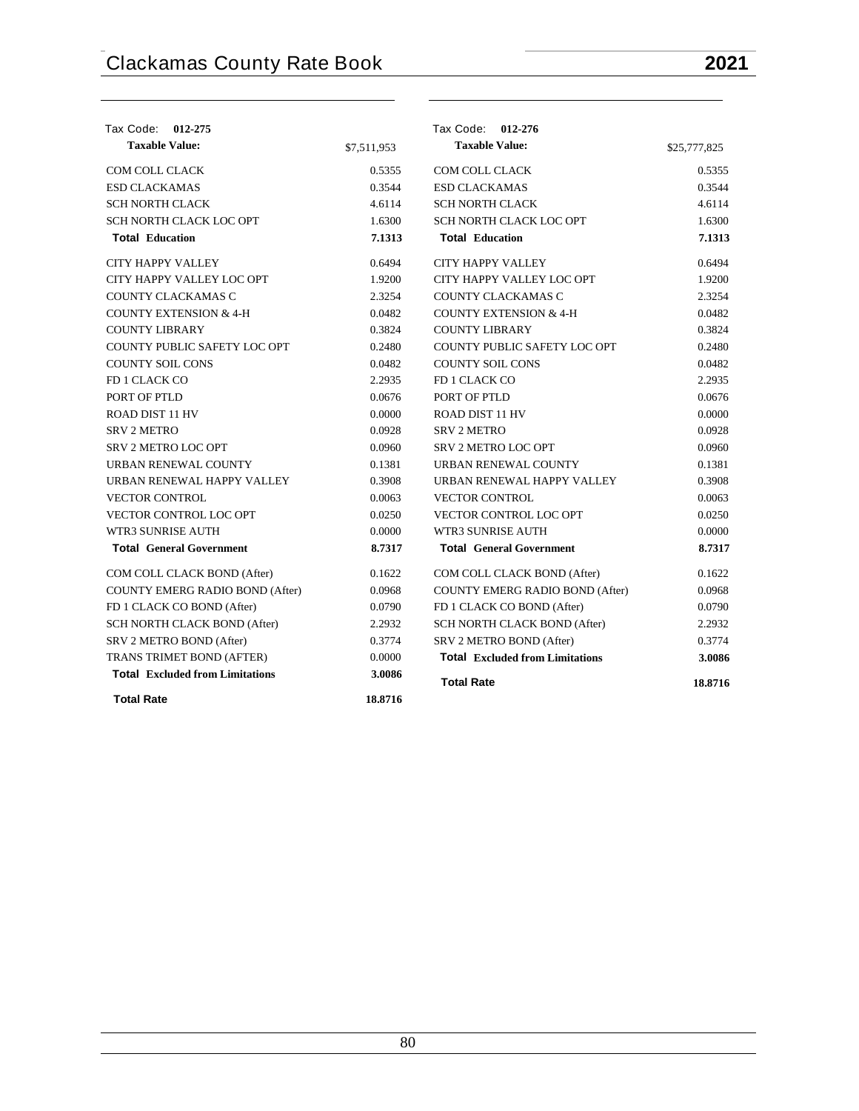| Tax Code: 012-275                      |             | Tax Code: 012-276                      |              |
|----------------------------------------|-------------|----------------------------------------|--------------|
| <b>Taxable Value:</b>                  | \$7,511,953 | <b>Taxable Value:</b>                  | \$25,777,825 |
| COM COLL CLACK                         | 0.5355      | COM COLL CLACK                         | 0.5355       |
| <b>ESD CLACKAMAS</b>                   | 0.3544      | <b>ESD CLACKAMAS</b>                   | 0.3544       |
| <b>SCH NORTH CLACK</b>                 | 4.6114      | <b>SCH NORTH CLACK</b>                 | 4.6114       |
| SCH NORTH CLACK LOC OPT                | 1.6300      | SCH NORTH CLACK LOC OPT                | 1.6300       |
| <b>Total Education</b>                 | 7.1313      | <b>Total Education</b>                 | 7.1313       |
| <b>CITY HAPPY VALLEY</b>               | 0.6494      | <b>CITY HAPPY VALLEY</b>               | 0.6494       |
| CITY HAPPY VALLEY LOC OPT              | 1.9200      | CITY HAPPY VALLEY LOC OPT              | 1.9200       |
| COUNTY CLACKAMAS C                     | 2.3254      | COUNTY CLACKAMAS C                     | 2.3254       |
| <b>COUNTY EXTENSION &amp; 4-H</b>      | 0.0482      | <b>COUNTY EXTENSION &amp; 4-H</b>      | 0.0482       |
| <b>COUNTY LIBRARY</b>                  | 0.3824      | <b>COUNTY LIBRARY</b>                  | 0.3824       |
| COUNTY PUBLIC SAFETY LOC OPT           | 0.2480      | COUNTY PUBLIC SAFETY LOC OPT           | 0.2480       |
| <b>COUNTY SOIL CONS</b>                | 0.0482      | <b>COUNTY SOIL CONS</b>                | 0.0482       |
| FD 1 CLACK CO                          | 2.2935      | FD 1 CLACK CO                          | 2.2935       |
| PORT OF PTLD                           | 0.0676      | PORT OF PTLD                           | 0.0676       |
| ROAD DIST 11 HV                        | 0.0000      | <b>ROAD DIST 11 HV</b>                 | 0.0000       |
| <b>SRV 2 METRO</b>                     | 0.0928      | <b>SRV 2 METRO</b>                     | 0.0928       |
| <b>SRV 2 METRO LOC OPT</b>             | 0.0960      | <b>SRV 2 METRO LOC OPT</b>             | 0.0960       |
| URBAN RENEWAL COUNTY                   | 0.1381      | URBAN RENEWAL COUNTY                   | 0.1381       |
| URBAN RENEWAL HAPPY VALLEY             | 0.3908      | URBAN RENEWAL HAPPY VALLEY             | 0.3908       |
| <b>VECTOR CONTROL</b>                  | 0.0063      | <b>VECTOR CONTROL</b>                  | 0.0063       |
| <b>VECTOR CONTROL LOC OPT</b>          | 0.0250      | <b>VECTOR CONTROL LOC OPT</b>          | 0.0250       |
| WTR3 SUNRISE AUTH                      | 0.0000      | WTR3 SUNRISE AUTH                      | 0.0000       |
| <b>Total General Government</b>        | 8.7317      | <b>Total General Government</b>        | 8.7317       |
| COM COLL CLACK BOND (After)            | 0.1622      | COM COLL CLACK BOND (After)            | 0.1622       |
| <b>COUNTY EMERG RADIO BOND (After)</b> | 0.0968      | <b>COUNTY EMERG RADIO BOND (After)</b> | 0.0968       |
| FD 1 CLACK CO BOND (After)             | 0.0790      | FD 1 CLACK CO BOND (After)             | 0.0790       |
| SCH NORTH CLACK BOND (After)           | 2.2932      | <b>SCH NORTH CLACK BOND (After)</b>    | 2.2932       |
| SRV 2 METRO BOND (After)               | 0.3774      | SRV 2 METRO BOND (After)               | 0.3774       |
| TRANS TRIMET BOND (AFTER)              | 0.0000      | <b>Total Excluded from Limitations</b> | 3.0086       |
| <b>Total Excluded from Limitations</b> | 3.0086      | <b>Total Rate</b>                      | 18.8716      |
| <b>Total Rate</b>                      | 18.8716     |                                        |              |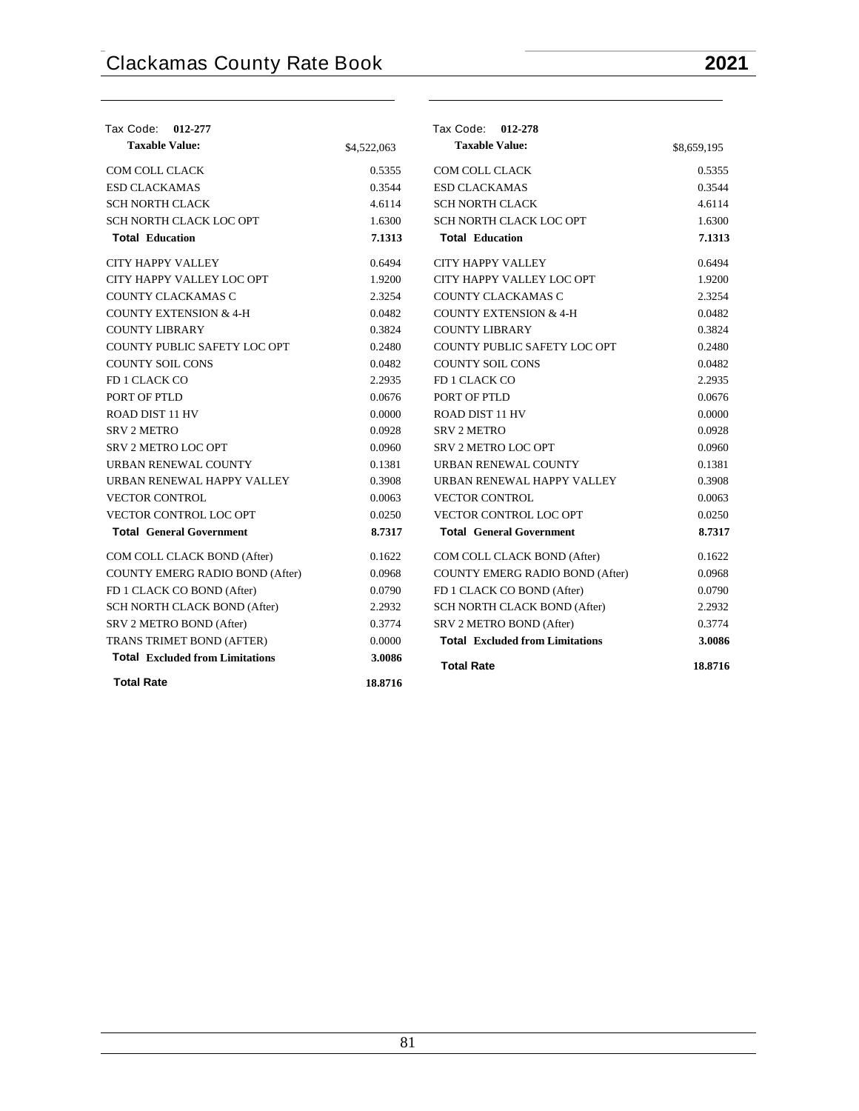| Tax Code: 012-277                      |             | Tax Code: 012-278                      |             |
|----------------------------------------|-------------|----------------------------------------|-------------|
| <b>Taxable Value:</b>                  | \$4,522,063 | <b>Taxable Value:</b>                  | \$8,659,195 |
| COM COLL CLACK                         | 0.5355      | <b>COM COLL CLACK</b>                  | 0.5355      |
| <b>ESD CLACKAMAS</b>                   | 0.3544      | <b>ESD CLACKAMAS</b>                   | 0.3544      |
| <b>SCH NORTH CLACK</b>                 | 4.6114      | <b>SCH NORTH CLACK</b>                 | 4.6114      |
| SCH NORTH CLACK LOC OPT                | 1.6300      | SCH NORTH CLACK LOC OPT                | 1.6300      |
| <b>Total Education</b>                 | 7.1313      | <b>Total Education</b>                 | 7.1313      |
| <b>CITY HAPPY VALLEY</b>               | 0.6494      | <b>CITY HAPPY VALLEY</b>               | 0.6494      |
| CITY HAPPY VALLEY LOC OPT              | 1.9200      | CITY HAPPY VALLEY LOC OPT              | 1.9200      |
| COUNTY CLACKAMAS C                     | 2.3254      | COUNTY CLACKAMAS C                     | 2.3254      |
| <b>COUNTY EXTENSION &amp; 4-H</b>      | 0.0482      | <b>COUNTY EXTENSION &amp; 4-H</b>      | 0.0482      |
| <b>COUNTY LIBRARY</b>                  | 0.3824      | <b>COUNTY LIBRARY</b>                  | 0.3824      |
| COUNTY PUBLIC SAFETY LOC OPT           | 0.2480      | COUNTY PUBLIC SAFETY LOC OPT           | 0.2480      |
| <b>COUNTY SOIL CONS</b>                | 0.0482      | <b>COUNTY SOIL CONS</b>                | 0.0482      |
| FD 1 CLACK CO                          | 2.2935      | FD 1 CLACK CO                          | 2.2935      |
| PORT OF PTLD                           | 0.0676      | PORT OF PTLD                           | 0.0676      |
| ROAD DIST 11 HV                        | 0.0000      | <b>ROAD DIST 11 HV</b>                 | 0.0000      |
| <b>SRV 2 METRO</b>                     | 0.0928      | <b>SRV 2 METRO</b>                     | 0.0928      |
| <b>SRV 2 METRO LOC OPT</b>             | 0.0960      | <b>SRV 2 METRO LOC OPT</b>             | 0.0960      |
| URBAN RENEWAL COUNTY                   | 0.1381      | URBAN RENEWAL COUNTY                   | 0.1381      |
| URBAN RENEWAL HAPPY VALLEY             | 0.3908      | URBAN RENEWAL HAPPY VALLEY             | 0.3908      |
| <b>VECTOR CONTROL</b>                  | 0.0063      | <b>VECTOR CONTROL</b>                  | 0.0063      |
| <b>VECTOR CONTROL LOC OPT</b>          | 0.0250      | VECTOR CONTROL LOC OPT                 | 0.0250      |
| <b>Total General Government</b>        | 8.7317      | <b>Total General Government</b>        | 8.7317      |
| COM COLL CLACK BOND (After)            | 0.1622      | COM COLL CLACK BOND (After)            | 0.1622      |
| COUNTY EMERG RADIO BOND (After)        | 0.0968      | COUNTY EMERG RADIO BOND (After)        | 0.0968      |
| FD 1 CLACK CO BOND (After)             | 0.0790      | FD 1 CLACK CO BOND (After)             | 0.0790      |
| SCH NORTH CLACK BOND (After)           | 2.2932      | SCH NORTH CLACK BOND (After)           | 2.2932      |
| SRV 2 METRO BOND (After)               | 0.3774      | SRV 2 METRO BOND (After)               | 0.3774      |
| TRANS TRIMET BOND (AFTER)              | 0.0000      | <b>Total Excluded from Limitations</b> | 3.0086      |
| <b>Total Excluded from Limitations</b> | 3.0086      | <b>Total Rate</b>                      | 18.8716     |
| <b>Total Rate</b>                      | 18.8716     |                                        |             |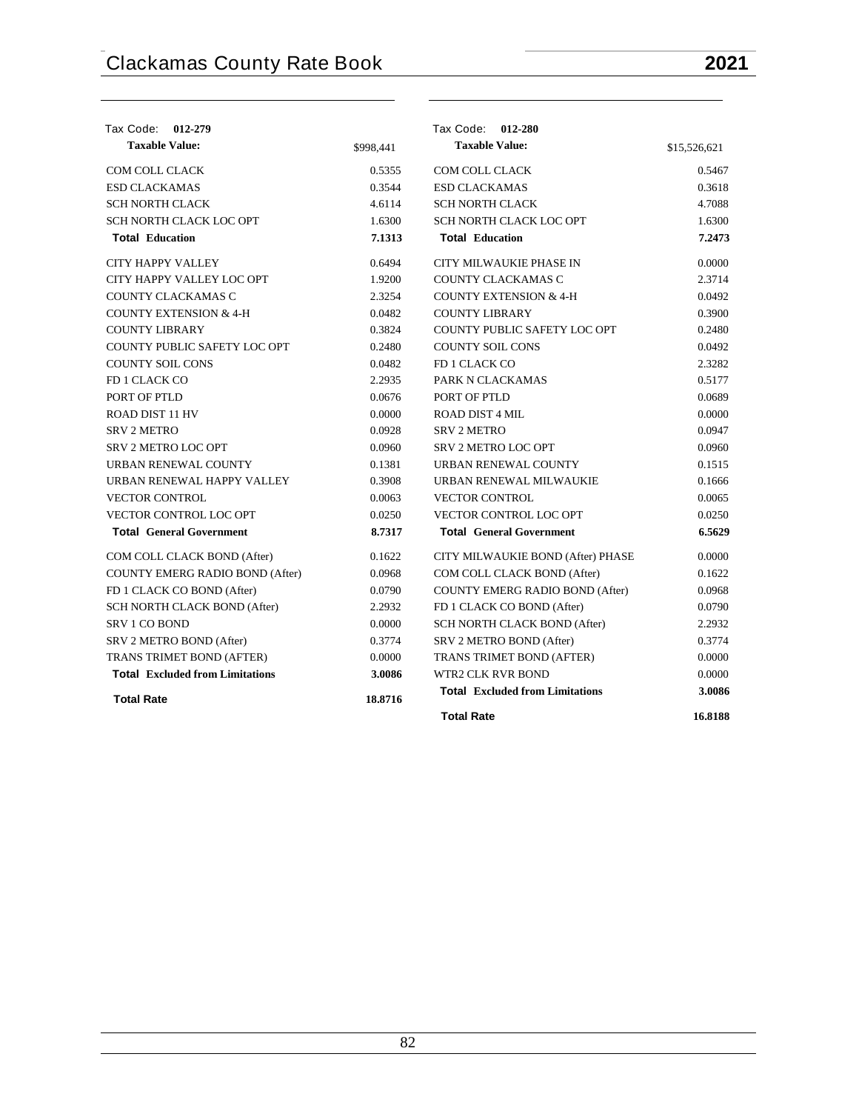| Tax Code:<br>012-279                   |           | Tax Code: 012-280                      |              |
|----------------------------------------|-----------|----------------------------------------|--------------|
| <b>Taxable Value:</b>                  | \$998,441 | <b>Taxable Value:</b>                  | \$15,526,621 |
| <b>COM COLL CLACK</b>                  | 0.5355    | <b>COM COLL CLACK</b>                  | 0.5467       |
| <b>ESD CLACKAMAS</b>                   | 0.3544    | <b>ESD CLACKAMAS</b>                   | 0.3618       |
| <b>SCH NORTH CLACK</b>                 | 4.6114    | <b>SCH NORTH CLACK</b>                 | 4.7088       |
| SCH NORTH CLACK LOC OPT                | 1.6300    | SCH NORTH CLACK LOC OPT                | 1.6300       |
| <b>Total Education</b>                 | 7.1313    | <b>Total Education</b>                 | 7.2473       |
| <b>CITY HAPPY VALLEY</b>               | 0.6494    | CITY MILWAUKIE PHASE IN                | 0.0000       |
| CITY HAPPY VALLEY LOC OPT              | 1.9200    | COUNTY CLACKAMAS C                     | 2.3714       |
| COUNTY CLACKAMAS C                     | 2.3254    | <b>COUNTY EXTENSION &amp; 4-H</b>      | 0.0492       |
| <b>COUNTY EXTENSION &amp; 4-H</b>      | 0.0482    | <b>COUNTY LIBRARY</b>                  | 0.3900       |
| <b>COUNTY LIBRARY</b>                  | 0.3824    | COUNTY PUBLIC SAFETY LOC OPT           | 0.2480       |
| COUNTY PUBLIC SAFETY LOC OPT           | 0.2480    | <b>COUNTY SOIL CONS</b>                | 0.0492       |
| <b>COUNTY SOIL CONS</b>                | 0.0482    | FD 1 CLACK CO                          | 2.3282       |
| FD 1 CLACK CO                          | 2.2935    | PARK N CLACKAMAS                       | 0.5177       |
| PORT OF PTLD                           | 0.0676    | PORT OF PTLD                           | 0.0689       |
| ROAD DIST 11 HV                        | 0.0000    | <b>ROAD DIST 4 MIL</b>                 | 0.0000       |
| <b>SRV 2 METRO</b>                     | 0.0928    | <b>SRV 2 METRO</b>                     | 0.0947       |
| <b>SRV 2 METRO LOC OPT</b>             | 0.0960    | <b>SRV 2 METRO LOC OPT</b>             | 0.0960       |
| URBAN RENEWAL COUNTY                   | 0.1381    | URBAN RENEWAL COUNTY                   | 0.1515       |
| URBAN RENEWAL HAPPY VALLEY             | 0.3908    | URBAN RENEWAL MILWAUKIE                | 0.1666       |
| <b>VECTOR CONTROL</b>                  | 0.0063    | <b>VECTOR CONTROL</b>                  | 0.0065       |
| <b>VECTOR CONTROL LOC OPT</b>          | 0.0250    | VECTOR CONTROL LOC OPT                 | 0.0250       |
| <b>Total General Government</b>        | 8.7317    | <b>Total General Government</b>        | 6.5629       |
| COM COLL CLACK BOND (After)            | 0.1622    | CITY MILWAUKIE BOND (After) PHASE      | 0.0000       |
| <b>COUNTY EMERG RADIO BOND (After)</b> | 0.0968    | COM COLL CLACK BOND (After)            | 0.1622       |
| FD 1 CLACK CO BOND (After)             | 0.0790    | <b>COUNTY EMERG RADIO BOND (After)</b> | 0.0968       |
| SCH NORTH CLACK BOND (After)           | 2.2932    | FD 1 CLACK CO BOND (After)             | 0.0790       |
| SRV 1 CO BOND                          | 0.0000    | SCH NORTH CLACK BOND (After)           | 2.2932       |
| SRV 2 METRO BOND (After)               | 0.3774    | SRV 2 METRO BOND (After)               | 0.3774       |
| TRANS TRIMET BOND (AFTER)              | 0.0000    | TRANS TRIMET BOND (AFTER)              | 0.0000       |
| <b>Total Excluded from Limitations</b> | 3.0086    | <b>WTR2 CLK RVR BOND</b>               | 0.0000       |
| <b>Total Rate</b>                      | 18.8716   | <b>Total Excluded from Limitations</b> | 3.0086       |
|                                        |           | <b>Total Rate</b>                      | 16.8188      |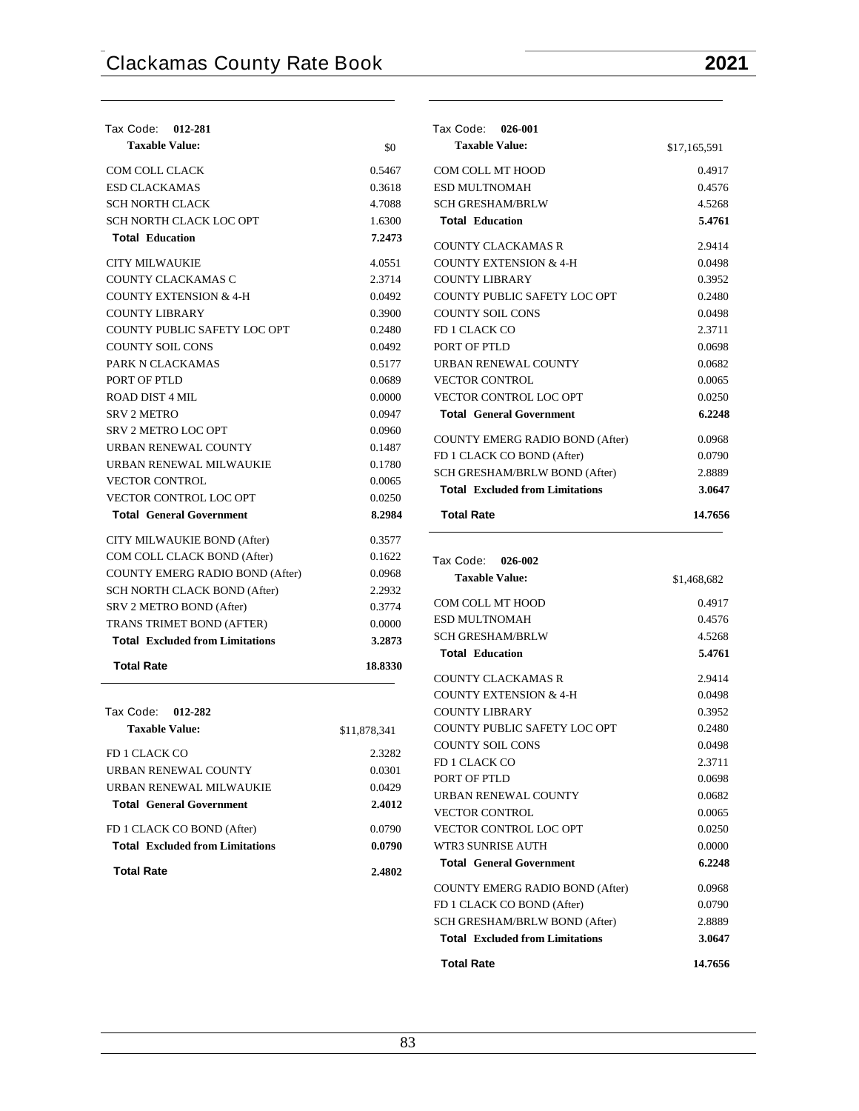| Tax Code: 012-281                          |              |
|--------------------------------------------|--------------|
| <b>Taxable Value:</b>                      | \$0          |
| COM COLL CLACK                             | 0.5467       |
| <b>ESD CLACKAMAS</b>                       | 0.3618       |
| SCH NORTH CLACK                            | 4.7088       |
| SCH NORTH CLACK LOC OPT                    | 1.6300       |
| <b>Total Education</b>                     | 7.2473       |
| <b>CITY MILWAUKIE</b>                      | 4.0551       |
| COUNTY CLACKAMAS C                         | 2.3714       |
| <b>COUNTY EXTENSION &amp; 4-H</b>          | 0.0492       |
| <b>COUNTY LIBRARY</b>                      | 0.3900       |
| COUNTY PUBLIC SAFETY LOC OPT               | 0.2480       |
| <b>COUNTY SOIL CONS</b>                    | 0.0492       |
| PARK N CLACKAMAS                           | 0.5177       |
| PORT OF PTLD                               | 0.0689       |
| <b>ROAD DIST 4 MIL</b>                     | 0.0000       |
| <b>SRV 2 METRO</b>                         | 0.0947       |
| <b>SRV 2 METRO LOC OPT</b>                 | 0.0960       |
| URBAN RENEWAL COUNTY                       | 0.1487       |
| URBAN RENEWAL MILWAUKIE                    | 0.1780       |
| <b>VECTOR CONTROL</b>                      | 0.0065       |
| <b>VECTOR CONTROL LOC OPT</b>              | 0.0250       |
| <b>Total General Government</b>            | 8.2984       |
| CITY MILWAUKIE BOND (After)                | 0.3577       |
| COM COLL CLACK BOND (After)                | 0.1622       |
| COUNTY EMERG RADIO BOND (After)            | 0.0968       |
| <b>SCH NORTH CLACK BOND (After)</b>        | 2.2932       |
| SRV 2 METRO BOND (After)                   | 0.3774       |
| TRANS TRIMET BOND (AFTER)                  | 0.0000       |
| <b>Total Excluded from Limitations</b>     | 3.2873       |
| <b>Total Rate</b>                          | 18.8330      |
|                                            |              |
| Tax Code: 012-282                          |              |
| <b>Taxable Value:</b>                      | \$11,878,341 |
| FD 1 CLACK CO                              | 2.3282       |
| URBAN RENEWAL COUNTY                       | 0.0301       |
| URBAN RENEWAL MILWAUKIE                    | 0.0429       |
| $T_{\text{odd}}$ $\alpha$ $\beta$ $\alpha$ | 0.4012       |

| <b>Total General Government</b>        | 2.4012 |
|----------------------------------------|--------|
| FD 1 CLACK CO BOND (After)             | 0.0790 |
| <b>Total</b> Excluded from Limitations | 0.0790 |
| <b>Total Rate</b>                      | 2.4802 |

| Tax Code: 026-001                      |              |
|----------------------------------------|--------------|
| <b>Taxable Value:</b>                  | \$17,165,591 |
| COM COLL MT HOOD                       | 0.4917       |
| <b>ESD MULTNOMAH</b>                   | 0.4576       |
| <b>SCH GRESHAM/BRLW</b>                | 4.5268       |
| <b>Total Education</b>                 | 5.4761       |
| COUNTY CLACKAMAS R                     | 2.9414       |
| COUNTY EXTENSION & 4-H                 | 0.0498       |
| COUNTY LIBRARY                         | 0.3952       |
| COUNTY PUBLIC SAFETY LOC OPT           | 0.2480       |
| <b>COUNTY SOIL CONS</b>                | 0.0498       |
| FD 1 CLACK CO                          | 2.3711       |
| PORT OF PTLD                           | 0.0698       |
| URBAN RENEWAL COUNTY                   | 0.0682       |
| <b>VECTOR CONTROL</b>                  | 0.0065       |
| <b>VECTOR CONTROL LOC OPT</b>          | 0.0250       |
| <b>Total General Government</b>        | 6.2248       |
| <b>COUNTY EMERG RADIO BOND (After)</b> | 0.0968       |
| FD 1 CLACK CO BOND (After)             | 0.0790       |
| SCH GRESHAM/BRLW BOND (After)          | 2.8889       |
| <b>Total</b> Excluded from Limitations | 3.0647       |
| <b>Total Rate</b>                      | 14.7656      |

| Tax Code: 026-002                      |             |
|----------------------------------------|-------------|
| <b>Taxable Value:</b>                  | \$1,468,682 |
| COM COLL MT HOOD                       | 0.4917      |
| ESD MULTNOMAH                          | 0.4576      |
| <b>SCH GRESHAM/BRLW</b>                | 4.5268      |
| <b>Total Education</b>                 | 5.4761      |
| COUNTY CLACKAMAS R                     | 2.9414      |
| <b>COUNTY EXTENSION &amp; 4-H</b>      | 0.0498      |
| <b>COUNTY LIBRARY</b>                  | 0.3952      |
| COUNTY PUBLIC SAFETY LOC OPT           | 0.2480      |
| <b>COUNTY SOIL CONS</b>                | 0.0498      |
| <b>FD 1 CLACK CO</b>                   | 2.3711      |
| PORT OF PTLD                           | 0.0698      |
| <b>URBAN RENEWAL COUNTY</b>            | 0.0682      |
| <b>VECTOR CONTROL</b>                  | 0.0065      |
| <b>VECTOR CONTROL LOC OPT</b>          | 0.0250      |
| WTR3 SUNRISE AUTH                      | 0.0000      |
| <b>Total General Government</b>        | 6.2248      |
| <b>COUNTY EMERG RADIO BOND (After)</b> | 0.0968      |
| FD 1 CLACK CO BOND (After)             | 0.0790      |
| SCH GRESHAM/BRLW BOND (After)          | 2.8889      |
| <b>Total</b> Excluded from Limitations | 3.0647      |
| <b>Total Rate</b>                      | 14.7656     |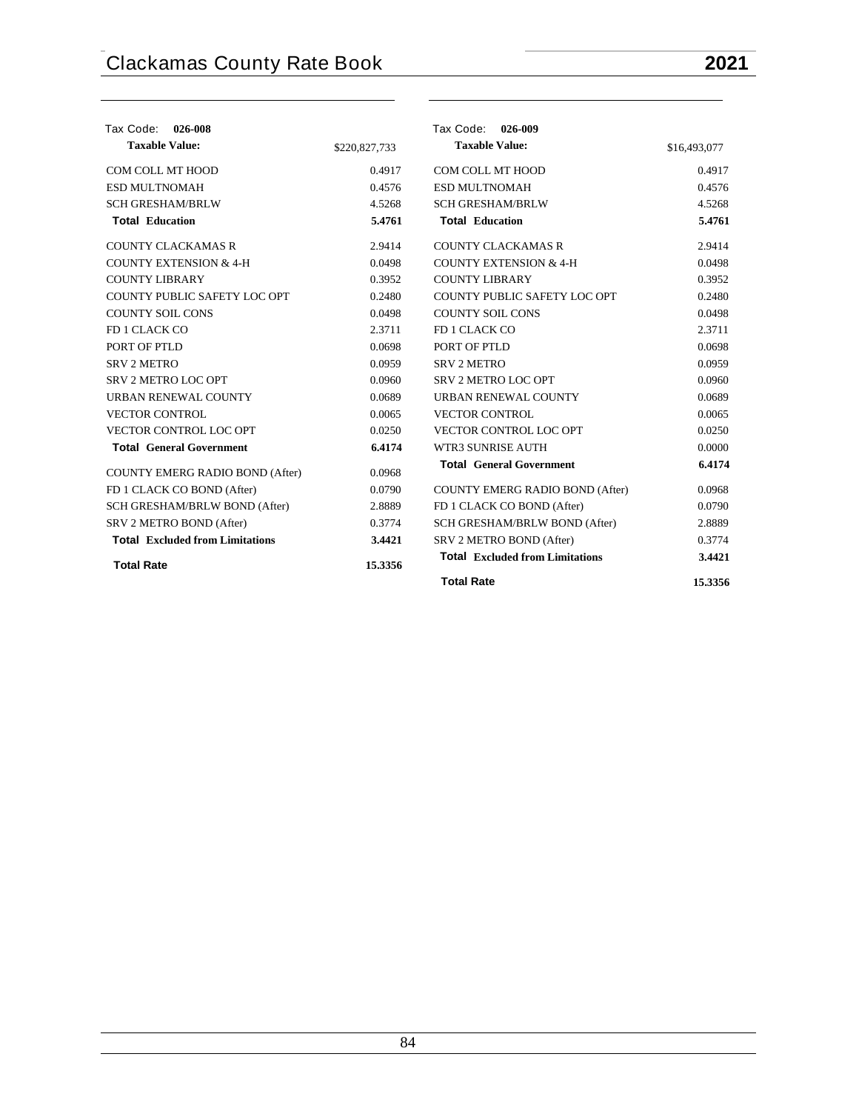$\overline{\phantom{a}}$ 

| Tax Code: 026-008                      |               | Tax Code: 026-009                      |              |
|----------------------------------------|---------------|----------------------------------------|--------------|
| <b>Taxable Value:</b>                  | \$220,827,733 | <b>Taxable Value:</b>                  | \$16,493,077 |
| COM COLL MT HOOD                       | 0.4917        | COM COLL MT HOOD                       | 0.4917       |
| <b>ESD MULTNOMAH</b>                   | 0.4576        | <b>ESD MULTNOMAH</b>                   | 0.4576       |
| <b>SCH GRESHAM/BRLW</b>                | 4.5268        | <b>SCH GRESHAM/BRLW</b>                | 4.5268       |
| <b>Total Education</b>                 | 5.4761        | <b>Total Education</b>                 | 5.4761       |
| <b>COUNTY CLACKAMAS R</b>              | 2.9414        | <b>COUNTY CLACKAMAS R</b>              | 2.9414       |
| <b>COUNTY EXTENSION &amp; 4-H</b>      | 0.0498        | <b>COUNTY EXTENSION &amp; 4-H</b>      | 0.0498       |
| <b>COUNTY LIBRARY</b>                  | 0.3952        | <b>COUNTY LIBRARY</b>                  | 0.3952       |
| COUNTY PUBLIC SAFETY LOC OPT           | 0.2480        | COUNTY PUBLIC SAFETY LOC OPT           | 0.2480       |
| <b>COUNTY SOIL CONS</b>                | 0.0498        | <b>COUNTY SOIL CONS</b>                | 0.0498       |
| FD 1 CLACK CO                          | 2.3711        | FD 1 CLACK CO                          | 2.3711       |
| PORT OF PTLD                           | 0.0698        | PORT OF PTLD                           | 0.0698       |
| <b>SRV 2 METRO</b>                     | 0.0959        | SRV <sub>2</sub> METRO                 | 0.0959       |
| <b>SRV 2 METRO LOC OPT</b>             | 0.0960        | SRV 2 METRO LOC OPT                    | 0.0960       |
| URBAN RENEWAL COUNTY                   | 0.0689        | URBAN RENEWAL COUNTY                   | 0.0689       |
| <b>VECTOR CONTROL</b>                  | 0.0065        | <b>VECTOR CONTROL</b>                  | 0.0065       |
| VECTOR CONTROL LOC OPT                 | 0.0250        | VECTOR CONTROL LOC OPT                 | 0.0250       |
| <b>Total General Government</b>        | 6.4174        | WTR3 SUNRISE AUTH                      | 0.0000       |
| COUNTY EMERG RADIO BOND (After)        | 0.0968        | <b>Total General Government</b>        | 6.4174       |
| FD 1 CLACK CO BOND (After)             | 0.0790        | COUNTY EMERG RADIO BOND (After)        | 0.0968       |
| SCH GRESHAM/BRLW BOND (After)          | 2.8889        | FD 1 CLACK CO BOND (After)             | 0.0790       |
| SRV 2 METRO BOND (After)               | 0.3774        | SCH GRESHAM/BRLW BOND (After)          | 2.8889       |
| <b>Total Excluded from Limitations</b> | 3.4421        | SRV 2 METRO BOND (After)               | 0.3774       |
| <b>Total Rate</b>                      | 15.3356       | <b>Total Excluded from Limitations</b> | 3.4421       |
|                                        |               | <b>Total Rate</b>                      | 15.3356      |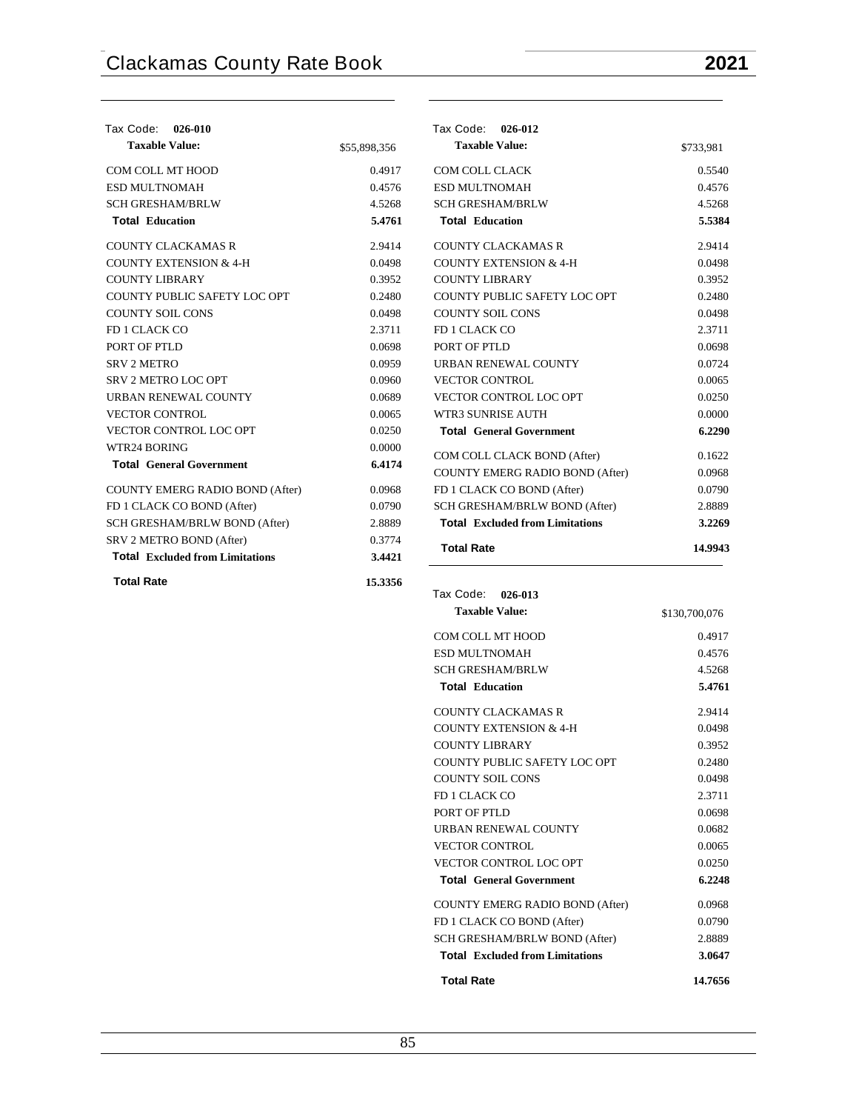$0.5540$ 0.4576 4.5268 **Total Education 5.5384** 2.9414  $0.0498$ 0.3952  $0.2480$ 0.0498  $2.3711$ 0.0698  $0.0724$  $0.0065$  $0.0250$  $0.0000$ **Total General Government 6.2290**  $0.1622$ 0.0968  $0.0790$ 2.8889 **Total Excluded from Limitations 3.2269 Total Rate 14.9943**

| Tax Code:<br>026-010                   |              | Tax Code:<br>026-012                   |           |
|----------------------------------------|--------------|----------------------------------------|-----------|
| <b>Taxable Value:</b>                  | \$55,898,356 | <b>Taxable Value:</b>                  | \$733,981 |
| COM COLL MT HOOD                       | 0.4917       | COM COLL CLACK                         | 0.5540    |
| ESD MULTNOMAH                          | 0.4576       | ESD MULTNOMAH                          | 0.4576    |
| <b>SCH GRESHAM/BRLW</b>                | 4.5268       | <b>SCH GRESHAM/BRLW</b>                | 4.5268    |
| <b>Total Education</b>                 | 5.4761       | <b>Total Education</b>                 | 5.538     |
| <b>COUNTY CLACKAMAS R</b>              | 2.9414       | <b>COUNTY CLACKAMAS R</b>              | 2.9414    |
| <b>COUNTY EXTENSION &amp; 4-H</b>      | 0.0498       | <b>COUNTY EXTENSION &amp; 4-H</b>      | 0.0498    |
| <b>COUNTY LIBRARY</b>                  | 0.3952       | <b>COUNTY LIBRARY</b>                  | 0.3952    |
| COUNTY PUBLIC SAFETY LOC OPT           | 0.2480       | COUNTY PUBLIC SAFETY LOC OPT           | 0.2480    |
| <b>COUNTY SOIL CONS</b>                | 0.0498       | <b>COUNTY SOIL CONS</b>                | 0.0498    |
| FD 1 CLACK CO                          | 2.3711       | FD 1 CLACK CO                          | 2.3711    |
| PORT OF PTLD                           | 0.0698       | PORT OF PTLD                           | 0.0698    |
| SRV 2 METRO                            | 0.0959       | URBAN RENEWAL COUNTY                   | 0.0724    |
| <b>SRV 2 METRO LOC OPT</b>             | 0.0960       | <b>VECTOR CONTROL</b>                  | 0.0065    |
| URBAN RENEWAL COUNTY                   | 0.0689       | VECTOR CONTROL LOC OPT                 | 0.0250    |
| <b>VECTOR CONTROL</b>                  | 0.0065       | WTR3 SUNRISE AUTH                      | 0.0000    |
| VECTOR CONTROL LOC OPT                 | 0.0250       | <b>Total General Government</b>        | 6.229     |
| WTR24 BORING                           | 0.0000       | COM COLL CLACK BOND (After)            | 0.1622    |
| <b>Total General Government</b>        | 6.4174       | COUNTY EMERG RADIO BOND (After)        | 0.0968    |
| COUNTY EMERG RADIO BOND (After)        | 0.0968       | FD 1 CLACK CO BOND (After)             | 0.0790    |
| FD 1 CLACK CO BOND (After)             | 0.0790       | SCH GRESHAM/BRLW BOND (After)          | 2.8889    |
| SCH GRESHAM/BRLW BOND (After)          | 2.8889       | <b>Total Excluded from Limitations</b> | 3.226     |
| SRV 2 METRO BOND (After)               | 0.3774       |                                        |           |
| <b>Total Excluded from Limitations</b> | 3.4421       | <b>Total Rate</b>                      | 14.994    |
| <b>Total Rate</b>                      | 15.3356      |                                        |           |

| Tax Code: 026-013                      |               |
|----------------------------------------|---------------|
| <b>Taxable Value:</b>                  | \$130,700,076 |
| COM COLL MT HOOD                       | 0.4917        |
| <b>ESD MULTNOMAH</b>                   | 0.4576        |
| <b>SCH GRESHAM/BRLW</b>                | 4.5268        |
| <b>Total Education</b>                 | 5.4761        |
| COUNTY CLACKAMAS R                     | 2.9414        |
| <b>COUNTY EXTENSION &amp; 4-H</b>      | 0.0498        |
| COUNTY LIBRARY                         | 0.3952        |
| COUNTY PUBLIC SAFETY LOC OPT           | 0.2480        |
| COUNTY SOIL CONS                       | 0.0498        |
| FD 1 CLACK CO                          | 2.3711        |
| PORT OF PTLD                           | 0.0698        |
| <b>URBAN RENEWAL COUNTY</b>            | 0.0682        |
| <b>VECTOR CONTROL</b>                  | 0.0065        |
| <b>VECTOR CONTROL LOC OPT</b>          | 0.0250        |
| <b>Total General Government</b>        | 6.2248        |
| <b>COUNTY EMERG RADIO BOND (After)</b> | 0.0968        |
| FD 1 CLACK CO BOND (After)             | 0.0790        |
| SCH GRESHAM/BRLW BOND (After)          | 2.8889        |
| <b>Total</b> Excluded from Limitations | 3.0647        |
| <b>Total Rate</b>                      | 14.7656       |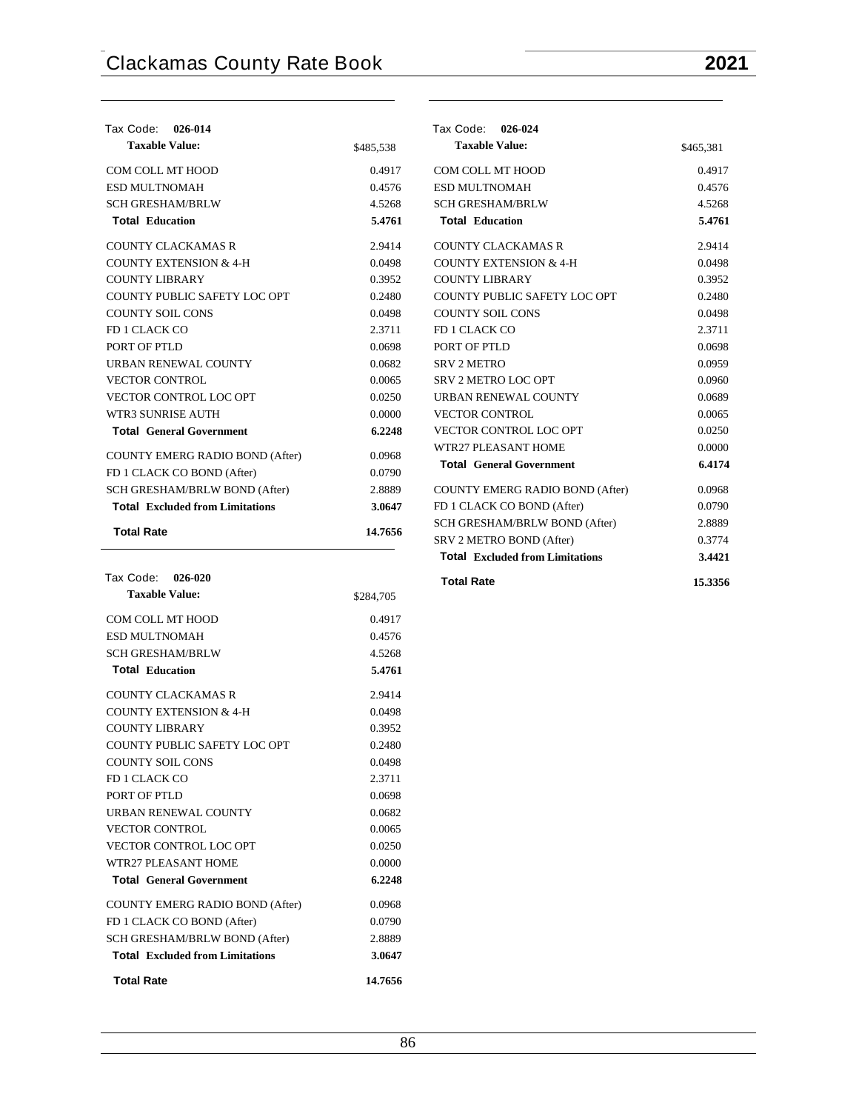| Tax Code: 026-014                      |           |
|----------------------------------------|-----------|
| <b>Taxable Value:</b>                  | \$485,538 |
| COM COLL MT HOOD                       | 0.4917    |
| <b>ESD MULTNOMAH</b>                   | 0.4576    |
| <b>SCH GRESHAM/BRLW</b>                | 4.5268    |
| <b>Total Education</b>                 | 5.4761    |
| <b>COUNTY CLACKAMAS R</b>              | 2.9414    |
| COUNTY EXTENSION & 4-H                 | 0.0498    |
| COUNTY LIBRARY                         | 0.3952    |
| <b>COUNTY PUBLIC SAFETY LOC OPT</b>    | 0.2480    |
| <b>COUNTY SOIL CONS</b>                | 0.0498    |
| FD 1 CLACK CO                          | 2.3711    |
| PORT OF PTLD                           | 0.0698    |
| <b>URBAN RENEWAL COUNTY</b>            | 0.0682    |
| <b>VECTOR CONTROL</b>                  | 0.0065    |
| <b>VECTOR CONTROL LOC OPT</b>          | 0.0250    |
| WTR3 SUNRISE AUTH                      | 0.0000    |
| <b>Total General Government</b>        | 6.2248    |
| <b>COUNTY EMERG RADIO BOND (After)</b> | 0.0968    |
| FD 1 CLACK CO BOND (After)             | 0.0790    |
| SCH GRESHAM/BRLW BOND (After)          | 2.8889    |
| <b>Total</b> Excluded from Limitations | 3.0647    |
| <b>Total Rate</b>                      | 14.7656   |

| Tax Code: 026-020                      |           |
|----------------------------------------|-----------|
| <b>Taxable Value:</b>                  | \$284,705 |
| COM COLL MT HOOD                       | 0.4917    |
| ESD MULTNOMAH                          | 0.4576    |
| <b>SCH GRESHAM/BRLW</b>                | 4.5268    |
| <b>Total Education</b>                 | 5.4761    |
| COUNTY CLACKAMAS R                     | 2.9414    |
| <b>COUNTY EXTENSION &amp; 4-H</b>      | 0.0498    |
| COUNTY LIBRARY                         | 0.3952    |
| COUNTY PUBLIC SAFETY LOC OPT           | 0.2480    |
| <b>COUNTY SOIL CONS</b>                | 0.0498    |
| FD 1 CLACK CO                          | 2.3711    |
| PORT OF PTLD                           | 0.0698    |
| <b>URBAN RENEWAL COUNTY</b>            | 0.0682    |
| <b>VECTOR CONTROL</b>                  | 0.0065    |
| <b>VECTOR CONTROL LOC OPT</b>          | 0.0250    |
| WTR27 PLEASANT HOME                    | 0.0000    |
| <b>Total General Government</b>        | 6.2248    |
| <b>COUNTY EMERG RADIO BOND (After)</b> | 0.0968    |
| FD 1 CLACK CO BOND (After)             | 0.0790    |
| SCH GRESHAM/BRLW BOND (After)          | 2.8889    |
| <b>Total</b> Excluded from Limitations | 3.0647    |
| <b>Total Rate</b>                      | 14.7656   |

| <b>Tax Code:</b> | 026-024 |
|------------------|---------|
|------------------|---------|

| Taxable Value:                         | \$465,381 |
|----------------------------------------|-----------|
| <b>COM COLL MT HOOD</b>                | 0.4917    |
| <b>ESD MULTNOMAH</b>                   | 0.4576    |
| <b>SCH GRESHAM/BRLW</b>                | 4.5268    |
| <b>Total Education</b>                 | 5.4761    |
| <b>COUNTY CLACKAMAS R</b>              | 2.9414    |
| <b>COUNTY EXTENSION &amp; 4-H</b>      | 0.0498    |
| <b>COUNTY LIBRARY</b>                  | 0.3952    |
| COUNTY PUBLIC SAFETY LOC OPT           | 0.2480    |
| <b>COUNTY SOIL CONS</b>                | 0.0498    |
| FD 1 CLACK CO                          | 2.3711    |
| PORT OF PTLD                           | 0.0698    |
| <b>SRV 2 METRO</b>                     | 0.0959    |
| SRV 2 METRO LOC OPT                    | 0.0960    |
| <b>URBAN RENEWAL COUNTY</b>            | 0.0689    |
| <b>VECTOR CONTROL</b>                  | 0.0065    |
| VECTOR CONTROL LOC OPT                 | 0.0250    |
| WTR27 PLEASANT HOME                    | 0.0000    |
| <b>Total General Government</b>        | 6.4174    |
| <b>COUNTY EMERG RADIO BOND (After)</b> | 0.0968    |
| FD 1 CLACK CO BOND (After)             | 0.0790    |
| SCH GRESHAM/BRLW BOND (After)          | 2.8889    |
| SRV 2 METRO BOND (After)               | 0.3774    |
| <b>Total Excluded from Limitations</b> | 3.4421    |
| <b>Total Rate</b>                      | 15.3356   |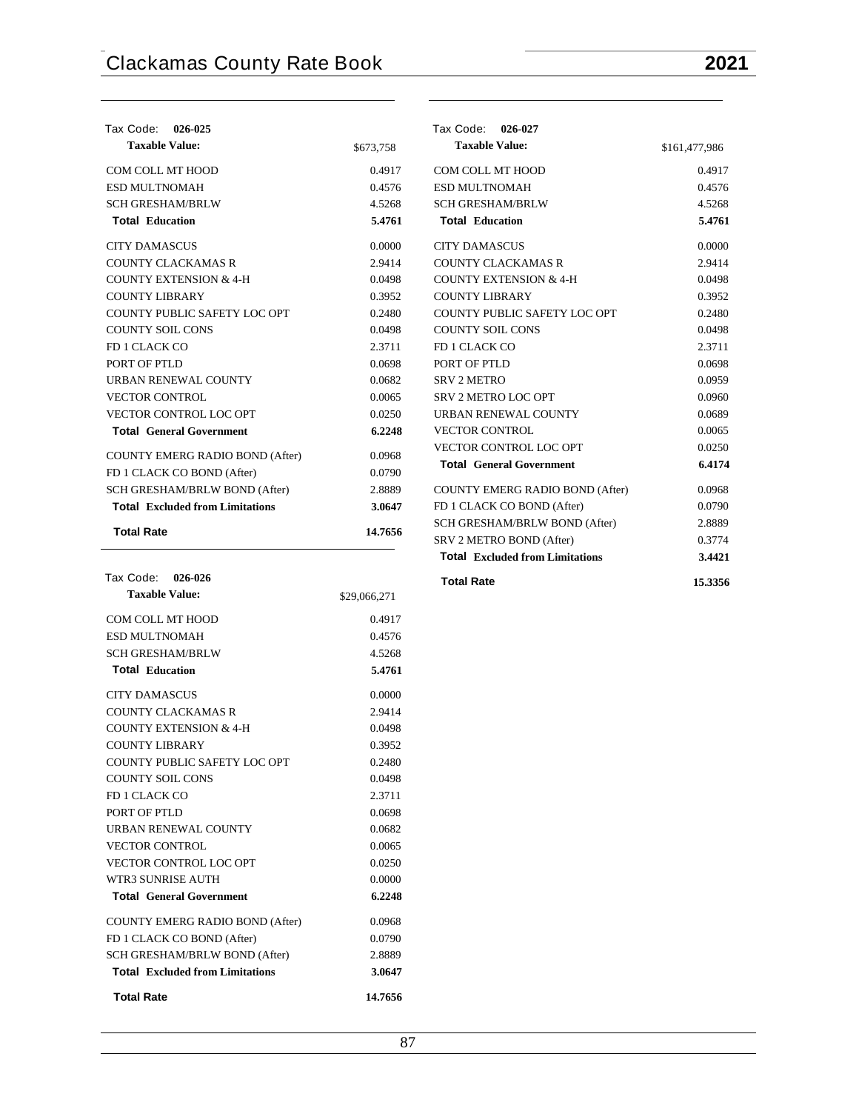| Tax Code: 026-025                      |           |
|----------------------------------------|-----------|
| <b>Taxable Value:</b>                  | \$673,758 |
| COM COLL MT HOOD                       | 0.4917    |
| <b>ESD MULTNOMAH</b>                   | 0.4576    |
| <b>SCH GRESHAM/BRLW</b>                | 4.5268    |
| <b>Total Education</b>                 | 5.4761    |
| <b>CITY DAMASCUS</b>                   | 0.0000    |
| COUNTY CLACKAMAS R                     | 2.9414    |
| <b>COUNTY EXTENSION &amp; 4-H</b>      | 0.0498    |
| <b>COUNTY LIBRARY</b>                  | 0.3952    |
| COUNTY PUBLIC SAFETY LOC OPT           | 0.2480    |
| <b>COUNTY SOIL CONS</b>                | 0.0498    |
| <b>FD 1 CLACK CO</b>                   | 2.3711    |
| PORT OF PTLD                           | 0.0698    |
| <b>URBAN RENEWAL COUNTY</b>            | 0.0682    |
| <b>VECTOR CONTROL</b>                  | 0.0065    |
| <b>VECTOR CONTROL LOC OPT</b>          | 0.0250    |
| <b>Total General Government</b>        | 6.2248    |
| COUNTY EMERG RADIO BOND (After)        | 0.0968    |
| FD 1 CLACK CO BOND (After)             | 0.0790    |
| SCH GRESHAM/BRLW BOND (After)          | 2.8889    |
| <b>Total</b> Excluded from Limitations | 3.0647    |
| <b>Total Rate</b>                      | 14.7656   |

| Tax Code: 026-026                      |              |
|----------------------------------------|--------------|
| <b>Taxable Value:</b>                  | \$29,066,271 |
| COM COLL MT HOOD                       | 0.4917       |
| <b>ESD MULTNOMAH</b>                   | 0.4576       |
| <b>SCH GRESHAM/BRLW</b>                | 4.5268       |
| <b>Total Education</b>                 | 5.4761       |
| <b>CITY DAMASCUS</b>                   | 0.0000       |
| COUNTY CLACKAMAS R                     | 2.9414       |
| COUNTY EXTENSION & 4-H                 | 0.0498       |
| COUNTY LIBRARY                         | 0.3952       |
| COUNTY PUBLIC SAFETY LOC OPT           | 0.2480       |
| <b>COUNTY SOIL CONS</b>                | 0.0498       |
| FD 1 CLACK CO                          | 2.3711       |
| PORT OF PTLD                           | 0.0698       |
| <b>URBAN RENEWAL COUNTY</b>            | 0.0682       |
| <b>VECTOR CONTROL</b>                  | 0.0065       |
| <b>VECTOR CONTROL LOC OPT</b>          | 0.0250       |
| WTR3 SUNRISE AUTH                      | 0.0000       |
| <b>Total General Government</b>        | 6.2248       |
| <b>COUNTY EMERG RADIO BOND (After)</b> | 0.0968       |
| FD 1 CLACK CO BOND (After)             | 0.0790       |
| SCH GRESHAM/BRLW BOND (After)          | 2.8889       |
| <b>Total</b> Excluded from Limitations | 3.0647       |
| <b>Total Rate</b>                      | 14.7656      |

# **Tax Code: 026-027**

| <b>Taxable Value:</b>                  | \$161,477,986 |
|----------------------------------------|---------------|
| COM COLL MT HOOD                       | 0.4917        |
| <b>ESD MULTNOMAH</b>                   | 0.4576        |
| <b>SCH GRESHAM/BRLW</b>                | 4.5268        |
| <b>Total Education</b>                 | 5.4761        |
| <b>CITY DAMASCUS</b>                   | 0.0000        |
| COUNTY CLACKAMAS R                     | 2.9414        |
| <b>COUNTY EXTENSION &amp; 4-H</b>      | 0.0498        |
| <b>COUNTY LIBRARY</b>                  | 0.3952        |
| COUNTY PUBLIC SAFETY LOC OPT           | 0.2480        |
| COUNTY SOIL CONS                       | 0.0498        |
| FD 1 CLACK CO                          | 2.3711        |
| PORT OF PTLD                           | 0.0698        |
| <b>SRV 2 METRO</b>                     | 0.0959        |
| SRV 2 METRO LOC OPT                    | 0.0960        |
| URBAN RENEWAL COUNTY                   | 0.0689        |
| <b>VECTOR CONTROL</b>                  | 0.0065        |
| <b>VECTOR CONTROL LOC OPT</b>          | 0.0250        |
| <b>Total General Government</b>        | 6.4174        |
| COUNTY EMERG RADIO BOND (After)        | 0.0968        |
| FD 1 CLACK CO BOND (After)             | 0.0790        |
| <b>SCH GRESHAM/BRLW BOND (After)</b>   | 2.8889        |
| SRV 2 METRO BOND (After)               | 0.3774        |
| <b>Total Excluded from Limitations</b> | 3.4421        |
| <b>Total Rate</b>                      | 15.3356       |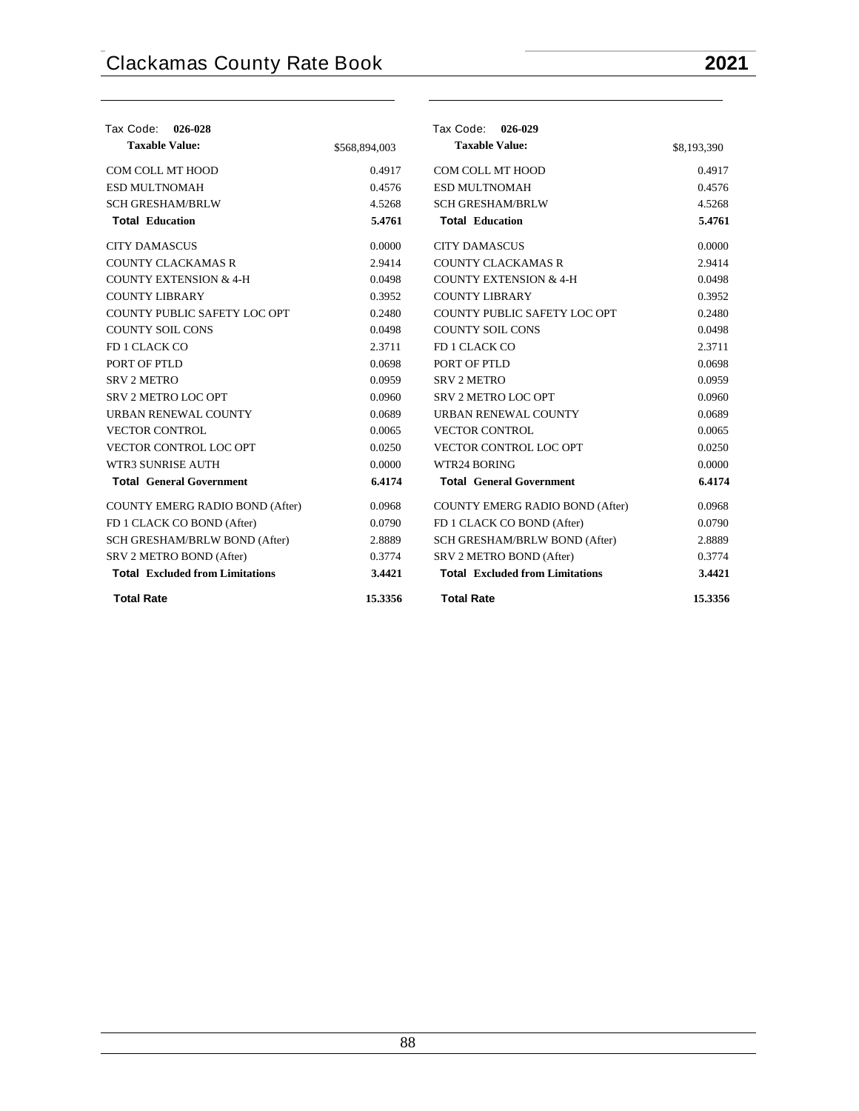| Tax Code:<br>026-028                   |               | Tax Code: 026-029                      |             |
|----------------------------------------|---------------|----------------------------------------|-------------|
| <b>Taxable Value:</b>                  | \$568,894,003 | <b>Taxable Value:</b>                  | \$8,193,390 |
| COM COLL MT HOOD                       | 0.4917        | COM COLL MT HOOD                       | 0.4917      |
| <b>ESD MULTNOMAH</b>                   | 0.4576        | <b>ESD MULTNOMAH</b>                   | 0.4576      |
| <b>SCH GRESHAM/BRLW</b>                | 4.5268        | <b>SCH GRESHAM/BRLW</b>                | 4.5268      |
| <b>Total Education</b>                 | 5.4761        | <b>Total Education</b>                 | 5.4761      |
| <b>CITY DAMASCUS</b>                   | 0.0000        | <b>CITY DAMASCUS</b>                   | 0.0000      |
| <b>COUNTY CLACKAMAS R</b>              | 2.9414        | <b>COUNTY CLACKAMAS R</b>              | 2.9414      |
| <b>COUNTY EXTENSION &amp; 4-H</b>      | 0.0498        | <b>COUNTY EXTENSION &amp; 4-H</b>      | 0.0498      |
| <b>COUNTY LIBRARY</b>                  | 0.3952        | <b>COUNTY LIBRARY</b>                  | 0.3952      |
| COUNTY PUBLIC SAFETY LOC OPT           | 0.2480        | COUNTY PUBLIC SAFETY LOC OPT           | 0.2480      |
| <b>COUNTY SOIL CONS</b>                | 0.0498        | <b>COUNTY SOIL CONS</b>                | 0.0498      |
| FD 1 CLACK CO                          | 2.3711        | FD 1 CLACK CO                          | 2.3711      |
| PORT OF PTLD                           | 0.0698        | PORT OF PTLD                           | 0.0698      |
| <b>SRV 2 METRO</b>                     | 0.0959        | <b>SRV 2 METRO</b>                     | 0.0959      |
| <b>SRV 2 METRO LOC OPT</b>             | 0.0960        | <b>SRV 2 METRO LOC OPT</b>             | 0.0960      |
| URBAN RENEWAL COUNTY                   | 0.0689        | URBAN RENEWAL COUNTY                   | 0.0689      |
| <b>VECTOR CONTROL</b>                  | 0.0065        | <b>VECTOR CONTROL</b>                  | 0.0065      |
| VECTOR CONTROL LOC OPT                 | 0.0250        | VECTOR CONTROL LOC OPT                 | 0.0250      |
| <b>WTR3 SUNRISE AUTH</b>               | 0.0000        | WTR24 BORING                           | 0.0000      |
| <b>Total General Government</b>        | 6.4174        | <b>Total General Government</b>        | 6.4174      |
| COUNTY EMERG RADIO BOND (After)        | 0.0968        | <b>COUNTY EMERG RADIO BOND (After)</b> | 0.0968      |
| FD 1 CLACK CO BOND (After)             | 0.0790        | FD 1 CLACK CO BOND (After)             | 0.0790      |
| SCH GRESHAM/BRLW BOND (After)          | 2.8889        | SCH GRESHAM/BRLW BOND (After)          | 2.8889      |
| SRV 2 METRO BOND (After)               | 0.3774        | SRV 2 METRO BOND (After)               | 0.3774      |
| <b>Total Excluded from Limitations</b> | 3.4421        | <b>Total Excluded from Limitations</b> | 3.4421      |
| <b>Total Rate</b>                      | 15.3356       | <b>Total Rate</b>                      | 15.3356     |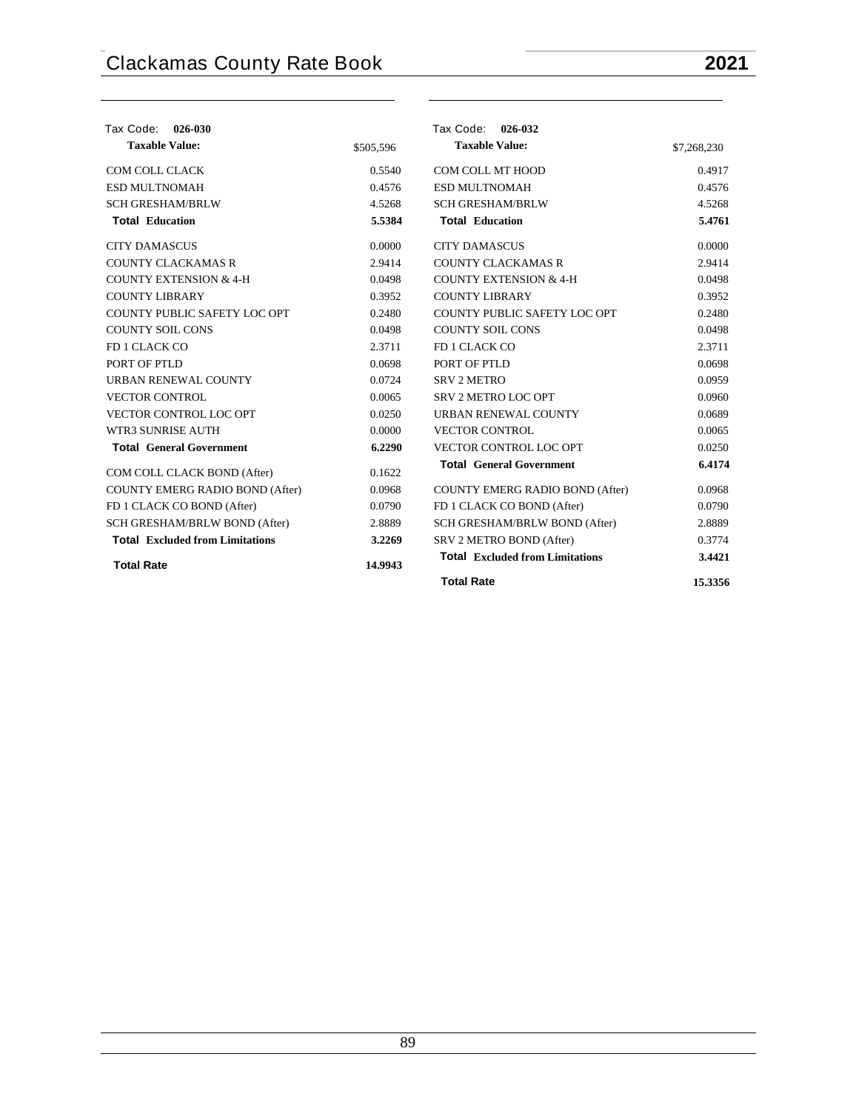| Tax Code: 026-030                      |           | Tax Code: 026-032                      |             |
|----------------------------------------|-----------|----------------------------------------|-------------|
| <b>Taxable Value:</b>                  | \$505,596 | <b>Taxable Value:</b>                  | \$7,268,230 |
| COM COLL CLACK                         | 0.5540    | COM COLL MT HOOD                       | 0.4917      |
| <b>ESD MULTNOMAH</b>                   | 0.4576    | <b>ESD MULTNOMAH</b>                   | 0.4576      |
| <b>SCH GRESHAM/BRLW</b>                | 4.5268    | <b>SCH GRESHAM/BRLW</b>                | 4.5268      |
| <b>Total Education</b>                 | 5.5384    | <b>Total Education</b>                 | 5.4761      |
| <b>CITY DAMASCUS</b>                   | 0.0000    | <b>CITY DAMASCUS</b>                   | 0.0000      |
| <b>COUNTY CLACKAMAS R</b>              | 2.9414    | <b>COUNTY CLACKAMAS R</b>              | 2.9414      |
| <b>COUNTY EXTENSION &amp; 4-H</b>      | 0.0498    | <b>COUNTY EXTENSION &amp; 4-H</b>      | 0.0498      |
| <b>COUNTY LIBRARY</b>                  | 0.3952    | <b>COUNTY LIBRARY</b>                  | 0.3952      |
| COUNTY PUBLIC SAFETY LOC OPT           | 0.2480    | COUNTY PUBLIC SAFETY LOC OPT           | 0.2480      |
| <b>COUNTY SOIL CONS</b>                | 0.0498    | <b>COUNTY SOIL CONS</b>                | 0.0498      |
| FD 1 CLACK CO                          | 2.3711    | FD 1 CLACK CO                          | 2.3711      |
| PORT OF PTLD                           | 0.0698    | PORT OF PTLD                           | 0.0698      |
| URBAN RENEWAL COUNTY                   | 0.0724    | <b>SRV 2 METRO</b>                     | 0.0959      |
| <b>VECTOR CONTROL</b>                  | 0.0065    | <b>SRV 2 METRO LOC OPT</b>             | 0.0960      |
| VECTOR CONTROL LOC OPT                 | 0.0250    | <b>URBAN RENEWAL COUNTY</b>            | 0.0689      |
| WTR3 SUNRISE AUTH                      | 0.0000    | <b>VECTOR CONTROL</b>                  | 0.0065      |
| <b>Total General Government</b>        | 6.2290    | VECTOR CONTROL LOC OPT                 | 0.0250      |
| COM COLL CLACK BOND (After)            | 0.1622    | <b>Total General Government</b>        | 6.4174      |
| COUNTY EMERG RADIO BOND (After)        | 0.0968    | <b>COUNTY EMERG RADIO BOND (After)</b> | 0.0968      |
| FD 1 CLACK CO BOND (After)             | 0.0790    | FD 1 CLACK CO BOND (After)             | 0.0790      |
| SCH GRESHAM/BRLW BOND (After)          | 2.8889    | SCH GRESHAM/BRLW BOND (After)          | 2.8889      |
| <b>Total Excluded from Limitations</b> | 3.2269    | SRV 2 METRO BOND (After)               | 0.3774      |
| <b>Total Rate</b>                      | 14.9943   | <b>Total</b> Excluded from Limitations | 3.4421      |
|                                        |           | <b>Total Rate</b>                      | 15.3356     |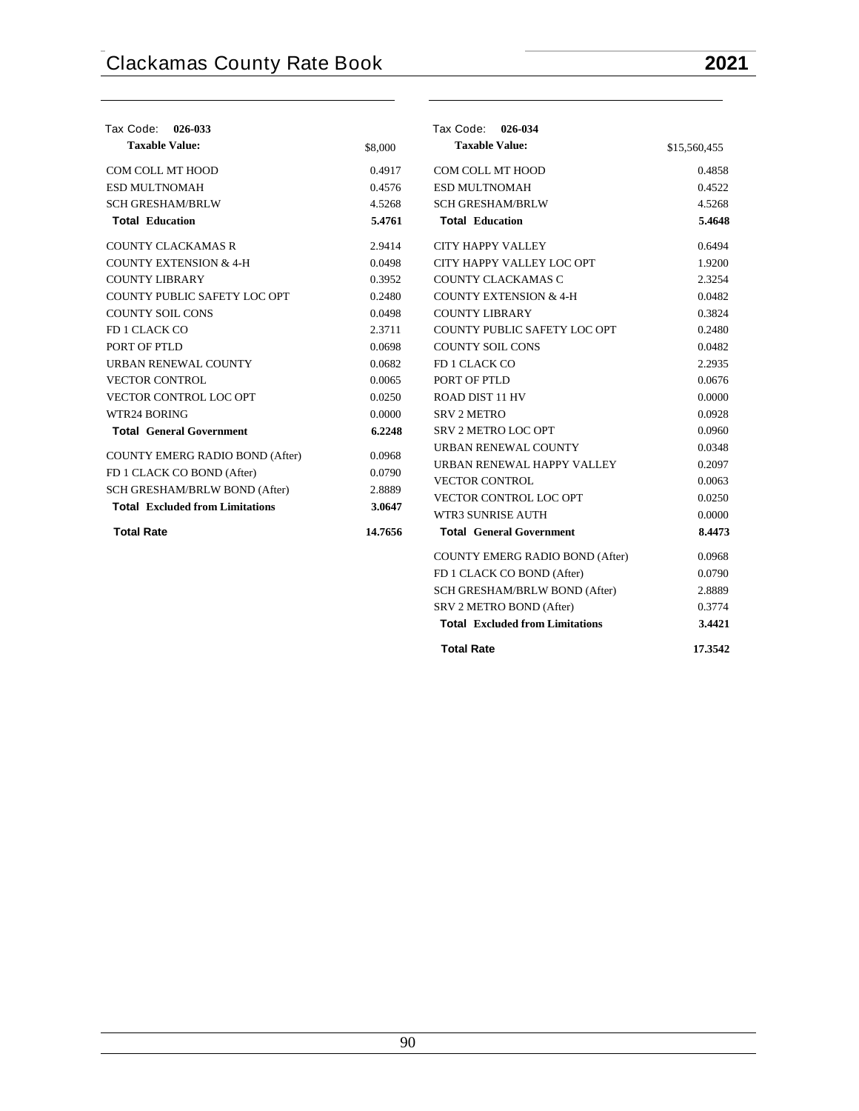| Tax Code: 026-033                      |         | Tax Code: 026-034                      |              |
|----------------------------------------|---------|----------------------------------------|--------------|
| <b>Taxable Value:</b>                  | \$8,000 | <b>Taxable Value:</b>                  | \$15,560,455 |
| COM COLL MT HOOD                       | 0.4917  | COM COLL MT HOOD                       | 0.4858       |
| <b>ESD MULTNOMAH</b>                   | 0.4576  | <b>ESD MULTNOMAH</b>                   | 0.4522       |
| <b>SCH GRESHAM/BRLW</b>                | 4.5268  | <b>SCH GRESHAM/BRLW</b>                | 4.5268       |
| <b>Total Education</b>                 | 5.4761  | <b>Total Education</b>                 | 5.4648       |
| <b>COUNTY CLACKAMAS R</b>              | 2.9414  | <b>CITY HAPPY VALLEY</b>               | 0.6494       |
| <b>COUNTY EXTENSION &amp; 4-H</b>      | 0.0498  | CITY HAPPY VALLEY LOC OPT              | 1.9200       |
| <b>COUNTY LIBRARY</b>                  | 0.3952  | COUNTY CLACKAMAS C                     | 2.3254       |
| COUNTY PUBLIC SAFETY LOC OPT           | 0.2480  | <b>COUNTY EXTENSION &amp; 4-H</b>      | 0.0482       |
| <b>COUNTY SOIL CONS</b>                | 0.0498  | <b>COUNTY LIBRARY</b>                  | 0.3824       |
| FD 1 CLACK CO                          | 2.3711  | COUNTY PUBLIC SAFETY LOC OPT           | 0.2480       |
| PORT OF PTLD                           | 0.0698  | <b>COUNTY SOIL CONS</b>                | 0.0482       |
| URBAN RENEWAL COUNTY                   | 0.0682  | FD 1 CLACK CO                          | 2.2935       |
| <b>VECTOR CONTROL</b>                  | 0.0065  | PORT OF PTLD                           | 0.0676       |
| VECTOR CONTROL LOC OPT                 | 0.0250  | <b>ROAD DIST 11 HV</b>                 | 0.0000       |
| WTR24 BORING                           | 0.0000  | <b>SRV 2 METRO</b>                     | 0.0928       |
| <b>Total General Government</b>        | 6.2248  | <b>SRV 2 METRO LOC OPT</b>             | 0.0960       |
| COUNTY EMERG RADIO BOND (After)        | 0.0968  | URBAN RENEWAL COUNTY                   | 0.0348       |
| FD 1 CLACK CO BOND (After)             | 0.0790  | URBAN RENEWAL HAPPY VALLEY             | 0.2097       |
| SCH GRESHAM/BRLW BOND (After)          | 2.8889  | <b>VECTOR CONTROL</b>                  | 0.0063       |
| <b>Total</b> Excluded from Limitations | 3.0647  | VECTOR CONTROL LOC OPT                 | 0.0250       |
|                                        |         | WTR3 SUNRISE AUTH                      | 0.0000       |
| <b>Total Rate</b>                      | 14.7656 | <b>Total General Government</b>        | 8.4473       |
|                                        |         | COUNTY EMERG RADIO BOND (After)        | 0.0968       |
|                                        |         | FD 1 CLACK CO BOND (After)             | 0.0790       |
|                                        |         | SCH GRESHAM/BRLW BOND (After)          | 2.8889       |
|                                        |         | SRV 2 METRO BOND (After)               | 0.3774       |
|                                        |         | <b>Total Excluded from Limitations</b> | 3.4421       |
|                                        |         | <b>Total Rate</b>                      | 17.3542      |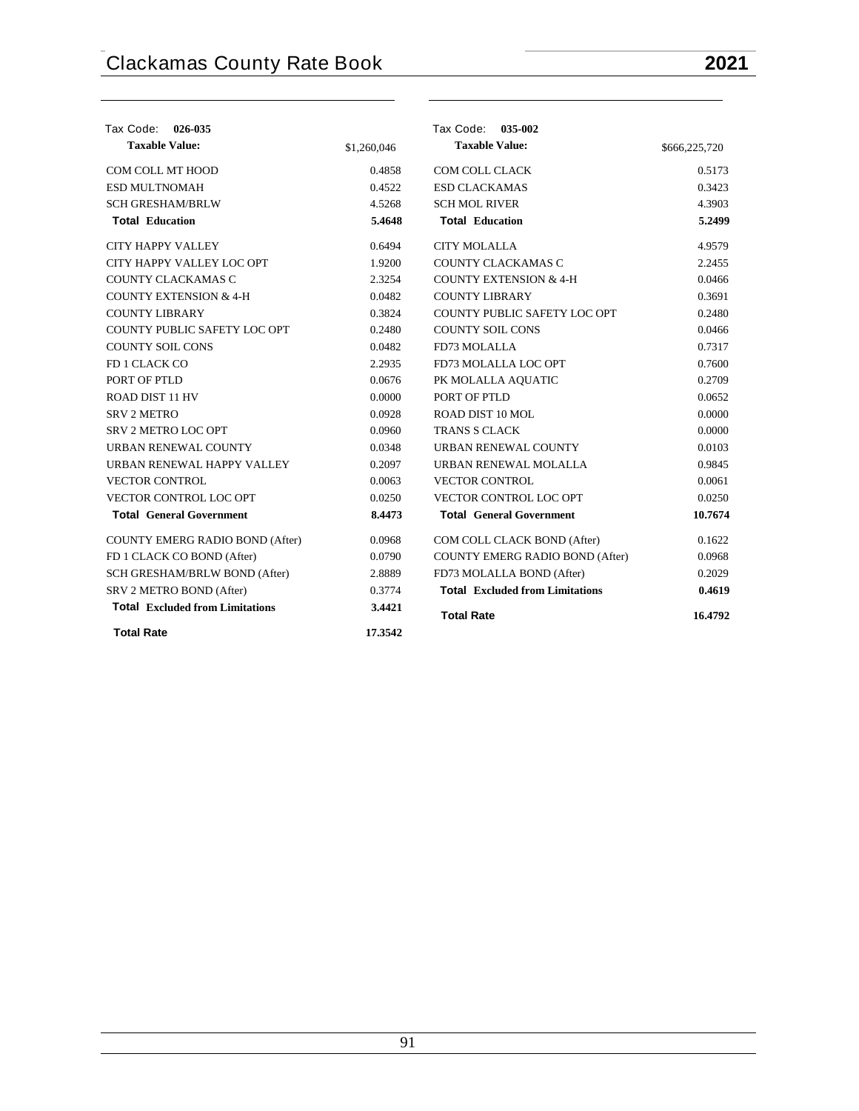| Tax Code: 026-035                      |             | Tax Code: 035-002                      |               |
|----------------------------------------|-------------|----------------------------------------|---------------|
| <b>Taxable Value:</b>                  | \$1,260,046 | <b>Taxable Value:</b>                  | \$666,225,720 |
| COM COLL MT HOOD                       | 0.4858      | <b>COM COLL CLACK</b>                  | 0.5173        |
| <b>ESD MULTNOMAH</b>                   | 0.4522      | <b>ESD CLACKAMAS</b>                   | 0.3423        |
| <b>SCH GRESHAM/BRLW</b>                | 4.5268      | <b>SCH MOL RIVER</b>                   | 4.3903        |
| <b>Total Education</b>                 | 5.4648      | <b>Total Education</b>                 | 5.2499        |
| <b>CITY HAPPY VALLEY</b>               | 0.6494      | <b>CITY MOLALLA</b>                    | 4.9579        |
| CITY HAPPY VALLEY LOC OPT              | 1.9200      | COUNTY CLACKAMAS C                     | 2.2455        |
| COUNTY CLACKAMAS C                     | 2.3254      | <b>COUNTY EXTENSION &amp; 4-H</b>      | 0.0466        |
| <b>COUNTY EXTENSION &amp; 4-H</b>      | 0.0482      | <b>COUNTY LIBRARY</b>                  | 0.3691        |
| <b>COUNTY LIBRARY</b>                  | 0.3824      | COUNTY PUBLIC SAFETY LOC OPT           | 0.2480        |
| COUNTY PUBLIC SAFETY LOC OPT           | 0.2480      | <b>COUNTY SOIL CONS</b>                | 0.0466        |
| <b>COUNTY SOIL CONS</b>                | 0.0482      | FD73 MOLALLA                           | 0.7317        |
| FD 1 CLACK CO                          | 2.2935      | FD73 MOLALLA LOC OPT                   | 0.7600        |
| PORT OF PTLD                           | 0.0676      | PK MOLALLA AQUATIC                     | 0.2709        |
| <b>ROAD DIST 11 HV</b>                 | 0.0000      | PORT OF PTLD                           | 0.0652        |
| <b>SRV 2 METRO</b>                     | 0.0928      | ROAD DIST 10 MOL                       | 0.0000        |
| <b>SRV 2 METRO LOC OPT</b>             | 0.0960      | <b>TRANS S CLACK</b>                   | 0.0000        |
| URBAN RENEWAL COUNTY                   | 0.0348      | URBAN RENEWAL COUNTY                   | 0.0103        |
| URBAN RENEWAL HAPPY VALLEY             | 0.2097      | URBAN RENEWAL MOLALLA                  | 0.9845        |
| <b>VECTOR CONTROL</b>                  | 0.0063      | <b>VECTOR CONTROL</b>                  | 0.0061        |
| VECTOR CONTROL LOC OPT                 | 0.0250      | VECTOR CONTROL LOC OPT                 | 0.0250        |
| <b>Total General Government</b>        | 8.4473      | <b>Total General Government</b>        | 10.7674       |
| <b>COUNTY EMERG RADIO BOND (After)</b> | 0.0968      | COM COLL CLACK BOND (After)            | 0.1622        |
| FD 1 CLACK CO BOND (After)             | 0.0790      | COUNTY EMERG RADIO BOND (After)        | 0.0968        |
| SCH GRESHAM/BRLW BOND (After)          | 2.8889      | FD73 MOLALLA BOND (After)              | 0.2029        |
| SRV 2 METRO BOND (After)               | 0.3774      | <b>Total Excluded from Limitations</b> | 0.4619        |
| <b>Total Excluded from Limitations</b> | 3.4421      | <b>Total Rate</b>                      | 16.4792       |
| <b>Total Rate</b>                      | 17.3542     |                                        |               |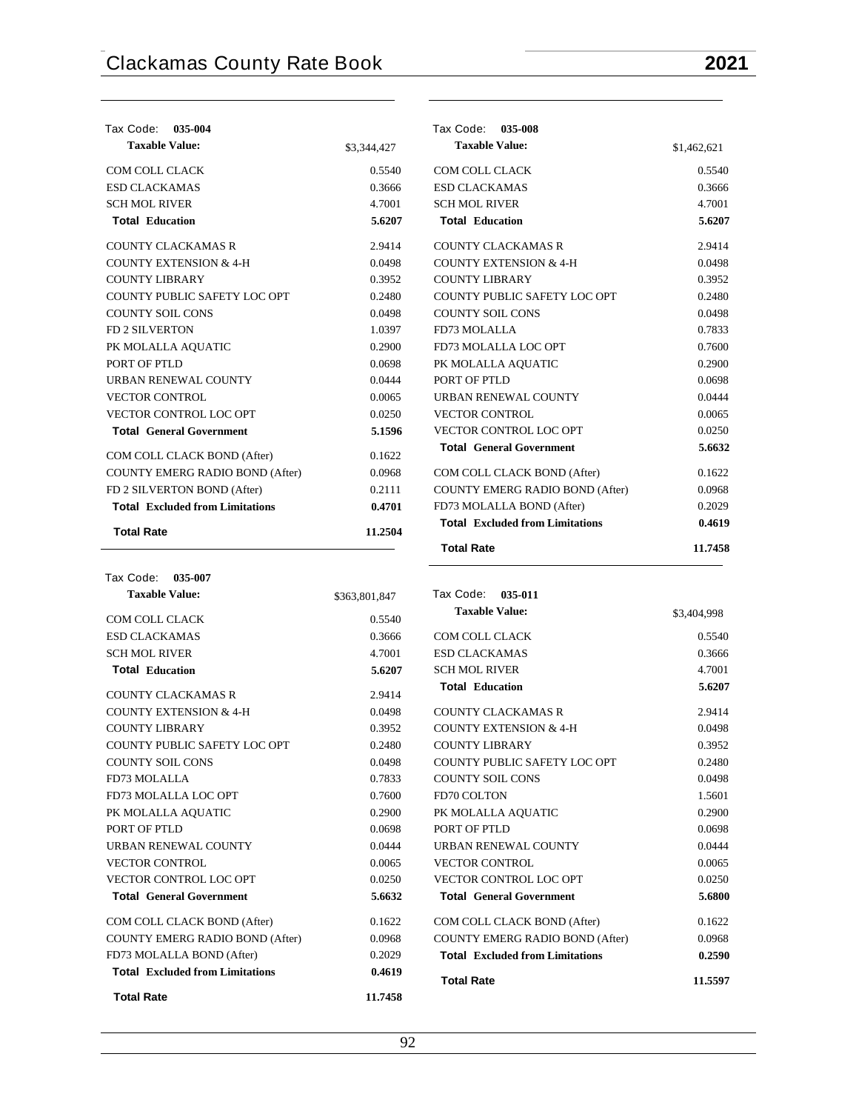| Tax Code:<br>035-004                   |             | Tax Code:<br>035-008                   |             |
|----------------------------------------|-------------|----------------------------------------|-------------|
| <b>Taxable Value:</b>                  | \$3,344,427 | <b>Taxable Value:</b>                  | \$1,462,621 |
| COM COLL CLACK                         | 0.5540      | COM COLL CLACK                         | 0.5540      |
| <b>ESD CLACKAMAS</b>                   | 0.3666      | <b>ESD CLACKAMAS</b>                   | 0.3666      |
| <b>SCH MOL RIVER</b>                   | 4.7001      | <b>SCH MOL RIVER</b>                   | 4.7001      |
| <b>Total Education</b>                 | 5.6207      | <b>Total Education</b>                 | 5.6207      |
| <b>COUNTY CLACKAMAS R</b>              | 2.9414      | <b>COUNTY CLACKAMAS R</b>              | 2.9414      |
| <b>COUNTY EXTENSION &amp; 4-H</b>      | 0.0498      | <b>COUNTY EXTENSION &amp; 4-H</b>      | 0.0498      |
| <b>COUNTY LIBRARY</b>                  | 0.3952      | <b>COUNTY LIBRARY</b>                  | 0.3952      |
| COUNTY PUBLIC SAFETY LOC OPT           | 0.2480      | COUNTY PUBLIC SAFETY LOC OPT           | 0.2480      |
| <b>COUNTY SOIL CONS</b>                | 0.0498      | <b>COUNTY SOIL CONS</b>                | 0.0498      |
| <b>FD 2 SILVERTON</b>                  | 1.0397      | FD73 MOLALLA                           | 0.7833      |
| PK MOLALLA AQUATIC                     | 0.2900      | FD73 MOLALLA LOC OPT                   | 0.7600      |
| PORT OF PTLD                           | 0.0698      | PK MOLALLA AQUATIC                     | 0.2900      |
| URBAN RENEWAL COUNTY                   | 0.0444      | PORT OF PTLD                           | 0.0698      |
| <b>VECTOR CONTROL</b>                  | 0.0065      | URBAN RENEWAL COUNTY                   | 0.0444      |
| VECTOR CONTROL LOC OPT                 | 0.0250      | <b>VECTOR CONTROL</b>                  | 0.0065      |
| <b>Total General Government</b>        | 5.1596      | VECTOR CONTROL LOC OPT                 | 0.0250      |
| COM COLL CLACK BOND (After)            | 0.1622      | <b>Total General Government</b>        | 5.6632      |
| COUNTY EMERG RADIO BOND (After)        | 0.0968      | COM COLL CLACK BOND (After)            | 0.1622      |
| FD 2 SILVERTON BOND (After)            | 0.2111      | <b>COUNTY EMERG RADIO BOND (After)</b> | 0.0968      |
| <b>Total Excluded from Limitations</b> | 0.4701      | FD73 MOLALLA BOND (After)              | 0.2029      |
| <b>Total Rate</b>                      | 11.2504     | <b>Total</b> Excluded from Limitations | 0.4619      |
|                                        |             | <b>Total Rate</b>                      | 11.7458     |

| Tax Code: 035-007                      |               |
|----------------------------------------|---------------|
| <b>Taxable Value:</b>                  | \$363,801,847 |
| COM COLL CLACK                         | 0.5540        |
| <b>ESD CLACKAMAS</b>                   | 0.3666        |
| <b>SCH MOL RIVER</b>                   | 4.7001        |
| <b>Total Education</b>                 | 5.6207        |
| <b>COUNTY CLACKAMAS R</b>              | 2.9414        |
| <b>COUNTY EXTENSION &amp; 4-H</b>      | 0.0498        |
| <b>COUNTY LIBRARY</b>                  | 0.3952        |
| COUNTY PUBLIC SAFETY LOC OPT           | 0.2480        |
| <b>COUNTY SOIL CONS</b>                | 0.0498        |
| FD73 MOLALLA                           | 0.7833        |
| FD73 MOLALLA LOC OPT                   | 0.7600        |
| PK MOLALLA AQUATIC                     | 0.2900        |
| PORT OF PTLD                           | 0.0698        |
| <b>URBAN RENEWAL COUNTY</b>            | 0.0444        |
| <b>VECTOR CONTROL</b>                  | 0.0065        |
| VECTOR CONTROL LOC OPT                 | 0.0250        |
| <b>Total General Government</b>        | 5.6632        |
| COM COLL CLACK BOND (After)            | 0.1622        |
| COUNTY EMERG RADIO BOND (After)        | 0.0968        |
| FD73 MOLALLA BOND (After)              | 0.2029        |
| <b>Total</b> Excluded from Limitations | 0.4619        |
| <b>Total Rate</b>                      | 11.7458       |

| Tax Code: 035-011                      |             |
|----------------------------------------|-------------|
| <b>Taxable Value:</b>                  | \$3,404,998 |
| COM COLL CLACK                         | 0.5540      |
| <b>ESD CLACKAMAS</b>                   | 0.3666      |
| <b>SCH MOL RIVER</b>                   | 4.7001      |
| <b>Total Education</b>                 | 5.6207      |
| COUNTY CLACKAMAS R                     | 2.9414      |
| <b>COUNTY EXTENSION &amp; 4-H</b>      | 0.0498      |
| <b>COUNTY LIBRARY</b>                  | 0.3952      |
| COUNTY PUBLIC SAFETY LOC OPT           | 0.2480      |
| <b>COUNTY SOIL CONS</b>                | 0.0498      |
| <b>FD70 COLTON</b>                     | 1.5601      |
| PK MOLALLA AQUATIC                     | 0.2900      |
| PORT OF PTLD                           | 0.0698      |
| URBAN RENEWAL COUNTY                   | 0.0444      |
| <b>VECTOR CONTROL</b>                  | 0.0065      |
| <b>VECTOR CONTROL LOC OPT</b>          | 0.0250      |
| <b>Total General Government</b>        | 5.6800      |
| COM COLL CLACK BOND (After)            | 0.1622      |
| COUNTY EMERG RADIO BOND (After)        | 0.0968      |
| <b>Total Excluded from Limitations</b> | 0.2590      |

**Total Rate 11.5597**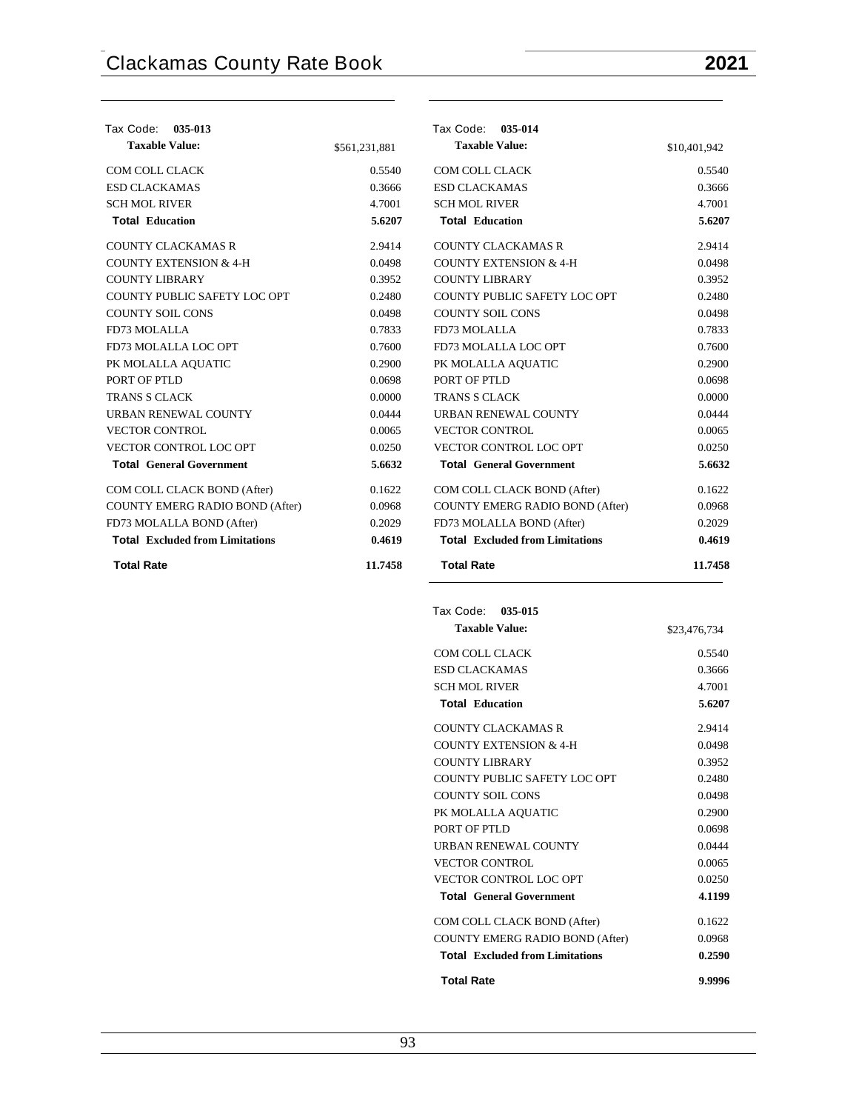| Tax Code: 035-013                      |               | Tax Code: 035-014                      |              |
|----------------------------------------|---------------|----------------------------------------|--------------|
| <b>Taxable Value:</b>                  | \$561,231,881 | <b>Taxable Value:</b>                  | \$10,401,942 |
| COM COLL CLACK                         | 0.5540        | COM COLL CLACK                         | 0.5540       |
| <b>ESD CLACKAMAS</b>                   | 0.3666        | <b>ESD CLACKAMAS</b>                   | 0.3666       |
| <b>SCH MOL RIVER</b>                   | 4.7001        | <b>SCH MOL RIVER</b>                   | 4.7001       |
| <b>Total Education</b>                 | 5.6207        | <b>Total Education</b>                 | 5.6207       |
| <b>COUNTY CLACKAMAS R</b>              | 2.9414        | <b>COUNTY CLACKAMAS R</b>              | 2.9414       |
| <b>COUNTY EXTENSION &amp; 4-H</b>      | 0.0498        | <b>COUNTY EXTENSION &amp; 4-H</b>      | 0.0498       |
| <b>COUNTY LIBRARY</b>                  | 0.3952        | <b>COUNTY LIBRARY</b>                  | 0.3952       |
| COUNTY PUBLIC SAFETY LOC OPT           | 0.2480        | COUNTY PUBLIC SAFETY LOC OPT           | 0.2480       |
| <b>COUNTY SOIL CONS</b>                | 0.0498        | <b>COUNTY SOIL CONS</b>                | 0.0498       |
| FD73 MOLALLA                           | 0.7833        | FD73 MOLALLA                           | 0.7833       |
| FD73 MOLALLA LOC OPT                   | 0.7600        | FD73 MOLALLA LOC OPT                   | 0.7600       |
| PK MOLALLA AQUATIC                     | 0.2900        | PK MOLALLA AQUATIC                     | 0.2900       |
| PORT OF PTLD                           | 0.0698        | PORT OF PTLD                           | 0.0698       |
| <b>TRANS S CLACK</b>                   | 0.0000        | <b>TRANS S CLACK</b>                   | 0.0000       |
| URBAN RENEWAL COUNTY                   | 0.0444        | URBAN RENEWAL COUNTY                   | 0.0444       |
| <b>VECTOR CONTROL</b>                  | 0.0065        | <b>VECTOR CONTROL</b>                  | 0.0065       |
| VECTOR CONTROL LOC OPT                 | 0.0250        | VECTOR CONTROL LOC OPT                 | 0.0250       |
| <b>Total General Government</b>        | 5.6632        | <b>Total General Government</b>        | 5.6632       |
| COM COLL CLACK BOND (After)            | 0.1622        | COM COLL CLACK BOND (After)            | 0.1622       |
| COUNTY EMERG RADIO BOND (After)        | 0.0968        | COUNTY EMERG RADIO BOND (After)        | 0.0968       |
| FD73 MOLALLA BOND (After)              | 0.2029        | FD73 MOLALLA BOND (After)              | 0.2029       |
| <b>Total</b> Excluded from Limitations | 0.4619        | <b>Total</b> Excluded from Limitations | 0.4619       |
| <b>Total Rate</b>                      | 11.7458       | <b>Total Rate</b>                      | 11.7458      |

| Tax Code: 035-015                      |              |
|----------------------------------------|--------------|
| <b>Taxable Value:</b>                  | \$23,476,734 |
| COM COLL CLACK                         | 0.5540       |
| <b>ESD CLACKAMAS</b>                   | 0.3666       |
| <b>SCH MOL RIVER</b>                   | 4.7001       |
| <b>Total Education</b>                 | 5.6207       |
| COUNTY CLACKAMAS R                     | 2.9414       |
| <b>COUNTY EXTENSION &amp; 4-H</b>      | 0.0498       |
| <b>COUNTY LIBRARY</b>                  | 0.3952       |
| COUNTY PUBLIC SAFETY LOC OPT           | 0.2480       |
| <b>COUNTY SOIL CONS</b>                | 0.0498       |
| PK MOLALLA AQUATIC                     | 0.2900       |
| PORT OF PTLD                           | 0.0698       |
| URBAN RENEWAL COUNTY                   | 0.0444       |
| <b>VECTOR CONTROL</b>                  | 0.0065       |
| <b>VECTOR CONTROL LOC OPT</b>          | 0.0250       |
| <b>Total General Government</b>        | 4.1199       |
| COM COLL CLACK BOND (After)            | 0.1622       |
| <b>COUNTY EMERG RADIO BOND (After)</b> | 0.0968       |
| <b>Total</b> Excluded from Limitations | 0.2590       |
| <b>Total Rate</b>                      | 9.9996       |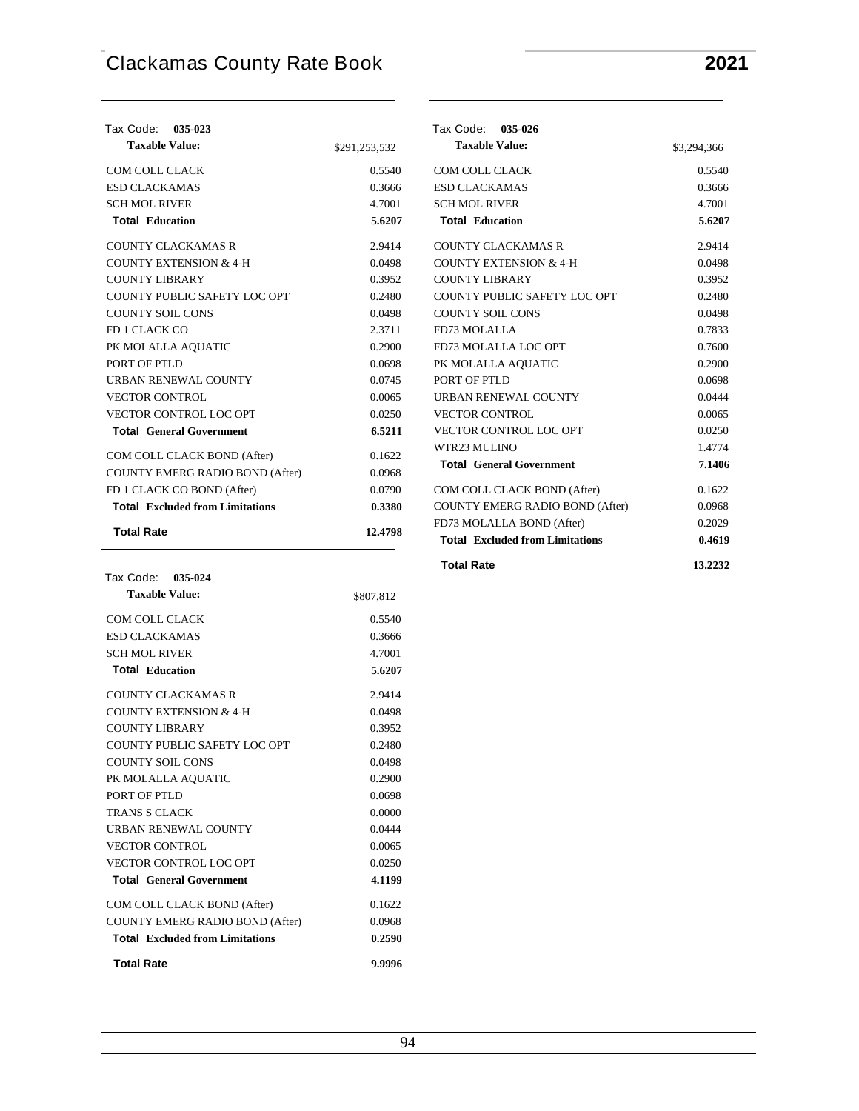| Tax Code: 035-023                      |               |
|----------------------------------------|---------------|
| <b>Taxable Value:</b>                  | \$291,253,532 |
| <b>COM COLL CLACK</b>                  | 0.5540        |
| <b>ESD CLACKAMAS</b>                   | 0.3666        |
| <b>SCH MOL RIVER</b>                   | 4.7001        |
| <b>Total Education</b>                 | 5.6207        |
| <b>COUNTY CLACKAMAS R</b>              | 2.9414        |
| <b>COUNTY EXTENSION &amp; 4-H</b>      | 0.0498        |
| <b>COUNTY LIBRARY</b>                  | 0.3952        |
| COUNTY PUBLIC SAFETY LOC OPT           | 0.2480        |
| <b>COUNTY SOIL CONS</b>                | 0.0498        |
| FD 1 CLACK CO                          | 2.3711        |
| PK MOLALLA AQUATIC                     | 0.2900        |
| PORT OF PTLD                           | 0.0698        |
| <b>URBAN RENEWAL COUNTY</b>            | 0.0745        |
| <b>VECTOR CONTROL</b>                  | 0.0065        |
| <b>VECTOR CONTROL LOC OPT</b>          | 0.0250        |
| <b>Total General Government</b>        | 6.5211        |
| COM COLL CLACK BOND (After)            | 0.1622        |
| COUNTY EMERG RADIO BOND (After)        | 0.0968        |
| FD 1 CLACK CO BOND (After)             | 0.0790        |
| <b>Total</b> Excluded from Limitations | 0.3380        |
| <b>Total Rate</b>                      | 12.4798       |

| Tax Code: 035-024                      |           |
|----------------------------------------|-----------|
| <b>Taxable Value:</b>                  | \$807,812 |
| COM COLL CLACK                         | 0.5540    |
| <b>ESD CLACKAMAS</b>                   | 0.3666    |
| <b>SCH MOL RIVER</b>                   | 4.7001    |
| <b>Total Education</b>                 | 5.6207    |
| <b>COUNTY CLACKAMAS R</b>              | 2.9414    |
| COUNTY EXTENSION & 4-H                 | 0.0498    |
| COUNTY LIBRARY                         | 0.3952    |
| COUNTY PUBLIC SAFETY LOC OPT           | 0.2480    |
| <b>COUNTY SOIL CONS</b>                | 0.0498    |
| PK MOLALLA AQUATIC                     | 0.2900    |
| PORT OF PTLD                           | 0.0698    |
| TRANS S CLACK                          | 0.0000    |
| <b>URBAN RENEWAL COUNTY</b>            | 0.0444    |
| <b>VECTOR CONTROL</b>                  | 0.0065    |
| <b>VECTOR CONTROL LOC OPT</b>          | 0.0250    |
| <b>Total General Government</b>        | 4.1199    |
| COM COLL CLACK BOND (After)            | 0.1622    |
| COUNTY EMERG RADIO BOND (After)        | 0.0968    |
| <b>Total</b> Excluded from Limitations | 0.2590    |
| <b>Total Rate</b>                      | 9.9996    |

| Tax Code: | 035-026 |
|-----------|---------|
|-----------|---------|

| <b>Taxable Value:</b>                  | \$3,294,366 |
|----------------------------------------|-------------|
| <b>COM COLL CLACK</b>                  | 0.5540      |
| <b>ESD CLACKAMAS</b>                   | 0.3666      |
| <b>SCH MOL RIVER</b>                   | 4.7001      |
| <b>Total Education</b>                 | 5.6207      |
| <b>COUNTY CLACKAMAS R</b>              | 2.9414      |
| <b>COUNTY EXTENSION &amp; 4-H</b>      | 0.0498      |
| <b>COUNTY LIBRARY</b>                  | 0.3952      |
| COUNTY PUBLIC SAFETY LOC OPT           | 0.2480      |
| <b>COUNTY SOIL CONS</b>                | 0.0498      |
| FD73 MOLALLA                           | 0.7833      |
| FD73 MOLALLA LOC OPT                   | 0.7600      |
| PK MOLALLA AQUATIC                     | 0.2900      |
| PORT OF PTLD                           | 0.0698      |
| <b>URBAN RENEWAL COUNTY</b>            | 0.0444      |
| <b>VECTOR CONTROL</b>                  | 0.0065      |
| VECTOR CONTROL LOC OPT                 | 0.0250      |
| WTR23 MULINO                           | 1.4774      |
| <b>Total General Government</b>        | 7.1406      |
| COM COLL CLACK BOND (After)            | 0.1622      |
| COUNTY EMERG RADIO BOND (After)        | 0.0968      |
| FD73 MOLALLA BOND (After)              | 0.2029      |
| <b>Total</b> Excluded from Limitations | 0.4619      |
| <b>Total Rate</b>                      | 13.2232     |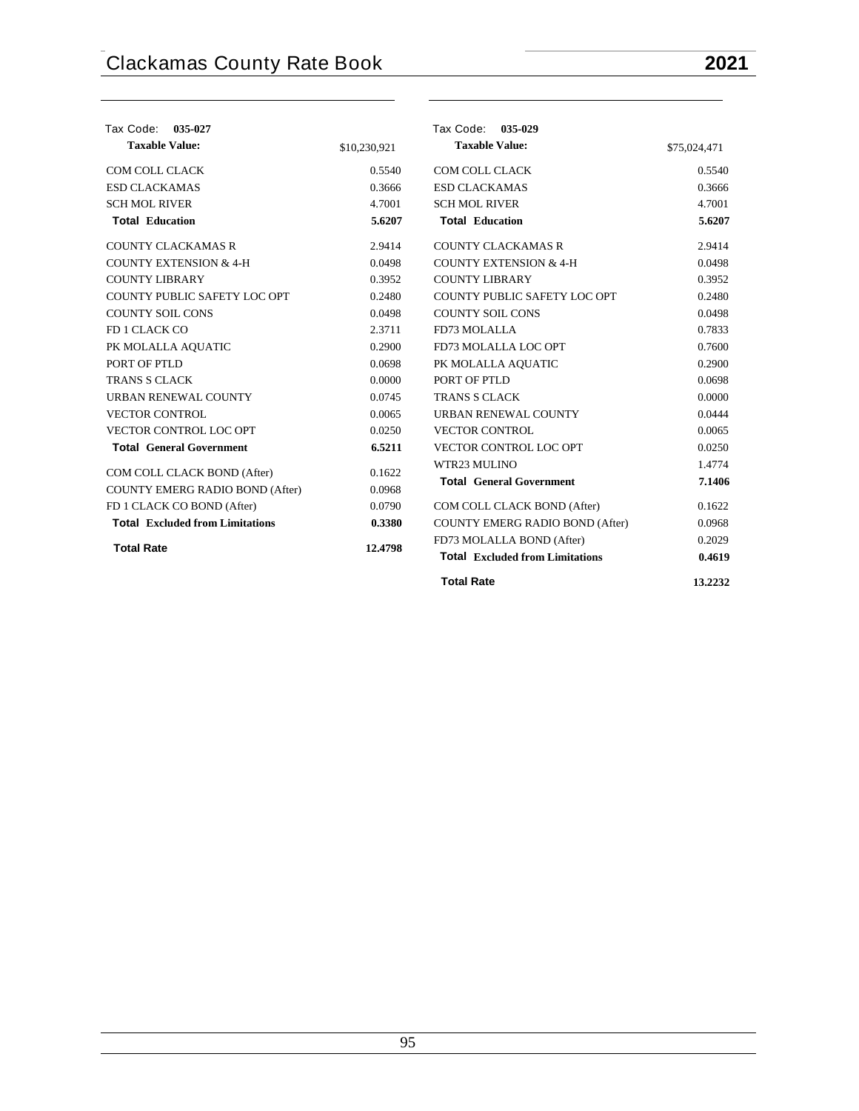| Tax Code: 035-027                      |              | Tax Code: 035-029                      |              |
|----------------------------------------|--------------|----------------------------------------|--------------|
| <b>Taxable Value:</b>                  | \$10,230,921 | <b>Taxable Value:</b>                  | \$75,024,471 |
| COM COLL CLACK                         | 0.5540       | COM COLL CLACK                         | 0.5540       |
| <b>ESD CLACKAMAS</b>                   | 0.3666       | <b>ESD CLACKAMAS</b>                   | 0.3666       |
| <b>SCH MOL RIVER</b>                   | 4.7001       | <b>SCH MOL RIVER</b>                   | 4.7001       |
| <b>Total Education</b>                 | 5.6207       | <b>Total Education</b>                 | 5.6207       |
| <b>COUNTY CLACKAMAS R</b>              | 2.9414       | <b>COUNTY CLACKAMAS R</b>              | 2.9414       |
| <b>COUNTY EXTENSION &amp; 4-H</b>      | 0.0498       | <b>COUNTY EXTENSION &amp; 4-H</b>      | 0.0498       |
| <b>COUNTY LIBRARY</b>                  | 0.3952       | <b>COUNTY LIBRARY</b>                  | 0.3952       |
| COUNTY PUBLIC SAFETY LOC OPT           | 0.2480       | COUNTY PUBLIC SAFETY LOC OPT           | 0.2480       |
| <b>COUNTY SOIL CONS</b>                | 0.0498       | <b>COUNTY SOIL CONS</b>                | 0.0498       |
| FD 1 CLACK CO                          | 2.3711       | FD73 MOLALLA                           | 0.7833       |
| PK MOLALLA AQUATIC                     | 0.2900       | FD73 MOLALLA LOC OPT                   | 0.7600       |
| PORT OF PTLD                           | 0.0698       | PK MOLALLA AQUATIC                     | 0.2900       |
| <b>TRANS S CLACK</b>                   | 0.0000       | PORT OF PTLD                           | 0.0698       |
| URBAN RENEWAL COUNTY                   | 0.0745       | <b>TRANS S CLACK</b>                   | 0.0000       |
| <b>VECTOR CONTROL</b>                  | 0.0065       | <b>URBAN RENEWAL COUNTY</b>            | 0.0444       |
| VECTOR CONTROL LOC OPT                 | 0.0250       | <b>VECTOR CONTROL</b>                  | 0.0065       |
| <b>Total General Government</b>        | 6.5211       | <b>VECTOR CONTROL LOC OPT</b>          | 0.0250       |
| COM COLL CLACK BOND (After)            | 0.1622       | WTR23 MULINO                           | 1.4774       |
| COUNTY EMERG RADIO BOND (After)        | 0.0968       | <b>Total General Government</b>        | 7.1406       |
| FD 1 CLACK CO BOND (After)             | 0.0790       | COM COLL CLACK BOND (After)            | 0.1622       |
| <b>Total Excluded from Limitations</b> | 0.3380       | <b>COUNTY EMERG RADIO BOND (After)</b> | 0.0968       |
|                                        |              | FD73 MOLALLA BOND (After)              | 0.2029       |
| <b>Total Rate</b>                      | 12.4798      | <b>Total</b> Excluded from Limitations | 0.4619       |
|                                        |              | <b>Total Rate</b>                      | 13.2232      |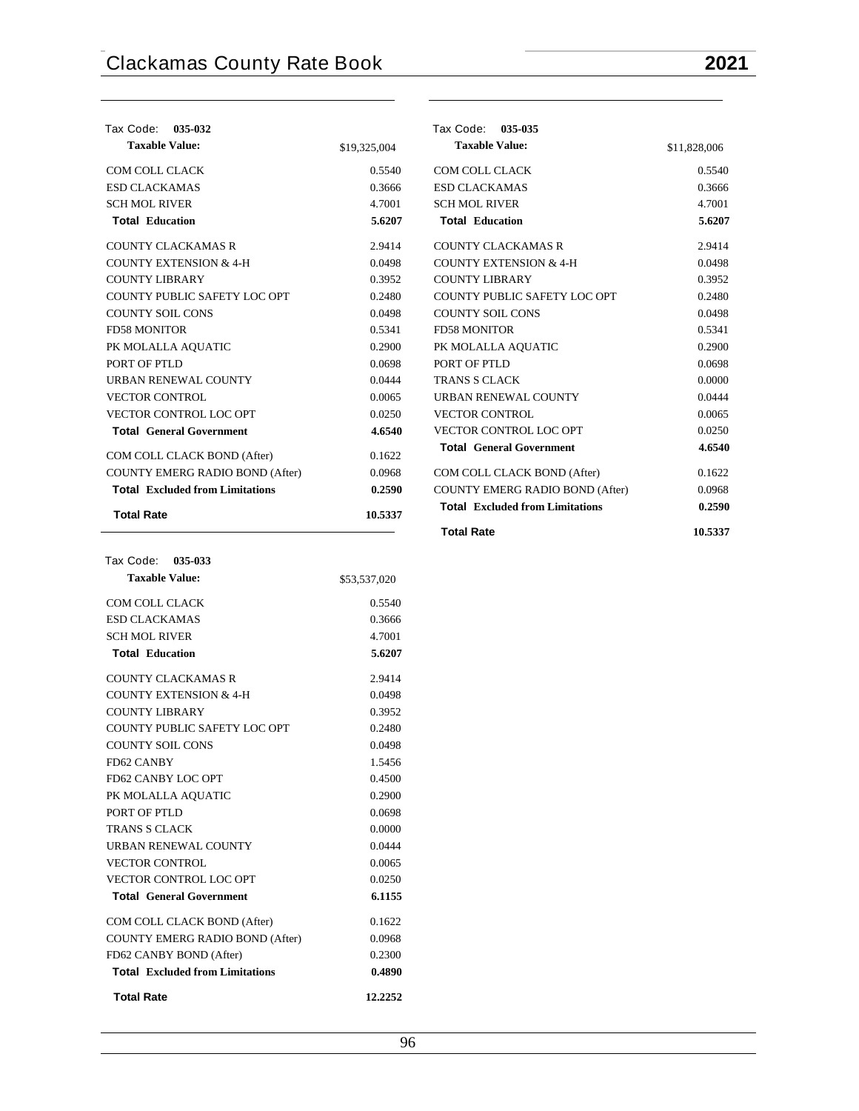| Tax Code: 035-032                      |              | Tax Code: 035-035                      |              |
|----------------------------------------|--------------|----------------------------------------|--------------|
| <b>Taxable Value:</b>                  | \$19,325,004 | <b>Taxable Value:</b>                  | \$11,828,006 |
| COM COLL CLACK                         | 0.5540       | COM COLL CLACK                         | 0.5540       |
| <b>ESD CLACKAMAS</b>                   | 0.3666       | <b>ESD CLACKAMAS</b>                   | 0.3666       |
| <b>SCH MOL RIVER</b>                   | 4.7001       | <b>SCH MOL RIVER</b>                   | 4.7001       |
| <b>Total Education</b>                 | 5.6207       | <b>Total Education</b>                 | 5.6207       |
| <b>COUNTY CLACKAMAS R</b>              | 2.9414       | <b>COUNTY CLACKAMAS R</b>              | 2.9414       |
| <b>COUNTY EXTENSION &amp; 4-H</b>      | 0.0498       | <b>COUNTY EXTENSION &amp; 4-H</b>      | 0.0498       |
| <b>COUNTY LIBRARY</b>                  | 0.3952       | <b>COUNTY LIBRARY</b>                  | 0.3952       |
| COUNTY PUBLIC SAFETY LOC OPT           | 0.2480       | COUNTY PUBLIC SAFETY LOC OPT           | 0.2480       |
| <b>COUNTY SOIL CONS</b>                | 0.0498       | <b>COUNTY SOIL CONS</b>                | 0.0498       |
| <b>FD58 MONITOR</b>                    | 0.5341       | <b>FD58 MONITOR</b>                    | 0.5341       |
| PK MOLALLA AQUATIC                     | 0.2900       | PK MOLALLA AQUATIC                     | 0.2900       |
| PORT OF PTLD                           | 0.0698       | PORT OF PTLD                           | 0.0698       |
| URBAN RENEWAL COUNTY                   | 0.0444       | <b>TRANS S CLACK</b>                   | 0.0000       |
| <b>VECTOR CONTROL</b>                  | 0.0065       | URBAN RENEWAL COUNTY                   | 0.0444       |
| <b>VECTOR CONTROL LOC OPT</b>          | 0.0250       | <b>VECTOR CONTROL</b>                  | 0.0065       |
| <b>Total General Government</b>        | 4.6540       | VECTOR CONTROL LOC OPT                 | 0.0250       |
| COM COLL CLACK BOND (After)            | 0.1622       | <b>Total General Government</b>        | 4.6540       |
| <b>COUNTY EMERG RADIO BOND (After)</b> | 0.0968       | COM COLL CLACK BOND (After)            | 0.1622       |
| <b>Total Excluded from Limitations</b> | 0.2590       | <b>COUNTY EMERG RADIO BOND (After)</b> | 0.0968       |
| <b>Total Rate</b>                      | 10.5337      | <b>Total Excluded from Limitations</b> | 0.2590       |
|                                        |              | <b>Total Rate</b>                      | 10.5337      |

| <b>Taxable Value:</b>                  | \$53,537,020 |
|----------------------------------------|--------------|
| COM COLL CLACK                         | 0.5540       |
| <b>ESD CLACKAMAS</b>                   | 0.3666       |
| <b>SCH MOL RIVER</b>                   | 4.7001       |
| <b>Total Education</b>                 | 5.6207       |
| <b>COUNTY CLACKAMAS R</b>              | 2.9414       |
| <b>COUNTY EXTENSION &amp; 4-H</b>      | 0.0498       |
| <b>COUNTY LIBRARY</b>                  | 0.3952       |
| COUNTY PUBLIC SAFETY LOC OPT           | 0.2480       |
| <b>COUNTY SOIL CONS</b>                | 0.0498       |
| FD62 CANBY                             | 1.5456       |
| FD62 CANBY LOC OPT                     | 0.4500       |
| PK MOLALLA AQUATIC                     | 0.2900       |
| PORT OF PTLD                           | 0.0698       |
| <b>TRANS S CLACK</b>                   | 0.0000       |
| <b>URBAN RENEWAL COUNTY</b>            | 0.0444       |
| <b>VECTOR CONTROL</b>                  | 0.0065       |
| <b>VECTOR CONTROL LOC OPT</b>          | 0.0250       |
| <b>Total General Government</b>        | 6.1155       |
| COM COLL CLACK BOND (After)            | 0.1622       |
| COUNTY EMERG RADIO BOND (After)        | 0.0968       |
| FD62 CANBY BOND (After)                | 0.2300       |
| <b>Total</b> Excluded from Limitations | 0.4890       |
| <b>Total Rate</b>                      | 12.2252      |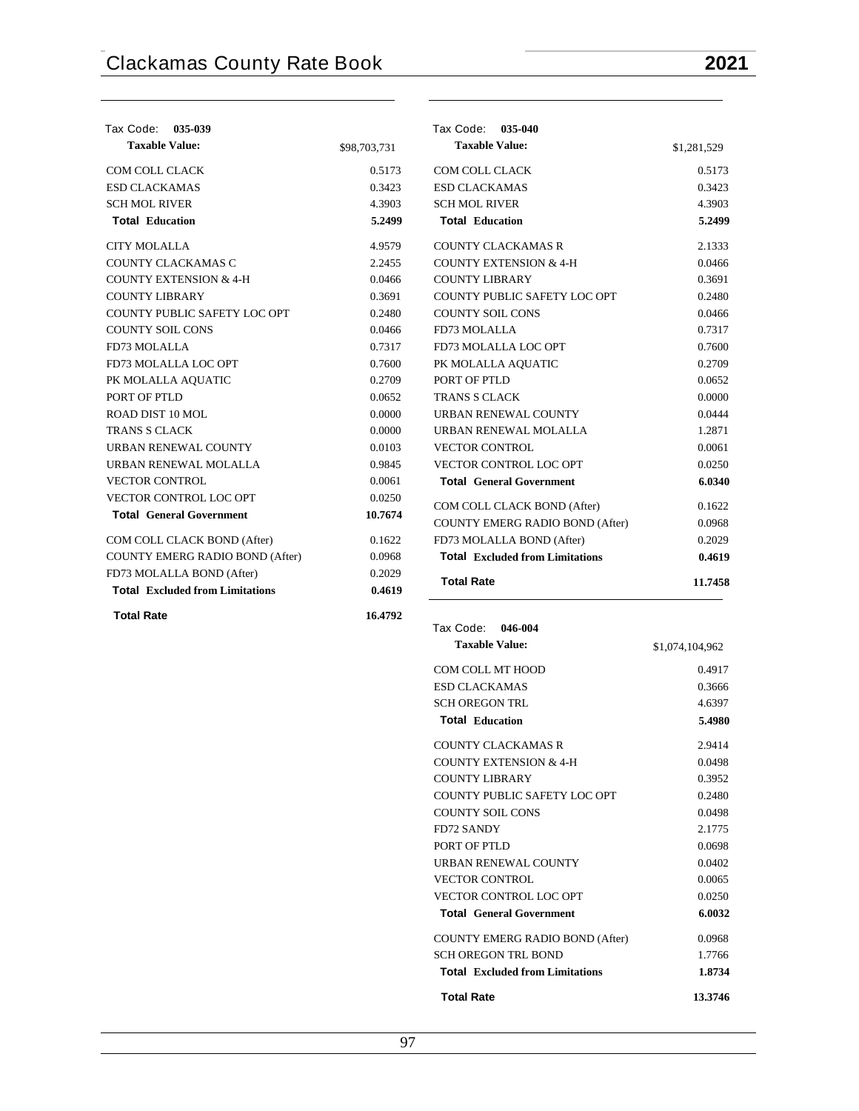| Tax Code: 035-039                      |              | Tax Code: 035-040                      |             |
|----------------------------------------|--------------|----------------------------------------|-------------|
| <b>Taxable Value:</b>                  | \$98,703,731 | <b>Taxable Value:</b>                  | \$1,281,529 |
| <b>COM COLL CLACK</b>                  | 0.5173       | COM COLL CLACK                         | 0.5173      |
| <b>ESD CLACKAMAS</b>                   | 0.3423       | <b>ESD CLACKAMAS</b>                   | 0.3423      |
| <b>SCH MOL RIVER</b>                   | 4.3903       | <b>SCH MOL RIVER</b>                   | 4.3903      |
| <b>Total Education</b>                 | 5.2499       | <b>Total Education</b>                 | 5.2499      |
| <b>CITY MOLALLA</b>                    | 4.9579       | <b>COUNTY CLACKAMAS R</b>              | 2.1333      |
| COUNTY CLACKAMAS C                     | 2.2455       | <b>COUNTY EXTENSION &amp; 4-H</b>      | 0.0466      |
| <b>COUNTY EXTENSION &amp; 4-H</b>      | 0.0466       | <b>COUNTY LIBRARY</b>                  | 0.3691      |
| <b>COUNTY LIBRARY</b>                  | 0.3691       | COUNTY PUBLIC SAFETY LOC OPT           | 0.2480      |
| COUNTY PUBLIC SAFETY LOC OPT           | 0.2480       | <b>COUNTY SOIL CONS</b>                | 0.0466      |
| <b>COUNTY SOIL CONS</b>                | 0.0466       | FD73 MOLALLA                           | 0.7317      |
| FD73 MOLALLA                           | 0.7317       | FD73 MOLALLA LOC OPT                   | 0.7600      |
| FD73 MOLALLA LOC OPT                   | 0.7600       | PK MOLALLA AQUATIC                     | 0.2709      |
| PK MOLALLA AQUATIC                     | 0.2709       | PORT OF PTLD                           | 0.0652      |
| PORT OF PTLD                           | 0.0652       | <b>TRANS S CLACK</b>                   | 0.0000      |
| ROAD DIST 10 MOL                       | 0.0000       | URBAN RENEWAL COUNTY                   | 0.0444      |
| <b>TRANS S CLACK</b>                   | 0.0000       | URBAN RENEWAL MOLALLA                  | 1.2871      |
| URBAN RENEWAL COUNTY                   | 0.0103       | <b>VECTOR CONTROL</b>                  | 0.0061      |
| URBAN RENEWAL MOLALLA                  | 0.9845       | <b>VECTOR CONTROL LOC OPT</b>          | 0.0250      |
| <b>VECTOR CONTROL</b>                  | 0.0061       | <b>Total General Government</b>        | 6.0340      |
| VECTOR CONTROL LOC OPT                 | 0.0250       | COM COLL CLACK BOND (After)            | 0.1622      |
| <b>Total General Government</b>        | 10.7674      | <b>COUNTY EMERG RADIO BOND (After)</b> | 0.0968      |
| COM COLL CLACK BOND (After)            | 0.1622       | FD73 MOLALLA BOND (After)              | 0.2029      |
| COUNTY EMERG RADIO BOND (After)        | 0.0968       | <b>Total</b> Excluded from Limitations | 0.4619      |
| FD73 MOLALLA BOND (After)              | 0.2029       |                                        |             |
| <b>Total Excluded from Limitations</b> | 0.4619       | <b>Total Rate</b>                      | 11.7458     |
| <b>Total Rate</b>                      | 16.4792      |                                        |             |

 **Tax Code: 046-004**

| COM COLL MT HOOD<br><b>ESD CLACKAMAS</b><br><b>SCH OREGON TRL</b><br><b>Total Education</b><br>COUNTY CLACKAMAS R<br><b>COUNTY EXTENSION &amp; 4-H</b><br><b>COUNTY LIBRARY</b><br>COUNTY PUBLIC SAFETY LOC OPT<br><b>COUNTY SOIL CONS</b><br><b>FD72 SANDY</b><br>PORT OF PTLD<br><b>URBAN RENEWAL COUNTY</b><br><b>VECTOR CONTROL</b><br>VECTOR CONTROL LOC OPT<br><b>Total General Government</b><br><b>COUNTY EMERG RADIO BOND (After)</b> | 0.4917<br>0.3666<br>4.6397<br>5.4980 |
|------------------------------------------------------------------------------------------------------------------------------------------------------------------------------------------------------------------------------------------------------------------------------------------------------------------------------------------------------------------------------------------------------------------------------------------------|--------------------------------------|
|                                                                                                                                                                                                                                                                                                                                                                                                                                                |                                      |
|                                                                                                                                                                                                                                                                                                                                                                                                                                                |                                      |
|                                                                                                                                                                                                                                                                                                                                                                                                                                                |                                      |
|                                                                                                                                                                                                                                                                                                                                                                                                                                                |                                      |
|                                                                                                                                                                                                                                                                                                                                                                                                                                                | 2.9414                               |
|                                                                                                                                                                                                                                                                                                                                                                                                                                                | 0.0498                               |
|                                                                                                                                                                                                                                                                                                                                                                                                                                                | 0.3952                               |
|                                                                                                                                                                                                                                                                                                                                                                                                                                                | 0.2480                               |
|                                                                                                                                                                                                                                                                                                                                                                                                                                                | 0.0498                               |
|                                                                                                                                                                                                                                                                                                                                                                                                                                                | 2.1775                               |
|                                                                                                                                                                                                                                                                                                                                                                                                                                                | 0.0698                               |
|                                                                                                                                                                                                                                                                                                                                                                                                                                                | 0.0402                               |
|                                                                                                                                                                                                                                                                                                                                                                                                                                                | 0.0065                               |
|                                                                                                                                                                                                                                                                                                                                                                                                                                                | 0.0250                               |
|                                                                                                                                                                                                                                                                                                                                                                                                                                                | 6.0032                               |
|                                                                                                                                                                                                                                                                                                                                                                                                                                                | 0.0968                               |
| <b>SCH OREGON TRL BOND</b>                                                                                                                                                                                                                                                                                                                                                                                                                     | 1.7766                               |
| <b>Total</b> Excluded from Limitations                                                                                                                                                                                                                                                                                                                                                                                                         | 1.8734                               |
| <b>Total Rate</b><br>13.3746                                                                                                                                                                                                                                                                                                                                                                                                                   |                                      |

**Taxable Value:** \$1,074,104,962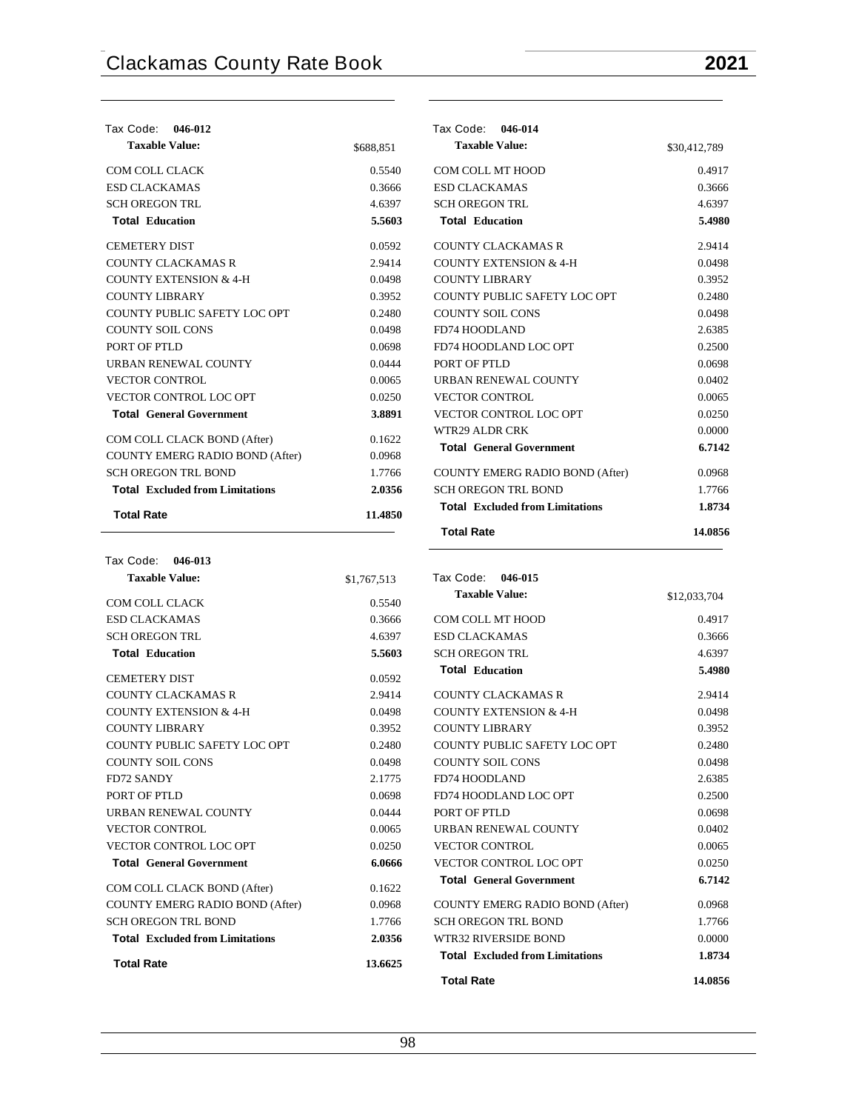| Tax Code:<br>046-012                   |           | Tax Code:<br>046-014                   |              |
|----------------------------------------|-----------|----------------------------------------|--------------|
| <b>Taxable Value:</b>                  | \$688.851 | <b>Taxable Value:</b>                  | \$30,412,789 |
| COM COLL CLACK                         | 0.5540    | COM COLL MT HOOD                       | 0.4917       |
| <b>ESD CLACKAMAS</b>                   | 0.3666    | <b>ESD CLACKAMAS</b>                   | 0.3666       |
| <b>SCH OREGON TRL</b>                  | 4.6397    | <b>SCH OREGON TRL</b>                  | 4.6397       |
| <b>Total Education</b>                 | 5.5603    | <b>Total Education</b>                 | 5.4980       |
| <b>CEMETERY DIST</b>                   | 0.0592    | <b>COUNTY CLACKAMAS R</b>              | 2.9414       |
| <b>COUNTY CLACKAMAS R</b>              | 2.9414    | <b>COUNTY EXTENSION &amp; 4-H</b>      | 0.0498       |
| <b>COUNTY EXTENSION &amp; 4-H</b>      | 0.0498    | <b>COUNTY LIBRARY</b>                  | 0.3952       |
| <b>COUNTY LIBRARY</b>                  | 0.3952    | COUNTY PUBLIC SAFETY LOC OPT           | 0.2480       |
| COUNTY PUBLIC SAFETY LOC OPT           | 0.2480    | <b>COUNTY SOIL CONS</b>                | 0.0498       |
| <b>COUNTY SOIL CONS</b>                | 0.0498    | FD74 HOODLAND                          | 2.6385       |
| PORT OF PTLD                           | 0.0698    | FD74 HOODLAND LOC OPT                  | 0.2500       |
| URBAN RENEWAL COUNTY                   | 0.0444    | PORT OF PTLD                           | 0.0698       |
| <b>VECTOR CONTROL</b>                  | 0.0065    | URBAN RENEWAL COUNTY                   | 0.0402       |
| VECTOR CONTROL LOC OPT                 | 0.0250    | <b>VECTOR CONTROL</b>                  | 0.0065       |
| <b>Total General Government</b>        | 3.8891    | <b>VECTOR CONTROL LOC OPT</b>          | 0.0250       |
| COM COLL CLACK BOND (After)            | 0.1622    | <b>WTR29 ALDR CRK</b>                  | 0.0000       |
| COUNTY EMERG RADIO BOND (After)        | 0.0968    | <b>Total General Government</b>        | 6.7142       |
| <b>SCH OREGON TRL BOND</b>             | 1.7766    | <b>COUNTY EMERG RADIO BOND (After)</b> | 0.0968       |
| <b>Total Excluded from Limitations</b> | 2.0356    | <b>SCH OREGON TRL BOND</b>             | 1.7766       |
| <b>Total Rate</b>                      | 11.4850   | <b>Total</b> Excluded from Limitations | 1.8734       |
|                                        |           | <b>Total Rate</b>                      | 14.0856      |

| Tax Code: 046-013                      |             |                                        |              |
|----------------------------------------|-------------|----------------------------------------|--------------|
| <b>Taxable Value:</b>                  | \$1,767,513 | Tax Code:<br>046-015                   |              |
| COM COLL CLACK                         | 0.5540      | <b>Taxable Value:</b>                  | \$12,033,704 |
| <b>ESD CLACKAMAS</b>                   | 0.3666      | COM COLL MT HOOD                       | 0.4917       |
| <b>SCH OREGON TRL</b>                  | 4.6397      | <b>ESD CLACKAMAS</b>                   | 0.3666       |
| <b>Total Education</b>                 | 5.5603      | <b>SCH OREGON TRL</b>                  | 4.6397       |
| <b>CEMETERY DIST</b>                   | 0.0592      | <b>Total Education</b>                 | 5.4980       |
| <b>COUNTY CLACKAMAS R</b>              | 2.9414      | <b>COUNTY CLACKAMAS R</b>              | 2.9414       |
| <b>COUNTY EXTENSION &amp; 4-H</b>      | 0.0498      | COUNTY EXTENSION & 4-H                 | 0.0498       |
| <b>COUNTY LIBRARY</b>                  | 0.3952      | <b>COUNTY LIBRARY</b>                  | 0.3952       |
| COUNTY PUBLIC SAFETY LOC OPT           | 0.2480      | COUNTY PUBLIC SAFETY LOC OPT           | 0.2480       |
| <b>COUNTY SOIL CONS</b>                | 0.0498      | <b>COUNTY SOIL CONS</b>                | 0.0498       |
| <b>FD72 SANDY</b>                      | 2.1775      | FD74 HOODLAND                          | 2.6385       |
| PORT OF PTLD                           | 0.0698      | FD74 HOODLAND LOC OPT                  | 0.2500       |
| URBAN RENEWAL COUNTY                   | 0.0444      | PORT OF PTLD                           | 0.0698       |
| <b>VECTOR CONTROL</b>                  | 0.0065      | URBAN RENEWAL COUNTY                   | 0.0402       |
| VECTOR CONTROL LOC OPT                 | 0.0250      | <b>VECTOR CONTROL</b>                  | 0.0065       |
| <b>Total General Government</b>        | 6.0666      | VECTOR CONTROL LOC OPT                 | 0.0250       |
| COM COLL CLACK BOND (After)            | 0.1622      | <b>Total General Government</b>        | 6.7142       |
| COUNTY EMERG RADIO BOND (After)        | 0.0968      | COUNTY EMERG RADIO BOND (After)        | 0.0968       |
| <b>SCH OREGON TRL BOND</b>             | 1.7766      | <b>SCH OREGON TRL BOND</b>             | 1.7766       |
| <b>Total Excluded from Limitations</b> | 2.0356      | WTR32 RIVERSIDE BOND                   | 0.0000       |
| <b>Total Rate</b>                      | 13.6625     | <b>Total Excluded from Limitations</b> | 1.8734       |

## **Total Rate 14.0856**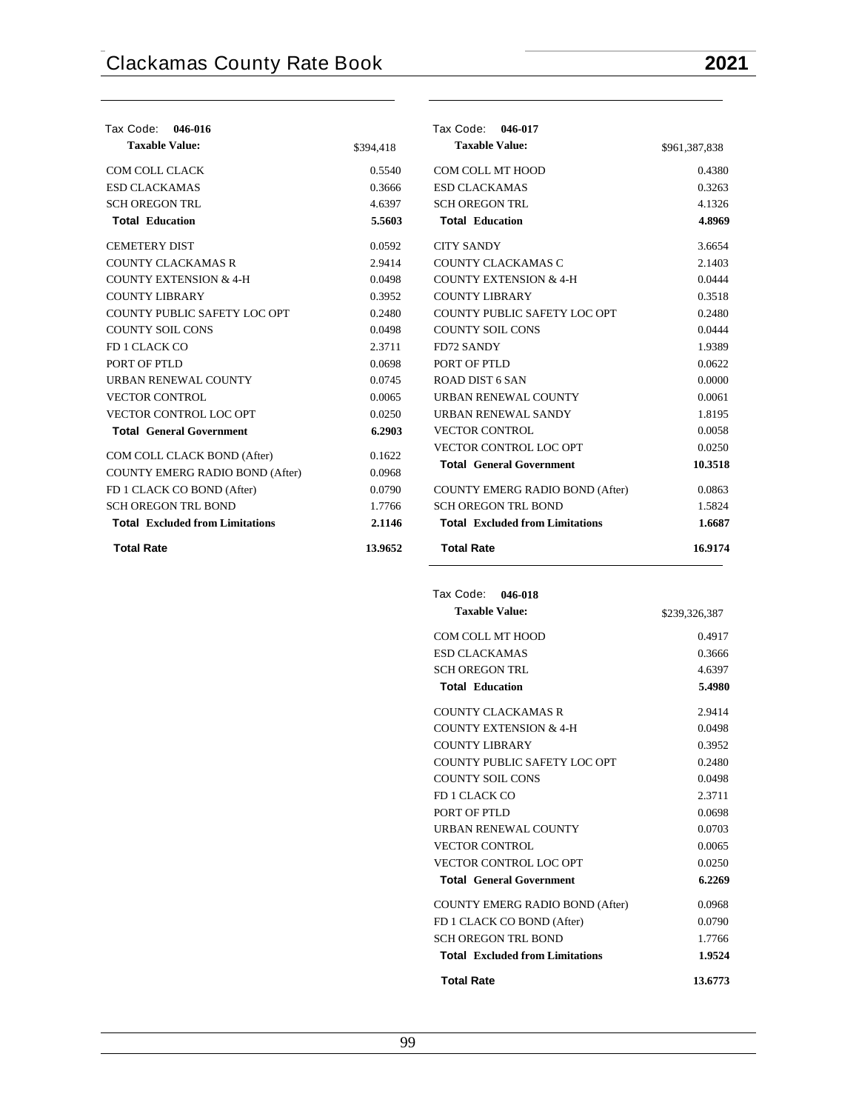| Tax Code: 046-016                      |           | Tax Code: 046-017                      |               |
|----------------------------------------|-----------|----------------------------------------|---------------|
| <b>Taxable Value:</b>                  | \$394,418 | <b>Taxable Value:</b>                  | \$961,387,838 |
| <b>COM COLL CLACK</b>                  | 0.5540    | COM COLL MT HOOD                       | 0.4380        |
| <b>ESD CLACKAMAS</b>                   | 0.3666    | <b>ESD CLACKAMAS</b>                   | 0.3263        |
| <b>SCH OREGON TRL</b>                  | 4.6397    | <b>SCH OREGON TRL</b>                  | 4.1326        |
| <b>Total Education</b>                 | 5.5603    | <b>Total Education</b>                 | 4.8969        |
| <b>CEMETERY DIST</b>                   | 0.0592    | <b>CITY SANDY</b>                      | 3.6654        |
| <b>COUNTY CLACKAMAS R</b>              | 2.9414    | COUNTY CLACKAMAS C                     | 2.1403        |
| <b>COUNTY EXTENSION &amp; 4-H</b>      | 0.0498    | <b>COUNTY EXTENSION &amp; 4-H</b>      | 0.0444        |
| <b>COUNTY LIBRARY</b>                  | 0.3952    | <b>COUNTY LIBRARY</b>                  | 0.3518        |
| COUNTY PUBLIC SAFETY LOC OPT           | 0.2480    | COUNTY PUBLIC SAFETY LOC OPT           | 0.2480        |
| <b>COUNTY SOIL CONS</b>                | 0.0498    | <b>COUNTY SOIL CONS</b>                | 0.0444        |
| FD 1 CLACK CO                          | 2.3711    | <b>FD72 SANDY</b>                      | 1.9389        |
| PORT OF PTLD                           | 0.0698    | PORT OF PTLD                           | 0.0622        |
| URBAN RENEWAL COUNTY                   | 0.0745    | ROAD DIST 6 SAN                        | 0.0000        |
| <b>VECTOR CONTROL</b>                  | 0.0065    | URBAN RENEWAL COUNTY                   | 0.0061        |
| VECTOR CONTROL LOC OPT                 | 0.0250    | URBAN RENEWAL SANDY                    | 1.8195        |
| <b>Total General Government</b>        | 6.2903    | <b>VECTOR CONTROL</b>                  | 0.0058        |
| COM COLL CLACK BOND (After)            | 0.1622    | VECTOR CONTROL LOC OPT                 | 0.0250        |
| COUNTY EMERG RADIO BOND (After)        | 0.0968    | <b>Total General Government</b>        | 10.3518       |
| FD 1 CLACK CO BOND (After)             | 0.0790    | COUNTY EMERG RADIO BOND (After)        | 0.0863        |
| <b>SCH OREGON TRL BOND</b>             | 1.7766    | <b>SCH OREGON TRL BOND</b>             | 1.5824        |
| <b>Total Excluded from Limitations</b> | 2.1146    | <b>Total Excluded from Limitations</b> | 1.6687        |
| <b>Total Rate</b>                      | 13.9652   | <b>Total Rate</b>                      | 16.9174       |

| Tax Code: 046-018                      |               |
|----------------------------------------|---------------|
| <b>Taxable Value:</b>                  | \$239,326,387 |
| COM COLL MT HOOD                       | 0.4917        |
| <b>ESD CLACKAMAS</b>                   | 0.3666        |
| <b>SCH OREGON TRL</b>                  | 4.6397        |
| <b>Total Education</b>                 | 5.4980        |
| <b>COUNTY CLACKAMAS R</b>              | 2.9414        |
| <b>COUNTY EXTENSION &amp; 4-H</b>      | 0.0498        |
| <b>COUNTY LIBRARY</b>                  | 0.3952        |
| COUNTY PUBLIC SAFETY LOC OPT           | 0.2480        |
| <b>COUNTY SOIL CONS</b>                | 0.0498        |
| FD 1 CLACK CO                          | 2.3711        |
| PORT OF PTLD                           | 0.0698        |
| <b>URBAN RENEWAL COUNTY</b>            | 0.0703        |
| <b>VECTOR CONTROL</b>                  | 0.0065        |
| <b>VECTOR CONTROL LOC OPT</b>          | 0.0250        |
| <b>Total General Government</b>        | 6.2269        |
| <b>COUNTY EMERG RADIO BOND (After)</b> | 0.0968        |
| FD 1 CLACK CO BOND (After)             | 0.0790        |
| <b>SCH OREGON TRL BOND</b>             | 1.7766        |
| <b>Total</b> Excluded from Limitations | 1.9524        |
| <b>Total Rate</b>                      | 13.6773       |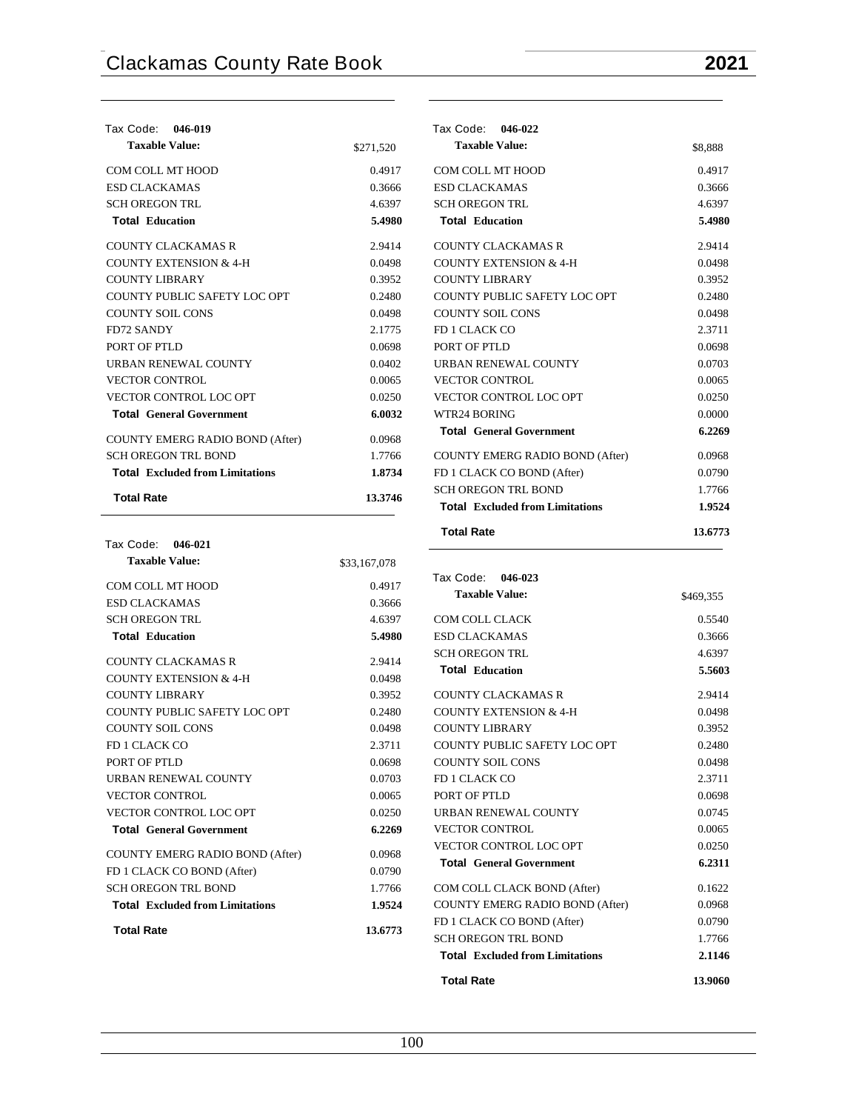| Tax Code: 046-019                      |           |
|----------------------------------------|-----------|
| <b>Taxable Value:</b>                  | \$271,520 |
| COM COLL MT HOOD                       | 0.4917    |
| <b>ESD CLACKAMAS</b>                   | 0.3666    |
| <b>SCH OREGON TRL</b>                  | 4.6397    |
| <b>Total Education</b>                 | 5.4980    |
| COUNTY CLACKAMAS R                     | 2.9414    |
| COUNTY EXTENSION & 4-H                 | 0.0498    |
| COUNTY LIBRARY                         | 0.3952    |
| COUNTY PUBLIC SAFETY LOC OPT           | 0.2480    |
| <b>COUNTY SOIL CONS</b>                | 0.0498    |
| <b>FD72 SANDY</b>                      | 2.1775    |
| PORT OF PTLD                           | 0.0698    |
| <b>URBAN RENEWAL COUNTY</b>            | 0.0402    |
| <b>VECTOR CONTROL</b>                  | 0.0065    |
| <b>VECTOR CONTROL LOC OPT</b>          | 0.0250    |
| <b>Total General Government</b>        | 6.0032    |
| COUNTY EMERG RADIO BOND (After)        | 0.0968    |
| <b>SCH OREGON TRL BOND</b>             | 1.7766    |
| <b>Total</b> Excluded from Limitations | 1.8734    |
| <b>Total Rate</b>                      | 13.3746   |

| Tax Code: 046-021                      |              |
|----------------------------------------|--------------|
| <b>Taxable Value:</b>                  | \$33,167,078 |
| COM COLL MT HOOD                       | 0.4917       |
| <b>ESD CLACKAMAS</b>                   | 0.3666       |
| <b>SCH OREGON TRL</b>                  | 4.6397       |
| <b>Total Education</b>                 | 5.4980       |
| COUNTY CLACKAMAS R                     | 2.9414       |
| <b>COUNTY EXTENSION &amp; 4-H</b>      | 0.0498       |
| COUNTY LIBRARY                         | 0.3952       |
| <b>COUNTY PUBLIC SAFETY LOC OPT</b>    | 0.2480       |
| COUNTY SOIL CONS                       | 0.0498       |
| FD 1 CLACK CO                          | 2.3711       |
| PORT OF PTLD                           | 0.0698       |
| <b>URBAN RENEWAL COUNTY</b>            | 0.0703       |
| <b>VECTOR CONTROL</b>                  | 0.0065       |
| <b>VECTOR CONTROL LOC OPT</b>          | 0.0250       |
| <b>Total General Government</b>        | 6.2269       |
| COUNTY EMERG RADIO BOND (After)        | 0.0968       |
| FD 1 CLACK CO BOND (After)             | 0.0790       |
| <b>SCH OREGON TRL BOND</b>             | 1.7766       |
| <b>Total</b> Excluded from Limitations | 1.9524       |
| <b>Total Rate</b>                      | 13.6773      |

| Tax Code: 046-022                      |         |
|----------------------------------------|---------|
| <b>Taxable Value:</b>                  | \$8,888 |
| COM COLL MT HOOD                       | 0.4917  |
| <b>ESD CLACKAMAS</b>                   | 0.3666  |
| <b>SCH OREGON TRL</b>                  | 4.6397  |
| <b>Total Education</b>                 | 5.4980  |
| <b>COUNTY CLACKAMAS R</b>              | 2.9414  |
| <b>COUNTY EXTENSION &amp; 4-H</b>      | 0.0498  |
| <b>COUNTY LIBRARY</b>                  | 0.3952  |
| COUNTY PUBLIC SAFETY LOC OPT           | 0.2480  |
| COUNTY SOIL CONS                       | 0.0498  |
| FD 1 CLACK CO                          | 2.3711  |
| PORT OF PTLD                           | 0.0698  |
| URBAN RENEWAL COUNTY                   | 0.0703  |
| <b>VECTOR CONTROL</b>                  | 0.0065  |
| VECTOR CONTROL LOC OPT                 | 0.0250  |
| WTR24 BORING                           | 0.0000  |
| <b>Total General Government</b>        | 6.2269  |
| COUNTY EMERG RADIO BOND (After)        | 0.0968  |
| FD 1 CLACK CO BOND (After)             | 0.0790  |
| <b>SCH OREGON TRL BOND</b>             | 1.7766  |
| <b>Total</b> Excluded from Limitations | 1.9524  |
| <b>Total Rate</b>                      | 13.6773 |

| Tax Code: 046-023                      |           |
|----------------------------------------|-----------|
| <b>Taxable Value:</b>                  | \$469,355 |
| COM COLL CLACK                         | 0.5540    |
| <b>ESD CLACKAMAS</b>                   | 0.3666    |
| <b>SCH OREGON TRL</b>                  | 4.6397    |
| <b>Total Education</b>                 | 5.5603    |
| COUNTY CLACKAMAS R                     | 2.9414    |
| <b>COUNTY EXTENSION &amp; 4-H</b>      | 0.0498    |
| <b>COUNTY LIBRARY</b>                  | 0.3952    |
| COUNTY PUBLIC SAFETY LOC OPT           | 0.2480    |
| <b>COUNTY SOIL CONS</b>                | 0.0498    |
| FD 1 CLACK CO                          | 2.3711    |
| PORT OF PTLD                           | 0.0698    |
| URBAN RENEWAL COUNTY                   | 0.0745    |
| <b>VECTOR CONTROL</b>                  | 0.0065    |
| <b>VECTOR CONTROL LOC OPT</b>          | 0.0250    |
| <b>Total General Government</b>        | 6.2311    |
| COM COLL CLACK BOND (After)            | 0.1622    |
| COUNTY EMERG RADIO BOND (After)        | 0.0968    |
| FD 1 CLACK CO BOND (After)             | 0.0790    |
| <b>SCH OREGON TRL BOND</b>             | 1.7766    |
| <b>Total</b> Excluded from Limitations | 2.1146    |
| <b>Total Rate</b>                      | 13.9060   |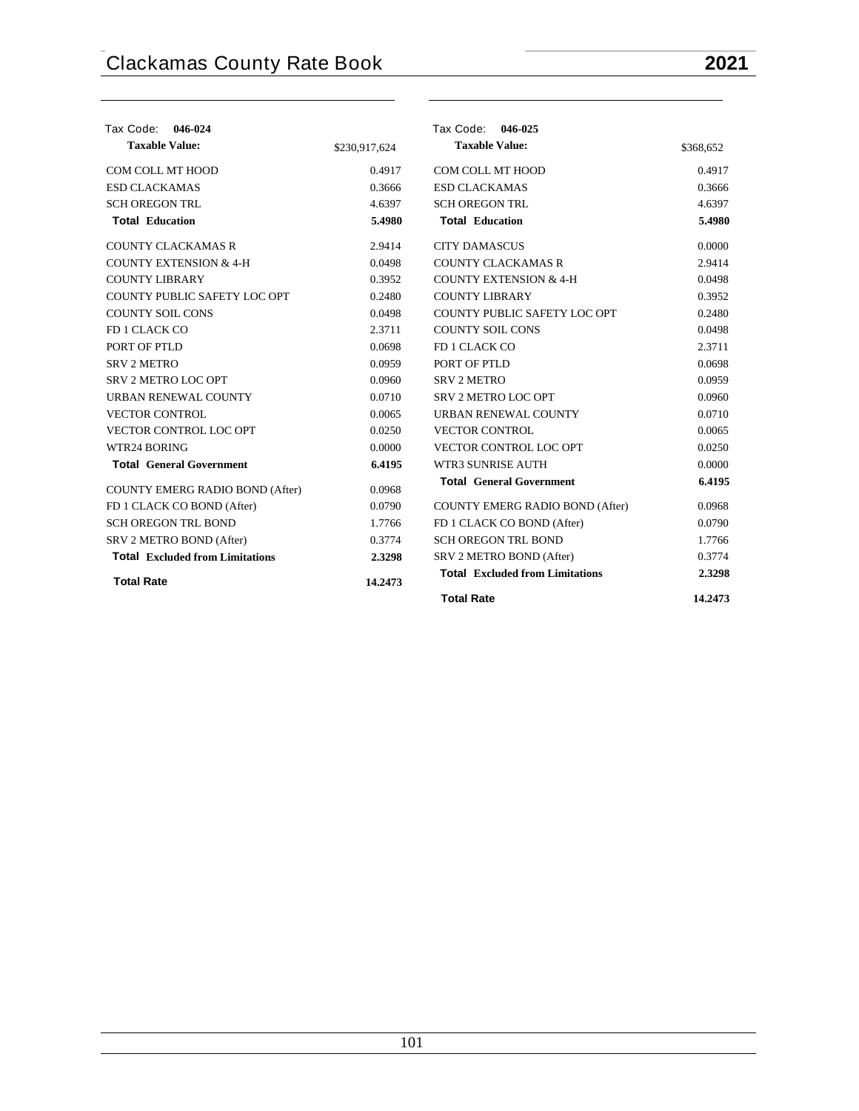| Tax Code: 046-024                      |               | Tax Code: 046-025                      |           |
|----------------------------------------|---------------|----------------------------------------|-----------|
| <b>Taxable Value:</b>                  | \$230,917,624 | <b>Taxable Value:</b>                  | \$368,652 |
| COM COLL MT HOOD                       | 0.4917        | COM COLL MT HOOD                       | 0.4917    |
| <b>ESD CLACKAMAS</b>                   | 0.3666        | <b>ESD CLACKAMAS</b>                   | 0.3666    |
| <b>SCH OREGON TRL</b>                  | 4.6397        | <b>SCH OREGON TRL</b>                  | 4.6397    |
| <b>Total Education</b>                 | 5.4980        | <b>Total Education</b>                 | 5.4980    |
| <b>COUNTY CLACKAMAS R</b>              | 2.9414        | <b>CITY DAMASCUS</b>                   | 0.0000    |
| <b>COUNTY EXTENSION &amp; 4-H</b>      | 0.0498        | <b>COUNTY CLACKAMAS R</b>              | 2.9414    |
| <b>COUNTY LIBRARY</b>                  | 0.3952        | <b>COUNTY EXTENSION &amp; 4-H</b>      | 0.0498    |
| COUNTY PUBLIC SAFETY LOC OPT           | 0.2480        | <b>COUNTY LIBRARY</b>                  | 0.3952    |
| <b>COUNTY SOIL CONS</b>                | 0.0498        | COUNTY PUBLIC SAFETY LOC OPT           | 0.2480    |
| FD 1 CLACK CO                          | 2.3711        | <b>COUNTY SOIL CONS</b>                | 0.0498    |
| PORT OF PTLD                           | 0.0698        | FD 1 CLACK CO                          | 2.3711    |
| <b>SRV 2 METRO</b>                     | 0.0959        | PORT OF PTLD                           | 0.0698    |
| SRV 2 METRO LOC OPT                    | 0.0960        | <b>SRV 2 METRO</b>                     | 0.0959    |
| <b>URBAN RENEWAL COUNTY</b>            | 0.0710        | SRV 2 METRO LOC OPT                    | 0.0960    |
| <b>VECTOR CONTROL</b>                  | 0.0065        | URBAN RENEWAL COUNTY                   | 0.0710    |
| VECTOR CONTROL LOC OPT                 | 0.0250        | <b>VECTOR CONTROL</b>                  | 0.0065    |
| WTR24 BORING                           | 0.0000        | VECTOR CONTROL LOC OPT                 | 0.0250    |
| <b>Total General Government</b>        | 6.4195        | <b>WTR3 SUNRISE AUTH</b>               | 0.0000    |
| COUNTY EMERG RADIO BOND (After)        | 0.0968        | <b>Total General Government</b>        | 6.4195    |
| FD 1 CLACK CO BOND (After)             | 0.0790        | COUNTY EMERG RADIO BOND (After)        | 0.0968    |
| <b>SCH OREGON TRL BOND</b>             | 1.7766        | FD 1 CLACK CO BOND (After)             | 0.0790    |
| SRV 2 METRO BOND (After)               | 0.3774        | <b>SCH OREGON TRL BOND</b>             | 1.7766    |
| <b>Total</b> Excluded from Limitations | 2.3298        | SRV 2 METRO BOND (After)               | 0.3774    |
| <b>Total Rate</b>                      | 14.2473       | <b>Total Excluded from Limitations</b> | 2.3298    |
|                                        |               | <b>Total Rate</b>                      | 14.2473   |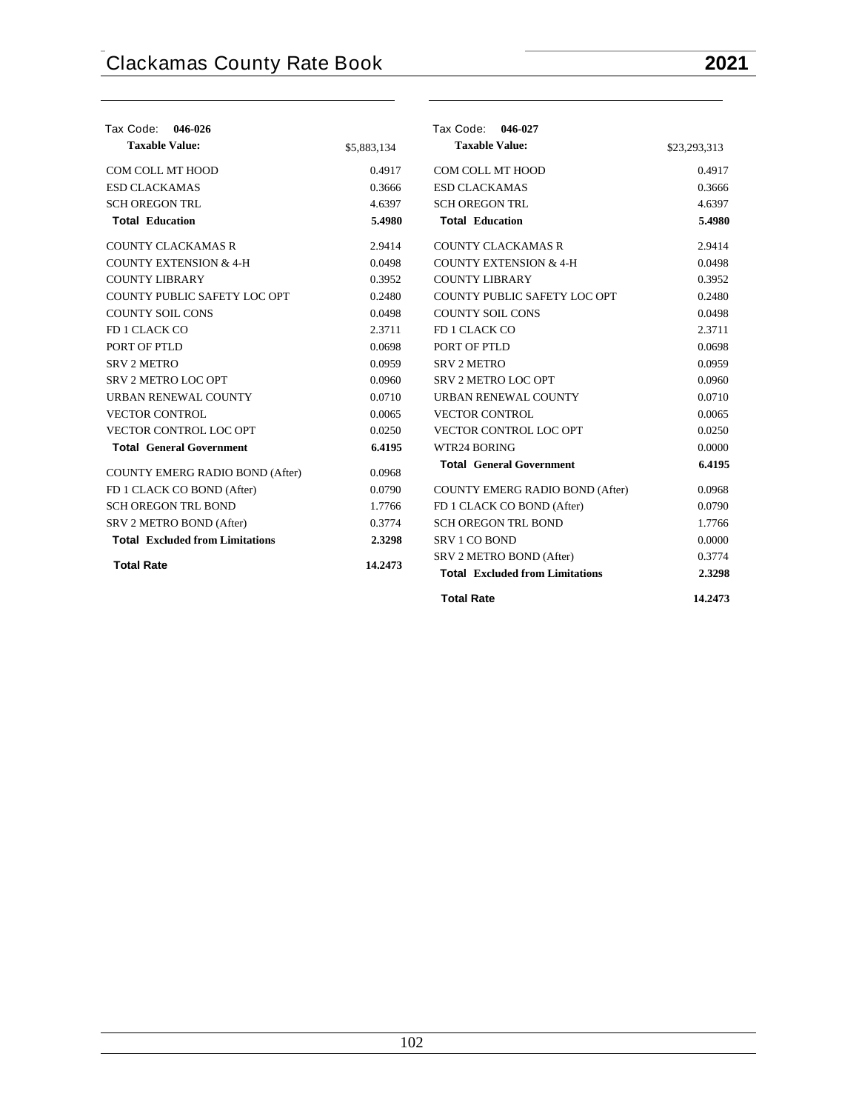| Tax Code: 046-026                      |             | Tax Code: 046-027                      |              |
|----------------------------------------|-------------|----------------------------------------|--------------|
| <b>Taxable Value:</b>                  | \$5,883,134 | <b>Taxable Value:</b>                  | \$23,293,313 |
| COM COLL MT HOOD                       | 0.4917      | COM COLL MT HOOD                       | 0.4917       |
| <b>ESD CLACKAMAS</b>                   | 0.3666      | <b>ESD CLACKAMAS</b>                   | 0.3666       |
| <b>SCH OREGON TRL</b>                  | 4.6397      | <b>SCH OREGON TRL</b>                  | 4.6397       |
| <b>Total Education</b>                 | 5.4980      | <b>Total Education</b>                 | 5.4980       |
| <b>COUNTY CLACKAMAS R</b>              | 2.9414      | <b>COUNTY CLACKAMAS R</b>              | 2.9414       |
| <b>COUNTY EXTENSION &amp; 4-H</b>      | 0.0498      | <b>COUNTY EXTENSION &amp; 4-H</b>      | 0.0498       |
| <b>COUNTY LIBRARY</b>                  | 0.3952      | <b>COUNTY LIBRARY</b>                  | 0.3952       |
| COUNTY PUBLIC SAFETY LOC OPT           | 0.2480      | COUNTY PUBLIC SAFETY LOC OPT           | 0.2480       |
| <b>COUNTY SOIL CONS</b>                | 0.0498      | <b>COUNTY SOIL CONS</b>                | 0.0498       |
| FD 1 CLACK CO                          | 2.3711      | FD 1 CLACK CO                          | 2.3711       |
| PORT OF PTLD                           | 0.0698      | PORT OF PTLD                           | 0.0698       |
| <b>SRV 2 METRO</b>                     | 0.0959      | <b>SRV 2 METRO</b>                     | 0.0959       |
| <b>SRV 2 METRO LOC OPT</b>             | 0.0960      | SRV 2 METRO LOC OPT                    | 0.0960       |
| URBAN RENEWAL COUNTY                   | 0.0710      | URBAN RENEWAL COUNTY                   | 0.0710       |
| <b>VECTOR CONTROL</b>                  | 0.0065      | <b>VECTOR CONTROL</b>                  | 0.0065       |
| VECTOR CONTROL LOC OPT                 | 0.0250      | VECTOR CONTROL LOC OPT                 | 0.0250       |
| <b>Total General Government</b>        | 6.4195      | WTR24 BORING                           | 0.0000       |
| COUNTY EMERG RADIO BOND (After)        | 0.0968      | <b>Total General Government</b>        | 6.4195       |
| FD 1 CLACK CO BOND (After)             | 0.0790      | <b>COUNTY EMERG RADIO BOND (After)</b> | 0.0968       |
| <b>SCH OREGON TRL BOND</b>             | 1.7766      | FD 1 CLACK CO BOND (After)             | 0.0790       |
| SRV 2 METRO BOND (After)               | 0.3774      | <b>SCH OREGON TRL BOND</b>             | 1.7766       |
| <b>Total Excluded from Limitations</b> | 2.3298      | <b>SRV 1 CO BOND</b>                   | 0.0000       |
|                                        |             | SRV 2 METRO BOND (After)               | 0.3774       |
| <b>Total Rate</b>                      | 14.2473     | <b>Total Excluded from Limitations</b> | 2.3298       |
|                                        |             | <b>Total Rate</b>                      | 14.2473      |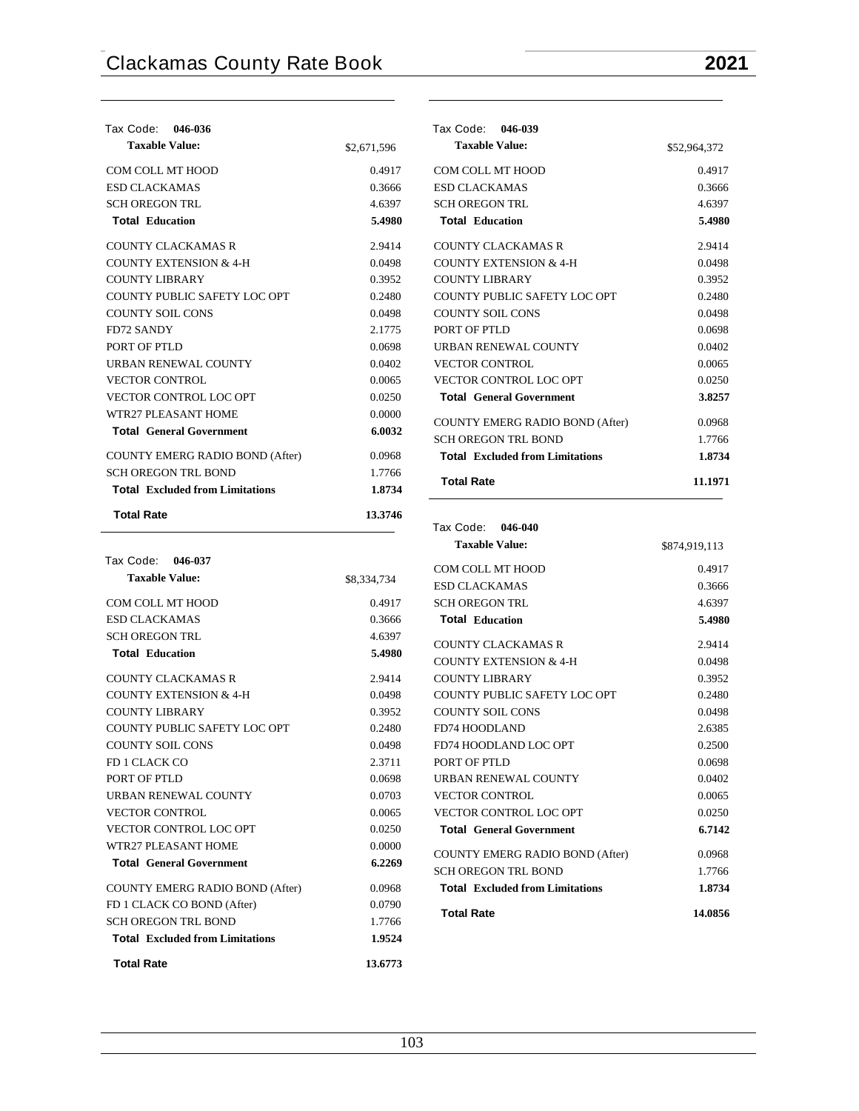| Tax Code: 046-036                      |             |
|----------------------------------------|-------------|
| <b>Taxable Value:</b>                  | \$2,671,596 |
| COM COLL MT HOOD                       | 0.4917      |
| <b>ESD CLACKAMAS</b>                   | 0.3666      |
| <b>SCH OREGON TRL</b>                  | 4.6397      |
| <b>Total Education</b>                 | 5.4980      |
| COUNTY CLACKAMAS R                     | 2.9414      |
| <b>COUNTY EXTENSION &amp; 4-H</b>      | 0.0498      |
| <b>COUNTY LIBRARY</b>                  | 0.3952      |
| COUNTY PUBLIC SAFETY LOC OPT           | 0.2480      |
| COUNTY SOIL CONS                       | 0.0498      |
| <b>FD72 SANDY</b>                      | 2.1775      |
| PORT OF PTLD                           | 0.0698      |
| URBAN RENEWAL COUNTY                   | 0.0402      |
| <b>VECTOR CONTROL</b>                  | 0.0065      |
| VECTOR CONTROL LOC OPT                 | 0.0250      |
| WTR27 PLEASANT HOME                    | 0.0000      |
| <b>Total General Government</b>        | 6.0032      |
| <b>COUNTY EMERG RADIO BOND (After)</b> | 0.0968      |
| <b>SCH OREGON TRL BOND</b>             | 1.7766      |
| <b>Total</b> Excluded from Limitations | 1.8734      |
| <b>Total Rate</b>                      | 13.3746     |

| Tax Code: 046-037                      |             |
|----------------------------------------|-------------|
| <b>Taxable Value:</b>                  | \$8,334,734 |
| COM COLL MT HOOD                       | 0.4917      |
| <b>ESD CLACKAMAS</b>                   | 0.3666      |
| <b>SCH OREGON TRL</b>                  | 4.6397      |
| <b>Total Education</b>                 | 5.4980      |
| COUNTY CLACKAMAS R                     | 2.9414      |
| <b>COUNTY EXTENSION &amp; 4-H</b>      | 0.0498      |
| <b>COUNTY LIBRARY</b>                  | 0.3952      |
| <b>COUNTY PUBLIC SAFETY LOC OPT</b>    | 0.2480      |
| <b>COUNTY SOIL CONS</b>                | 0.0498      |
| <b>FD 1 CLACK CO</b>                   | 2.3711      |
| PORT OF PTLD                           | 0.0698      |
| URBAN RENEWAL COUNTY                   | 0.0703      |
| <b>VECTOR CONTROL</b>                  | 0.0065      |
| <b>VECTOR CONTROL LOC OPT</b>          | 0.0250      |
| WTR27 PLEASANT HOME                    | 0.0000      |
| <b>Total General Government</b>        | 6.2269      |
| <b>COUNTY EMERG RADIO BOND (After)</b> | 0.0968      |
| FD 1 CLACK CO BOND (After)             | 0.0790      |
| <b>SCH OREGON TRL BOND</b>             | 1.7766      |

**Total Excluded from Limitations 1.9524 Total Rate 13.6773**

| Tax Code: 046-039                      |              |
|----------------------------------------|--------------|
| <b>Taxable Value:</b>                  | \$52,964,372 |
| COM COLL MT HOOD                       | 0.4917       |
| <b>ESD CLACKAMAS</b>                   | 0.3666       |
| <b>SCH OREGON TRL</b>                  | 4.6397       |
| <b>Total Education</b>                 | 5.4980       |
| COUNTY CLACKAMAS R                     | 2.9414       |
| <b>COUNTY EXTENSION &amp; 4-H</b>      | 0.0498       |
| COUNTY LIBRARY                         | 0.3952       |
| COUNTY PUBLIC SAFETY LOC OPT           | 0.2480       |
| <b>COUNTY SOIL CONS</b>                | 0.0498       |
| PORT OF PTLD                           | 0.0698       |
| <b>URBAN RENEWAL COUNTY</b>            | 0.0402       |
| <b>VECTOR CONTROL</b>                  | 0.0065       |
| VECTOR CONTROL LOC OPT                 | 0.0250       |
| <b>Total General Government</b>        | 3.8257       |
| <b>COUNTY EMERG RADIO BOND (After)</b> | 0.0968       |
| <b>SCH OREGON TRL BOND</b>             | 1.7766       |
| <b>Total</b> Excluded from Limitations | 1.8734       |
| <b>Total Rate</b>                      | 11.1971      |

## **Tax Code: 046-040 Taxable Value:** \$874,919,113 COM COLL MT HOOD 0.4917 ESD CLACKAMAS 0.3666 SCH OREGON TRL 4.6397 **Total Education 5.4980** COUNTY CLACKAMAS R 2.9414 COUNTY EXTENSION  $& 4-H$  0.0498 COUNTY LIBRARY 0.3952 COUNTY PUBLIC SAFETY LOC OPT 0.2480 COUNTY SOIL CONS 0.0498 FD74 HOODLAND 2.6385 FD74 HOODLAND LOC OPT 0.2500 PORT OF PTLD 0.0698 URBAN RENEWAL COUNTY 0.0402 VECTOR CONTROL 0.0065 VECTOR CONTROL LOC OPT 0.0250 **Total General Government 6.7142** COUNTY EMERG RADIO BOND (After) 0.0968 SCH OREGON TRL BOND 1.7766 **Total Excluded from Limitations 1.8734 Total Rate 14.0856**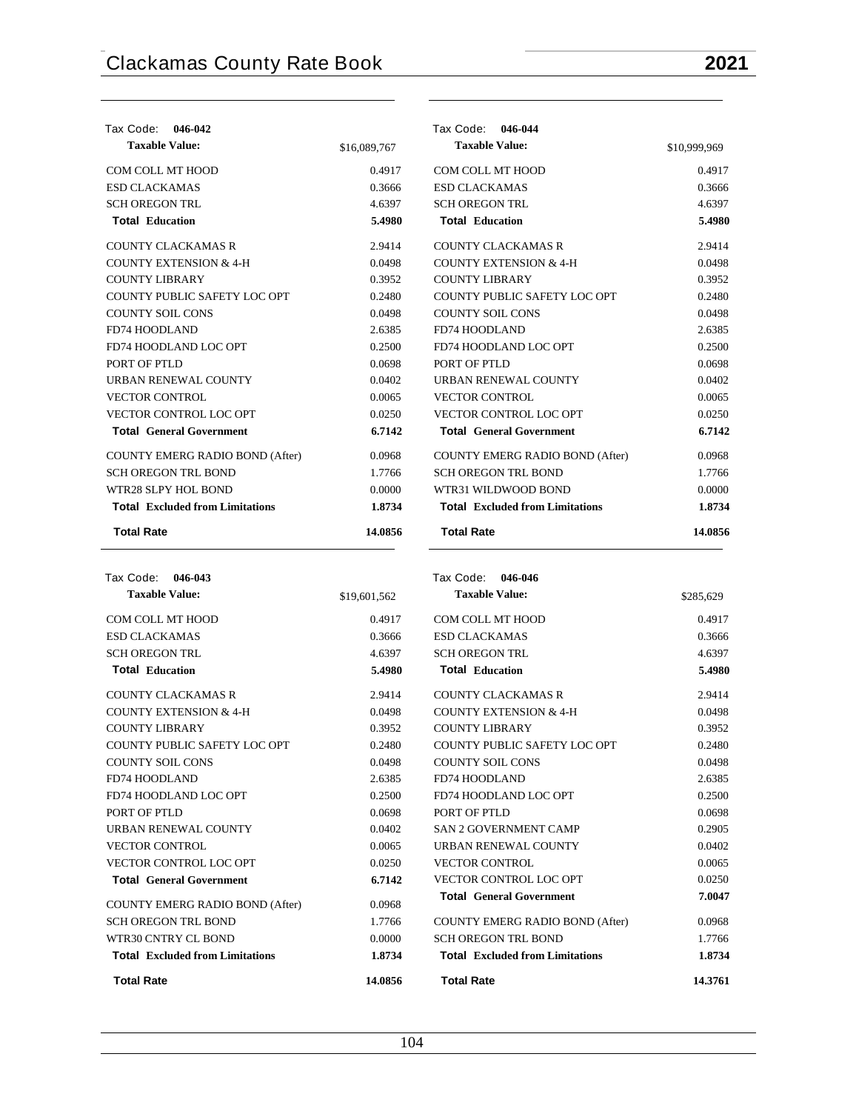**Tax Code: 046-042**

### **Taxable Value:** \$16,089,767 COM COLL MT HOOD 0.4917 ESD CLACKAMAS 0.3666 SCH OREGON TRL 4.6397 **Total Education 5.4980** COUNTY CLACKAMAS R 2.9414 COUNTY EXTENSION  $& 4-H$  0.0498 COUNTY LIBRARY 0.3952 COUNTY PUBLIC SAFETY LOC OPT 0.2480 COUNTY SOIL CONS 0.0498 FD74 HOODLAND 2.6385 FD74 HOODLAND LOC OPT 0.2500 PORT OF PTLD 0.0698 URBAN RENEWAL COUNTY 0.0402 VECTOR CONTROL 0.0065 VECTOR CONTROL LOC OPT 0.0250 **Total General Government 6.7142** COUNTY EMERG RADIO BOND (After) 0.0968 SCH OREGON TRL BOND 1.7766 WTR28 SLPY HOL BOND 0.0000 **Total Excluded from Limitations 1.8734 Total Rate 14.0856 Tax Code: 046-044 Taxable Value:** \$10,999,969 COM COLL MT HOOD 0.4917 ESD CLACKAMAS 0.3666 SCH OREGON TRL 4.6397 **Total Education 5.4980** COUNTY CLACKAMAS R 2.9414 COUNTY EXTENSION  $& 4-H$  0.0498 COUNTY LIBRARY 0.3952 COUNTY PUBLIC SAFETY LOC OPT 0.2480 COUNTY SOIL CONS 0.0498 FD74 HOODLAND 2.6385 FD74 HOODLAND LOC OPT 0.2500 PORT OF PTLD 0.0698 URBAN RENEWAL COUNTY 0.0402 VECTOR CONTROL 0.0065 VECTOR CONTROL LOC OPT 0.0250 **Total General Government 6.7142** COUNTY EMERG RADIO BOND (After) 0.0968 SCH OREGON TRL BOND 1.7766 WTR31 WILDWOOD BOND 0.0000 **Total Excluded from Limitations 1.8734 Total Rate 14.0856**

| Tax Code:<br>046-043                   |              |
|----------------------------------------|--------------|
| <b>Taxable Value:</b>                  | \$19,601,562 |
| COM COLL MT HOOD                       | 0.4917       |
| <b>ESD CLACKAMAS</b>                   | 0.3666       |
| <b>SCH OREGON TRL</b>                  | 4.6397       |
| <b>Total Education</b>                 | 5.4980       |
| <b>COUNTY CLACKAMAS R</b>              | 2.9414       |
| <b>COUNTY EXTENSION &amp; 4-H</b>      | 0.0498       |
| <b>COUNTY LIBRARY</b>                  | 0.3952       |
| COUNTY PUBLIC SAFETY LOC OPT           | 0.2480       |
| <b>COUNTY SOIL CONS</b>                | 0.0498       |
| <b>FD74 HOODLAND</b>                   | 2.6385       |
| FD74 HOODLAND LOC OPT                  | 0.2500       |
| PORT OF PTLD                           | 0.0698       |
| <b>URBAN RENEWAL COUNTY</b>            | 0.0402       |
| <b>VECTOR CONTROL</b>                  | 0.0065       |
| <b>VECTOR CONTROL LOC OPT</b>          | 0.0250       |
| <b>Total General Government</b>        | 6.7142       |
| <b>COUNTY EMERG RADIO BOND (After)</b> | 0.0968       |
| <b>SCH OREGON TRL BOND</b>             | 1.7766       |
| WTR30 CNTRY CL BOND                    | 0.0000       |
| <b>Total</b> Excluded from Limitations | 1.8734       |
| <b>Total Rate</b>                      | 14.0856      |

### **Tax Code: 046-046**

| <b>Taxable Value:</b>                  | \$285,629 |
|----------------------------------------|-----------|
| COM COLL MT HOOD                       | 0.4917    |
| <b>ESD CLACKAMAS</b>                   | 0.3666    |
| <b>SCH OREGON TRL</b>                  | 4.6397    |
| <b>Total Education</b>                 | 5.4980    |
| COUNTY CLACKAMAS R                     | 2.9414    |
| <b>COUNTY EXTENSION &amp; 4-H</b>      | 0.0498    |
| <b>COUNTY LIBRARY</b>                  | 0.3952    |
| COUNTY PUBLIC SAFETY LOC OPT           | 0.2480    |
| <b>COUNTY SOIL CONS</b>                | 0.0498    |
| <b>FD74 HOODLAND</b>                   | 2.6385    |
| FD74 HOODLAND LOC OPT                  | 0.2500    |
| PORT OF PTLD                           | 0.0698    |
| <b>SAN 2 GOVERNMENT CAMP</b>           | 0.2905    |
| URBAN RENEWAL COUNTY                   | 0.0402    |
| <b>VECTOR CONTROL</b>                  | 0.0065    |
| <b>VECTOR CONTROL LOC OPT</b>          | 0.0250    |
| <b>Total General Government</b>        | 7.0047    |
| COUNTY EMERG RADIO BOND (After)        | 0.0968    |
| <b>SCH OREGON TRL BOND</b>             | 1.7766    |
| <b>Total</b> Excluded from Limitations | 1.8734    |
| <b>Total Rate</b>                      | 14.3761   |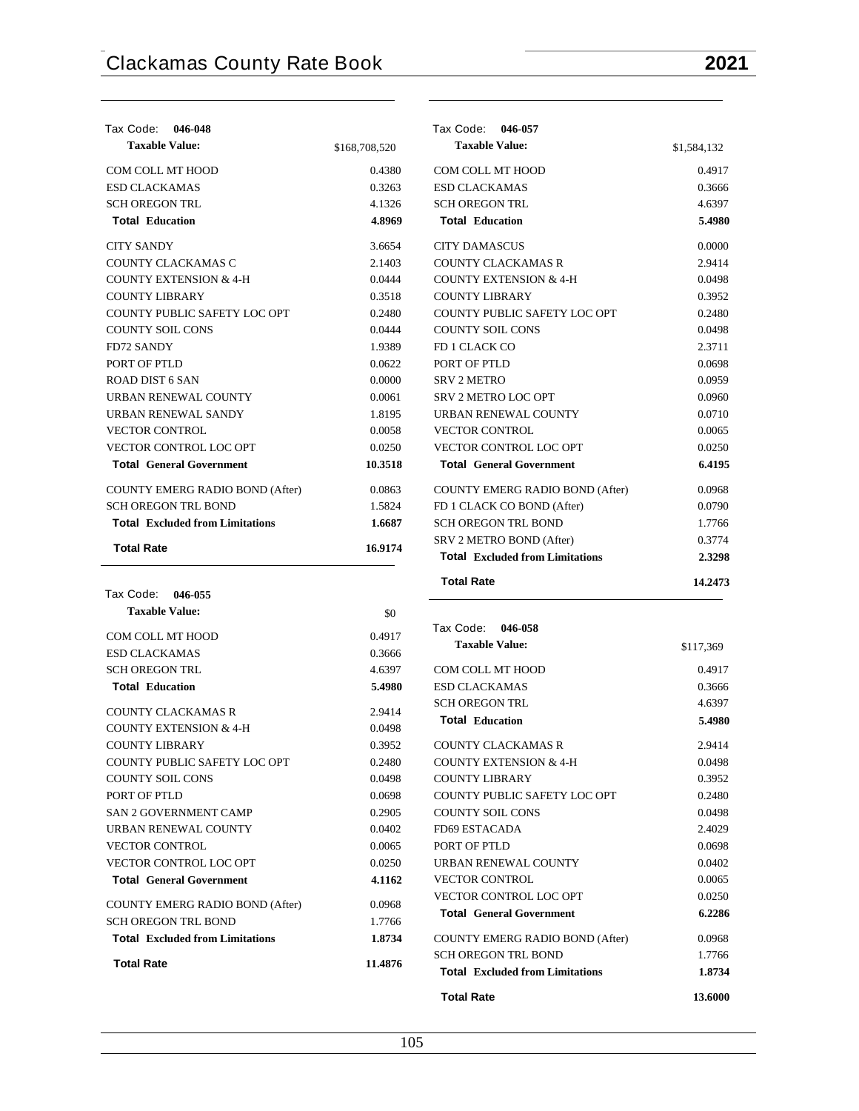**Taxable Value:** \$1,584,132

| Tax Code: 046-048<br><b>Taxable Value:</b> |               | Tax Code: 046-057<br><b>Taxable Value:</b> |
|--------------------------------------------|---------------|--------------------------------------------|
|                                            | \$168,708,520 |                                            |
| COM COLL MT HOOD                           | 0.4380        | COM COLL MT HOOD                           |
| <b>ESD CLACKAMAS</b>                       | 0.3263        | <b>ESD CLACKAMAS</b>                       |
| <b>SCH OREGON TRL</b>                      | 4.1326        | <b>SCH OREGON TRL</b>                      |
| <b>Total Education</b>                     | 4.8969        | <b>Total Education</b>                     |
| <b>CITY SANDY</b>                          | 3.6654        | <b>CITY DAMASCUS</b>                       |
| COUNTY CLACKAMAS C                         | 2.1403        | <b>COUNTY CLACKAMAS R</b>                  |
| <b>COUNTY EXTENSION &amp; 4-H</b>          | 0.0444        | <b>COUNTY EXTENSION &amp; 4-H</b>          |
| <b>COUNTY LIBRARY</b>                      | 0.3518        | <b>COUNTY LIBRARY</b>                      |
| COUNTY PUBLIC SAFETY LOC OPT               | 0.2480        | COUNTY PUBLIC SAFETY LOC OPT               |
| <b>COUNTY SOIL CONS</b>                    | 0.0444        | <b>COUNTY SOIL CONS</b>                    |
| <b>FD72 SANDY</b>                          | 1.9389        | FD 1 CLACK CO                              |
| PORT OF PTLD                               | 0.0622        | PORT OF PTLD                               |
| ROAD DIST 6 SAN                            | 0.0000        | <b>SRV 2 METRO</b>                         |
| URBAN RENEWAL COUNTY                       | 0.0061        | SRV 2 METRO LOC OPT                        |
| <b>URBAN RENEWAL SANDY</b>                 | 1.8195        | URBAN RENEWAL COUNTY                       |
| <b>VECTOR CONTROL</b>                      | 0.0058        | <b>VECTOR CONTROL</b>                      |
| <b>VECTOR CONTROL LOC OPT</b>              | 0.0250        | VECTOR CONTROL LOC OPT                     |
| <b>Total General Government</b>            | 10.3518       | <b>Total General Government</b>            |
| <b>COUNTY EMERG RADIO BOND (After)</b>     | 0.0863        | <b>COUNTY EMERG RADIO BOND (After)</b>     |
| <b>SCH OREGON TRL BOND</b>                 | 1.5824        | FD 1 CLACK CO BOND (After)                 |
| <b>Total</b> Excluded from Limitations     | 1.6687        | <b>SCH OREGON TRL BOND</b>                 |
|                                            |               | SRV 2 METRO BOND (After)                   |
| <b>Total Rate</b>                          | 16.9174       | <b>Total</b> Excluded from Limitations     |

| Tax Code: 046-055                      |         |
|----------------------------------------|---------|
| <b>Taxable Value:</b>                  | \$0     |
| COM COLL MT HOOD                       | 0.4917  |
| <b>ESD CLACKAMAS</b>                   | 0.3666  |
| <b>SCH OREGON TRL</b>                  | 4.6397  |
| <b>Total Education</b>                 | 5.4980  |
| <b>COUNTY CLACKAMAS R</b>              | 2.9414  |
| <b>COUNTY EXTENSION &amp; 4-H</b>      | 0.0498  |
| <b>COUNTY LIBRARY</b>                  | 0.3952  |
| COUNTY PUBLIC SAFETY LOC OPT           | 0.2480  |
| <b>COUNTY SOIL CONS</b>                | 0.0498  |
| PORT OF PTLD                           | 0.0698  |
| <b>SAN 2 GOVERNMENT CAMP</b>           | 0.2905  |
| URBAN RENEWAL COUNTY                   | 0.0402  |
| <b>VECTOR CONTROL</b>                  | 0.0065  |
| VECTOR CONTROL LOC OPT                 | 0.0250  |
| <b>Total General Government</b>        | 4.1162  |
| <b>COUNTY EMERG RADIO BOND (After)</b> | 0.0968  |
| <b>SCH OREGON TRL BOND</b>             | 1.7766  |
| <b>Total</b> Excluded from Limitations | 1.8734  |
| <b>Total Rate</b>                      | 11.4876 |

| <b>Total Rate</b>                      | 14.2473 |
|----------------------------------------|---------|
| <b>Total Excluded from Limitations</b> | 2.3298  |
| SRV 2 METRO BOND (After)               | 0.3774  |
| <b>SCH OREGON TRL BOND</b>             | 1.7766  |
| FD 1 CLACK CO BOND (After)             | 0.0790  |
| COUNTY EMERG RADIO BOND (After)        | 0.0968  |
| <b>Total General Government</b>        | 6.4195  |
| <b>VECTOR CONTROL LOC OPT</b>          | 0.0250  |
| <b>VECTOR CONTROL</b>                  | 0.0065  |
| URBAN RENEWAL COUNTY                   | 0.0710  |
| SRV 2 METRO LOC OPT                    | 0.0960  |
| <b>SRV 2 METRO</b>                     | 0.0959  |
| PORT OF PTLD                           | 0.0698  |
| FD 1 CLACK CO                          | 2.3711  |
| <b>COUNTY SOIL CONS</b>                | 0.0498  |
| COUNTY PUBLIC SAFETY LOC OPT           | 0.2480  |
| <b>COUNTY LIBRARY</b>                  | 0.3952  |
| COUNTY EXTENSION & 4-H                 | 0.0498  |
| <b>COUNTY CLACKAMAS R</b>              | 2.9414  |
| <b>CITY DAMASCUS</b>                   | 0.0000  |
| <b>Total Education</b>                 | 5.4980  |
| <b>SCH OREGON TRL</b>                  | 4.6397  |
| <b>ESD CLACKAMAS</b>                   | 0.3666  |
| COM COLL MT HOOD                       | 0.4917  |

| Tax Code: 046-058                      |           |
|----------------------------------------|-----------|
| <b>Taxable Value:</b>                  | \$117,369 |
| COM COLL MT HOOD                       | 0.4917    |
| ESD CLACKAMAS                          | 0.3666    |
| <b>SCH OREGON TRL</b>                  | 4.6397    |
| <b>Total Education</b>                 | 5.4980    |
| COUNTY CLACKAMAS R                     | 2.9414    |
| <b>COUNTY EXTENSION &amp; 4-H</b>      | 0.0498    |
| <b>COUNTY LIBRARY</b>                  | 0.3952    |
| COUNTY PUBLIC SAFETY LOC OPT           | 0.2480    |
| <b>COUNTY SOIL CONS</b>                | 0.0498    |
| FD69 ESTACADA                          | 2.4029    |
| PORT OF PTLD                           | 0.0698    |
| <b>URBAN RENEWAL COUNTY</b>            | 0.0402    |
| <b>VECTOR CONTROL</b>                  | 0.0065    |
| <b>VECTOR CONTROL LOC OPT</b>          | 0.0250    |
| <b>Total</b> General Government        | 6.2286    |
| COUNTY EMERG RADIO BOND (After)        | 0.0968    |
| <b>SCH OREGON TRL BOND</b>             | 1.7766    |
| <b>Total</b> Excluded from Limitations | 1.8734    |
| <b>Total Rate</b>                      | 13.6000   |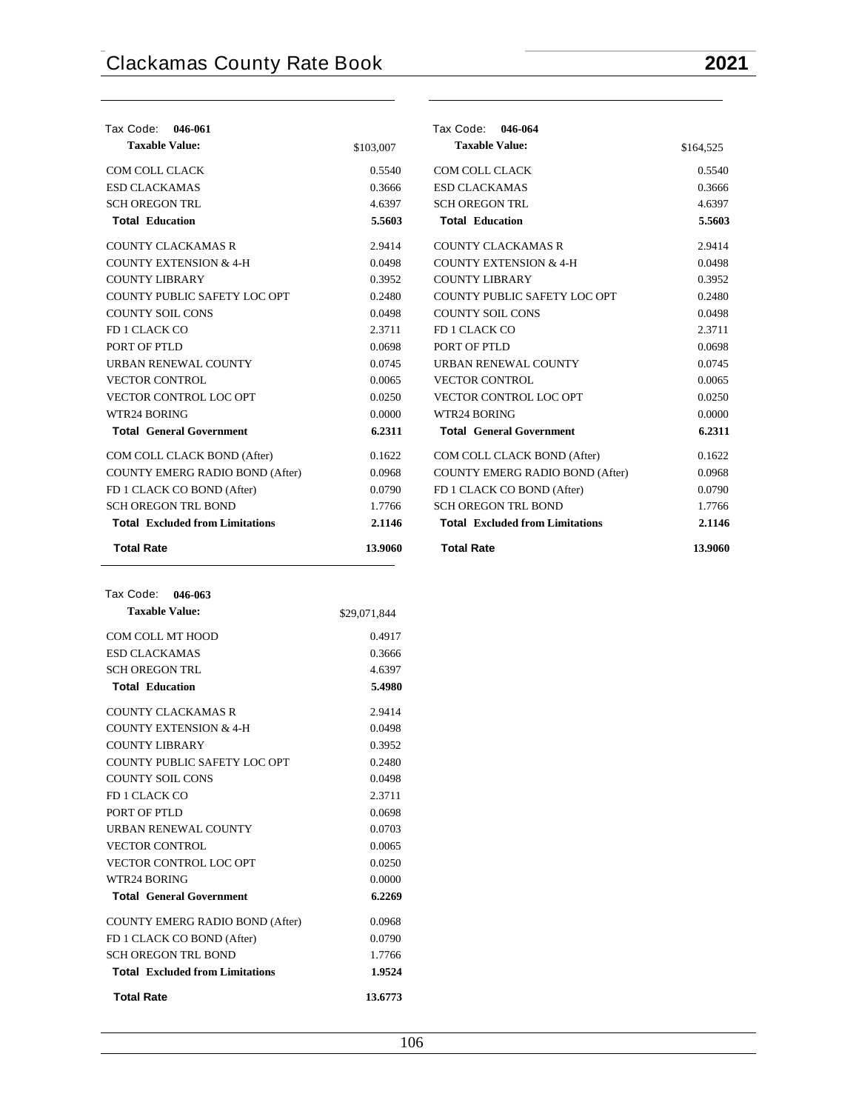| Tax Code: 046-061                      |           | Tax Code: 046-064                      |           |
|----------------------------------------|-----------|----------------------------------------|-----------|
| <b>Taxable Value:</b>                  | \$103,007 | <b>Taxable Value:</b>                  | \$164,525 |
| <b>COM COLL CLACK</b>                  | 0.5540    | COM COLL CLACK                         | 0.5540    |
| <b>ESD CLACKAMAS</b>                   | 0.3666    | <b>ESD CLACKAMAS</b>                   | 0.3666    |
| <b>SCH OREGON TRL</b>                  | 4.6397    | <b>SCH OREGON TRL</b>                  | 4.6397    |
| <b>Total Education</b>                 | 5.5603    | <b>Total Education</b>                 | 5.5603    |
| <b>COUNTY CLACKAMAS R</b>              | 2.9414    | <b>COUNTY CLACKAMAS R</b>              | 2.9414    |
| <b>COUNTY EXTENSION &amp; 4-H</b>      | 0.0498    | <b>COUNTY EXTENSION &amp; 4-H</b>      | 0.0498    |
| <b>COUNTY LIBRARY</b>                  | 0.3952    | <b>COUNTY LIBRARY</b>                  | 0.3952    |
| COUNTY PUBLIC SAFETY LOC OPT           | 0.2480    | COUNTY PUBLIC SAFETY LOC OPT           | 0.2480    |
| <b>COUNTY SOIL CONS</b>                | 0.0498    | <b>COUNTY SOIL CONS</b>                | 0.0498    |
| FD 1 CLACK CO                          | 2.3711    | FD 1 CLACK CO                          | 2.3711    |
| PORT OF PTLD                           | 0.0698    | PORT OF PTLD                           | 0.0698    |
| URBAN RENEWAL COUNTY                   | 0.0745    | URBAN RENEWAL COUNTY                   | 0.0745    |
| <b>VECTOR CONTROL</b>                  | 0.0065    | <b>VECTOR CONTROL</b>                  | 0.0065    |
| <b>VECTOR CONTROL LOC OPT</b>          | 0.0250    | <b>VECTOR CONTROL LOC OPT</b>          | 0.0250    |
| WTR24 BORING                           | 0.0000    | WTR24 BORING                           | 0.0000    |
| <b>Total General Government</b>        | 6.2311    | <b>Total General Government</b>        | 6.2311    |
| COM COLL CLACK BOND (After)            | 0.1622    | COM COLL CLACK BOND (After)            | 0.1622    |
| COUNTY EMERG RADIO BOND (After)        | 0.0968    | COUNTY EMERG RADIO BOND (After)        | 0.0968    |
| FD 1 CLACK CO BOND (After)             | 0.0790    | FD 1 CLACK CO BOND (After)             | 0.0790    |
| <b>SCH OREGON TRL BOND</b>             | 1.7766    | <b>SCH OREGON TRL BOND</b>             | 1.7766    |
| <b>Total Excluded from Limitations</b> | 2.1146    | <b>Total Excluded from Limitations</b> | 2.1146    |
| <b>Total Rate</b>                      | 13.9060   | <b>Total Rate</b>                      | 13.9060   |

| Tax Code: 046-063                      |              |
|----------------------------------------|--------------|
| <b>Taxable Value:</b>                  | \$29,071,844 |
| COM COLL MT HOOD                       | 0.4917       |
| <b>ESD CLACKAMAS</b>                   | 0.3666       |
| <b>SCH OREGON TRL</b>                  | 4.6397       |
| <b>Total Education</b>                 | 5.4980       |
| COUNTY CLACKAMAS R                     | 2.9414       |
| <b>COUNTY EXTENSION &amp; 4-H</b>      | 0.0498       |
| <b>COUNTY LIBRARY</b>                  | 0.3952       |
| COUNTY PUBLIC SAFETY LOC OPT           | 0.2480       |
| <b>COUNTY SOIL CONS</b>                | 0.0498       |
| FD 1 CLACK CO                          | 2.3711       |
| PORT OF PTLD                           | 0.0698       |
| <b>URBAN RENEWAL COUNTY</b>            | 0.0703       |
| <b>VECTOR CONTROL</b>                  | 0.0065       |
| VECTOR CONTROL LOC OPT                 | 0.0250       |
| WTR24 BORING                           | 0.0000       |
| <b>Total General Government</b>        | 6.2269       |
| COUNTY EMERG RADIO BOND (After)        | 0.0968       |
| FD 1 CLACK CO BOND (After)             | 0.0790       |
| <b>SCH OREGON TRL BOND</b>             | 1.7766       |
| <b>Total</b> Excluded from Limitations | 1.9524       |
| <b>Total Rate</b>                      | 13.6773      |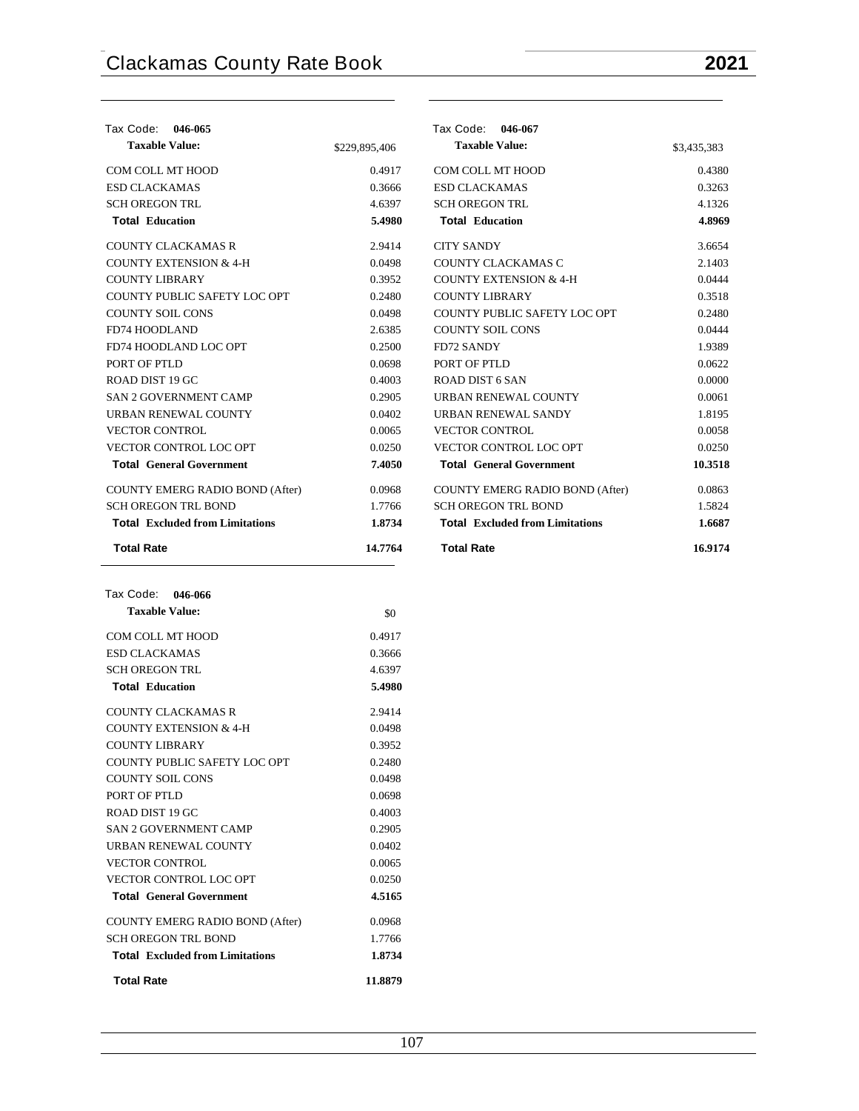| Tax Code: 046-065                      |               | Tax Code:<br>046-067                   |             |
|----------------------------------------|---------------|----------------------------------------|-------------|
| <b>Taxable Value:</b>                  | \$229,895,406 | <b>Taxable Value:</b>                  | \$3,435,383 |
| COM COLL MT HOOD                       | 0.4917        | COM COLL MT HOOD                       | 0.4380      |
| <b>ESD CLACKAMAS</b>                   | 0.3666        | <b>ESD CLACKAMAS</b>                   | 0.3263      |
| <b>SCH OREGON TRL</b>                  | 4.6397        | <b>SCH OREGON TRL</b>                  | 4.1326      |
| <b>Total Education</b>                 | 5.4980        | <b>Total Education</b>                 | 4.8969      |
| <b>COUNTY CLACKAMAS R</b>              | 2.9414        | <b>CITY SANDY</b>                      | 3.6654      |
| <b>COUNTY EXTENSION &amp; 4-H</b>      | 0.0498        | COUNTY CLACKAMAS C                     | 2.1403      |
| <b>COUNTY LIBRARY</b>                  | 0.3952        | <b>COUNTY EXTENSION &amp; 4-H</b>      | 0.0444      |
| COUNTY PUBLIC SAFETY LOC OPT           | 0.2480        | <b>COUNTY LIBRARY</b>                  | 0.3518      |
| <b>COUNTY SOIL CONS</b>                | 0.0498        | COUNTY PUBLIC SAFETY LOC OPT           | 0.2480      |
| <b>FD74 HOODLAND</b>                   | 2.6385        | <b>COUNTY SOIL CONS</b>                | 0.0444      |
| FD74 HOODLAND LOC OPT                  | 0.2500        | <b>FD72 SANDY</b>                      | 1.9389      |
| PORT OF PTLD                           | 0.0698        | PORT OF PTLD                           | 0.0622      |
| ROAD DIST 19 GC                        | 0.4003        | <b>ROAD DIST 6 SAN</b>                 | 0.0000      |
| <b>SAN 2 GOVERNMENT CAMP</b>           | 0.2905        | URBAN RENEWAL COUNTY                   | 0.0061      |
| URBAN RENEWAL COUNTY                   | 0.0402        | URBAN RENEWAL SANDY                    | 1.8195      |
| <b>VECTOR CONTROL</b>                  | 0.0065        | <b>VECTOR CONTROL</b>                  | 0.0058      |
| <b>VECTOR CONTROL LOC OPT</b>          | 0.0250        | VECTOR CONTROL LOC OPT                 | 0.0250      |
| <b>Total General Government</b>        | 7.4050        | <b>Total General Government</b>        | 10.3518     |
| COUNTY EMERG RADIO BOND (After)        | 0.0968        | COUNTY EMERG RADIO BOND (After)        | 0.0863      |
| <b>SCH OREGON TRL BOND</b>             | 1.7766        | <b>SCH OREGON TRL BOND</b>             | 1.5824      |
| <b>Total Excluded from Limitations</b> | 1.8734        | <b>Total Excluded from Limitations</b> | 1.6687      |
| <b>Total Rate</b>                      | 14.7764       | <b>Total Rate</b>                      | 16.9174     |

| <b>Taxable Value:</b>                  | \$0     |
|----------------------------------------|---------|
| COM COLL MT HOOD                       | 0.4917  |
| <b>ESD CLACKAMAS</b>                   | 0.3666  |
| <b>SCH OREGON TRL</b>                  | 4.6397  |
| <b>Total Education</b>                 | 5.4980  |
| COUNTY CLACKAMAS R                     | 2.9414  |
| <b>COUNTY EXTENSION &amp; 4-H</b>      | 0.0498  |
| <b>COUNTY LIBRARY</b>                  | 0.3952  |
| COUNTY PUBLIC SAFETY LOC OPT           | 0.2480  |
| COUNTY SOIL CONS                       | 0.0498  |
| PORT OF PTLD                           | 0.0698  |
| ROAD DIST 19 GC                        | 0.4003  |
| <b>SAN 2 GOVERNMENT CAMP</b>           | 0.2905  |
| <b>URBAN RENEWAL COUNTY</b>            | 0.0402  |
| <b>VECTOR CONTROL</b>                  | 0.0065  |
| <b>VECTOR CONTROL LOC OPT</b>          | 0.0250  |
| <b>Total General Government</b>        | 4.5165  |
| <b>COUNTY EMERG RADIO BOND (After)</b> | 0.0968  |
| <b>SCH OREGON TRL BOND</b>             | 1.7766  |
| <b>Total</b> Excluded from Limitations | 1.8734  |
| <b>Total Rate</b>                      | 11.8879 |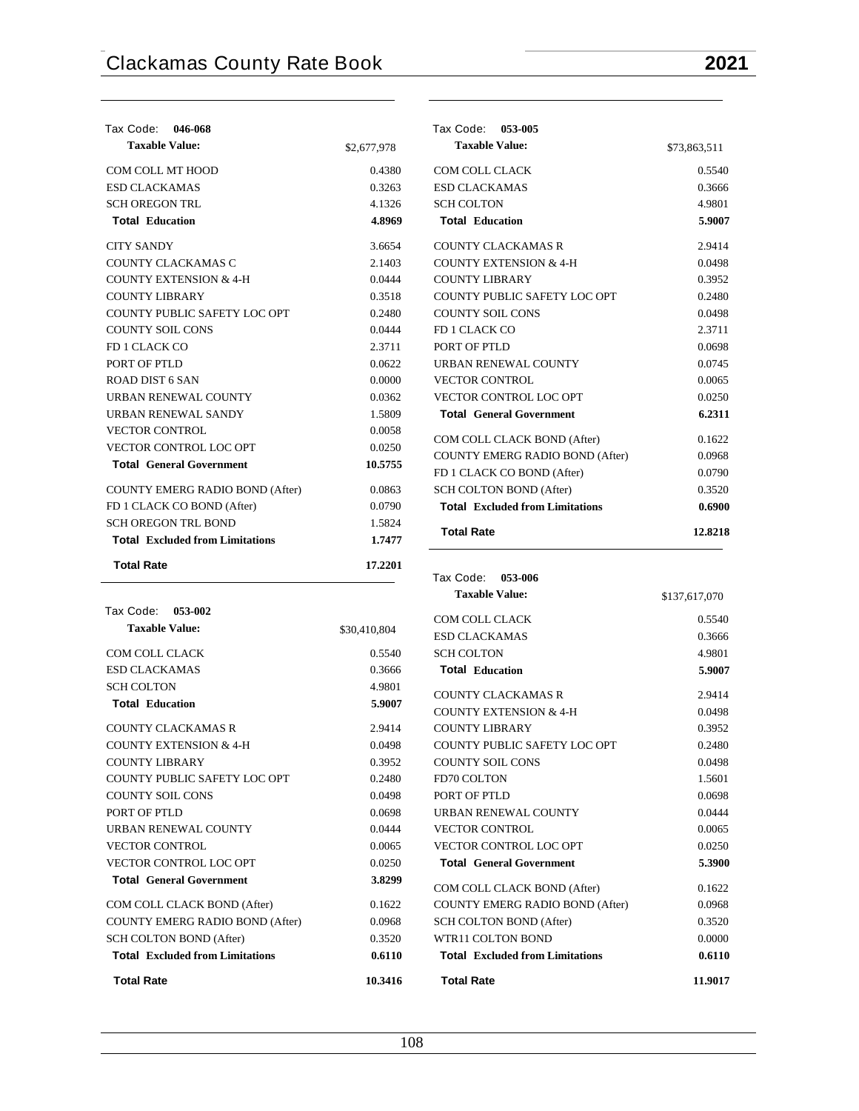| Tax Code: 046-068                      |             |
|----------------------------------------|-------------|
| <b>Taxable Value:</b>                  | \$2,677,978 |
| COM COLL MT HOOD                       | 0.4380      |
| <b>ESD CLACKAMAS</b>                   | 0.3263      |
| <b>SCH OREGON TRL</b>                  | 4.1326      |
| <b>Total Education</b>                 | 4.8969      |
| <b>CITY SANDY</b>                      | 3.6654      |
| COUNTY CLACKAMAS C                     | 2.1403      |
| <b>COUNTY EXTENSION &amp; 4-H</b>      | 0.0444      |
| COUNTY LIBRARY                         | 0.3518      |
| COUNTY PUBLIC SAFETY LOC OPT           | 0.2480      |
| <b>COUNTY SOIL CONS</b>                | 0.0444      |
| FD 1 CLACK CO                          | 2.3711      |
| PORT OF PTLD                           | 0.0622      |
| ROAD DIST 6 SAN                        | 0.0000      |
| <b>URBAN RENEWAL COUNTY</b>            | 0.0362      |
| <b>URBAN RENEWAL SANDY</b>             | 1.5809      |
| <b>VECTOR CONTROL</b>                  | 0.0058      |
| VECTOR CONTROL LOC OPT                 | 0.0250      |
| <b>Total General Government</b>        | 10.5755     |
| COUNTY EMERG RADIO BOND (After)        | 0.0863      |
| FD 1 CLACK CO BOND (After)             | 0.0790      |
| <b>SCH OREGON TRL BOND</b>             | 1.5824      |
| <b>Total</b> Excluded from Limitations | 1.7477      |
| <b>Total Rate</b>                      | 17.2201     |

| Tax Code: 053-002                      |              |
|----------------------------------------|--------------|
| <b>Taxable Value:</b>                  | \$30,410,804 |
| COM COLL CLACK                         | 0.5540       |
| <b>ESD CLACKAMAS</b>                   | 0.3666       |
| <b>SCH COLTON</b>                      | 4.9801       |
| <b>Total Education</b>                 | 5.9007       |
| <b>COUNTY CLACKAMAS R</b>              | 2.9414       |
| <b>COUNTY EXTENSION &amp; 4-H</b>      | 0.0498       |
| COUNTY LIBRARY                         | 0.3952       |
| COUNTY PUBLIC SAFETY LOC OPT           | 0.2480       |
| <b>COUNTY SOIL CONS</b>                | 0.0498       |
| PORT OF PTLD                           | 0.0698       |
| URBAN RENEWAL COUNTY                   | 0.0444       |
| <b>VECTOR CONTROL</b>                  | 0.0065       |
| <b>VECTOR CONTROL LOC OPT</b>          | 0.0250       |
| <b>Total General Government</b>        | 3.8299       |
| COM COLL CLACK BOND (After)            | 0.1622       |
| <b>COUNTY EMERG RADIO BOND (After)</b> | 0.0968       |
| SCH COLTON BOND (After)                | 0.3520       |
| <b>Total</b> Excluded from Limitations | 0.6110       |
| <b>Total Rate</b>                      | 10.3416      |

| Tax Code: 053-005                      |              |
|----------------------------------------|--------------|
| <b>Taxable Value:</b>                  | \$73,863,511 |
| COM COLL CLACK                         | 0.5540       |
| <b>ESD CLACKAMAS</b>                   | 0.3666       |
| <b>SCH COLTON</b>                      | 4.9801       |
| <b>Total Education</b>                 | 5.9007       |
| <b>COUNTY CLACKAMAS R</b>              | 2.9414       |
| <b>COUNTY EXTENSION &amp; 4-H</b>      | 0.0498       |
| COUNTY LIBRARY                         | 0.3952       |
| COUNTY PUBLIC SAFETY LOC OPT           | 0.2480       |
| <b>COUNTY SOIL CONS</b>                | 0.0498       |
| FD 1 CLACK CO                          | 2.3711       |
| PORT OF PTLD                           | 0.0698       |
| <b>URBAN RENEWAL COUNTY</b>            | 0.0745       |
| <b>VECTOR CONTROL</b>                  | 0.0065       |
| <b>VECTOR CONTROL LOC OPT</b>          | 0.0250       |
| <b>Total General Government</b>        | 6.2311       |
| COM COLL CLACK BOND (After)            | 0.1622       |
| COUNTY EMERG RADIO BOND (After)        | 0.0968       |
| FD 1 CLACK CO BOND (After)             | 0.0790       |
| <b>SCH COLTON BOND (After)</b>         | 0.3520       |
| <b>Total Excluded from Limitations</b> | 0.6900       |
| <b>Total Rate</b>                      | 12.8218      |

 **Tax Code: 053-006**

| <b>Taxable Value:</b>                  | \$137,617,070 |
|----------------------------------------|---------------|
| <b>COM COLL CLACK</b>                  | 0.5540        |
| <b>ESD CLACKAMAS</b>                   | 0.3666        |
| <b>SCH COLTON</b>                      | 4.9801        |
| <b>Total Education</b>                 | 5.9007        |
| <b>COUNTY CLACKAMAS R</b>              | 2.9414        |
| <b>COUNTY EXTENSION &amp; 4-H</b>      | 0.0498        |
| <b>COUNTY LIBRARY</b>                  | 0.3952        |
| COUNTY PUBLIC SAFETY LOC OPT           | 0.2480        |
| <b>COUNTY SOIL CONS</b>                | 0.0498        |
| <b>FD70 COLTON</b>                     | 1.5601        |
| PORT OF PTLD                           | 0.0698        |
| <b>URBAN RENEWAL COUNTY</b>            | 0.0444        |
| <b>VECTOR CONTROL</b>                  | 0.0065        |
| <b>VECTOR CONTROL LOC OPT</b>          | 0.0250        |
| <b>Total General Government</b>        | 5.3900        |
| COM COLL CLACK BOND (After)            | 0.1622        |
| COUNTY EMERG RADIO BOND (After)        | 0.0968        |
| <b>SCH COLTON BOND (After)</b>         | 0.3520        |
| WTR11 COLTON BOND                      | 0.0000        |
| <b>Total</b> Excluded from Limitations | 0.6110        |
| <b>Total Rate</b>                      | 11.9017       |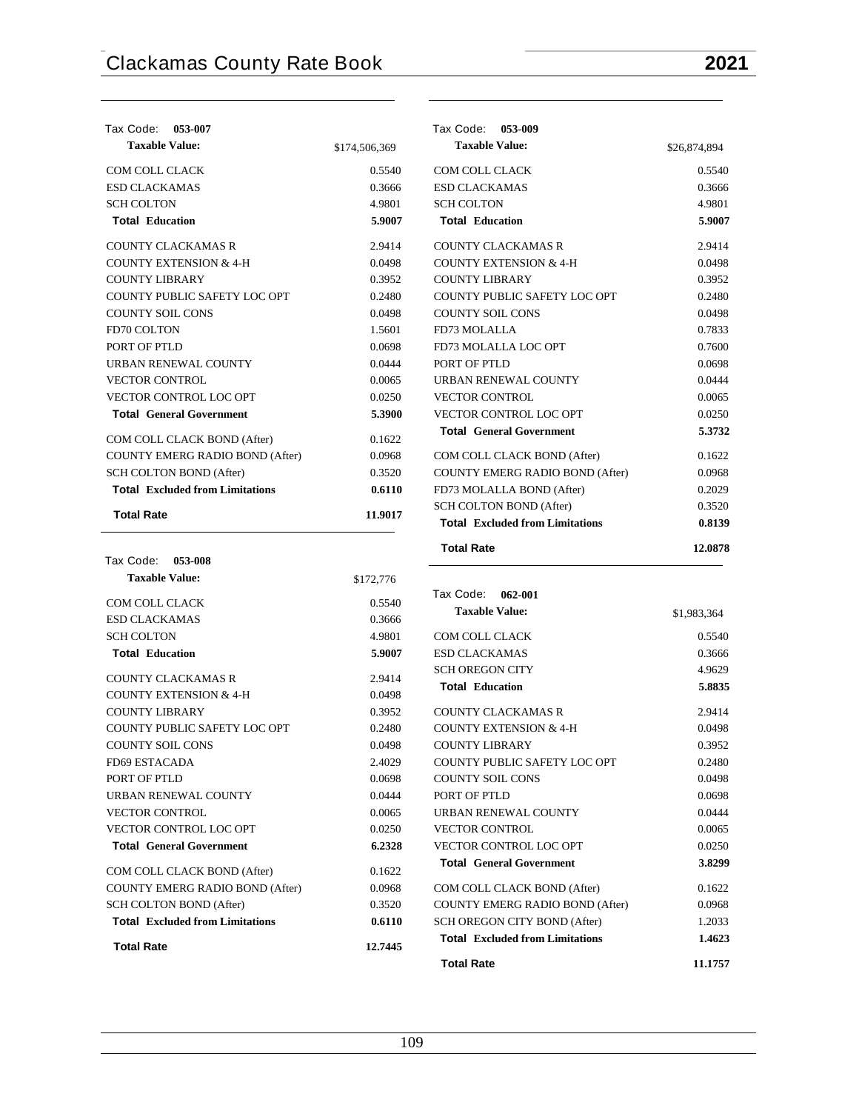| Tax Code: 053-007                      |               |
|----------------------------------------|---------------|
| <b>Taxable Value:</b>                  | \$174,506,369 |
| COM COLL CLACK                         | 0.5540        |
| <b>ESD CLACKAMAS</b>                   | 0.3666        |
| <b>SCH COLTON</b>                      | 4.9801        |
| <b>Total Education</b>                 | 5.9007        |
| <b>COUNTY CLACKAMAS R</b>              | 2.9414        |
| <b>COUNTY EXTENSION &amp; 4-H</b>      | 0.0498        |
| COUNTY LIBRARY                         | 0.3952        |
| COUNTY PUBLIC SAFETY LOC OPT           | 0.2480        |
| <b>COUNTY SOIL CONS</b>                | 0.0498        |
| <b>FD70 COLTON</b>                     | 1.5601        |
| PORT OF PTLD                           | 0.0698        |
| <b>URBAN RENEWAL COUNTY</b>            | 0.0444        |
| <b>VECTOR CONTROL</b>                  | 0.0065        |
| <b>VECTOR CONTROL LOC OPT</b>          | 0.0250        |
| <b>Total General Government</b>        | 5.3900        |
| COM COLL CLACK BOND (After)            | 0.1622        |
| COUNTY EMERG RADIO BOND (After)        | 0.0968        |
| <b>SCH COLTON BOND (After)</b>         | 0.3520        |
| <b>Total</b> Excluded from Limitations | 0.6110        |
| <b>Total Rate</b>                      | 11.9017       |

| Tax Code: 053-008                      |           |
|----------------------------------------|-----------|
| <b>Taxable Value:</b>                  | \$172,776 |
| COM COLL CLACK                         | 0.5540    |
| <b>ESD CLACKAMAS</b>                   | 0.3666    |
| <b>SCH COLTON</b>                      | 4.9801    |
| <b>Total Education</b>                 | 5.9007    |
| COUNTY CLACKAMAS R                     | 2.9414    |
| <b>COUNTY EXTENSION &amp; 4-H</b>      | 0.0498    |
| <b>COUNTY LIBRARY</b>                  | 0.3952    |
| <b>COUNTY PUBLIC SAFETY LOC OPT</b>    | 0.2480    |
| <b>COUNTY SOIL CONS</b>                | 0.0498    |
| FD69 ESTACADA                          | 2.4029    |
| PORT OF PTLD                           | 0.0698    |
| URBAN RENEWAL COUNTY                   | 0.0444    |
| <b>VECTOR CONTROL</b>                  | 0.0065    |
| <b>VECTOR CONTROL LOC OPT</b>          | 0.0250    |
| <b>Total General Government</b>        | 6.2328    |
| COM COLL CLACK BOND (After)            | 0.1622    |
| <b>COUNTY EMERG RADIO BOND (After)</b> | 0.0968    |
| <b>SCH COLTON BOND (After)</b>         | 0.3520    |
| <b>Total</b> Excluded from Limitations | 0.6110    |
| <b>Total Rate</b>                      | 12.7445   |

| Tax Code: 053-009                      |              |
|----------------------------------------|--------------|
| <b>Taxable Value:</b>                  | \$26,874,894 |
| COM COLL CLACK                         | 0.5540       |
| <b>ESD CLACKAMAS</b>                   | 0.3666       |
| <b>SCH COLTON</b>                      | 4.9801       |
| <b>Total Education</b>                 | 5.9007       |
| <b>COUNTY CLACKAMAS R</b>              | 2.9414       |
| <b>COUNTY EXTENSION &amp; 4-H</b>      | 0.0498       |
| <b>COUNTY LIBRARY</b>                  | 0.3952       |
| COUNTY PUBLIC SAFETY LOC OPT           | 0.2480       |
| <b>COUNTY SOIL CONS</b>                | 0.0498       |
| FD73 MOLALLA                           | 0.7833       |
| FD73 MOLALLA LOC OPT                   | 0.7600       |
| PORT OF PTLD                           | 0.0698       |
| <b>URBAN RENEWAL COUNTY</b>            | 0.0444       |
| <b>VECTOR CONTROL</b>                  | 0.0065       |
| VECTOR CONTROL LOC OPT                 | 0.0250       |
| <b>Total General Government</b>        | 5.3732       |
| COM COLL CLACK BOND (After)            | 0.1622       |
| <b>COUNTY EMERG RADIO BOND (After)</b> | 0.0968       |
| FD73 MOLALLA BOND (After)              | 0.2029       |
| <b>SCH COLTON BOND (After)</b>         | 0.3520       |
| <b>Total</b> Excluded from Limitations | 0.8139       |
| <b>Total Rate</b>                      | 12.0878      |

| Tax Code: 062-001                      |             |
|----------------------------------------|-------------|
| <b>Taxable Value:</b>                  | \$1,983,364 |
| COM COLL CLACK                         | 0.5540      |
| ESD CLACKAMAS                          | 0.3666      |
| <b>SCH OREGON CITY</b>                 | 4.9629      |
| <b>Total Education</b>                 | 5.8835      |
| COUNTY CLACKAMAS R                     | 2.9414      |
| COUNTY EXTENSION & 4-H                 | 0.0498      |
| COUNTY LIBRARY                         | 0.3952      |
| COUNTY PUBLIC SAFETY LOC OPT           | 0.2480      |
| <b>COUNTY SOIL CONS</b>                | 0.0498      |
| PORT OF PTLD                           | 0.0698      |
| URBAN RENEWAL COUNTY                   | 0.0444      |
| <b>VECTOR CONTROL</b>                  | 0.0065      |
| <b>VECTOR CONTROL LOC OPT</b>          | 0.0250      |
| <b>Total General Government</b>        | 3.8299      |
| COM COLL CLACK BOND (After)            | 0.1622      |
| <b>COUNTY EMERG RADIO BOND (After)</b> | 0.0968      |
| SCH OREGON CITY BOND (After)           | 1.2033      |
| <b>Total</b> Excluded from Limitations | 1.4623      |
| <b>Total Rate</b>                      | 11.1757     |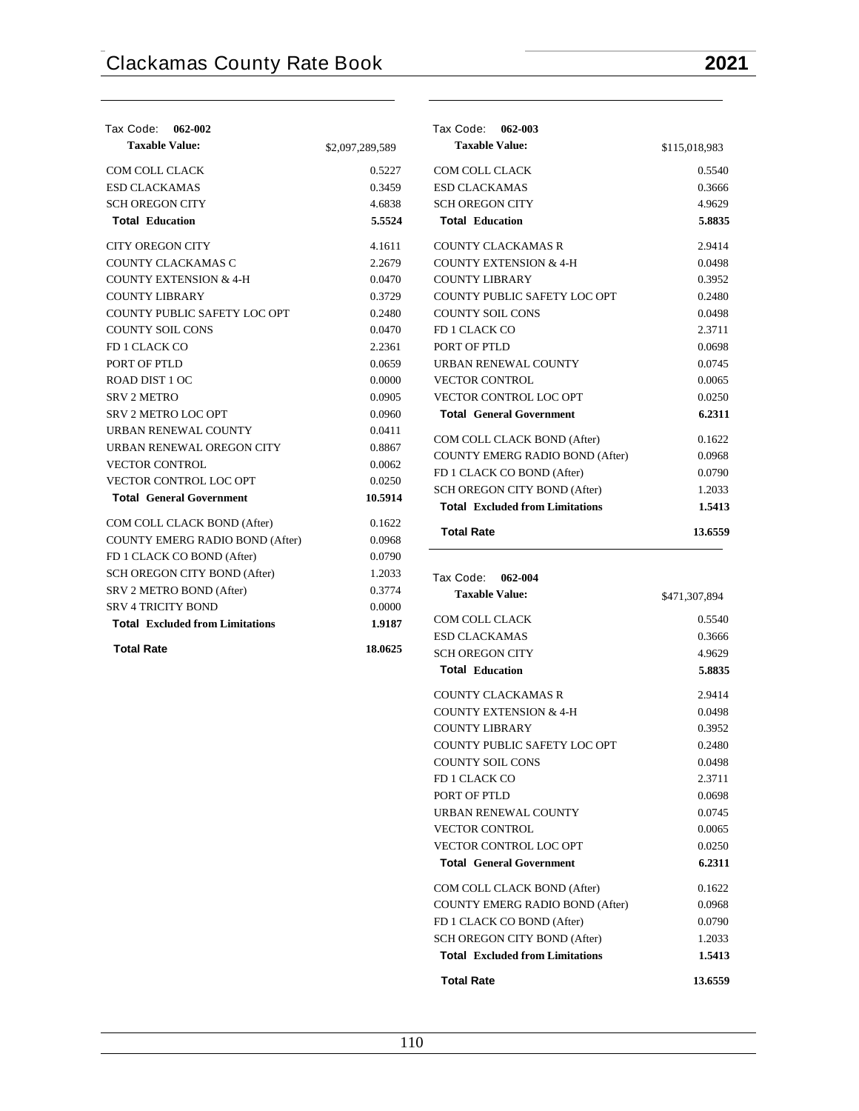| Tax Code:<br>062-002                   |                 |
|----------------------------------------|-----------------|
| <b>Taxable Value:</b>                  | \$2,097,289,589 |
| <b>COM COLL CLACK</b>                  | 0.5227          |
| <b>ESD CLACKAMAS</b>                   | 0.3459          |
| <b>SCHOREGON CITY</b>                  | 4.6838          |
| <b>Total Education</b>                 | 5.5524          |
| <b>CITY OREGON CITY</b>                | 4.1611          |
| COUNTY CLACKAMAS C                     | 2.2679          |
| <b>COUNTY EXTENSION &amp; 4-H</b>      | 0.0470          |
| <b>COUNTY LIBRARY</b>                  | 0.3729          |
| COUNTY PUBLIC SAFETY LOC OPT           | 0.2480          |
| COUNTY SOIL CONS                       | 0.0470          |
| <b>FD 1 CLACK CO</b>                   | 2.2361          |
| PORT OF PTLD                           | 0.0659          |
| ROAD DIST 1 OC                         | 0.0000          |
| <b>SRV 2 METRO</b>                     | 0.0905          |
| <b>SRV 2 METRO LOC OPT</b>             | 0.0960          |
| URBAN RENEWAL COUNTY                   | 0.0411          |
| URBAN RENEWAL OREGON CITY              | 0.8867          |
| <b>VECTOR CONTROL</b>                  | 0.0062          |
| VECTOR CONTROL LOC OPT                 | 0.0250          |
| <b>Total General Government</b>        | 10.5914         |
| COM COLL CLACK BOND (After)            | 0.1622          |
| COUNTY EMERG RADIO BOND (After)        | 0.0968          |
| FD 1 CLACK CO BOND (After)             | 0.0790          |
| SCH OREGON CITY BOND (After)           | 1.2033          |
| SRV 2 METRO BOND (After)               | 0.3774          |
| <b>SRV 4 TRICITY BOND</b>              | 0.0000          |
| <b>Total Excluded from Limitations</b> | 1.9187          |
| <b>Total Rate</b>                      | 18.0625         |

| Tax Code: 062-003                      |               |
|----------------------------------------|---------------|
| <b>Taxable Value:</b>                  | \$115,018,983 |
| COM COLL CLACK                         | 0.5540        |
| <b>ESD CLACKAMAS</b>                   | 0.3666        |
| <b>SCH OREGON CITY</b>                 | 4.9629        |
| <b>Total Education</b>                 | 5.8835        |
| COUNTY CLACKAMAS R                     | 2.9414        |
| <b>COUNTY EXTENSION &amp; 4-H</b>      | 0.0498        |
| <b>COUNTY LIBRARY</b>                  | 0.3952        |
| COUNTY PUBLIC SAFETY LOC OPT           | 0.2480        |
| <b>COUNTY SOIL CONS</b>                | 0.0498        |
| FD 1 CLACK CO                          | 2.3711        |
| PORT OF PTLD                           | 0.0698        |
| <b>URBAN RENEWAL COUNTY</b>            | 0.0745        |
| <b>VECTOR CONTROL</b>                  | 0.0065        |
| <b>VECTOR CONTROL LOC OPT</b>          | 0.0250        |
| <b>Total General Government</b>        | 6.2311        |
| COM COLL CLACK BOND (After)            | 0.1622        |
| <b>COUNTY EMERG RADIO BOND (After)</b> | 0.0968        |
| FD 1 CLACK CO BOND (After)             | 0.0790        |
| <b>SCH OREGON CITY BOND (After)</b>    | 1.2033        |
| <b>Total</b> Excluded from Limitations | 1.5413        |
| <b>Total Rate</b>                      | 13.6559       |

| Tax Code: 062-004                      |               |
|----------------------------------------|---------------|
| <b>Taxable Value:</b>                  | \$471,307,894 |
| COM COLL CLACK                         | 0.5540        |
| <b>ESD CLACKAMAS</b>                   | 0.3666        |
| <b>SCH OREGON CITY</b>                 | 4.9629        |
| <b>Total Education</b>                 | 5.8835        |
| <b>COUNTY CLACKAMAS R</b>              | 2.9414        |
| <b>COUNTY EXTENSION &amp; 4-H</b>      | 0.0498        |
| <b>COUNTY LIBRARY</b>                  | 0.3952        |
| COUNTY PUBLIC SAFETY LOC OPT           | 0.2480        |
| <b>COUNTY SOIL CONS</b>                | 0.0498        |
| FD 1 CLACK CO                          | 2.3711        |
| PORT OF PTLD                           | 0.0698        |
| <b>URBAN RENEWAL COUNTY</b>            | 0.0745        |
| <b>VECTOR CONTROL</b>                  | 0.0065        |
| <b>VECTOR CONTROL LOC OPT</b>          | 0.0250        |
| <b>Total General Government</b>        | 6.2311        |
| COM COLL CLACK BOND (After)            | 0.1622        |
| <b>COUNTY EMERG RADIO BOND (After)</b> | 0.0968        |
| FD 1 CLACK CO BOND (After)             | 0.0790        |
| SCH OREGON CITY BOND (After)           | 1.2033        |
| <b>Total Excluded from Limitations</b> | 1.5413        |
| <b>Total Rate</b>                      | 13.6559       |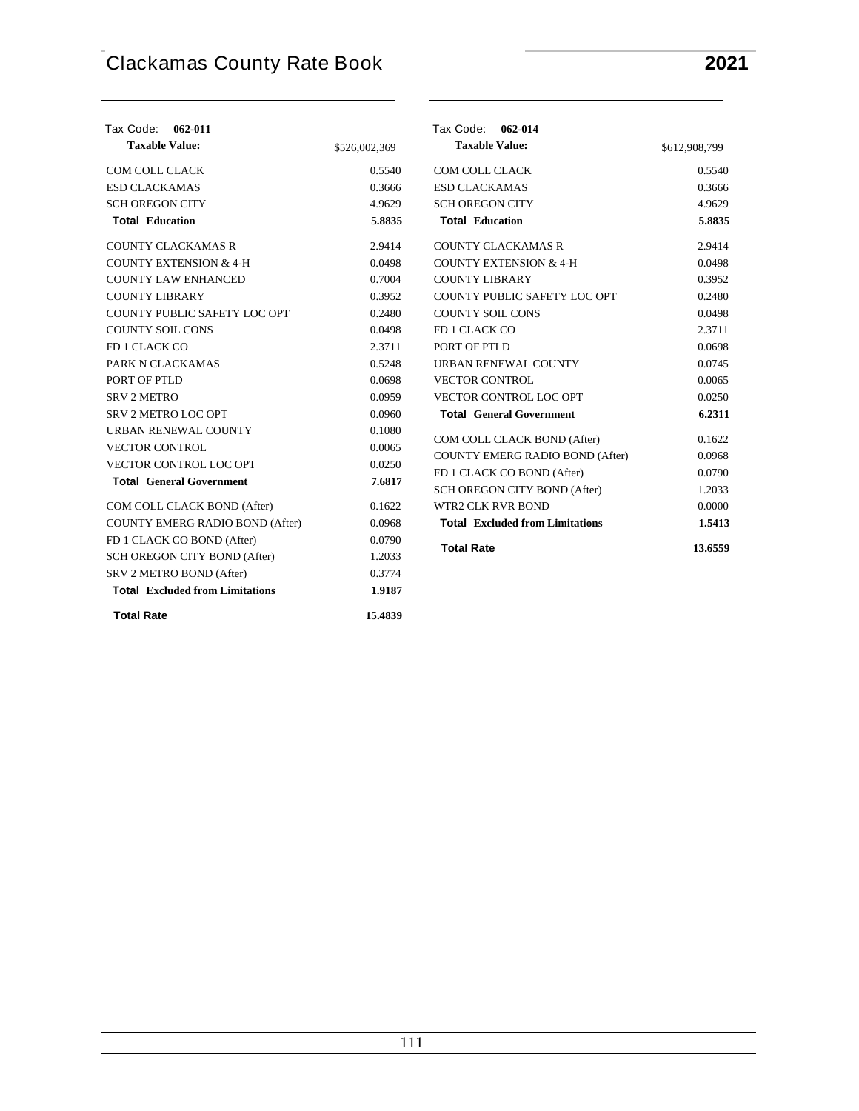| Tax Code: 062-011                                                  |               | Tax Code: 062-014                      |               |
|--------------------------------------------------------------------|---------------|----------------------------------------|---------------|
| <b>Taxable Value:</b>                                              | \$526,002,369 | <b>Taxable Value:</b>                  | \$612,908,799 |
| COM COLL CLACK                                                     | 0.5540        | COM COLL CLACK                         | 0.5540        |
| <b>ESD CLACKAMAS</b>                                               | 0.3666        | <b>ESD CLACKAMAS</b>                   | 0.3666        |
| <b>SCH OREGON CITY</b>                                             | 4.9629        | <b>SCH OREGON CITY</b>                 | 4.9629        |
| <b>Total Education</b>                                             | 5.8835        | <b>Total Education</b>                 | 5.8835        |
| <b>COUNTY CLACKAMAS R</b>                                          | 2.9414        | <b>COUNTY CLACKAMAS R</b>              | 2.9414        |
| <b>COUNTY EXTENSION &amp; 4-H</b>                                  | 0.0498        | <b>COUNTY EXTENSION &amp; 4-H</b>      | 0.0498        |
| <b>COUNTY LAW ENHANCED</b>                                         | 0.7004        | <b>COUNTY LIBRARY</b>                  | 0.3952        |
| <b>COUNTY LIBRARY</b>                                              | 0.3952        | COUNTY PUBLIC SAFETY LOC OPT           | 0.2480        |
| COUNTY PUBLIC SAFETY LOC OPT                                       | 0.2480        | <b>COUNTY SOIL CONS</b>                | 0.0498        |
| <b>COUNTY SOIL CONS</b>                                            | 0.0498        | FD 1 CLACK CO                          | 2.3711        |
| FD 1 CLACK CO                                                      | 2.3711        | PORT OF PTLD                           | 0.0698        |
| PARK N CLACKAMAS                                                   | 0.5248        | URBAN RENEWAL COUNTY                   | 0.0745        |
| PORT OF PTLD                                                       | 0.0698        | <b>VECTOR CONTROL</b>                  | 0.0065        |
| <b>SRV 2 METRO</b>                                                 | 0.0959        | VECTOR CONTROL LOC OPT                 | 0.0250        |
| <b>SRV 2 METRO LOC OPT</b>                                         | 0.0960        | <b>Total General Government</b>        | 6.2311        |
| URBAN RENEWAL COUNTY                                               | 0.1080        | COM COLL CLACK BOND (After)            | 0.1622        |
| <b>VECTOR CONTROL</b>                                              | 0.0065        | <b>COUNTY EMERG RADIO BOND (After)</b> | 0.0968        |
| VECTOR CONTROL LOC OPT                                             | 0.0250        | FD 1 CLACK CO BOND (After)             | 0.0790        |
| <b>Total General Government</b>                                    | 7.6817        | SCH OREGON CITY BOND (After)           | 1.2033        |
| COM COLL CLACK BOND (After)                                        | 0.1622        | WTR2 CLK RVR BOND                      | 0.0000        |
| <b>COUNTY EMERG RADIO BOND (After)</b>                             | 0.0968        | <b>Total Excluded from Limitations</b> | 1.5413        |
| FD 1 CLACK CO BOND (After)                                         | 0.0790        |                                        |               |
| SCH OREGON CITY BOND (After)                                       | 1.2033        | <b>Total Rate</b>                      | 13.6559       |
|                                                                    |               |                                        |               |
| SRV 2 METRO BOND (After)<br><b>Total Excluded from Limitations</b> | 0.3774        |                                        |               |
|                                                                    | 1.9187        |                                        |               |
| <b>Total Rate</b>                                                  | 15.4839       |                                        |               |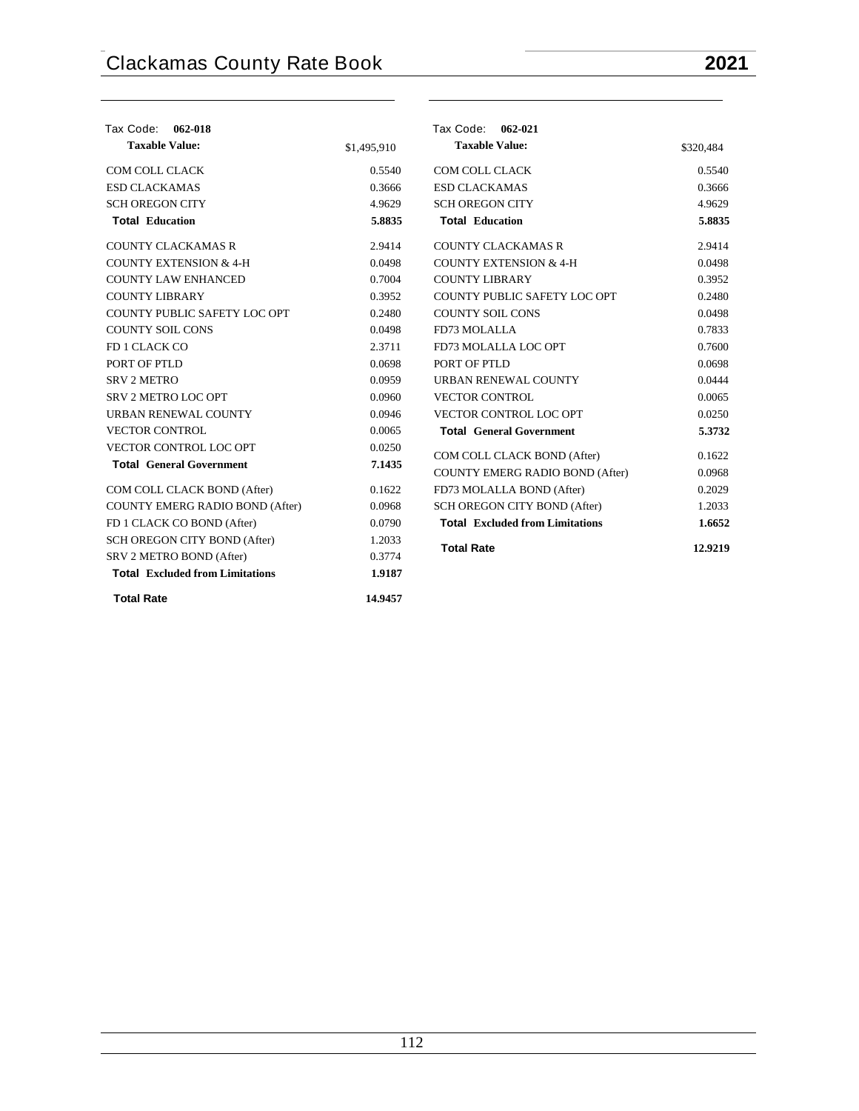| Tax Code: 062-018                      |             | Tax Code: 062-021                      |           |
|----------------------------------------|-------------|----------------------------------------|-----------|
| <b>Taxable Value:</b>                  | \$1,495,910 | <b>Taxable Value:</b>                  | \$320,484 |
| <b>COM COLL CLACK</b>                  | 0.5540      | COM COLL CLACK                         | 0.5540    |
| <b>ESD CLACKAMAS</b>                   | 0.3666      | <b>ESD CLACKAMAS</b>                   | 0.3666    |
| <b>SCH OREGON CITY</b>                 | 4.9629      | <b>SCH OREGON CITY</b>                 | 4.9629    |
| <b>Total Education</b>                 | 5.8835      | <b>Total Education</b>                 | 5.8835    |
| <b>COUNTY CLACKAMAS R</b>              | 2.9414      | <b>COUNTY CLACKAMAS R</b>              | 2.9414    |
| <b>COUNTY EXTENSION &amp; 4-H</b>      | 0.0498      | <b>COUNTY EXTENSION &amp; 4-H</b>      | 0.0498    |
| <b>COUNTY LAW ENHANCED</b>             | 0.7004      | <b>COUNTY LIBRARY</b>                  | 0.3952    |
| <b>COUNTY LIBRARY</b>                  | 0.3952      | COUNTY PUBLIC SAFETY LOC OPT           | 0.2480    |
| COUNTY PUBLIC SAFETY LOC OPT           | 0.2480      | <b>COUNTY SOIL CONS</b>                | 0.0498    |
| <b>COUNTY SOIL CONS</b>                | 0.0498      | FD73 MOLALLA                           | 0.7833    |
| FD 1 CLACK CO                          | 2.3711      | FD73 MOLALLA LOC OPT                   | 0.7600    |
| PORT OF PTLD                           | 0.0698      | PORT OF PTLD                           | 0.0698    |
| <b>SRV 2 METRO</b>                     | 0.0959      | <b>URBAN RENEWAL COUNTY</b>            | 0.0444    |
| <b>SRV 2 METRO LOC OPT</b>             | 0.0960      | <b>VECTOR CONTROL</b>                  | 0.0065    |
| URBAN RENEWAL COUNTY                   | 0.0946      | VECTOR CONTROL LOC OPT                 | 0.0250    |
| <b>VECTOR CONTROL</b>                  | 0.0065      | <b>Total General Government</b>        | 5.3732    |
| VECTOR CONTROL LOC OPT                 | 0.0250      | COM COLL CLACK BOND (After)            | 0.1622    |
| <b>Total General Government</b>        | 7.1435      | COUNTY EMERG RADIO BOND (After)        | 0.0968    |
| COM COLL CLACK BOND (After)            | 0.1622      | FD73 MOLALLA BOND (After)              | 0.2029    |
| COUNTY EMERG RADIO BOND (After)        | 0.0968      | <b>SCH OREGON CITY BOND (After)</b>    | 1.2033    |
| FD 1 CLACK CO BOND (After)             | 0.0790      | <b>Total</b> Excluded from Limitations | 1.6652    |
| SCH OREGON CITY BOND (After)           | 1.2033      |                                        |           |
| SRV 2 METRO BOND (After)               | 0.3774      | <b>Total Rate</b>                      | 12.9219   |
| <b>Total Excluded from Limitations</b> | 1.9187      |                                        |           |
| <b>Total Rate</b>                      | 14.9457     |                                        |           |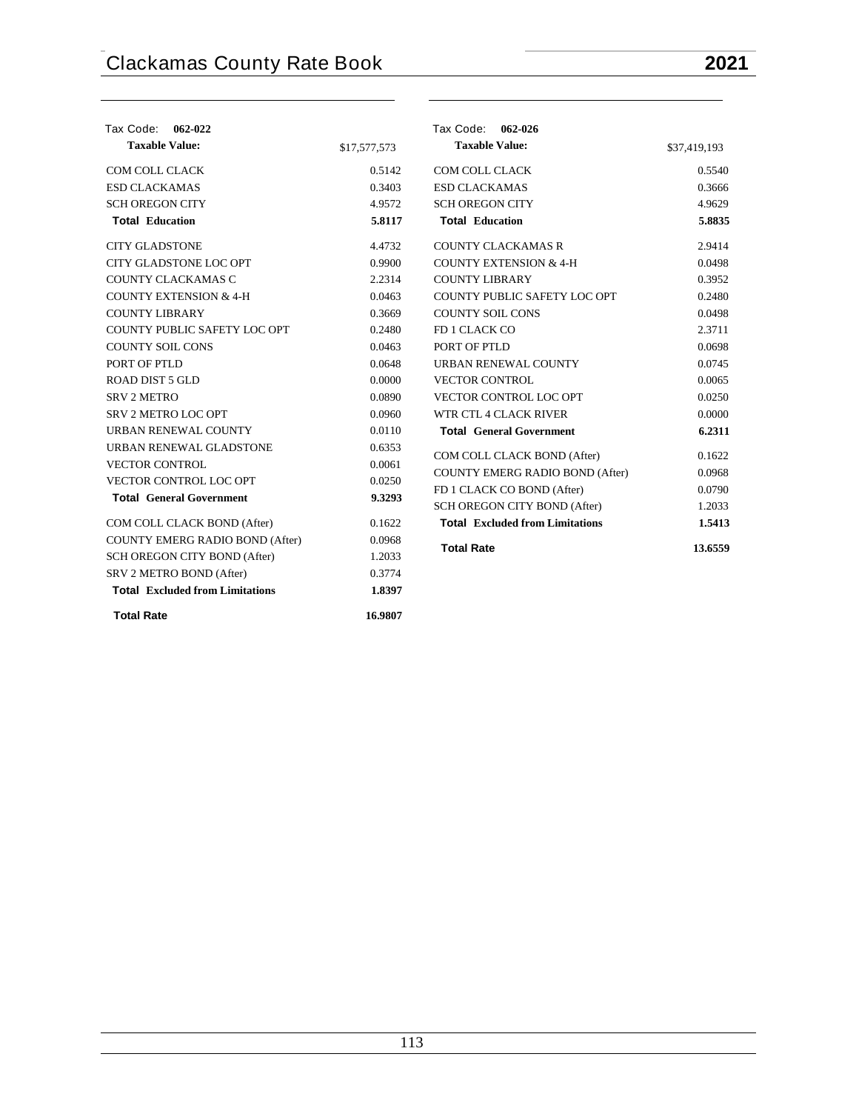| Tax Code:<br>062-022                   |              | Tax Code: 062-026                                          |              |
|----------------------------------------|--------------|------------------------------------------------------------|--------------|
| <b>Taxable Value:</b>                  | \$17,577,573 | <b>Taxable Value:</b>                                      | \$37,419,193 |
| COM COLL CLACK                         | 0.5142       | COM COLL CLACK                                             | 0.5540       |
| <b>ESD CLACKAMAS</b>                   | 0.3403       | <b>ESD CLACKAMAS</b>                                       | 0.3666       |
| <b>SCH OREGON CITY</b>                 | 4.9572       | <b>SCH OREGON CITY</b>                                     | 4.9629       |
| <b>Total Education</b>                 | 5.8117       | <b>Total Education</b>                                     | 5.8835       |
| <b>CITY GLADSTONE</b>                  | 4.4732       | <b>COUNTY CLACKAMAS R</b>                                  | 2.9414       |
| CITY GLADSTONE LOC OPT                 | 0.9900       | <b>COUNTY EXTENSION &amp; 4-H</b>                          | 0.0498       |
| COUNTY CLACKAMAS C                     | 2.2314       | <b>COUNTY LIBRARY</b>                                      | 0.3952       |
| <b>COUNTY EXTENSION &amp; 4-H</b>      | 0.0463       | COUNTY PUBLIC SAFETY LOC OPT                               | 0.2480       |
| <b>COUNTY LIBRARY</b>                  | 0.3669       | <b>COUNTY SOIL CONS</b>                                    | 0.0498       |
| COUNTY PUBLIC SAFETY LOC OPT           | 0.2480       | FD 1 CLACK CO                                              | 2.3711       |
| <b>COUNTY SOIL CONS</b>                | 0.0463       | PORT OF PTLD                                               | 0.0698       |
| PORT OF PTLD                           | 0.0648       | URBAN RENEWAL COUNTY                                       | 0.0745       |
| ROAD DIST 5 GLD                        | 0.0000       | <b>VECTOR CONTROL</b>                                      | 0.0065       |
| <b>SRV 2 METRO</b>                     | 0.0890       | VECTOR CONTROL LOC OPT                                     | 0.0250       |
| SRV 2 METRO LOC OPT                    | 0.0960       | WTR CTL 4 CLACK RIVER                                      | 0.0000       |
| URBAN RENEWAL COUNTY                   | 0.0110       | <b>Total General Government</b>                            | 6.2311       |
| URBAN RENEWAL GLADSTONE                | 0.6353       |                                                            | 0.1622       |
| <b>VECTOR CONTROL</b>                  | 0.0061       | COM COLL CLACK BOND (After)                                | 0.0968       |
| VECTOR CONTROL LOC OPT                 | 0.0250       | <b>COUNTY EMERG RADIO BOND (After)</b>                     | 0.0790       |
| <b>Total General Government</b>        | 9.3293       | FD 1 CLACK CO BOND (After)<br>SCH OREGON CITY BOND (After) | 1.2033       |
| COM COLL CLACK BOND (After)            | 0.1622       | <b>Total Excluded from Limitations</b>                     | 1.5413       |
|                                        |              |                                                            |              |
| COUNTY EMERG RADIO BOND (After)        | 0.0968       | <b>Total Rate</b>                                          | 13.6559      |
| SCH OREGON CITY BOND (After)           | 1.2033       |                                                            |              |
| SRV 2 METRO BOND (After)               | 0.3774       |                                                            |              |
| <b>Total Excluded from Limitations</b> | 1.8397       |                                                            |              |
| <b>Total Rate</b>                      | 16.9807      |                                                            |              |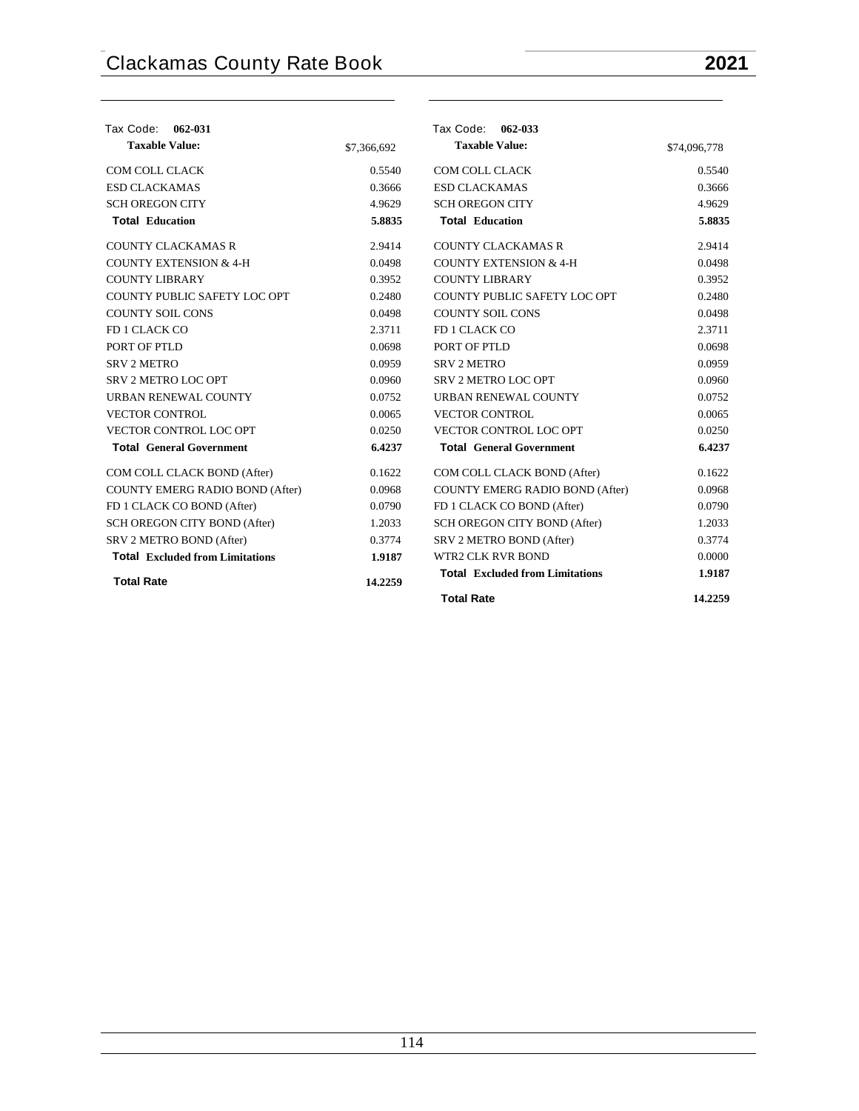| Tax Code: 062-031                      |             | Tax Code: 062-033                      |              |
|----------------------------------------|-------------|----------------------------------------|--------------|
| <b>Taxable Value:</b>                  | \$7,366,692 | <b>Taxable Value:</b>                  | \$74,096,778 |
| COM COLL CLACK                         | 0.5540      | COM COLL CLACK                         | 0.5540       |
| <b>ESD CLACKAMAS</b>                   | 0.3666      | <b>ESD CLACKAMAS</b>                   | 0.3666       |
| <b>SCH OREGON CITY</b>                 | 4.9629      | <b>SCH OREGON CITY</b>                 | 4.9629       |
| <b>Total Education</b>                 | 5.8835      | <b>Total Education</b>                 | 5.8835       |
| <b>COUNTY CLACKAMAS R</b>              | 2.9414      | <b>COUNTY CLACKAMAS R</b>              | 2.9414       |
| <b>COUNTY EXTENSION &amp; 4-H</b>      | 0.0498      | <b>COUNTY EXTENSION &amp; 4-H</b>      | 0.0498       |
| <b>COUNTY LIBRARY</b>                  | 0.3952      | <b>COUNTY LIBRARY</b>                  | 0.3952       |
| COUNTY PUBLIC SAFETY LOC OPT           | 0.2480      | COUNTY PUBLIC SAFETY LOC OPT           | 0.2480       |
| <b>COUNTY SOIL CONS</b>                | 0.0498      | <b>COUNTY SOIL CONS</b>                | 0.0498       |
| FD 1 CLACK CO                          | 2.3711      | FD 1 CLACK CO                          | 2.3711       |
| PORT OF PTLD                           | 0.0698      | PORT OF PTLD                           | 0.0698       |
| <b>SRV 2 METRO</b>                     | 0.0959      | <b>SRV 2 METRO</b>                     | 0.0959       |
| <b>SRV 2 METRO LOC OPT</b>             | 0.0960      | SRV 2 METRO LOC OPT                    | 0.0960       |
| URBAN RENEWAL COUNTY                   | 0.0752      | URBAN RENEWAL COUNTY                   | 0.0752       |
| <b>VECTOR CONTROL</b>                  | 0.0065      | <b>VECTOR CONTROL</b>                  | 0.0065       |
| VECTOR CONTROL LOC OPT                 | 0.0250      | VECTOR CONTROL LOC OPT                 | 0.0250       |
| <b>Total General Government</b>        | 6.4237      | <b>Total General Government</b>        | 6.4237       |
| COM COLL CLACK BOND (After)            | 0.1622      | COM COLL CLACK BOND (After)            | 0.1622       |
| <b>COUNTY EMERG RADIO BOND (After)</b> | 0.0968      | COUNTY EMERG RADIO BOND (After)        | 0.0968       |
| FD 1 CLACK CO BOND (After)             | 0.0790      | FD 1 CLACK CO BOND (After)             | 0.0790       |
| SCH OREGON CITY BOND (After)           | 1.2033      | SCH OREGON CITY BOND (After)           | 1.2033       |
| SRV 2 METRO BOND (After)               | 0.3774      | SRV 2 METRO BOND (After)               | 0.3774       |
| <b>Total</b> Excluded from Limitations | 1.9187      | <b>WTR2 CLK RVR BOND</b>               | 0.0000       |
| <b>Total Rate</b>                      | 14.2259     | <b>Total Excluded from Limitations</b> | 1.9187       |
|                                        |             | <b>Total Rate</b>                      | 14.2259      |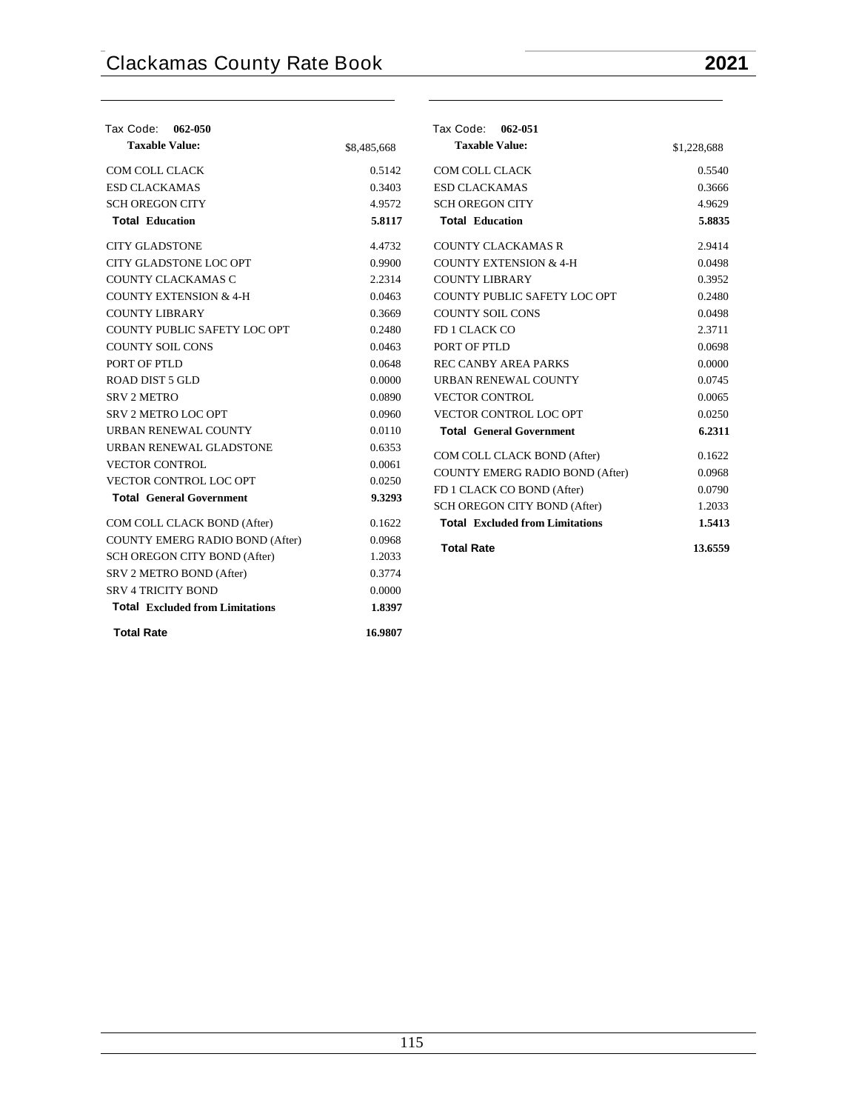| Tax Code: 062-050                      |             | Tax Code: 062-051                                          |                  |
|----------------------------------------|-------------|------------------------------------------------------------|------------------|
| <b>Taxable Value:</b>                  | \$8,485,668 | <b>Taxable Value:</b>                                      | \$1,228,688      |
| COM COLL CLACK                         | 0.5142      | COM COLL CLACK                                             | 0.5540           |
| <b>ESD CLACKAMAS</b>                   | 0.3403      | <b>ESD CLACKAMAS</b>                                       | 0.3666           |
| <b>SCHOREGON CITY</b>                  | 4.9572      | <b>SCH OREGON CITY</b>                                     | 4.9629           |
| <b>Total Education</b>                 | 5.8117      | <b>Total Education</b>                                     | 5.8835           |
| <b>CITY GLADSTONE</b>                  | 4.4732      | <b>COUNTY CLACKAMAS R</b>                                  | 2.9414           |
| <b>CITY GLADSTONE LOC OPT</b>          | 0.9900      | <b>COUNTY EXTENSION &amp; 4-H</b>                          | 0.0498           |
| <b>COUNTY CLACKAMAS C</b>              | 2.2314      | <b>COUNTY LIBRARY</b>                                      | 0.3952           |
| <b>COUNTY EXTENSION &amp; 4-H</b>      | 0.0463      | COUNTY PUBLIC SAFETY LOC OPT                               | 0.2480           |
| <b>COUNTY LIBRARY</b>                  | 0.3669      | <b>COUNTY SOIL CONS</b>                                    | 0.0498           |
| COUNTY PUBLIC SAFETY LOC OPT           | 0.2480      | FD 1 CLACK CO                                              | 2.3711           |
| <b>COUNTY SOIL CONS</b>                | 0.0463      | PORT OF PTLD                                               | 0.0698           |
| PORT OF PTLD                           | 0.0648      | <b>REC CANBY AREA PARKS</b>                                | 0.0000           |
| <b>ROAD DIST 5 GLD</b>                 | 0.0000      | URBAN RENEWAL COUNTY                                       | 0.0745           |
| <b>SRV 2 METRO</b>                     | 0.0890      | <b>VECTOR CONTROL</b>                                      | 0.0065           |
| SRV 2 METRO LOC OPT                    | 0.0960      | VECTOR CONTROL LOC OPT                                     | 0.0250           |
| URBAN RENEWAL COUNTY                   | 0.0110      | <b>Total General Government</b>                            | 6.2311           |
| URBAN RENEWAL GLADSTONE                | 0.6353      | COM COLL CLACK BOND (After)                                | 0.1622           |
| <b>VECTOR CONTROL</b>                  | 0.0061      | <b>COUNTY EMERG RADIO BOND (After)</b>                     | 0.0968           |
| VECTOR CONTROL LOC OPT                 | 0.0250      |                                                            |                  |
| <b>Total General Government</b>        | 9.3293      | FD 1 CLACK CO BOND (After)<br>SCH OREGON CITY BOND (After) | 0.0790<br>1.2033 |
| COM COLL CLACK BOND (After)            | 0.1622      | <b>Total Excluded from Limitations</b>                     | 1.5413           |
| COUNTY EMERG RADIO BOND (After)        | 0.0968      |                                                            |                  |
| SCH OREGON CITY BOND (After)           | 1.2033      | <b>Total Rate</b>                                          | 13.6559          |
| SRV 2 METRO BOND (After)               | 0.3774      |                                                            |                  |
| <b>SRV 4 TRICITY BOND</b>              | 0.0000      |                                                            |                  |
| <b>Total Excluded from Limitations</b> | 1.8397      |                                                            |                  |
| <b>Total Rate</b>                      | 16.9807     |                                                            |                  |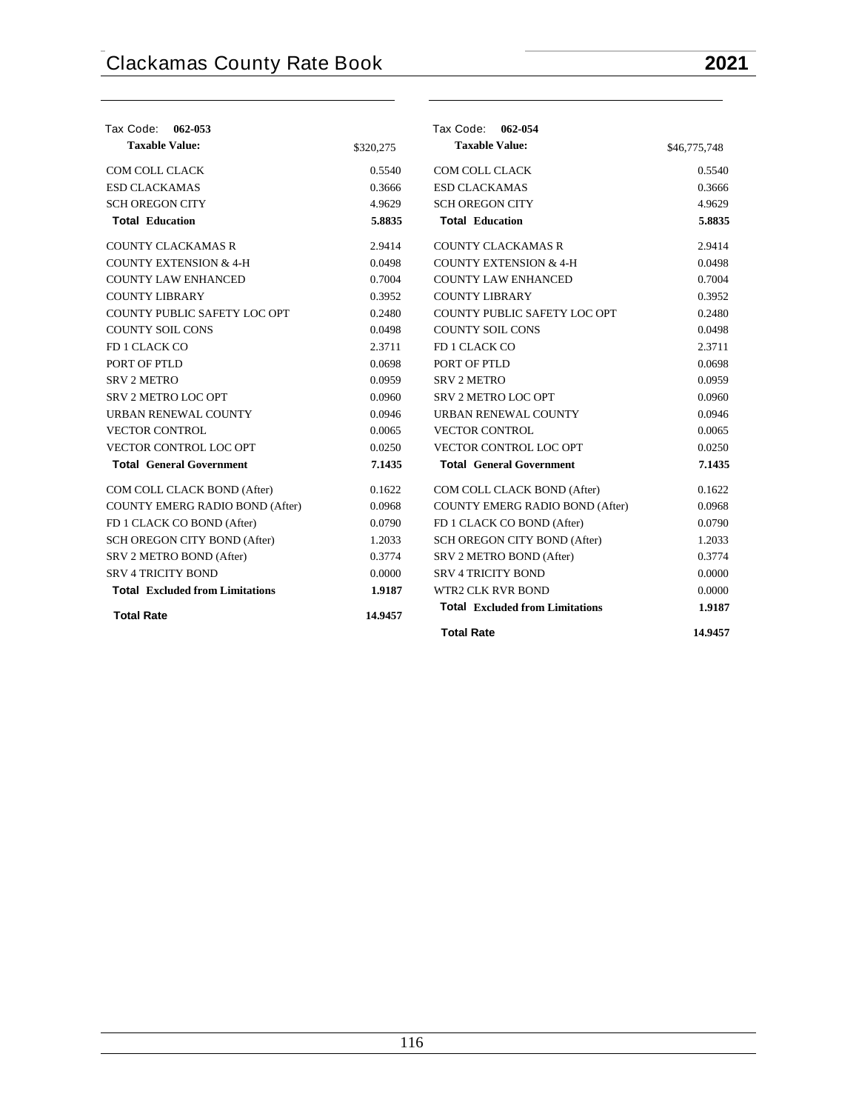| Tax Code: 062-053                      |           | Tax Code: 062-054                      |              |
|----------------------------------------|-----------|----------------------------------------|--------------|
| <b>Taxable Value:</b>                  | \$320,275 | <b>Taxable Value:</b>                  | \$46,775,748 |
| COM COLL CLACK                         | 0.5540    | COM COLL CLACK                         | 0.5540       |
| <b>ESD CLACKAMAS</b>                   | 0.3666    | <b>ESD CLACKAMAS</b>                   | 0.3666       |
| <b>SCH OREGON CITY</b>                 | 4.9629    | <b>SCH OREGON CITY</b>                 | 4.9629       |
| <b>Total Education</b>                 | 5.8835    | <b>Total Education</b>                 | 5.8835       |
| <b>COUNTY CLACKAMAS R</b>              | 2.9414    | <b>COUNTY CLACKAMAS R</b>              | 2.9414       |
| <b>COUNTY EXTENSION &amp; 4-H</b>      | 0.0498    | <b>COUNTY EXTENSION &amp; 4-H</b>      | 0.0498       |
| <b>COUNTY LAW ENHANCED</b>             | 0.7004    | <b>COUNTY LAW ENHANCED</b>             | 0.7004       |
| <b>COUNTY LIBRARY</b>                  | 0.3952    | <b>COUNTY LIBRARY</b>                  | 0.3952       |
| COUNTY PUBLIC SAFETY LOC OPT           | 0.2480    | COUNTY PUBLIC SAFETY LOC OPT           | 0.2480       |
| <b>COUNTY SOIL CONS</b>                | 0.0498    | <b>COUNTY SOIL CONS</b>                | 0.0498       |
| FD 1 CLACK CO                          | 2.3711    | FD 1 CLACK CO                          | 2.3711       |
| PORT OF PTLD                           | 0.0698    | PORT OF PTLD                           | 0.0698       |
| <b>SRV 2 METRO</b>                     | 0.0959    | <b>SRV 2 METRO</b>                     | 0.0959       |
| SRV 2 METRO LOC OPT                    | 0.0960    | SRV 2 METRO LOC OPT                    | 0.0960       |
| URBAN RENEWAL COUNTY                   | 0.0946    | URBAN RENEWAL COUNTY                   | 0.0946       |
| <b>VECTOR CONTROL</b>                  | 0.0065    | <b>VECTOR CONTROL</b>                  | 0.0065       |
| VECTOR CONTROL LOC OPT                 | 0.0250    | VECTOR CONTROL LOC OPT                 | 0.0250       |
| <b>Total General Government</b>        | 7.1435    | <b>Total General Government</b>        | 7.1435       |
| COM COLL CLACK BOND (After)            | 0.1622    | COM COLL CLACK BOND (After)            | 0.1622       |
| COUNTY EMERG RADIO BOND (After)        | 0.0968    | COUNTY EMERG RADIO BOND (After)        | 0.0968       |
| FD 1 CLACK CO BOND (After)             | 0.0790    | FD 1 CLACK CO BOND (After)             | 0.0790       |
| SCH OREGON CITY BOND (After)           | 1.2033    | SCH OREGON CITY BOND (After)           | 1.2033       |
| SRV 2 METRO BOND (After)               | 0.3774    | SRV 2 METRO BOND (After)               | 0.3774       |
| <b>SRV 4 TRICITY BOND</b>              | 0.0000    | <b>SRV 4 TRICITY BOND</b>              | 0.0000       |
| <b>Total Excluded from Limitations</b> | 1.9187    | <b>WTR2 CLK RVR BOND</b>               | 0.0000       |
| <b>Total Rate</b>                      | 14.9457   | <b>Total Excluded from Limitations</b> | 1.9187       |
|                                        |           | <b>Total Rate</b>                      | 14.9457      |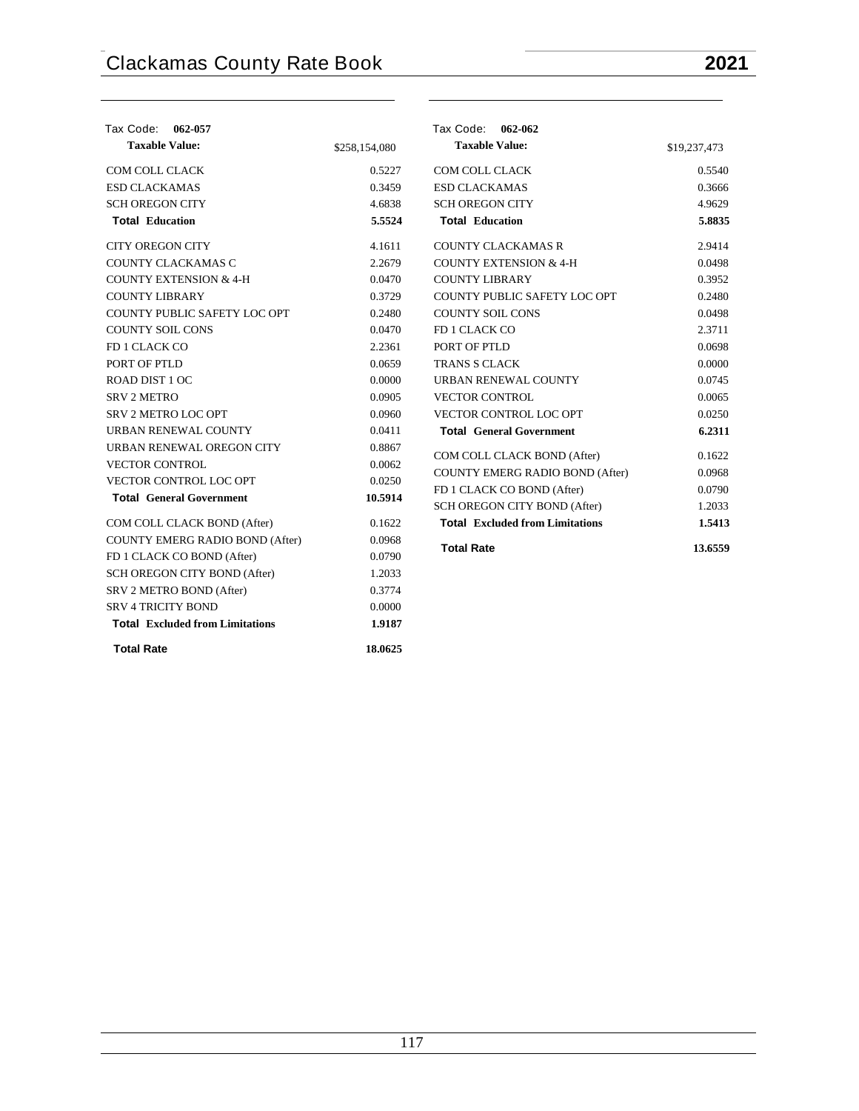| Tax Code: 062-057                                              |               | Tax Code: 062-062                                          |              |
|----------------------------------------------------------------|---------------|------------------------------------------------------------|--------------|
| <b>Taxable Value:</b>                                          | \$258,154,080 | <b>Taxable Value:</b>                                      | \$19,237,473 |
| COM COLL CLACK                                                 | 0.5227        | COM COLL CLACK                                             | 0.5540       |
| <b>ESD CLACKAMAS</b>                                           | 0.3459        | <b>ESD CLACKAMAS</b>                                       | 0.3666       |
| <b>SCH OREGON CITY</b>                                         | 4.6838        | <b>SCH OREGON CITY</b>                                     | 4.9629       |
| <b>Total Education</b>                                         | 5.5524        | <b>Total Education</b>                                     | 5.8835       |
| <b>CITY OREGON CITY</b>                                        | 4.1611        | <b>COUNTY CLACKAMAS R</b>                                  | 2.9414       |
| COUNTY CLACKAMAS C                                             | 2.2679        | <b>COUNTY EXTENSION &amp; 4-H</b>                          | 0.0498       |
| <b>COUNTY EXTENSION &amp; 4-H</b>                              | 0.0470        | <b>COUNTY LIBRARY</b>                                      | 0.3952       |
| <b>COUNTY LIBRARY</b>                                          | 0.3729        | COUNTY PUBLIC SAFETY LOC OPT                               | 0.2480       |
| COUNTY PUBLIC SAFETY LOC OPT                                   | 0.2480        | <b>COUNTY SOIL CONS</b>                                    | 0.0498       |
| <b>COUNTY SOIL CONS</b>                                        | 0.0470        | FD 1 CLACK CO                                              | 2.3711       |
| FD 1 CLACK CO                                                  | 2.2361        | PORT OF PTLD                                               | 0.0698       |
| PORT OF PTLD                                                   | 0.0659        | <b>TRANS S CLACK</b>                                       | 0.0000       |
| ROAD DIST 1 OC                                                 | 0.0000        | URBAN RENEWAL COUNTY                                       | 0.0745       |
| <b>SRV 2 METRO</b>                                             | 0.0905        | <b>VECTOR CONTROL</b>                                      | 0.0065       |
| <b>SRV 2 METRO LOC OPT</b>                                     | 0.0960        | VECTOR CONTROL LOC OPT                                     | 0.0250       |
| URBAN RENEWAL COUNTY                                           | 0.0411        | <b>Total General Government</b>                            | 6.2311       |
| URBAN RENEWAL OREGON CITY                                      | 0.8867        | COM COLL CLACK BOND (After)                                | 0.1622       |
| <b>VECTOR CONTROL</b>                                          | 0.0062        | COUNTY EMERG RADIO BOND (After)                            | 0.0968       |
| VECTOR CONTROL LOC OPT                                         | 0.0250        |                                                            | 0.0790       |
| <b>Total General Government</b>                                | 10.5914       | FD 1 CLACK CO BOND (After)<br>SCH OREGON CITY BOND (After) | 1.2033       |
|                                                                | 0.1622        | <b>Total Excluded from Limitations</b>                     | 1.5413       |
| COM COLL CLACK BOND (After)<br>COUNTY EMERG RADIO BOND (After) | 0.0968        |                                                            |              |
|                                                                |               | <b>Total Rate</b>                                          | 13.6559      |
| FD 1 CLACK CO BOND (After)                                     | 0.0790        |                                                            |              |
| SCH OREGON CITY BOND (After)                                   | 1.2033        |                                                            |              |
| SRV 2 METRO BOND (After)                                       | 0.3774        |                                                            |              |
| <b>SRV 4 TRICITY BOND</b>                                      | 0.0000        |                                                            |              |
| <b>Total Excluded from Limitations</b>                         | 1.9187        |                                                            |              |
| <b>Total Rate</b>                                              | 18.0625       |                                                            |              |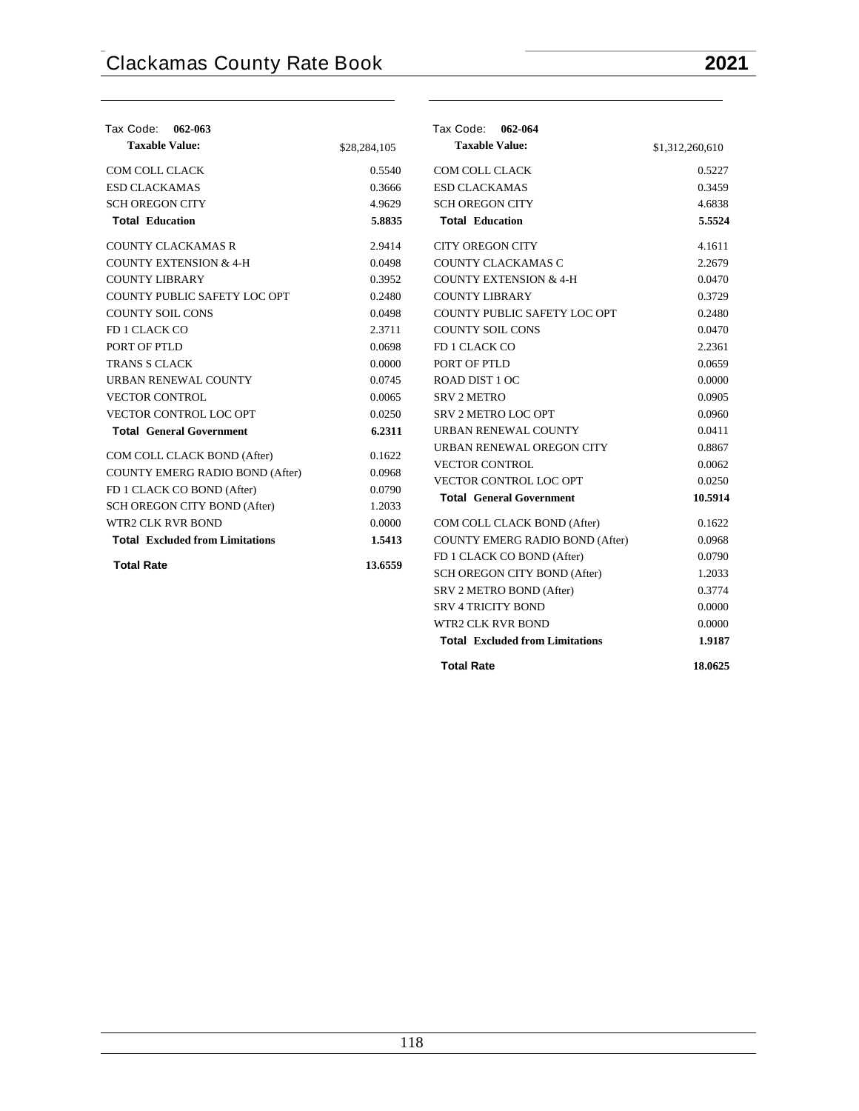| Tax Code: 062-063                      |              | Tax Code: 062-064                      |                 |
|----------------------------------------|--------------|----------------------------------------|-----------------|
| <b>Taxable Value:</b>                  | \$28,284,105 | <b>Taxable Value:</b>                  | \$1,312,260,610 |
| <b>COM COLL CLACK</b>                  | 0.5540       | <b>COM COLL CLACK</b>                  | 0.5227          |
| <b>ESD CLACKAMAS</b>                   | 0.3666       | <b>ESD CLACKAMAS</b>                   | 0.3459          |
| <b>SCH OREGON CITY</b>                 | 4.9629       | <b>SCH OREGON CITY</b>                 | 4.6838          |
| <b>Total Education</b>                 | 5.8835       | <b>Total Education</b>                 | 5.5524          |
| <b>COUNTY CLACKAMAS R</b>              | 2.9414       | <b>CITY OREGON CITY</b>                | 4.1611          |
| <b>COUNTY EXTENSION &amp; 4-H</b>      | 0.0498       | COUNTY CLACKAMAS C                     | 2.2679          |
| <b>COUNTY LIBRARY</b>                  | 0.3952       | <b>COUNTY EXTENSION &amp; 4-H</b>      | 0.0470          |
| COUNTY PUBLIC SAFETY LOC OPT           | 0.2480       | <b>COUNTY LIBRARY</b>                  | 0.3729          |
| <b>COUNTY SOIL CONS</b>                | 0.0498       | COUNTY PUBLIC SAFETY LOC OPT           | 0.2480          |
| FD 1 CLACK CO                          | 2.3711       | <b>COUNTY SOIL CONS</b>                | 0.0470          |
| PORT OF PTLD                           | 0.0698       | FD 1 CLACK CO                          | 2.2361          |
| <b>TRANS S CLACK</b>                   | 0.0000       | PORT OF PTLD                           | 0.0659          |
| URBAN RENEWAL COUNTY                   | 0.0745       | ROAD DIST 1 OC                         | 0.0000          |
| <b>VECTOR CONTROL</b>                  | 0.0065       | <b>SRV 2 METRO</b>                     | 0.0905          |
| VECTOR CONTROL LOC OPT                 | 0.0250       | SRV 2 METRO LOC OPT                    | 0.0960          |
| <b>Total General Government</b>        | 6.2311       | URBAN RENEWAL COUNTY                   | 0.0411          |
| COM COLL CLACK BOND (After)            | 0.1622       | URBAN RENEWAL OREGON CITY              | 0.8867          |
| COUNTY EMERG RADIO BOND (After)        | 0.0968       | VECTOR CONTROL                         | 0.0062          |
| FD 1 CLACK CO BOND (After)             | 0.0790       | VECTOR CONTROL LOC OPT                 | 0.0250          |
| SCH OREGON CITY BOND (After)           | 1.2033       | <b>Total General Government</b>        | 10.5914         |
| <b>WTR2 CLK RVR BOND</b>               | 0.0000       | COM COLL CLACK BOND (After)            | 0.1622          |
| <b>Total Excluded from Limitations</b> | 1.5413       | COUNTY EMERG RADIO BOND (After)        | 0.0968          |
|                                        |              | FD 1 CLACK CO BOND (After)             | 0.0790          |
| <b>Total Rate</b>                      | 13.6559      | SCH OREGON CITY BOND (After)           | 1.2033          |
|                                        |              | SRV 2 METRO BOND (After)               | 0.3774          |
|                                        |              | <b>SRV 4 TRICITY BOND</b>              | 0.0000          |
|                                        |              | <b>WTR2 CLK RVR BOND</b>               | 0.0000          |
|                                        |              | <b>Total Excluded from Limitations</b> | 1.9187          |
|                                        |              | <b>Total Rate</b>                      | 18.0625         |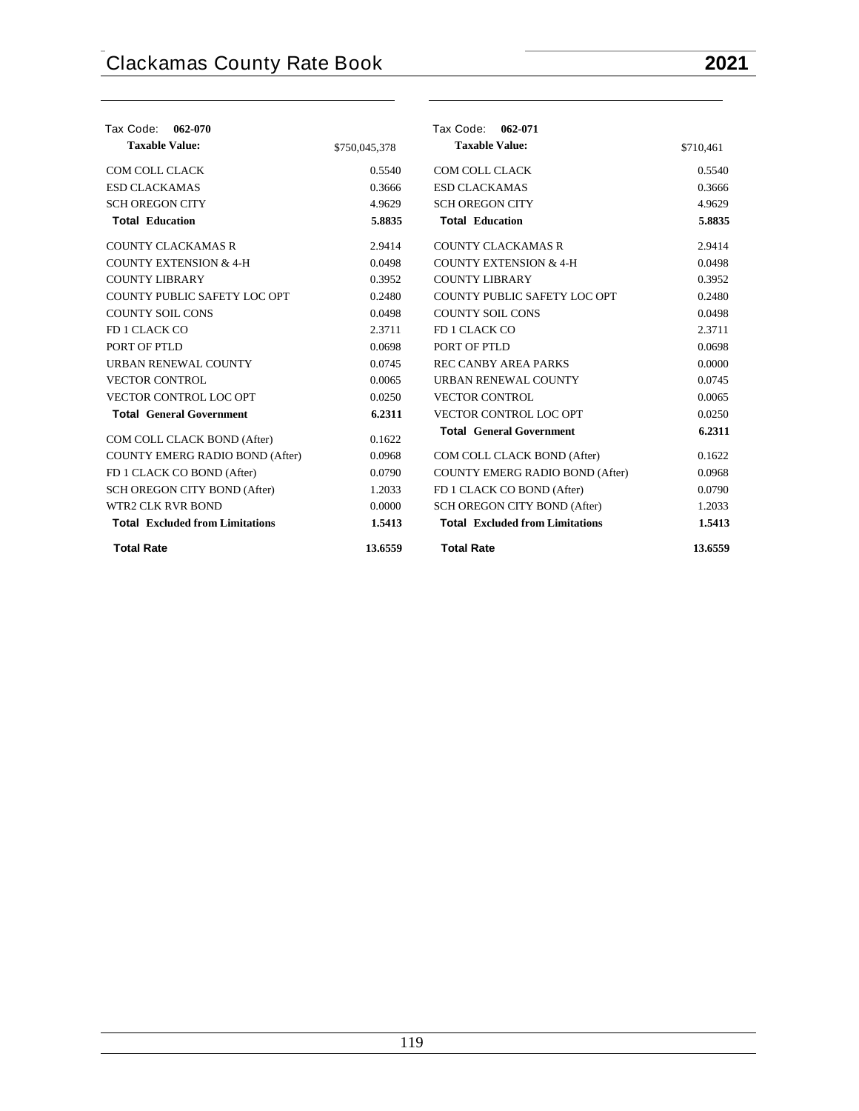| Tax Code:<br>062-070                   |               | Tax Code: 062-071                      |           |
|----------------------------------------|---------------|----------------------------------------|-----------|
| <b>Taxable Value:</b>                  | \$750,045,378 | <b>Taxable Value:</b>                  | \$710,461 |
| COM COLL CLACK                         | 0.5540        | COM COLL CLACK                         | 0.5540    |
| <b>ESD CLACKAMAS</b>                   | 0.3666        | <b>ESD CLACKAMAS</b>                   | 0.3666    |
| <b>SCH OREGON CITY</b>                 | 4.9629        | <b>SCH OREGON CITY</b>                 | 4.9629    |
| <b>Total Education</b>                 | 5.8835        | <b>Total Education</b>                 | 5.8835    |
| <b>COUNTY CLACKAMAS R</b>              | 2.9414        | <b>COUNTY CLACKAMAS R</b>              | 2.9414    |
| <b>COUNTY EXTENSION &amp; 4-H</b>      | 0.0498        | <b>COUNTY EXTENSION &amp; 4-H</b>      | 0.0498    |
| <b>COUNTY LIBRARY</b>                  | 0.3952        | <b>COUNTY LIBRARY</b>                  | 0.3952    |
| COUNTY PUBLIC SAFETY LOC OPT           | 0.2480        | COUNTY PUBLIC SAFETY LOC OPT           | 0.2480    |
| <b>COUNTY SOIL CONS</b>                | 0.0498        | <b>COUNTY SOIL CONS</b>                | 0.0498    |
| FD 1 CLACK CO                          | 2.3711        | FD 1 CLACK CO                          | 2.3711    |
| PORT OF PTLD                           | 0.0698        | PORT OF PTLD                           | 0.0698    |
| URBAN RENEWAL COUNTY                   | 0.0745        | <b>REC CANBY AREA PARKS</b>            | 0.0000    |
| <b>VECTOR CONTROL</b>                  | 0.0065        | URBAN RENEWAL COUNTY                   | 0.0745    |
| <b>VECTOR CONTROL LOC OPT</b>          | 0.0250        | <b>VECTOR CONTROL</b>                  | 0.0065    |
| <b>Total General Government</b>        | 6.2311        | <b>VECTOR CONTROL LOC OPT</b>          | 0.0250    |
| COM COLL CLACK BOND (After)            | 0.1622        | <b>Total General Government</b>        | 6.2311    |
| COUNTY EMERG RADIO BOND (After)        | 0.0968        | COM COLL CLACK BOND (After)            | 0.1622    |
| FD 1 CLACK CO BOND (After)             | 0.0790        | COUNTY EMERG RADIO BOND (After)        | 0.0968    |
| SCH OREGON CITY BOND (After)           | 1.2033        | FD 1 CLACK CO BOND (After)             | 0.0790    |
| WTR2 CLK RVR BOND                      | 0.0000        | SCH OREGON CITY BOND (After)           | 1.2033    |
| <b>Total Excluded from Limitations</b> | 1.5413        | <b>Total Excluded from Limitations</b> | 1.5413    |
| <b>Total Rate</b>                      | 13.6559       | <b>Total Rate</b>                      | 13.6559   |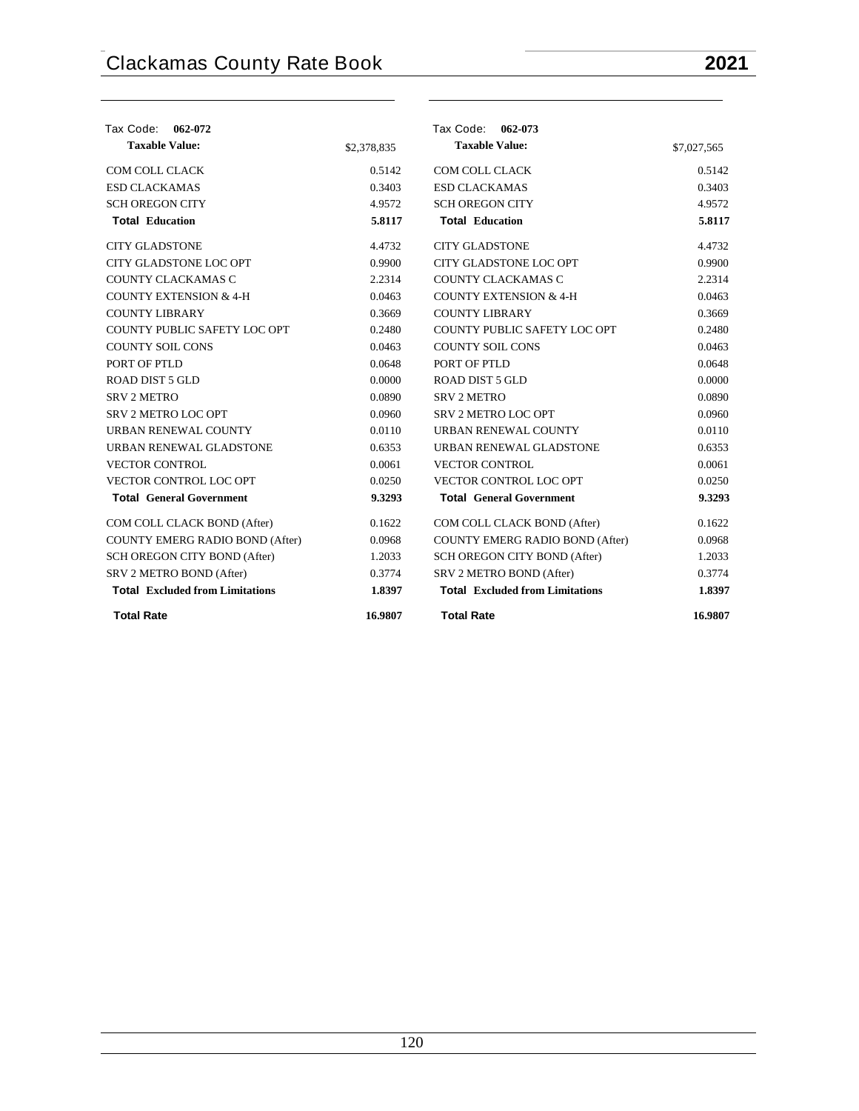| Tax Code:<br>062-072                   |             | Tax Code: 062-073                      |             |
|----------------------------------------|-------------|----------------------------------------|-------------|
| <b>Taxable Value:</b>                  | \$2,378,835 | <b>Taxable Value:</b>                  | \$7,027,565 |
| COM COLL CLACK                         | 0.5142      | COM COLL CLACK                         | 0.5142      |
| <b>ESD CLACKAMAS</b>                   | 0.3403      | <b>ESD CLACKAMAS</b>                   | 0.3403      |
| <b>SCH OREGON CITY</b>                 | 4.9572      | <b>SCH OREGON CITY</b>                 | 4.9572      |
| <b>Total Education</b>                 | 5.8117      | <b>Total Education</b>                 | 5.8117      |
| <b>CITY GLADSTONE</b>                  | 4.4732      | <b>CITY GLADSTONE</b>                  | 4.4732      |
| CITY GLADSTONE LOC OPT                 | 0.9900      | CITY GLADSTONE LOC OPT                 | 0.9900      |
| COUNTY CLACKAMAS C                     | 2.2314      | COUNTY CLACKAMAS C                     | 2.2314      |
| <b>COUNTY EXTENSION &amp; 4-H</b>      | 0.0463      | <b>COUNTY EXTENSION &amp; 4-H</b>      | 0.0463      |
| <b>COUNTY LIBRARY</b>                  | 0.3669      | <b>COUNTY LIBRARY</b>                  | 0.3669      |
| COUNTY PUBLIC SAFETY LOC OPT           | 0.2480      | COUNTY PUBLIC SAFETY LOC OPT           | 0.2480      |
| <b>COUNTY SOIL CONS</b>                | 0.0463      | <b>COUNTY SOIL CONS</b>                | 0.0463      |
| PORT OF PTLD                           | 0.0648      | PORT OF PTLD                           | 0.0648      |
| ROAD DIST 5 GLD                        | 0.0000      | ROAD DIST 5 GLD                        | 0.0000      |
| <b>SRV 2 METRO</b>                     | 0.0890      | <b>SRV 2 METRO</b>                     | 0.0890      |
| <b>SRV 2 METRO LOC OPT</b>             | 0.0960      | <b>SRV 2 METRO LOC OPT</b>             | 0.0960      |
| URBAN RENEWAL COUNTY                   | 0.0110      | URBAN RENEWAL COUNTY                   | 0.0110      |
| URBAN RENEWAL GLADSTONE                | 0.6353      | URBAN RENEWAL GLADSTONE                | 0.6353      |
| <b>VECTOR CONTROL</b>                  | 0.0061      | <b>VECTOR CONTROL</b>                  | 0.0061      |
| VECTOR CONTROL LOC OPT                 | 0.0250      | VECTOR CONTROL LOC OPT                 | 0.0250      |
| <b>Total General Government</b>        | 9.3293      | <b>Total General Government</b>        | 9.3293      |
| COM COLL CLACK BOND (After)            | 0.1622      | COM COLL CLACK BOND (After)            | 0.1622      |
| <b>COUNTY EMERG RADIO BOND (After)</b> | 0.0968      | COUNTY EMERG RADIO BOND (After)        | 0.0968      |
| SCH OREGON CITY BOND (After)           | 1.2033      | SCH OREGON CITY BOND (After)           | 1.2033      |
| SRV 2 METRO BOND (After)               | 0.3774      | SRV 2 METRO BOND (After)               | 0.3774      |
| <b>Total Excluded from Limitations</b> | 1.8397      | <b>Total Excluded from Limitations</b> | 1.8397      |
| <b>Total Rate</b>                      | 16.9807     | <b>Total Rate</b>                      | 16.9807     |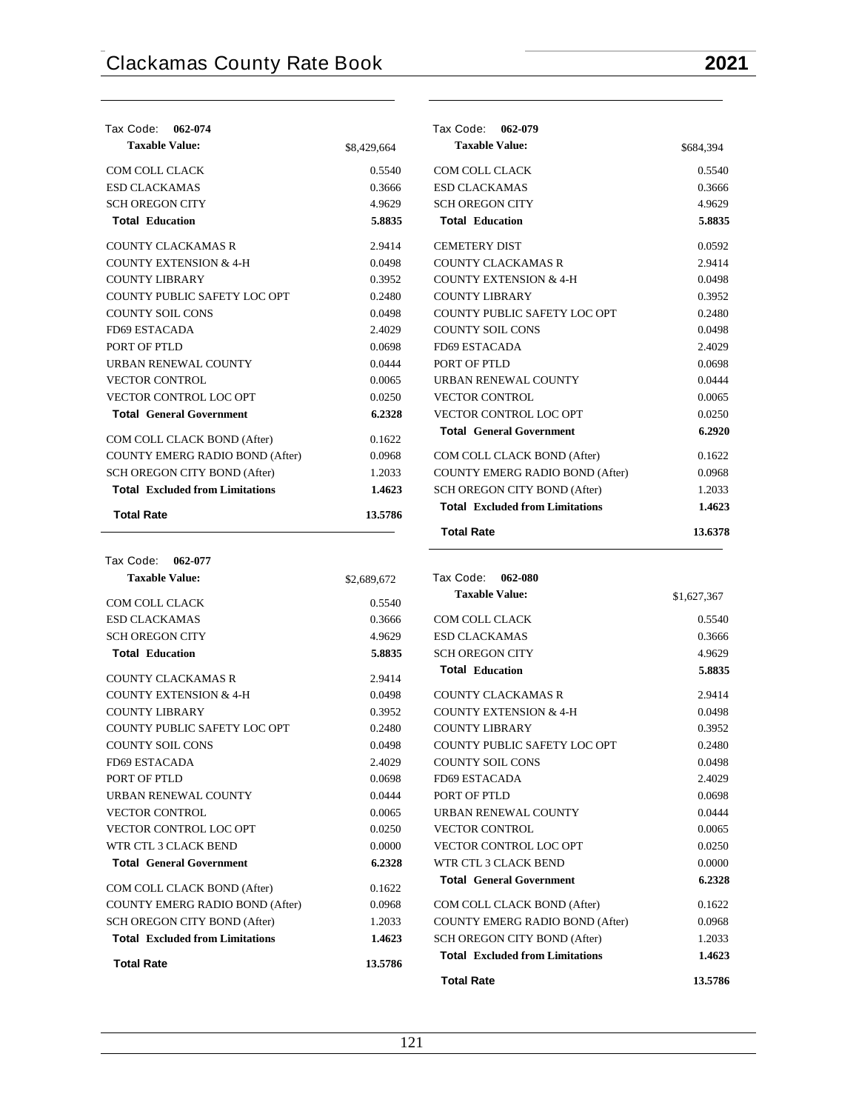| Tax Code:<br>062-074                   |             | Tax Code:<br>062-079                   |           |
|----------------------------------------|-------------|----------------------------------------|-----------|
| <b>Taxable Value:</b>                  | \$8,429,664 | <b>Taxable Value:</b>                  | \$684,394 |
| <b>COM COLL CLACK</b>                  | 0.5540      | COM COLL CLACK                         | 0.5540    |
| <b>ESD CLACKAMAS</b>                   | 0.3666      | <b>ESD CLACKAMAS</b>                   | 0.3666    |
| <b>SCH OREGON CITY</b>                 | 4.9629      | <b>SCH OREGON CITY</b>                 | 4.9629    |
| <b>Total Education</b>                 | 5.8835      | <b>Total Education</b>                 | 5.8835    |
| <b>COUNTY CLACKAMAS R</b>              | 2.9414      | <b>CEMETERY DIST</b>                   | 0.0592    |
| <b>COUNTY EXTENSION &amp; 4-H</b>      | 0.0498      | <b>COUNTY CLACKAMAS R</b>              | 2.9414    |
| <b>COUNTY LIBRARY</b>                  | 0.3952      | <b>COUNTY EXTENSION &amp; 4-H</b>      | 0.0498    |
| COUNTY PUBLIC SAFETY LOC OPT           | 0.2480      | <b>COUNTY LIBRARY</b>                  | 0.3952    |
| <b>COUNTY SOIL CONS</b>                | 0.0498      | COUNTY PUBLIC SAFETY LOC OPT           | 0.2480    |
| FD69 ESTACADA                          | 2.4029      | <b>COUNTY SOIL CONS</b>                | 0.0498    |
| PORT OF PTLD                           | 0.0698      | <b>FD69 ESTACADA</b>                   | 2.4029    |
| URBAN RENEWAL COUNTY                   | 0.0444      | PORT OF PTLD                           | 0.0698    |
| <b>VECTOR CONTROL</b>                  | 0.0065      | <b>URBAN RENEWAL COUNTY</b>            | 0.0444    |
| <b>VECTOR CONTROL LOC OPT</b>          | 0.0250      | <b>VECTOR CONTROL</b>                  | 0.0065    |
| <b>Total General Government</b>        | 6.2328      | VECTOR CONTROL LOC OPT                 | 0.0250    |
| COM COLL CLACK BOND (After)            | 0.1622      | <b>Total General Government</b>        | 6.2920    |
| <b>COUNTY EMERG RADIO BOND (After)</b> | 0.0968      | COM COLL CLACK BOND (After)            | 0.1622    |
| SCH OREGON CITY BOND (After)           | 1.2033      | <b>COUNTY EMERG RADIO BOND (After)</b> | 0.0968    |
| <b>Total Excluded from Limitations</b> | 1.4623      | SCH OREGON CITY BOND (After)           | 1.2033    |
| <b>Total Rate</b>                      | 13.5786     | <b>Total Excluded from Limitations</b> | 1.4623    |
|                                        |             | <b>Total Rate</b>                      | 13.6378   |

| Tax Code: 062-077                      |             |                                        |             |
|----------------------------------------|-------------|----------------------------------------|-------------|
| <b>Taxable Value:</b>                  | \$2,689,672 | Tax Code:<br>062-080                   |             |
| COM COLL CLACK                         | 0.5540      | <b>Taxable Value:</b>                  | \$1,627,367 |
| <b>ESD CLACKAMAS</b>                   | 0.3666      | COM COLL CLACK                         | 0.5540      |
| <b>SCH OREGON CITY</b>                 | 4.9629      | <b>ESD CLACKAMAS</b>                   | 0.3666      |
| <b>Total Education</b>                 | 5.8835      | <b>SCH OREGON CITY</b>                 | 4.9629      |
| <b>COUNTY CLACKAMAS R</b>              | 2.9414      | <b>Total Education</b>                 | 5.8835      |
| <b>COUNTY EXTENSION &amp; 4-H</b>      | 0.0498      | <b>COUNTY CLACKAMAS R</b>              | 2.9414      |
| <b>COUNTY LIBRARY</b>                  | 0.3952      | <b>COUNTY EXTENSION &amp; 4-H</b>      | 0.0498      |
| COUNTY PUBLIC SAFETY LOC OPT           | 0.2480      | <b>COUNTY LIBRARY</b>                  | 0.3952      |
| <b>COUNTY SOIL CONS</b>                | 0.0498      | COUNTY PUBLIC SAFETY LOC OPT           | 0.2480      |
| FD69 ESTACADA                          | 2.4029      | <b>COUNTY SOIL CONS</b>                | 0.0498      |
| PORT OF PTLD                           | 0.0698      | FD69 ESTACADA                          | 2.4029      |
| URBAN RENEWAL COUNTY                   | 0.0444      | PORT OF PTLD                           | 0.0698      |
| <b>VECTOR CONTROL</b>                  | 0.0065      | URBAN RENEWAL COUNTY                   | 0.0444      |
| <b>VECTOR CONTROL LOC OPT</b>          | 0.0250      | <b>VECTOR CONTROL</b>                  | 0.0065      |
| WTR CTL 3 CLACK BEND                   | 0.0000      | VECTOR CONTROL LOC OPT                 | 0.0250      |
| <b>Total General Government</b>        | 6.2328      | WTR CTL 3 CLACK BEND                   | 0.0000      |
| COM COLL CLACK BOND (After)            | 0.1622      | <b>Total General Government</b>        | 6.2328      |
| COUNTY EMERG RADIO BOND (After)        | 0.0968      | COM COLL CLACK BOND (After)            | 0.1622      |
| SCH OREGON CITY BOND (After)           | 1.2033      | <b>COUNTY EMERG RADIO BOND (After)</b> | 0.0968      |
| <b>Total</b> Excluded from Limitations | 1.4623      | SCH OREGON CITY BOND (After)           | 1.2033      |
| <b>Total Rate</b>                      | 13.5786     | <b>Total</b> Excluded from Limitations | 1.4623      |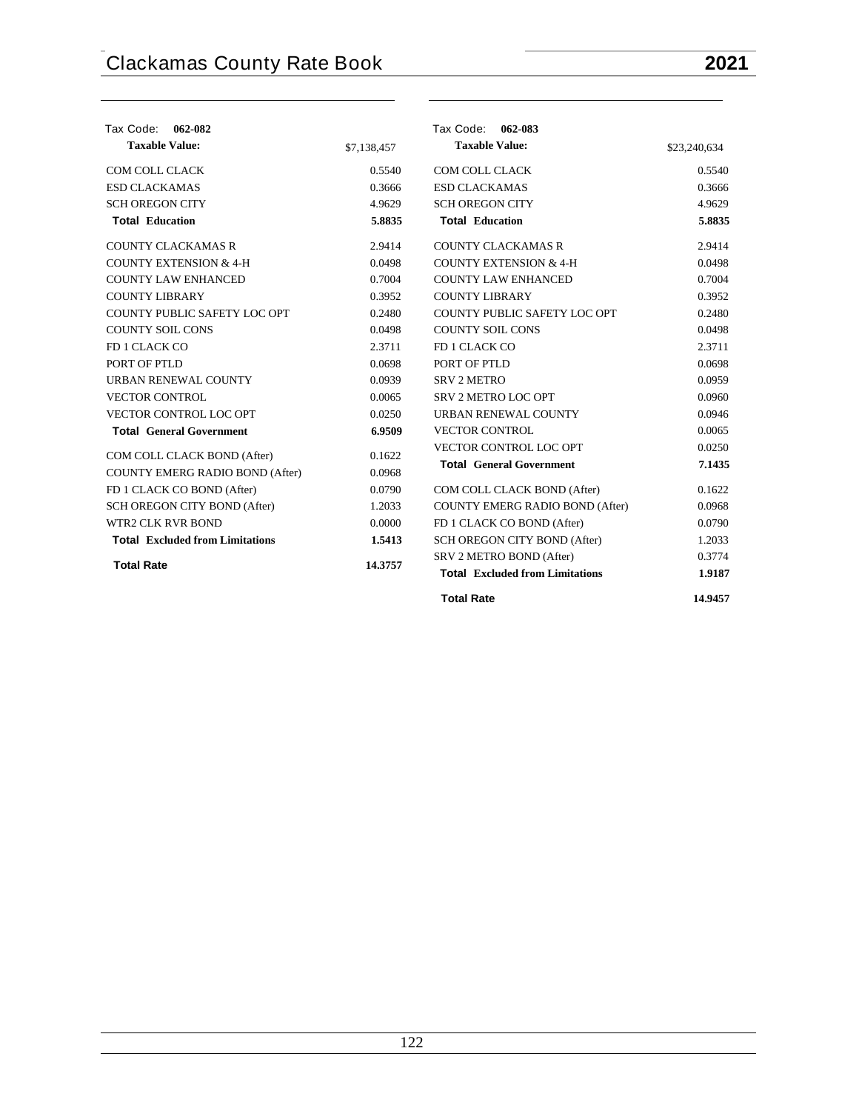| Tax Code: 062-082                      |             | Tax Code: 062-083                      |              |
|----------------------------------------|-------------|----------------------------------------|--------------|
| <b>Taxable Value:</b>                  | \$7,138,457 | <b>Taxable Value:</b>                  | \$23,240,634 |
| COM COLL CLACK                         | 0.5540      | COM COLL CLACK                         | 0.5540       |
| <b>ESD CLACKAMAS</b>                   | 0.3666      | <b>ESD CLACKAMAS</b>                   | 0.3666       |
| <b>SCH OREGON CITY</b>                 | 4.9629      | <b>SCH OREGON CITY</b>                 | 4.9629       |
| <b>Total Education</b>                 | 5.8835      | <b>Total Education</b>                 | 5.8835       |
| <b>COUNTY CLACKAMAS R</b>              | 2.9414      | <b>COUNTY CLACKAMAS R</b>              | 2.9414       |
| <b>COUNTY EXTENSION &amp; 4-H</b>      | 0.0498      | <b>COUNTY EXTENSION &amp; 4-H</b>      | 0.0498       |
| <b>COUNTY LAW ENHANCED</b>             | 0.7004      | <b>COUNTY LAW ENHANCED</b>             | 0.7004       |
| <b>COUNTY LIBRARY</b>                  | 0.3952      | <b>COUNTY LIBRARY</b>                  | 0.3952       |
| COUNTY PUBLIC SAFETY LOC OPT           | 0.2480      | COUNTY PUBLIC SAFETY LOC OPT           | 0.2480       |
| <b>COUNTY SOIL CONS</b>                | 0.0498      | <b>COUNTY SOIL CONS</b>                | 0.0498       |
| FD 1 CLACK CO                          | 2.3711      | FD 1 CLACK CO                          | 2.3711       |
| PORT OF PTLD                           | 0.0698      | PORT OF PTLD                           | 0.0698       |
| URBAN RENEWAL COUNTY                   | 0.0939      | <b>SRV 2 METRO</b>                     | 0.0959       |
| <b>VECTOR CONTROL</b>                  | 0.0065      | SRV 2 METRO LOC OPT                    | 0.0960       |
| VECTOR CONTROL LOC OPT                 | 0.0250      | URBAN RENEWAL COUNTY                   | 0.0946       |
| <b>Total General Government</b>        | 6.9509      | <b>VECTOR CONTROL</b>                  | 0.0065       |
| COM COLL CLACK BOND (After)            | 0.1622      | VECTOR CONTROL LOC OPT                 | 0.0250       |
| COUNTY EMERG RADIO BOND (After)        | 0.0968      | <b>Total General Government</b>        | 7.1435       |
| FD 1 CLACK CO BOND (After)             | 0.0790      | COM COLL CLACK BOND (After)            | 0.1622       |
| SCH OREGON CITY BOND (After)           | 1.2033      | <b>COUNTY EMERG RADIO BOND (After)</b> | 0.0968       |
| WTR2 CLK RVR BOND                      | 0.0000      | FD 1 CLACK CO BOND (After)             | 0.0790       |
| <b>Total</b> Excluded from Limitations | 1.5413      | SCH OREGON CITY BOND (After)           | 1.2033       |
|                                        |             | SRV 2 METRO BOND (After)               | 0.3774       |
| <b>Total Rate</b>                      | 14.3757     | <b>Total Excluded from Limitations</b> | 1.9187       |
|                                        |             | <b>Total Rate</b>                      | 14.9457      |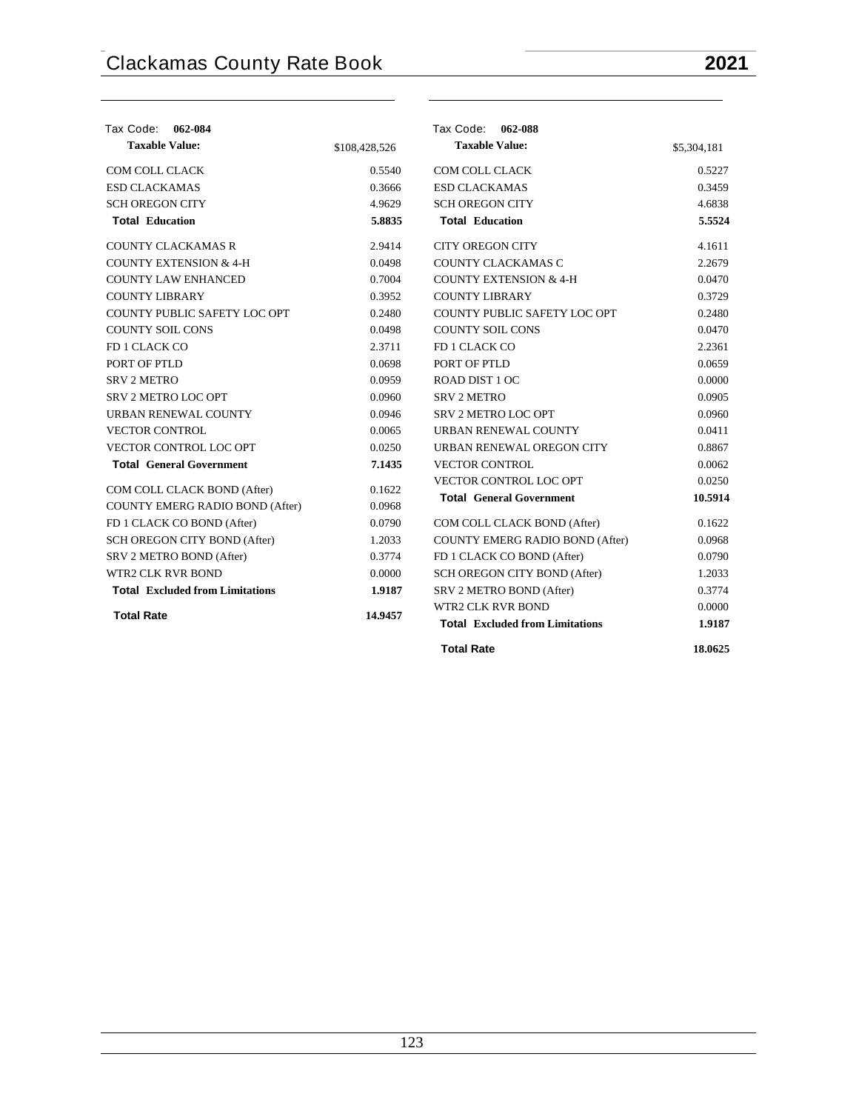| Tax Code: 062-084                      |               | Tax Code: 062-088                      |             |
|----------------------------------------|---------------|----------------------------------------|-------------|
| <b>Taxable Value:</b>                  | \$108,428,526 | <b>Taxable Value:</b>                  | \$5,304,181 |
| COM COLL CLACK                         | 0.5540        | COM COLL CLACK                         | 0.5227      |
| <b>ESD CLACKAMAS</b>                   | 0.3666        | <b>ESD CLACKAMAS</b>                   | 0.3459      |
| <b>SCH OREGON CITY</b>                 | 4.9629        | <b>SCH OREGON CITY</b>                 | 4.6838      |
| <b>Total Education</b>                 | 5.8835        | <b>Total Education</b>                 | 5.5524      |
| <b>COUNTY CLACKAMAS R</b>              | 2.9414        | <b>CITY OREGON CITY</b>                | 4.1611      |
| <b>COUNTY EXTENSION &amp; 4-H</b>      | 0.0498        | COUNTY CLACKAMAS C                     | 2.2679      |
| <b>COUNTY LAW ENHANCED</b>             | 0.7004        | <b>COUNTY EXTENSION &amp; 4-H</b>      | 0.0470      |
| <b>COUNTY LIBRARY</b>                  | 0.3952        | <b>COUNTY LIBRARY</b>                  | 0.3729      |
| COUNTY PUBLIC SAFETY LOC OPT           | 0.2480        | COUNTY PUBLIC SAFETY LOC OPT           | 0.2480      |
| <b>COUNTY SOIL CONS</b>                | 0.0498        | <b>COUNTY SOIL CONS</b>                | 0.0470      |
| FD 1 CLACK CO                          | 2.3711        | FD 1 CLACK CO                          | 2.2361      |
| PORT OF PTLD                           | 0.0698        | PORT OF PTLD                           | 0.0659      |
| <b>SRV 2 METRO</b>                     | 0.0959        | ROAD DIST 1 OC                         | 0.0000      |
| SRV 2 METRO LOC OPT                    | 0.0960        | <b>SRV 2 METRO</b>                     | 0.0905      |
| URBAN RENEWAL COUNTY                   | 0.0946        | SRV 2 METRO LOC OPT                    | 0.0960      |
| <b>VECTOR CONTROL</b>                  | 0.0065        | URBAN RENEWAL COUNTY                   | 0.0411      |
| VECTOR CONTROL LOC OPT                 | 0.0250        | URBAN RENEWAL OREGON CITY              | 0.8867      |
| <b>Total General Government</b>        | 7.1435        | <b>VECTOR CONTROL</b>                  | 0.0062      |
|                                        |               | VECTOR CONTROL LOC OPT                 | 0.0250      |
| COM COLL CLACK BOND (After)            | 0.1622        | <b>Total General Government</b>        | 10.5914     |
| COUNTY EMERG RADIO BOND (After)        | 0.0968        |                                        |             |
| FD 1 CLACK CO BOND (After)             | 0.0790        | COM COLL CLACK BOND (After)            | 0.1622      |
| SCH OREGON CITY BOND (After)           | 1.2033        | COUNTY EMERG RADIO BOND (After)        | 0.0968      |
| SRV 2 METRO BOND (After)               | 0.3774        | FD 1 CLACK CO BOND (After)             | 0.0790      |
| <b>WTR2 CLK RVR BOND</b>               | 0.0000        | SCH OREGON CITY BOND (After)           | 1.2033      |
| <b>Total Excluded from Limitations</b> | 1.9187        | SRV 2 METRO BOND (After)               | 0.3774      |
| <b>Total Rate</b>                      | 14.9457       | WTR2 CLK RVR BOND                      | 0.0000      |
|                                        |               | <b>Total Excluded from Limitations</b> | 1.9187      |
|                                        |               | <b>Total Rate</b>                      | 18.0625     |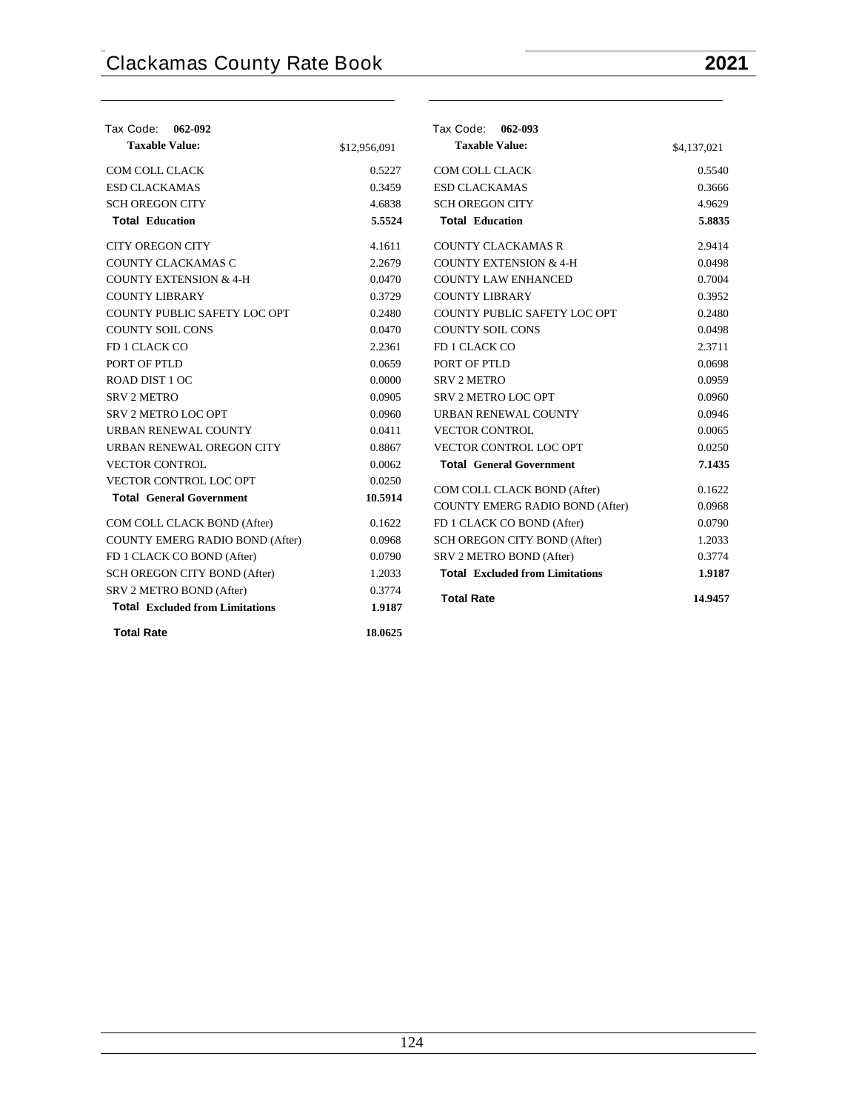| Tax Code: 062-092                      |              | Tax Code: 062-093                      |             |
|----------------------------------------|--------------|----------------------------------------|-------------|
| <b>Taxable Value:</b>                  | \$12,956,091 | <b>Taxable Value:</b>                  | \$4,137,021 |
| COM COLL CLACK                         | 0.5227       | COM COLL CLACK                         | 0.5540      |
| <b>ESD CLACKAMAS</b>                   | 0.3459       | <b>ESD CLACKAMAS</b>                   | 0.3666      |
| <b>SCH OREGON CITY</b>                 | 4.6838       | <b>SCH OREGON CITY</b>                 | 4.9629      |
| <b>Total Education</b>                 | 5.5524       | <b>Total Education</b>                 | 5.8835      |
| <b>CITY OREGON CITY</b>                | 4.1611       | <b>COUNTY CLACKAMAS R</b>              | 2.9414      |
| COUNTY CLACKAMAS C                     | 2.2679       | <b>COUNTY EXTENSION &amp; 4-H</b>      | 0.0498      |
| <b>COUNTY EXTENSION &amp; 4-H</b>      | 0.0470       | <b>COUNTY LAW ENHANCED</b>             | 0.7004      |
| <b>COUNTY LIBRARY</b>                  | 0.3729       | <b>COUNTY LIBRARY</b>                  | 0.3952      |
| COUNTY PUBLIC SAFETY LOC OPT           | 0.2480       | COUNTY PUBLIC SAFETY LOC OPT           | 0.2480      |
| <b>COUNTY SOIL CONS</b>                | 0.0470       | <b>COUNTY SOIL CONS</b>                | 0.0498      |
| FD 1 CLACK CO                          | 2.2361       | FD 1 CLACK CO                          | 2.3711      |
| PORT OF PTLD                           | 0.0659       | PORT OF PTLD                           | 0.0698      |
| ROAD DIST 1 OC                         | 0.0000       | <b>SRV 2 METRO</b>                     | 0.0959      |
| <b>SRV 2 METRO</b>                     | 0.0905       | SRV 2 METRO LOC OPT                    | 0.0960      |
| SRV 2 METRO LOC OPT                    | 0.0960       | URBAN RENEWAL COUNTY                   | 0.0946      |
| URBAN RENEWAL COUNTY                   | 0.0411       | <b>VECTOR CONTROL</b>                  | 0.0065      |
| URBAN RENEWAL OREGON CITY              | 0.8867       | VECTOR CONTROL LOC OPT                 | 0.0250      |
| <b>VECTOR CONTROL</b>                  | 0.0062       | <b>Total General Government</b>        | 7.1435      |
| VECTOR CONTROL LOC OPT                 | 0.0250       | COM COLL CLACK BOND (After)            | 0.1622      |
| <b>Total General Government</b>        | 10.5914      | <b>COUNTY EMERG RADIO BOND (After)</b> | 0.0968      |
| COM COLL CLACK BOND (After)            | 0.1622       | FD 1 CLACK CO BOND (After)             | 0.0790      |
| COUNTY EMERG RADIO BOND (After)        | 0.0968       | SCH OREGON CITY BOND (After)           | 1.2033      |
| FD 1 CLACK CO BOND (After)             | 0.0790       | SRV 2 METRO BOND (After)               | 0.3774      |
| SCH OREGON CITY BOND (After)           | 1.2033       | <b>Total</b> Excluded from Limitations | 1.9187      |
| SRV 2 METRO BOND (After)               | 0.3774       |                                        |             |
| <b>Total Excluded from Limitations</b> | 1.9187       | <b>Total Rate</b>                      | 14.9457     |
| <b>Total Rate</b>                      | 18.0625      |                                        |             |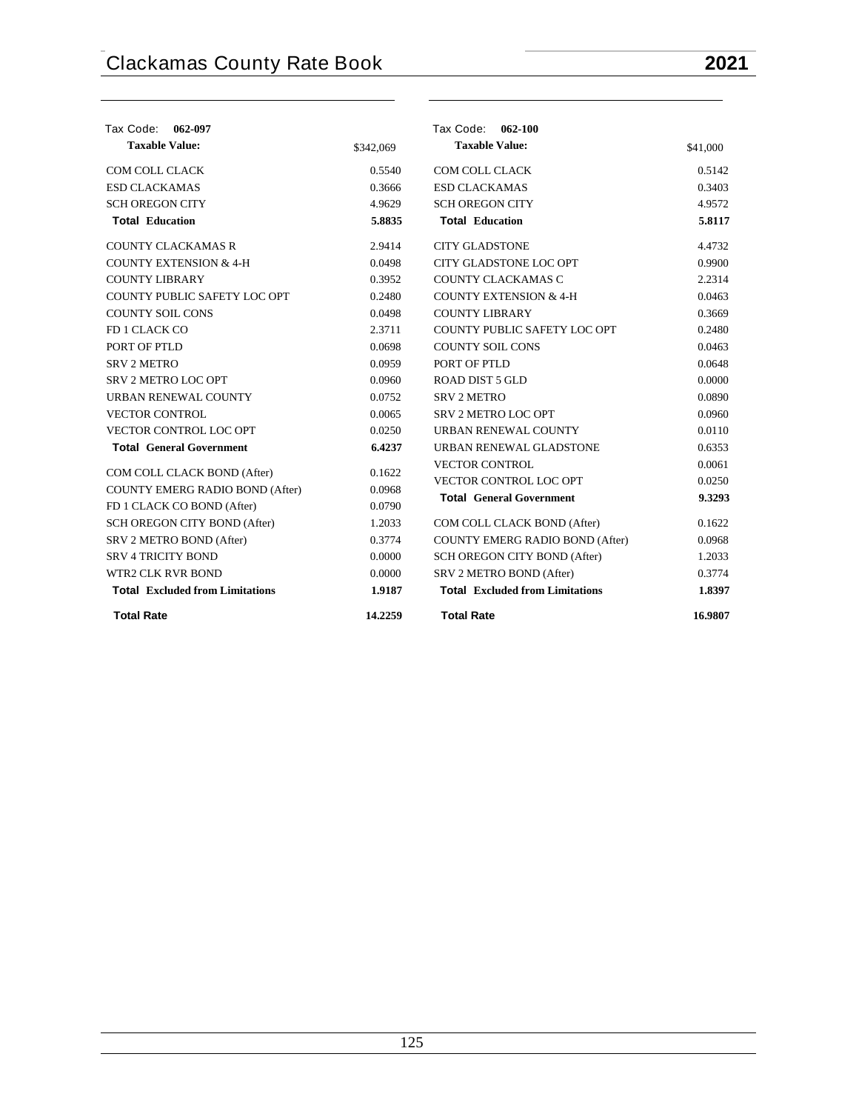| Tax Code:<br>062-097                                           |           | Tax Code: 062-100                      |                  |
|----------------------------------------------------------------|-----------|----------------------------------------|------------------|
| <b>Taxable Value:</b>                                          | \$342,069 | <b>Taxable Value:</b>                  | \$41,000         |
| COM COLL CLACK                                                 | 0.5540    | COM COLL CLACK                         | 0.5142           |
| <b>ESD CLACKAMAS</b>                                           | 0.3666    | <b>ESD CLACKAMAS</b>                   | 0.3403           |
| <b>SCH OREGON CITY</b>                                         | 4.9629    | <b>SCH OREGON CITY</b>                 | 4.9572           |
| <b>Total Education</b>                                         | 5.8835    | <b>Total Education</b>                 | 5.8117           |
| <b>COUNTY CLACKAMAS R</b>                                      | 2.9414    | <b>CITY GLADSTONE</b>                  | 4.4732           |
| <b>COUNTY EXTENSION &amp; 4-H</b>                              | 0.0498    | CITY GLADSTONE LOC OPT                 | 0.9900           |
| <b>COUNTY LIBRARY</b>                                          | 0.3952    | COUNTY CLACKAMAS C                     | 2.2314           |
| COUNTY PUBLIC SAFETY LOC OPT                                   | 0.2480    | <b>COUNTY EXTENSION &amp; 4-H</b>      | 0.0463           |
| <b>COUNTY SOIL CONS</b>                                        | 0.0498    | <b>COUNTY LIBRARY</b>                  | 0.3669           |
| FD 1 CLACK CO                                                  | 2.3711    | COUNTY PUBLIC SAFETY LOC OPT           | 0.2480           |
| PORT OF PTLD                                                   | 0.0698    | <b>COUNTY SOIL CONS</b>                | 0.0463           |
| <b>SRV 2 METRO</b>                                             | 0.0959    | PORT OF PTLD                           | 0.0648           |
| <b>SRV 2 METRO LOC OPT</b>                                     | 0.0960    | <b>ROAD DIST 5 GLD</b>                 | 0.0000           |
| URBAN RENEWAL COUNTY                                           | 0.0752    | <b>SRV 2 METRO</b>                     | 0.0890           |
| <b>VECTOR CONTROL</b>                                          | 0.0065    | <b>SRV 2 METRO LOC OPT</b>             | 0.0960           |
| VECTOR CONTROL LOC OPT                                         | 0.0250    | <b>URBAN RENEWAL COUNTY</b>            | 0.0110           |
| <b>Total General Government</b>                                | 6.4237    | URBAN RENEWAL GLADSTONE                | 0.6353           |
|                                                                | 0.1622    | <b>VECTOR CONTROL</b>                  | 0.0061           |
| COM COLL CLACK BOND (After)<br>COUNTY EMERG RADIO BOND (After) | 0.0968    | VECTOR CONTROL LOC OPT                 | 0.0250           |
| FD 1 CLACK CO BOND (After)                                     | 0.0790    | <b>Total General Government</b>        | 9.3293           |
| SCH OREGON CITY BOND (After)                                   | 1.2033    | COM COLL CLACK BOND (After)            | 0.1622           |
| SRV 2 METRO BOND (After)                                       | 0.3774    | COUNTY EMERG RADIO BOND (After)        | 0.0968           |
| <b>SRV 4 TRICITY BOND</b>                                      | 0.0000    |                                        | 1.2033           |
| <b>WTR2 CLK RVR BOND</b>                                       |           | SCH OREGON CITY BOND (After)           |                  |
|                                                                | 0.0000    | SRV 2 METRO BOND (After)               | 0.3774<br>1.8397 |
| <b>Total Excluded from Limitations</b>                         | 1.9187    | <b>Total Excluded from Limitations</b> |                  |
| <b>Total Rate</b>                                              | 14.2259   | <b>Total Rate</b>                      | 16.9807          |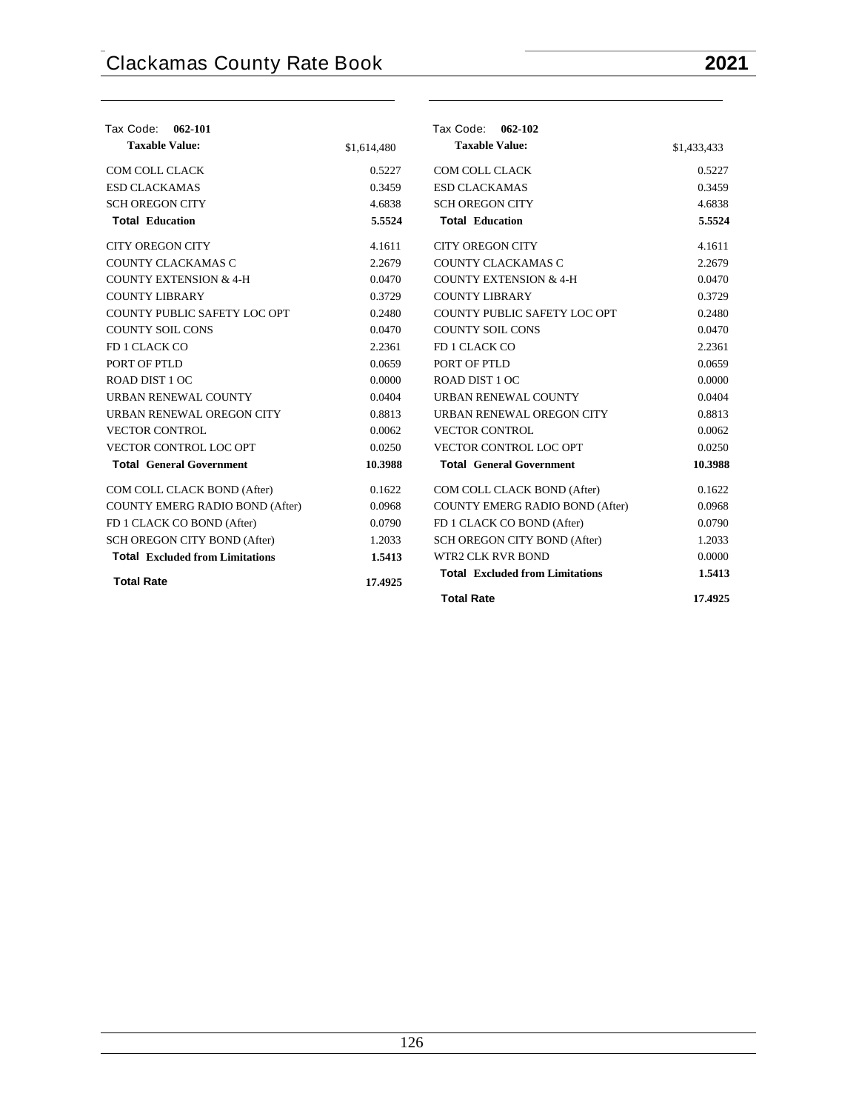| Tax Code: 062-101                      |             | Tax Code: 062-102                      |             |
|----------------------------------------|-------------|----------------------------------------|-------------|
| <b>Taxable Value:</b>                  | \$1,614,480 | <b>Taxable Value:</b>                  | \$1,433,433 |
| COM COLL CLACK                         | 0.5227      | COM COLL CLACK                         | 0.5227      |
| <b>ESD CLACKAMAS</b>                   | 0.3459      | <b>ESD CLACKAMAS</b>                   | 0.3459      |
| <b>SCH OREGON CITY</b>                 | 4.6838      | <b>SCH OREGON CITY</b>                 | 4.6838      |
| <b>Total Education</b>                 | 5.5524      | <b>Total Education</b>                 | 5.5524      |
| <b>CITY OREGON CITY</b>                | 4.1611      | <b>CITY OREGON CITY</b>                | 4.1611      |
| COUNTY CLACKAMAS C                     | 2.2679      | COUNTY CLACKAMAS C                     | 2.2679      |
| <b>COUNTY EXTENSION &amp; 4-H</b>      | 0.0470      | <b>COUNTY EXTENSION &amp; 4-H</b>      | 0.0470      |
| <b>COUNTY LIBRARY</b>                  | 0.3729      | <b>COUNTY LIBRARY</b>                  | 0.3729      |
| COUNTY PUBLIC SAFETY LOC OPT           | 0.2480      | COUNTY PUBLIC SAFETY LOC OPT           | 0.2480      |
| <b>COUNTY SOIL CONS</b>                | 0.0470      | <b>COUNTY SOIL CONS</b>                | 0.0470      |
| FD 1 CLACK CO                          | 2.2361      | FD 1 CLACK CO                          | 2.2361      |
| PORT OF PTLD                           | 0.0659      | PORT OF PTLD                           | 0.0659      |
| ROAD DIST 1 OC                         | 0.0000      | ROAD DIST 1 OC                         | 0.0000      |
| URBAN RENEWAL COUNTY                   | 0.0404      | URBAN RENEWAL COUNTY                   | 0.0404      |
| URBAN RENEWAL OREGON CITY              | 0.8813      | URBAN RENEWAL OREGON CITY              | 0.8813      |
| <b>VECTOR CONTROL</b>                  | 0.0062      | <b>VECTOR CONTROL</b>                  | 0.0062      |
| VECTOR CONTROL LOC OPT                 | 0.0250      | VECTOR CONTROL LOC OPT                 | 0.0250      |
| <b>Total General Government</b>        | 10.3988     | <b>Total General Government</b>        | 10.3988     |
| COM COLL CLACK BOND (After)            | 0.1622      | COM COLL CLACK BOND (After)            | 0.1622      |
| COUNTY EMERG RADIO BOND (After)        | 0.0968      | <b>COUNTY EMERG RADIO BOND (After)</b> | 0.0968      |
| FD 1 CLACK CO BOND (After)             | 0.0790      | FD 1 CLACK CO BOND (After)             | 0.0790      |
| SCH OREGON CITY BOND (After)           | 1.2033      | <b>SCH OREGON CITY BOND (After)</b>    | 1.2033      |
| <b>Total</b> Excluded from Limitations | 1.5413      | WTR2 CLK RVR BOND                      | 0.0000      |
| <b>Total Rate</b>                      | 17.4925     | <b>Total Excluded from Limitations</b> | 1.5413      |
|                                        |             | <b>Total Rate</b>                      | 17.4925     |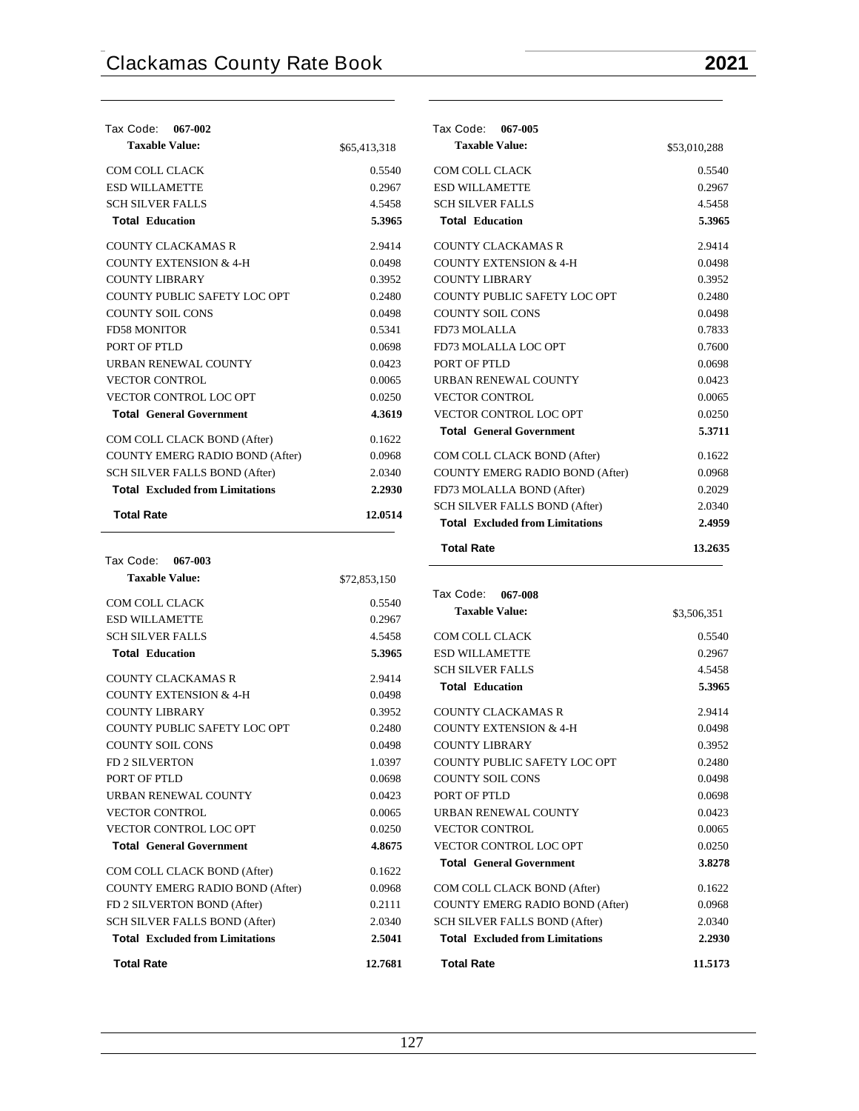| Tax Code: 067-002                      |              |
|----------------------------------------|--------------|
| <b>Taxable Value:</b>                  | \$65,413,318 |
| COM COLL CLACK                         | 0.5540       |
| <b>ESD WILLAMETTE</b>                  | 0.2967       |
| <b>SCH SILVER FALLS</b>                | 4.5458       |
| <b>Total Education</b>                 | 5.3965       |
| COUNTY CLACKAMAS R                     | 2.9414       |
| <b>COUNTY EXTENSION &amp; 4-H</b>      | 0.0498       |
| COUNTY LIBRARY                         | 0.3952       |
| COUNTY PUBLIC SAFETY LOC OPT           | 0.2480       |
| <b>COUNTY SOIL CONS</b>                | 0.0498       |
| <b>FD58 MONITOR</b>                    | 0.5341       |
| PORT OF PTLD                           | 0.0698       |
| <b>URBAN RENEWAL COUNTY</b>            | 0.0423       |
| <b>VECTOR CONTROL</b>                  | 0.0065       |
| <b>VECTOR CONTROL LOC OPT</b>          | 0.0250       |
| <b>Total General Government</b>        | 4.3619       |
| COM COLL CLACK BOND (After)            | 0.1622       |
| <b>COUNTY EMERG RADIO BOND (After)</b> | 0.0968       |
| SCH SILVER FALLS BOND (After)          | 2.0340       |
| <b>Total</b> Excluded from Limitations | 2.2930       |
| <b>Total Rate</b>                      | 12.0514      |

| Tax Code: 067-003                      |              |
|----------------------------------------|--------------|
| <b>Taxable Value:</b>                  | \$72,853,150 |
| COM COLL CLACK                         | 0.5540       |
| <b>ESD WILLAMETTE</b>                  | 0.2967       |
| <b>SCH SILVER FALLS</b>                | 4.5458       |
| <b>Total Education</b>                 | 5.3965       |
| <b>COUNTY CLACKAMAS R</b>              | 2.9414       |
| <b>COUNTY EXTENSION &amp; 4-H</b>      | 0.0498       |
| COUNTY LIBRARY                         | 0.3952       |
| <b>COUNTY PUBLIC SAFETY LOC OPT</b>    | 0.2480       |
| <b>COUNTY SOIL CONS</b>                | 0.0498       |
| <b>FD 2 SILVERTON</b>                  | 1.0397       |
| PORT OF PTLD                           | 0.0698       |
| <b>URBAN RENEWAL COUNTY</b>            | 0.0423       |
| <b>VECTOR CONTROL</b>                  | 0.0065       |
| <b>VECTOR CONTROL LOC OPT</b>          | 0.0250       |
| <b>Total General Government</b>        | 4.8675       |
| COM COLL CLACK BOND (After)            | 0.1622       |
| COUNTY EMERG RADIO BOND (After)        | 0.0968       |
| FD 2 SILVERTON BOND (After)            | 0.2111       |
| <b>SCH SILVER FALLS BOND (After)</b>   | 2.0340       |
| <b>Total Excluded from Limitations</b> | 2.5041       |
| <b>Total Rate</b>                      | 12.7681      |

| Tax Code:<br>067-005                   |              |
|----------------------------------------|--------------|
| <b>Taxable Value:</b>                  | \$53,010,288 |
| <b>COM COLL CLACK</b>                  | 0.5540       |
| <b>ESD WILLAMETTE</b>                  | 0.2967       |
| <b>SCH SILVER FALLS</b>                | 4.5458       |
| <b>Total Education</b>                 | 5.3965       |
| COUNTY CLACKAMAS R                     | 2.9414       |
| <b>COUNTY EXTENSION &amp; 4-H</b>      | 0.0498       |
| <b>COUNTY LIBRARY</b>                  | 0.3952       |
| COUNTY PUBLIC SAFETY LOC OPT           | 0.2480       |
| <b>COUNTY SOIL CONS</b>                | 0.0498       |
| FD73 MOLALLA                           | 0.7833       |
| FD73 MOLALLA LOC OPT                   | 0.7600       |
| PORT OF PTLD                           | 0.0698       |
| <b>URBAN RENEWAL COUNTY</b>            | 0.0423       |
| <b>VECTOR CONTROL</b>                  | 0.0065       |
| <b>VECTOR CONTROL LOC OPT</b>          | 0.0250       |
| <b>Total General Government</b>        | 5.3711       |
| COM COLL CLACK BOND (After)            | 0.1622       |
| <b>COUNTY EMERG RADIO BOND (After)</b> | 0.0968       |
| FD73 MOLALLA BOND (After)              | 0.2029       |
| <b>SCH SILVER FALLS BOND (After)</b>   | 2.0340       |
| <b>Total</b> Excluded from Limitations | 2.4959       |
| <b>Total Rate</b>                      | 13.2635      |

| Tax Code: 067-008                      |             |
|----------------------------------------|-------------|
| <b>Taxable Value:</b>                  | \$3,506,351 |
| COM COLL CLACK                         | 0.5540      |
| <b>ESD WILLAMETTE</b>                  | 0.2967      |
| <b>SCH SILVER FALLS</b>                | 4.5458      |
| <b>Total Education</b>                 | 5.3965      |
| COUNTY CLACKAMAS R                     | 2.9414      |
| <b>COUNTY EXTENSION &amp; 4-H</b>      | 0.0498      |
| COUNTY LIBRARY                         | 0.3952      |
| COUNTY PUBLIC SAFETY LOC OPT           | 0.2480      |
| <b>COUNTY SOIL CONS</b>                | 0.0498      |
| PORT OF PTLD                           | 0.0698      |
| URBAN RENEWAL COUNTY                   | 0.0423      |
| <b>VECTOR CONTROL</b>                  | 0.0065      |
| VECTOR CONTROL LOC OPT                 | 0.0250      |
| <b>Total General Government</b>        | 3.8278      |
| COM COLL CLACK BOND (After)            | 0.1622      |
| COUNTY EMERG RADIO BOND (After)        | 0.0968      |
| <b>SCH SILVER FALLS BOND (After)</b>   | 2.0340      |
| <b>Total</b> Excluded from Limitations | 2.2930      |
| <b>Total Rate</b>                      | 11.5173     |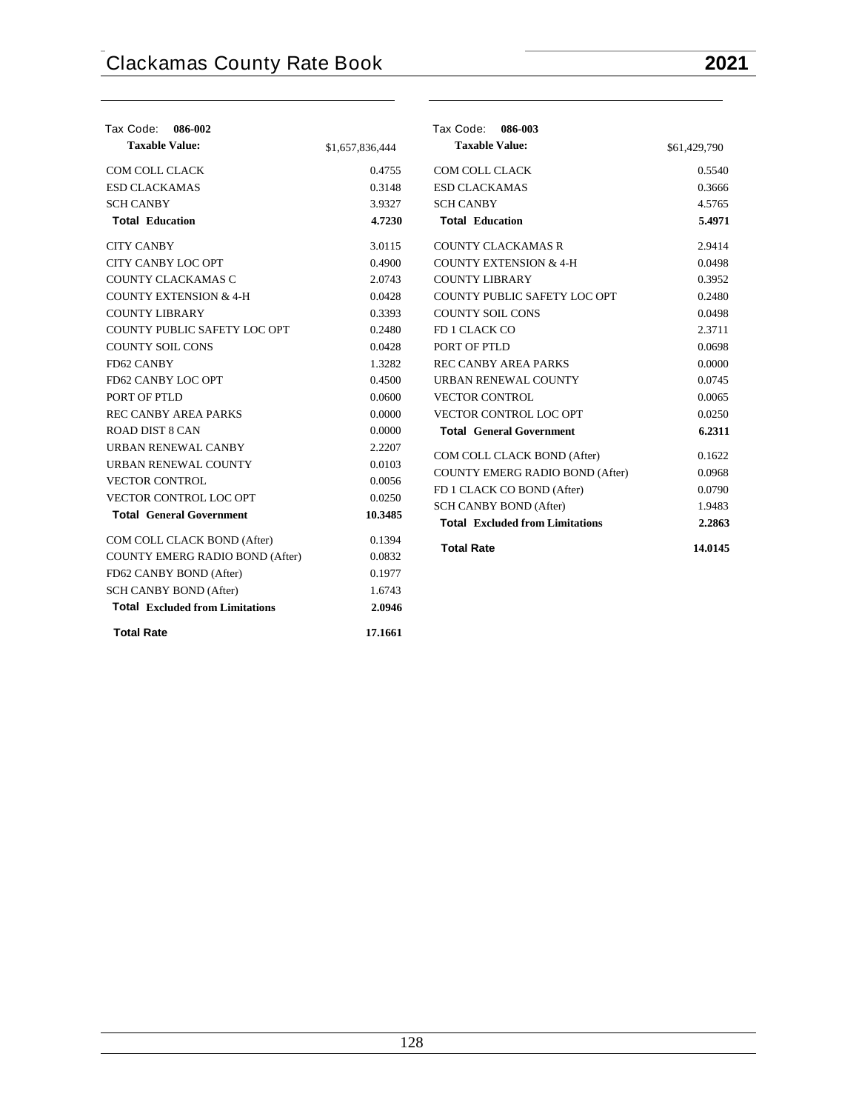| Tax Code: 086-002<br><b>Taxable Value:</b> | \$1,657,836,444 | Tax Code: 086-003<br><b>Taxable Value:</b>                       | \$61,429,790     |
|--------------------------------------------|-----------------|------------------------------------------------------------------|------------------|
| COM COLL CLACK                             | 0.4755          | COM COLL CLACK                                                   | 0.5540           |
| <b>ESD CLACKAMAS</b>                       | 0.3148          | <b>ESD CLACKAMAS</b>                                             | 0.3666           |
| <b>SCH CANBY</b>                           | 3.9327          | <b>SCH CANBY</b>                                                 | 4.5765           |
| <b>Total Education</b>                     | 4.7230          | <b>Total Education</b>                                           | 5.4971           |
| <b>CITY CANBY</b>                          | 3.0115          | <b>COUNTY CLACKAMAS R</b>                                        | 2.9414           |
| CITY CANBY LOC OPT                         | 0.4900          | COUNTY EXTENSION & 4-H                                           | 0.0498           |
| COUNTY CLACKAMAS C                         | 2.0743          | <b>COUNTY LIBRARY</b>                                            | 0.3952           |
| <b>COUNTY EXTENSION &amp; 4-H</b>          | 0.0428          | COUNTY PUBLIC SAFETY LOC OPT                                     | 0.2480           |
| <b>COUNTY LIBRARY</b>                      | 0.3393          | COUNTY SOIL CONS                                                 | 0.0498           |
| COUNTY PUBLIC SAFETY LOC OPT               | 0.2480          | FD 1 CLACK CO                                                    | 2.3711           |
| <b>COUNTY SOIL CONS</b>                    | 0.0428          | PORT OF PTLD                                                     | 0.0698           |
| FD62 CANBY                                 | 1.3282          | <b>REC CANBY AREA PARKS</b>                                      | 0.0000           |
| FD62 CANBY LOC OPT                         | 0.4500          | URBAN RENEWAL COUNTY                                             | 0.0745           |
| PORT OF PTLD                               | 0.0600          | <b>VECTOR CONTROL</b>                                            | 0.0065           |
| <b>REC CANBY AREA PARKS</b>                | 0.0000          | VECTOR CONTROL LOC OPT                                           | 0.0250           |
| ROAD DIST 8 CAN                            | 0.0000          | <b>Total General Government</b>                                  | 6.2311           |
| URBAN RENEWAL CANBY                        | 2.2207          | COM COLL CLACK BOND (After)                                      | 0.1622           |
| URBAN RENEWAL COUNTY                       | 0.0103          | COUNTY EMERG RADIO BOND (After)                                  | 0.0968           |
| <b>VECTOR CONTROL</b>                      | 0.0056          |                                                                  | 0.0790           |
| VECTOR CONTROL LOC OPT                     | 0.0250          | FD 1 CLACK CO BOND (After)                                       |                  |
| <b>Total General Government</b>            | 10.3485         | SCH CANBY BOND (After)<br><b>Total Excluded from Limitations</b> | 1.9483<br>2.2863 |
| COM COLL CLACK BOND (After)                | 0.1394          |                                                                  |                  |
| COUNTY EMERG RADIO BOND (After)            | 0.0832          | <b>Total Rate</b>                                                | 14.0145          |
| FD62 CANBY BOND (After)                    | 0.1977          |                                                                  |                  |
| SCH CANBY BOND (After)                     | 1.6743          |                                                                  |                  |
| <b>Total Excluded from Limitations</b>     | 2.0946          |                                                                  |                  |
| <b>Total Rate</b>                          | 17.1661         |                                                                  |                  |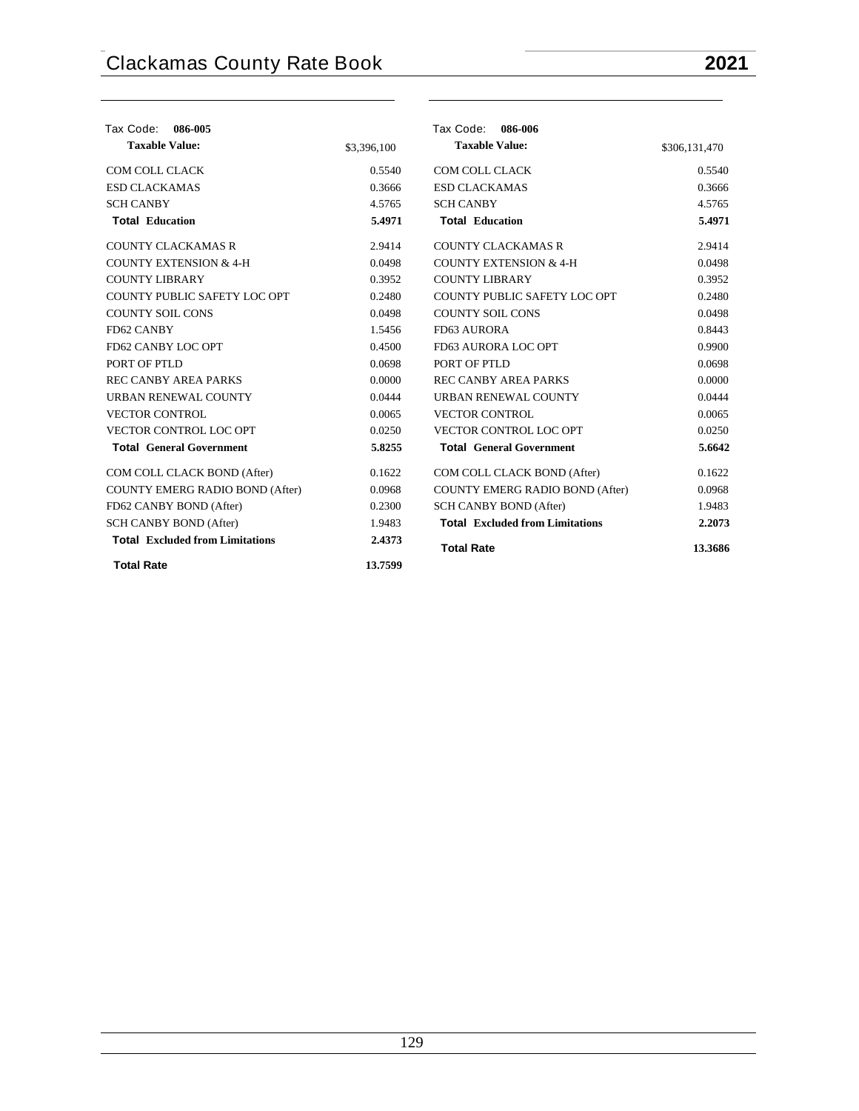| Tax Code:<br>086-005                   |             | Tax Code:<br>086-006                   |               |
|----------------------------------------|-------------|----------------------------------------|---------------|
| <b>Taxable Value:</b>                  | \$3,396,100 | <b>Taxable Value:</b>                  | \$306,131,470 |
| <b>COM COLL CLACK</b>                  | 0.5540      | COM COLL CLACK                         | 0.5540        |
| <b>ESD CLACKAMAS</b>                   | 0.3666      | <b>ESD CLACKAMAS</b>                   | 0.3666        |
| <b>SCH CANBY</b>                       | 4.5765      | <b>SCH CANBY</b>                       | 4.5765        |
| <b>Total Education</b>                 | 5.4971      | <b>Total Education</b>                 | 5.4971        |
| <b>COUNTY CLACKAMAS R</b>              | 2.9414      | <b>COUNTY CLACKAMAS R</b>              | 2.9414        |
| <b>COUNTY EXTENSION &amp; 4-H</b>      | 0.0498      | <b>COUNTY EXTENSION &amp; 4-H</b>      | 0.0498        |
| <b>COUNTY LIBRARY</b>                  | 0.3952      | <b>COUNTY LIBRARY</b>                  | 0.3952        |
| COUNTY PUBLIC SAFETY LOC OPT           | 0.2480      | COUNTY PUBLIC SAFETY LOC OPT           | 0.2480        |
| <b>COUNTY SOIL CONS</b>                | 0.0498      | <b>COUNTY SOIL CONS</b>                | 0.0498        |
| FD62 CANBY                             | 1.5456      | FD63 AURORA                            | 0.8443        |
| FD62 CANBY LOC OPT                     | 0.4500      | FD63 AURORA LOC OPT                    | 0.9900        |
| PORT OF PTLD                           | 0.0698      | PORT OF PTLD                           | 0.0698        |
| <b>RECCANBY AREA PARKS</b>             | 0.0000      | <b>REC CANBY AREA PARKS</b>            | 0.0000        |
| URBAN RENEWAL COUNTY                   | 0.0444      | URBAN RENEWAL COUNTY                   | 0.0444        |
| <b>VECTOR CONTROL</b>                  | 0.0065      | <b>VECTOR CONTROL</b>                  | 0.0065        |
| <b>VECTOR CONTROL LOC OPT</b>          | 0.0250      | <b>VECTOR CONTROL LOC OPT</b>          | 0.0250        |
| <b>Total General Government</b>        | 5.8255      | <b>Total General Government</b>        | 5.6642        |
| COM COLL CLACK BOND (After)            | 0.1622      | COM COLL CLACK BOND (After)            | 0.1622        |
| <b>COUNTY EMERG RADIO BOND (After)</b> | 0.0968      | <b>COUNTY EMERG RADIO BOND (After)</b> | 0.0968        |
| FD62 CANBY BOND (After)                | 0.2300      | <b>SCH CANBY BOND (After)</b>          | 1.9483        |
| <b>SCH CANBY BOND (After)</b>          | 1.9483      | <b>Total</b> Excluded from Limitations | 2.2073        |
| <b>Total Excluded from Limitations</b> | 2.4373      | <b>Total Rate</b>                      | 13.3686       |
| <b>Total Rate</b>                      | 13.7599     |                                        |               |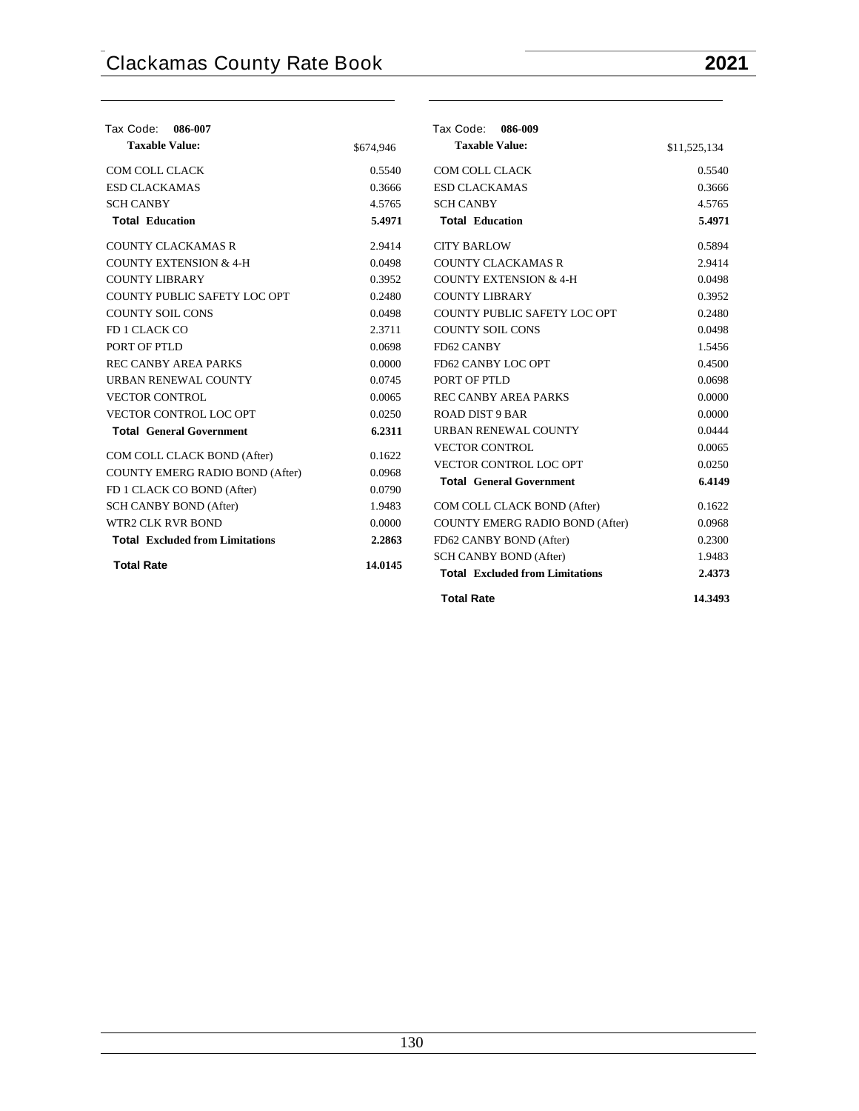| Tax Code:<br>086-007                   |           | Tax Code: 086-009                      |              |
|----------------------------------------|-----------|----------------------------------------|--------------|
| <b>Taxable Value:</b>                  | \$674,946 | <b>Taxable Value:</b>                  | \$11,525,134 |
| COM COLL CLACK                         | 0.5540    | COM COLL CLACK                         | 0.5540       |
| <b>ESD CLACKAMAS</b>                   | 0.3666    | <b>ESD CLACKAMAS</b>                   | 0.3666       |
| <b>SCH CANBY</b>                       | 4.5765    | <b>SCH CANBY</b>                       | 4.5765       |
| <b>Total Education</b>                 | 5.4971    | <b>Total Education</b>                 | 5.4971       |
| <b>COUNTY CLACKAMAS R</b>              | 2.9414    | <b>CITY BARLOW</b>                     | 0.5894       |
| <b>COUNTY EXTENSION &amp; 4-H</b>      | 0.0498    | <b>COUNTY CLACKAMAS R</b>              | 2.9414       |
| <b>COUNTY LIBRARY</b>                  | 0.3952    | COUNTY EXTENSION & 4-H                 | 0.0498       |
| COUNTY PUBLIC SAFETY LOC OPT           | 0.2480    | <b>COUNTY LIBRARY</b>                  | 0.3952       |
| <b>COUNTY SOIL CONS</b>                | 0.0498    | COUNTY PUBLIC SAFETY LOC OPT           | 0.2480       |
| FD 1 CLACK CO                          | 2.3711    | <b>COUNTY SOIL CONS</b>                | 0.0498       |
| PORT OF PTLD                           | 0.0698    | FD62 CANBY                             | 1.5456       |
| <b>REC CANBY AREA PARKS</b>            | 0.0000    | FD62 CANBY LOC OPT                     | 0.4500       |
| <b>URBAN RENEWAL COUNTY</b>            | 0.0745    | PORT OF PTLD                           | 0.0698       |
| <b>VECTOR CONTROL</b>                  | 0.0065    | <b>REC CANBY AREA PARKS</b>            | 0.0000       |
| VECTOR CONTROL LOC OPT                 | 0.0250    | <b>ROAD DIST 9 BAR</b>                 | 0.0000       |
| <b>Total General Government</b>        | 6.2311    | URBAN RENEWAL COUNTY                   | 0.0444       |
| COM COLL CLACK BOND (After)            | 0.1622    | <b>VECTOR CONTROL</b>                  | 0.0065       |
| <b>COUNTY EMERG RADIO BOND (After)</b> | 0.0968    | VECTOR CONTROL LOC OPT                 | 0.0250       |
| FD 1 CLACK CO BOND (After)             | 0.0790    | <b>Total General Government</b>        | 6.4149       |
| <b>SCH CANBY BOND (After)</b>          | 1.9483    | COM COLL CLACK BOND (After)            | 0.1622       |
| WTR2 CLK RVR BOND                      | 0.0000    | COUNTY EMERG RADIO BOND (After)        | 0.0968       |
| <b>Total Excluded from Limitations</b> | 2.2863    | FD62 CANBY BOND (After)                | 0.2300       |
|                                        |           | <b>SCH CANBY BOND (After)</b>          | 1.9483       |
| <b>Total Rate</b>                      | 14.0145   | <b>Total Excluded from Limitations</b> | 2.4373       |
|                                        |           | <b>Total Rate</b>                      | 14.3493      |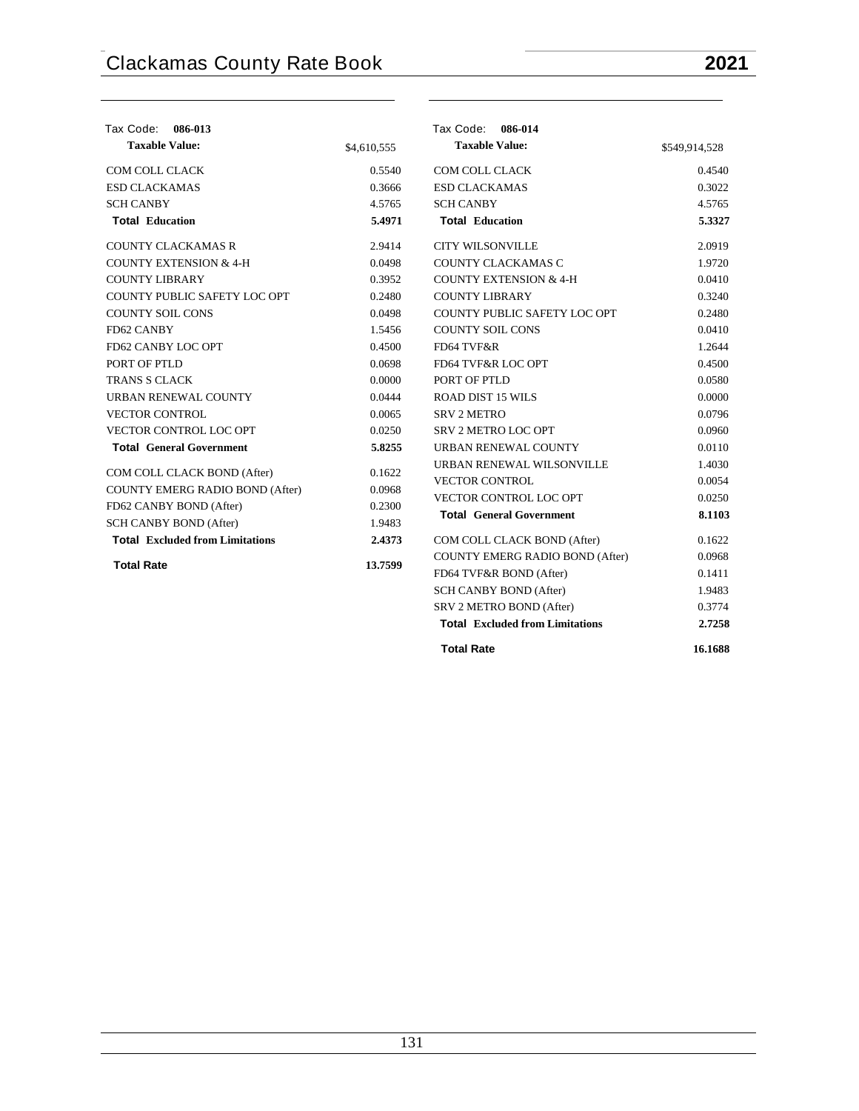| Tax Code:<br>086-013                   |             | Tax Code: 086-014                                                  |               |
|----------------------------------------|-------------|--------------------------------------------------------------------|---------------|
| <b>Taxable Value:</b>                  | \$4,610,555 | <b>Taxable Value:</b>                                              | \$549,914,528 |
| <b>COM COLL CLACK</b>                  | 0.5540      | <b>COM COLL CLACK</b>                                              | 0.4540        |
| <b>ESD CLACKAMAS</b>                   | 0.3666      | <b>ESD CLACKAMAS</b>                                               | 0.3022        |
| <b>SCH CANBY</b>                       | 4.5765      | <b>SCH CANBY</b>                                                   | 4.5765        |
| <b>Total Education</b>                 | 5.4971      | <b>Total Education</b>                                             | 5.3327        |
| <b>COUNTY CLACKAMAS R</b>              | 2.9414      | <b>CITY WILSONVILLE</b>                                            | 2.0919        |
| <b>COUNTY EXTENSION &amp; 4-H</b>      | 0.0498      | COUNTY CLACKAMAS C                                                 | 1.9720        |
| <b>COUNTY LIBRARY</b>                  | 0.3952      | <b>COUNTY EXTENSION &amp; 4-H</b>                                  | 0.0410        |
| COUNTY PUBLIC SAFETY LOC OPT           | 0.2480      | <b>COUNTY LIBRARY</b>                                              | 0.3240        |
| <b>COUNTY SOIL CONS</b>                | 0.0498      | COUNTY PUBLIC SAFETY LOC OPT                                       | 0.2480        |
| FD62 CANBY                             | 1.5456      | <b>COUNTY SOIL CONS</b>                                            | 0.0410        |
| FD62 CANBY LOC OPT                     | 0.4500      | FD64 TVF&R                                                         | 1.2644        |
| PORT OF PTLD                           | 0.0698      | FD64 TVF&R LOC OPT                                                 | 0.4500        |
| <b>TRANS S CLACK</b>                   | 0.0000      | PORT OF PTLD                                                       | 0.0580        |
| URBAN RENEWAL COUNTY                   | 0.0444      | <b>ROAD DIST 15 WILS</b>                                           | 0.0000        |
| <b>VECTOR CONTROL</b>                  | 0.0065      | <b>SRV 2 METRO</b>                                                 | 0.0796        |
| VECTOR CONTROL LOC OPT                 | 0.0250      | SRV 2 METRO LOC OPT                                                | 0.0960        |
| <b>Total General Government</b>        | 5.8255      | URBAN RENEWAL COUNTY                                               | 0.0110        |
| COM COLL CLACK BOND (After)            | 0.1622      | URBAN RENEWAL WILSONVILLE                                          | 1.4030        |
| COUNTY EMERG RADIO BOND (After)        | 0.0968      | <b>VECTOR CONTROL</b>                                              | 0.0054        |
| FD62 CANBY BOND (After)                | 0.2300      | VECTOR CONTROL LOC OPT                                             | 0.0250        |
| <b>SCH CANBY BOND (After)</b>          | 1.9483      | <b>Total General Government</b>                                    | 8.1103        |
| <b>Total Excluded from Limitations</b> | 2.4373      | COM COLL CLACK BOND (After)                                        | 0.1622        |
|                                        |             | COUNTY EMERG RADIO BOND (After)                                    | 0.0968        |
| <b>Total Rate</b>                      | 13.7599     | FD64 TVF&R BOND (After)                                            | 0.1411        |
|                                        |             |                                                                    | 1.9483        |
|                                        |             | SCH CANBY BOND (After)                                             | 0.3774        |
|                                        |             | SRV 2 METRO BOND (After)<br><b>Total Excluded from Limitations</b> | 2.7258        |
|                                        |             |                                                                    |               |

| <b>Total Rate</b> | 16.1688 |
|-------------------|---------|
|                   |         |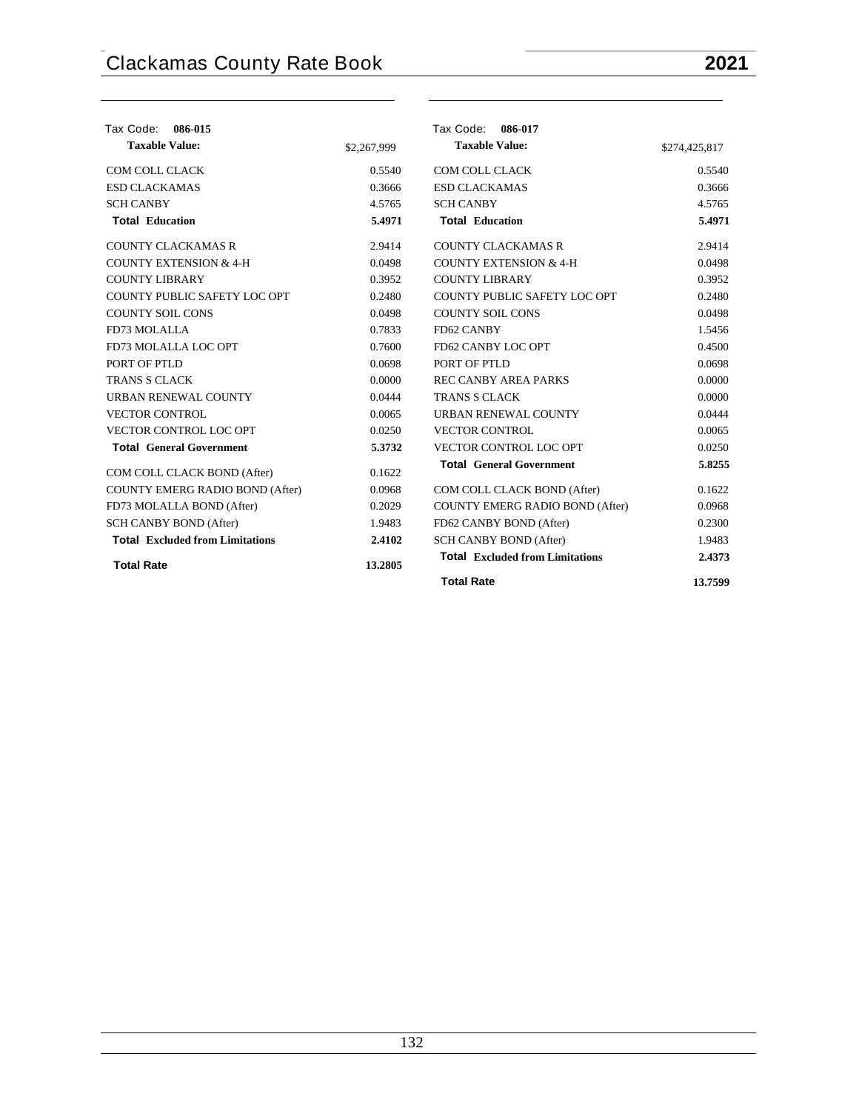| Tax Code:<br>086-015                   |             | Tax Code: 086-017                      |               |
|----------------------------------------|-------------|----------------------------------------|---------------|
| <b>Taxable Value:</b>                  | \$2,267,999 | <b>Taxable Value:</b>                  | \$274,425,817 |
| COM COLL CLACK                         | 0.5540      | COM COLL CLACK                         | 0.5540        |
| <b>ESD CLACKAMAS</b>                   | 0.3666      | <b>ESD CLACKAMAS</b>                   | 0.3666        |
| <b>SCH CANBY</b>                       | 4.5765      | <b>SCH CANBY</b>                       | 4.5765        |
| <b>Total Education</b>                 | 5.4971      | <b>Total Education</b>                 | 5.4971        |
| <b>COUNTY CLACKAMAS R</b>              | 2.9414      | <b>COUNTY CLACKAMAS R</b>              | 2.9414        |
| <b>COUNTY EXTENSION &amp; 4-H</b>      | 0.0498      | <b>COUNTY EXTENSION &amp; 4-H</b>      | 0.0498        |
| <b>COUNTY LIBRARY</b>                  | 0.3952      | <b>COUNTY LIBRARY</b>                  | 0.3952        |
| COUNTY PUBLIC SAFETY LOC OPT           | 0.2480      | COUNTY PUBLIC SAFETY LOC OPT           | 0.2480        |
| <b>COUNTY SOIL CONS</b>                | 0.0498      | <b>COUNTY SOIL CONS</b>                | 0.0498        |
| FD73 MOLALLA                           | 0.7833      | FD62 CANBY                             | 1.5456        |
| FD73 MOLALLA LOC OPT                   | 0.7600      | FD62 CANBY LOC OPT                     | 0.4500        |
| PORT OF PTLD                           | 0.0698      | PORT OF PTLD                           | 0.0698        |
| <b>TRANS S CLACK</b>                   | 0.0000      | <b>REC CANBY AREA PARKS</b>            | 0.0000        |
| <b>URBAN RENEWAL COUNTY</b>            | 0.0444      | <b>TRANS S CLACK</b>                   | 0.0000        |
| <b>VECTOR CONTROL</b>                  | 0.0065      | URBAN RENEWAL COUNTY                   | 0.0444        |
| <b>VECTOR CONTROL LOC OPT</b>          | 0.0250      | <b>VECTOR CONTROL</b>                  | 0.0065        |
| <b>Total General Government</b>        | 5.3732      | <b>VECTOR CONTROL LOC OPT</b>          | 0.0250        |
| COM COLL CLACK BOND (After)            | 0.1622      | <b>Total General Government</b>        | 5.8255        |
| COUNTY EMERG RADIO BOND (After)        | 0.0968      | COM COLL CLACK BOND (After)            | 0.1622        |
| FD73 MOLALLA BOND (After)              | 0.2029      | COUNTY EMERG RADIO BOND (After)        | 0.0968        |
| <b>SCH CANBY BOND (After)</b>          | 1.9483      | FD62 CANBY BOND (After)                | 0.2300        |
| <b>Total Excluded from Limitations</b> | 2.4102      | SCH CANBY BOND (After)                 | 1.9483        |
| <b>Total Rate</b>                      | 13.2805     | <b>Total Excluded from Limitations</b> | 2.4373        |
|                                        |             | <b>Total Rate</b>                      | 13.7599       |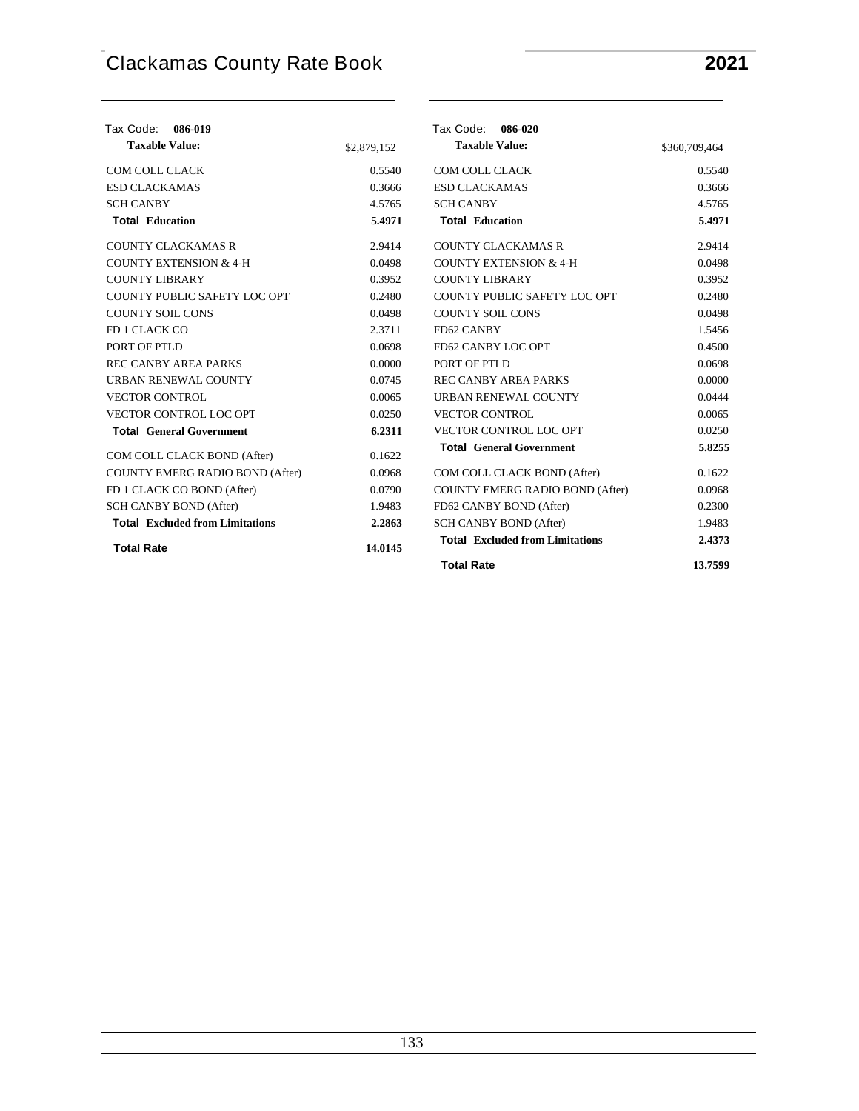## **Tax Code: 086-019 Taxable Value:** \$2,879,152 COM COLL CLACK 0.5540 ESD CLACKAMAS 0.3666 SCH CANBY 4.5765 **Total Education 5.4971** COUNTY CLACKAMAS R 2.9414 COUNTY EXTENSION  $& 4-H$  0.0498 COUNTY LIBRARY 0.3952 COUNTY PUBLIC SAFETY LOC OPT 0.2480 COUNTY SOIL CONS 0.0498 FD 1 CLACK CO 2.3711 PORT OF PTLD 0.0698 REC CANBY AREA PARKS 0.0000 URBAN RENEWAL COUNTY 0.0745 VECTOR CONTROL 0.0065 VECTOR CONTROL LOC OPT 0.0250 **Total General Government 6.2311** COM COLL CLACK BOND (After) 0.1622 COUNTY EMERG RADIO BOND (After) 0.0968 FD 1 CLACK CO BOND (After) 0.0790 SCH CANBY BOND (After) 1.9483 **Total Excluded from Limitations 2.2863 Total Rate 14.0145 Tax Code: 086-020 Taxable Value:** \$360,709,464 COM COLL CLACK 0.5540 ESD CLACKAMAS 0.3666 SCH CANBY 4.5765 **Total Education 5.4971** COUNTY CLACKAMAS R 2.9414 COUNTY EXTENSION  $& 4-H$  0.0498 COUNTY LIBRARY 0.3952 COUNTY PUBLIC SAFETY LOC OPT 0.2480 COUNTY SOIL CONS 0.0498 FD62 CANBY 1.5456 FD62 CANBY LOC OPT 0.4500 PORT OF PTLD 0.0698 REC CANBY AREA PARKS 0.0000 URBAN RENEWAL COUNTY 0.0444 VECTOR CONTROL 0.0065 VECTOR CONTROL LOC OPT 0.0250 **Total General Government 5.8255** COM COLL CLACK BOND (After) 0.1622 COUNTY EMERG RADIO BOND (After) 0.0968 FD62 CANBY BOND (After) 0.2300 SCH CANBY BOND (After) 1.9483 **Total Excluded from Limitations 2.4373 Total Rate 13.7599**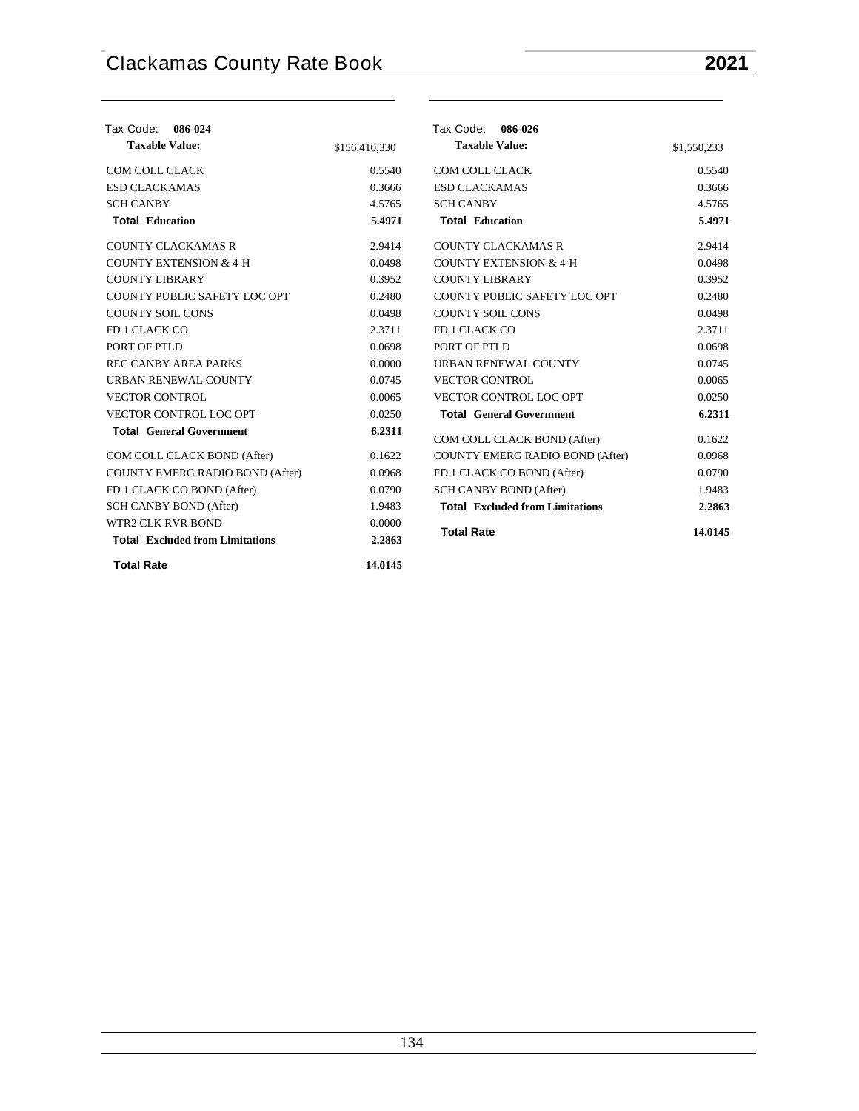| Tax Code:<br>086-024                   |               | Tax Code: 086-026                      |             |
|----------------------------------------|---------------|----------------------------------------|-------------|
| <b>Taxable Value:</b>                  | \$156,410,330 | <b>Taxable Value:</b>                  | \$1,550,233 |
| COM COLL CLACK                         | 0.5540        | COM COLL CLACK                         | 0.5540      |
| <b>ESD CLACKAMAS</b>                   | 0.3666        | <b>ESD CLACKAMAS</b>                   | 0.3666      |
| <b>SCH CANBY</b>                       | 4.5765        | <b>SCH CANBY</b>                       | 4.5765      |
| <b>Total Education</b>                 | 5.4971        | <b>Total Education</b>                 | 5.4971      |
| <b>COUNTY CLACKAMAS R</b>              | 2.9414        | <b>COUNTY CLACKAMAS R</b>              | 2.9414      |
| <b>COUNTY EXTENSION &amp; 4-H</b>      | 0.0498        | <b>COUNTY EXTENSION &amp; 4-H</b>      | 0.0498      |
| <b>COUNTY LIBRARY</b>                  | 0.3952        | <b>COUNTY LIBRARY</b>                  | 0.3952      |
| COUNTY PUBLIC SAFETY LOC OPT           | 0.2480        | COUNTY PUBLIC SAFETY LOC OPT           | 0.2480      |
| <b>COUNTY SOIL CONS</b>                | 0.0498        | <b>COUNTY SOIL CONS</b>                | 0.0498      |
| FD 1 CLACK CO                          | 2.3711        | FD 1 CLACK CO                          | 2.3711      |
| PORT OF PTLD                           | 0.0698        | PORT OF PTLD                           | 0.0698      |
| <b>REC CANBY AREA PARKS</b>            | 0.0000        | URBAN RENEWAL COUNTY                   | 0.0745      |
| URBAN RENEWAL COUNTY                   | 0.0745        | <b>VECTOR CONTROL</b>                  | 0.0065      |
| <b>VECTOR CONTROL</b>                  | 0.0065        | VECTOR CONTROL LOC OPT                 | 0.0250      |
| VECTOR CONTROL LOC OPT                 | 0.0250        | <b>Total General Government</b>        | 6.2311      |
| <b>Total General Government</b>        | 6.2311        | COM COLL CLACK BOND (After)            | 0.1622      |
| COM COLL CLACK BOND (After)            | 0.1622        | COUNTY EMERG RADIO BOND (After)        | 0.0968      |
| COUNTY EMERG RADIO BOND (After)        | 0.0968        | FD 1 CLACK CO BOND (After)             | 0.0790      |
| FD 1 CLACK CO BOND (After)             | 0.0790        | <b>SCH CANBY BOND (After)</b>          | 1.9483      |
| SCH CANBY BOND (After)                 | 1.9483        | <b>Total Excluded from Limitations</b> | 2.2863      |
| <b>WTR2 CLK RVR BOND</b>               | 0.0000        |                                        |             |
| <b>Total</b> Excluded from Limitations | 2.2863        | <b>Total Rate</b>                      | 14.0145     |
| <b>Total Rate</b>                      | 14.0145       |                                        |             |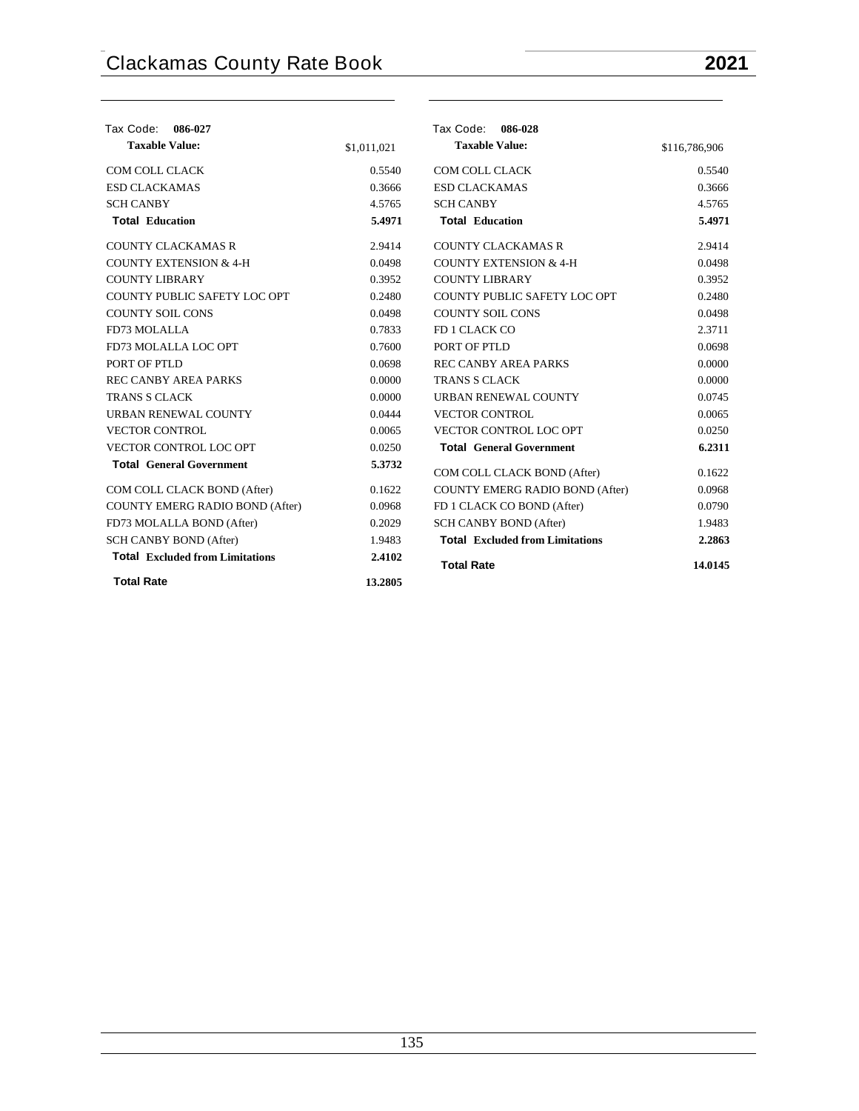## **Tax Code: 086-027 Taxable Value:** \$1,011,021 COM COLL CLACK 0.5540 ESD CLACKAMAS 0.3666 SCH CANBY 4.5765 **Total Education 5.4971** COUNTY CLACKAMAS R 2.9414 COUNTY EXTENSION  $& 4-H$  0.0498 COUNTY LIBRARY 0.3952 COUNTY PUBLIC SAFETY LOC OPT 0.2480 COUNTY SOIL CONS 0.0498 FD73 MOLALLA 0.7833 FD73 MOLALLA LOC OPT 0.7600 PORT OF PTLD 0.0698 REC CANBY AREA PARKS 0.0000 TRANS S CLACK 0.0000 URBAN RENEWAL COUNTY 0.0444 VECTOR CONTROL 0.0065 VECTOR CONTROL LOC OPT 0.0250 **Total General Government 5.3732** COM COLL CLACK BOND (After) 0.1622 COUNTY EMERG RADIO BOND (After) 0.0968 FD73 MOLALLA BOND (After) 0.2029 SCH CANBY BOND (After) 1.9483  **Tax Code: 086-028 Taxable Value:** \$116,786,906 COM COLL CLACK 0.5540 ESD CLACKAMAS 0.3666 SCH CANBY 4.5765 **Total Education 5.4971** COUNTY CLACKAMAS R 2.9414 COUNTY EXTENSION  $& 4-H$  0.0498 COUNTY LIBRARY 0.3952 COUNTY PUBLIC SAFETY LOC OPT 0.2480 COUNTY SOIL CONS 0.0498 FD 1 CLACK CO 2.3711 PORT OF PTLD 0.0698 REC CANBY AREA PARKS 0.0000 TRANS S CLACK 0.0000 URBAN RENEWAL COUNTY 0.0745 VECTOR CONTROL 0.0065 VECTOR CONTROL LOC OPT 0.0250 **Total General Government 6.2311** COM COLL CLACK BOND (After) 0.1622 COUNTY EMERG RADIO BOND (After) 0.0968 FD 1 CLACK CO BOND (After) 0.0790 SCH CANBY BOND (After) 1.9483 **Total Excluded from Limitations 2.2863**

**Total Excluded from Limitations 2.4102 Total Rate 14.0145**

**Total Rate 13.2805**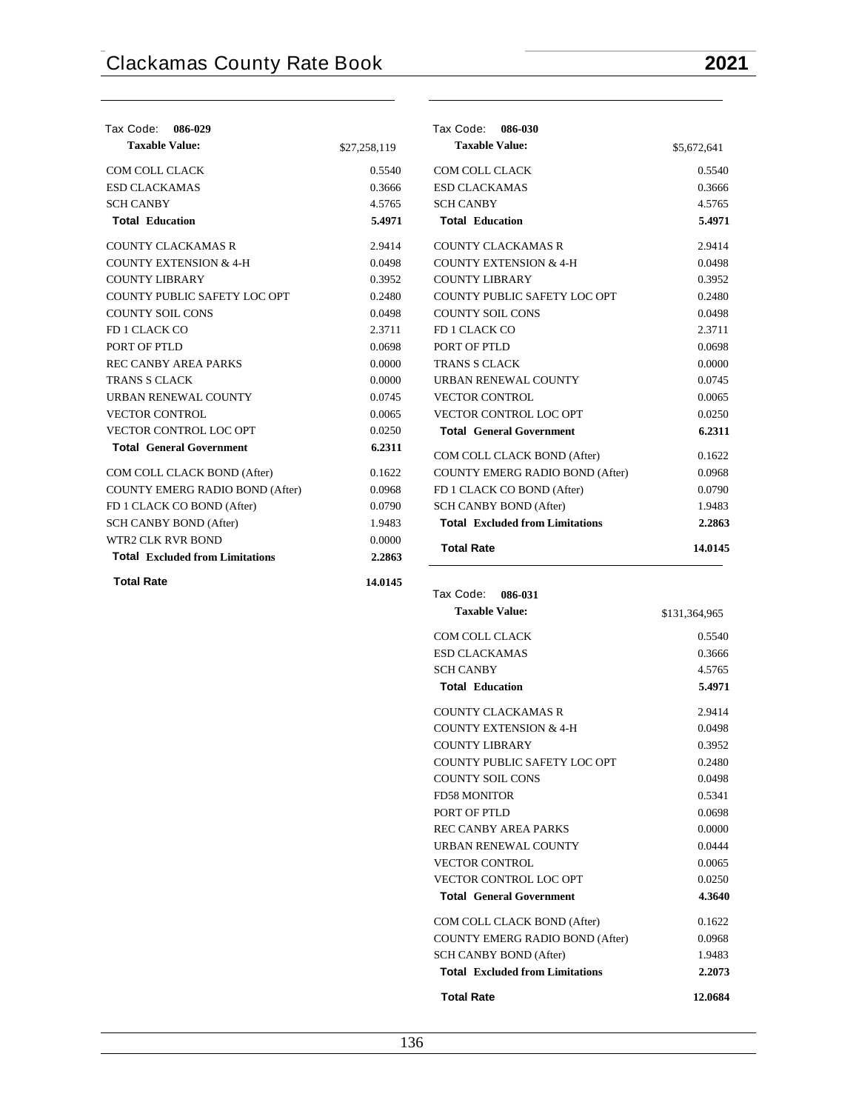| Tax Code: 086-029                      |              | Tax Code:<br>086-030                   |               |
|----------------------------------------|--------------|----------------------------------------|---------------|
| <b>Taxable Value:</b>                  | \$27,258,119 | <b>Taxable Value:</b>                  | \$5,672,641   |
| COM COLL CLACK                         | 0.5540       | COM COLL CLACK                         | 0.5540        |
| <b>ESD CLACKAMAS</b>                   | 0.3666       | <b>ESD CLACKAMAS</b>                   | 0.3666        |
| <b>SCH CANBY</b>                       | 4.5765       | <b>SCH CANBY</b>                       | 4.5765        |
| <b>Total Education</b>                 | 5.4971       | <b>Total Education</b>                 | 5.4971        |
| <b>COUNTY CLACKAMAS R</b>              | 2.9414       | <b>COUNTY CLACKAMAS R</b>              | 2.9414        |
| <b>COUNTY EXTENSION &amp; 4-H</b>      | 0.0498       | <b>COUNTY EXTENSION &amp; 4-H</b>      | 0.0498        |
| <b>COUNTY LIBRARY</b>                  | 0.3952       | <b>COUNTY LIBRARY</b>                  | 0.3952        |
| COUNTY PUBLIC SAFETY LOC OPT           | 0.2480       | COUNTY PUBLIC SAFETY LOC OPT           | 0.2480        |
| <b>COUNTY SOIL CONS</b>                | 0.0498       | <b>COUNTY SOIL CONS</b>                | 0.0498        |
| FD 1 CLACK CO                          | 2.3711       | FD 1 CLACK CO                          | 2.3711        |
| PORT OF PTLD                           | 0.0698       | PORT OF PTLD                           | 0.0698        |
| <b>REC CANBY AREA PARKS</b>            | 0.0000       | <b>TRANS S CLACK</b>                   | 0.0000        |
| <b>TRANS S CLACK</b>                   | 0.0000       | URBAN RENEWAL COUNTY                   | 0.0745        |
| URBAN RENEWAL COUNTY                   | 0.0745       | <b>VECTOR CONTROL</b>                  | 0.0065        |
| <b>VECTOR CONTROL</b>                  | 0.0065       | VECTOR CONTROL LOC OPT                 | 0.0250        |
| VECTOR CONTROL LOC OPT                 | 0.0250       | <b>Total General Government</b>        | 6.2311        |
| <b>Total General Government</b>        | 6.2311       | COM COLL CLACK BOND (After)            | 0.1622        |
| COM COLL CLACK BOND (After)            | 0.1622       | <b>COUNTY EMERG RADIO BOND (After)</b> | 0.0968        |
| COUNTY EMERG RADIO BOND (After)        | 0.0968       | FD 1 CLACK CO BOND (After)             | 0.0790        |
| FD 1 CLACK CO BOND (After)             | 0.0790       | <b>SCH CANBY BOND (After)</b>          | 1.9483        |
| SCH CANBY BOND (After)                 | 1.9483       | <b>Total Excluded from Limitations</b> | 2.2863        |
| <b>WTR2 CLK RVR BOND</b>               | 0.0000       |                                        |               |
| <b>Total Excluded from Limitations</b> | 2.2863       | <b>Total Rate</b>                      | 14.0145       |
| <b>Total Rate</b>                      | 14.0145      |                                        |               |
|                                        |              | Tax Code:<br>086-031                   |               |
|                                        |              | <b>Taxable Value:</b>                  | \$131,364,965 |
|                                        |              | <b>COM COLL CLACK</b>                  | 0.5540        |

ESD CLACKAMAS 0.3666 SCH CANBY 4.5765 **Total Education 5.4971** COUNTY CLACKAMAS R 2.9414 COUNTY EXTENSION  $& 4-H$  0.0498 COUNTY LIBRARY 0.3952 COUNTY PUBLIC SAFETY LOC OPT 0.2480 COUNTY SOIL CONS 0.0498 FD58 MONITOR 0.5341 PORT OF PTLD 0.0698 REC CANBY AREA PARKS 0.0000 URBAN RENEWAL COUNTY 0.0444 VECTOR CONTROL 0.0065 VECTOR CONTROL LOC OPT 0.0250 **Total General Government 4.3640** COM COLL CLACK BOND (After) 0.1622 COUNTY EMERG RADIO BOND (After) 0.0968 SCH CANBY BOND (After) 1.9483 **Total Excluded from Limitations 2.2073 Total Rate 12.0684**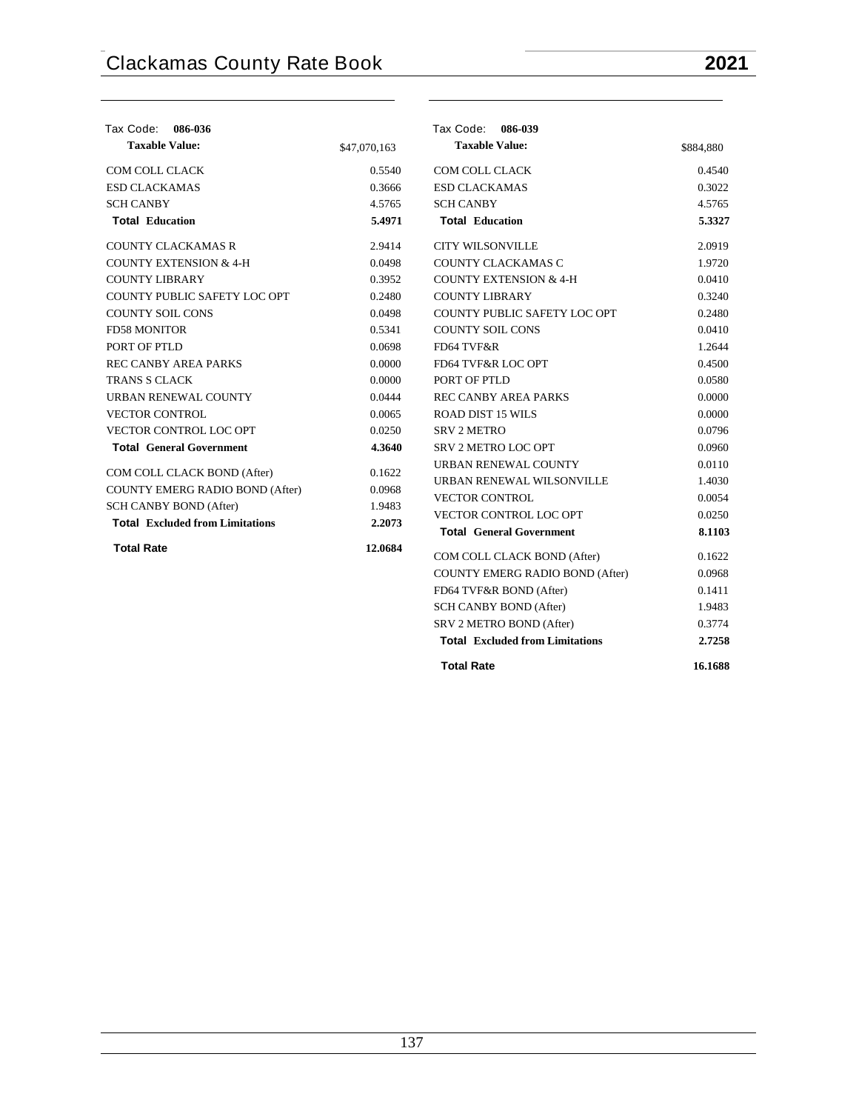| Tax Code: 086-036                      |              | Tax Code: 086-039                      |           |
|----------------------------------------|--------------|----------------------------------------|-----------|
| <b>Taxable Value:</b>                  | \$47,070,163 | <b>Taxable Value:</b>                  | \$884,880 |
| COM COLL CLACK                         | 0.5540       | <b>COM COLL CLACK</b>                  | 0.4540    |
| <b>ESD CLACKAMAS</b>                   | 0.3666       | <b>ESD CLACKAMAS</b>                   | 0.3022    |
| <b>SCH CANBY</b>                       | 4.5765       | <b>SCH CANBY</b>                       | 4.5765    |
| <b>Total Education</b>                 | 5.4971       | <b>Total Education</b>                 | 5.3327    |
| <b>COUNTY CLACKAMAS R</b>              | 2.9414       | <b>CITY WILSONVILLE</b>                | 2.0919    |
| <b>COUNTY EXTENSION &amp; 4-H</b>      | 0.0498       | COUNTY CLACKAMAS C                     | 1.9720    |
| <b>COUNTY LIBRARY</b>                  | 0.3952       | <b>COUNTY EXTENSION &amp; 4-H</b>      | 0.0410    |
| COUNTY PUBLIC SAFETY LOC OPT           | 0.2480       | <b>COUNTY LIBRARY</b>                  | 0.3240    |
| <b>COUNTY SOIL CONS</b>                | 0.0498       | COUNTY PUBLIC SAFETY LOC OPT           | 0.2480    |
| <b>FD58 MONITOR</b>                    | 0.5341       | <b>COUNTY SOIL CONS</b>                | 0.0410    |
| PORT OF PTLD                           | 0.0698       | FD64 TVF&R                             | 1.2644    |
| <b>REC CANBY AREA PARKS</b>            | 0.0000       | FD64 TVF&R LOC OPT                     | 0.4500    |
| <b>TRANS S CLACK</b>                   | 0.0000       | PORT OF PTLD                           | 0.0580    |
| URBAN RENEWAL COUNTY                   | 0.0444       | REC CANBY AREA PARKS                   | 0.0000    |
| <b>VECTOR CONTROL</b>                  | 0.0065       | <b>ROAD DIST 15 WILS</b>               | 0.0000    |
| VECTOR CONTROL LOC OPT                 | 0.0250       | <b>SRV 2 METRO</b>                     | 0.0796    |
| <b>Total General Government</b>        | 4.3640       | SRV 2 METRO LOC OPT                    | 0.0960    |
| COM COLL CLACK BOND (After)            | 0.1622       | URBAN RENEWAL COUNTY                   | 0.0110    |
| COUNTY EMERG RADIO BOND (After)        | 0.0968       | URBAN RENEWAL WILSONVILLE              | 1.4030    |
| SCH CANBY BOND (After)                 | 1.9483       | <b>VECTOR CONTROL</b>                  | 0.0054    |
| <b>Total Excluded from Limitations</b> | 2.2073       | VECTOR CONTROL LOC OPT                 | 0.0250    |
|                                        |              | <b>Total General Government</b>        | 8.1103    |
| <b>Total Rate</b>                      | 12.0684      | COM COLL CLACK BOND (After)            | 0.1622    |
|                                        |              | COUNTY EMERG RADIO BOND (After)        | 0.0968    |
|                                        |              | FD64 TVF&R BOND (After)                | 0.1411    |
|                                        |              | SCH CANBY BOND (After)                 | 1.9483    |
|                                        |              | SRV 2 METRO BOND (After)               | 0.3774    |
|                                        |              | <b>Total Excluded from Limitations</b> | 2.7258    |
|                                        |              | <b>Total Rate</b>                      | 16.1688   |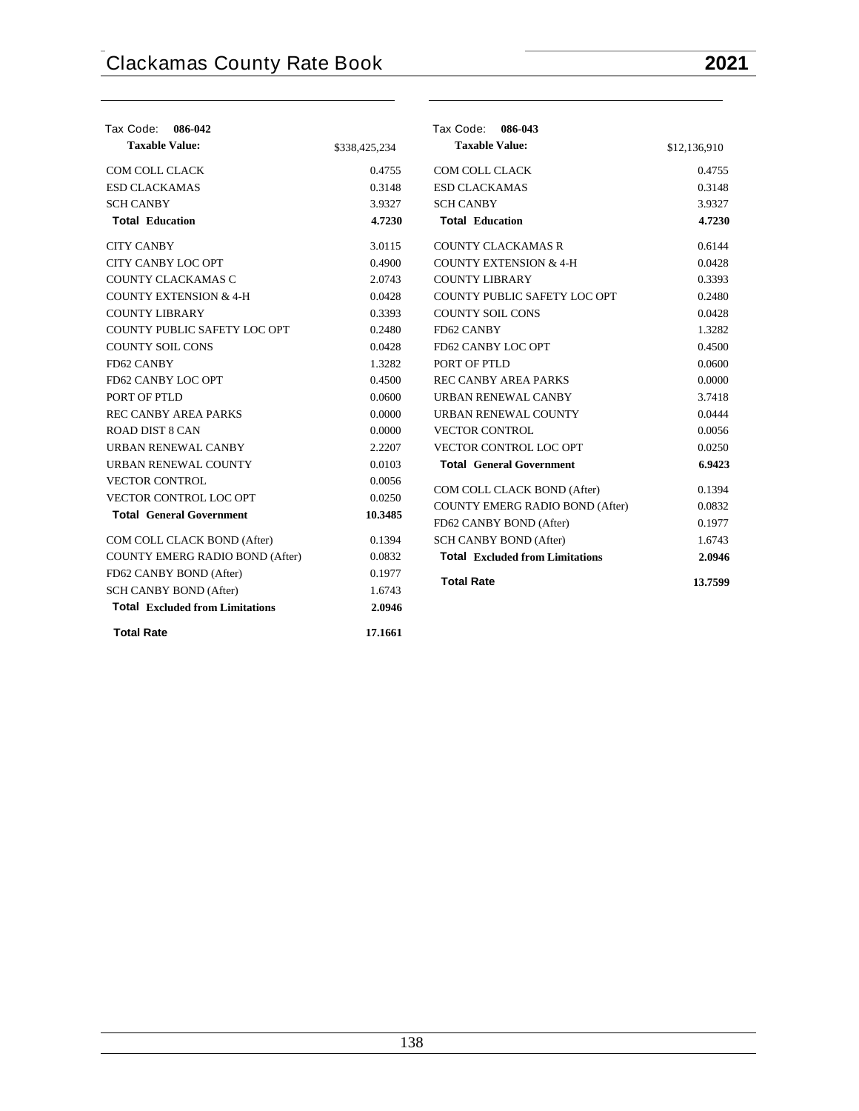| Tax Code: 086-042<br><b>Taxable Value:</b> | \$338,425,234 | Tax Code: 086-043<br><b>Taxable Value:</b>                        | \$12,136,910 |
|--------------------------------------------|---------------|-------------------------------------------------------------------|--------------|
|                                            |               |                                                                   |              |
| COM COLL CLACK                             | 0.4755        | COM COLL CLACK                                                    | 0.4755       |
| <b>ESD CLACKAMAS</b>                       | 0.3148        | <b>ESD CLACKAMAS</b>                                              | 0.3148       |
| <b>SCH CANBY</b>                           | 3.9327        | <b>SCH CANBY</b>                                                  | 3.9327       |
| <b>Total Education</b>                     | 4.7230        | <b>Total Education</b>                                            | 4.7230       |
| <b>CITY CANBY</b>                          | 3.0115        | <b>COUNTY CLACKAMAS R</b>                                         | 0.6144       |
| <b>CITY CANBY LOC OPT</b>                  | 0.4900        | <b>COUNTY EXTENSION &amp; 4-H</b>                                 | 0.0428       |
| <b>COUNTY CLACKAMAS C</b>                  | 2.0743        | <b>COUNTY LIBRARY</b>                                             | 0.3393       |
| <b>COUNTY EXTENSION &amp; 4-H</b>          | 0.0428        | COUNTY PUBLIC SAFETY LOC OPT                                      | 0.2480       |
| <b>COUNTY LIBRARY</b>                      | 0.3393        | <b>COUNTY SOIL CONS</b>                                           | 0.0428       |
| COUNTY PUBLIC SAFETY LOC OPT               | 0.2480        | FD62 CANBY                                                        | 1.3282       |
| <b>COUNTY SOIL CONS</b>                    | 0.0428        | FD62 CANBY LOC OPT                                                | 0.4500       |
| FD62 CANBY                                 | 1.3282        | PORT OF PTLD                                                      | 0.0600       |
| FD62 CANBY LOC OPT                         | 0.4500        | <b>REC CANBY AREA PARKS</b>                                       | 0.0000       |
| PORT OF PTLD                               | 0.0600        | URBAN RENEWAL CANBY                                               | 3.7418       |
| <b>REC CANBY AREA PARKS</b>                | 0.0000        | URBAN RENEWAL COUNTY                                              | 0.0444       |
| <b>ROAD DIST 8 CAN</b>                     | 0.0000        | <b>VECTOR CONTROL</b>                                             | 0.0056       |
| <b>URBAN RENEWAL CANBY</b>                 | 2.2207        | VECTOR CONTROL LOC OPT                                            | 0.0250       |
| URBAN RENEWAL COUNTY                       | 0.0103        | <b>Total General Government</b>                                   | 6.9423       |
| <b>VECTOR CONTROL</b>                      | 0.0056        |                                                                   | 0.1394       |
| VECTOR CONTROL LOC OPT                     | 0.0250        | COM COLL CLACK BOND (After)                                       | 0.0832       |
| <b>Total General Government</b>            | 10.3485       | <b>COUNTY EMERG RADIO BOND (After)</b><br>FD62 CANBY BOND (After) | 0.1977       |
| COM COLL CLACK BOND (After)                | 0.1394        | SCH CANBY BOND (After)                                            | 1.6743       |
| COUNTY EMERG RADIO BOND (After)            | 0.0832        | <b>Total Excluded from Limitations</b>                            | 2.0946       |
| FD62 CANBY BOND (After)                    | 0.1977        |                                                                   |              |
| SCH CANBY BOND (After)                     | 1.6743        | <b>Total Rate</b>                                                 | 13.7599      |
| <b>Total Excluded from Limitations</b>     | 2.0946        |                                                                   |              |
| <b>Total Rate</b>                          | 17.1661       |                                                                   |              |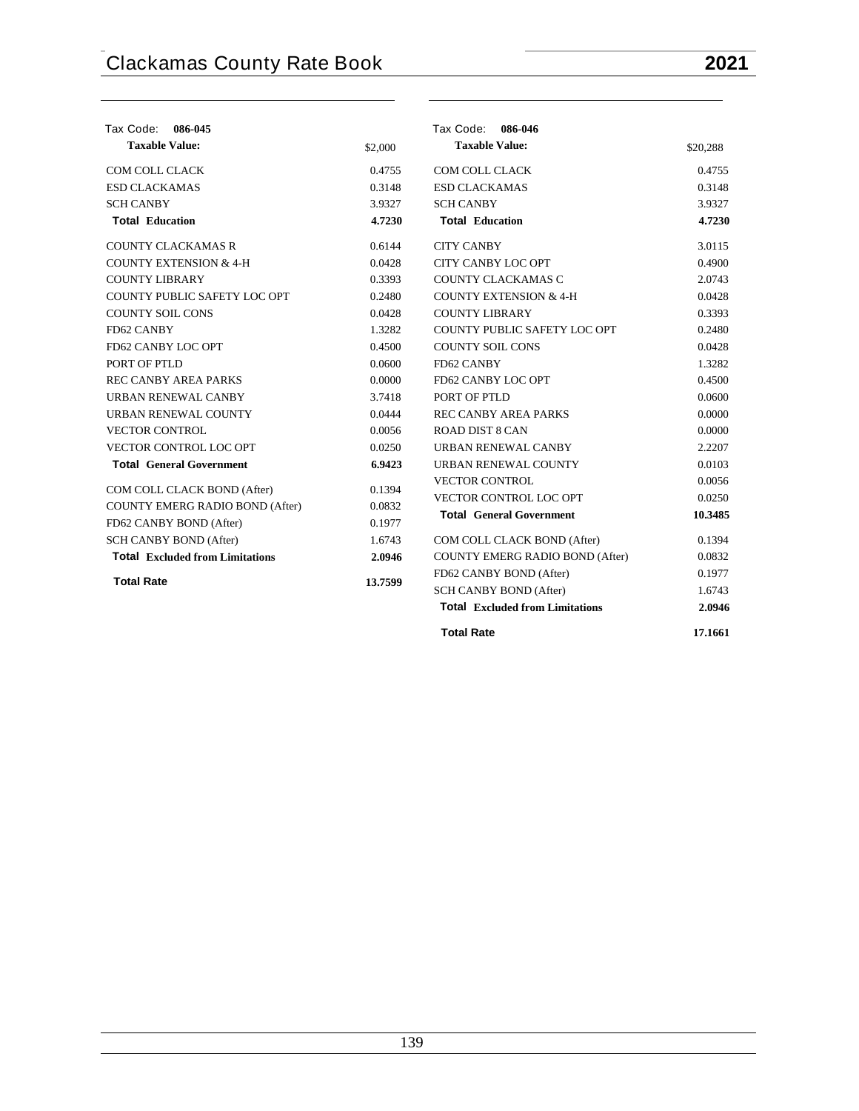| Tax Code:<br>086-045                   |         | Tax Code: 086-046                                                       |                  |
|----------------------------------------|---------|-------------------------------------------------------------------------|------------------|
| <b>Taxable Value:</b>                  | \$2,000 | <b>Taxable Value:</b>                                                   | \$20,288         |
| COM COLL CLACK                         | 0.4755  | COM COLL CLACK                                                          | 0.4755           |
| <b>ESD CLACKAMAS</b>                   | 0.3148  | <b>ESD CLACKAMAS</b>                                                    | 0.3148           |
| <b>SCH CANBY</b>                       | 3.9327  | <b>SCH CANBY</b>                                                        | 3.9327           |
| <b>Total Education</b>                 | 4.7230  | <b>Total Education</b>                                                  | 4.7230           |
| <b>COUNTY CLACKAMAS R</b>              | 0.6144  | <b>CITY CANBY</b>                                                       | 3.0115           |
| <b>COUNTY EXTENSION &amp; 4-H</b>      | 0.0428  | <b>CITY CANBY LOC OPT</b>                                               | 0.4900           |
| <b>COUNTY LIBRARY</b>                  | 0.3393  | COUNTY CLACKAMAS C                                                      | 2.0743           |
| COUNTY PUBLIC SAFETY LOC OPT           | 0.2480  | <b>COUNTY EXTENSION &amp; 4-H</b>                                       | 0.0428           |
| <b>COUNTY SOIL CONS</b>                | 0.0428  | <b>COUNTY LIBRARY</b>                                                   | 0.3393           |
| FD62 CANBY                             | 1.3282  | COUNTY PUBLIC SAFETY LOC OPT                                            | 0.2480           |
| FD62 CANBY LOC OPT                     | 0.4500  | <b>COUNTY SOIL CONS</b>                                                 | 0.0428           |
| PORT OF PTLD                           | 0.0600  | FD62 CANBY                                                              | 1.3282           |
| <b>REC CANBY AREA PARKS</b>            | 0.0000  | FD62 CANBY LOC OPT                                                      | 0.4500           |
| URBAN RENEWAL CANBY                    | 3.7418  | PORT OF PTLD                                                            | 0.0600           |
| URBAN RENEWAL COUNTY                   | 0.0444  | <b>REC CANBY AREA PARKS</b>                                             | 0.0000           |
| <b>VECTOR CONTROL</b>                  | 0.0056  | <b>ROAD DIST 8 CAN</b>                                                  | 0.0000           |
| VECTOR CONTROL LOC OPT                 | 0.0250  | URBAN RENEWAL CANBY                                                     | 2.2207           |
| <b>Total General Government</b>        | 6.9423  | URBAN RENEWAL COUNTY                                                    | 0.0103           |
| COM COLL CLACK BOND (After)            | 0.1394  | <b>VECTOR CONTROL</b>                                                   | 0.0056           |
|                                        | 0.0832  | VECTOR CONTROL LOC OPT                                                  | 0.0250           |
| COUNTY EMERG RADIO BOND (After)        |         | <b>Total General Government</b>                                         | 10.3485          |
| FD62 CANBY BOND (After)                | 0.1977  |                                                                         |                  |
| <b>SCH CANBY BOND (After)</b>          | 1.6743  | COM COLL CLACK BOND (After)                                             | 0.1394           |
| <b>Total Excluded from Limitations</b> | 2.0946  | COUNTY EMERG RADIO BOND (After)                                         | 0.0832           |
| <b>Total Rate</b>                      | 13.7599 | FD62 CANBY BOND (After)                                                 | 0.1977           |
|                                        |         | <b>SCH CANBY BOND (After)</b><br><b>Total Excluded from Limitations</b> | 1.6743<br>2.0946 |

**Total Rate 17.1661**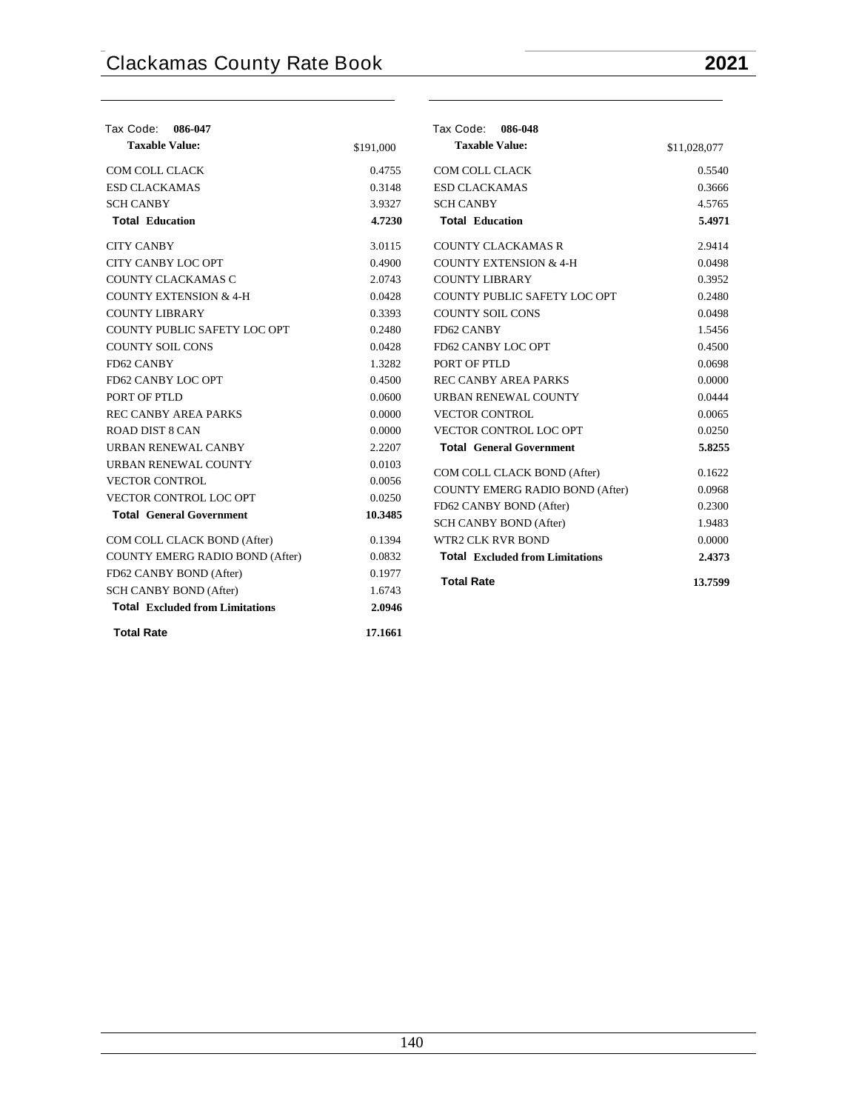| Tax Code: 086-047                      |           | Tax Code: 086-048                      |              |
|----------------------------------------|-----------|----------------------------------------|--------------|
| <b>Taxable Value:</b>                  | \$191,000 | <b>Taxable Value:</b>                  | \$11,028,077 |
| COM COLL CLACK                         | 0.4755    | COM COLL CLACK                         | 0.5540       |
| <b>ESD CLACKAMAS</b>                   | 0.3148    | <b>ESD CLACKAMAS</b>                   | 0.3666       |
| <b>SCH CANBY</b>                       | 3.9327    | <b>SCH CANBY</b>                       | 4.5765       |
| <b>Total Education</b>                 | 4.7230    | <b>Total Education</b>                 | 5.4971       |
| <b>CITY CANBY</b>                      | 3.0115    | <b>COUNTY CLACKAMAS R</b>              | 2.9414       |
| CITY CANBY LOC OPT                     | 0.4900    | <b>COUNTY EXTENSION &amp; 4-H</b>      | 0.0498       |
| COUNTY CLACKAMAS C                     | 2.0743    | <b>COUNTY LIBRARY</b>                  | 0.3952       |
| <b>COUNTY EXTENSION &amp; 4-H</b>      | 0.0428    | COUNTY PUBLIC SAFETY LOC OPT           | 0.2480       |
| <b>COUNTY LIBRARY</b>                  | 0.3393    | <b>COUNTY SOIL CONS</b>                | 0.0498       |
| COUNTY PUBLIC SAFETY LOC OPT           | 0.2480    | FD62 CANBY                             | 1.5456       |
| <b>COUNTY SOIL CONS</b>                | 0.0428    | FD62 CANBY LOC OPT                     | 0.4500       |
| FD62 CANBY                             | 1.3282    | PORT OF PTLD                           | 0.0698       |
| FD62 CANBY LOC OPT                     | 0.4500    | <b>REC CANBY AREA PARKS</b>            | 0.0000       |
| PORT OF PTLD                           | 0.0600    | URBAN RENEWAL COUNTY                   | 0.0444       |
| <b>REC CANBY AREA PARKS</b>            | 0.0000    | <b>VECTOR CONTROL</b>                  | 0.0065       |
| <b>ROAD DIST 8 CAN</b>                 | 0.0000    | VECTOR CONTROL LOC OPT                 | 0.0250       |
| URBAN RENEWAL CANBY                    | 2.2207    | <b>Total General Government</b>        | 5.8255       |
| URBAN RENEWAL COUNTY                   | 0.0103    | COM COLL CLACK BOND (After)            | 0.1622       |
| <b>VECTOR CONTROL</b>                  | 0.0056    | <b>COUNTY EMERG RADIO BOND (After)</b> | 0.0968       |
| VECTOR CONTROL LOC OPT                 | 0.0250    | FD62 CANBY BOND (After)                | 0.2300       |
| <b>Total General Government</b>        | 10.3485   | SCH CANBY BOND (After)                 | 1.9483       |
| COM COLL CLACK BOND (After)            | 0.1394    | <b>WTR2 CLK RVR BOND</b>               | 0.0000       |
| <b>COUNTY EMERG RADIO BOND (After)</b> | 0.0832    | <b>Total Excluded from Limitations</b> | 2.4373       |
| FD62 CANBY BOND (After)                | 0.1977    |                                        |              |
| <b>SCH CANBY BOND (After)</b>          | 1.6743    | <b>Total Rate</b>                      | 13.7599      |
| <b>Total Excluded from Limitations</b> | 2.0946    |                                        |              |
| <b>Total Rate</b>                      | 17.1661   |                                        |              |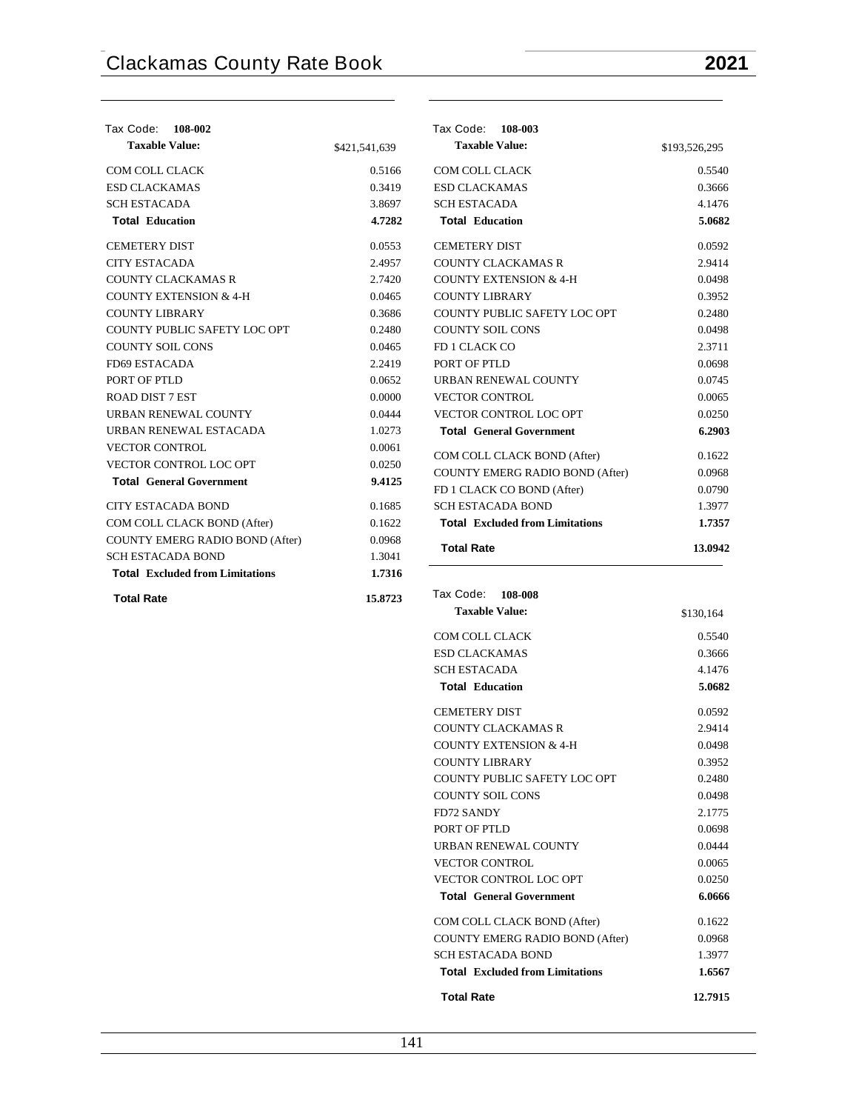$0.5540$ 0.3666 4.1476 **Total Education 5.0682** 0.0592 2.9414  $0.0498$  $0.3952$  $0.2480$  $0.0498$  $2.3711$ 0.0698  $0.0745$  $0.0065$  $0.0250$ **Total General Government 6.2903**  $0.1622$ 0.0968  $0.0790$ 1.3977 **Total Excluded from Limitations 1.7357 Total Rate 13.0942**

| Tax Code:<br>108-002                   |               | Tax Code:<br>108-003                   |               |
|----------------------------------------|---------------|----------------------------------------|---------------|
| <b>Taxable Value:</b>                  | \$421,541,639 | <b>Taxable Value:</b>                  | \$193,526,295 |
| COM COLL CLACK                         | 0.5166        | COM COLL CLACK                         | 0.554         |
| <b>ESD CLACKAMAS</b>                   | 0.3419        | <b>ESD CLACKAMAS</b>                   | 0.366         |
| <b>SCH ESTACADA</b>                    | 3.8697        | <b>SCH ESTACADA</b>                    | 4.147         |
| <b>Total Education</b>                 | 4.7282        | <b>Total Education</b>                 | 5.068         |
| <b>CEMETERY DIST</b>                   | 0.0553        | <b>CEMETERY DIST</b>                   | 0.0592        |
| <b>CITY ESTACADA</b>                   | 2.4957        | <b>COUNTY CLACKAMAS R</b>              | 2.9414        |
| <b>COUNTY CLACKAMAS R</b>              | 2.7420        | <b>COUNTY EXTENSION &amp; 4-H</b>      | 0.0498        |
| <b>COUNTY EXTENSION &amp; 4-H</b>      | 0.0465        | <b>COUNTY LIBRARY</b>                  | 0.3952        |
| <b>COUNTY LIBRARY</b>                  | 0.3686        | COUNTY PUBLIC SAFETY LOC OPT           | 0.2480        |
| COUNTY PUBLIC SAFETY LOC OPT           | 0.2480        | <b>COUNTY SOIL CONS</b>                | 0.0498        |
| <b>COUNTY SOIL CONS</b>                | 0.0465        | FD 1 CLACK CO                          | 2.371         |
| FD69 ESTACADA                          | 2.2419        | PORT OF PTLD                           | 0.0698        |
| PORT OF PTLD                           | 0.0652        | URBAN RENEWAL COUNTY                   | 0.074         |
| <b>ROAD DIST 7 EST</b>                 | 0.0000        | <b>VECTOR CONTROL</b>                  | 0.0065        |
| URBAN RENEWAL COUNTY                   | 0.0444        | <b>VECTOR CONTROL LOC OPT</b>          | 0.0250        |
| URBAN RENEWAL ESTACADA                 | 1.0273        | <b>Total General Government</b>        | 6.290         |
| <b>VECTOR CONTROL</b>                  | 0.0061        | COM COLL CLACK BOND (After)            | 0.1622        |
| VECTOR CONTROL LOC OPT                 | 0.0250        | <b>COUNTY EMERG RADIO BOND (After)</b> | 0.0968        |
| <b>Total General Government</b>        | 9.4125        | FD 1 CLACK CO BOND (After)             | 0.079         |
| <b>CITY ESTACADA BOND</b>              | 0.1685        | <b>SCH ESTACADA BOND</b>               | 1.397         |
| COM COLL CLACK BOND (After)            | 0.1622        | <b>Total Excluded from Limitations</b> | 1.735         |
| COUNTY EMERG RADIO BOND (After)        | 0.0968        |                                        |               |
| <b>SCH ESTACADA BOND</b>               | 1.3041        | <b>Total Rate</b>                      | 13.094        |
| <b>Total Excluded from Limitations</b> | 1.7316        |                                        |               |
|                                        |               |                                        |               |
| <b>Total Rate</b>                      | 15.8723       | Tax Code:<br>108-008                   |               |

| <b>Taxable Value:</b>                  | \$130,164 |
|----------------------------------------|-----------|
| COM COLL CLACK                         | 0.5540    |
| <b>ESD CLACKAMAS</b>                   | 0.3666    |
| <b>SCH ESTACADA</b>                    | 4.1476    |
| <b>Total Education</b>                 | 5.0682    |
| <b>CEMETERY DIST</b>                   | 0.0592    |
| <b>COUNTY CLACKAMAS R</b>              | 2.9414    |
| <b>COUNTY EXTENSION &amp; 4-H</b>      | 0.0498    |
| <b>COUNTY LIBRARY</b>                  | 0.3952    |
| COUNTY PUBLIC SAFETY LOC OPT           | 0.2480    |
| <b>COUNTY SOIL CONS</b>                | 0.0498    |
| <b>FD72 SANDY</b>                      | 2.1775    |
| PORT OF PTLD                           | 0.0698    |
| <b>URBAN RENEWAL COUNTY</b>            | 0.0444    |
| <b>VECTOR CONTROL</b>                  | 0.0065    |
| <b>VECTOR CONTROL LOC OPT</b>          | 0.0250    |
| <b>Total General Government</b>        | 6.0666    |
| COM COLL CLACK BOND (After)            | 0.1622    |
| COUNTY EMERG RADIO BOND (After)        | 0.0968    |
| <b>SCH ESTACADA BOND</b>               | 1.3977    |
| <b>Total</b> Excluded from Limitations | 1.6567    |
| <b>Total Rate</b>                      | 12.7915   |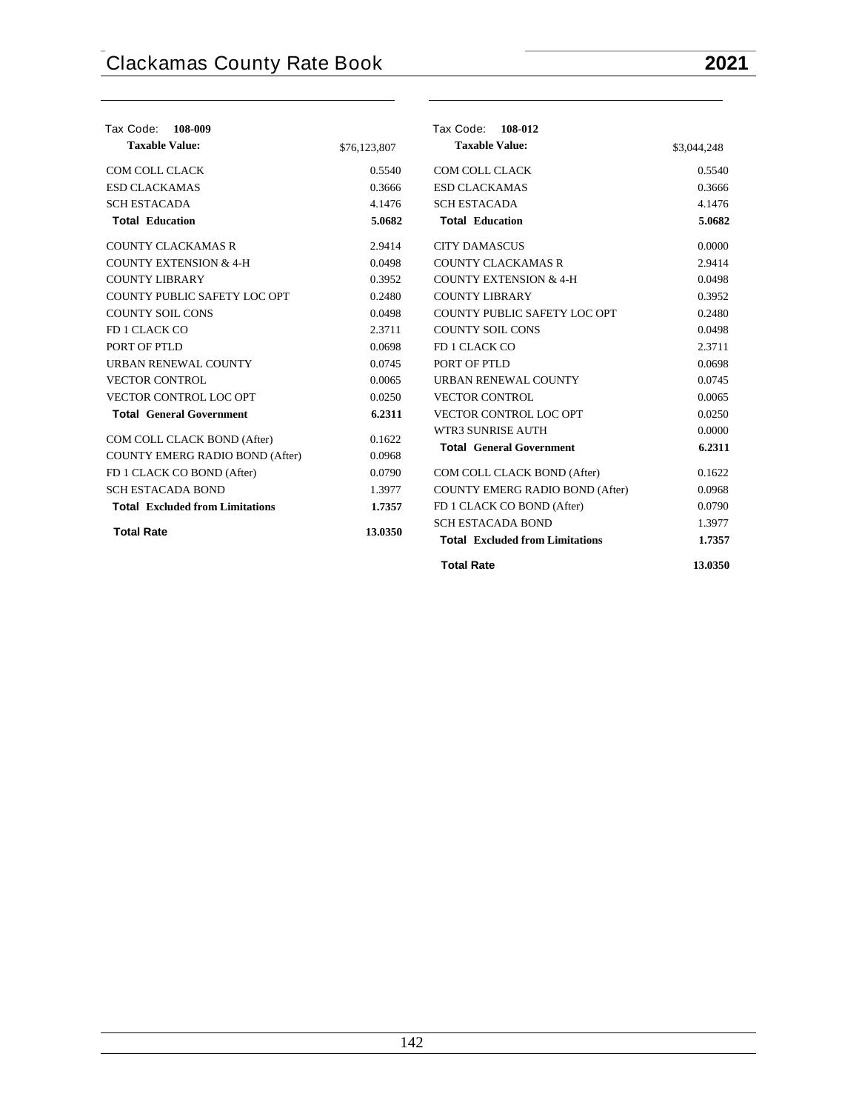| Tax Code:<br>108-009                   |              | Tax Code: 108-012                      |             |
|----------------------------------------|--------------|----------------------------------------|-------------|
| <b>Taxable Value:</b>                  | \$76,123,807 | <b>Taxable Value:</b>                  | \$3,044,248 |
| COM COLL CLACK                         | 0.5540       | <b>COM COLL CLACK</b>                  | 0.5540      |
| <b>ESD CLACKAMAS</b>                   | 0.3666       | <b>ESD CLACKAMAS</b>                   | 0.3666      |
| <b>SCH ESTACADA</b>                    | 4.1476       | <b>SCH ESTACADA</b>                    | 4.1476      |
| <b>Total Education</b>                 | 5.0682       | <b>Total Education</b>                 | 5.0682      |
| <b>COUNTY CLACKAMAS R</b>              | 2.9414       | <b>CITY DAMASCUS</b>                   | 0.0000      |
| <b>COUNTY EXTENSION &amp; 4-H</b>      | 0.0498       | <b>COUNTY CLACKAMAS R</b>              | 2.9414      |
| <b>COUNTY LIBRARY</b>                  | 0.3952       | <b>COUNTY EXTENSION &amp; 4-H</b>      | 0.0498      |
| COUNTY PUBLIC SAFETY LOC OPT           | 0.2480       | <b>COUNTY LIBRARY</b>                  | 0.3952      |
| <b>COUNTY SOIL CONS</b>                | 0.0498       | COUNTY PUBLIC SAFETY LOC OPT           | 0.2480      |
| FD 1 CLACK CO                          | 2.3711       | <b>COUNTY SOIL CONS</b>                | 0.0498      |
| PORT OF PTLD                           | 0.0698       | FD 1 CLACK CO                          | 2.3711      |
| <b>URBAN RENEWAL COUNTY</b>            | 0.0745       | PORT OF PTLD                           | 0.0698      |
| <b>VECTOR CONTROL</b>                  | 0.0065       | <b>URBAN RENEWAL COUNTY</b>            | 0.0745      |
| VECTOR CONTROL LOC OPT                 | 0.0250       | <b>VECTOR CONTROL</b>                  | 0.0065      |
| <b>Total General Government</b>        | 6.2311       | VECTOR CONTROL LOC OPT                 | 0.0250      |
| COM COLL CLACK BOND (After)            | 0.1622       | WTR3 SUNRISE AUTH                      | 0.0000      |
| COUNTY EMERG RADIO BOND (After)        | 0.0968       | <b>Total General Government</b>        | 6.2311      |
| FD 1 CLACK CO BOND (After)             | 0.0790       | COM COLL CLACK BOND (After)            | 0.1622      |
| <b>SCH ESTACADA BOND</b>               | 1.3977       | COUNTY EMERG RADIO BOND (After)        | 0.0968      |
| <b>Total Excluded from Limitations</b> | 1.7357       | FD 1 CLACK CO BOND (After)             | 0.0790      |
|                                        |              | <b>SCH ESTACADA BOND</b>               | 1.3977      |
| <b>Total Rate</b>                      | 13.0350      | <b>Total Excluded from Limitations</b> | 1.7357      |
|                                        |              | <b>Total Rate</b>                      | 13.0350     |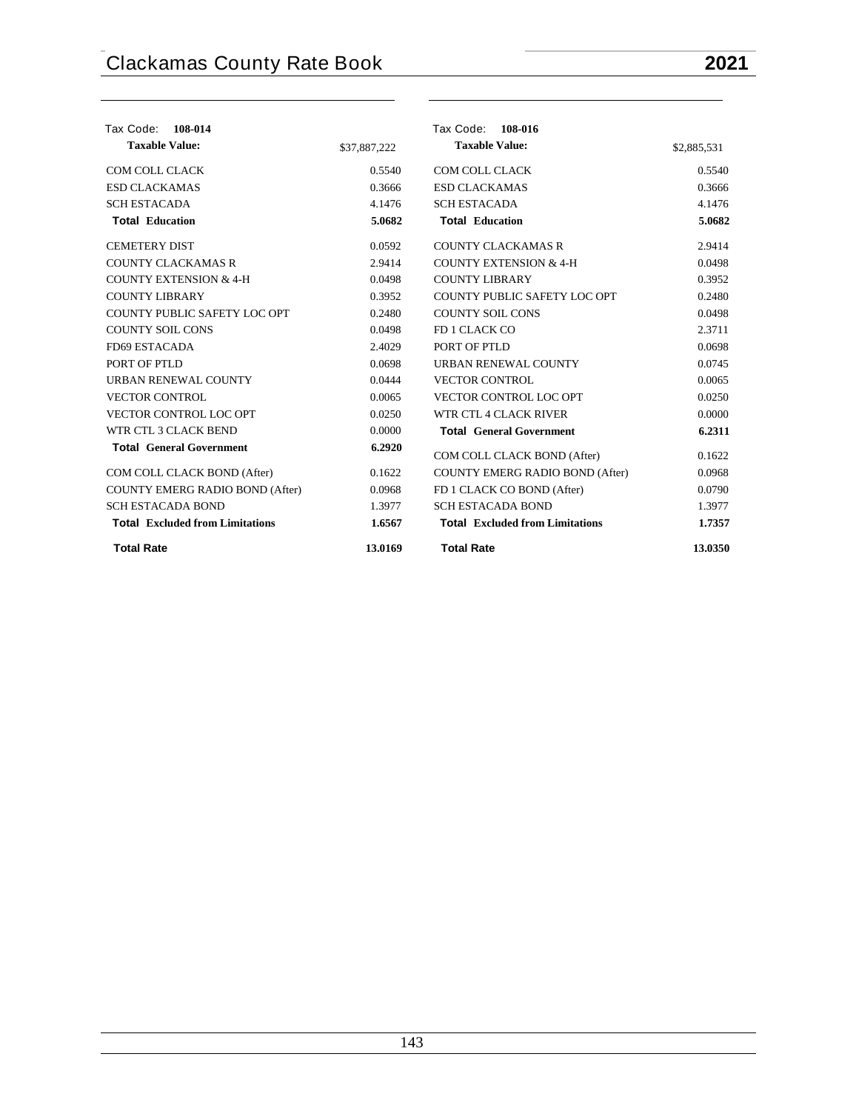| Tax Code:<br>108-014                   |              | Tax Code: 108-016                      |             |
|----------------------------------------|--------------|----------------------------------------|-------------|
| <b>Taxable Value:</b>                  | \$37,887,222 | <b>Taxable Value:</b>                  | \$2,885,531 |
| COM COLL CLACK                         | 0.5540       | COM COLL CLACK                         | 0.5540      |
| <b>ESD CLACKAMAS</b>                   | 0.3666       | <b>ESD CLACKAMAS</b>                   | 0.3666      |
| <b>SCH ESTACADA</b>                    | 4.1476       | <b>SCH ESTACADA</b>                    | 4.1476      |
| <b>Total Education</b>                 | 5.0682       | <b>Total Education</b>                 | 5.0682      |
| <b>CEMETERY DIST</b>                   | 0.0592       | <b>COUNTY CLACKAMAS R</b>              | 2.9414      |
| <b>COUNTY CLACKAMAS R</b>              | 2.9414       | <b>COUNTY EXTENSION &amp; 4-H</b>      | 0.0498      |
| <b>COUNTY EXTENSION &amp; 4-H</b>      | 0.0498       | <b>COUNTY LIBRARY</b>                  | 0.3952      |
| <b>COUNTY LIBRARY</b>                  | 0.3952       | COUNTY PUBLIC SAFETY LOC OPT           | 0.2480      |
| COUNTY PUBLIC SAFETY LOC OPT           | 0.2480       | <b>COUNTY SOIL CONS</b>                | 0.0498      |
| <b>COUNTY SOIL CONS</b>                | 0.0498       | FD 1 CLACK CO                          | 2.3711      |
| FD69 ESTACADA                          | 2.4029       | PORT OF PTLD                           | 0.0698      |
| PORT OF PTLD                           | 0.0698       | <b>URBAN RENEWAL COUNTY</b>            | 0.0745      |
| <b>URBAN RENEWAL COUNTY</b>            | 0.0444       | <b>VECTOR CONTROL</b>                  | 0.0065      |
| <b>VECTOR CONTROL</b>                  | 0.0065       | VECTOR CONTROL LOC OPT                 | 0.0250      |
| VECTOR CONTROL LOC OPT                 | 0.0250       | WTR CTL 4 CLACK RIVER                  | 0.0000      |
| WTR CTL 3 CLACK BEND                   | 0.0000       | <b>Total General Government</b>        | 6.2311      |
| <b>Total General Government</b>        | 6.2920       | COM COLL CLACK BOND (After)            | 0.1622      |
| COM COLL CLACK BOND (After)            | 0.1622       | COUNTY EMERG RADIO BOND (After)        | 0.0968      |
| <b>COUNTY EMERG RADIO BOND (After)</b> | 0.0968       | FD 1 CLACK CO BOND (After)             | 0.0790      |
| <b>SCH ESTACADA BOND</b>               | 1.3977       | <b>SCH ESTACADA BOND</b>               | 1.3977      |
| <b>Total Excluded from Limitations</b> | 1.6567       | <b>Total Excluded from Limitations</b> | 1.7357      |
| <b>Total Rate</b>                      | 13.0169      | <b>Total Rate</b>                      | 13.0350     |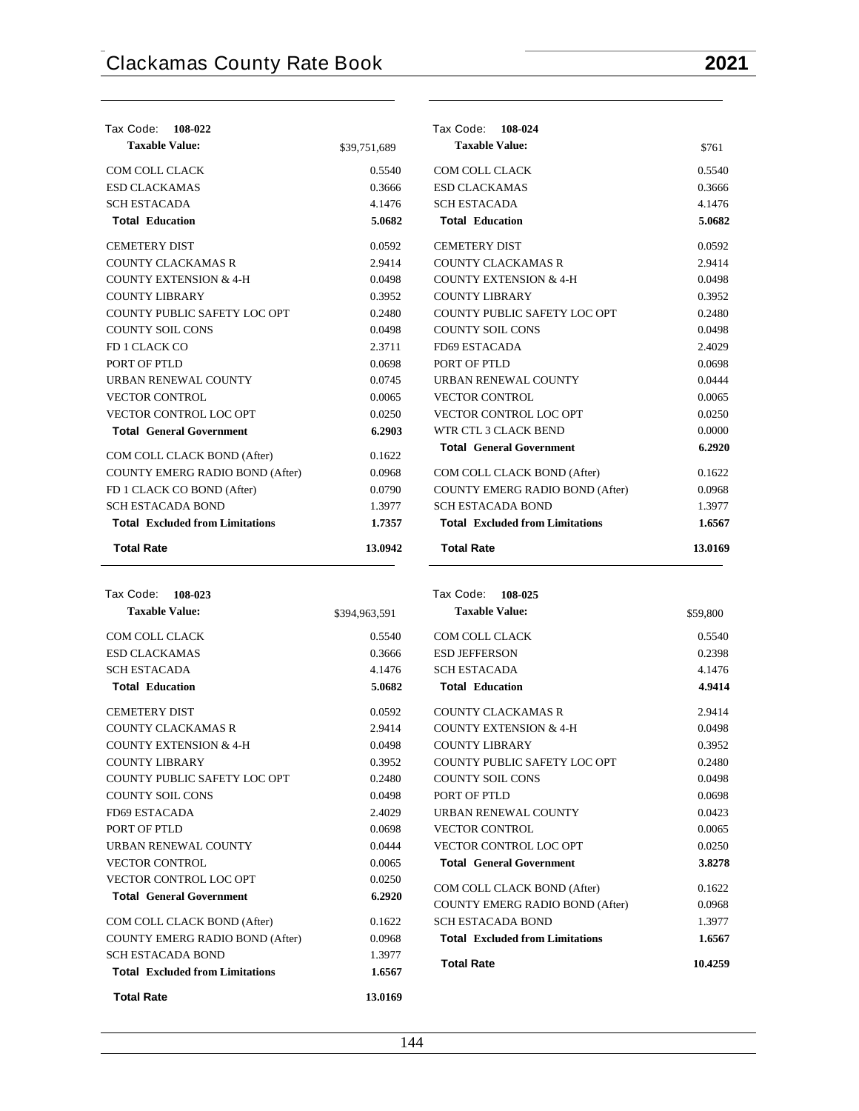| Tax Code: 108-022                      |              | Tax Code: 108-024                      |         |
|----------------------------------------|--------------|----------------------------------------|---------|
| <b>Taxable Value:</b>                  | \$39,751,689 | <b>Taxable Value:</b>                  | \$761   |
| COM COLL CLACK                         | 0.5540       | COM COLL CLACK                         | 0.5540  |
| <b>ESD CLACKAMAS</b>                   | 0.3666       | <b>ESD CLACKAMAS</b>                   | 0.3666  |
| <b>SCH ESTACADA</b>                    | 4.1476       | <b>SCH ESTACADA</b>                    | 4.1476  |
| <b>Total Education</b>                 | 5.0682       | <b>Total Education</b>                 | 5.0682  |
| <b>CEMETERY DIST</b>                   | 0.0592       | <b>CEMETERY DIST</b>                   | 0.0592  |
| <b>COUNTY CLACKAMAS R</b>              | 2.9414       | <b>COUNTY CLACKAMAS R</b>              | 2.9414  |
| <b>COUNTY EXTENSION &amp; 4-H</b>      | 0.0498       | <b>COUNTY EXTENSION &amp; 4-H</b>      | 0.0498  |
| <b>COUNTY LIBRARY</b>                  | 0.3952       | <b>COUNTY LIBRARY</b>                  | 0.3952  |
| COUNTY PUBLIC SAFETY LOC OPT           | 0.2480       | COUNTY PUBLIC SAFETY LOC OPT           | 0.2480  |
| <b>COUNTY SOIL CONS</b>                | 0.0498       | <b>COUNTY SOIL CONS</b>                | 0.0498  |
| FD 1 CLACK CO                          | 2.3711       | FD69 ESTACADA                          | 2.4029  |
| PORT OF PTLD                           | 0.0698       | PORT OF PTLD                           | 0.0698  |
| URBAN RENEWAL COUNTY                   | 0.0745       | URBAN RENEWAL COUNTY                   | 0.0444  |
| <b>VECTOR CONTROL</b>                  | 0.0065       | <b>VECTOR CONTROL</b>                  | 0.0065  |
| VECTOR CONTROL LOC OPT                 | 0.0250       | VECTOR CONTROL LOC OPT                 | 0.0250  |
| <b>Total General Government</b>        | 6.2903       | WTR CTL 3 CLACK BEND                   | 0.0000  |
| COM COLL CLACK BOND (After)            | 0.1622       | <b>Total General Government</b>        | 6.2920  |
| COUNTY EMERG RADIO BOND (After)        | 0.0968       | COM COLL CLACK BOND (After)            | 0.1622  |
| FD 1 CLACK CO BOND (After)             | 0.0790       | <b>COUNTY EMERG RADIO BOND (After)</b> | 0.0968  |
| <b>SCH ESTACADA BOND</b>               | 1.3977       | <b>SCH ESTACADA BOND</b>               | 1.3977  |
| <b>Total Excluded from Limitations</b> | 1.7357       | <b>Total Excluded from Limitations</b> | 1.6567  |
| <b>Total Rate</b>                      | 13.0942      | <b>Total Rate</b>                      | 13.0169 |

| Tax Code: 108-023                      |               |
|----------------------------------------|---------------|
| <b>Taxable Value:</b>                  | \$394,963,591 |
| COM COLL CLACK                         | 0.5540        |
| <b>ESD CLACKAMAS</b>                   | 0.3666        |
| <b>SCH ESTACADA</b>                    | 4.1476        |
| <b>Total Education</b>                 | 5.0682        |
| <b>CEMETERY DIST</b>                   | 0.0592        |
| COUNTY CLACKAMAS R                     | 2.9414        |
| <b>COUNTY EXTENSION &amp; 4-H</b>      | 0.0498        |
| <b>COUNTY LIBRARY</b>                  | 0.3952        |
| COUNTY PUBLIC SAFETY LOC OPT           | 0.2480        |
| <b>COUNTY SOIL CONS</b>                | 0.0498        |
| FD69 ESTACADA                          | 2.4029        |
| PORT OF PTLD                           | 0.0698        |
| <b>URBAN RENEWAL COUNTY</b>            | 0.0444        |
| <b>VECTOR CONTROL</b>                  | 0.0065        |
| <b>VECTOR CONTROL LOC OPT</b>          | 0.0250        |
| <b>Total General Government</b>        | 6.2920        |
| COM COLL CLACK BOND (After)            | 0.1622        |
| <b>COUNTY EMERG RADIO BOND (After)</b> | 0.0968        |
| <b>SCH ESTACADA BOND</b>               | 1.3977        |
| <b>Total</b> Excluded from Limitations | 1.6567        |
| <b>Total Rate</b>                      | 13.0169       |

| Tax Code: 108-025        |                                        |          |
|--------------------------|----------------------------------------|----------|
| <b>Taxable Value:</b>    |                                        | \$59,800 |
| <b>COM COLL CLACK</b>    |                                        | 0.5540   |
| <b>ESD JEFFERSON</b>     |                                        | 0.2398   |
| <b>SCH ESTACADA</b>      |                                        | 4.1476   |
| <b>Total Education</b>   |                                        | 4.9414   |
|                          | COUNTY CLACKAMAS R                     | 2.9414   |
|                          | COUNTY EXTENSION & 4-H                 | 0.0498   |
| <b>COUNTY LIBRARY</b>    |                                        | 0.3952   |
|                          | COUNTY PUBLIC SAFETY LOC OPT           | 0.2480   |
| COUNTY SOIL CONS         |                                        | 0.0498   |
| PORT OF PTLD             |                                        | 0.0698   |
|                          | <b>URBAN RENEWAL COUNTY</b>            | 0.0423   |
| <b>VECTOR CONTROL</b>    |                                        | 0.0065   |
|                          | <b>VECTOR CONTROL LOC OPT</b>          | 0.0250   |
|                          | <b>Total General Government</b>        | 3.8278   |
|                          | COM COLL CLACK BOND (After)            | 0.1622   |
|                          | <b>COUNTY EMERG RADIO BOND (After)</b> | 0.0968   |
| <b>SCH ESTACADA BOND</b> |                                        | 1.3977   |
|                          | <b>Total</b> Excluded from Limitations | 1.6567   |
| <b>Total Rate</b>        |                                        | 10.4259  |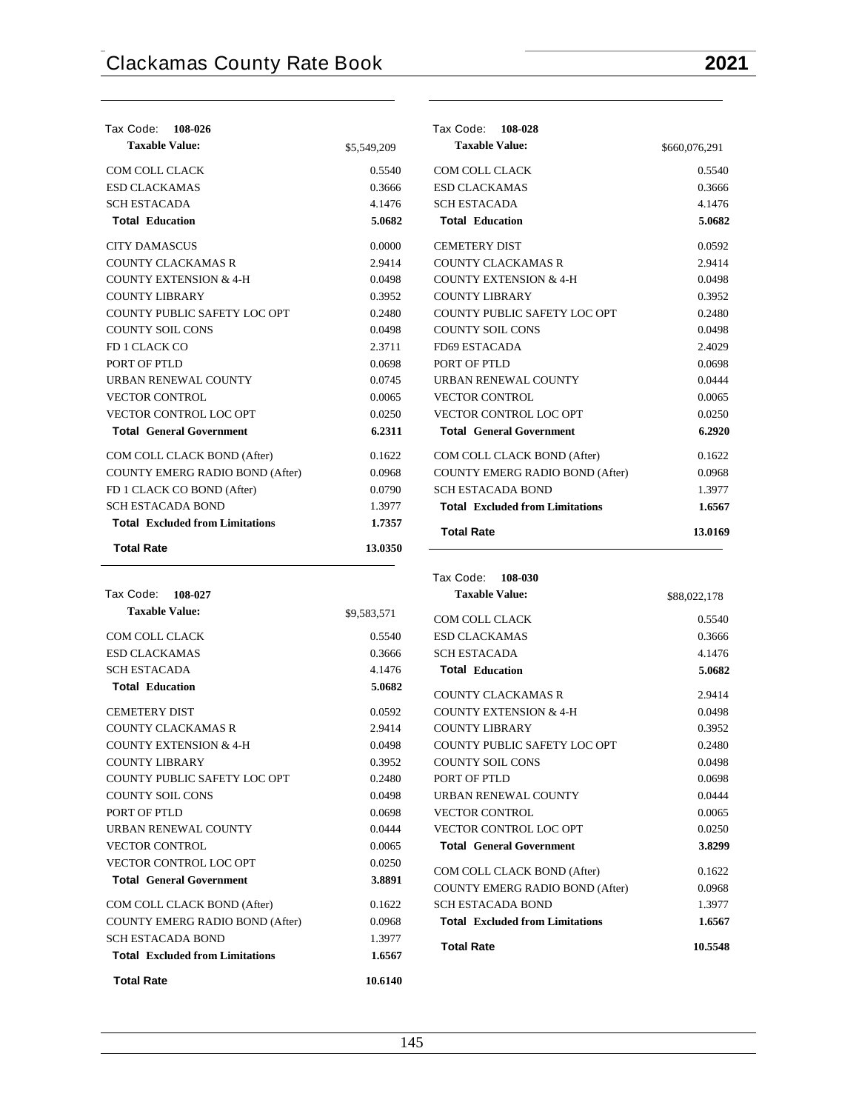$0.5540$ 0.3666

**Total Education 5.0682** 0.0592 2.9414  $0.0498$ 0.3952  $0.2480$ 0.0498 2.4029 0.0698  $0.0444$ 0.0065  $0.0250$ **Total General Government 6.2920**  $0.1622$ 0.0968 1.3977 **Total Excluded from Limitations 1.6567 Total Rate 13.0169**

| Tax Code:<br>108-026                   |             | Tax Code:<br>108-028                   |               |
|----------------------------------------|-------------|----------------------------------------|---------------|
| <b>Taxable Value:</b>                  | \$5,549,209 | <b>Taxable Value:</b>                  | \$660,076,291 |
| COM COLL CLACK                         | 0.5540      | <b>COM COLL CLACK</b>                  | 0.5540        |
| <b>ESD CLACKAMAS</b>                   | 0.3666      | <b>ESD CLACKAMAS</b>                   | 0.3666        |
| <b>SCH ESTACADA</b>                    | 4.1476      | <b>SCH ESTACADA</b>                    | 4.1476        |
| <b>Total Education</b>                 | 5.0682      | <b>Total Education</b>                 | 5.0682        |
| <b>CITY DAMASCUS</b>                   | 0.0000      | <b>CEMETERY DIST</b>                   | 0.0592        |
| <b>COUNTY CLACKAMAS R</b>              | 2.9414      | <b>COUNTY CLACKAMAS R</b>              | 2.9414        |
| <b>COUNTY EXTENSION &amp; 4-H</b>      | 0.0498      | <b>COUNTY EXTENSION &amp; 4-H</b>      | 0.0498        |
| <b>COUNTY LIBRARY</b>                  | 0.3952      | <b>COUNTY LIBRARY</b>                  | 0.3952        |
| COUNTY PUBLIC SAFETY LOC OPT           | 0.2480      | COUNTY PUBLIC SAFETY LOC OPT           | 0.2480        |
| <b>COUNTY SOIL CONS</b>                | 0.0498      | <b>COUNTY SOIL CONS</b>                | 0.0498        |
| FD 1 CLACK CO                          | 2.3711      | FD69 ESTACADA                          | 2.4029        |
| PORT OF PTLD                           | 0.0698      | PORT OF PTLD                           | 0.0698        |
| URBAN RENEWAL COUNTY                   | 0.0745      | URBAN RENEWAL COUNTY                   | 0.0444        |
| <b>VECTOR CONTROL</b>                  | 0.0065      | <b>VECTOR CONTROL</b>                  | 0.0065        |
| <b>VECTOR CONTROL LOC OPT</b>          | 0.0250      | VECTOR CONTROL LOC OPT                 | 0.0250        |
| <b>Total General Government</b>        | 6.2311      | <b>Total General Government</b>        | 6.2920        |
| COM COLL CLACK BOND (After)            | 0.1622      | COM COLL CLACK BOND (After)            | 0.1622        |
| <b>COUNTY EMERG RADIO BOND (After)</b> | 0.0968      | <b>COUNTY EMERG RADIO BOND (After)</b> | 0.0968        |
| FD 1 CLACK CO BOND (After)             | 0.0790      | <b>SCH ESTACADA BOND</b>               | 1.3977        |
| <b>SCH ESTACADA BOND</b>               | 1.3977      | <b>Total Excluded from Limitations</b> | 1.6567        |
| <b>Total Excluded from Limitations</b> | 1.7357      | <b>Total Rate</b>                      | 13.0169       |
| <b>Total Rate</b>                      | 13.0350     |                                        |               |
|                                        |             | Tax Code:<br>108-030                   |               |
| Tax Code:<br>108-027                   |             | <b>Taxable Value:</b>                  | \$88,022,178  |

| <b>Taxable Value:</b>                  | \$9,583,571 |
|----------------------------------------|-------------|
| COM COLL CLACK                         | 0.5540      |
| <b>ESD CLACKAMAS</b>                   | 0.3666      |
| <b>SCH ESTACADA</b>                    | 4.1476      |
| <b>Total Education</b>                 | 5.0682      |
| <b>CEMETERY DIST</b>                   | 0.0592      |
| <b>COUNTY CLACKAMAS R</b>              | 2.9414      |
| COUNTY EXTENSION & 4-H                 | 0.0498      |
| COUNTY LIBRARY                         | 0.3952      |
| COUNTY PUBLIC SAFETY LOC OPT           | 0.2480      |
| <b>COUNTY SOIL CONS</b>                | 0.0498      |
| PORT OF PTLD                           | 0.0698      |
| URBAN RENEWAL COUNTY                   | 0.0444      |
| <b>VECTOR CONTROL</b>                  | 0.0065      |
| <b>VECTOR CONTROL LOC OPT</b>          | 0.0250      |
| <b>Total General Government</b>        | 3.8891      |
| COM COLL CLACK BOND (After)            | 0.1622      |
| <b>COUNTY EMERG RADIO BOND (After)</b> | 0.0968      |
| <b>SCH ESTACADA BOND</b>               | 1.3977      |
| <b>Total</b> Excluded from Limitations | 1.6567      |
| <b>Total Rate</b>                      | 10.6140     |

| <b>Taxable Value:</b>                  | \$88,022,178 |
|----------------------------------------|--------------|
| COM COLL CLACK                         | 0.5540       |
| <b>ESD CLACKAMAS</b>                   | 0.3666       |
| <b>SCH ESTACADA</b>                    | 4.1476       |
| <b>Total Education</b>                 | 5.0682       |
| COUNTY CLACKAMAS R                     | 2.9414       |
| <b>COUNTY EXTENSION &amp; 4-H</b>      | 0.0498       |
| <b>COUNTY LIBRARY</b>                  | 0.3952       |
| COUNTY PUBLIC SAFETY LOC OPT           | 0.2480       |
| <b>COUNTY SOIL CONS</b>                | 0.0498       |
| PORT OF PTLD                           | 0.0698       |
| URBAN RENEWAL COUNTY                   | 0.0444       |
| <b>VECTOR CONTROL</b>                  | 0.0065       |
| <b>VECTOR CONTROL LOC OPT</b>          | 0.0250       |
| <b>Total General Government</b>        | 3.8299       |
| COM COLL CLACK BOND (After)            | 0.1622       |
| <b>COUNTY EMERG RADIO BOND (After)</b> | 0.0968       |
| <b>SCH ESTACADA BOND</b>               | 1.3977       |
| <b>Total Excluded from Limitations</b> | 1.6567       |
| <b>Total Rate</b>                      | 10.5548      |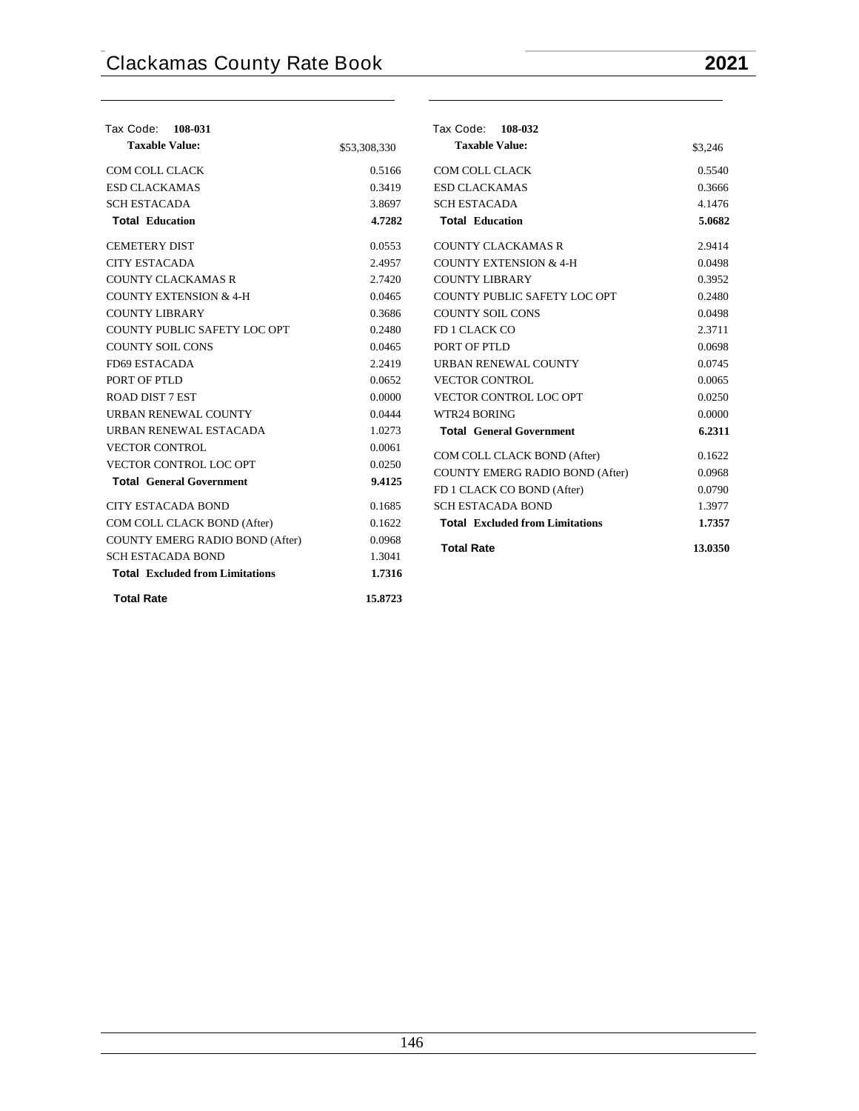| Tax Code: 108-031                      |              | Tax Code: 108-032                      |                  |
|----------------------------------------|--------------|----------------------------------------|------------------|
| <b>Taxable Value:</b>                  | \$53,308,330 | <b>Taxable Value:</b>                  | \$3,246          |
| COM COLL CLACK                         | 0.5166       | COM COLL CLACK                         | 0.5540           |
| <b>ESD CLACKAMAS</b>                   | 0.3419       | <b>ESD CLACKAMAS</b>                   | 0.3666           |
| <b>SCH ESTACADA</b>                    | 3.8697       | <b>SCH ESTACADA</b>                    | 4.1476           |
| <b>Total Education</b>                 | 4.7282       | <b>Total Education</b>                 | 5.0682           |
| <b>CEMETERY DIST</b>                   | 0.0553       | <b>COUNTY CLACKAMAS R</b>              | 2.9414           |
| <b>CITY ESTACADA</b>                   | 2.4957       | <b>COUNTY EXTENSION &amp; 4-H</b>      | 0.0498           |
| <b>COUNTY CLACKAMAS R</b>              | 2.7420       | <b>COUNTY LIBRARY</b>                  | 0.3952           |
| <b>COUNTY EXTENSION &amp; 4-H</b>      | 0.0465       | COUNTY PUBLIC SAFETY LOC OPT           | 0.2480           |
| <b>COUNTY LIBRARY</b>                  | 0.3686       | <b>COUNTY SOIL CONS</b>                | 0.0498           |
| COUNTY PUBLIC SAFETY LOC OPT           | 0.2480       | FD 1 CLACK CO                          | 2.3711           |
| <b>COUNTY SOIL CONS</b>                | 0.0465       | PORT OF PTLD                           | 0.0698           |
| FD69 ESTACADA                          | 2.2419       | URBAN RENEWAL COUNTY                   | 0.0745           |
| PORT OF PTLD                           | 0.0652       | <b>VECTOR CONTROL</b>                  | 0.0065           |
| <b>ROAD DIST 7 EST</b>                 | 0.0000       | VECTOR CONTROL LOC OPT                 | 0.0250           |
| URBAN RENEWAL COUNTY                   | 0.0444       | WTR24 BORING                           | 0.0000           |
| URBAN RENEWAL ESTACADA                 | 1.0273       | <b>Total General Government</b>        | 6.2311           |
| <b>VECTOR CONTROL</b>                  | 0.0061       | COM COLL CLACK BOND (After)            | 0.1622           |
| <b>VECTOR CONTROL LOC OPT</b>          | 0.0250       | <b>COUNTY EMERG RADIO BOND (After)</b> | 0.0968           |
| <b>Total General Government</b>        | 9.4125       | FD 1 CLACK CO BOND (After)             |                  |
| <b>CITY ESTACADA BOND</b>              | 0.1685       | <b>SCH ESTACADA BOND</b>               | 0.0790<br>1.3977 |
|                                        |              |                                        |                  |
| COM COLL CLACK BOND (After)            | 0.1622       | <b>Total Excluded from Limitations</b> | 1.7357           |
| COUNTY EMERG RADIO BOND (After)        | 0.0968       | <b>Total Rate</b>                      | 13.0350          |
| <b>SCH ESTACADA BOND</b>               | 1.3041       |                                        |                  |
| <b>Total Excluded from Limitations</b> | 1.7316       |                                        |                  |
| <b>Total Rate</b>                      | 15.8723      |                                        |                  |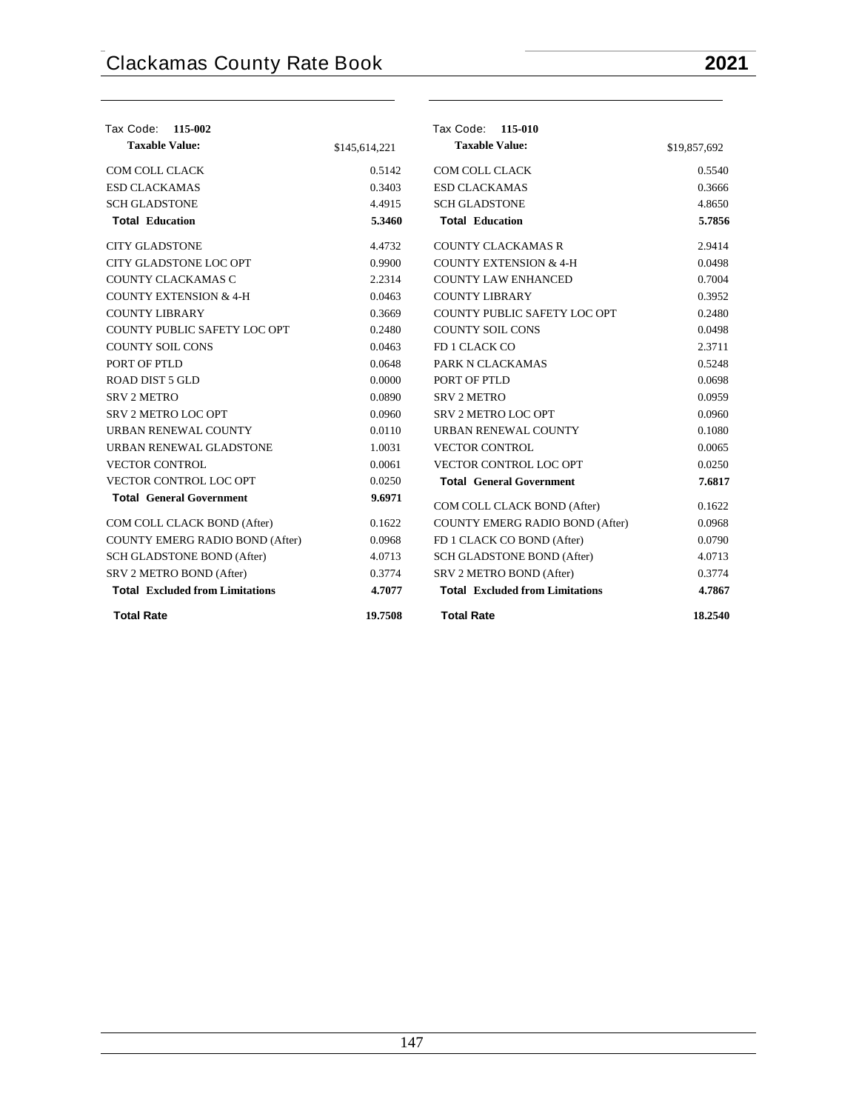| Tax Code: 115-002                      |               | Tax Code: 115-010                      |              |
|----------------------------------------|---------------|----------------------------------------|--------------|
| <b>Taxable Value:</b>                  | \$145,614,221 | <b>Taxable Value:</b>                  | \$19,857,692 |
| COM COLL CLACK                         | 0.5142        | <b>COM COLL CLACK</b>                  | 0.5540       |
| <b>ESD CLACKAMAS</b>                   | 0.3403        | <b>ESD CLACKAMAS</b>                   | 0.3666       |
| <b>SCH GLADSTONE</b>                   | 4.4915        | <b>SCH GLADSTONE</b>                   | 4.8650       |
| <b>Total Education</b>                 | 5.3460        | <b>Total Education</b>                 | 5.7856       |
| <b>CITY GLADSTONE</b>                  | 4.4732        | <b>COUNTY CLACKAMAS R</b>              | 2.9414       |
| <b>CITY GLADSTONE LOC OPT</b>          | 0.9900        | <b>COUNTY EXTENSION &amp; 4-H</b>      | 0.0498       |
| COUNTY CLACKAMAS C                     | 2.2314        | <b>COUNTY LAW ENHANCED</b>             | 0.7004       |
| <b>COUNTY EXTENSION &amp; 4-H</b>      | 0.0463        | <b>COUNTY LIBRARY</b>                  | 0.3952       |
| <b>COUNTY LIBRARY</b>                  | 0.3669        | COUNTY PUBLIC SAFETY LOC OPT           | 0.2480       |
| COUNTY PUBLIC SAFETY LOC OPT           | 0.2480        | <b>COUNTY SOIL CONS</b>                | 0.0498       |
| <b>COUNTY SOIL CONS</b>                | 0.0463        | FD 1 CLACK CO                          | 2.3711       |
| PORT OF PTLD                           | 0.0648        | PARK N CLACKAMAS                       | 0.5248       |
| <b>ROAD DIST 5 GLD</b>                 | 0.0000        | PORT OF PTLD                           | 0.0698       |
| <b>SRV 2 METRO</b>                     | 0.0890        | <b>SRV 2 METRO</b>                     | 0.0959       |
| <b>SRV 2 METRO LOC OPT</b>             | 0.0960        | <b>SRV 2 METRO LOC OPT</b>             | 0.0960       |
| URBAN RENEWAL COUNTY                   | 0.0110        | URBAN RENEWAL COUNTY                   | 0.1080       |
| URBAN RENEWAL GLADSTONE                | 1.0031        | <b>VECTOR CONTROL</b>                  | 0.0065       |
| <b>VECTOR CONTROL</b>                  | 0.0061        | VECTOR CONTROL LOC OPT                 | 0.0250       |
| VECTOR CONTROL LOC OPT                 | 0.0250        | <b>Total General Government</b>        | 7.6817       |
| <b>Total General Government</b>        | 9.6971        | COM COLL CLACK BOND (After)            | 0.1622       |
| COM COLL CLACK BOND (After)            | 0.1622        | COUNTY EMERG RADIO BOND (After)        | 0.0968       |
| COUNTY EMERG RADIO BOND (After)        | 0.0968        | FD 1 CLACK CO BOND (After)             | 0.0790       |
| SCH GLADSTONE BOND (After)             | 4.0713        | SCH GLADSTONE BOND (After)             | 4.0713       |
| SRV 2 METRO BOND (After)               | 0.3774        | SRV 2 METRO BOND (After)               | 0.3774       |
| <b>Total Excluded from Limitations</b> | 4.7077        | <b>Total</b> Excluded from Limitations | 4.7867       |
| <b>Total Rate</b>                      | 19.7508       | <b>Total Rate</b>                      | 18.2540      |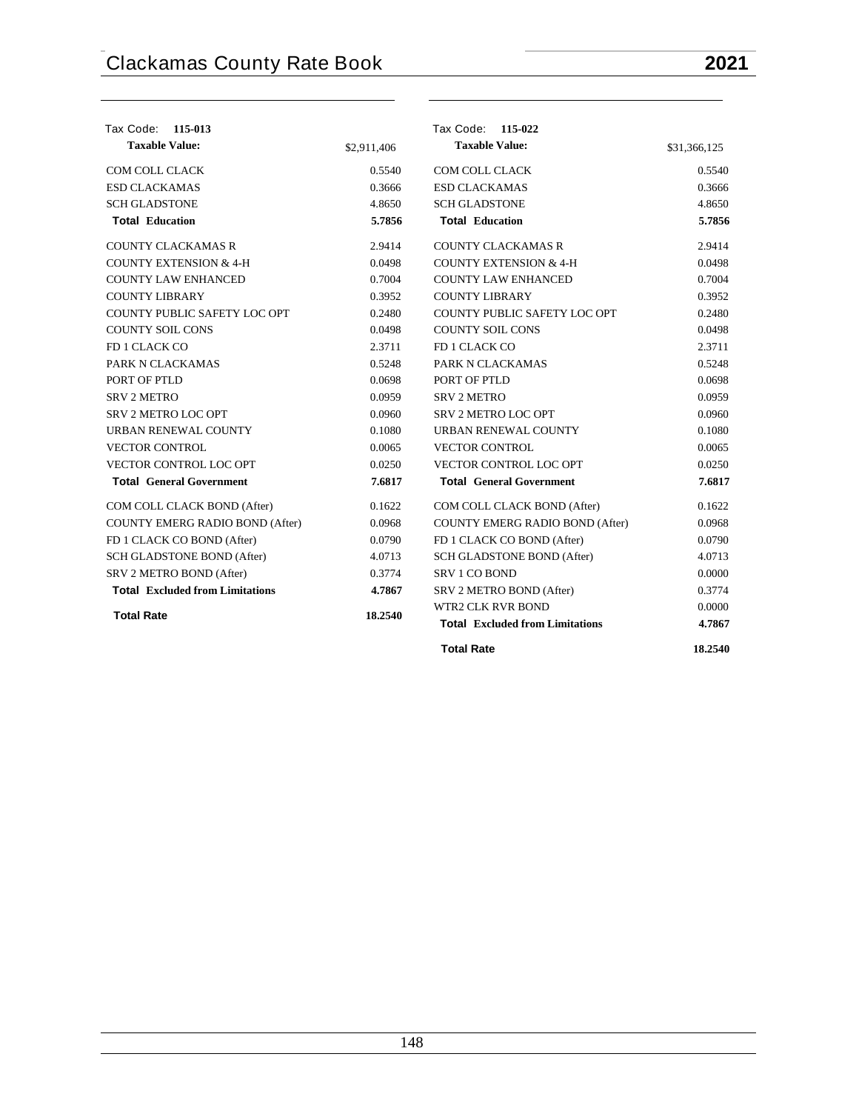| Tax Code: 115-013                      |             | Tax Code: 115-022                      |              |
|----------------------------------------|-------------|----------------------------------------|--------------|
| <b>Taxable Value:</b>                  | \$2,911,406 | <b>Taxable Value:</b>                  | \$31,366,125 |
| COM COLL CLACK                         | 0.5540      | COM COLL CLACK                         | 0.5540       |
| <b>ESD CLACKAMAS</b>                   | 0.3666      | <b>ESD CLACKAMAS</b>                   | 0.3666       |
| <b>SCH GLADSTONE</b>                   | 4.8650      | <b>SCH GLADSTONE</b>                   | 4.8650       |
| <b>Total Education</b>                 | 5.7856      | <b>Total Education</b>                 | 5.7856       |
| <b>COUNTY CLACKAMAS R</b>              | 2.9414      | <b>COUNTY CLACKAMAS R</b>              | 2.9414       |
| <b>COUNTY EXTENSION &amp; 4-H</b>      | 0.0498      | <b>COUNTY EXTENSION &amp; 4-H</b>      | 0.0498       |
| <b>COUNTY LAW ENHANCED</b>             | 0.7004      | <b>COUNTY LAW ENHANCED</b>             | 0.7004       |
| <b>COUNTY LIBRARY</b>                  | 0.3952      | <b>COUNTY LIBRARY</b>                  | 0.3952       |
| COUNTY PUBLIC SAFETY LOC OPT           | 0.2480      | <b>COUNTY PUBLIC SAFETY LOC OPT</b>    | 0.2480       |
| <b>COUNTY SOIL CONS</b>                | 0.0498      | <b>COUNTY SOIL CONS</b>                | 0.0498       |
| FD 1 CLACK CO                          | 2.3711      | FD 1 CLACK CO                          | 2.3711       |
| PARK N CLACKAMAS                       | 0.5248      | PARK N CLACKAMAS                       | 0.5248       |
| PORT OF PTLD                           | 0.0698      | PORT OF PTLD                           | 0.0698       |
| <b>SRV 2 METRO</b>                     | 0.0959      | <b>SRV 2 METRO</b>                     | 0.0959       |
| <b>SRV 2 METRO LOC OPT</b>             | 0.0960      | <b>SRV 2 METRO LOC OPT</b>             | 0.0960       |
| URBAN RENEWAL COUNTY                   | 0.1080      | URBAN RENEWAL COUNTY                   | 0.1080       |
| <b>VECTOR CONTROL</b>                  | 0.0065      | <b>VECTOR CONTROL</b>                  | 0.0065       |
| VECTOR CONTROL LOC OPT                 | 0.0250      | VECTOR CONTROL LOC OPT                 | 0.0250       |
| <b>Total General Government</b>        | 7.6817      | <b>Total General Government</b>        | 7.6817       |
| COM COLL CLACK BOND (After)            | 0.1622      | COM COLL CLACK BOND (After)            | 0.1622       |
| COUNTY EMERG RADIO BOND (After)        | 0.0968      | COUNTY EMERG RADIO BOND (After)        | 0.0968       |
| FD 1 CLACK CO BOND (After)             | 0.0790      | FD 1 CLACK CO BOND (After)             | 0.0790       |
| SCH GLADSTONE BOND (After)             | 4.0713      | SCH GLADSTONE BOND (After)             | 4.0713       |
| SRV 2 METRO BOND (After)               | 0.3774      | SRV 1 CO BOND                          | 0.0000       |
| <b>Total Excluded from Limitations</b> | 4.7867      | SRV 2 METRO BOND (After)               | 0.3774       |
|                                        |             | <b>WTR2 CLK RVR BOND</b>               | 0.0000       |
| <b>Total Rate</b>                      | 18.2540     | <b>Total Excluded from Limitations</b> | 4.7867       |
|                                        |             | <b>Total Rate</b>                      | 18.2540      |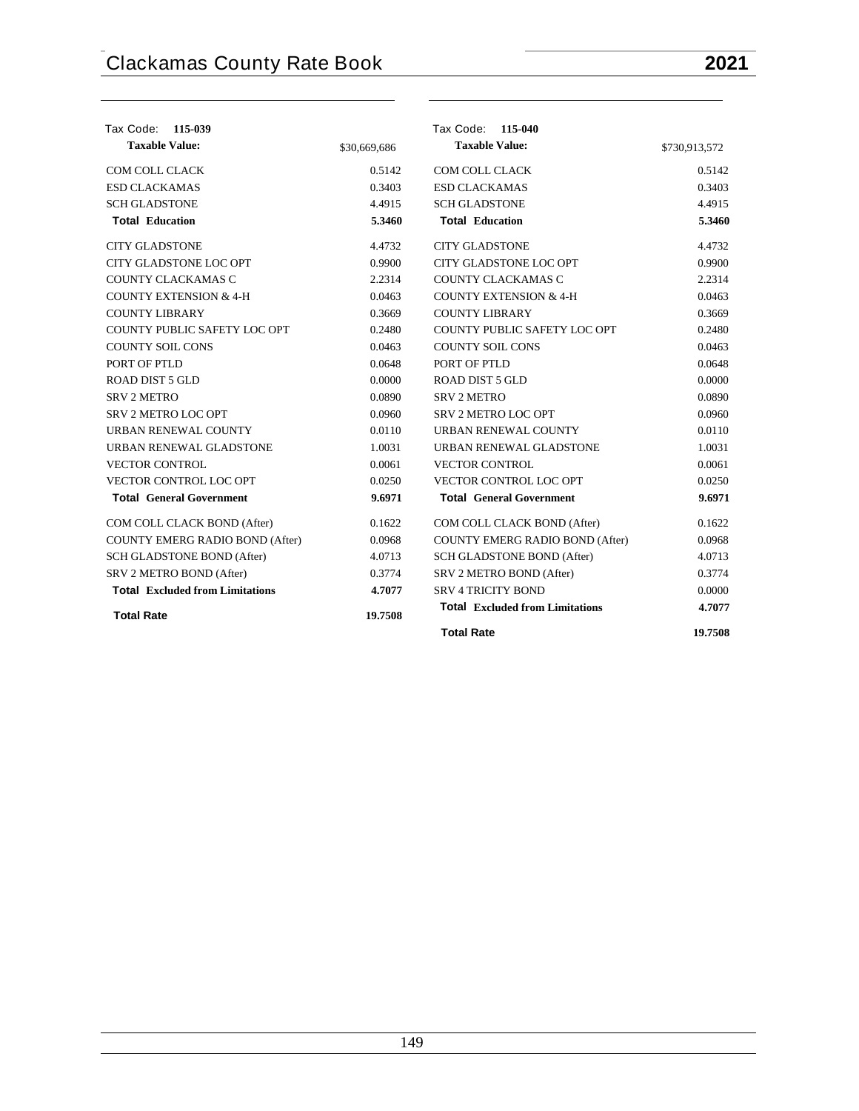## **Tax Code: 115-039 Taxable Value:** \$30,669,686 COM COLL CLACK 0.5142 ESD CLACKAMAS 0.3403 SCH GLADSTONE 4.4915 **Total Education 5.3460** CITY GLADSTONE 4.4732 CITY GLADSTONE LOC OPT 0.9900 COUNTY CLACKAMAS C 2.2314 COUNTY EXTENSION  $& 4-H$  0.0463 COUNTY LIBRARY 0.3669 COUNTY PUBLIC SAFETY LOC OPT 0.2480 COUNTY SOIL CONS 0.0463 PORT OF PTLD 0.0648  $\begin{tabular}{c} \bf ROAD DIST 5 GLD \end{tabular} \begin{tabular}{c} \bf 0.0000 \end{tabular}$  $S$ RV 2 METRO  $0.0890$ SRV 2 METRO LOC OPT 0.0960 URBAN RENEWAL COUNTY 0.0110 URBAN RENEWAL GLADSTONE 1.0031 VECTOR CONTROL 0.0061 VECTOR CONTROL LOC OPT 0.0250 **Total General Government 9.6971** COM COLL CLACK BOND (After) 0.1622 COUNTY EMERG RADIO BOND (After) 0.0968 SCH GLADSTONE BOND (After) 4.0713 SRV 2 METRO BOND (After) 0.3774 **Total Excluded from Limitations 4.7077 Total Rate 19.7508 Tax Code: 115-040 Taxable Value:** \$730,913,572 COM COLL CLACK 0.5142 ESD CLACKAMAS 0.3403 SCH GLADSTONE 4.4915 **Total Education 5.3460** CITY GLADSTONE 4.4732 CITY GLADSTONE LOC OPT 0.9900 COUNTY CLACKAMAS C 2.2314 COUNTY EXTENSION  $& 4-H$  0.0463 COUNTY LIBRARY 0.3669 COUNTY PUBLIC SAFETY LOC OPT 0.2480 COUNTY SOIL CONS 0.0463 PORT OF PTLD 0.0648  $\begin{tabular}{c} \bf ROAD DIST 5 GLD \end{tabular} \begin{tabular}{c} \bf 0.0000 \end{tabular}$ SRV 2 METRO 0.0890 SRV 2 METRO LOC OPT 0.0960 URBAN RENEWAL COUNTY 0.0110 URBAN RENEWAL GLADSTONE 1.0031 VECTOR CONTROL 0.0061 VECTOR CONTROL LOC OPT 0.0250 **Total General Government 9.6971** COM COLL CLACK BOND (After) 0.1622 COUNTY EMERG RADIO BOND (After) 0.0968 SCH GLADSTONE BOND (After) 4.0713 SRV 2 METRO BOND (After) 0.3774 SRV 4 TRICITY BOND 0.0000 **Total Excluded from Limitations 4.7077 Total Rate 19.7508**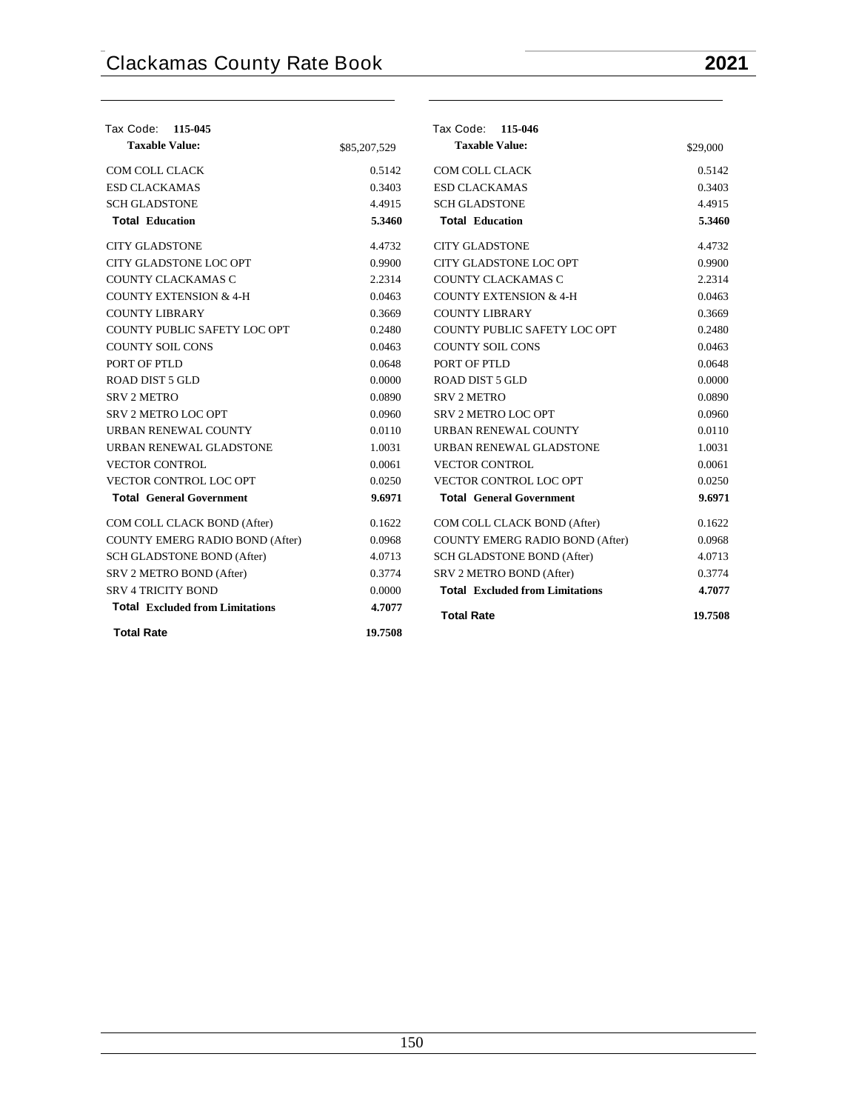| Tax Code: 115-045                      |              | Tax Code: 115-046                      |          |
|----------------------------------------|--------------|----------------------------------------|----------|
| <b>Taxable Value:</b>                  | \$85,207,529 | <b>Taxable Value:</b>                  | \$29,000 |
| COM COLL CLACK                         | 0.5142       | COM COLL CLACK                         | 0.5142   |
| <b>ESD CLACKAMAS</b>                   | 0.3403       | <b>ESD CLACKAMAS</b>                   | 0.3403   |
| <b>SCH GLADSTONE</b>                   | 4.4915       | <b>SCH GLADSTONE</b>                   | 4.4915   |
| <b>Total Education</b>                 | 5.3460       | <b>Total Education</b>                 | 5.3460   |
| <b>CITY GLADSTONE</b>                  | 4.4732       | <b>CITY GLADSTONE</b>                  | 4.4732   |
| CITY GLADSTONE LOC OPT                 | 0.9900       | CITY GLADSTONE LOC OPT                 | 0.9900   |
| <b>COUNTY CLACKAMAS C</b>              | 2.2314       | COUNTY CLACKAMAS C                     | 2.2314   |
| <b>COUNTY EXTENSION &amp; 4-H</b>      | 0.0463       | <b>COUNTY EXTENSION &amp; 4-H</b>      | 0.0463   |
| <b>COUNTY LIBRARY</b>                  | 0.3669       | <b>COUNTY LIBRARY</b>                  | 0.3669   |
| COUNTY PUBLIC SAFETY LOC OPT           | 0.2480       | COUNTY PUBLIC SAFETY LOC OPT           | 0.2480   |
| <b>COUNTY SOIL CONS</b>                | 0.0463       | <b>COUNTY SOIL CONS</b>                | 0.0463   |
| PORT OF PTLD                           | 0.0648       | PORT OF PTLD                           | 0.0648   |
| ROAD DIST 5 GLD                        | 0.0000       | ROAD DIST 5 GLD                        | 0.0000   |
| <b>SRV 2 METRO</b>                     | 0.0890       | <b>SRV 2 METRO</b>                     | 0.0890   |
| <b>SRV 2 METRO LOC OPT</b>             | 0.0960       | SRV 2 METRO LOC OPT                    | 0.0960   |
| URBAN RENEWAL COUNTY                   | 0.0110       | URBAN RENEWAL COUNTY                   | 0.0110   |
| URBAN RENEWAL GLADSTONE                | 1.0031       | URBAN RENEWAL GLADSTONE                | 1.0031   |
| <b>VECTOR CONTROL</b>                  | 0.0061       | <b>VECTOR CONTROL</b>                  | 0.0061   |
| VECTOR CONTROL LOC OPT                 | 0.0250       | VECTOR CONTROL LOC OPT                 | 0.0250   |
| <b>Total General Government</b>        | 9.6971       | <b>Total General Government</b>        | 9.6971   |
| COM COLL CLACK BOND (After)            | 0.1622       | COM COLL CLACK BOND (After)            | 0.1622   |
| <b>COUNTY EMERG RADIO BOND (After)</b> | 0.0968       | COUNTY EMERG RADIO BOND (After)        | 0.0968   |
| SCH GLADSTONE BOND (After)             | 4.0713       | SCH GLADSTONE BOND (After)             | 4.0713   |
| SRV 2 METRO BOND (After)               | 0.3774       | SRV 2 METRO BOND (After)               | 0.3774   |
| <b>SRV 4 TRICITY BOND</b>              | 0.0000       | <b>Total</b> Excluded from Limitations | 4.7077   |
| <b>Total Excluded from Limitations</b> | 4.7077       | <b>Total Rate</b>                      | 19.7508  |
| <b>Total Rate</b>                      | 19.7508      |                                        |          |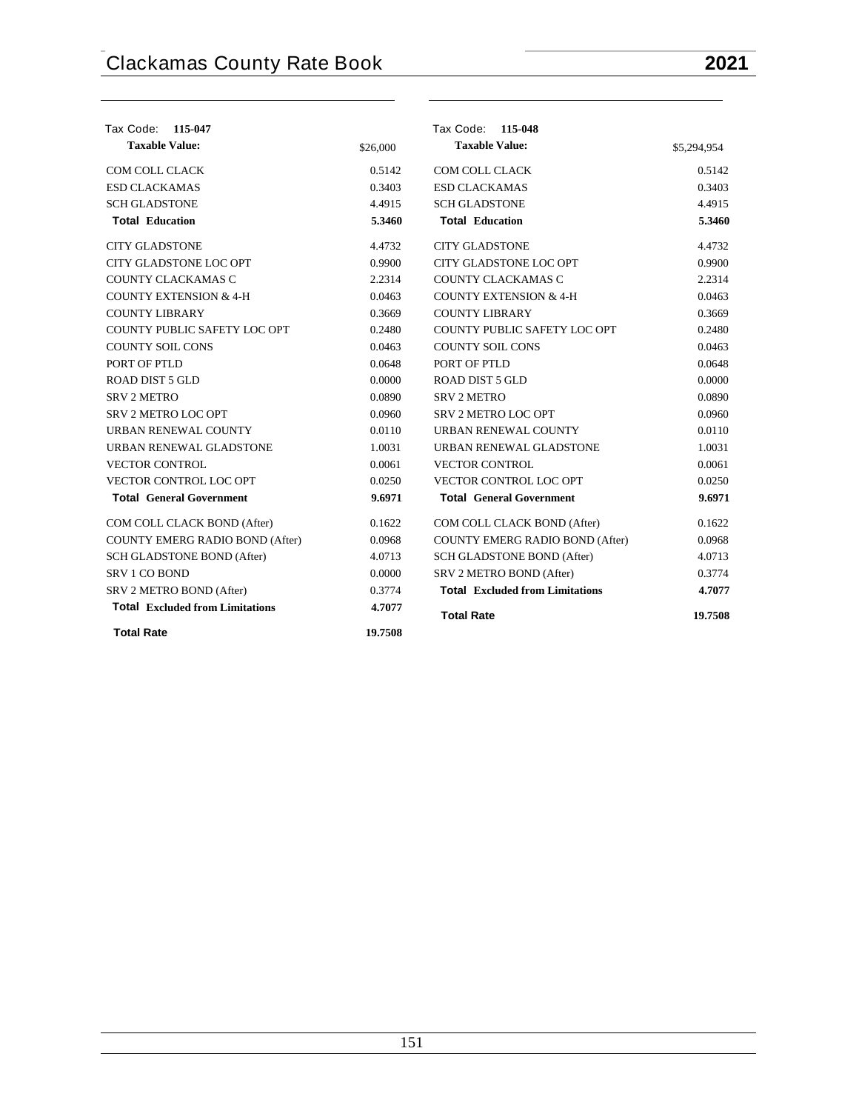| Tax Code: 115-047                      |          | Tax Code: 115-048                      |             |
|----------------------------------------|----------|----------------------------------------|-------------|
| <b>Taxable Value:</b>                  | \$26,000 | <b>Taxable Value:</b>                  | \$5,294,954 |
| COM COLL CLACK                         | 0.5142   | COM COLL CLACK                         | 0.5142      |
| <b>ESD CLACKAMAS</b>                   | 0.3403   | <b>ESD CLACKAMAS</b>                   | 0.3403      |
| <b>SCH GLADSTONE</b>                   | 4.4915   | <b>SCH GLADSTONE</b>                   | 4.4915      |
| <b>Total Education</b>                 | 5.3460   | <b>Total Education</b>                 | 5.3460      |
| <b>CITY GLADSTONE</b>                  | 4.4732   | <b>CITY GLADSTONE</b>                  | 4.4732      |
| CITY GLADSTONE LOC OPT                 | 0.9900   | CITY GLADSTONE LOC OPT                 | 0.9900      |
| COUNTY CLACKAMAS C                     | 2.2314   | COUNTY CLACKAMAS C                     | 2.2314      |
| <b>COUNTY EXTENSION &amp; 4-H</b>      | 0.0463   | <b>COUNTY EXTENSION &amp; 4-H</b>      | 0.0463      |
| <b>COUNTY LIBRARY</b>                  | 0.3669   | <b>COUNTY LIBRARY</b>                  | 0.3669      |
| COUNTY PUBLIC SAFETY LOC OPT           | 0.2480   | COUNTY PUBLIC SAFETY LOC OPT           | 0.2480      |
| <b>COUNTY SOIL CONS</b>                | 0.0463   | <b>COUNTY SOIL CONS</b>                | 0.0463      |
| PORT OF PTLD                           | 0.0648   | PORT OF PTLD                           | 0.0648      |
| <b>ROAD DIST 5 GLD</b>                 | 0.0000   | ROAD DIST 5 GLD                        | 0.0000      |
| <b>SRV 2 METRO</b>                     | 0.0890   | <b>SRV 2 METRO</b>                     | 0.0890      |
| SRV 2 METRO LOC OPT                    | 0.0960   | SRV 2 METRO LOC OPT                    | 0.0960      |
| URBAN RENEWAL COUNTY                   | 0.0110   | <b>URBAN RENEWAL COUNTY</b>            | 0.0110      |
| URBAN RENEWAL GLADSTONE                | 1.0031   | URBAN RENEWAL GLADSTONE                | 1.0031      |
| <b>VECTOR CONTROL</b>                  | 0.0061   | <b>VECTOR CONTROL</b>                  | 0.0061      |
| VECTOR CONTROL LOC OPT                 | 0.0250   | VECTOR CONTROL LOC OPT                 | 0.0250      |
| <b>Total General Government</b>        | 9.6971   | <b>Total General Government</b>        | 9.6971      |
| COM COLL CLACK BOND (After)            | 0.1622   | COM COLL CLACK BOND (After)            | 0.1622      |
| COUNTY EMERG RADIO BOND (After)        | 0.0968   | COUNTY EMERG RADIO BOND (After)        | 0.0968      |
| SCH GLADSTONE BOND (After)             | 4.0713   | SCH GLADSTONE BOND (After)             | 4.0713      |
| SRV 1 CO BOND                          | 0.0000   | SRV 2 METRO BOND (After)               | 0.3774      |
| SRV 2 METRO BOND (After)               | 0.3774   | <b>Total Excluded from Limitations</b> | 4.7077      |
| <b>Total Excluded from Limitations</b> | 4.7077   | <b>Total Rate</b>                      | 19.7508     |
| <b>Total Rate</b>                      | 19.7508  |                                        |             |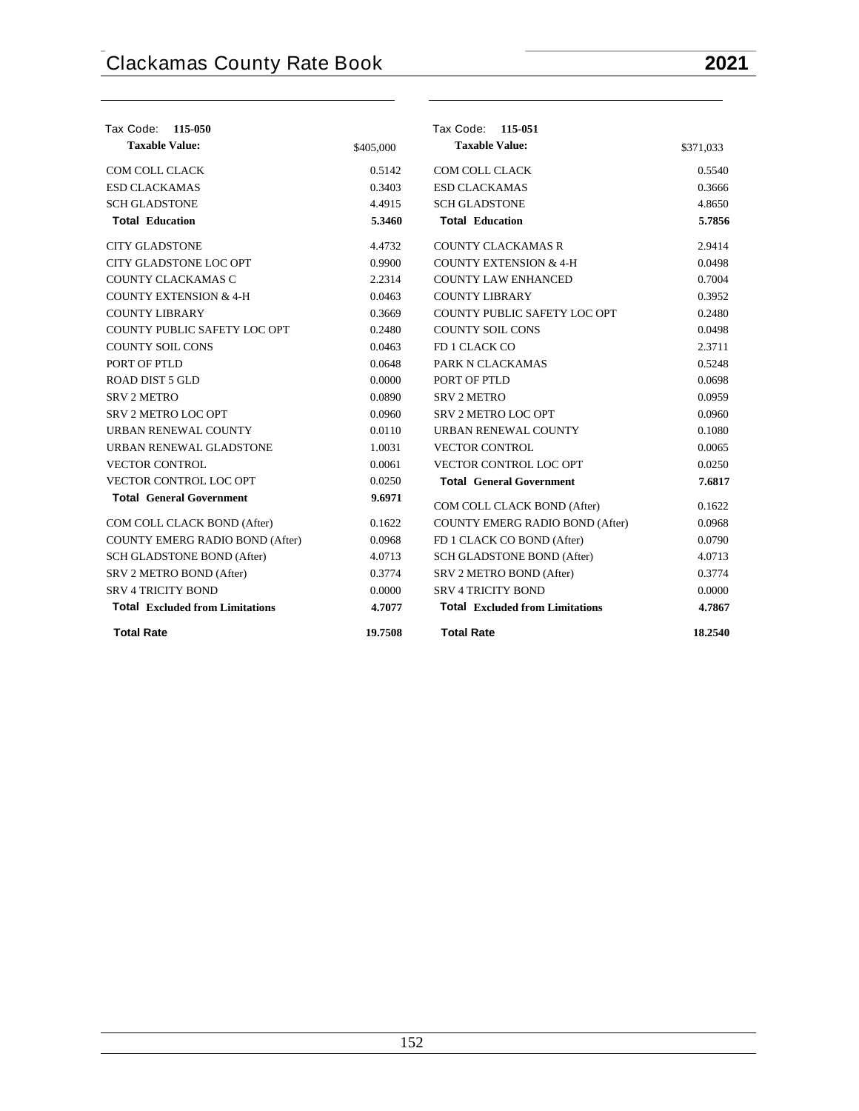| Tax Code: 115-050                      |           | Tax Code: 115-051                      |           |
|----------------------------------------|-----------|----------------------------------------|-----------|
| <b>Taxable Value:</b>                  | \$405,000 | <b>Taxable Value:</b>                  | \$371,033 |
| COM COLL CLACK                         | 0.5142    | <b>COM COLL CLACK</b>                  | 0.5540    |
| <b>ESD CLACKAMAS</b>                   | 0.3403    | <b>ESD CLACKAMAS</b>                   | 0.3666    |
| <b>SCH GLADSTONE</b>                   | 4.4915    | <b>SCH GLADSTONE</b>                   | 4.8650    |
| <b>Total Education</b>                 | 5.3460    | <b>Total Education</b>                 | 5.7856    |
| <b>CITY GLADSTONE</b>                  | 4.4732    | <b>COUNTY CLACKAMAS R</b>              | 2.9414    |
| CITY GLADSTONE LOC OPT                 | 0.9900    | <b>COUNTY EXTENSION &amp; 4-H</b>      | 0.0498    |
| COUNTY CLACKAMAS C                     | 2.2314    | <b>COUNTY LAW ENHANCED</b>             | 0.7004    |
| <b>COUNTY EXTENSION &amp; 4-H</b>      | 0.0463    | <b>COUNTY LIBRARY</b>                  | 0.3952    |
| <b>COUNTY LIBRARY</b>                  | 0.3669    | COUNTY PUBLIC SAFETY LOC OPT           | 0.2480    |
| COUNTY PUBLIC SAFETY LOC OPT           | 0.2480    | <b>COUNTY SOIL CONS</b>                | 0.0498    |
| <b>COUNTY SOIL CONS</b>                | 0.0463    | FD 1 CLACK CO                          | 2.3711    |
| PORT OF PTLD                           | 0.0648    | PARK N CLACKAMAS                       | 0.5248    |
| ROAD DIST 5 GLD                        | 0.0000    | PORT OF PTLD                           | 0.0698    |
| <b>SRV 2 METRO</b>                     | 0.0890    | <b>SRV 2 METRO</b>                     | 0.0959    |
| <b>SRV 2 METRO LOC OPT</b>             | 0.0960    | <b>SRV 2 METRO LOC OPT</b>             | 0.0960    |
| URBAN RENEWAL COUNTY                   | 0.0110    | URBAN RENEWAL COUNTY                   | 0.1080    |
| URBAN RENEWAL GLADSTONE                | 1.0031    | <b>VECTOR CONTROL</b>                  | 0.0065    |
| <b>VECTOR CONTROL</b>                  | 0.0061    | VECTOR CONTROL LOC OPT                 | 0.0250    |
| VECTOR CONTROL LOC OPT                 | 0.0250    | <b>Total General Government</b>        | 7.6817    |
| <b>Total General Government</b>        | 9.6971    | COM COLL CLACK BOND (After)            | 0.1622    |
| COM COLL CLACK BOND (After)            | 0.1622    | COUNTY EMERG RADIO BOND (After)        | 0.0968    |
| COUNTY EMERG RADIO BOND (After)        | 0.0968    | FD 1 CLACK CO BOND (After)             | 0.0790    |
| SCH GLADSTONE BOND (After)             | 4.0713    | SCH GLADSTONE BOND (After)             | 4.0713    |
| SRV 2 METRO BOND (After)               | 0.3774    | SRV 2 METRO BOND (After)               | 0.3774    |
| <b>SRV 4 TRICITY BOND</b>              | 0.0000    | <b>SRV 4 TRICITY BOND</b>              | 0.0000    |
| <b>Total Excluded from Limitations</b> | 4.7077    | <b>Total Excluded from Limitations</b> | 4.7867    |
| <b>Total Rate</b>                      | 19.7508   | <b>Total Rate</b>                      | 18.2540   |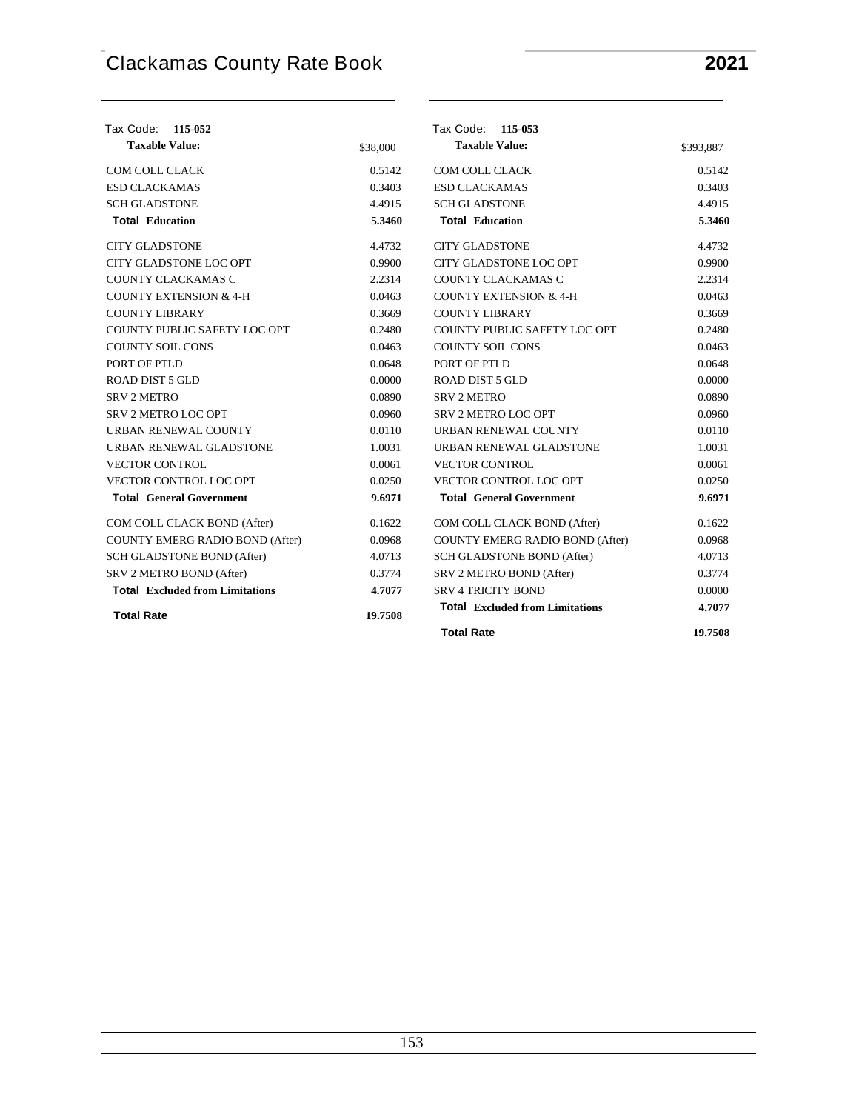| Tax Code:<br>115-052                   |          | Tax Code: 115-053                      |           |
|----------------------------------------|----------|----------------------------------------|-----------|
| <b>Taxable Value:</b>                  | \$38,000 | <b>Taxable Value:</b>                  | \$393,887 |
| COM COLL CLACK                         | 0.5142   | COM COLL CLACK                         | 0.5142    |
| <b>ESD CLACKAMAS</b>                   | 0.3403   | <b>ESD CLACKAMAS</b>                   | 0.3403    |
| <b>SCH GLADSTONE</b>                   | 4.4915   | <b>SCH GLADSTONE</b>                   | 4.4915    |
| <b>Total Education</b>                 | 5.3460   | <b>Total Education</b>                 | 5.3460    |
| <b>CITY GLADSTONE</b>                  | 4.4732   | <b>CITY GLADSTONE</b>                  | 4.4732    |
| CITY GLADSTONE LOC OPT                 | 0.9900   | CITY GLADSTONE LOC OPT                 | 0.9900    |
| COUNTY CLACKAMAS C                     | 2.2314   | COUNTY CLACKAMAS C                     | 2.2314    |
| <b>COUNTY EXTENSION &amp; 4-H</b>      | 0.0463   | <b>COUNTY EXTENSION &amp; 4-H</b>      | 0.0463    |
| <b>COUNTY LIBRARY</b>                  | 0.3669   | <b>COUNTY LIBRARY</b>                  | 0.3669    |
| COUNTY PUBLIC SAFETY LOC OPT           | 0.2480   | COUNTY PUBLIC SAFETY LOC OPT           | 0.2480    |
| <b>COUNTY SOIL CONS</b>                | 0.0463   | <b>COUNTY SOIL CONS</b>                | 0.0463    |
| PORT OF PTLD                           | 0.0648   | PORT OF PTLD                           | 0.0648    |
| <b>ROAD DIST 5 GLD</b>                 | 0.0000   | <b>ROAD DIST 5 GLD</b>                 | 0.0000    |
| <b>SRV 2 METRO</b>                     | 0.0890   | <b>SRV 2 METRO</b>                     | 0.0890    |
| <b>SRV 2 METRO LOC OPT</b>             | 0.0960   | SRV 2 METRO LOC OPT                    | 0.0960    |
| URBAN RENEWAL COUNTY                   | 0.0110   | URBAN RENEWAL COUNTY                   | 0.0110    |
| URBAN RENEWAL GLADSTONE                | 1.0031   | URBAN RENEWAL GLADSTONE                | 1.0031    |
| <b>VECTOR CONTROL</b>                  | 0.0061   | <b>VECTOR CONTROL</b>                  | 0.0061    |
| VECTOR CONTROL LOC OPT                 | 0.0250   | VECTOR CONTROL LOC OPT                 | 0.0250    |
| <b>Total General Government</b>        | 9.6971   | <b>Total General Government</b>        | 9.6971    |
| COM COLL CLACK BOND (After)            | 0.1622   | COM COLL CLACK BOND (After)            | 0.1622    |
| COUNTY EMERG RADIO BOND (After)        | 0.0968   | COUNTY EMERG RADIO BOND (After)        | 0.0968    |
| SCH GLADSTONE BOND (After)             | 4.0713   | SCH GLADSTONE BOND (After)             | 4.0713    |
| SRV 2 METRO BOND (After)               | 0.3774   | SRV 2 METRO BOND (After)               | 0.3774    |
| <b>Total</b> Excluded from Limitations | 4.7077   | <b>SRV 4 TRICITY BOND</b>              | 0.0000    |
| <b>Total Rate</b>                      | 19.7508  | <b>Total Excluded from Limitations</b> | 4.7077    |
|                                        |          | <b>Total Rate</b>                      | 19.7508   |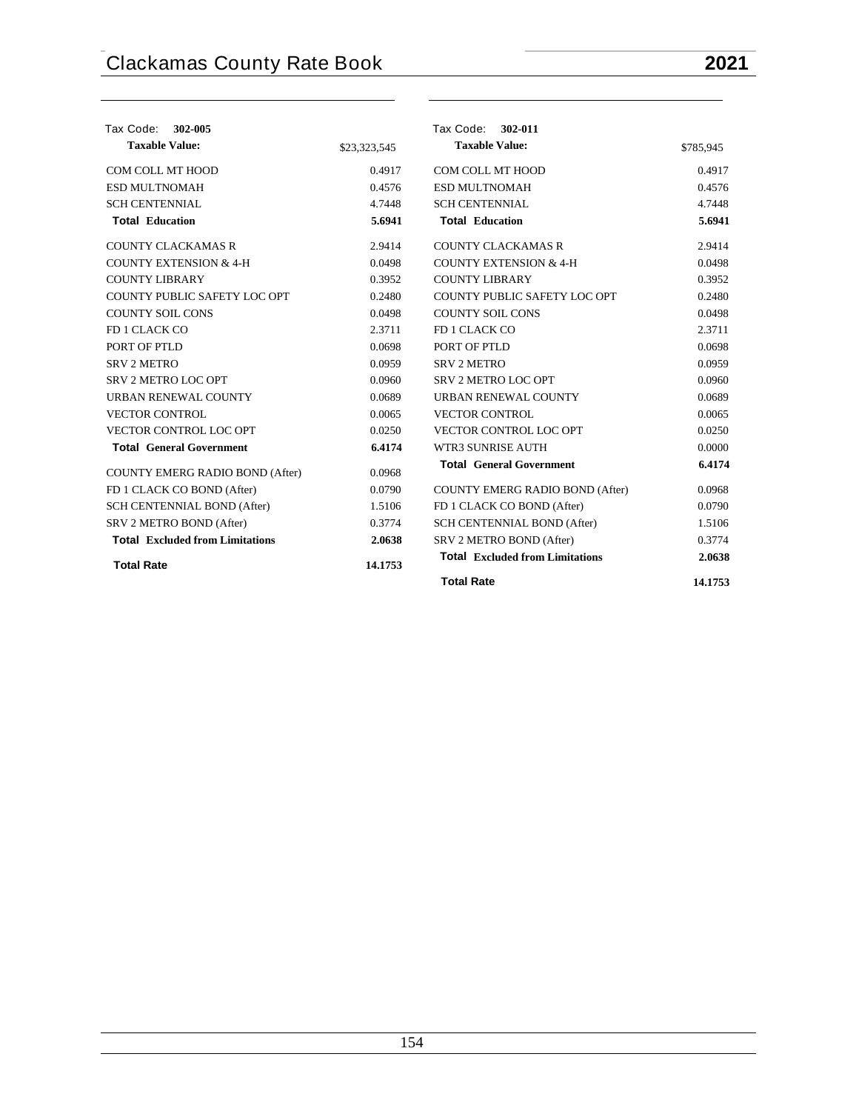| Tax Code:<br>302-005                   |              | Tax Code: 302-011                      |           |
|----------------------------------------|--------------|----------------------------------------|-----------|
| <b>Taxable Value:</b>                  | \$23,323,545 | <b>Taxable Value:</b>                  | \$785,945 |
| COM COLL MT HOOD                       | 0.4917       | COM COLL MT HOOD                       | 0.4917    |
| <b>ESD MULTNOMAH</b>                   | 0.4576       | <b>ESD MULTNOMAH</b>                   | 0.4576    |
| <b>SCH CENTENNIAL</b>                  | 4.7448       | <b>SCH CENTENNIAL</b>                  | 4.7448    |
| <b>Total Education</b>                 | 5.6941       | <b>Total Education</b>                 | 5.6941    |
| <b>COUNTY CLACKAMAS R</b>              | 2.9414       | <b>COUNTY CLACKAMAS R</b>              | 2.9414    |
| <b>COUNTY EXTENSION &amp; 4-H</b>      | 0.0498       | <b>COUNTY EXTENSION &amp; 4-H</b>      | 0.0498    |
| <b>COUNTY LIBRARY</b>                  | 0.3952       | <b>COUNTY LIBRARY</b>                  | 0.3952    |
| COUNTY PUBLIC SAFETY LOC OPT           | 0.2480       | COUNTY PUBLIC SAFETY LOC OPT           | 0.2480    |
| <b>COUNTY SOIL CONS</b>                | 0.0498       | <b>COUNTY SOIL CONS</b>                | 0.0498    |
| FD 1 CLACK CO                          | 2.3711       | FD 1 CLACK CO                          | 2.3711    |
| PORT OF PTLD                           | 0.0698       | PORT OF PTLD                           | 0.0698    |
| <b>SRV 2 METRO</b>                     | 0.0959       | <b>SRV 2 METRO</b>                     | 0.0959    |
| <b>SRV 2 METRO LOC OPT</b>             | 0.0960       | <b>SRV 2 METRO LOC OPT</b>             | 0.0960    |
| URBAN RENEWAL COUNTY                   | 0.0689       | URBAN RENEWAL COUNTY                   | 0.0689    |
| <b>VECTOR CONTROL</b>                  | 0.0065       | <b>VECTOR CONTROL</b>                  | 0.0065    |
| VECTOR CONTROL LOC OPT                 | 0.0250       | VECTOR CONTROL LOC OPT                 | 0.0250    |
| <b>Total General Government</b>        | 6.4174       | WTR3 SUNRISE AUTH                      | 0.0000    |
| COUNTY EMERG RADIO BOND (After)        | 0.0968       | <b>Total General Government</b>        | 6.4174    |
| FD 1 CLACK CO BOND (After)             | 0.0790       | <b>COUNTY EMERG RADIO BOND (After)</b> | 0.0968    |
| SCH CENTENNIAL BOND (After)            | 1.5106       | FD 1 CLACK CO BOND (After)             | 0.0790    |
| SRV 2 METRO BOND (After)               | 0.3774       | SCH CENTENNIAL BOND (After)            | 1.5106    |
| <b>Total</b> Excluded from Limitations | 2.0638       | SRV 2 METRO BOND (After)               | 0.3774    |
| <b>Total Rate</b>                      | 14.1753      | <b>Total</b> Excluded from Limitations | 2.0638    |
|                                        |              | <b>Total Rate</b>                      | 14.1753   |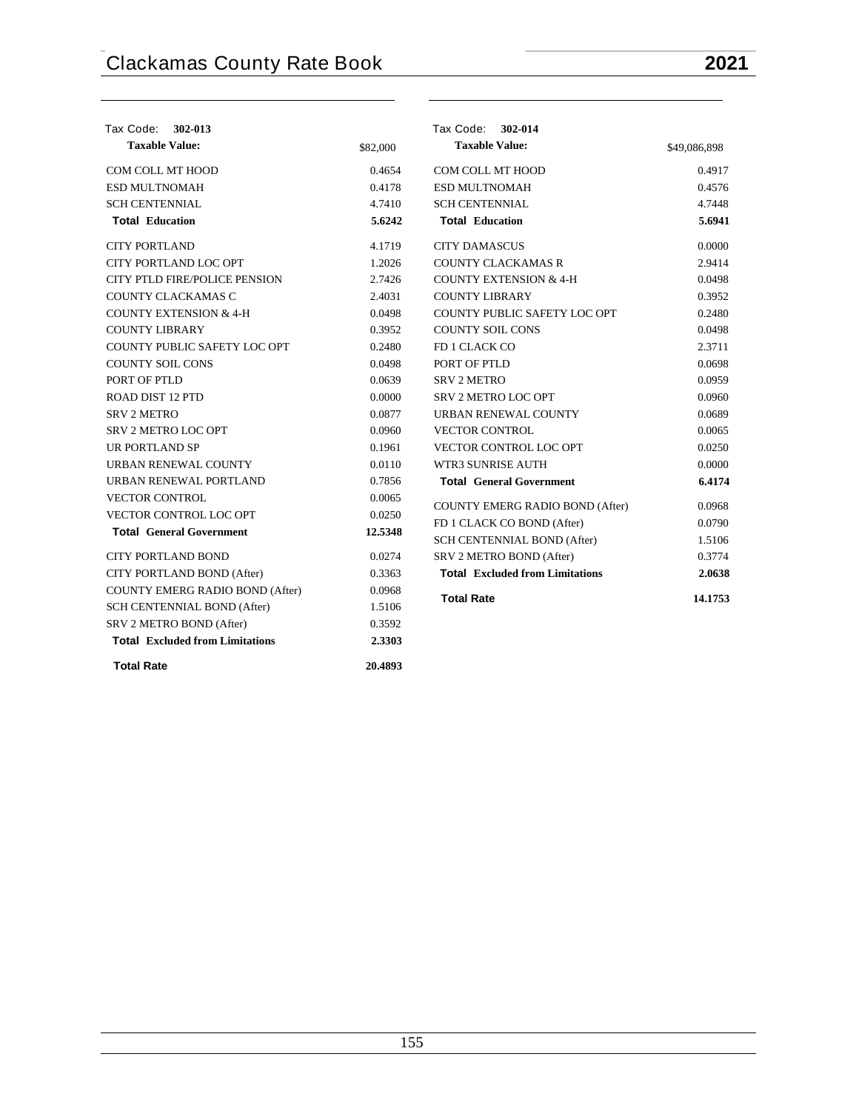| Tax Code: 302-013                      |          | Tax Code: 302-014                      |              |
|----------------------------------------|----------|----------------------------------------|--------------|
| <b>Taxable Value:</b>                  | \$82,000 | <b>Taxable Value:</b>                  | \$49,086,898 |
| COM COLL MT HOOD                       | 0.4654   | COM COLL MT HOOD                       | 0.4917       |
| <b>ESD MULTNOMAH</b>                   | 0.4178   | <b>ESD MULTNOMAH</b>                   | 0.4576       |
| <b>SCH CENTENNIAL</b>                  | 4.7410   | <b>SCH CENTENNIAL</b>                  | 4.7448       |
| <b>Total Education</b>                 | 5.6242   | <b>Total Education</b>                 | 5.6941       |
| <b>CITY PORTLAND</b>                   | 4.1719   | <b>CITY DAMASCUS</b>                   | 0.0000       |
| CITY PORTLAND LOC OPT                  | 1.2026   | <b>COUNTY CLACKAMAS R</b>              | 2.9414       |
| <b>CITY PTLD FIRE/POLICE PENSION</b>   | 2.7426   | <b>COUNTY EXTENSION &amp; 4-H</b>      | 0.0498       |
| COUNTY CLACKAMAS C                     | 2.4031   | <b>COUNTY LIBRARY</b>                  | 0.3952       |
| <b>COUNTY EXTENSION &amp; 4-H</b>      | 0.0498   | COUNTY PUBLIC SAFETY LOC OPT           | 0.2480       |
| <b>COUNTY LIBRARY</b>                  | 0.3952   | <b>COUNTY SOIL CONS</b>                | 0.0498       |
| <b>COUNTY PUBLIC SAFETY LOC OPT</b>    | 0.2480   | FD 1 CLACK CO                          | 2.3711       |
| <b>COUNTY SOIL CONS</b>                | 0.0498   | PORT OF PTLD                           | 0.0698       |
| PORT OF PTLD                           | 0.0639   | <b>SRV 2 METRO</b>                     | 0.0959       |
| ROAD DIST 12 PTD                       | 0.0000   | <b>SRV 2 METRO LOC OPT</b>             | 0.0960       |
| <b>SRV 2 METRO</b>                     | 0.0877   | URBAN RENEWAL COUNTY                   | 0.0689       |
| SRV 2 METRO LOC OPT                    | 0.0960   | <b>VECTOR CONTROL</b>                  | 0.0065       |
| UR PORTLAND SP                         | 0.1961   | VECTOR CONTROL LOC OPT                 | 0.0250       |
| URBAN RENEWAL COUNTY                   | 0.0110   | WTR3 SUNRISE AUTH                      | 0.0000       |
| URBAN RENEWAL PORTLAND                 | 0.7856   | <b>Total General Government</b>        | 6.4174       |
| <b>VECTOR CONTROL</b>                  | 0.0065   | COUNTY EMERG RADIO BOND (After)        | 0.0968       |
| VECTOR CONTROL LOC OPT                 | 0.0250   | FD 1 CLACK CO BOND (After)             | 0.0790       |
| <b>Total General Government</b>        | 12.5348  | SCH CENTENNIAL BOND (After)            | 1.5106       |
| <b>CITY PORTLAND BOND</b>              | 0.0274   | SRV 2 METRO BOND (After)               | 0.3774       |
| CITY PORTLAND BOND (After)             | 0.3363   | <b>Total Excluded from Limitations</b> | 2.0638       |
| COUNTY EMERG RADIO BOND (After)        | 0.0968   |                                        |              |
| SCH CENTENNIAL BOND (After)            | 1.5106   | <b>Total Rate</b>                      | 14.1753      |
| SRV 2 METRO BOND (After)               | 0.3592   |                                        |              |
| <b>Total Excluded from Limitations</b> | 2.3303   |                                        |              |
| <b>Total Rate</b>                      | 20.4893  |                                        |              |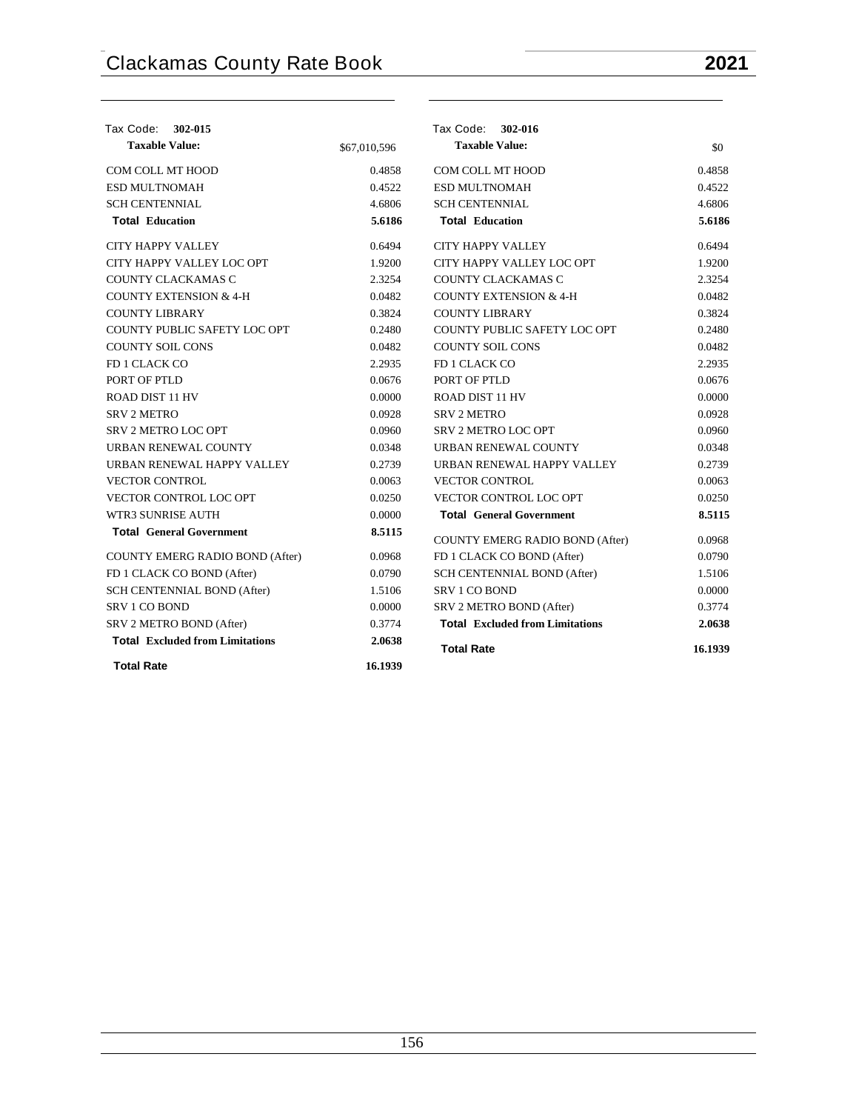| Tax Code: 302-015                      |              | Tax Code: 302-016                      |         |
|----------------------------------------|--------------|----------------------------------------|---------|
| <b>Taxable Value:</b>                  | \$67,010,596 | <b>Taxable Value:</b>                  | \$0     |
| COM COLL MT HOOD                       | 0.4858       | <b>COM COLL MT HOOD</b>                | 0.4858  |
| <b>ESD MULTNOMAH</b>                   | 0.4522       | ESD MULTNOMAH                          | 0.4522  |
| <b>SCH CENTENNIAL</b>                  | 4.6806       | <b>SCH CENTENNIAL</b>                  | 4.6806  |
| <b>Total Education</b>                 | 5.6186       | <b>Total Education</b>                 | 5.6186  |
| <b>CITY HAPPY VALLEY</b>               | 0.6494       | <b>CITY HAPPY VALLEY</b>               | 0.6494  |
| CITY HAPPY VALLEY LOC OPT              | 1.9200       | CITY HAPPY VALLEY LOC OPT              | 1.9200  |
| COUNTY CLACKAMAS C                     | 2.3254       | COUNTY CLACKAMAS C                     | 2.3254  |
| <b>COUNTY EXTENSION &amp; 4-H</b>      | 0.0482       | <b>COUNTY EXTENSION &amp; 4-H</b>      | 0.0482  |
| <b>COUNTY LIBRARY</b>                  | 0.3824       | <b>COUNTY LIBRARY</b>                  | 0.3824  |
| COUNTY PUBLIC SAFETY LOC OPT           | 0.2480       | COUNTY PUBLIC SAFETY LOC OPT           | 0.2480  |
| <b>COUNTY SOIL CONS</b>                | 0.0482       | <b>COUNTY SOIL CONS</b>                | 0.0482  |
| FD 1 CLACK CO                          | 2.2935       | FD 1 CLACK CO                          | 2.2935  |
| PORT OF PTLD                           | 0.0676       | PORT OF PTLD                           | 0.0676  |
| ROAD DIST 11 HV                        | 0.0000       | <b>ROAD DIST 11 HV</b>                 | 0.0000  |
| <b>SRV 2 METRO</b>                     | 0.0928       | <b>SRV 2 METRO</b>                     | 0.0928  |
| SRV 2 METRO LOC OPT                    | 0.0960       | SRV 2 METRO LOC OPT                    | 0.0960  |
| URBAN RENEWAL COUNTY                   | 0.0348       | URBAN RENEWAL COUNTY                   | 0.0348  |
| URBAN RENEWAL HAPPY VALLEY             | 0.2739       | URBAN RENEWAL HAPPY VALLEY             | 0.2739  |
| <b>VECTOR CONTROL</b>                  | 0.0063       | <b>VECTOR CONTROL</b>                  | 0.0063  |
| VECTOR CONTROL LOC OPT                 | 0.0250       | VECTOR CONTROL LOC OPT                 | 0.0250  |
| <b>WTR3 SUNRISE AUTH</b>               | 0.0000       | <b>Total General Government</b>        | 8.5115  |
| <b>Total General Government</b>        | 8.5115       | COUNTY EMERG RADIO BOND (After)        | 0.0968  |
| <b>COUNTY EMERG RADIO BOND (After)</b> | 0.0968       | FD 1 CLACK CO BOND (After)             | 0.0790  |
| FD 1 CLACK CO BOND (After)             | 0.0790       | SCH CENTENNIAL BOND (After)            | 1.5106  |
| SCH CENTENNIAL BOND (After)            | 1.5106       | <b>SRV 1 CO BOND</b>                   | 0.0000  |
| SRV 1 CO BOND                          | 0.0000       | SRV 2 METRO BOND (After)               | 0.3774  |
| SRV 2 METRO BOND (After)               | 0.3774       | <b>Total Excluded from Limitations</b> | 2.0638  |
| <b>Total Excluded from Limitations</b> | 2.0638       | <b>Total Rate</b>                      | 16.1939 |
| <b>Total Rate</b>                      | 16.1939      |                                        |         |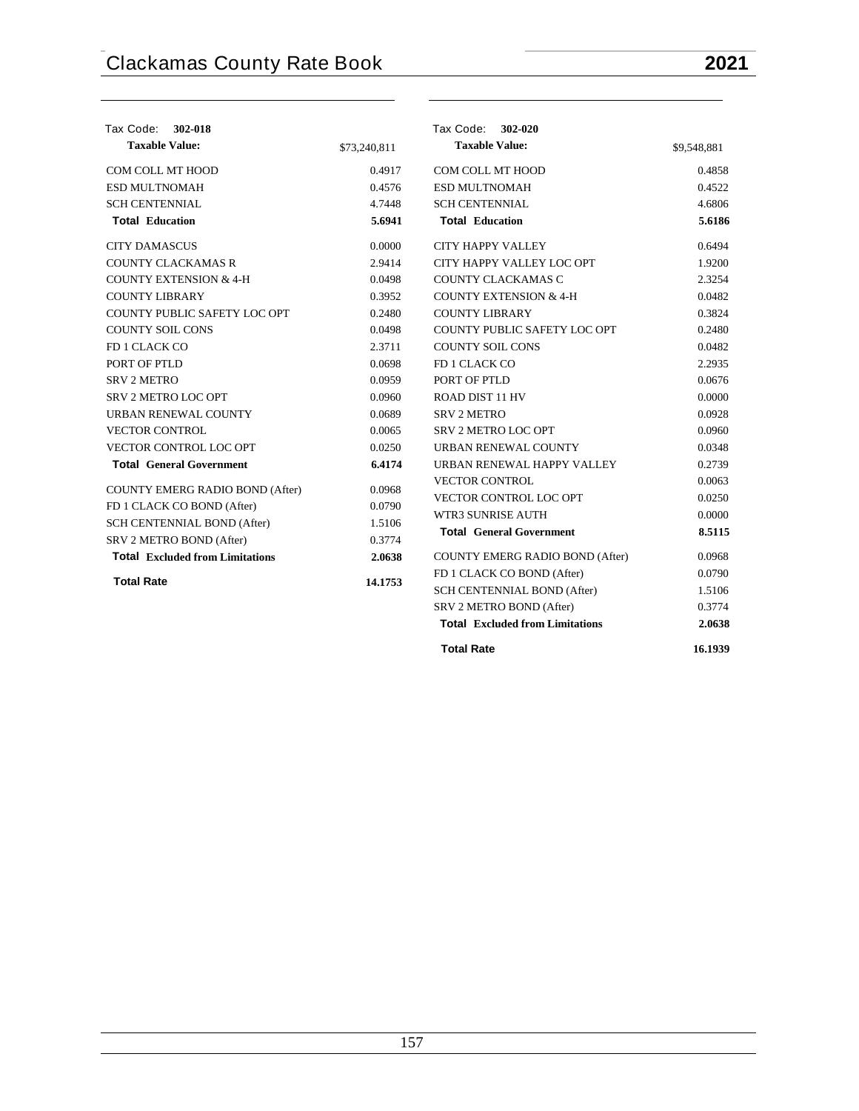|              | Tax Code: 302-020                               |                                                                                                                                                                                |
|--------------|-------------------------------------------------|--------------------------------------------------------------------------------------------------------------------------------------------------------------------------------|
| \$73,240,811 | <b>Taxable Value:</b>                           | \$9,548,881                                                                                                                                                                    |
| 0.4917       | COM COLL MT HOOD                                | 0.4858                                                                                                                                                                         |
| 0.4576       | ESD MULTNOMAH                                   | 0.4522                                                                                                                                                                         |
| 4.7448       | <b>SCH CENTENNIAL</b>                           | 4.6806                                                                                                                                                                         |
| 5.6941       | <b>Total Education</b>                          | 5.6186                                                                                                                                                                         |
| 0.0000       | <b>CITY HAPPY VALLEY</b>                        | 0.6494                                                                                                                                                                         |
| 2.9414       | CITY HAPPY VALLEY LOC OPT                       | 1.9200                                                                                                                                                                         |
| 0.0498       | COUNTY CLACKAMAS C                              | 2.3254                                                                                                                                                                         |
| 0.3952       | <b>COUNTY EXTENSION &amp; 4-H</b>               | 0.0482                                                                                                                                                                         |
| 0.2480       | <b>COUNTY LIBRARY</b>                           | 0.3824                                                                                                                                                                         |
| 0.0498       | COUNTY PUBLIC SAFETY LOC OPT                    | 0.2480                                                                                                                                                                         |
| 2.3711       | <b>COUNTY SOIL CONS</b>                         | 0.0482                                                                                                                                                                         |
| 0.0698       | FD 1 CLACK CO                                   | 2.2935                                                                                                                                                                         |
| 0.0959       | PORT OF PTLD                                    | 0.0676                                                                                                                                                                         |
| 0.0960       | <b>ROAD DIST 11 HV</b>                          | 0.0000                                                                                                                                                                         |
| 0.0689       | <b>SRV 2 METRO</b>                              | 0.0928                                                                                                                                                                         |
| 0.0065       | <b>SRV 2 METRO LOC OPT</b>                      | 0.0960                                                                                                                                                                         |
| 0.0250       | URBAN RENEWAL COUNTY                            | 0.0348                                                                                                                                                                         |
| 6.4174       | URBAN RENEWAL HAPPY VALLEY                      | 0.2739                                                                                                                                                                         |
| 0.0968       | <b>VECTOR CONTROL</b>                           | 0.0063                                                                                                                                                                         |
|              |                                                 | 0.0250                                                                                                                                                                         |
|              |                                                 | 0.0000                                                                                                                                                                         |
|              | <b>Total General Government</b>                 | 8.5115                                                                                                                                                                         |
|              |                                                 | 0.0968                                                                                                                                                                         |
|              |                                                 | 0.0790                                                                                                                                                                         |
|              |                                                 | 1.5106                                                                                                                                                                         |
|              |                                                 | 0.3774                                                                                                                                                                         |
|              | <b>Total Excluded from Limitations</b>          | 2.0638                                                                                                                                                                         |
|              | 0.0790<br>1.5106<br>0.3774<br>2.0638<br>14.1753 | VECTOR CONTROL LOC OPT<br>WTR3 SUNRISE AUTH<br><b>COUNTY EMERG RADIO BOND (After)</b><br>FD 1 CLACK CO BOND (After)<br>SCH CENTENNIAL BOND (After)<br>SRV 2 METRO BOND (After) |

| <b>Total Rate</b> | 16.1939 |
|-------------------|---------|
|                   |         |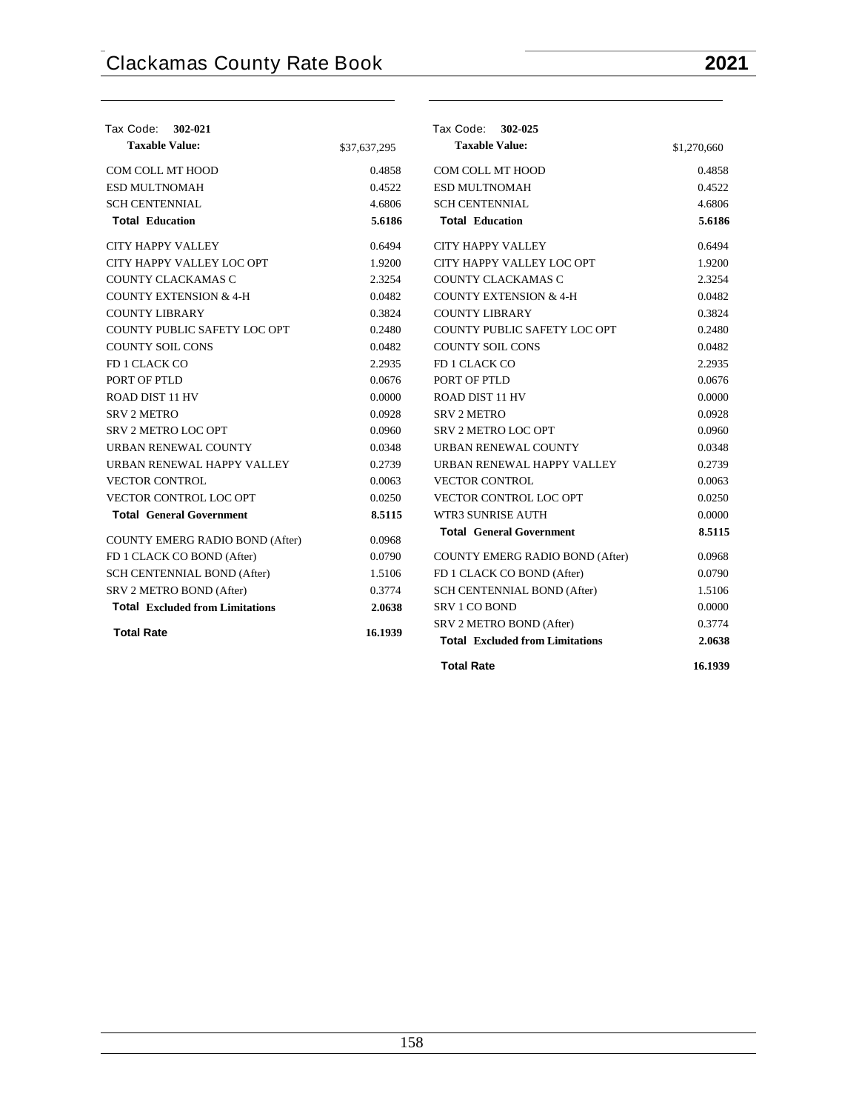| Tax Code:<br>302-021                   |              | Tax Code: 302-025                      |             |
|----------------------------------------|--------------|----------------------------------------|-------------|
| <b>Taxable Value:</b>                  | \$37,637,295 | <b>Taxable Value:</b>                  | \$1,270,660 |
| COM COLL MT HOOD                       | 0.4858       | COM COLL MT HOOD                       | 0.4858      |
| ESD MULTNOMAH                          | 0.4522       | ESD MULTNOMAH                          | 0.4522      |
| <b>SCH CENTENNIAL</b>                  | 4.6806       | <b>SCH CENTENNIAL</b>                  | 4.6806      |
| <b>Total Education</b>                 | 5.6186       | <b>Total Education</b>                 | 5.6186      |
| CITY HAPPY VALLEY                      | 0.6494       | <b>CITY HAPPY VALLEY</b>               | 0.6494      |
| CITY HAPPY VALLEY LOC OPT              | 1.9200       | CITY HAPPY VALLEY LOC OPT              | 1.9200      |
| COUNTY CLACKAMAS C                     | 2.3254       | COUNTY CLACKAMAS C                     | 2.3254      |
| <b>COUNTY EXTENSION &amp; 4-H</b>      | 0.0482       | <b>COUNTY EXTENSION &amp; 4-H</b>      | 0.0482      |
| <b>COUNTY LIBRARY</b>                  | 0.3824       | <b>COUNTY LIBRARY</b>                  | 0.3824      |
| COUNTY PUBLIC SAFETY LOC OPT           | 0.2480       | COUNTY PUBLIC SAFETY LOC OPT           | 0.2480      |
| <b>COUNTY SOIL CONS</b>                | 0.0482       | <b>COUNTY SOIL CONS</b>                | 0.0482      |
| FD 1 CLACK CO                          | 2.2935       | FD 1 CLACK CO                          | 2.2935      |
| PORT OF PTLD                           | 0.0676       | PORT OF PTLD                           | 0.0676      |
| <b>ROAD DIST 11 HV</b>                 | 0.0000       | <b>ROAD DIST 11 HV</b>                 | 0.0000      |
| <b>SRV 2 METRO</b>                     | 0.0928       | <b>SRV 2 METRO</b>                     | 0.0928      |
| SRV 2 METRO LOC OPT                    | 0.0960       | SRV 2 METRO LOC OPT                    | 0.0960      |
| URBAN RENEWAL COUNTY                   | 0.0348       | URBAN RENEWAL COUNTY                   | 0.0348      |
| URBAN RENEWAL HAPPY VALLEY             | 0.2739       | URBAN RENEWAL HAPPY VALLEY             | 0.2739      |
| <b>VECTOR CONTROL</b>                  | 0.0063       | <b>VECTOR CONTROL</b>                  | 0.0063      |
| VECTOR CONTROL LOC OPT                 | 0.0250       | VECTOR CONTROL LOC OPT                 | 0.0250      |
| <b>Total General Government</b>        | 8.5115       | WTR3 SUNRISE AUTH                      | 0.0000      |
| COUNTY EMERG RADIO BOND (After)        | 0.0968       | <b>Total General Government</b>        | 8.5115      |
| FD 1 CLACK CO BOND (After)             | 0.0790       | COUNTY EMERG RADIO BOND (After)        | 0.0968      |
| SCH CENTENNIAL BOND (After)            | 1.5106       | FD 1 CLACK CO BOND (After)             | 0.0790      |
| SRV 2 METRO BOND (After)               | 0.3774       | SCH CENTENNIAL BOND (After)            | 1.5106      |
| <b>Total Excluded from Limitations</b> | 2.0638       | SRV 1 CO BOND                          | 0.0000      |
|                                        |              | SRV 2 METRO BOND (After)               | 0.3774      |
| <b>Total Rate</b>                      | 16.1939      | <b>Total Excluded from Limitations</b> | 2.0638      |
|                                        |              | <b>Total Rate</b>                      | 16.1939     |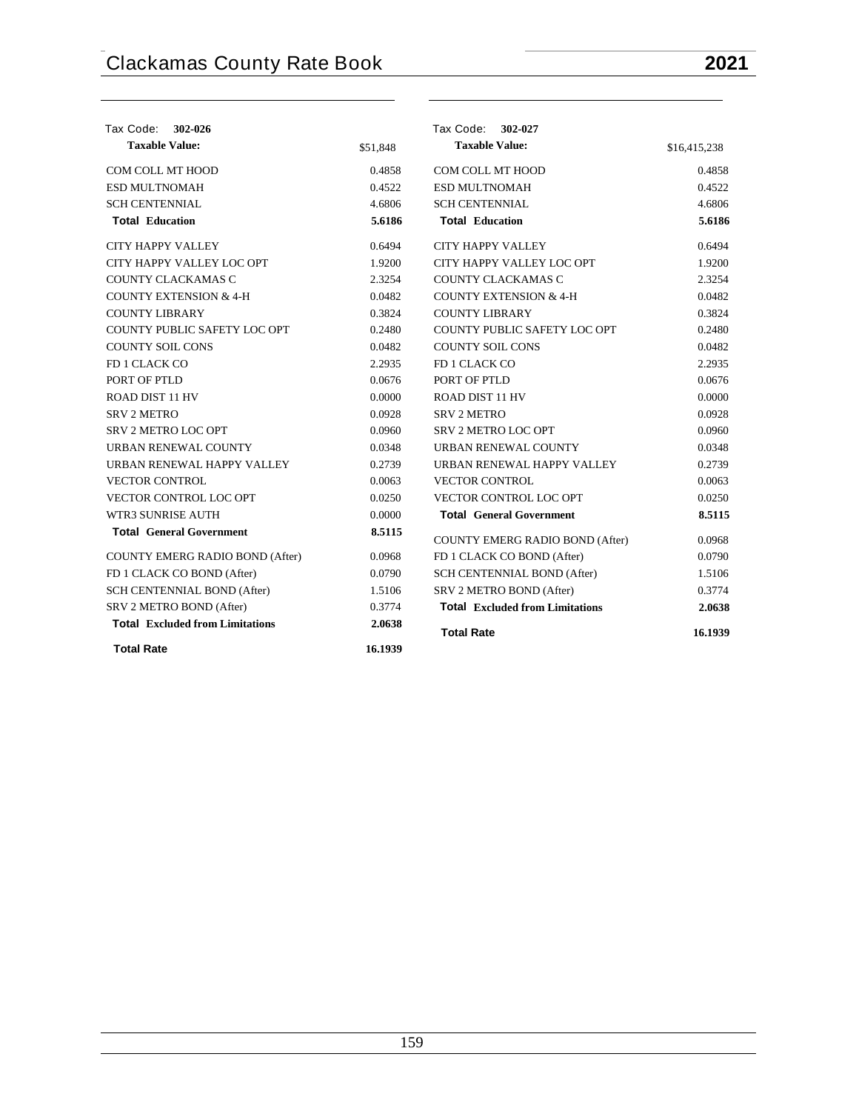| Tax Code: 302-026                      |          | Tax Code: 302-027                      |              |
|----------------------------------------|----------|----------------------------------------|--------------|
| <b>Taxable Value:</b>                  | \$51.848 | <b>Taxable Value:</b>                  | \$16,415,238 |
| COM COLL MT HOOD                       | 0.4858   | COM COLL MT HOOD                       | 0.4858       |
| <b>ESD MULTNOMAH</b>                   | 0.4522   | <b>ESD MULTNOMAH</b>                   | 0.4522       |
| <b>SCH CENTENNIAL</b>                  | 4.6806   | <b>SCH CENTENNIAL</b>                  | 4.6806       |
| <b>Total Education</b>                 | 5.6186   | <b>Total Education</b>                 | 5.6186       |
| <b>CITY HAPPY VALLEY</b>               | 0.6494   | <b>CITY HAPPY VALLEY</b>               | 0.6494       |
| CITY HAPPY VALLEY LOC OPT              | 1.9200   | CITY HAPPY VALLEY LOC OPT              | 1.9200       |
| <b>COUNTY CLACKAMAS C</b>              | 2.3254   | COUNTY CLACKAMAS C                     | 2.3254       |
| <b>COUNTY EXTENSION &amp; 4-H</b>      | 0.0482   | <b>COUNTY EXTENSION &amp; 4-H</b>      | 0.0482       |
| <b>COUNTY LIBRARY</b>                  | 0.3824   | <b>COUNTY LIBRARY</b>                  | 0.3824       |
| COUNTY PUBLIC SAFETY LOC OPT           | 0.2480   | COUNTY PUBLIC SAFETY LOC OPT           | 0.2480       |
| <b>COUNTY SOIL CONS</b>                | 0.0482   | <b>COUNTY SOIL CONS</b>                | 0.0482       |
| FD 1 CLACK CO                          | 2.2935   | FD 1 CLACK CO                          | 2.2935       |
| PORT OF PTLD                           | 0.0676   | PORT OF PTLD                           | 0.0676       |
| <b>ROAD DIST 11 HV</b>                 | 0.0000   | <b>ROAD DIST 11 HV</b>                 | 0.0000       |
| <b>SRV 2 METRO</b>                     | 0.0928   | <b>SRV 2 METRO</b>                     | 0.0928       |
| SRV 2 METRO LOC OPT                    | 0.0960   | SRV 2 METRO LOC OPT                    | 0.0960       |
| URBAN RENEWAL COUNTY                   | 0.0348   | URBAN RENEWAL COUNTY                   | 0.0348       |
| URBAN RENEWAL HAPPY VALLEY             | 0.2739   | URBAN RENEWAL HAPPY VALLEY             | 0.2739       |
| <b>VECTOR CONTROL</b>                  | 0.0063   | <b>VECTOR CONTROL</b>                  | 0.0063       |
| VECTOR CONTROL LOC OPT                 | 0.0250   | VECTOR CONTROL LOC OPT                 | 0.0250       |
| <b>WTR3 SUNRISE AUTH</b>               | 0.0000   | <b>Total General Government</b>        | 8.5115       |
| <b>Total General Government</b>        | 8.5115   | <b>COUNTY EMERG RADIO BOND (After)</b> | 0.0968       |
| <b>COUNTY EMERG RADIO BOND (After)</b> | 0.0968   | FD 1 CLACK CO BOND (After)             | 0.0790       |
| FD 1 CLACK CO BOND (After)             | 0.0790   | SCH CENTENNIAL BOND (After)            | 1.5106       |
| SCH CENTENNIAL BOND (After)            | 1.5106   | SRV 2 METRO BOND (After)               | 0.3774       |
| SRV 2 METRO BOND (After)               | 0.3774   | <b>Total Excluded from Limitations</b> | 2.0638       |
| <b>Total Excluded from Limitations</b> | 2.0638   | <b>Total Rate</b>                      | 16.1939      |
| <b>Total Rate</b>                      | 16.1939  |                                        |              |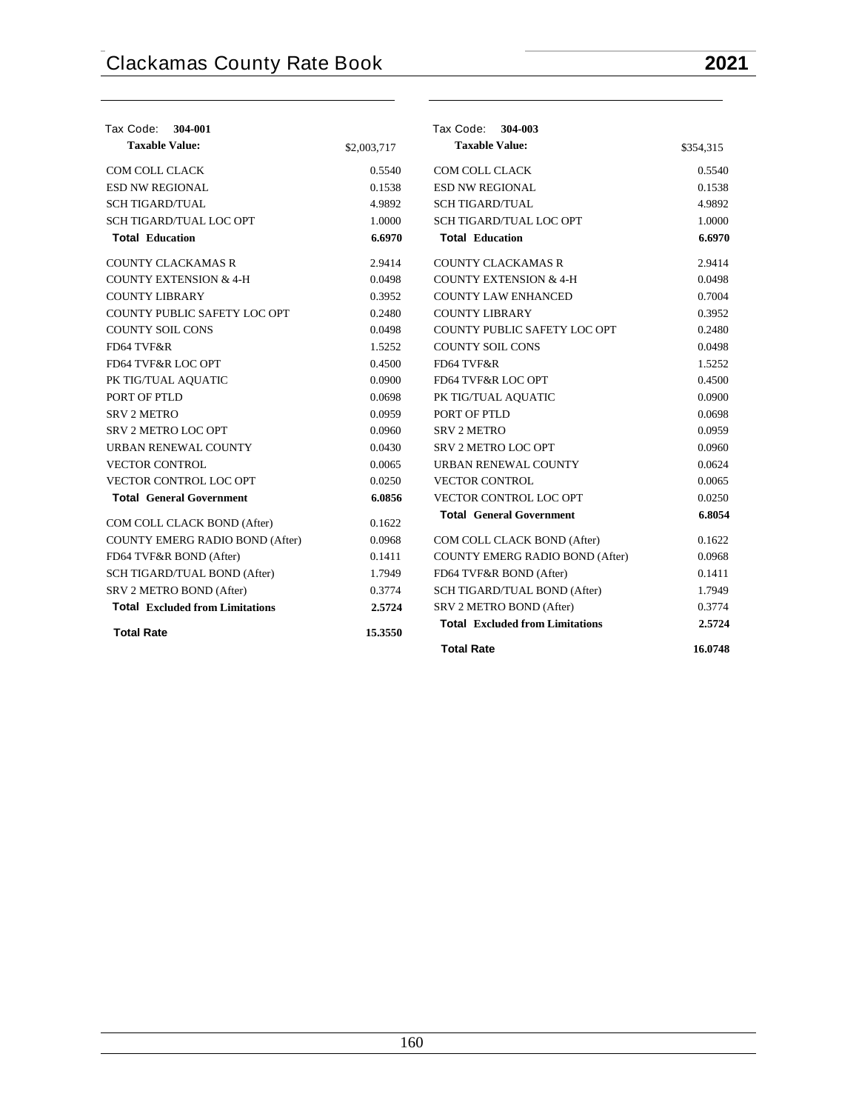| <b>Tax Code:</b><br>304-001            |             | Tax Code: 304-003                      |           |
|----------------------------------------|-------------|----------------------------------------|-----------|
| <b>Taxable Value:</b>                  | \$2,003,717 | <b>Taxable Value:</b>                  | \$354,315 |
| <b>COM COLL CLACK</b>                  | 0.5540      | <b>COM COLL CLACK</b>                  | 0.5540    |
| <b>ESD NW REGIONAL</b>                 | 0.1538      | <b>ESD NW REGIONAL</b>                 | 0.1538    |
| <b>SCH TIGARD/TUAL</b>                 | 4.9892      | <b>SCH TIGARD/TUAL</b>                 | 4.9892    |
| <b>SCH TIGARD/TUAL LOC OPT</b>         | 1.0000      | SCH TIGARD/TUAL LOC OPT                | 1.0000    |
| <b>Total Education</b>                 | 6.6970      | <b>Total Education</b>                 | 6.6970    |
| <b>COUNTY CLACKAMAS R</b>              | 2.9414      | <b>COUNTY CLACKAMAS R</b>              | 2.9414    |
| <b>COUNTY EXTENSION &amp; 4-H</b>      | 0.0498      | <b>COUNTY EXTENSION &amp; 4-H</b>      | 0.0498    |
| <b>COUNTY LIBRARY</b>                  | 0.3952      | <b>COUNTY LAW ENHANCED</b>             | 0.7004    |
| COUNTY PUBLIC SAFETY LOC OPT           | 0.2480      | <b>COUNTY LIBRARY</b>                  | 0.3952    |
| <b>COUNTY SOIL CONS</b>                | 0.0498      | COUNTY PUBLIC SAFETY LOC OPT           | 0.2480    |
| FD64 TVF&R                             | 1.5252      | <b>COUNTY SOIL CONS</b>                | 0.0498    |
| FD64 TVF&R LOC OPT                     | 0.4500      | FD64 TVF&R                             | 1.5252    |
| PK TIG/TUAL AOUATIC                    | 0.0900      | FD64 TVF&R LOC OPT                     | 0.4500    |
| PORT OF PTLD                           | 0.0698      | PK TIG/TUAL AQUATIC                    | 0.0900    |
| <b>SRV 2 METRO</b>                     | 0.0959      | PORT OF PTLD                           | 0.0698    |
| SRV 2 METRO LOC OPT                    | 0.0960      | <b>SRV 2 METRO</b>                     | 0.0959    |
| URBAN RENEWAL COUNTY                   | 0.0430      | <b>SRV 2 METRO LOC OPT</b>             | 0.0960    |
| <b>VECTOR CONTROL</b>                  | 0.0065      | URBAN RENEWAL COUNTY                   | 0.0624    |
| VECTOR CONTROL LOC OPT                 | 0.0250      | <b>VECTOR CONTROL</b>                  | 0.0065    |
| <b>Total General Government</b>        | 6.0856      | VECTOR CONTROL LOC OPT                 | 0.0250    |
| COM COLL CLACK BOND (After)            | 0.1622      | <b>Total General Government</b>        | 6.8054    |
| COUNTY EMERG RADIO BOND (After)        | 0.0968      | COM COLL CLACK BOND (After)            | 0.1622    |
| FD64 TVF&R BOND (After)                | 0.1411      | COUNTY EMERG RADIO BOND (After)        | 0.0968    |
| SCH TIGARD/TUAL BOND (After)           | 1.7949      | FD64 TVF&R BOND (After)                | 0.1411    |
| SRV 2 METRO BOND (After)               | 0.3774      | SCH TIGARD/TUAL BOND (After)           | 1.7949    |
| <b>Total Excluded from Limitations</b> | 2.5724      | SRV 2 METRO BOND (After)               | 0.3774    |
| <b>Total Rate</b>                      | 15.3550     | <b>Total Excluded from Limitations</b> | 2.5724    |
|                                        |             | <b>Total Rate</b>                      | 16.0748   |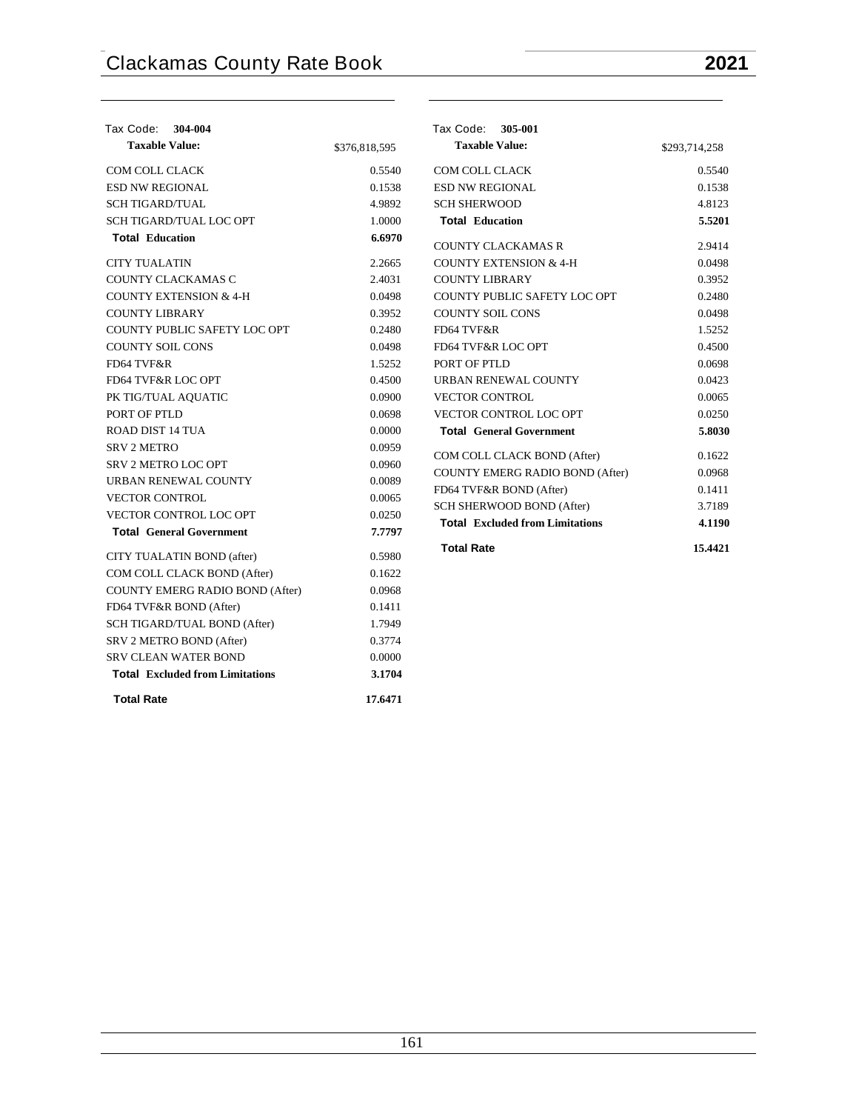| Tax Code:<br>304-004                   |               | Tax Code:<br>305-001                   |               |
|----------------------------------------|---------------|----------------------------------------|---------------|
| <b>Taxable Value:</b>                  | \$376,818,595 | <b>Taxable Value:</b>                  | \$293,714,258 |
| COM COLL CLACK                         | 0.5540        | COM COLL CLACK                         | 0.5540        |
| <b>ESD NW REGIONAL</b>                 | 0.1538        | <b>ESD NW REGIONAL</b>                 | 0.1538        |
| <b>SCH TIGARD/TUAL</b>                 | 4.9892        | <b>SCH SHERWOOD</b>                    | 4.8123        |
| SCH TIGARD/TUAL LOC OPT                | 1.0000        | <b>Total Education</b>                 | 5.5201        |
| <b>Total Education</b>                 | 6.6970        | <b>COUNTY CLACKAMAS R</b>              | 2.9414        |
| <b>CITY TUALATIN</b>                   | 2.2665        | <b>COUNTY EXTENSION &amp; 4-H</b>      | 0.0498        |
| COUNTY CLACKAMAS C                     | 2.4031        | <b>COUNTY LIBRARY</b>                  | 0.3952        |
| <b>COUNTY EXTENSION &amp; 4-H</b>      | 0.0498        | COUNTY PUBLIC SAFETY LOC OPT           | 0.2480        |
| <b>COUNTY LIBRARY</b>                  | 0.3952        | <b>COUNTY SOIL CONS</b>                | 0.0498        |
| COUNTY PUBLIC SAFETY LOC OPT           | 0.2480        | FD64 TVF&R                             | 1.5252        |
| <b>COUNTY SOIL CONS</b>                | 0.0498        | FD64 TVF&R LOC OPT                     | 0.4500        |
| FD64 TVF&R                             | 1.5252        | PORT OF PTLD                           | 0.0698        |
| FD64 TVF&R LOC OPT                     | 0.4500        | URBAN RENEWAL COUNTY                   | 0.0423        |
| PK TIG/TUAL AQUATIC                    | 0.0900        | <b>VECTOR CONTROL</b>                  | 0.0065        |
| PORT OF PTLD                           | 0.0698        | <b>VECTOR CONTROL LOC OPT</b>          | 0.0250        |
| <b>ROAD DIST 14 TUA</b>                | 0.0000        | <b>Total General Government</b>        | 5.8030        |
| <b>SRV 2 METRO</b>                     | 0.0959        | COM COLL CLACK BOND (After)            | 0.1622        |
| SRV 2 METRO LOC OPT                    | 0.0960        | <b>COUNTY EMERG RADIO BOND (After)</b> | 0.0968        |
| URBAN RENEWAL COUNTY                   | 0.0089        | FD64 TVF&R BOND (After)                | 0.1411        |
| <b>VECTOR CONTROL</b>                  | 0.0065        | SCH SHERWOOD BOND (After)              | 3.7189        |
| VECTOR CONTROL LOC OPT                 | 0.0250        | <b>Total Excluded from Limitations</b> | 4.1190        |
| <b>Total General Government</b>        | 7.7797        |                                        |               |
| CITY TUALATIN BOND (after)             | 0.5980        | <b>Total Rate</b>                      | 15.4421       |
| COM COLL CLACK BOND (After)            | 0.1622        |                                        |               |
| COUNTY EMERG RADIO BOND (After)        | 0.0968        |                                        |               |
| FD64 TVF&R BOND (After)                | 0.1411        |                                        |               |
| SCH TIGARD/TUAL BOND (After)           | 1.7949        |                                        |               |
| SRV 2 METRO BOND (After)               | 0.3774        |                                        |               |
| <b>SRV CLEAN WATER BOND</b>            | 0.0000        |                                        |               |
| <b>Total Excluded from Limitations</b> | 3.1704        |                                        |               |
| <b>Total Rate</b>                      | 17.6471       |                                        |               |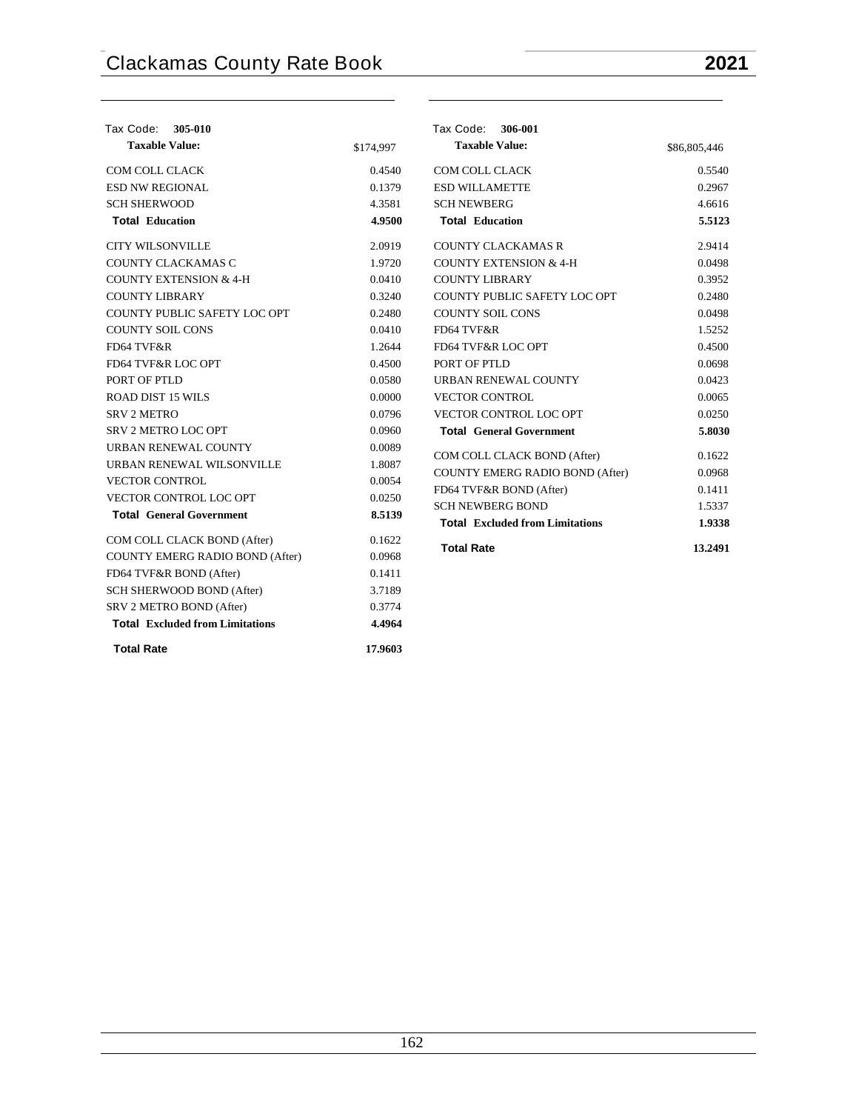| Tax Code: 305-010                      |           | Tax Code: 306-001                                                 |                  |
|----------------------------------------|-----------|-------------------------------------------------------------------|------------------|
| <b>Taxable Value:</b>                  | \$174,997 | <b>Taxable Value:</b>                                             | \$86,805,446     |
| COM COLL CLACK                         | 0.4540    | COM COLL CLACK                                                    | 0.5540           |
| ESD NW REGIONAL                        | 0.1379    | <b>ESD WILLAMETTE</b>                                             | 0.2967           |
| <b>SCH SHERWOOD</b>                    | 4.3581    | <b>SCH NEWBERG</b>                                                | 4.6616           |
| <b>Total Education</b>                 | 4.9500    | <b>Total Education</b>                                            | 5.5123           |
| <b>CITY WILSONVILLE</b>                | 2.0919    | <b>COUNTY CLACKAMAS R</b>                                         | 2.9414           |
| COUNTY CLACKAMAS C                     | 1.9720    | <b>COUNTY EXTENSION &amp; 4-H</b>                                 | 0.0498           |
| <b>COUNTY EXTENSION &amp; 4-H</b>      | 0.0410    | <b>COUNTY LIBRARY</b>                                             | 0.3952           |
| <b>COUNTY LIBRARY</b>                  | 0.3240    | COUNTY PUBLIC SAFETY LOC OPT                                      | 0.2480           |
| COUNTY PUBLIC SAFETY LOC OPT           | 0.2480    | <b>COUNTY SOIL CONS</b>                                           | 0.0498           |
| <b>COUNTY SOIL CONS</b>                | 0.0410    | FD64 TVF&R                                                        | 1.5252           |
| FD64 TVF&R                             | 1.2644    | FD64 TVF&R LOC OPT                                                | 0.4500           |
| FD64 TVF&R LOC OPT                     | 0.4500    | PORT OF PTLD                                                      | 0.0698           |
| PORT OF PTLD                           | 0.0580    | URBAN RENEWAL COUNTY                                              | 0.0423           |
| <b>ROAD DIST 15 WILS</b>               | 0.0000    | <b>VECTOR CONTROL</b>                                             | 0.0065           |
| SRV <sub>2</sub> METRO                 | 0.0796    | VECTOR CONTROL LOC OPT                                            | 0.0250           |
| <b>SRV 2 METRO LOC OPT</b>             | 0.0960    | <b>Total General Government</b>                                   | 5.8030           |
| URBAN RENEWAL COUNTY                   | 0.0089    |                                                                   | 0.1622           |
| URBAN RENEWAL WILSONVILLE              | 1.8087    | COM COLL CLACK BOND (After)                                       |                  |
| <b>VECTOR CONTROL</b>                  | 0.0054    | <b>COUNTY EMERG RADIO BOND (After)</b>                            | 0.0968           |
| VECTOR CONTROL LOC OPT                 | 0.0250    | FD64 TVF&R BOND (After)                                           | 0.1411<br>1.5337 |
| <b>Total General Government</b>        | 8.5139    | <b>SCH NEWBERG BOND</b><br><b>Total Excluded from Limitations</b> | 1.9338           |
| COM COLL CLACK BOND (After)            | 0.1622    |                                                                   |                  |
| COUNTY EMERG RADIO BOND (After)        | 0.0968    | <b>Total Rate</b>                                                 | 13.2491          |
| FD64 TVF&R BOND (After)                | 0.1411    |                                                                   |                  |
| SCH SHERWOOD BOND (After)              | 3.7189    |                                                                   |                  |
| SRV 2 METRO BOND (After)               | 0.3774    |                                                                   |                  |
| <b>Total Excluded from Limitations</b> | 4.4964    |                                                                   |                  |
| <b>Total Rate</b>                      | 17.9603   |                                                                   |                  |